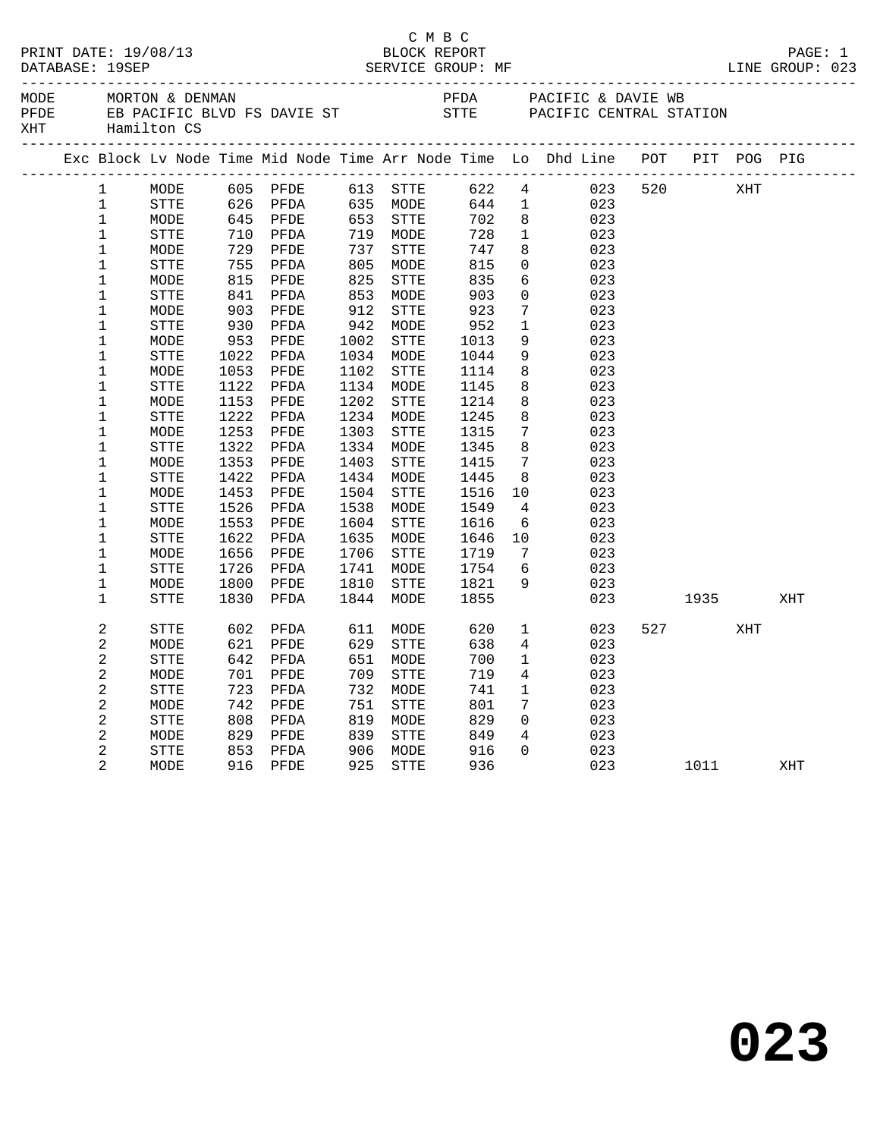|                |                                |                          |                      |                       |                             | СМВС         |                 | PAGE: 1<br>LINE GROUP: 023                                                     |     |                          |             | PAGE: 1 |
|----------------|--------------------------------|--------------------------|----------------------|-----------------------|-----------------------------|--------------|-----------------|--------------------------------------------------------------------------------|-----|--------------------------|-------------|---------|
|                | ______________________________ |                          |                      |                       |                             |              |                 |                                                                                |     |                          |             |         |
|                |                                |                          |                      |                       |                             |              |                 | Exc Block Lv Node Time Mid Node Time Arr Node Time Lo Dhd Line POT PIT POG PIG |     |                          |             |         |
| $\mathbf{1}$   | MODE                           |                          | 605 PFDE 613 STTE    |                       |                             | 622          |                 | $4\overline{ }$<br>023                                                         |     | 520 XHT                  |             |         |
| $\mathbf 1$    | STTE                           |                          |                      |                       |                             | 644          | $\mathbf{1}$    | 023                                                                            |     |                          |             |         |
| $\mathbf{1}$   | MODE                           |                          | 626 PFDA<br>645 PFDE |                       | 635    MODE<br>653     STTE | 702          | 8 <sup>8</sup>  | 023                                                                            |     |                          |             |         |
| $\mathbf 1$    | STTE                           | 710<br>729<br>755<br>815 | PFDA                 |                       |                             | 728          | $\mathbf{1}$    | 023                                                                            |     |                          |             |         |
| $\mathbf{1}$   | MODE                           |                          | PFDE                 |                       | 719    MODE<br>737    STTE  | 747          | 8               | 023                                                                            |     |                          |             |         |
| $\mathbf{1}$   | ${\tt STTE}$                   |                          | PFDA                 |                       | MODE                        | 815          | $\overline{0}$  | 023                                                                            |     |                          |             |         |
| $\mathbf{1}$   | MODE                           |                          | PFDE                 | 8 U<br>8 2 5<br>2 5 3 | STTE                        | 835          | 6               | 023                                                                            |     |                          |             |         |
| $\mathbf{1}$   | STTE                           |                          | PFDA                 | 853<br>912            | MODE                        | 903          | $\mathbf 0$     | 023                                                                            |     |                          |             |         |
| $\mathbf{1}$   | MODE                           |                          | PFDE                 |                       | STTE                        | 923          | $7\phantom{.0}$ | 023                                                                            |     |                          |             |         |
| $\mathbf 1$    | STTE                           | $841903930953$           | PFDA                 | 942                   | MODE                        | 952          | $\mathbf{1}$    | 023                                                                            |     |                          |             |         |
| $\mathbf 1$    | MODE                           |                          | PFDE                 |                       | 1002 STTE                   | 1013         | 9               | 023                                                                            |     |                          |             |         |
| $\mathbf 1$    | STTE                           | 1022                     | PFDA                 |                       | 1034 MODE                   | 1044         | 9               | 023                                                                            |     |                          |             |         |
| $\mathbf 1$    | MODE                           | 1053                     | PFDE                 | 1102                  | STTE                        | 1114         | 8               | 023                                                                            |     |                          |             |         |
| $1\,$          | STTE                           | 1122                     | PFDA                 |                       | 1134 MODE                   | 1145         | 8               | 023                                                                            |     |                          |             |         |
| $\mathbf 1$    | MODE                           | 1153                     | PFDE                 | 1202                  | STTE                        | 1214         | 8               | 023                                                                            |     |                          |             |         |
| $\mathbf 1$    | STTE                           | 1222                     | PFDA                 |                       | 1234 MODE                   | 1245         | 8               | 023                                                                            |     |                          |             |         |
| $\mathbf{1}$   | MODE                           | 1253                     | PFDE                 | 1303                  | STTE                        | 1315         | $7\phantom{.0}$ | 023                                                                            |     |                          |             |         |
| $\mathbf 1$    | <b>STTE</b>                    | 1322                     | PFDA                 | 1334                  | MODE                        | 1345         | 8               | 023                                                                            |     |                          |             |         |
| 1              | MODE                           | 1353                     | PFDE                 | 1403                  | STTE                        | 1415         | 7               | 023                                                                            |     |                          |             |         |
| $\mathbf 1$    | STTE                           | 1422                     | PFDA                 |                       | 1434 MODE                   | 1445         | 8               | 023                                                                            |     |                          |             |         |
| 1              | MODE                           | 1453                     | PFDE                 | 1504                  | STTE                        | 1516         | 10              | 023                                                                            |     |                          |             |         |
| $\mathbf 1$    | STTE                           | 1526                     | PFDA                 | 1538                  | MODE                        | 1549         | $\overline{4}$  | 023                                                                            |     |                          |             |         |
| $\mathbf{1}$   | MODE                           | 1553                     | PFDE                 | 1604                  | <b>STTE</b>                 | 1616<br>1646 | 6               | 023                                                                            |     |                          |             |         |
| $\mathbf 1$    | <b>STTE</b>                    | 1622                     | PFDA                 | 1635                  | MODE                        |              | 10              | 023                                                                            |     |                          |             |         |
| $\mathbf{1}$   | MODE                           | 1656                     | PFDE                 | 1706                  | <b>STTE</b>                 | 1719<br>1754 | $\overline{7}$  | 023                                                                            |     |                          |             |         |
| $\mathbf 1$    | STTE                           | 1726                     | PFDA                 | 1741                  | MODE                        |              | 6               | 023                                                                            |     |                          |             |         |
| $\mathbf 1$    | MODE                           | 1800                     | PFDE                 | 1810                  | <b>STTE</b>                 | 1821<br>1855 | 9               | 023                                                                            |     |                          |             |         |
| $\mathbf{1}$   | STTE                           | 1830                     | PFDA                 | 1844                  | MODE                        | 1855         |                 | 023                                                                            |     |                          | 1935 — 1935 | XHT     |
| $\overline{c}$ | STTE                           | 602                      | PFDA                 | 611                   | MODE                        | 620          | $\mathbf{1}$    | 023                                                                            |     | 527 and $\overline{527}$ | XHT         |         |
| $\overline{a}$ | MODE                           | 621                      | PFDE                 | 629                   | STTE                        | 638          | $4\overline{ }$ | 023                                                                            |     |                          |             |         |
| $\overline{a}$ | <b>STTE</b>                    |                          | 642 PFDA             | 651                   | MODE                        | 700          | $\mathbf 1$     | 023                                                                            |     |                          |             |         |
| $\overline{a}$ | MODE                           | 701                      | PFDE                 | 709                   | STTE                        | 719          | 4               | 023                                                                            |     |                          |             |         |
| $\overline{a}$ | STTE                           | 723                      | PFDA                 | 732                   | MODE                        | 741          | $\mathbf{1}$    | 023                                                                            |     |                          |             |         |
| $\mathbf{2}$   | MODE                           | 742                      | PFDE                 | 751                   | STTE                        | 801          | $7\phantom{0}$  | 023                                                                            |     |                          |             |         |
| $\overline{a}$ | STTE                           | 808                      | PFDA                 | 819                   | MODE                        | 829          | $\overline{0}$  | 023                                                                            |     |                          |             |         |
| $\overline{a}$ | MODE                           | 829<br>853               | PFDE                 | 839<br>906            | STTE                        | 849          | $4\overline{ }$ | 023                                                                            |     |                          |             |         |
| 2              | STTE                           |                          | PFDA                 |                       | 906 MODE                    | 916          | $\Omega$        | 023                                                                            |     |                          |             |         |
| $\overline{2}$ | MODE                           | 916 PFDE                 |                      | 925                   | <b>STTE</b>                 | 936          |                 |                                                                                | 023 |                          | 1011 \      | XHT     |
|                |                                |                          |                      |                       |                             |              |                 |                                                                                |     |                          |             |         |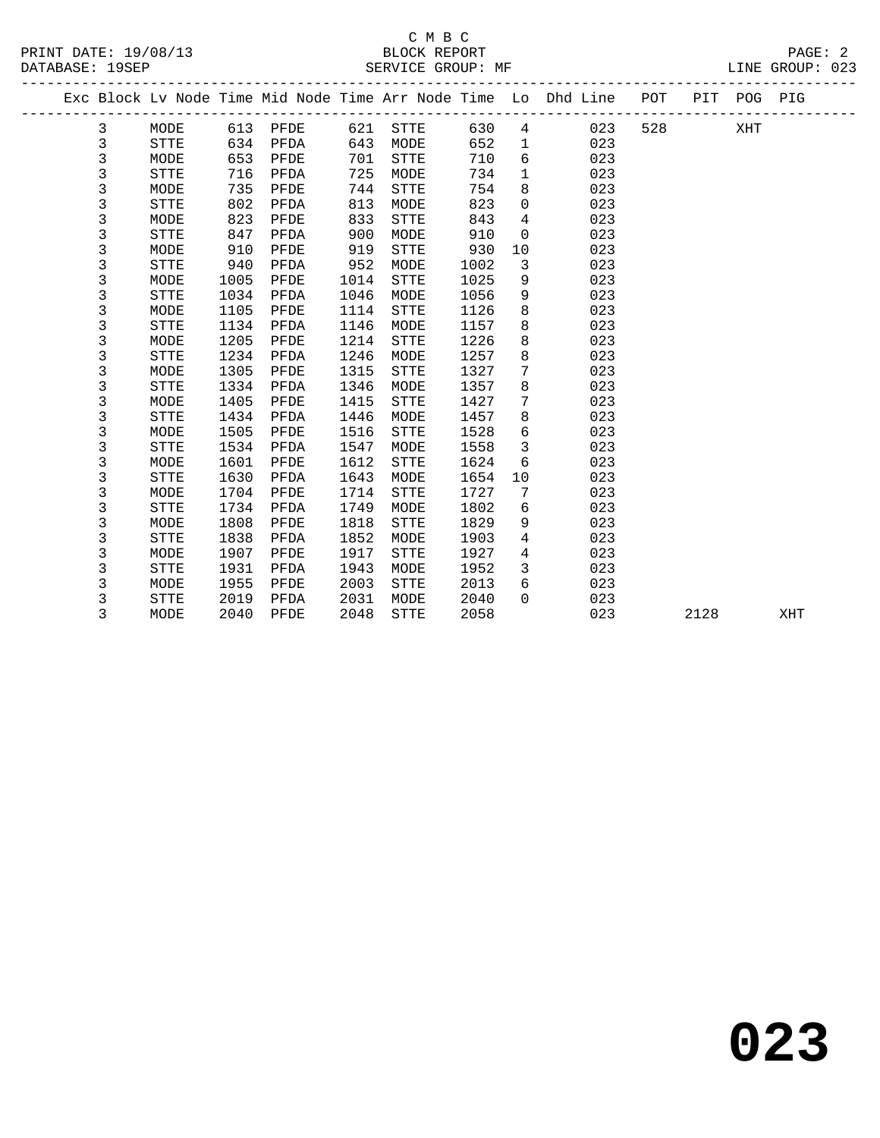|  |             |             |      |      |      |             |      |              | Exc Block Lv Node Time Mid Node Time Arr Node Time Lo Dhd Line | POT | PIT  | POG PIG |     |
|--|-------------|-------------|------|------|------|-------------|------|--------------|----------------------------------------------------------------|-----|------|---------|-----|
|  | 3           | MODE        | 613  | PFDE | 621  | STTE        | 630  | 4            | 023                                                            | 528 |      | XHT     |     |
|  | 3           | <b>STTE</b> | 634  | PFDA | 643  | MODE        | 652  | $\mathbf{1}$ | 023                                                            |     |      |         |     |
|  | $\mathsf 3$ | MODE        | 653  | PFDE | 701  | <b>STTE</b> | 710  | 6            | 023                                                            |     |      |         |     |
|  | 3           | <b>STTE</b> | 716  | PFDA | 725  | MODE        | 734  | $\mathbf{1}$ | 023                                                            |     |      |         |     |
|  | 3           | MODE        | 735  | PFDE | 744  | <b>STTE</b> | 754  | 8            | 023                                                            |     |      |         |     |
|  | 3           | <b>STTE</b> | 802  | PFDA | 813  | MODE        | 823  | 0            | 023                                                            |     |      |         |     |
|  | 3           | MODE        | 823  | PFDE | 833  | <b>STTE</b> | 843  | 4            | 023                                                            |     |      |         |     |
|  | 3           | <b>STTE</b> | 847  | PFDA | 900  | MODE        | 910  | 0            | 023                                                            |     |      |         |     |
|  | 3           | MODE        | 910  | PFDE | 919  | <b>STTE</b> | 930  | 10           | 023                                                            |     |      |         |     |
|  | 3           | <b>STTE</b> | 940  | PFDA | 952  | MODE        | 1002 | 3            | 023                                                            |     |      |         |     |
|  | 3           | MODE        | 1005 | PFDE | 1014 | <b>STTE</b> | 1025 | 9            | 023                                                            |     |      |         |     |
|  | 3           | <b>STTE</b> | 1034 | PFDA | 1046 | MODE        | 1056 | 9            | 023                                                            |     |      |         |     |
|  | $\mathsf 3$ | MODE        | 1105 | PFDE | 1114 | STTE        | 1126 | 8            | 023                                                            |     |      |         |     |
|  | 3           | <b>STTE</b> | 1134 | PFDA | 1146 | MODE        | 1157 | 8            | 023                                                            |     |      |         |     |
|  | 3           | MODE        | 1205 | PFDE | 1214 | <b>STTE</b> | 1226 | 8            | 023                                                            |     |      |         |     |
|  | 3           | <b>STTE</b> | 1234 | PFDA | 1246 | MODE        | 1257 | 8            | 023                                                            |     |      |         |     |
|  | 3           | MODE        | 1305 | PFDE | 1315 | <b>STTE</b> | 1327 | 7            | 023                                                            |     |      |         |     |
|  | 3           | <b>STTE</b> | 1334 | PFDA | 1346 | MODE        | 1357 | 8            | 023                                                            |     |      |         |     |
|  | 3           | MODE        | 1405 | PFDE | 1415 | <b>STTE</b> | 1427 | 7            | 023                                                            |     |      |         |     |
|  | 3           | STTE        | 1434 | PFDA | 1446 | MODE        | 1457 | 8            | 023                                                            |     |      |         |     |
|  | 3           | MODE        | 1505 | PFDE | 1516 | <b>STTE</b> | 1528 | 6            | 023                                                            |     |      |         |     |
|  | 3           | <b>STTE</b> | 1534 | PFDA | 1547 | MODE        | 1558 | $\mathbf{3}$ | 023                                                            |     |      |         |     |
|  | 3           | MODE        | 1601 | PFDE | 1612 | <b>STTE</b> | 1624 | 6            | 023                                                            |     |      |         |     |
|  | 3           | <b>STTE</b> | 1630 | PFDA | 1643 | MODE        | 1654 | 10           | 023                                                            |     |      |         |     |
|  | 3           | MODE        | 1704 | PFDE | 1714 | <b>STTE</b> | 1727 | 7            | 023                                                            |     |      |         |     |
|  | 3           | STTE        | 1734 | PFDA | 1749 | MODE        | 1802 | 6            | 023                                                            |     |      |         |     |
|  | 3           | MODE        | 1808 | PFDE | 1818 | <b>STTE</b> | 1829 | 9            | 023                                                            |     |      |         |     |
|  | 3           | <b>STTE</b> | 1838 | PFDA | 1852 | MODE        | 1903 | 4            | 023                                                            |     |      |         |     |
|  | 3           | MODE        | 1907 | PFDE | 1917 | <b>STTE</b> | 1927 | 4            | 023                                                            |     |      |         |     |
|  | 3           | <b>STTE</b> | 1931 | PFDA | 1943 | MODE        | 1952 | 3            | 023                                                            |     |      |         |     |
|  | 3           | MODE        | 1955 | PFDE | 2003 | <b>STTE</b> | 2013 | 6            | 023                                                            |     |      |         |     |
|  | 3           | <b>STTE</b> | 2019 | PFDA | 2031 | MODE        | 2040 | $\Omega$     | 023                                                            |     |      |         |     |
|  | 3           | MODE        | 2040 | PFDE | 2048 | <b>STTE</b> | 2058 |              | 023                                                            |     | 2128 |         | XHT |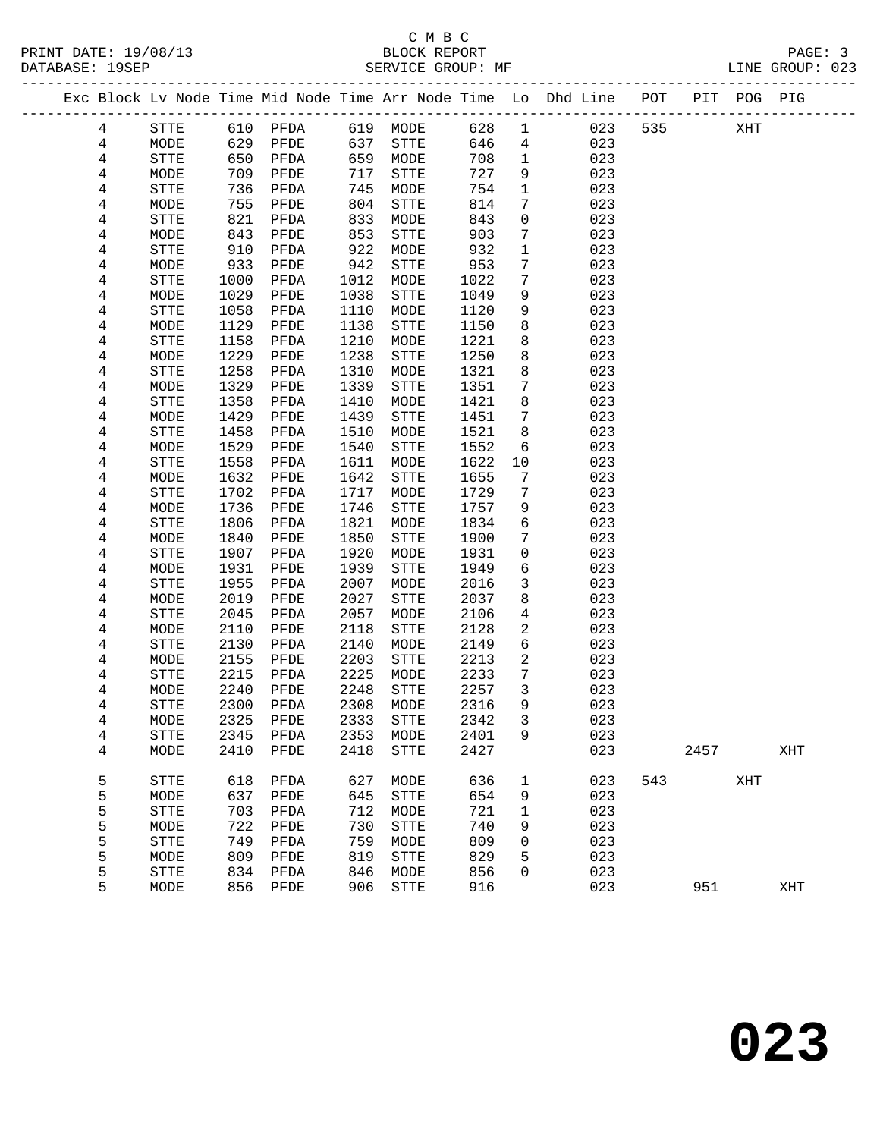# C M B C<br>BLOCK REPORT

| PRINT DATE: 19/08/13                                                           | BLOCK REPORT      | PAGE: 3         |
|--------------------------------------------------------------------------------|-------------------|-----------------|
| DATABASE: 19SEP                                                                | SERVICE GROUP: MF | LINE GROUP: 023 |
| Exc Block Ly Node Time Mid Node Time Arr Node Time Lo Dhd Line POT PIT POG PIG |                   |                 |

| 4                       | STTE              | 610  | PFDA         | 619  | MODE         | 628  | $\mathbf{1}$   | 023 | 535 |      | XHT |     |  |
|-------------------------|-------------------|------|--------------|------|--------------|------|----------------|-----|-----|------|-----|-----|--|
| 4                       | MODE              | 629  | PFDE         | 637  | ${\tt STTE}$ | 646  | $\overline{4}$ | 023 |     |      |     |     |  |
| 4                       | ${\tt STTE}$      | 650  | PFDA         | 659  | MODE         | 708  | $\mathbf{1}$   | 023 |     |      |     |     |  |
| 4                       | MODE              | 709  | PFDE         | 717  | ${\tt STTE}$ | 727  | 9              | 023 |     |      |     |     |  |
| 4                       | STTE              | 736  | PFDA         | 745  | MODE         | 754  | $\mathbf{1}$   | 023 |     |      |     |     |  |
| 4                       | MODE              | 755  | ${\tt PFDE}$ | 804  | ${\tt STTE}$ | 814  | 7              | 023 |     |      |     |     |  |
| 4                       | <b>STTE</b>       | 821  | PFDA         | 833  | MODE         | 843  | $\mathsf{O}$   | 023 |     |      |     |     |  |
| 4                       | $\texttt{MODE}{}$ | 843  | PFDE         | 853  | ${\tt STTE}$ | 903  | 7              | 023 |     |      |     |     |  |
| 4                       | STTE              | 910  | PFDA         | 922  | MODE         | 932  | $\mathbf{1}$   | 023 |     |      |     |     |  |
| 4                       | MODE              | 933  | PFDE         | 942  | ${\tt STTE}$ | 953  | 7              | 023 |     |      |     |     |  |
| 4                       | STTE              | 1000 | PFDA         | 1012 | MODE         | 1022 | 7              | 023 |     |      |     |     |  |
| 4                       | MODE              | 1029 | PFDE         | 1038 | ${\tt STTE}$ | 1049 | 9              | 023 |     |      |     |     |  |
| 4                       | STTE              | 1058 | PFDA         | 1110 | MODE         | 1120 | 9              | 023 |     |      |     |     |  |
| 4                       | MODE              | 1129 | PFDE         | 1138 | ${\tt STTE}$ | 1150 | 8              | 023 |     |      |     |     |  |
| $\overline{\mathbf{4}}$ | STTE              | 1158 | PFDA         | 1210 | MODE         | 1221 | 8              | 023 |     |      |     |     |  |
| 4                       | MODE              | 1229 | PFDE         | 1238 | ${\tt STTE}$ | 1250 | 8              | 023 |     |      |     |     |  |
| 4                       | STTE              | 1258 | PFDA         | 1310 | MODE         | 1321 | 8              | 023 |     |      |     |     |  |
| 4                       | MODE              | 1329 | PFDE         | 1339 | ${\tt STTE}$ | 1351 | 7              | 023 |     |      |     |     |  |
| 4                       | STTE              | 1358 | PFDA         | 1410 | MODE         | 1421 | 8              | 023 |     |      |     |     |  |
| 4                       | $\texttt{MODE}{}$ | 1429 | PFDE         | 1439 | ${\tt STTE}$ | 1451 | $\overline{7}$ | 023 |     |      |     |     |  |
| 4                       | STTE              | 1458 | PFDA         | 1510 | MODE         | 1521 | 8              | 023 |     |      |     |     |  |
| 4                       | MODE              | 1529 | PFDE         | 1540 | ${\tt STTE}$ | 1552 | 6              | 023 |     |      |     |     |  |
| 4                       | STTE              | 1558 | PFDA         | 1611 | MODE         | 1622 | 10             | 023 |     |      |     |     |  |
| 4                       | MODE              | 1632 | PFDE         | 1642 | ${\tt STTE}$ | 1655 | $\overline{7}$ | 023 |     |      |     |     |  |
| 4                       | <b>STTE</b>       | 1702 | PFDA         | 1717 | MODE         | 1729 | 7              | 023 |     |      |     |     |  |
| 4                       | MODE              | 1736 | PFDE         | 1746 | ${\tt STTE}$ | 1757 | 9              | 023 |     |      |     |     |  |
| 4                       | <b>STTE</b>       | 1806 | PFDA         | 1821 | MODE         | 1834 | 6              | 023 |     |      |     |     |  |
| 4                       | MODE              | 1840 | PFDE         | 1850 | STTE         | 1900 | 7              | 023 |     |      |     |     |  |
| 4                       | STTE              | 1907 | PFDA         | 1920 | MODE         | 1931 | $\mathbf 0$    | 023 |     |      |     |     |  |
| 4                       | MODE              | 1931 | PFDE         | 1939 | ${\tt STTE}$ | 1949 | 6              | 023 |     |      |     |     |  |
| 4                       | STTE              | 1955 | PFDA         | 2007 | MODE         | 2016 | $\mathbf{3}$   | 023 |     |      |     |     |  |
| 4                       | MODE              | 2019 | PFDE         | 2027 | ${\tt STTE}$ | 2037 | 8              | 023 |     |      |     |     |  |
| 4                       | ${\tt STTE}$      | 2045 | PFDA         | 2057 | MODE         | 2106 | $\overline{4}$ | 023 |     |      |     |     |  |
| 4                       | MODE              | 2110 | PFDE         | 2118 | STTE         | 2128 | 2              | 023 |     |      |     |     |  |
| 4                       | STTE              | 2130 | PFDA         | 2140 | MODE         | 2149 | 6              | 023 |     |      |     |     |  |
| 4                       | MODE              | 2155 | PFDE         | 2203 | STTE         | 2213 | 2              | 023 |     |      |     |     |  |
| 4                       | STTE              | 2215 | PFDA         | 2225 | MODE         | 2233 | 7              | 023 |     |      |     |     |  |
| 4                       | MODE              | 2240 | PFDE         | 2248 | STTE         | 2257 | 3              | 023 |     |      |     |     |  |
| 4                       | STTE              | 2300 | PFDA         | 2308 | MODE         | 2316 | 9              | 023 |     |      |     |     |  |
| 4                       | MODE              | 2325 | PFDE         | 2333 | STTE         | 2342 | $\mathbf{3}$   | 023 |     |      |     |     |  |
| $\,4$                   | STTE              | 2345 | PFDA         | 2353 | MODE         | 2401 | 9              | 023 |     |      |     |     |  |
| 4                       | MODE              |      | 2410 PFDE    | 2418 | ${\tt STTE}$ | 2427 |                | 023 |     | 2457 |     | XHT |  |
|                         |                   |      |              |      |              |      |                |     |     |      |     |     |  |
| 5                       | STTE              | 618  | PFDA         | 627  | MODE         | 636  | 1              | 023 | 543 |      | XHT |     |  |
| 5                       | MODE              | 637  | PFDE         | 645  | STTE         | 654  | 9              | 023 |     |      |     |     |  |
| 5                       | STTE              | 703  | PFDA         | 712  | MODE         | 721  | 1              | 023 |     |      |     |     |  |
| 5                       | MODE              | 722  | PFDE         | 730  | STTE         | 740  | 9              | 023 |     |      |     |     |  |
| 5                       | STTE              | 749  | PFDA         | 759  | MODE         | 809  | 0              | 023 |     |      |     |     |  |
| 5                       | MODE              | 809  | PFDE         | 819  | STTE         | 829  | 5              | 023 |     |      |     |     |  |
| 5                       | STTE              | 834  | PFDA         | 846  | MODE         | 856  | 0              | 023 |     |      |     |     |  |
| 5                       | MODE              | 856  | PFDE         | 906  | ${\tt STTE}$ | 916  |                | 023 |     | 951  |     | XHT |  |
|                         |                   |      |              |      |              |      |                |     |     |      |     |     |  |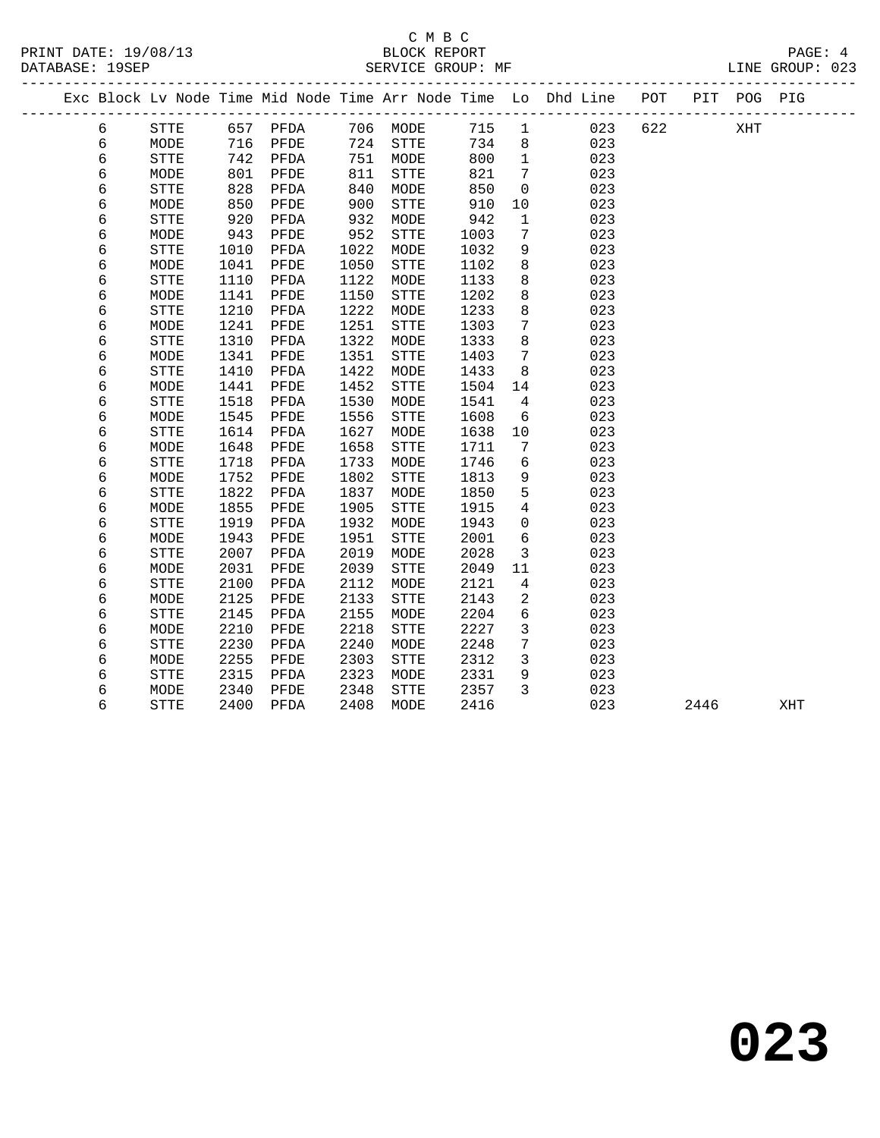|   |              |      |          |      |             |      |                 | Exc Block Lv Node Time Mid Node Time Arr Node Time Lo Dhd Line POT PIT POG PIG |     |      |     |     |
|---|--------------|------|----------|------|-------------|------|-----------------|--------------------------------------------------------------------------------|-----|------|-----|-----|
| 6 | <b>STTE</b>  |      | 657 PFDA |      | 706 MODE    | 715  | $\overline{1}$  | 023                                                                            | 622 |      | XHT |     |
| 6 | MODE         |      | 716 PFDE | 724  | STTE        | 734  | 8               | 023                                                                            |     |      |     |     |
| 6 | <b>STTE</b>  |      | 742 PFDA | 751  | MODE        | 800  | $\mathbf{1}$    | 023                                                                            |     |      |     |     |
| 6 | MODE         | 801  | PFDE     | 811  | <b>STTE</b> | 821  | $7\phantom{.0}$ | 023                                                                            |     |      |     |     |
| 6 | ${\tt STTE}$ | 828  | PFDA     | 840  | MODE        | 850  | $\mathbf 0$     | 023                                                                            |     |      |     |     |
| 6 | MODE         | 850  | PFDE     | 900  | STTE        | 910  | 10              | 023                                                                            |     |      |     |     |
| б | ${\tt STTE}$ | 920  | PFDA     | 932  | MODE        | 942  | $\mathbf{1}$    | 023                                                                            |     |      |     |     |
| б | MODE         | 943  | PFDE     | 952  | STTE        | 1003 | $7\phantom{.0}$ | 023                                                                            |     |      |     |     |
| б | <b>STTE</b>  | 1010 | PFDA     | 1022 | MODE        | 1032 | 9               | 023                                                                            |     |      |     |     |
| б | MODE         | 1041 | PFDE     | 1050 | <b>STTE</b> | 1102 | 8               | 023                                                                            |     |      |     |     |
| б | ${\tt STTE}$ | 1110 | PFDA     | 1122 | MODE        | 1133 | 8               | 023                                                                            |     |      |     |     |
| б | MODE         | 1141 | PFDE     | 1150 | <b>STTE</b> | 1202 | 8               | 023                                                                            |     |      |     |     |
| б | <b>STTE</b>  | 1210 | PFDA     | 1222 | MODE        | 1233 | 8               | 023                                                                            |     |      |     |     |
| б | MODE         | 1241 | PFDE     | 1251 | STTE        | 1303 | $7\phantom{.0}$ | 023                                                                            |     |      |     |     |
| 6 | <b>STTE</b>  | 1310 | PFDA     | 1322 | MODE        | 1333 | 8               | 023                                                                            |     |      |     |     |
| б | MODE         | 1341 | PFDE     | 1351 | STTE        | 1403 | $7\phantom{.0}$ | 023                                                                            |     |      |     |     |
| 6 | <b>STTE</b>  | 1410 | PFDA     | 1422 | MODE        | 1433 | 8               | 023                                                                            |     |      |     |     |
| б | MODE         | 1441 | PFDE     | 1452 | STTE        | 1504 | 14              | 023                                                                            |     |      |     |     |
| б | STTE         | 1518 | PFDA     | 1530 | MODE        | 1541 | $\overline{4}$  | 023                                                                            |     |      |     |     |
| б | MODE         | 1545 | PFDE     | 1556 | STTE        | 1608 | 6               | 023                                                                            |     |      |     |     |
| б | ${\tt STTE}$ | 1614 | PFDA     | 1627 | MODE        | 1638 | 10              | 023                                                                            |     |      |     |     |
| б | MODE         | 1648 | PFDE     | 1658 | STTE        | 1711 | $7\phantom{.0}$ | 023                                                                            |     |      |     |     |
| б | STTE         | 1718 | PFDA     | 1733 | MODE        | 1746 | 6               | 023                                                                            |     |      |     |     |
| б | MODE         | 1752 | PFDE     | 1802 | <b>STTE</b> | 1813 | 9               | 023                                                                            |     |      |     |     |
| б | ${\tt STTE}$ | 1822 | PFDA     | 1837 | MODE        | 1850 | $5\phantom{.0}$ | 023                                                                            |     |      |     |     |
| б | MODE         | 1855 | PFDE     | 1905 | STTE        | 1915 | $\overline{4}$  | 023                                                                            |     |      |     |     |
| б | ${\tt STTE}$ | 1919 | PFDA     | 1932 | MODE        | 1943 | $\mathbf 0$     | 023                                                                            |     |      |     |     |
| б | MODE         | 1943 | PFDE     | 1951 | STTE        | 2001 | 6               | 023                                                                            |     |      |     |     |
| б | ${\tt STTE}$ | 2007 | PFDA     | 2019 | MODE        | 2028 | $\overline{3}$  | 023                                                                            |     |      |     |     |
| б | MODE         | 2031 | PFDE     | 2039 | STTE        | 2049 | 11              | 023                                                                            |     |      |     |     |
| 6 | <b>STTE</b>  | 2100 | PFDA     | 2112 | MODE        | 2121 | 4               | 023                                                                            |     |      |     |     |
| б | MODE         | 2125 | PFDE     | 2133 | STTE        | 2143 | 2               | 023                                                                            |     |      |     |     |
| б | STTE         | 2145 | PFDA     | 2155 | MODE        | 2204 | 6               | 023                                                                            |     |      |     |     |
| б | MODE         | 2210 | PFDE     | 2218 | <b>STTE</b> | 2227 | 3               | 023                                                                            |     |      |     |     |
| б | STTE         | 2230 | PFDA     | 2240 | MODE        | 2248 | $7\phantom{.0}$ | 023                                                                            |     |      |     |     |
| б | MODE         | 2255 | PFDE     | 2303 | STTE        | 2312 | $\mathbf{3}$    | 023                                                                            |     |      |     |     |
| б | STTE         | 2315 | PFDA     | 2323 | MODE        | 2331 | 9               | 023                                                                            |     |      |     |     |
| б | MODE         | 2340 | PFDE     | 2348 | STTE        | 2357 | $\mathbf{3}$    | 023                                                                            |     |      |     |     |
| б | ${\tt STTE}$ | 2400 | PFDA     | 2408 | MODE        | 2416 |                 | 023                                                                            |     | 2446 |     | XHT |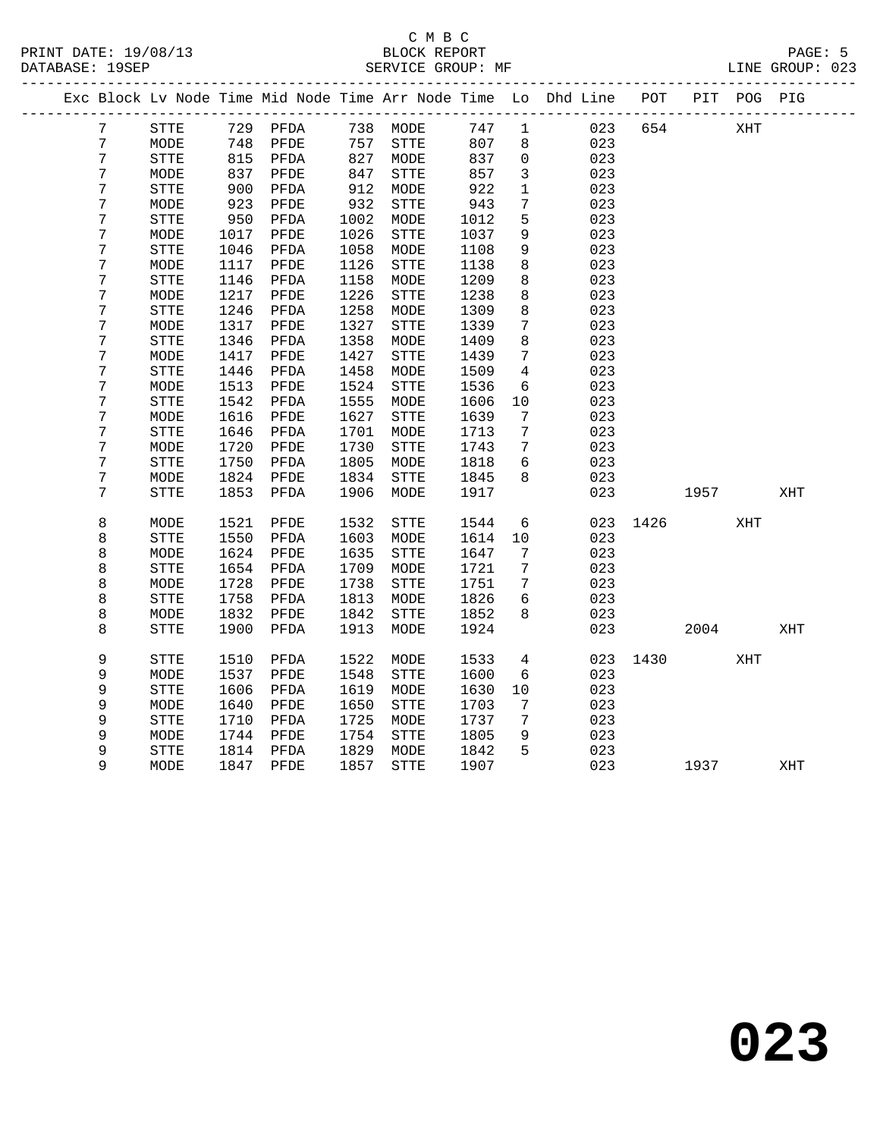|  |   |                     |              |              |              |                      |              |                 | Exc Block Lv Node Time Mid Node Time Arr Node Time Lo Dhd Line POT |      |      | PIT POG PIG |     |
|--|---|---------------------|--------------|--------------|--------------|----------------------|--------------|-----------------|--------------------------------------------------------------------|------|------|-------------|-----|
|  | 7 | STTE                |              | 729 PFDA     |              | 738 MODE             | 747          | $\mathbf{1}$    | 023                                                                | 654  |      | XHT         |     |
|  | 7 | MODE                | 748          | PFDE         | 757          | ${\tt STTE}$         | 807          | 8               | 023                                                                |      |      |             |     |
|  | 7 | ${\tt STTE}$        | 815          | PFDA         | 827          | MODE                 | 837          | $\mathbf 0$     | 023                                                                |      |      |             |     |
|  | 7 | MODE                | 837          | PFDE         | 847          | ${\tt STTE}$         | 857          | 3               | 023                                                                |      |      |             |     |
|  | 7 | ${\tt STTE}$        | 900          | PFDA         | 912          | MODE                 | 922          | $\mathbf 1$     | 023                                                                |      |      |             |     |
|  | 7 | MODE                | 923          | PFDE         | 932          | ${\tt STTE}$         | 943          | $\overline{7}$  | 023                                                                |      |      |             |     |
|  | 7 | <b>STTE</b>         | 950          | PFDA         | 1002         | MODE                 | 1012         | 5               | 023                                                                |      |      |             |     |
|  | 7 | MODE                | 1017         | PFDE         | 1026         | ${\tt STTE}$         | 1037         | $\mathsf 9$     | 023                                                                |      |      |             |     |
|  | 7 | <b>STTE</b>         | 1046         | PFDA         | 1058         | MODE                 | 1108         | 9               | 023                                                                |      |      |             |     |
|  | 7 | MODE                | 1117         | PFDE         | 1126         | STTE                 | 1138         | 8               | 023                                                                |      |      |             |     |
|  | 7 | STTE                | 1146         | PFDA         | 1158         | MODE                 | 1209         | 8               | 023                                                                |      |      |             |     |
|  | 7 | MODE                | 1217         | PFDE         | 1226         | ${\tt STTE}$         | 1238         | 8               | 023                                                                |      |      |             |     |
|  | 7 | <b>STTE</b>         | 1246         | PFDA         | 1258         | MODE                 | 1309         | 8               | 023                                                                |      |      |             |     |
|  | 7 | MODE                | 1317         | PFDE         | 1327         | <b>STTE</b>          | 1339         | 7               | 023                                                                |      |      |             |     |
|  | 7 | <b>STTE</b>         | 1346         | PFDA         | 1358         | MODE                 | 1409         | 8               | 023                                                                |      |      |             |     |
|  | 7 | MODE                | 1417         | PFDE         | 1427         | ${\tt STTE}$         | 1439         | $7\phantom{.0}$ | 023                                                                |      |      |             |     |
|  | 7 | <b>STTE</b>         | 1446         | PFDA         | 1458         | MODE                 | 1509         | 4               | 023                                                                |      |      |             |     |
|  | 7 | MODE                | 1513         | PFDE         | 1524         | ${\tt STTE}$         | 1536         | 6               | 023                                                                |      |      |             |     |
|  | 7 | <b>STTE</b>         | 1542         | PFDA         | 1555         | MODE                 | 1606         | 10              | 023                                                                |      |      |             |     |
|  | 7 | MODE                | 1616         | PFDE         | 1627         | STTE                 | 1639         | 7               | 023                                                                |      |      |             |     |
|  | 7 | <b>STTE</b>         | 1646         | PFDA         | 1701         | MODE                 | 1713         | 7               | 023                                                                |      |      |             |     |
|  | 7 | MODE                | 1720         | PFDE         | 1730         | STTE                 | 1743         | 7               | 023                                                                |      |      |             |     |
|  | 7 | <b>STTE</b>         | 1750         | PFDA         | 1805         | MODE                 | 1818         | 6               | 023                                                                |      |      |             |     |
|  | 7 | MODE                | 1824         | PFDE         | 1834         | STTE                 | 1845         | 8               | 023                                                                |      |      |             |     |
|  | 7 | <b>STTE</b>         | 1853         | PFDA         | 1906         | MODE                 | 1917         |                 | 023                                                                |      | 1957 |             | XHT |
|  | 8 | MODE                | 1521         | PFDE         | 1532         | ${\tt STTE}$         | 1544         | $6\overline{6}$ | 023                                                                | 1426 |      | XHT         |     |
|  | 8 | <b>STTE</b>         | 1550         | PFDA         | 1603         | MODE                 | 1614         | 10              | 023                                                                |      |      |             |     |
|  | 8 | MODE                | 1624         | PFDE         | 1635         | ${\tt STTE}$         | 1647         | 7               | 023                                                                |      |      |             |     |
|  | 8 | <b>STTE</b>         | 1654         | PFDA         | 1709         | MODE                 | 1721         | 7               | 023                                                                |      |      |             |     |
|  | 8 | MODE                | 1728         | PFDE         | 1738         | ${\tt STTE}$         | 1751         | 7               | 023                                                                |      |      |             |     |
|  | 8 | STTE                | 1758         | PFDA         | 1813         | MODE                 | 1826         | $6\overline{6}$ | 023                                                                |      |      |             |     |
|  | 8 | MODE                | 1832         | PFDE         | 1842         | STTE                 | 1852         | 8               | 023                                                                |      |      |             |     |
|  | 8 | <b>STTE</b>         | 1900         | PFDA         | 1913         | MODE                 | 1924         |                 | 023                                                                |      | 2004 |             | XHT |
|  | 9 |                     |              |              | 1522         |                      |              | $\overline{4}$  |                                                                    | 1430 |      | XHT         |     |
|  | 9 | <b>STTE</b>         | 1510         | PFDA<br>PFDE | 1548         | MODE<br><b>STTE</b>  | 1533<br>1600 | 6               | 023<br>023                                                         |      |      |             |     |
|  | 9 | MODE                | 1537         |              |              |                      |              |                 |                                                                    |      |      |             |     |
|  | 9 | STTE                | 1606<br>1640 | PFDA<br>PFDE | 1619<br>1650 | MODE<br>${\tt STTE}$ | 1630<br>1703 | 10              | 023<br>023                                                         |      |      |             |     |
|  | 9 | MODE<br><b>STTE</b> | 1710         | PFDA         | 1725         | MODE                 | 1737         | 7<br>7          | 023                                                                |      |      |             |     |
|  | 9 |                     | 1744         | PFDE         | 1754         | ${\tt STTE}$         | 1805         | 9               | 023                                                                |      |      |             |     |
|  | 9 | MODE<br><b>STTE</b> | 1814         | PFDA         | 1829         | MODE                 | 1842         | 5               | 023                                                                |      |      |             |     |
|  | 9 | MODE                | 1847         | PFDE         | 1857         | <b>STTE</b>          | 1907         |                 | 023                                                                |      | 1937 |             | XHT |
|  |   |                     |              |              |              |                      |              |                 |                                                                    |      |      |             |     |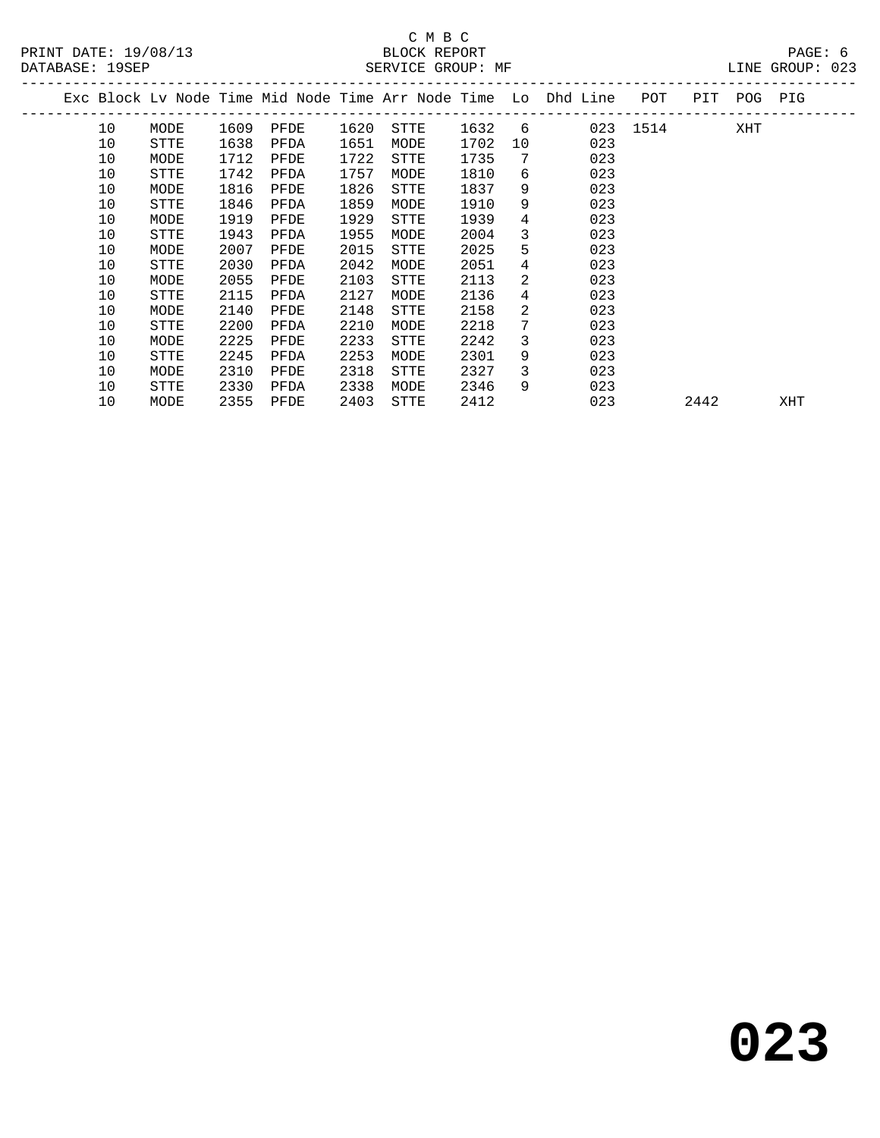|    |      |      |      |      |             |      |    | Exc Block Ly Node Time Mid Node Time Arr Node Time Lo Dhd Line | POT  | PIT  | POG PIG |     |  |
|----|------|------|------|------|-------------|------|----|----------------------------------------------------------------|------|------|---------|-----|--|
| 10 | MODE | 1609 | PFDE | 1620 | STTE        | 1632 | 6  | 023                                                            | 1514 |      | XHT     |     |  |
| 10 | STTE | 1638 | PFDA | 1651 | MODE        | 1702 | 10 | 023                                                            |      |      |         |     |  |
| 10 | MODE | 1712 | PFDE | 1722 | STTE        | 1735 | 7  | 023                                                            |      |      |         |     |  |
| 10 | STTE | 1742 | PFDA | 1757 | MODE        | 1810 | 6  | 023                                                            |      |      |         |     |  |
| 10 | MODE | 1816 | PFDE | 1826 | <b>STTE</b> | 1837 | 9  | 023                                                            |      |      |         |     |  |
| 10 | STTE | 1846 | PFDA | 1859 | MODE        | 1910 | 9  | 023                                                            |      |      |         |     |  |
| 10 | MODE | 1919 | PFDE | 1929 | STTE        | 1939 | 4  | 023                                                            |      |      |         |     |  |
| 10 | STTE | 1943 | PFDA | 1955 | MODE        | 2004 | 3  | 023                                                            |      |      |         |     |  |
| 10 | MODE | 2007 | PFDE | 2015 | <b>STTE</b> | 2025 | 5  | 023                                                            |      |      |         |     |  |
| 10 | STTE | 2030 | PFDA | 2042 | MODE        | 2051 | 4  | 023                                                            |      |      |         |     |  |
| 10 | MODE | 2055 | PFDE | 2103 | STTE        | 2113 | 2  | 023                                                            |      |      |         |     |  |
| 10 | STTE | 2115 | PFDA | 2127 | MODE        | 2136 | 4  | 023                                                            |      |      |         |     |  |
| 10 | MODE | 2140 | PFDE | 2148 | <b>STTE</b> | 2158 | 2  | 023                                                            |      |      |         |     |  |
| 10 | STTE | 2200 | PFDA | 2210 | MODE        | 2218 | 7  | 023                                                            |      |      |         |     |  |
| 10 | MODE | 2225 | PFDE | 2233 | <b>STTE</b> | 2242 | 3  | 023                                                            |      |      |         |     |  |
| 10 | STTE | 2245 | PFDA | 2253 | MODE        | 2301 | 9  | 023                                                            |      |      |         |     |  |
| 10 | MODE | 2310 | PFDE | 2318 | <b>STTE</b> | 2327 | 3  | 023                                                            |      |      |         |     |  |
| 10 | STTE | 2330 | PFDA | 2338 | MODE        | 2346 | 9  | 023                                                            |      |      |         |     |  |
| 10 | MODE | 2355 | PFDE | 2403 | STTE        | 2412 |    | 023                                                            |      | 2442 |         | XHT |  |
|    |      |      |      |      |             |      |    |                                                                |      |      |         |     |  |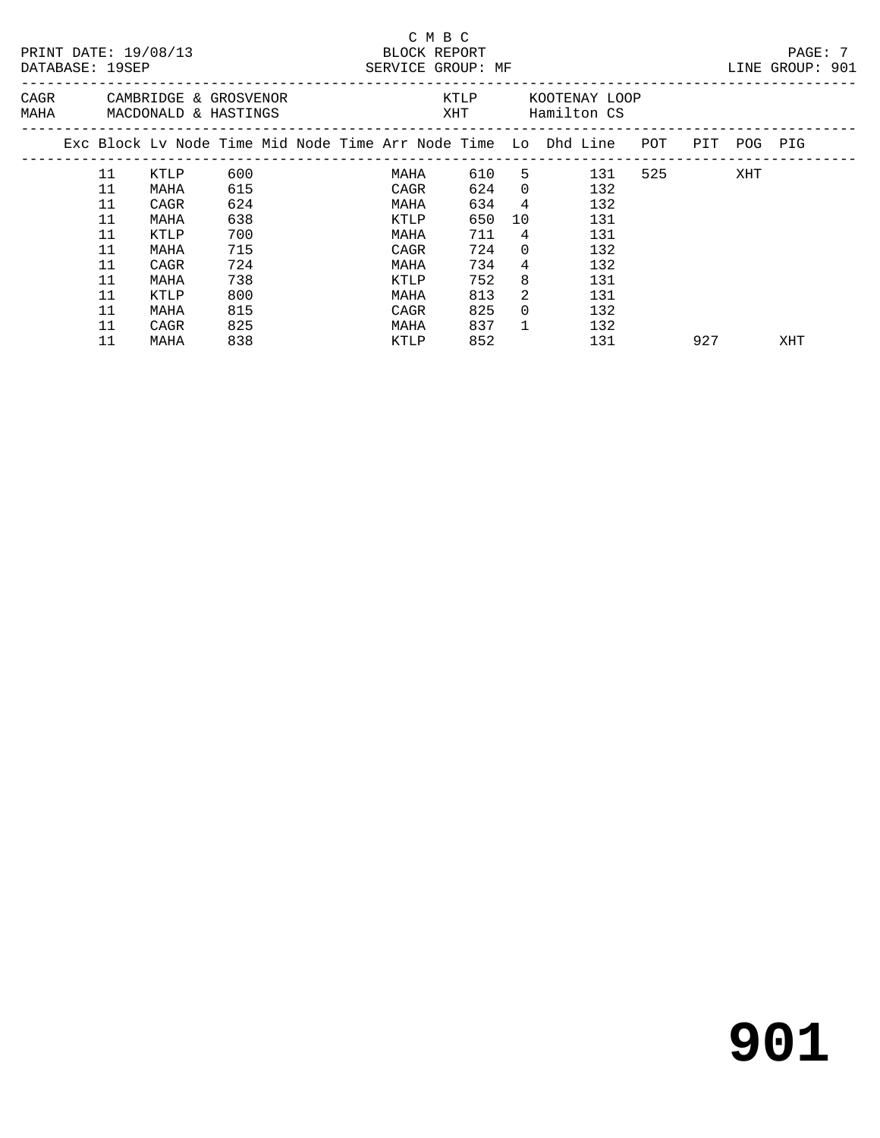|  | PRINT DATE: 19/08/13<br>DATABASE: 19SEP |                                                                                |     |  | BLOCK REPORT<br>SERVICE GROUP: MF | C M B C |     |                 |                 |                    |           |     | PAGE: 7<br>LINE GROUP: 901 |  |
|--|-----------------------------------------|--------------------------------------------------------------------------------|-----|--|-----------------------------------|---------|-----|-----------------|-----------------|--------------------|-----------|-----|----------------------------|--|
|  |                                         | CAGR CAMBRIDGE & GROSVENOR<br>MAHA MACDONALD & HASTINGS                        |     |  |                                   |         |     |                 |                 | KTLP KOOTENAY LOOP |           |     |                            |  |
|  |                                         | Exc Block Lv Node Time Mid Node Time Arr Node Time Lo Dhd Line POT PIT POG PIG |     |  |                                   |         |     |                 |                 |                    |           |     |                            |  |
|  | 11                                      | KTLP                                                                           | 600 |  | MAHA                              |         |     |                 |                 | 610 5 131          | 525 — 100 | XHT |                            |  |
|  | 11                                      | MAHA                                                                           | 615 |  | CAGR                              |         |     |                 | 624 0           | 132                |           |     |                            |  |
|  | 11                                      | CAGR                                                                           | 624 |  | MAHA                              |         | 634 |                 | $4\overline{ }$ | 132                |           |     |                            |  |
|  | 11                                      | MAHA                                                                           | 638 |  | KTLP                              |         | 650 | 10 <sup>°</sup> |                 | 131                |           |     |                            |  |
|  | 11                                      | KTLP                                                                           | 700 |  | MAHA                              |         | 711 | 4               |                 | 131                |           |     |                            |  |
|  | 11                                      | MAHA                                                                           | 715 |  | CAGR                              |         | 724 | $\Omega$        |                 | 132                |           |     |                            |  |
|  | 11                                      | CAGR                                                                           | 724 |  | MAHA                              |         | 734 | $\overline{4}$  |                 | 132                |           |     |                            |  |
|  | 11                                      | MAHA                                                                           | 738 |  | KTLP                              |         | 752 | 8               |                 | 131                |           |     |                            |  |
|  | 11                                      | KTLP                                                                           | 800 |  | MAHA                              |         | 813 | $\mathcal{L}$   |                 | 131                |           |     |                            |  |
|  | 11                                      | MAHA                                                                           | 815 |  | CAGR                              |         | 825 | $\Omega$        |                 | 132                |           |     |                            |  |
|  | 11                                      | CAGR                                                                           | 825 |  | MAHA                              |         | 837 | $\mathbf{1}$    |                 | 132                |           |     |                            |  |
|  | 11                                      | MAHA                                                                           | 838 |  | KTLP                              |         | 852 |                 |                 | 131                | 927       |     | XHT                        |  |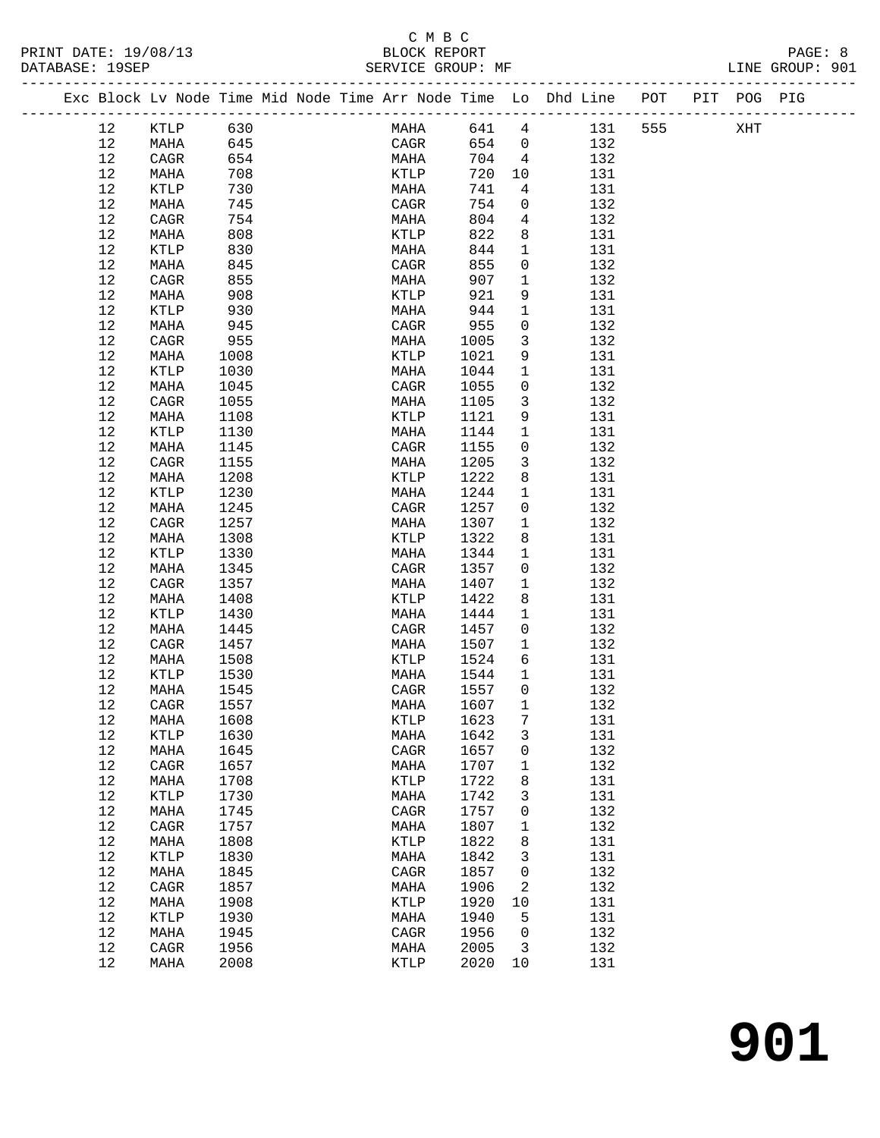## C M B C<br>BLOCK REPORT

|                   |      |          |  | PRINT DATE: 19/08/13 BLOCK REPORT<br>DATABASE: 19SEP SERVICE GROUP: MF |        |                | MF LINE GROUP: 901                                                             |        |     | PAGE: 8 |  |
|-------------------|------|----------|--|------------------------------------------------------------------------|--------|----------------|--------------------------------------------------------------------------------|--------|-----|---------|--|
|                   |      |          |  |                                                                        |        |                | Exc Block Lv Node Time Mid Node Time Arr Node Time Lo Dhd Line POT PIT POG PIG |        |     |         |  |
| 12                |      | KTLP 630 |  | <b>MAHA</b>                                                            |        |                | 641 4 131                                                                      | 555 75 | XHT |         |  |
| 12                | MAHA | 645      |  |                                                                        |        |                | CAGR 654 0 132                                                                 |        |     |         |  |
| 12                | CAGR | 654      |  | MAHA 704 4                                                             |        |                | 132                                                                            |        |     |         |  |
| 12                | MAHA | 708      |  | <b>KTLP</b>                                                            | 720 10 |                | 131                                                                            |        |     |         |  |
| 12                | KTLP | 730      |  | MAHA                                                                   | 741 4  |                | 131                                                                            |        |     |         |  |
| 12                | MAHA | 745      |  | CAGR                                                                   | 754    | $\overline{0}$ | 132                                                                            |        |     |         |  |
| 12                | CAGR | 754      |  | MAHA                                                                   | 804    | $\overline{4}$ | 132                                                                            |        |     |         |  |
| 12                | MAHA | 808      |  | KTLP                                                                   | 822    | 8              | 131                                                                            |        |     |         |  |
| 12                | KTLP | 830      |  | MAHA                                                                   | 844    | $\mathbf{1}$   | 131                                                                            |        |     |         |  |
| 12                | MAHA | 845      |  | CAGR                                                                   | 855    | $\overline{0}$ | 132                                                                            |        |     |         |  |
| 12                | CAGR | 855      |  | MAHA                                                                   | 907    | 1              | 132                                                                            |        |     |         |  |
| 12                | MAHA | 908      |  | <b>KTLP</b>                                                            | 921    | 9              | 131                                                                            |        |     |         |  |
| 12                | KTLP | 930      |  | MAHA                                                                   | 944    | $\mathbf{1}$   | 131                                                                            |        |     |         |  |
| 12                | MAHA | 945      |  | CAGR                                                                   | 955    | $\mathbf 0$    | 132                                                                            |        |     |         |  |
| 12                | CAGR | 955      |  | MAHA                                                                   | 1005   | $\overline{3}$ | 132                                                                            |        |     |         |  |
| 12                | MAHA | 1008     |  | KTLP                                                                   | 1021   |                | $9 \left( \frac{1}{2} \right)$<br>131                                          |        |     |         |  |
| 12                | KTLP | 1030     |  | MAHA                                                                   | 1044   | $\mathbf{1}$   | 131                                                                            |        |     |         |  |
| 12                | MAHA | 1045     |  | CAGR                                                                   | 1055   | $\overline{0}$ | 132                                                                            |        |     |         |  |
| $12 \overline{ }$ | CAGR | 1055     |  | MAHA                                                                   | 1105   | $\overline{3}$ | 132                                                                            |        |     |         |  |
| 12                | MAHA | 1108     |  | KTLP                                                                   | 1121   | 9              | 131                                                                            |        |     |         |  |
| 12                | KTLP | 1130     |  | MAHA                                                                   | 1144   | $\mathbf{1}$   | 131                                                                            |        |     |         |  |
| 12                | MAHA | 1145     |  | CAGR                                                                   | 1155   | $\mathbf 0$    | 132                                                                            |        |     |         |  |
| 12                | CAGR | 1155     |  | MAHA                                                                   | 1205   | 3              | 132                                                                            |        |     |         |  |
| 12                | MAHA | 1208     |  | KTLP                                                                   | 1222   | 8              | 131                                                                            |        |     |         |  |
| 12                | KTLP | 1230     |  | MAHA                                                                   | 1244   | $\mathbf 1$    | 131                                                                            |        |     |         |  |
| 12                | MAHA | 1245     |  | CAGR                                                                   | 1257   | $\overline{0}$ | 132                                                                            |        |     |         |  |
| 12                | CAGR | 1257     |  | MAHA                                                                   | 1307   | $\mathbf{1}$   | 132                                                                            |        |     |         |  |
| 12                | MAHA | 1308     |  | KTLP                                                                   | 1322   | 8              | 131                                                                            |        |     |         |  |
| 12                | KTLP | 1330     |  | MAHA                                                                   | 1344   | $\mathbf{1}$   | 131                                                                            |        |     |         |  |
| 12                | MAHA | 1345     |  | CAGR                                                                   | 1357   | $\Omega$       | 132                                                                            |        |     |         |  |

| ⊥∠ | <b>CAGK</b> | 145 I | MAHA | 150 L | ᅩ              | ⊥ کد |
|----|-------------|-------|------|-------|----------------|------|
| 12 | MAHA        | 1308  | KTLP | 1322  | 8              | 131  |
| 12 | KTLP        | 1330  | MAHA | 1344  | 1              | 131  |
| 12 | MAHA        | 1345  | CAGR | 1357  | $\mathbf 0$    | 132  |
| 12 | CAGR        | 1357  | MAHA | 1407  | 1              | 132  |
| 12 | MAHA        | 1408  | KTLP | 1422  | 8              | 131  |
| 12 | KTLP        | 1430  | MAHA | 1444  | 1              | 131  |
| 12 | MAHA        | 1445  | CAGR | 1457  | 0              | 132  |
| 12 | CAGR        | 1457  | MAHA | 1507  | 1              | 132  |
| 12 | MAHA        | 1508  | KTLP | 1524  | 6              | 131  |
| 12 | KTLP        | 1530  | MAHA | 1544  | 1              | 131  |
| 12 | MAHA        | 1545  | CAGR | 1557  | 0              | 132  |
| 12 | CAGR        | 1557  | MAHA | 1607  | $\mathbf{1}$   | 132  |
| 12 | MAHA        | 1608  | KTLP | 1623  | 7              | 131  |
| 12 | KTLP        | 1630  | MAHA | 1642  | 3              | 131  |
| 12 | MAHA        | 1645  | CAGR | 1657  | $\mathbf 0$    | 132  |
| 12 | CAGR        | 1657  | MAHA | 1707  | 1              | 132  |
| 12 | MAHA        | 1708  | KTLP | 1722  | 8              | 131  |
| 12 | KTLP        | 1730  | MAHA | 1742  | 3              | 131  |
| 12 | MAHA        | 1745  | CAGR | 1757  | $\mathbf 0$    | 132  |
| 12 | CAGR        | 1757  | MAHA | 1807  | 1              | 132  |
| 12 | MAHA        | 1808  | KTLP | 1822  | 8              | 131  |
| 12 | KTLP        | 1830  | MAHA | 1842  | $\overline{3}$ | 131  |
| 12 | MAHA        | 1845  | CAGR | 1857  | $\mathbf 0$    | 132  |
| 12 | CAGR        | 1857  | MAHA | 1906  | 2              | 132  |
| 12 | MAHA        | 1908  | KTLP | 1920  | 10             | 131  |
| 12 | KTLP        | 1930  | MAHA | 1940  | 5              | 131  |
| 12 | MAHA        | 1945  | CAGR | 1956  | $\mathbf 0$    | 132  |
| 12 | CAGR        | 1956  | MAHA | 2005  | 3              | 132  |
| 12 | MAHA        | 2008  | KTLP | 2020  | 10             | 131  |
|    |             |       |      |       |                |      |
|    |             |       |      |       |                |      |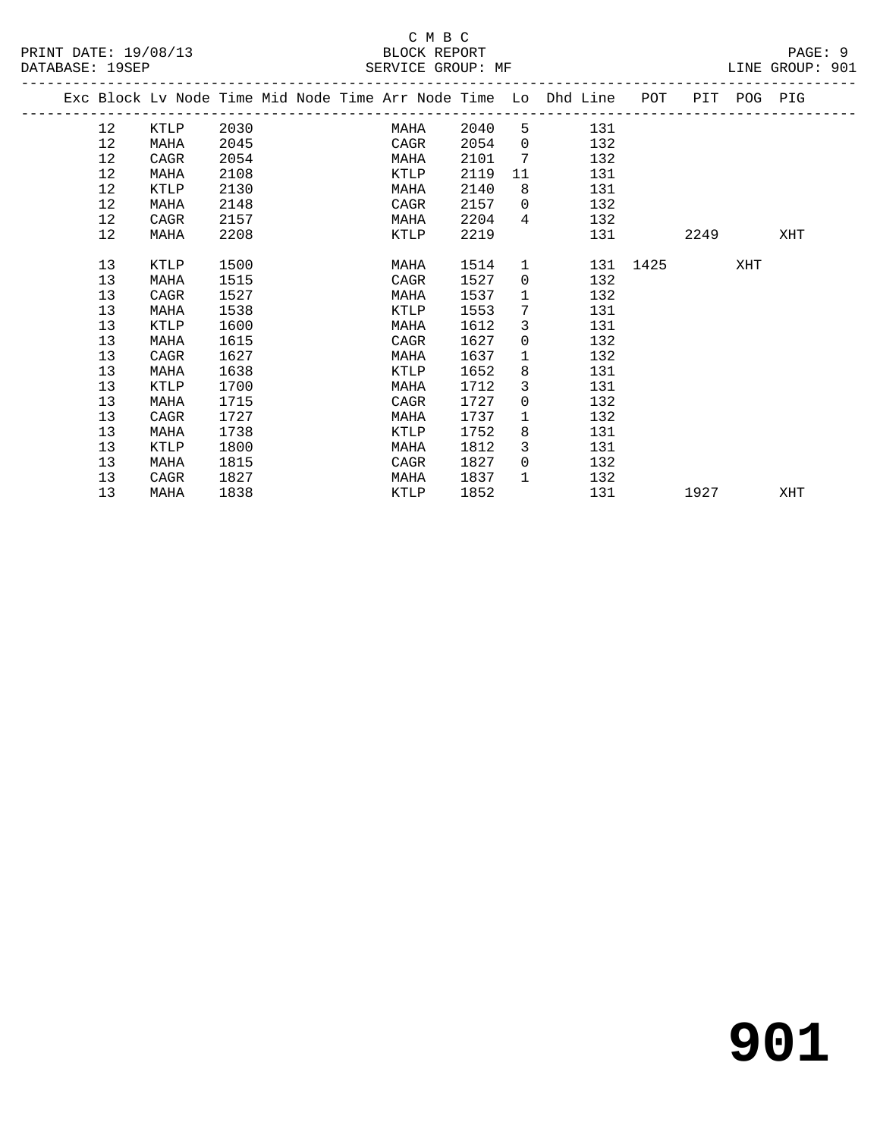## C M B C<br>BLOCK REPORT

LINE GROUP: 901

**901**

|  |    |      |      |  |      |      |                | Exc Block Lv Node Time Mid Node Time Arr Node Time Lo Dhd Line POT PIT POG PIG |          |      |     |     |
|--|----|------|------|--|------|------|----------------|--------------------------------------------------------------------------------|----------|------|-----|-----|
|  | 12 | KTLP | 2030 |  | MAHA | 2040 |                | $5^{\circ}$<br>131                                                             |          |      |     |     |
|  | 12 | MAHA | 2045 |  | CAGR | 2054 | $\overline{0}$ | 132                                                                            |          |      |     |     |
|  | 12 | CAGR | 2054 |  | MAHA | 2101 | 7              | 132                                                                            |          |      |     |     |
|  | 12 | MAHA | 2108 |  | KTLP | 2119 | 11             | 131                                                                            |          |      |     |     |
|  | 12 | KTLP | 2130 |  | MAHA | 2140 | 8              | 131                                                                            |          |      |     |     |
|  | 12 | MAHA | 2148 |  | CAGR | 2157 | $\Omega$       | 132                                                                            |          |      |     |     |
|  | 12 | CAGR | 2157 |  | MAHA | 2204 | $4 \quad$      | 132                                                                            |          |      |     |     |
|  | 12 | MAHA | 2208 |  | KTLP | 2219 |                | 131                                                                            |          | 2249 |     | XHT |
|  |    |      |      |  |      |      |                |                                                                                |          |      |     |     |
|  | 13 | KTLP | 1500 |  | MAHA | 1514 | $\mathbf{1}$   |                                                                                | 131 1425 |      | XHT |     |
|  | 13 | MAHA | 1515 |  | CAGR | 1527 | $\mathbf 0$    | 132                                                                            |          |      |     |     |
|  | 13 | CAGR | 1527 |  | MAHA | 1537 | 1              | 132                                                                            |          |      |     |     |
|  | 13 | MAHA | 1538 |  | KTLP | 1553 | 7              | 131                                                                            |          |      |     |     |
|  | 13 | KTLP | 1600 |  | MAHA | 1612 | 3              | 131                                                                            |          |      |     |     |
|  | 13 | MAHA | 1615 |  | CAGR | 1627 | $\mathsf{O}$   | 132                                                                            |          |      |     |     |
|  | 13 | CAGR | 1627 |  | MAHA | 1637 | $\mathbf{1}$   | 132                                                                            |          |      |     |     |
|  | 13 | MAHA | 1638 |  | KTLP | 1652 | 8              | 131                                                                            |          |      |     |     |
|  | 13 | KTLP | 1700 |  | MAHA | 1712 | 3              | 131                                                                            |          |      |     |     |
|  | 13 | MAHA | 1715 |  | CAGR | 1727 | $\overline{0}$ | 132                                                                            |          |      |     |     |
|  | 13 | CAGR | 1727 |  | MAHA | 1737 | 1              | 132                                                                            |          |      |     |     |
|  | 13 | MAHA | 1738 |  | KTLP | 1752 | 8              | 131                                                                            |          |      |     |     |
|  | 13 | KTLP | 1800 |  | MAHA | 1812 | 3              | 131                                                                            |          |      |     |     |
|  | 13 | MAHA | 1815 |  | CAGR | 1827 | $\mathbf 0$    | 132                                                                            |          |      |     |     |
|  | 13 | CAGR | 1827 |  | MAHA | 1837 | $\mathbf{1}$   | 132                                                                            |          |      |     |     |
|  | 13 | MAHA | 1838 |  | KTLP | 1852 |                | 131                                                                            |          | 1927 |     | XHT |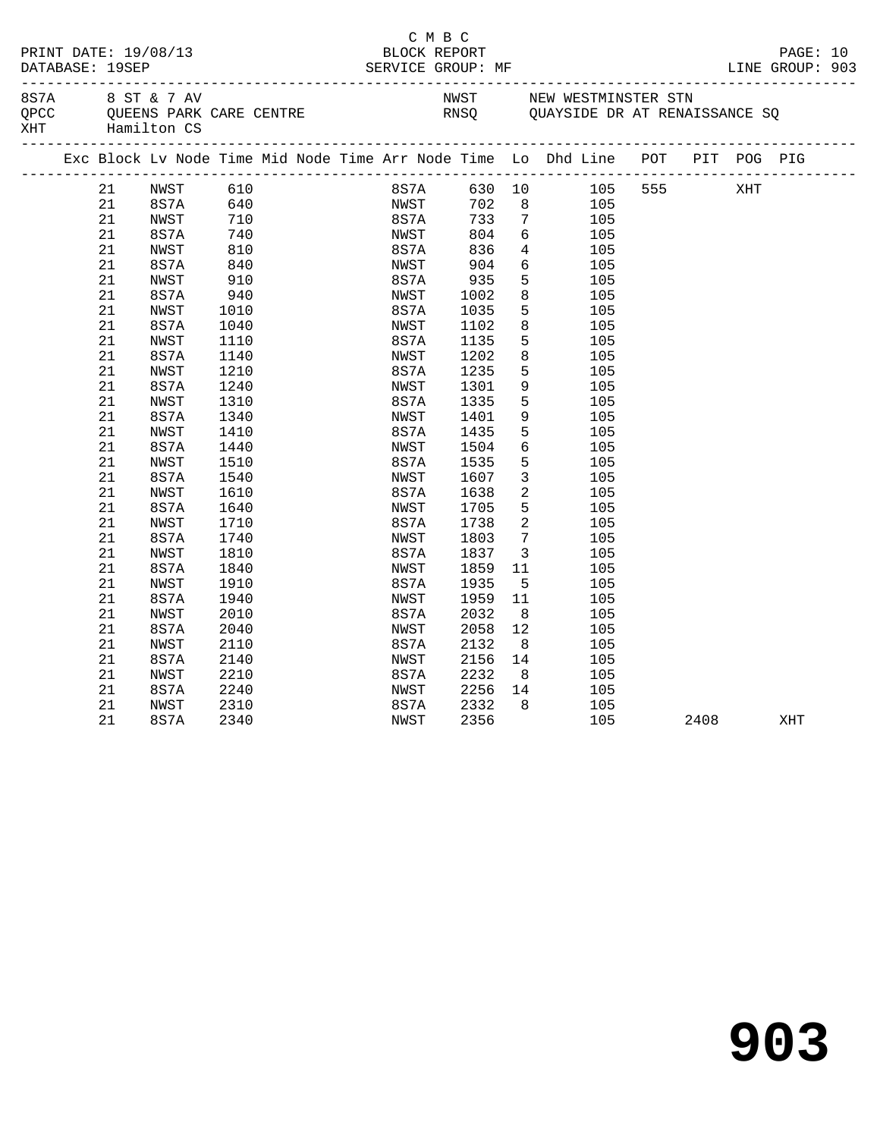|                                         |                |                      |                         |                      | C M B C                                             |                                            |                                                                                                            |      |                             |  |
|-----------------------------------------|----------------|----------------------|-------------------------|----------------------|-----------------------------------------------------|--------------------------------------------|------------------------------------------------------------------------------------------------------------|------|-----------------------------|--|
| PRINT DATE: 19/08/13<br>DATABASE: 19SEP |                |                      |                         | BLOCK REPORT         | SERVICE GROUP: MF                                   |                                            |                                                                                                            |      | PAGE: 10<br>LINE GROUP: 903 |  |
| 8S7A<br>QPCC<br>XHT Hamilton CS         |                | 8 ST & 7 AV          | QUEENS PARK CARE CENTRE |                      |                                                     |                                            | NWST NEW WESTMINSTER STN<br>NWST         NEW WESTMINSTER STN<br>RNSQ         QUAYSIDE DR AT RENAISSANCE SQ |      |                             |  |
|                                         |                |                      |                         |                      |                                                     |                                            | Exc Block Lv Node Time Mid Node Time Arr Node Time Lo Dhd Line POT PIT POG PIG                             |      |                             |  |
|                                         | 21<br>21       | NWST<br>8S7A 640     | 610                     |                      |                                                     |                                            | 8S7A 630 10 105 555 XHT<br>NWST 702 8 105                                                                  |      |                             |  |
|                                         | 21<br>21       | NWST<br>8S7A         | 710<br>740<br>810       |                      | <sup>INW</sup> ~~<br>8S7A 733<br>™™9T 804<br>836    | $7\overline{ }$<br>6                       | 105<br>105<br>$4\overline{ }$                                                                              |      |                             |  |
|                                         | 21<br>21<br>21 | NWST<br>8S7A<br>NWST | 840<br>910              | 8S7A<br>NWST<br>8S7A | $\begin{array}{c} >\\ 2\\ 935\\ \hline \end{array}$ | $6\overline{6}$<br>5 <sup>5</sup>          | 105<br>105<br>105                                                                                          |      |                             |  |
|                                         | 21<br>21       | 8S7A<br>NWST         | 940<br>1010             | NWST<br>8S7A         | 1002<br>1035                                        | 8<br>5                                     | 105<br>105                                                                                                 |      |                             |  |
|                                         | 21<br>21       | 8S7A<br>NWST         | 1040<br>1110            | NWST<br>8S7A         | 1102<br>1135                                        | 8<br>5                                     | 105<br>105                                                                                                 |      |                             |  |
|                                         | 21<br>21<br>21 | 8S7A<br>NWST<br>8S7A | 1140<br>1210<br>1240    | NWST<br>8S7A<br>NWST | 1202<br>1235<br>1301                                | 8<br>5<br>9                                | 105<br>105<br>105                                                                                          |      |                             |  |
|                                         | 21<br>21       | NWST<br>8S7A         | 1310<br>1340            | 8S7A<br>NWST         | 1335<br>1401                                        | 5<br>9                                     | 105<br>105                                                                                                 |      |                             |  |
|                                         | 21<br>21       | NWST<br>8S7A         | 1410<br>1440            | 8S7A<br>NWST         | 1435<br>1504                                        | 5<br>6                                     | 105<br>105                                                                                                 |      |                             |  |
|                                         | 21<br>21<br>21 | NWST<br>8S7A<br>NWST | 1510<br>1540<br>1610    | 8S7A<br>NWST<br>8S7A | 1535<br>1607<br>1638                                | 5<br>$\mathbf{3}$<br>$\overline{a}$        | 105<br>105<br>105                                                                                          |      |                             |  |
|                                         | 21<br>21       | 8S7A<br>NWST         | 1640<br>1710            | NWST<br>8S7A         | 1705<br>1738                                        | 5<br>$\overline{2}$                        | 105<br>105                                                                                                 |      |                             |  |
|                                         | 21<br>21       | 8S7A<br>NWST         | 1740<br>1810            | NWST<br>8S7A         | 1803<br>1837                                        | $7\overline{ }$<br>$\overline{\mathbf{3}}$ | 105<br>105                                                                                                 |      |                             |  |
|                                         | 21<br>21       | 8S7A<br>NWST         | 1840<br>1910            | NWST<br>8S7A         | 1859<br>1935                                        | 11<br>5 <sup>5</sup>                       | 105<br>105                                                                                                 |      |                             |  |
|                                         | 21<br>21<br>21 | 8S7A<br>NWST<br>8S7A | 1940<br>2010<br>2040    | NWST<br>8S7A<br>NWST | 1959<br>2032<br>2058                                | 11<br>8 <sup>8</sup><br>12                 | 105<br>105<br>105                                                                                          |      |                             |  |
|                                         | 21<br>21       | NWST<br>8S7A         | 2110<br>2140            | 8S7A<br>NWST         | 2132<br>2156                                        | 8 <sup>1</sup><br>14                       | 105<br>105                                                                                                 |      |                             |  |
|                                         | 21<br>21       | NWST<br>8S7A         | 2210<br>2240            | 8S7A<br>NWST         | 2232<br>2256 14                                     | 8 <sup>1</sup>                             | 105<br>105                                                                                                 |      |                             |  |
|                                         | 21<br>21       | NWST<br>8S7A         | 2310<br>2340            | 8S7A<br>NWST         | 2332<br>2356                                        | 8                                          | 105<br>105                                                                                                 | 2408 | XHT                         |  |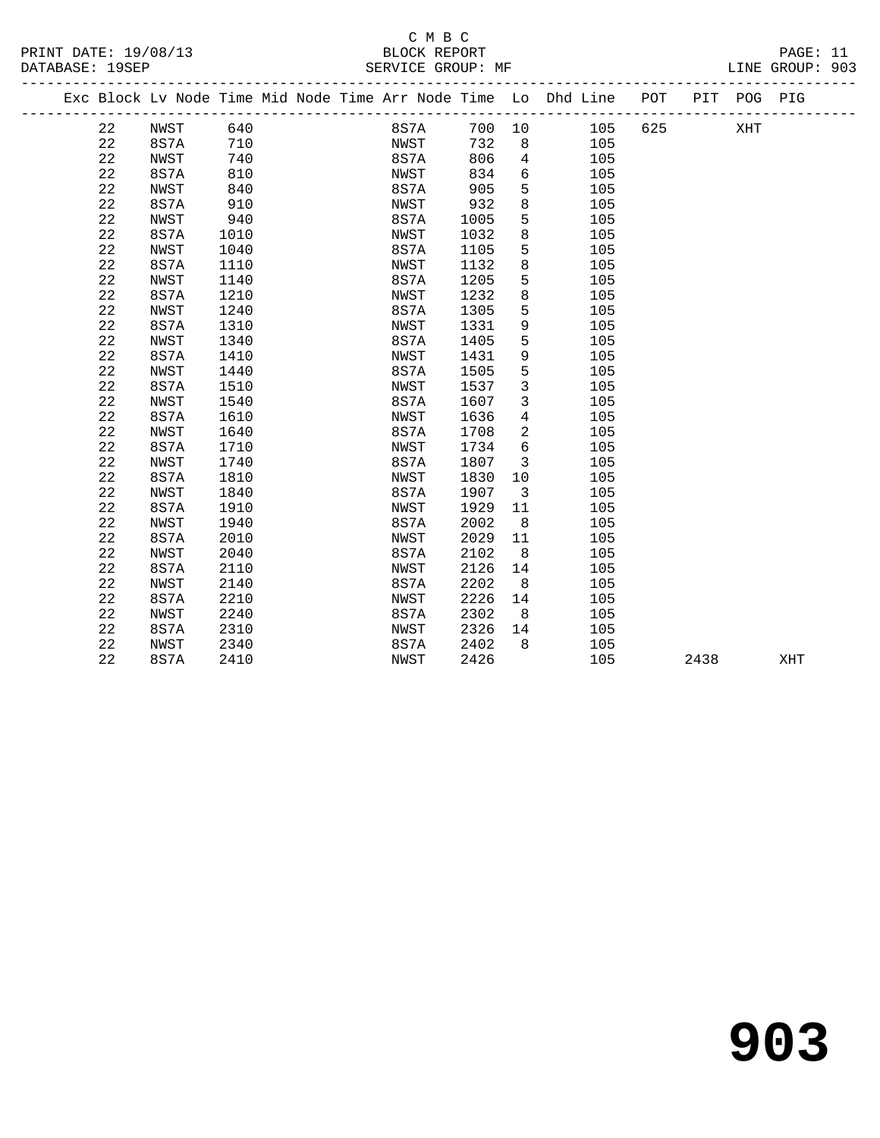## C M B C

| PRINT DATE: 19/08/13<br>DATABASE: 19SEP |    |      |     |  | BLOCK REPORT<br>SERVICE GROUP: MF |      |     |                                                                |     |     |     | PAGE: 11<br>LINE GROUP: 903 |  |
|-----------------------------------------|----|------|-----|--|-----------------------------------|------|-----|----------------------------------------------------------------|-----|-----|-----|-----------------------------|--|
|                                         |    |      |     |  |                                   |      |     | Exc Block Lv Node Time Mid Node Time Arr Node Time Lo Dhd Line | POT | PTT | POG | PIG                         |  |
|                                         | 22 | NWST | 640 |  | 8S7A                              | 700  | 10  | 105                                                            | 625 |     | XHT |                             |  |
|                                         | 22 | 8S7A | 710 |  | NWST                              | 732  | - 8 | 105                                                            |     |     |     |                             |  |
|                                         | 22 | NWST | 740 |  | 8S7A                              | 806  | 4   | 105                                                            |     |     |     |                             |  |
|                                         | 22 | 8S7A | 810 |  | NWST                              | 834  | 6   | 105                                                            |     |     |     |                             |  |
|                                         | 22 | NWST | 840 |  | 8S7A                              | 905  | 5   | 105                                                            |     |     |     |                             |  |
|                                         | 22 | 8S7A | 910 |  | NWST                              | 932  | 8   | 105                                                            |     |     |     |                             |  |
|                                         | 22 | NWST | 940 |  | 8S7A                              | 1005 |     | 105                                                            |     |     |     |                             |  |

| 22 | 8S7A | 1010 | NWST        | 1032 | 8              | 105 |      |     |  |
|----|------|------|-------------|------|----------------|-----|------|-----|--|
| 22 | NWST | 1040 | 8S7A        | 1105 | 5              | 105 |      |     |  |
| 22 | 8S7A | 1110 | NWST        | 1132 | 8              | 105 |      |     |  |
| 22 | NWST | 1140 | 8S7A        | 1205 | 5              | 105 |      |     |  |
| 22 | 8S7A | 1210 | NWST        | 1232 | 8              | 105 |      |     |  |
| 22 | NWST | 1240 | 8S7A        | 1305 | 5              | 105 |      |     |  |
| 22 | 8S7A | 1310 | <b>NWST</b> | 1331 | 9              | 105 |      |     |  |
| 22 | NWST | 1340 | 8S7A        | 1405 | 5              | 105 |      |     |  |
| 22 | 8S7A | 1410 | NWST        | 1431 | 9              | 105 |      |     |  |
| 22 | NWST | 1440 | 8S7A        | 1505 | 5              | 105 |      |     |  |
| 22 | 8S7A | 1510 | NWST        | 1537 | 3              | 105 |      |     |  |
| 22 | NWST | 1540 | 8S7A        | 1607 | 3              | 105 |      |     |  |
| 22 | 8S7A | 1610 | NWST        | 1636 | 4              | 105 |      |     |  |
| 22 | NWST | 1640 | 8S7A        | 1708 | $\overline{a}$ | 105 |      |     |  |
| 22 | 8S7A | 1710 | NWST        | 1734 | 6              | 105 |      |     |  |
| 22 | NWST | 1740 | 8S7A        | 1807 | 3              | 105 |      |     |  |
| 22 | 8S7A | 1810 | NWST        | 1830 | 10             | 105 |      |     |  |
| 22 | NWST | 1840 | 8S7A        | 1907 | 3              | 105 |      |     |  |
| 22 | 8S7A | 1910 | NWST        | 1929 | 11             | 105 |      |     |  |
| 22 | NWST | 1940 | 8S7A        | 2002 | 8              | 105 |      |     |  |
| 22 | 8S7A | 2010 | NWST        | 2029 | 11             | 105 |      |     |  |
| 22 | NWST | 2040 | 8S7A        | 2102 | 8              | 105 |      |     |  |
| 22 | 8S7A | 2110 | NWST        | 2126 | 14             | 105 |      |     |  |
| 22 | NWST | 2140 | 8S7A        | 2202 | 8              | 105 |      |     |  |
| 22 | 8S7A | 2210 | NWST        | 2226 | 14             | 105 |      |     |  |
| 22 | NWST | 2240 | 8S7A        | 2302 | 8              | 105 |      |     |  |
| 22 | 8S7A | 2310 | NWST        | 2326 | 14             | 105 |      |     |  |
| 22 | NWST | 2340 | 8S7A        | 2402 | 8              | 105 |      |     |  |
| 22 | 8S7A | 2410 | NWST        | 2426 |                | 105 | 2438 | XHT |  |

**903**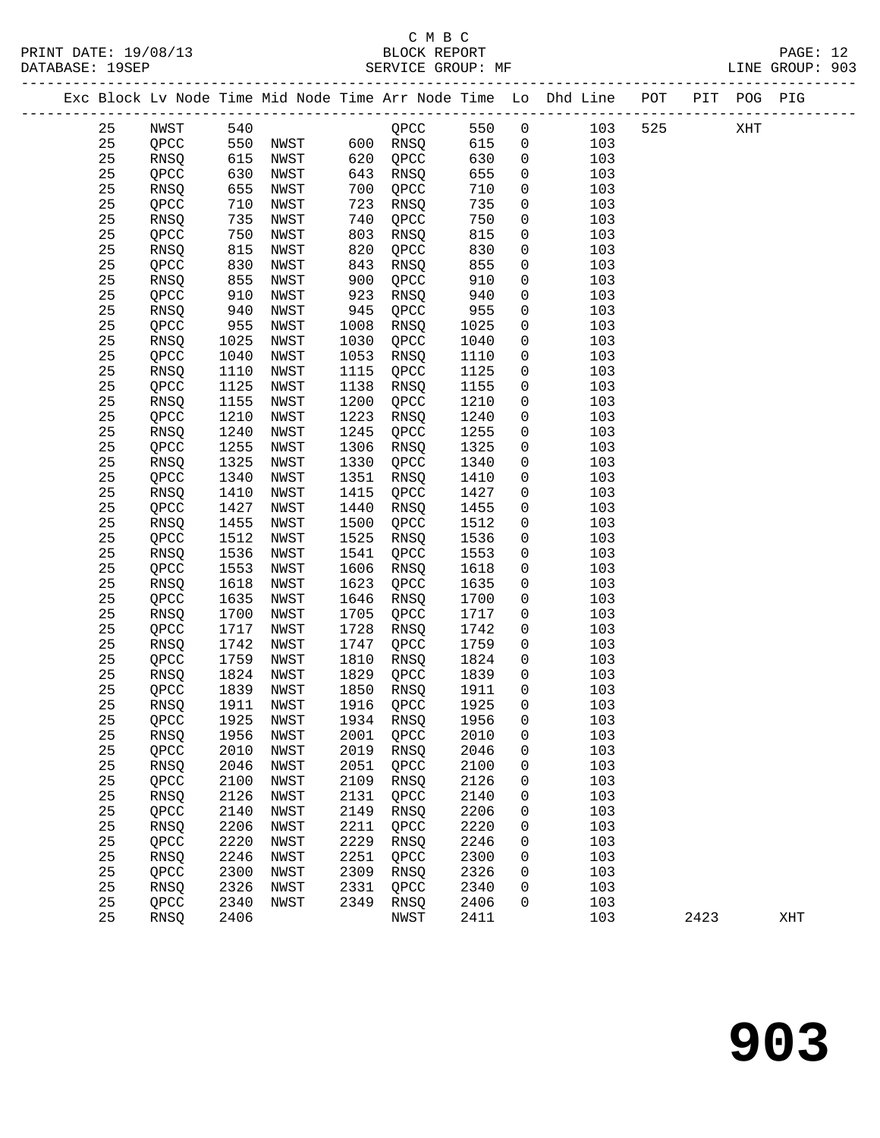|    |                 |      |          |      |                |      |                | Exc Block Lv Node Time Mid Node Time Arr Node Time Lo Dhd Line POT PIT POG PIG |     |      |     |     |
|----|-----------------|------|----------|------|----------------|------|----------------|--------------------------------------------------------------------------------|-----|------|-----|-----|
| 25 | NWST            | 540  |          |      | QPCC           | 550  | $\overline{0}$ | 103                                                                            | 525 |      | XHT |     |
| 25 | QPCC            |      | 550 NWST |      | 600 RNSQ       | 615  | $\overline{0}$ | 103                                                                            |     |      |     |     |
| 25 | RNSQ            | 615  | NWST     | 620  | QPCC           | 630  | $\mathbf 0$    | 103                                                                            |     |      |     |     |
| 25 | QPCC            | 630  | NWST     | 643  | RNSQ           | 655  | $\mathbf 0$    | 103                                                                            |     |      |     |     |
| 25 | RNSQ            | 655  | NWST     | 700  | QPCC           | 710  | $\mathsf{O}$   | 103                                                                            |     |      |     |     |
| 25 | QPCC            | 710  | NWST     | 723  | RNSQ           | 735  | $\mathsf{O}$   | 103                                                                            |     |      |     |     |
| 25 |                 | 735  |          | 740  |                | 750  |                | 103                                                                            |     |      |     |     |
|    | RNSQ            |      | NWST     |      | QPCC           |      | 0              |                                                                                |     |      |     |     |
| 25 | QPCC            | 750  | NWST     | 803  | RNSQ           | 815  | 0              | 103                                                                            |     |      |     |     |
| 25 | RNSQ            | 815  | NWST     | 820  | QPCC           | 830  | $\mathbf 0$    | 103                                                                            |     |      |     |     |
| 25 | QPCC            | 830  | NWST     | 843  | RNSQ           | 855  | $\mathbf 0$    | 103                                                                            |     |      |     |     |
| 25 | RNSQ            | 855  | NWST     | 900  | QPCC           | 910  | $\mathbf 0$    | 103                                                                            |     |      |     |     |
| 25 | QPCC            | 910  | NWST     | 923  | RNSQ           | 940  | 0              | 103                                                                            |     |      |     |     |
| 25 | RNSQ            | 940  | NWST     | 945  | QPCC           | 955  | $\mathsf{O}$   | 103                                                                            |     |      |     |     |
| 25 | QPCC            | 955  | NWST     | 1008 | RNSQ           | 1025 | $\mathsf{O}$   | 103                                                                            |     |      |     |     |
| 25 | RNSQ            | 1025 | NWST     | 1030 | QPCC           | 1040 | $\mathbf 0$    | 103                                                                            |     |      |     |     |
| 25 | QPCC            | 1040 | NWST     | 1053 | RNSQ           | 1110 | 0              | 103                                                                            |     |      |     |     |
| 25 | RNSQ            | 1110 | NWST     | 1115 | QPCC           | 1125 | $\mathsf{O}$   | 103                                                                            |     |      |     |     |
| 25 | QPCC            | 1125 | NWST     | 1138 | RNSQ           | 1155 | $\mathsf{O}$   | 103                                                                            |     |      |     |     |
| 25 | RNSQ            | 1155 | NWST     | 1200 | QPCC           | 1210 | $\mathbf 0$    | 103                                                                            |     |      |     |     |
| 25 | QPCC            | 1210 | NWST     | 1223 | RNSQ           | 1240 | 0              | 103                                                                            |     |      |     |     |
| 25 | RNSQ            | 1240 | NWST     | 1245 | QPCC           | 1255 | $\mathbf 0$    | 103                                                                            |     |      |     |     |
| 25 | QPCC            | 1255 | NWST     | 1306 | RNSQ           | 1325 | $\mathsf{O}$   | 103                                                                            |     |      |     |     |
| 25 | RNSQ            | 1325 | NWST     | 1330 | QPCC           | 1340 | $\mathbf 0$    | 103                                                                            |     |      |     |     |
| 25 | QPCC            | 1340 | NWST     | 1351 | RNSQ           | 1410 | 0              | 103                                                                            |     |      |     |     |
| 25 | RNSQ            | 1410 | NWST     | 1415 | QPCC           | 1427 | $\mathsf{O}$   | 103                                                                            |     |      |     |     |
| 25 | QPCC            | 1427 | NWST     | 1440 | RNSQ           | 1455 | $\mathsf{O}$   | 103                                                                            |     |      |     |     |
| 25 | RNSQ            | 1455 | NWST     | 1500 | QPCC           | 1512 | $\mathbf 0$    | 103                                                                            |     |      |     |     |
| 25 | QPCC            | 1512 | NWST     | 1525 | RNSQ           | 1536 | 0              | 103                                                                            |     |      |     |     |
|    |                 |      | NWST     | 1541 |                |      |                |                                                                                |     |      |     |     |
| 25 | RNSQ            | 1536 |          |      | QPCC           | 1553 | 0              | 103                                                                            |     |      |     |     |
| 25 | QPCC            | 1553 | NWST     | 1606 | RNSQ           | 1618 | $\mathsf{O}$   | 103                                                                            |     |      |     |     |
| 25 | RNSQ            | 1618 | NWST     | 1623 | QPCC           | 1635 | $\mathbf 0$    | 103                                                                            |     |      |     |     |
| 25 | QPCC            | 1635 | NWST     | 1646 | RNSQ           | 1700 | 0              | 103                                                                            |     |      |     |     |
| 25 | RNSQ            | 1700 | NWST     | 1705 | QPCC           | 1717 | 0              | 103                                                                            |     |      |     |     |
| 25 | QPCC            | 1717 | NWST     | 1728 | RNSQ           | 1742 | $\mathsf{O}$   | 103                                                                            |     |      |     |     |
| 25 | RNSQ            | 1742 | NWST     | 1747 | QPCC           | 1759 | $\mathbf 0$    | 103                                                                            |     |      |     |     |
| 25 | QPCC            | 1759 | NWST     | 1810 | RNSQ           | 1824 | 0              | 103                                                                            |     |      |     |     |
| 25 | <b>RNSO</b>     | 1824 | NWST     | 1829 | QPCC           | 1839 | $\mathsf{O}$   | 103                                                                            |     |      |     |     |
| 25 | QPCC            | 1839 | NWST     | 1850 | RNSQ           | 1911 | $\overline{0}$ | 103                                                                            |     |      |     |     |
| 25 | <b>RNSQ</b>     | 1911 | NWST     | 1916 | QPCC           | 1925 | $\mathbf 0$    | 103                                                                            |     |      |     |     |
| 25 | $\mathsf{QPCC}$ | 1925 | NWST     |      | 1934 RNSQ 1956 |      | $\overline{0}$ | 103                                                                            |     |      |     |     |
| 25 | RNSQ            | 1956 | NWST     | 2001 | QPCC           | 2010 | 0              | 103                                                                            |     |      |     |     |
| 25 | QPCC            | 2010 | NWST     | 2019 | RNSQ           | 2046 | 0              | 103                                                                            |     |      |     |     |
| 25 | RNSQ            | 2046 | NWST     | 2051 | QPCC           | 2100 | 0              | 103                                                                            |     |      |     |     |
| 25 | QPCC            | 2100 | NWST     | 2109 | RNSQ           | 2126 | 0              | 103                                                                            |     |      |     |     |
| 25 | RNSQ            | 2126 | NWST     | 2131 | QPCC           | 2140 | 0              | 103                                                                            |     |      |     |     |
| 25 | QPCC            | 2140 | NWST     | 2149 | RNSQ           | 2206 | 0              | 103                                                                            |     |      |     |     |
| 25 | <b>RNSQ</b>     | 2206 | NWST     | 2211 | QPCC           | 2220 | 0              | 103                                                                            |     |      |     |     |
| 25 | QPCC            | 2220 | NWST     | 2229 | RNSQ           | 2246 | 0              | 103                                                                            |     |      |     |     |
| 25 | RNSQ            | 2246 | NWST     | 2251 | QPCC           | 2300 | 0              | 103                                                                            |     |      |     |     |
| 25 | QPCC            | 2300 | NWST     | 2309 | RNSQ           | 2326 | 0              | 103                                                                            |     |      |     |     |
| 25 | RNSQ            | 2326 | NWST     | 2331 | QPCC           | 2340 | 0              | 103                                                                            |     |      |     |     |
| 25 | QPCC            | 2340 | NWST     | 2349 | RNSQ           | 2406 | 0              | 103                                                                            |     |      |     |     |
| 25 | RNSQ            | 2406 |          |      | NWST           | 2411 |                | 103                                                                            |     | 2423 |     | XHT |
|    |                 |      |          |      |                |      |                |                                                                                |     |      |     |     |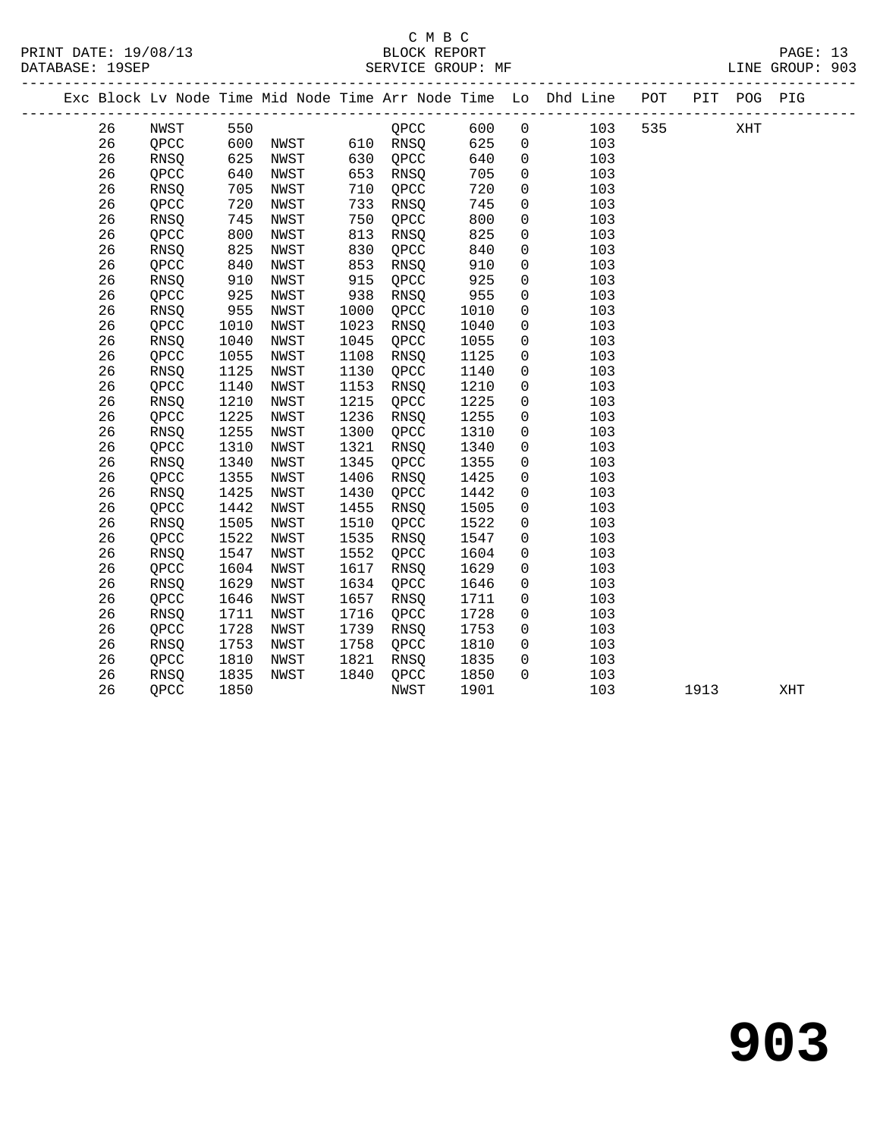| PRINT DATE: 19/08/13 | BLOCK REPORT      | PAGE: 13        |
|----------------------|-------------------|-----------------|
| DATABASE: 19SEP      | SERVICE GROUP: MF | LINE GROUP: 903 |

|  |    |             |            |              |      |          |      |                | Exc Block Lv Node Time Mid Node Time Arr Node Time Lo Dhd Line POT |     |      | PIT POG PIG |     |  |
|--|----|-------------|------------|--------------|------|----------|------|----------------|--------------------------------------------------------------------|-----|------|-------------|-----|--|
|  | 26 | NWST        | 550        |              |      | QPCC     | 600  | $\mathsf{O}$   | 103                                                                | 535 |      | XHT         |     |  |
|  | 26 | QPCC        | 600<br>625 | NWST<br>NWST |      | 610 RNSQ | 625  | $\overline{0}$ | 103                                                                |     |      |             |     |  |
|  | 26 | RNSQ        |            | NWST         | 630  | QPCC     | 640  | $\mathsf{O}$   | 103                                                                |     |      |             |     |  |
|  | 26 | QPCC        | 640        | NWST         | 653  | RNSQ     | 705  | $\mathbf 0$    | 103                                                                |     |      |             |     |  |
|  | 26 | RNSQ        | 705        | NWST         | 710  | QPCC     | 720  | $\mathsf{O}$   | 103                                                                |     |      |             |     |  |
|  | 26 | QPCC        | 720        | NWST         | 733  | RNSQ     | 745  | $\mathbf 0$    | 103                                                                |     |      |             |     |  |
|  | 26 | RNSQ        | 745        | NWST         | 750  | QPCC     | 800  | $\mathsf{O}$   | 103                                                                |     |      |             |     |  |
|  | 26 | QPCC        | 800<br>825 | NWST         | 813  | RNSQ     | 825  | 0              | 103                                                                |     |      |             |     |  |
|  | 26 | RNSQ        |            | NWST         | 830  | QPCC     | 840  | $\mathsf{O}$   | 103                                                                |     |      |             |     |  |
|  | 26 | QPCC        | 840        | NWST         | 853  | RNSQ     | 910  | 0              | 103                                                                |     |      |             |     |  |
|  | 26 | RNSQ        | 910        | NWST         | 915  | QPCC     | 925  | $\mathsf{O}$   | 103                                                                |     |      |             |     |  |
|  | 26 | QPCC        | 925        | NWST         | 938  | RNSQ     | 955  | $\mathsf 0$    | 103                                                                |     |      |             |     |  |
|  | 26 | RNSQ        | 955        | NWST         | 1000 | QPCC     | 1010 | $\mathbf 0$    | 103                                                                |     |      |             |     |  |
|  | 26 | QPCC        | 1010       | NWST         | 1023 | RNSQ     | 1040 | $\mathsf 0$    | 103                                                                |     |      |             |     |  |
|  | 26 | RNSQ        | 1040       | NWST         | 1045 | QPCC     | 1055 | $\mathsf{O}$   | 103                                                                |     |      |             |     |  |
|  | 26 | QPCC        | 1055       | NWST         | 1108 | RNSQ     | 1125 | $\mathsf{O}$   | 103                                                                |     |      |             |     |  |
|  | 26 | RNSQ        | 1125       | NWST         | 1130 | QPCC     | 1140 | $\mathsf{O}$   | 103                                                                |     |      |             |     |  |
|  | 26 | QPCC        | 1140       | NWST         | 1153 | RNSQ     | 1210 | $\mathsf 0$    | 103                                                                |     |      |             |     |  |
|  | 26 | RNSQ        | 1210       | NWST         | 1215 | QPCC     | 1225 | 0              | 103                                                                |     |      |             |     |  |
|  | 26 | QPCC        | 1225       | NWST         | 1236 | RNSQ     | 1255 | $\mathbf 0$    | 103                                                                |     |      |             |     |  |
|  | 26 | RNSQ        | 1255       | NWST         | 1300 | QPCC     | 1310 | $\mathsf{O}$   | 103                                                                |     |      |             |     |  |
|  | 26 | QPCC        | 1310       | NWST         | 1321 | RNSQ     | 1340 | $\mathbf 0$    | 103                                                                |     |      |             |     |  |
|  | 26 | RNSQ        | 1340       | NWST         | 1345 | QPCC     | 1355 | $\mathbf 0$    | 103                                                                |     |      |             |     |  |
|  | 26 | QPCC        | 1355       | NWST         | 1406 | RNSQ     | 1425 | 0              | 103                                                                |     |      |             |     |  |
|  | 26 | RNSQ        | 1425       | NWST         | 1430 | QPCC     | 1442 | 0              | 103                                                                |     |      |             |     |  |
|  | 26 | QPCC        | 1442       | NWST         | 1455 | RNSQ     | 1505 | $\mathbf 0$    | 103                                                                |     |      |             |     |  |
|  | 26 | RNSQ        | 1505       | NWST         | 1510 | QPCC     | 1522 | $\mathbf 0$    | 103                                                                |     |      |             |     |  |
|  | 26 | QPCC        | 1522       | NWST         | 1535 | RNSO     | 1547 | $\mathbf 0$    | 103                                                                |     |      |             |     |  |
|  | 26 | <b>RNSO</b> | 1547       | NWST         | 1552 | QPCC     | 1604 | 0              | 103                                                                |     |      |             |     |  |
|  | 26 | QPCC        | 1604       | NWST         | 1617 | RNSQ     | 1629 | 0              | 103                                                                |     |      |             |     |  |
|  | 26 | RNSQ        | 1629       | NWST         | 1634 | QPCC     | 1646 | 0              | 103                                                                |     |      |             |     |  |
|  | 26 | QPCC        | 1646       | NWST         | 1657 | RNSQ     | 1711 | $\mathsf{O}$   | 103                                                                |     |      |             |     |  |
|  | 26 | RNSQ        | 1711       | NWST         | 1716 | QPCC     | 1728 | $\mathsf{O}$   | 103                                                                |     |      |             |     |  |
|  | 26 | QPCC        | 1728       | NWST         | 1739 | RNSQ     | 1753 | $\overline{0}$ | 103                                                                |     |      |             |     |  |
|  | 26 | RNSQ        | 1753       | NWST         | 1758 | QPCC     | 1810 | $\overline{0}$ | 103                                                                |     |      |             |     |  |
|  | 26 | QPCC        | 1810       | NWST         | 1821 | RNSQ     | 1835 | $\mathsf{O}$   | 103                                                                |     |      |             |     |  |
|  | 26 | RNSQ        | 1835       | NWST         | 1840 | QPCC     | 1850 | $\Omega$       | 103                                                                |     |      |             |     |  |
|  | 26 | QPCC        | 1850       |              |      | NWST     | 1901 |                | 103                                                                |     | 1913 |             | XHT |  |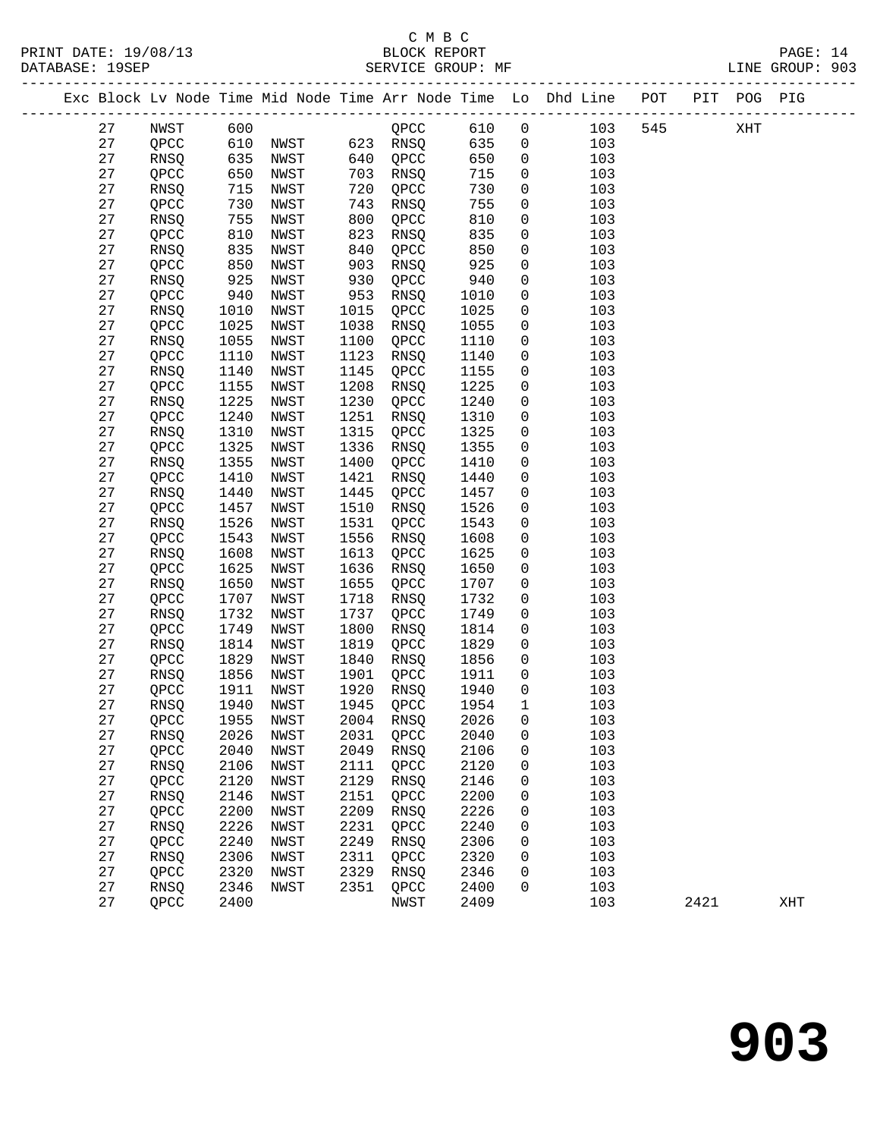## C M B C

27 QPCC 2400 NWST 2409 103 2421 XHT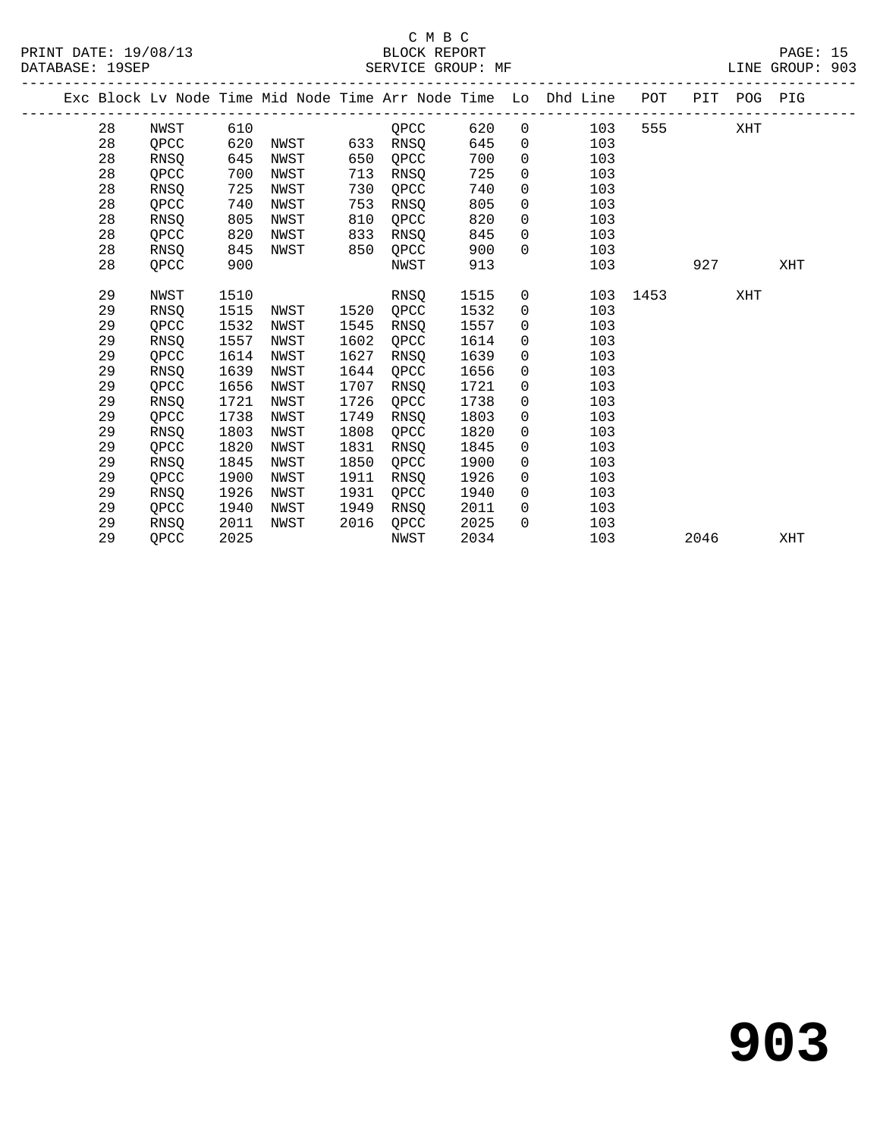|  |    |             |      |      |      |      |      |                | Exc Block Lv Node Time Mid Node Time Arr Node Time Lo Dhd Line | POT  |      | PIT POG PIG |     |
|--|----|-------------|------|------|------|------|------|----------------|----------------------------------------------------------------|------|------|-------------|-----|
|  | 28 | NWST        | 610  |      |      | OPCC | 620  | $\overline{0}$ | 103                                                            | 555  |      | XHT         |     |
|  | 28 | QPCC        | 620  | NWST | 633  | RNSQ | 645  | $\mathsf{O}$   | 103                                                            |      |      |             |     |
|  | 28 | <b>RNSO</b> | 645  | NWST | 650  | QPCC | 700  | $\mathbf 0$    | 103                                                            |      |      |             |     |
|  | 28 | QPCC        | 700  | NWST | 713  | RNSQ | 725  | $\mathsf{O}$   | 103                                                            |      |      |             |     |
|  | 28 | RNSQ        | 725  | NWST | 730  | QPCC | 740  | $\Omega$       | 103                                                            |      |      |             |     |
|  | 28 | QPCC        | 740  | NWST | 753  | RNSQ | 805  | $\mathbf 0$    | 103                                                            |      |      |             |     |
|  | 28 | <b>RNSO</b> | 805  | NWST | 810  | QPCC | 820  | $\mathsf{O}$   | 103                                                            |      |      |             |     |
|  | 28 | QPCC        | 820  | NWST | 833  | RNSQ | 845  | $\mathbf 0$    | 103                                                            |      |      |             |     |
|  | 28 | RNSQ        | 845  | NWST | 850  | QPCC | 900  | $\Omega$       | 103                                                            |      |      |             |     |
|  | 28 | QPCC        | 900  |      |      | NWST | 913  |                | 103                                                            |      | 927  |             | XHT |
|  |    |             |      |      |      |      |      |                |                                                                |      |      |             |     |
|  | 29 | NWST        | 1510 |      |      | RNSO | 1515 | 0              | 103                                                            | 1453 |      | XHT         |     |
|  | 29 | <b>RNSO</b> | 1515 | NWST | 1520 | OPCC | 1532 | 0              | 103                                                            |      |      |             |     |
|  | 29 | QPCC        | 1532 | NWST | 1545 | RNSQ | 1557 | $\mathsf{O}$   | 103                                                            |      |      |             |     |
|  | 29 | <b>RNSO</b> | 1557 | NWST | 1602 | QPCC | 1614 | $\Omega$       | 103                                                            |      |      |             |     |
|  | 29 | QPCC        | 1614 | NWST | 1627 | RNSQ | 1639 | $\mathbf 0$    | 103                                                            |      |      |             |     |
|  | 29 | <b>RNSO</b> | 1639 | NWST | 1644 | QPCC | 1656 | $\mathsf{O}$   | 103                                                            |      |      |             |     |
|  | 29 | QPCC        | 1656 | NWST | 1707 | RNSO | 1721 | $\mathbf 0$    | 103                                                            |      |      |             |     |
|  | 29 | <b>RNSO</b> | 1721 | NWST | 1726 | QPCC | 1738 | $\mathbf{0}$   | 103                                                            |      |      |             |     |
|  | 29 | QPCC        | 1738 | NWST | 1749 | RNSQ | 1803 | $\mathbf 0$    | 103                                                            |      |      |             |     |
|  | 29 | <b>RNSO</b> | 1803 | NWST | 1808 | OPCC | 1820 | $\mathbf 0$    | 103                                                            |      |      |             |     |
|  | 29 | OPCC        | 1820 | NWST | 1831 | RNSQ | 1845 | $\mathsf{O}$   | 103                                                            |      |      |             |     |
|  | 29 | <b>RNSO</b> | 1845 | NWST | 1850 | OPCC | 1900 | $\mathbf 0$    | 103                                                            |      |      |             |     |
|  | 29 | QPCC        | 1900 | NWST | 1911 | RNSO | 1926 | $\mathbf{0}$   | 103                                                            |      |      |             |     |
|  | 29 | RNSQ        | 1926 | NWST | 1931 | QPCC | 1940 | $\overline{0}$ | 103                                                            |      |      |             |     |
|  | 29 | QPCC        | 1940 | NWST | 1949 | RNSQ | 2011 | $\Omega$       | 103                                                            |      |      |             |     |
|  | 29 | <b>RNSO</b> | 2011 | NWST | 2016 | QPCC | 2025 | $\Omega$       | 103                                                            |      |      |             |     |
|  | 29 | OPCC        | 2025 |      |      | NWST | 2034 |                | 103                                                            |      | 2046 |             | XHT |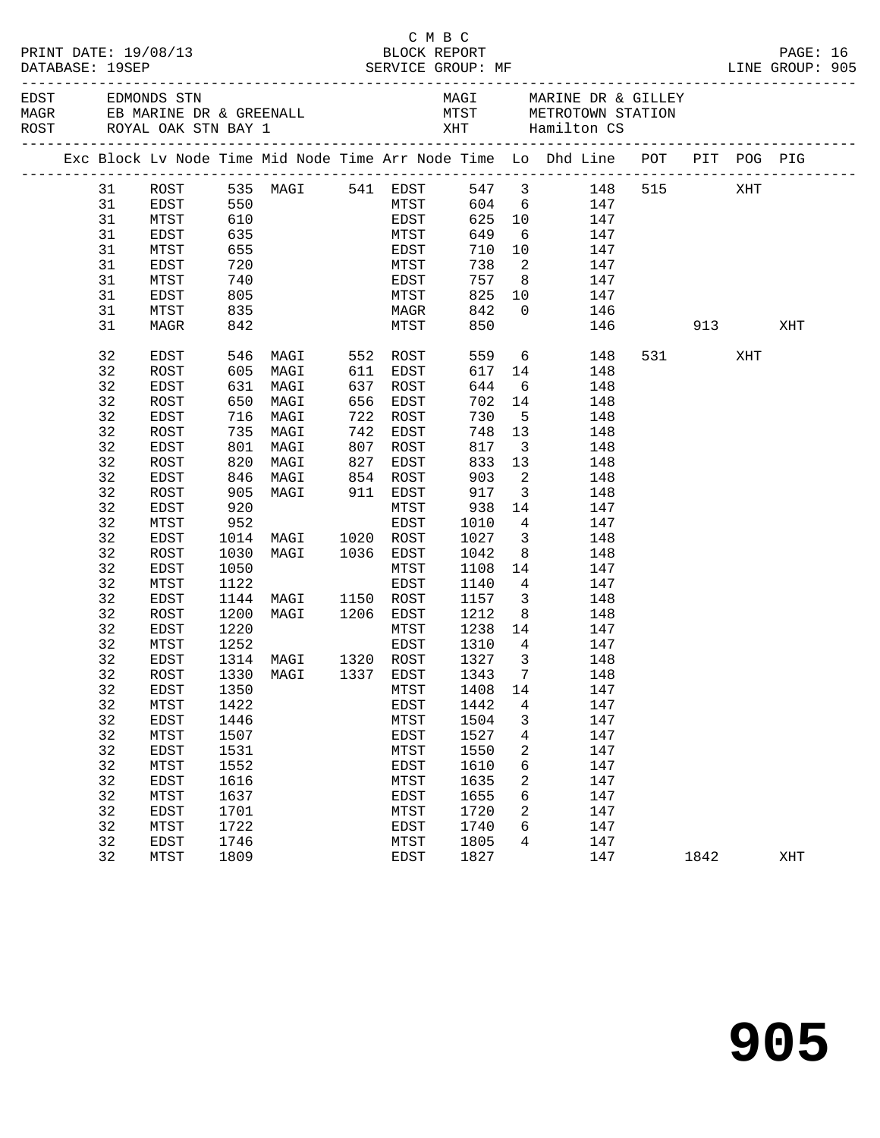| Exc Block Lv Node Time Mid Node Time Arr Node Time Lo Dhd Line POT PIT POG PIG<br>31 ROST 535 MAGI 541 EDST 547 3 148<br>515<br>XHT<br>31<br>MTST 604 6 147<br>EDST<br>31<br>MTST<br>625<br>10 147<br>$\begin{tabular}{ll} \multicolumn{2}{c}{\begin{tabular}{l} \multicolumn{2}{c}{\text{541} } \multicolumn{2}{c}{\text{EDST}}\\ \multicolumn{2}{c}{\text{MTST}}\\ \multicolumn{2}{c}{\text{55}}\\ \multicolumn{2}{c}{\text{55}}\\ \multicolumn{2}{c}{\text{56}}\\ \multicolumn{2}{c}{\text{57}}\\ \multicolumn{2}{c}{\text{720}}\\ \multicolumn{2}{c}{\text{MTST}}\\ \multicolumn{2}{c}{\text{740}}\\ \multicolumn{2}{c}{\text{805}}\\ \multicolumn{2}{c}{\text{835$<br>31<br>649<br>EDST<br>$6\overline{6}$<br>147<br>10 147<br>31<br>MTST<br>710<br>31<br>738<br>$\overline{\phantom{a}}$<br>EDST<br>147<br>757<br>31<br>MTST<br>8 <sup>1</sup><br>147<br>31<br>825<br>$\begin{array}{c} 10 \\ 0 \end{array}$<br>EDST<br>147<br>842<br>31<br>MTST<br>146<br>850<br>31<br>146 913<br>XHT<br>MAGR<br>559 6<br>617 14<br>32<br>531 XHT<br>EDST<br>148<br>32<br>605 MAGI<br>ROST<br>611 EDST<br>148<br>631 MAGI<br>32<br>644<br>$6\overline{6}$<br>EDST<br>637 ROST<br>148<br>32<br>650<br>ROST<br>656<br>EDST<br>702<br>14<br>148<br>32<br>שטט MAGI<br>716 MAGI<br>735<br>730<br>5 <sub>5</sub><br>EDST<br>722 ROST<br>148<br>32<br>735 MAGI<br>742 EDST<br>748<br>ROST<br>13<br>148<br>801 MAGI<br>3 <sup>1</sup><br>32<br>817<br>EDST<br>807 ROST<br>148<br>32<br>833<br>ROST<br>820 MAGI<br>827 EDST<br>13<br>148<br>32<br>846 MAGI       854  ROST<br>905  MAGI        911  EDST<br>903<br>$\overline{a}$<br>EDST<br>148<br>32<br>917<br>$\overline{\mathbf{3}}$<br>ROST<br>148<br>920<br>14<br>32<br>EDST<br>MTST<br>938<br>147<br>32<br>952<br>MTST<br>EDST<br>1010<br>$4\overline{ }$<br>147<br>32<br>1027<br>EDST<br>1014 MAGI 1020 ROST<br>$\overline{\mathbf{3}}$<br>148<br>32<br>MAGI 1036 EDST<br>ROST<br>1030<br>1042<br>8 <sup>8</sup><br>148<br>14<br>32<br>1050<br>EDST<br>MTST<br>1108<br>147<br>32<br>1122<br>$4\overline{ }$<br>MTST<br>EDST<br>1140<br>147<br>32<br>1144 MAGI 1150 ROST<br>EDST<br>1157<br>1212<br>$\overline{\mathbf{3}}$<br>148<br>32<br>1200 MAGI 1206 EDST<br>ROST<br>8 <sup>1</sup><br>148<br>14 147<br>1238<br>32<br>1220<br>EDST<br>MTST<br>1310 4 147<br>32<br>1252<br>MTST<br>EDST<br>1327<br>32<br>1314 MAGI 1320 ROST<br>$\overline{\mathbf{3}}$<br>EDST<br>148<br>32 ROST<br>1330 MAGI 1337 EDST 1343 7<br>148<br>32<br>1350<br>1408<br>147<br>EDST<br>MTST<br>14<br>32<br>MTST<br>1422<br>EDST<br>1442<br>147<br>4<br>32<br>1446<br>1504<br>147<br>EDST<br>MTST<br>3<br>32<br>1507<br>1527<br>4<br>147<br>MTST<br>EDST<br>32<br>1531<br>1550<br>2<br>147<br>EDST<br>MTST<br>32<br>1552<br>6<br>147<br><b>MTST</b><br>EDST<br>1610<br>32<br>1616<br>2<br>147<br>MTST<br>1635<br>EDST<br>32<br>6<br>147<br>MTST<br>1637<br>EDST<br>1655<br>32<br>1720<br>2<br>147<br>EDST<br>1701<br>MTST<br>32<br>MTST<br>1722<br>EDST<br>1740<br>6<br>147<br>32<br>EDST<br>1746<br>MTST<br>1805<br>4<br>147<br>32<br>MTST<br>1809<br>EDST<br>1827<br>147<br>1842<br>XHT |  |  |  | C M B C |  |  |  | PAGE: 16<br>LINE GROUP: 905 |  |
|------------------------------------------------------------------------------------------------------------------------------------------------------------------------------------------------------------------------------------------------------------------------------------------------------------------------------------------------------------------------------------------------------------------------------------------------------------------------------------------------------------------------------------------------------------------------------------------------------------------------------------------------------------------------------------------------------------------------------------------------------------------------------------------------------------------------------------------------------------------------------------------------------------------------------------------------------------------------------------------------------------------------------------------------------------------------------------------------------------------------------------------------------------------------------------------------------------------------------------------------------------------------------------------------------------------------------------------------------------------------------------------------------------------------------------------------------------------------------------------------------------------------------------------------------------------------------------------------------------------------------------------------------------------------------------------------------------------------------------------------------------------------------------------------------------------------------------------------------------------------------------------------------------------------------------------------------------------------------------------------------------------------------------------------------------------------------------------------------------------------------------------------------------------------------------------------------------------------------------------------------------------------------------------------------------------------------------------------------------------------------------------------------------------------------------------------------------------------------------------------------------------------------------------------------------------------------------------------------------------------------------------------------------------------------------------------------------------------------------------------------------------------------------------------------------------------------------------------------------------------------------------------------------------------------------------------------------------------------------------------------------------------------------------------------------------------------------------------------------|--|--|--|---------|--|--|--|-----------------------------|--|
|                                                                                                                                                                                                                                                                                                                                                                                                                                                                                                                                                                                                                                                                                                                                                                                                                                                                                                                                                                                                                                                                                                                                                                                                                                                                                                                                                                                                                                                                                                                                                                                                                                                                                                                                                                                                                                                                                                                                                                                                                                                                                                                                                                                                                                                                                                                                                                                                                                                                                                                                                                                                                                                                                                                                                                                                                                                                                                                                                                                                                                                                                                            |  |  |  |         |  |  |  |                             |  |
|                                                                                                                                                                                                                                                                                                                                                                                                                                                                                                                                                                                                                                                                                                                                                                                                                                                                                                                                                                                                                                                                                                                                                                                                                                                                                                                                                                                                                                                                                                                                                                                                                                                                                                                                                                                                                                                                                                                                                                                                                                                                                                                                                                                                                                                                                                                                                                                                                                                                                                                                                                                                                                                                                                                                                                                                                                                                                                                                                                                                                                                                                                            |  |  |  |         |  |  |  |                             |  |
|                                                                                                                                                                                                                                                                                                                                                                                                                                                                                                                                                                                                                                                                                                                                                                                                                                                                                                                                                                                                                                                                                                                                                                                                                                                                                                                                                                                                                                                                                                                                                                                                                                                                                                                                                                                                                                                                                                                                                                                                                                                                                                                                                                                                                                                                                                                                                                                                                                                                                                                                                                                                                                                                                                                                                                                                                                                                                                                                                                                                                                                                                                            |  |  |  |         |  |  |  |                             |  |
|                                                                                                                                                                                                                                                                                                                                                                                                                                                                                                                                                                                                                                                                                                                                                                                                                                                                                                                                                                                                                                                                                                                                                                                                                                                                                                                                                                                                                                                                                                                                                                                                                                                                                                                                                                                                                                                                                                                                                                                                                                                                                                                                                                                                                                                                                                                                                                                                                                                                                                                                                                                                                                                                                                                                                                                                                                                                                                                                                                                                                                                                                                            |  |  |  |         |  |  |  |                             |  |
|                                                                                                                                                                                                                                                                                                                                                                                                                                                                                                                                                                                                                                                                                                                                                                                                                                                                                                                                                                                                                                                                                                                                                                                                                                                                                                                                                                                                                                                                                                                                                                                                                                                                                                                                                                                                                                                                                                                                                                                                                                                                                                                                                                                                                                                                                                                                                                                                                                                                                                                                                                                                                                                                                                                                                                                                                                                                                                                                                                                                                                                                                                            |  |  |  |         |  |  |  |                             |  |
|                                                                                                                                                                                                                                                                                                                                                                                                                                                                                                                                                                                                                                                                                                                                                                                                                                                                                                                                                                                                                                                                                                                                                                                                                                                                                                                                                                                                                                                                                                                                                                                                                                                                                                                                                                                                                                                                                                                                                                                                                                                                                                                                                                                                                                                                                                                                                                                                                                                                                                                                                                                                                                                                                                                                                                                                                                                                                                                                                                                                                                                                                                            |  |  |  |         |  |  |  |                             |  |
|                                                                                                                                                                                                                                                                                                                                                                                                                                                                                                                                                                                                                                                                                                                                                                                                                                                                                                                                                                                                                                                                                                                                                                                                                                                                                                                                                                                                                                                                                                                                                                                                                                                                                                                                                                                                                                                                                                                                                                                                                                                                                                                                                                                                                                                                                                                                                                                                                                                                                                                                                                                                                                                                                                                                                                                                                                                                                                                                                                                                                                                                                                            |  |  |  |         |  |  |  |                             |  |
|                                                                                                                                                                                                                                                                                                                                                                                                                                                                                                                                                                                                                                                                                                                                                                                                                                                                                                                                                                                                                                                                                                                                                                                                                                                                                                                                                                                                                                                                                                                                                                                                                                                                                                                                                                                                                                                                                                                                                                                                                                                                                                                                                                                                                                                                                                                                                                                                                                                                                                                                                                                                                                                                                                                                                                                                                                                                                                                                                                                                                                                                                                            |  |  |  |         |  |  |  |                             |  |
|                                                                                                                                                                                                                                                                                                                                                                                                                                                                                                                                                                                                                                                                                                                                                                                                                                                                                                                                                                                                                                                                                                                                                                                                                                                                                                                                                                                                                                                                                                                                                                                                                                                                                                                                                                                                                                                                                                                                                                                                                                                                                                                                                                                                                                                                                                                                                                                                                                                                                                                                                                                                                                                                                                                                                                                                                                                                                                                                                                                                                                                                                                            |  |  |  |         |  |  |  |                             |  |
|                                                                                                                                                                                                                                                                                                                                                                                                                                                                                                                                                                                                                                                                                                                                                                                                                                                                                                                                                                                                                                                                                                                                                                                                                                                                                                                                                                                                                                                                                                                                                                                                                                                                                                                                                                                                                                                                                                                                                                                                                                                                                                                                                                                                                                                                                                                                                                                                                                                                                                                                                                                                                                                                                                                                                                                                                                                                                                                                                                                                                                                                                                            |  |  |  |         |  |  |  |                             |  |
|                                                                                                                                                                                                                                                                                                                                                                                                                                                                                                                                                                                                                                                                                                                                                                                                                                                                                                                                                                                                                                                                                                                                                                                                                                                                                                                                                                                                                                                                                                                                                                                                                                                                                                                                                                                                                                                                                                                                                                                                                                                                                                                                                                                                                                                                                                                                                                                                                                                                                                                                                                                                                                                                                                                                                                                                                                                                                                                                                                                                                                                                                                            |  |  |  |         |  |  |  |                             |  |
|                                                                                                                                                                                                                                                                                                                                                                                                                                                                                                                                                                                                                                                                                                                                                                                                                                                                                                                                                                                                                                                                                                                                                                                                                                                                                                                                                                                                                                                                                                                                                                                                                                                                                                                                                                                                                                                                                                                                                                                                                                                                                                                                                                                                                                                                                                                                                                                                                                                                                                                                                                                                                                                                                                                                                                                                                                                                                                                                                                                                                                                                                                            |  |  |  |         |  |  |  |                             |  |
|                                                                                                                                                                                                                                                                                                                                                                                                                                                                                                                                                                                                                                                                                                                                                                                                                                                                                                                                                                                                                                                                                                                                                                                                                                                                                                                                                                                                                                                                                                                                                                                                                                                                                                                                                                                                                                                                                                                                                                                                                                                                                                                                                                                                                                                                                                                                                                                                                                                                                                                                                                                                                                                                                                                                                                                                                                                                                                                                                                                                                                                                                                            |  |  |  |         |  |  |  |                             |  |
|                                                                                                                                                                                                                                                                                                                                                                                                                                                                                                                                                                                                                                                                                                                                                                                                                                                                                                                                                                                                                                                                                                                                                                                                                                                                                                                                                                                                                                                                                                                                                                                                                                                                                                                                                                                                                                                                                                                                                                                                                                                                                                                                                                                                                                                                                                                                                                                                                                                                                                                                                                                                                                                                                                                                                                                                                                                                                                                                                                                                                                                                                                            |  |  |  |         |  |  |  |                             |  |
|                                                                                                                                                                                                                                                                                                                                                                                                                                                                                                                                                                                                                                                                                                                                                                                                                                                                                                                                                                                                                                                                                                                                                                                                                                                                                                                                                                                                                                                                                                                                                                                                                                                                                                                                                                                                                                                                                                                                                                                                                                                                                                                                                                                                                                                                                                                                                                                                                                                                                                                                                                                                                                                                                                                                                                                                                                                                                                                                                                                                                                                                                                            |  |  |  |         |  |  |  |                             |  |
|                                                                                                                                                                                                                                                                                                                                                                                                                                                                                                                                                                                                                                                                                                                                                                                                                                                                                                                                                                                                                                                                                                                                                                                                                                                                                                                                                                                                                                                                                                                                                                                                                                                                                                                                                                                                                                                                                                                                                                                                                                                                                                                                                                                                                                                                                                                                                                                                                                                                                                                                                                                                                                                                                                                                                                                                                                                                                                                                                                                                                                                                                                            |  |  |  |         |  |  |  |                             |  |
|                                                                                                                                                                                                                                                                                                                                                                                                                                                                                                                                                                                                                                                                                                                                                                                                                                                                                                                                                                                                                                                                                                                                                                                                                                                                                                                                                                                                                                                                                                                                                                                                                                                                                                                                                                                                                                                                                                                                                                                                                                                                                                                                                                                                                                                                                                                                                                                                                                                                                                                                                                                                                                                                                                                                                                                                                                                                                                                                                                                                                                                                                                            |  |  |  |         |  |  |  |                             |  |
|                                                                                                                                                                                                                                                                                                                                                                                                                                                                                                                                                                                                                                                                                                                                                                                                                                                                                                                                                                                                                                                                                                                                                                                                                                                                                                                                                                                                                                                                                                                                                                                                                                                                                                                                                                                                                                                                                                                                                                                                                                                                                                                                                                                                                                                                                                                                                                                                                                                                                                                                                                                                                                                                                                                                                                                                                                                                                                                                                                                                                                                                                                            |  |  |  |         |  |  |  |                             |  |
|                                                                                                                                                                                                                                                                                                                                                                                                                                                                                                                                                                                                                                                                                                                                                                                                                                                                                                                                                                                                                                                                                                                                                                                                                                                                                                                                                                                                                                                                                                                                                                                                                                                                                                                                                                                                                                                                                                                                                                                                                                                                                                                                                                                                                                                                                                                                                                                                                                                                                                                                                                                                                                                                                                                                                                                                                                                                                                                                                                                                                                                                                                            |  |  |  |         |  |  |  |                             |  |
|                                                                                                                                                                                                                                                                                                                                                                                                                                                                                                                                                                                                                                                                                                                                                                                                                                                                                                                                                                                                                                                                                                                                                                                                                                                                                                                                                                                                                                                                                                                                                                                                                                                                                                                                                                                                                                                                                                                                                                                                                                                                                                                                                                                                                                                                                                                                                                                                                                                                                                                                                                                                                                                                                                                                                                                                                                                                                                                                                                                                                                                                                                            |  |  |  |         |  |  |  |                             |  |
|                                                                                                                                                                                                                                                                                                                                                                                                                                                                                                                                                                                                                                                                                                                                                                                                                                                                                                                                                                                                                                                                                                                                                                                                                                                                                                                                                                                                                                                                                                                                                                                                                                                                                                                                                                                                                                                                                                                                                                                                                                                                                                                                                                                                                                                                                                                                                                                                                                                                                                                                                                                                                                                                                                                                                                                                                                                                                                                                                                                                                                                                                                            |  |  |  |         |  |  |  |                             |  |
|                                                                                                                                                                                                                                                                                                                                                                                                                                                                                                                                                                                                                                                                                                                                                                                                                                                                                                                                                                                                                                                                                                                                                                                                                                                                                                                                                                                                                                                                                                                                                                                                                                                                                                                                                                                                                                                                                                                                                                                                                                                                                                                                                                                                                                                                                                                                                                                                                                                                                                                                                                                                                                                                                                                                                                                                                                                                                                                                                                                                                                                                                                            |  |  |  |         |  |  |  |                             |  |
|                                                                                                                                                                                                                                                                                                                                                                                                                                                                                                                                                                                                                                                                                                                                                                                                                                                                                                                                                                                                                                                                                                                                                                                                                                                                                                                                                                                                                                                                                                                                                                                                                                                                                                                                                                                                                                                                                                                                                                                                                                                                                                                                                                                                                                                                                                                                                                                                                                                                                                                                                                                                                                                                                                                                                                                                                                                                                                                                                                                                                                                                                                            |  |  |  |         |  |  |  |                             |  |
|                                                                                                                                                                                                                                                                                                                                                                                                                                                                                                                                                                                                                                                                                                                                                                                                                                                                                                                                                                                                                                                                                                                                                                                                                                                                                                                                                                                                                                                                                                                                                                                                                                                                                                                                                                                                                                                                                                                                                                                                                                                                                                                                                                                                                                                                                                                                                                                                                                                                                                                                                                                                                                                                                                                                                                                                                                                                                                                                                                                                                                                                                                            |  |  |  |         |  |  |  |                             |  |
|                                                                                                                                                                                                                                                                                                                                                                                                                                                                                                                                                                                                                                                                                                                                                                                                                                                                                                                                                                                                                                                                                                                                                                                                                                                                                                                                                                                                                                                                                                                                                                                                                                                                                                                                                                                                                                                                                                                                                                                                                                                                                                                                                                                                                                                                                                                                                                                                                                                                                                                                                                                                                                                                                                                                                                                                                                                                                                                                                                                                                                                                                                            |  |  |  |         |  |  |  |                             |  |
|                                                                                                                                                                                                                                                                                                                                                                                                                                                                                                                                                                                                                                                                                                                                                                                                                                                                                                                                                                                                                                                                                                                                                                                                                                                                                                                                                                                                                                                                                                                                                                                                                                                                                                                                                                                                                                                                                                                                                                                                                                                                                                                                                                                                                                                                                                                                                                                                                                                                                                                                                                                                                                                                                                                                                                                                                                                                                                                                                                                                                                                                                                            |  |  |  |         |  |  |  |                             |  |
|                                                                                                                                                                                                                                                                                                                                                                                                                                                                                                                                                                                                                                                                                                                                                                                                                                                                                                                                                                                                                                                                                                                                                                                                                                                                                                                                                                                                                                                                                                                                                                                                                                                                                                                                                                                                                                                                                                                                                                                                                                                                                                                                                                                                                                                                                                                                                                                                                                                                                                                                                                                                                                                                                                                                                                                                                                                                                                                                                                                                                                                                                                            |  |  |  |         |  |  |  |                             |  |
|                                                                                                                                                                                                                                                                                                                                                                                                                                                                                                                                                                                                                                                                                                                                                                                                                                                                                                                                                                                                                                                                                                                                                                                                                                                                                                                                                                                                                                                                                                                                                                                                                                                                                                                                                                                                                                                                                                                                                                                                                                                                                                                                                                                                                                                                                                                                                                                                                                                                                                                                                                                                                                                                                                                                                                                                                                                                                                                                                                                                                                                                                                            |  |  |  |         |  |  |  |                             |  |
|                                                                                                                                                                                                                                                                                                                                                                                                                                                                                                                                                                                                                                                                                                                                                                                                                                                                                                                                                                                                                                                                                                                                                                                                                                                                                                                                                                                                                                                                                                                                                                                                                                                                                                                                                                                                                                                                                                                                                                                                                                                                                                                                                                                                                                                                                                                                                                                                                                                                                                                                                                                                                                                                                                                                                                                                                                                                                                                                                                                                                                                                                                            |  |  |  |         |  |  |  |                             |  |
|                                                                                                                                                                                                                                                                                                                                                                                                                                                                                                                                                                                                                                                                                                                                                                                                                                                                                                                                                                                                                                                                                                                                                                                                                                                                                                                                                                                                                                                                                                                                                                                                                                                                                                                                                                                                                                                                                                                                                                                                                                                                                                                                                                                                                                                                                                                                                                                                                                                                                                                                                                                                                                                                                                                                                                                                                                                                                                                                                                                                                                                                                                            |  |  |  |         |  |  |  |                             |  |
|                                                                                                                                                                                                                                                                                                                                                                                                                                                                                                                                                                                                                                                                                                                                                                                                                                                                                                                                                                                                                                                                                                                                                                                                                                                                                                                                                                                                                                                                                                                                                                                                                                                                                                                                                                                                                                                                                                                                                                                                                                                                                                                                                                                                                                                                                                                                                                                                                                                                                                                                                                                                                                                                                                                                                                                                                                                                                                                                                                                                                                                                                                            |  |  |  |         |  |  |  |                             |  |
|                                                                                                                                                                                                                                                                                                                                                                                                                                                                                                                                                                                                                                                                                                                                                                                                                                                                                                                                                                                                                                                                                                                                                                                                                                                                                                                                                                                                                                                                                                                                                                                                                                                                                                                                                                                                                                                                                                                                                                                                                                                                                                                                                                                                                                                                                                                                                                                                                                                                                                                                                                                                                                                                                                                                                                                                                                                                                                                                                                                                                                                                                                            |  |  |  |         |  |  |  |                             |  |
|                                                                                                                                                                                                                                                                                                                                                                                                                                                                                                                                                                                                                                                                                                                                                                                                                                                                                                                                                                                                                                                                                                                                                                                                                                                                                                                                                                                                                                                                                                                                                                                                                                                                                                                                                                                                                                                                                                                                                                                                                                                                                                                                                                                                                                                                                                                                                                                                                                                                                                                                                                                                                                                                                                                                                                                                                                                                                                                                                                                                                                                                                                            |  |  |  |         |  |  |  |                             |  |
|                                                                                                                                                                                                                                                                                                                                                                                                                                                                                                                                                                                                                                                                                                                                                                                                                                                                                                                                                                                                                                                                                                                                                                                                                                                                                                                                                                                                                                                                                                                                                                                                                                                                                                                                                                                                                                                                                                                                                                                                                                                                                                                                                                                                                                                                                                                                                                                                                                                                                                                                                                                                                                                                                                                                                                                                                                                                                                                                                                                                                                                                                                            |  |  |  |         |  |  |  |                             |  |
|                                                                                                                                                                                                                                                                                                                                                                                                                                                                                                                                                                                                                                                                                                                                                                                                                                                                                                                                                                                                                                                                                                                                                                                                                                                                                                                                                                                                                                                                                                                                                                                                                                                                                                                                                                                                                                                                                                                                                                                                                                                                                                                                                                                                                                                                                                                                                                                                                                                                                                                                                                                                                                                                                                                                                                                                                                                                                                                                                                                                                                                                                                            |  |  |  |         |  |  |  |                             |  |
|                                                                                                                                                                                                                                                                                                                                                                                                                                                                                                                                                                                                                                                                                                                                                                                                                                                                                                                                                                                                                                                                                                                                                                                                                                                                                                                                                                                                                                                                                                                                                                                                                                                                                                                                                                                                                                                                                                                                                                                                                                                                                                                                                                                                                                                                                                                                                                                                                                                                                                                                                                                                                                                                                                                                                                                                                                                                                                                                                                                                                                                                                                            |  |  |  |         |  |  |  |                             |  |
|                                                                                                                                                                                                                                                                                                                                                                                                                                                                                                                                                                                                                                                                                                                                                                                                                                                                                                                                                                                                                                                                                                                                                                                                                                                                                                                                                                                                                                                                                                                                                                                                                                                                                                                                                                                                                                                                                                                                                                                                                                                                                                                                                                                                                                                                                                                                                                                                                                                                                                                                                                                                                                                                                                                                                                                                                                                                                                                                                                                                                                                                                                            |  |  |  |         |  |  |  |                             |  |
|                                                                                                                                                                                                                                                                                                                                                                                                                                                                                                                                                                                                                                                                                                                                                                                                                                                                                                                                                                                                                                                                                                                                                                                                                                                                                                                                                                                                                                                                                                                                                                                                                                                                                                                                                                                                                                                                                                                                                                                                                                                                                                                                                                                                                                                                                                                                                                                                                                                                                                                                                                                                                                                                                                                                                                                                                                                                                                                                                                                                                                                                                                            |  |  |  |         |  |  |  |                             |  |
|                                                                                                                                                                                                                                                                                                                                                                                                                                                                                                                                                                                                                                                                                                                                                                                                                                                                                                                                                                                                                                                                                                                                                                                                                                                                                                                                                                                                                                                                                                                                                                                                                                                                                                                                                                                                                                                                                                                                                                                                                                                                                                                                                                                                                                                                                                                                                                                                                                                                                                                                                                                                                                                                                                                                                                                                                                                                                                                                                                                                                                                                                                            |  |  |  |         |  |  |  |                             |  |
|                                                                                                                                                                                                                                                                                                                                                                                                                                                                                                                                                                                                                                                                                                                                                                                                                                                                                                                                                                                                                                                                                                                                                                                                                                                                                                                                                                                                                                                                                                                                                                                                                                                                                                                                                                                                                                                                                                                                                                                                                                                                                                                                                                                                                                                                                                                                                                                                                                                                                                                                                                                                                                                                                                                                                                                                                                                                                                                                                                                                                                                                                                            |  |  |  |         |  |  |  |                             |  |
|                                                                                                                                                                                                                                                                                                                                                                                                                                                                                                                                                                                                                                                                                                                                                                                                                                                                                                                                                                                                                                                                                                                                                                                                                                                                                                                                                                                                                                                                                                                                                                                                                                                                                                                                                                                                                                                                                                                                                                                                                                                                                                                                                                                                                                                                                                                                                                                                                                                                                                                                                                                                                                                                                                                                                                                                                                                                                                                                                                                                                                                                                                            |  |  |  |         |  |  |  |                             |  |
|                                                                                                                                                                                                                                                                                                                                                                                                                                                                                                                                                                                                                                                                                                                                                                                                                                                                                                                                                                                                                                                                                                                                                                                                                                                                                                                                                                                                                                                                                                                                                                                                                                                                                                                                                                                                                                                                                                                                                                                                                                                                                                                                                                                                                                                                                                                                                                                                                                                                                                                                                                                                                                                                                                                                                                                                                                                                                                                                                                                                                                                                                                            |  |  |  |         |  |  |  |                             |  |
|                                                                                                                                                                                                                                                                                                                                                                                                                                                                                                                                                                                                                                                                                                                                                                                                                                                                                                                                                                                                                                                                                                                                                                                                                                                                                                                                                                                                                                                                                                                                                                                                                                                                                                                                                                                                                                                                                                                                                                                                                                                                                                                                                                                                                                                                                                                                                                                                                                                                                                                                                                                                                                                                                                                                                                                                                                                                                                                                                                                                                                                                                                            |  |  |  |         |  |  |  |                             |  |
|                                                                                                                                                                                                                                                                                                                                                                                                                                                                                                                                                                                                                                                                                                                                                                                                                                                                                                                                                                                                                                                                                                                                                                                                                                                                                                                                                                                                                                                                                                                                                                                                                                                                                                                                                                                                                                                                                                                                                                                                                                                                                                                                                                                                                                                                                                                                                                                                                                                                                                                                                                                                                                                                                                                                                                                                                                                                                                                                                                                                                                                                                                            |  |  |  |         |  |  |  |                             |  |
|                                                                                                                                                                                                                                                                                                                                                                                                                                                                                                                                                                                                                                                                                                                                                                                                                                                                                                                                                                                                                                                                                                                                                                                                                                                                                                                                                                                                                                                                                                                                                                                                                                                                                                                                                                                                                                                                                                                                                                                                                                                                                                                                                                                                                                                                                                                                                                                                                                                                                                                                                                                                                                                                                                                                                                                                                                                                                                                                                                                                                                                                                                            |  |  |  |         |  |  |  |                             |  |
|                                                                                                                                                                                                                                                                                                                                                                                                                                                                                                                                                                                                                                                                                                                                                                                                                                                                                                                                                                                                                                                                                                                                                                                                                                                                                                                                                                                                                                                                                                                                                                                                                                                                                                                                                                                                                                                                                                                                                                                                                                                                                                                                                                                                                                                                                                                                                                                                                                                                                                                                                                                                                                                                                                                                                                                                                                                                                                                                                                                                                                                                                                            |  |  |  |         |  |  |  |                             |  |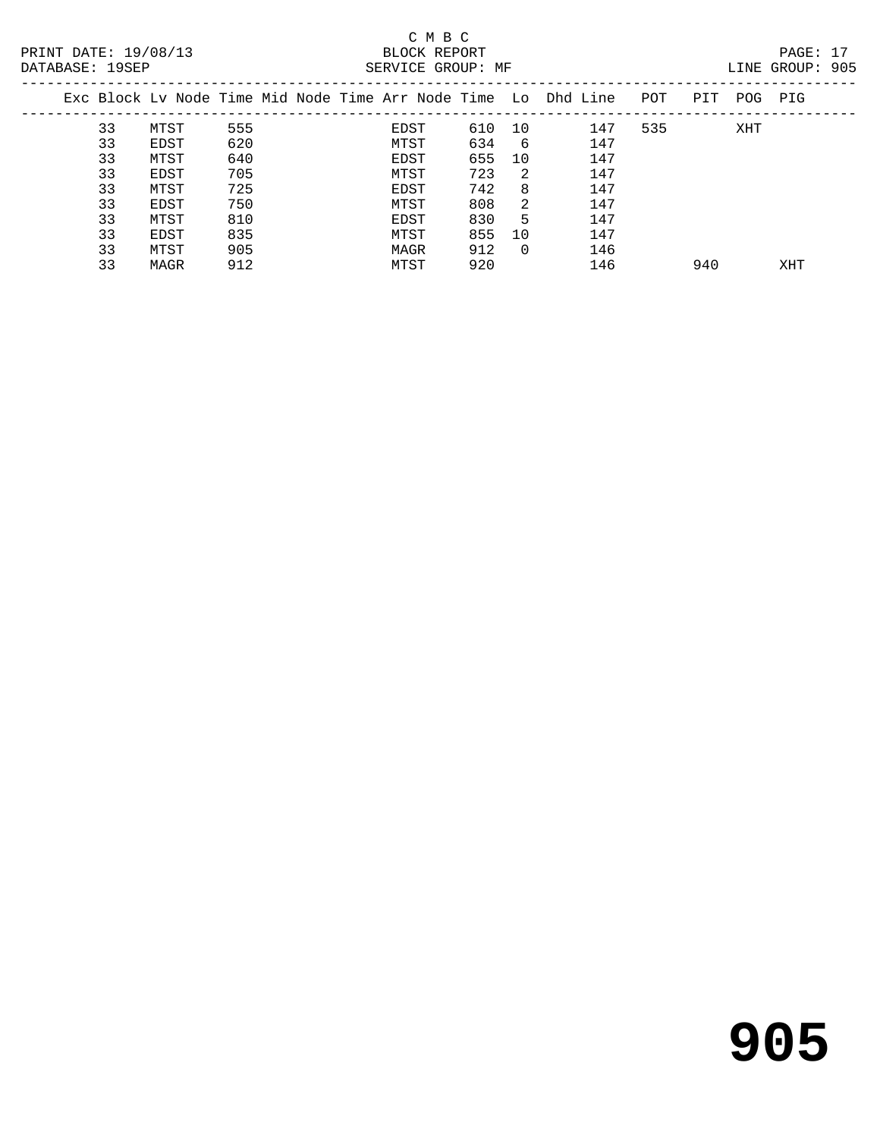| LINE GROUP: | 905 |
|-------------|-----|

| PRINT DATE: 19/08/13<br>DATABASE: 19SEP<br>Exc Block Ly Node Time Mid Node Time Arr Node Time Lo Dhd Line POT |      |     |  |  |      | BLOCK REPORT | SERVICE GROUP: MF |        |     |     |     |         | PAGE: 17<br>LINE GROUP: 905 |  |
|---------------------------------------------------------------------------------------------------------------|------|-----|--|--|------|--------------|-------------------|--------|-----|-----|-----|---------|-----------------------------|--|
|                                                                                                               |      |     |  |  |      |              |                   |        |     |     |     | PIT POG | PIG                         |  |
| 33                                                                                                            | MTST | 555 |  |  | EDST |              | 610               | 10     | 147 | 535 |     | XHT     |                             |  |
| 33                                                                                                            | EDST | 620 |  |  | MTST |              | 634               | - 6    | 147 |     |     |         |                             |  |
| 33                                                                                                            | MTST | 640 |  |  | EDST |              | 655               | 10     | 147 |     |     |         |                             |  |
| 33                                                                                                            | EDST | 705 |  |  | MTST |              | 723               | - 2.   | 147 |     |     |         |                             |  |
| 33                                                                                                            | MTST | 725 |  |  | EDST |              | 742               | 8      | 147 |     |     |         |                             |  |
| 33                                                                                                            | EDST | 750 |  |  | MTST |              | 808               | 2      | 147 |     |     |         |                             |  |
| 33                                                                                                            | MTST | 810 |  |  | EDST |              | 830               | 5      | 147 |     |     |         |                             |  |
| 33                                                                                                            | EDST | 835 |  |  | MTST |              | 855               | 1 O    | 147 |     |     |         |                             |  |
| 33                                                                                                            | MTST | 905 |  |  | MAGR |              | 912               | $\cap$ | 146 |     |     |         |                             |  |
| 33                                                                                                            | MAGR | 912 |  |  | MTST |              | 920               |        | 146 |     | 940 |         | XHT                         |  |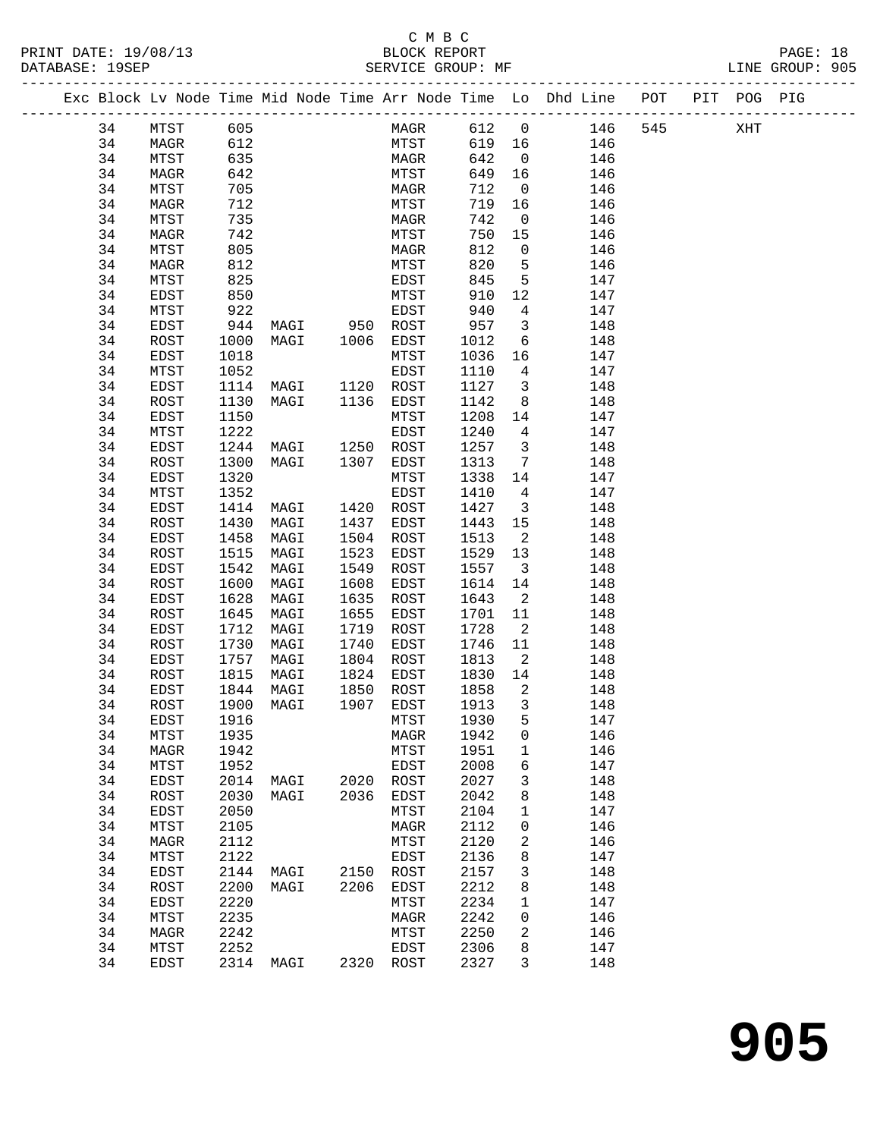|          |              |              |                     |      |             |              |                            | Exc Block Lv Node Time Mid Node Time Arr Node Time Lo Dhd Line POT PIT POG PIG |     |     |  |
|----------|--------------|--------------|---------------------|------|-------------|--------------|----------------------------|--------------------------------------------------------------------------------|-----|-----|--|
| 34       | MTST         | 605          |                     |      | MAGR 612    |              | $\overline{0}$             | 146                                                                            | 545 | XHT |  |
| 34       | MAGR         | 612          |                     |      | <b>MTST</b> | 619 16       |                            | 146                                                                            |     |     |  |
| 34       | MTST         | 635          |                     |      | MAGR        | 642          | $\overline{0}$             | 146                                                                            |     |     |  |
| 34       | MAGR         | 642          |                     |      | MTST        | 649          | 16                         | 146                                                                            |     |     |  |
| 34       | MTST         | 705          |                     |      | MAGR        | 712          | $\overline{0}$             | 146                                                                            |     |     |  |
| 34       | MAGR         | 712          |                     |      | MTST        | 719          | 16                         | 146                                                                            |     |     |  |
| 34       | MTST         | 735          |                     |      | MAGR        | 742          | $\overline{0}$             | 146                                                                            |     |     |  |
| 34       | MAGR         | 742          |                     |      | MTST        | 750          | 15                         | 146                                                                            |     |     |  |
| 34       | MTST         | 805          |                     |      | MAGR        | 812          | $\overline{0}$             | 146                                                                            |     |     |  |
| 34       | MAGR         | 812          |                     |      | MTST        | 820          | 5                          | 146                                                                            |     |     |  |
| 34       | MTST         | 825          |                     |      | EDST        | 845          | 5                          | 147                                                                            |     |     |  |
| 34       | EDST         | 850          |                     |      | MTST        | 910          | 12                         | 147                                                                            |     |     |  |
| 34       | MTST         | 922          |                     |      | EDST        | 940          | $4\overline{4}$            | 147                                                                            |     |     |  |
| 34       | EDST         |              | 944 MAGI 950 ROST   |      |             | 957          | $\overline{\mathbf{3}}$    | 148                                                                            |     |     |  |
| 34       | ROST         | 1000         | MAGI                |      | 1006 EDST   | 1012         | 6                          | 148                                                                            |     |     |  |
| 34       | EDST         | 1018         |                     |      | MTST        | 1036         | 16                         | 147                                                                            |     |     |  |
| 34       | MTST         | 1052         |                     |      | EDST        | 1110         | $\overline{4}$             | 147                                                                            |     |     |  |
| 34       | EDST         |              | 1114 MAGI 1120 ROST |      |             | 1127         | $\overline{\mathbf{3}}$    | 148                                                                            |     |     |  |
| 34       | ROST         | 1130         | MAGI                |      | 1136 EDST   | 1142         | 8 <sup>8</sup>             | 148                                                                            |     |     |  |
| 34       | EDST         | 1150         |                     |      | MTST        | 1208         | 14                         | 147                                                                            |     |     |  |
| 34       | MTST         | 1222         |                     |      | EDST        | 1240         | $\overline{4}$             | 147                                                                            |     |     |  |
| 34       | EDST         | 1244         | MAGI                |      | 1250 ROST   | 1257         | $\overline{\mathbf{3}}$    | 148                                                                            |     |     |  |
| 34       | ROST         | 1300         | MAGI                |      | 1307 EDST   | 1313         | $7\overline{ }$            | 148                                                                            |     |     |  |
| 34       | EDST         | 1320         |                     |      | MTST        | 1338         | 14                         | 147                                                                            |     |     |  |
| 34       | MTST         | 1352         |                     |      | EDST        | 1410         | $\overline{4}$             | 147                                                                            |     |     |  |
| 34       | EDST         | 1414         | MAGI 1420 ROST      |      |             | 1427         | $\overline{\mathbf{3}}$    | 148                                                                            |     |     |  |
| 34       | ROST         | 1430         | MAGI                |      | 1437 EDST   | 1443         | 15                         | 148                                                                            |     |     |  |
| 34       | EDST         | 1458         | MAGI                |      | 1504 ROST   | 1513         | $\overline{\mathbf{c}}$    | 148                                                                            |     |     |  |
| 34       | ROST         | 1515         | MAGI                | 1523 | EDST        | 1529         | 13                         | 148                                                                            |     |     |  |
| 34       | EDST         | 1542         | MAGI                | 1549 | ROST        | 1557         | $\overline{\mathbf{3}}$    | 148                                                                            |     |     |  |
| 34       | ROST         | 1600         | MAGI                | 1608 | EDST        | 1614         | 14                         | 148                                                                            |     |     |  |
| 34       | EDST         | 1628         | MAGI                | 1635 | ROST        | 1643         | $\overline{\phantom{a}}$   | 148                                                                            |     |     |  |
| 34       | ROST         | 1645         | MAGI                | 1655 | EDST        | 1701         | 11                         | 148                                                                            |     |     |  |
| 34       | EDST         | 1712         | MAGI                | 1719 | ROST        | 1728         | $\overline{\phantom{a}}^2$ | 148                                                                            |     |     |  |
| 34       | ROST         | 1730         | MAGI                | 1740 | EDST        | 1746         | 11                         | 148                                                                            |     |     |  |
| 34       | EDST         |              | 1757 MAGI           |      | 1804 ROST   | 1813         | $\overline{2}$             | 148                                                                            |     |     |  |
| 34       | ROST         | 1815         | MAGI                | 1824 | EDST        | 1830         | 14                         | 148                                                                            |     |     |  |
| 34       | EDST         | 1844         | MAGI                | 1850 | ROST        | 1858         | $\overline{\phantom{a}}^2$ | 148                                                                            |     |     |  |
| 34       | ROST         |              | 1900 MAGI           |      | 1907 EDST   | 1913         | $\overline{\mathbf{3}}$    | 148                                                                            |     |     |  |
| 34       | EDST         |              | 1916 1916           |      | MTST        | 1930         | $5 -$                      | 147                                                                            |     |     |  |
|          |              |              |                     |      |             |              |                            |                                                                                |     |     |  |
| 34<br>34 | MTST         | 1935<br>1942 |                     |      | MAGR        | 1942<br>1951 | 0                          | 146<br>146                                                                     |     |     |  |
| 34       | MAGR         | 1952         |                     |      | MTST        | 2008         | $\mathbf 1$                | 147                                                                            |     |     |  |
|          | MTST         |              |                     |      | EDST        |              | 6                          |                                                                                |     |     |  |
| 34       | EDST         | 2014         | MAGI                | 2020 | ROST        | 2027         | 3                          | 148                                                                            |     |     |  |
| 34       | ROST         | 2030         | MAGI                | 2036 | EDST        | 2042         | 8                          | 148                                                                            |     |     |  |
| 34       | EDST         | 2050         |                     |      | MTST        | 2104         | 1                          | 147                                                                            |     |     |  |
| 34       | MTST         | 2105         |                     |      | MAGR        | 2112         | 0                          | 146                                                                            |     |     |  |
| 34       | MAGR         | 2112         |                     |      | MTST        | 2120         | 2                          | 146                                                                            |     |     |  |
| 34       | MTST         | 2122         |                     |      | EDST        | 2136         | 8                          | 147                                                                            |     |     |  |
| 34       | EDST         | 2144         | MAGI                |      | 2150 ROST   | 2157         | 3                          | 148                                                                            |     |     |  |
| 34       | ROST         | 2200         | MAGI                | 2206 | EDST        | 2212         | 8                          | 148                                                                            |     |     |  |
| 34       | EDST         | 2220         |                     |      | MTST        | 2234         | 1                          | 147                                                                            |     |     |  |
| 34       | MTST         | 2235         |                     |      | $\tt MAGR$  | 2242         | 0                          | 146                                                                            |     |     |  |
| 34       | MAGR         | 2242         |                     |      | MTST        | 2250         | 2                          | 146                                                                            |     |     |  |
|          |              |              |                     |      |             |              |                            |                                                                                |     |     |  |
| 34<br>34 | MTST<br>EDST | 2252         | 2314 MAGI 2320 ROST |      | EDST        | 2306<br>2327 | 8<br>3                     | 147<br>148                                                                     |     |     |  |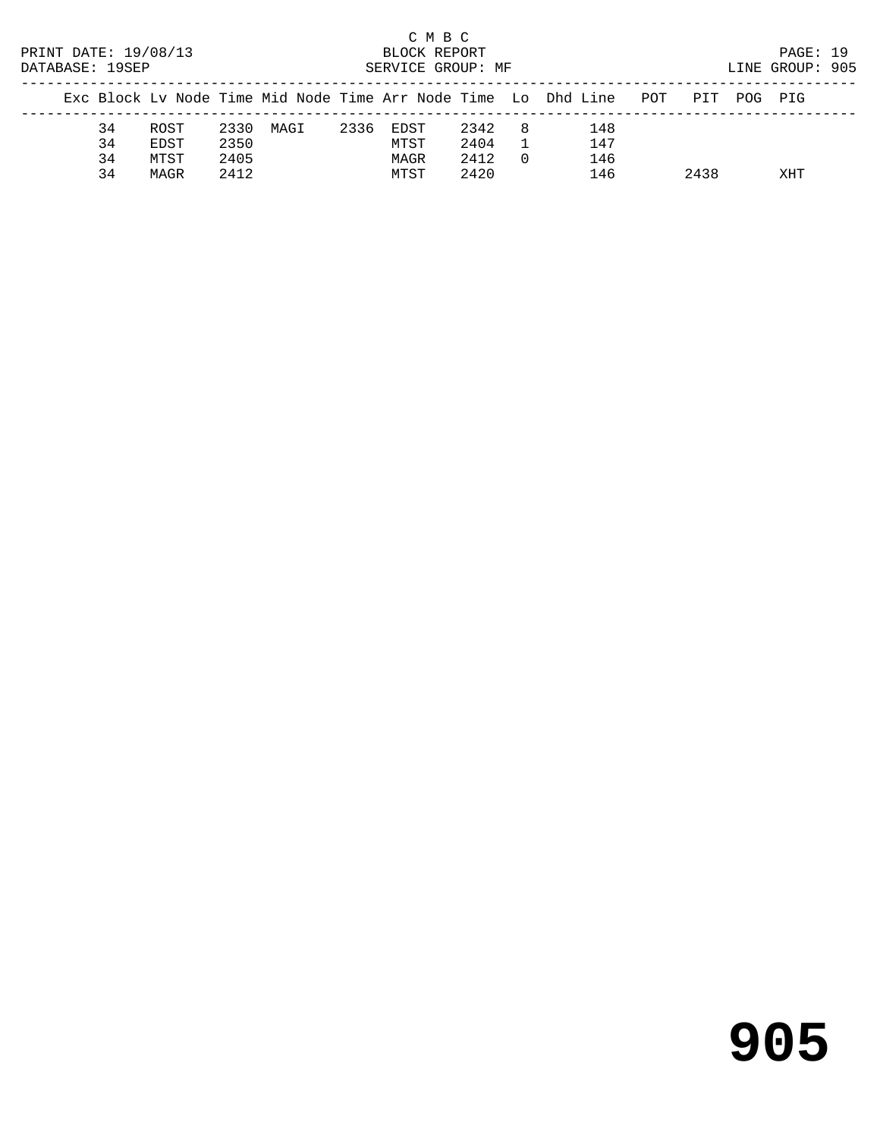| C M B C<br>PRINT DATE: 19/08/13<br>BLOCK REPORT<br>DATABASE: 19SEP<br>SERVICE GROUP: MF<br>Exc Block Lv Node Time Mid Node Time Arr Node Time Lo Dhd Line |    |      |      |      |      |      |      |          |     |     |      |     | PAGE: 19<br>LINE GROUP: 905 |  |
|-----------------------------------------------------------------------------------------------------------------------------------------------------------|----|------|------|------|------|------|------|----------|-----|-----|------|-----|-----------------------------|--|
|                                                                                                                                                           |    |      |      |      |      |      |      |          |     | POT | PTT  | POG | PTG                         |  |
|                                                                                                                                                           | 34 | ROST | 2330 | MAGI | 2336 | EDST | 2342 | - 8      | 148 |     |      |     |                             |  |
|                                                                                                                                                           | 34 | EDST | 2350 |      |      | MTST | 2404 |          | 147 |     |      |     |                             |  |
|                                                                                                                                                           | 34 | MTST | 2405 |      |      | MAGR | 2412 | $\Omega$ | 146 |     |      |     |                             |  |
|                                                                                                                                                           | 34 | MAGR | 2412 |      |      | MTST | 2420 |          | 146 |     | 2438 |     | XHT                         |  |

# **905**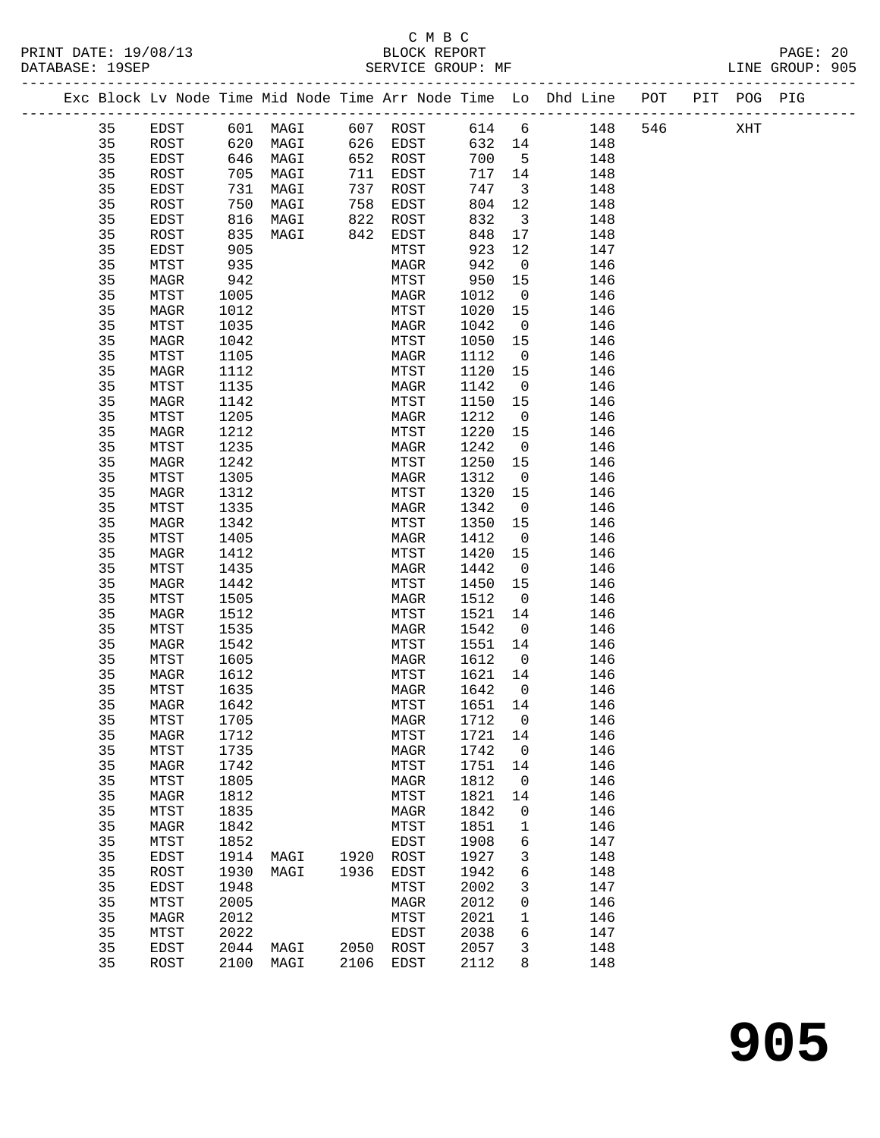### C M B C<br>BLOCK REPORT PRINT DATE: 19/08/13 BLOCK REPORT PAGE: 20 SERVICE GROUP: MF

|  |          |                      |              | Exc Block Lv Node Time Mid Node Time Arr Node Time Lo Dhd Line POT |      |              |      |                   |                          |     |            |     | PIT POG PIG |  |
|--|----------|----------------------|--------------|--------------------------------------------------------------------|------|--------------|------|-------------------|--------------------------|-----|------------|-----|-------------|--|
|  | 35       | EDST                 |              | 601 MAGI                                                           |      | 607 ROST     |      | 614 6             |                          | 148 |            | 546 | XHT         |  |
|  | 35       | ROST                 | 620          | MAGI                                                               |      | 626 EDST     |      | 632 14            |                          |     | 148        |     |             |  |
|  | 35       | EDST                 | 646          | MAGI                                                               |      | 652 ROST     |      | 700               | $5^{\circ}$              |     | 148        |     |             |  |
|  | 35       | ROST                 | 705          | MAGI                                                               | 711  | EDST         |      | 717 14            |                          |     | 148        |     |             |  |
|  | 35       | EDST                 | 731          | MAGI                                                               | 737  | ROST         |      | 747               | $\overline{\mathbf{3}}$  |     | 148        |     |             |  |
|  | 35       | ROST                 | 750          | MAGI                                                               | 758  | EDST         |      | 804               | 12                       |     | 148        |     |             |  |
|  | 35       | EDST                 | 816          | MAGI                                                               | 822  | ROST         |      | 832               | $\overline{\mathbf{3}}$  |     | 148        |     |             |  |
|  | 35       | ROST                 | 835          | MAGI                                                               | 842  | EDST         |      | 848               | 17                       |     | 148        |     |             |  |
|  | 35       | <b>EDST</b>          | 905          |                                                                    |      | MTST         |      | 923               | 12                       |     | 147        |     |             |  |
|  | 35       | MTST                 | 935          |                                                                    |      | MAGR         |      | 942               | $\overline{0}$           |     | 146        |     |             |  |
|  | 35       | MAGR                 | 942          |                                                                    |      | MTST         |      | 950               | 15                       |     | 146        |     |             |  |
|  | 35       | MTST                 | 1005         |                                                                    |      | MAGR         |      | 1012              | $\overline{0}$           |     | 146        |     |             |  |
|  | 35       | MAGR                 | 1012         |                                                                    |      | MTST         |      | 1020              | 15                       |     | 146        |     |             |  |
|  | 35       | MTST                 | 1035         |                                                                    |      | MAGR         |      | 1042              | $\overline{0}$           |     | 146        |     |             |  |
|  | 35<br>35 | MAGR                 | 1042         |                                                                    |      | MTST         |      | 1050              | 15<br>$\overline{0}$     |     | 146        |     |             |  |
|  | 35       | MTST<br>MAGR         | 1105<br>1112 |                                                                    |      | MAGR<br>MTST |      | 1112<br>1120      | 15                       |     | 146<br>146 |     |             |  |
|  | 35       | MTST                 | 1135         |                                                                    |      | MAGR         |      | 1142              | $\overline{\mathbf{0}}$  |     | 146        |     |             |  |
|  | 35       | MAGR                 | 1142         |                                                                    |      | MTST         |      | 1150              | 15                       |     | 146        |     |             |  |
|  | 35       | MTST                 | 1205         |                                                                    |      | MAGR         |      | 1212              | $\overline{0}$           |     | 146        |     |             |  |
|  | 35       | MAGR                 | 1212         |                                                                    |      | MTST         |      | 1220              | 15                       |     | 146        |     |             |  |
|  | 35       | MTST                 | 1235         |                                                                    |      | MAGR         |      | 1242              | $\overline{0}$           |     | 146        |     |             |  |
|  | 35       | MAGR                 | 1242         |                                                                    |      | MTST         |      | 1250              | 15                       |     | 146        |     |             |  |
|  | 35       | MTST                 | 1305         |                                                                    |      | MAGR         |      | 1312              | $\overline{0}$           |     | 146        |     |             |  |
|  | 35       | MAGR                 | 1312         |                                                                    |      | MTST         |      | 1320              | 15                       |     | 146        |     |             |  |
|  | 35       | MTST                 | 1335         |                                                                    |      | MAGR         |      | 1342              | $\overline{\mathbf{0}}$  |     | 146        |     |             |  |
|  | 35       | MAGR                 | 1342         |                                                                    |      | MTST         |      | 1350              | 15                       |     | 146        |     |             |  |
|  | 35       | MTST                 | 1405         |                                                                    |      | MAGR         |      | 1412              | $\overline{0}$           |     | 146        |     |             |  |
|  | 35       | MAGR                 | 1412         |                                                                    |      | MTST         |      | 1420              | 15                       |     | 146        |     |             |  |
|  | 35       | MTST                 | 1435         |                                                                    |      | MAGR         |      | 1442              | $\overline{\phantom{0}}$ |     | 146        |     |             |  |
|  | 35       | MAGR                 | 1442         |                                                                    |      | MTST         |      | 1450              | 15                       |     | 146        |     |             |  |
|  | 35       | MTST                 | 1505         |                                                                    |      | MAGR         |      | 1512              | $\overline{0}$           |     | 146        |     |             |  |
|  | 35       | MAGR                 | 1512         |                                                                    |      | MTST         |      | 1521              | 14                       |     | 146        |     |             |  |
|  | 35       | MTST                 | 1535         |                                                                    |      | MAGR         |      | 1542              | $\overline{0}$           |     | 146        |     |             |  |
|  | 35       | MAGR                 | 1542         |                                                                    |      | MTST         |      | 1551              | 14                       |     | 146        |     |             |  |
|  | 35       | MTST                 | 1605         |                                                                    |      | MAGR         |      | 1612              | $\overline{0}$           |     | 146        |     |             |  |
|  | 35       | MAGR                 | 1612         |                                                                    |      | MTST         |      | 1621              | 14                       |     | 146        |     |             |  |
|  | 35       | MTST                 | 1635         |                                                                    |      | MAGR         |      | 1642              | $\overline{0}$           |     | 146        |     |             |  |
|  | 35<br>35 | MAGR<br>${\tt MTST}$ | 1642<br>1705 |                                                                    |      | MTST         |      | 1651 14<br>1712 0 |                          |     | 146<br>146 |     |             |  |
|  | 35       | MAGR                 | 1712         |                                                                    |      | MTST         | MAGR | 1721              | 14                       |     | 146        |     |             |  |
|  | 35       | MTST                 | 1735         |                                                                    |      | MAGR         |      | 1742              | $\mathsf{O}$             |     | 146        |     |             |  |
|  | 35       | MAGR                 | 1742         |                                                                    |      | MTST         |      | 1751              | 14                       |     | 146        |     |             |  |
|  | 35       | MTST                 | 1805         |                                                                    |      | MAGR         |      | 1812              | 0                        |     | 146        |     |             |  |
|  | 35       | MAGR                 | 1812         |                                                                    |      | MTST         |      | 1821              | 14                       |     | 146        |     |             |  |
|  | 35       | MTST                 | 1835         |                                                                    |      | MAGR         |      | 1842              | 0                        |     | 146        |     |             |  |
|  | 35       | MAGR                 | 1842         |                                                                    |      | MTST         |      | 1851              | 1                        |     | 146        |     |             |  |
|  | 35       | MTST                 | 1852         |                                                                    |      | EDST         |      | 1908              | 6                        |     | 147        |     |             |  |
|  | 35       | EDST                 | 1914         | MAGI                                                               | 1920 | ROST         |      | 1927              | 3                        |     | 148        |     |             |  |
|  | 35       | ROST                 | 1930         | MAGI                                                               | 1936 | EDST         |      | 1942              | 6                        |     | 148        |     |             |  |
|  | 35       | EDST                 | 1948         |                                                                    |      | MTST         |      | 2002              | 3                        |     | 147        |     |             |  |
|  | 35       | MTST                 | 2005         |                                                                    |      | MAGR         |      | 2012              | 0                        |     | 146        |     |             |  |
|  | 35       | MAGR                 | 2012         |                                                                    |      | MTST         |      | 2021              | 1                        |     | 146        |     |             |  |
|  | 35       | MTST                 | 2022         |                                                                    |      | EDST         |      | 2038              | 6                        |     | 147        |     |             |  |
|  | 35       | EDST                 | 2044         | MAGI                                                               | 2050 | ROST         |      | 2057              | 3                        |     | 148        |     |             |  |
|  | 35       | ROST                 | 2100         | MAGI                                                               | 2106 | EDST         |      | 2112              | 8                        |     | 148        |     |             |  |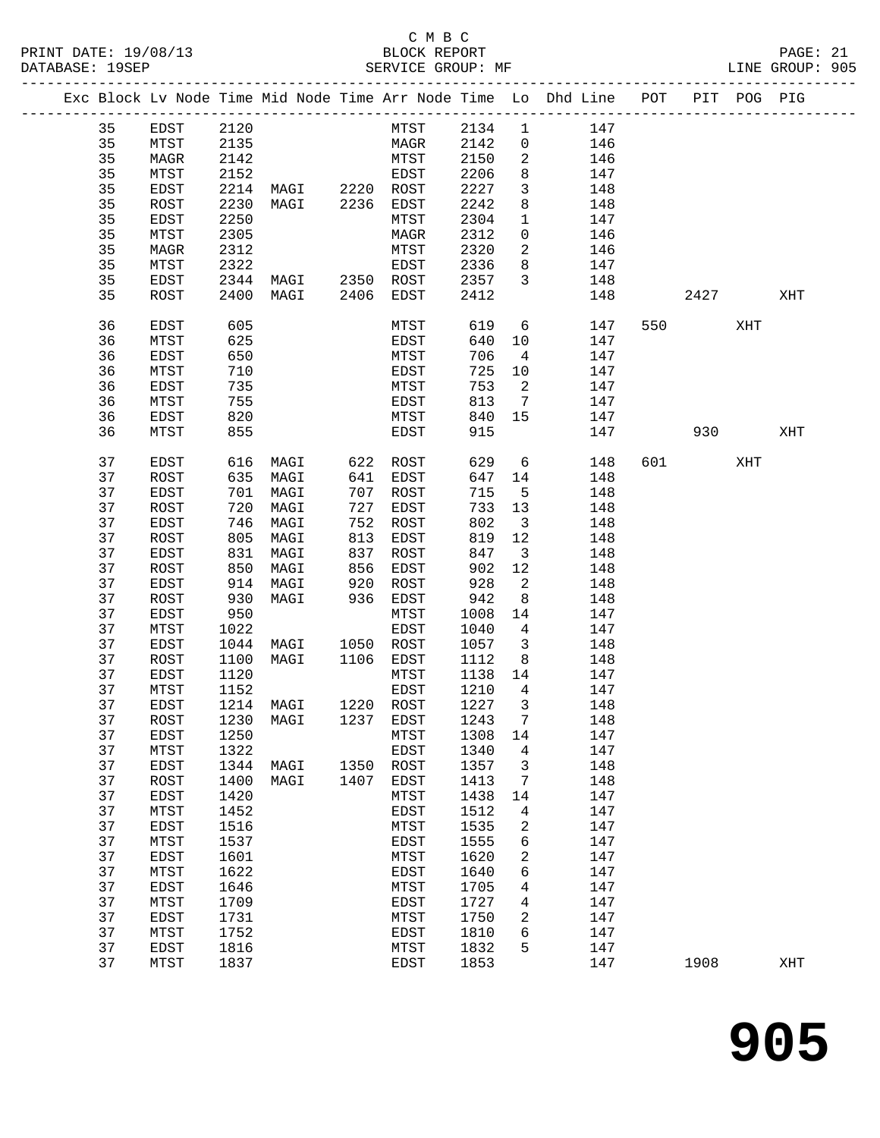## C M B C

| DATABASE: 19SEP |    |      |      | SERVICE GROUP: MF               |      |             |         |                            | LINE GROUP: 905                                                                |         |          |     |  |
|-----------------|----|------|------|---------------------------------|------|-------------|---------|----------------------------|--------------------------------------------------------------------------------|---------|----------|-----|--|
|                 |    |      |      |                                 |      |             |         |                            | Exc Block Lv Node Time Mid Node Time Arr Node Time Lo Dhd Line POT PIT POG PIG |         |          |     |  |
|                 | 35 | EDST | 2120 |                                 |      | MTST 2134 1 |         |                            | 147                                                                            |         |          |     |  |
|                 | 35 | MTST | 2135 |                                 |      | MAGR 2142   |         | $\overline{0}$             | 146                                                                            |         |          |     |  |
|                 | 35 | MAGR | 2142 |                                 |      | MTST        | 2150    | 2                          | 146                                                                            |         |          |     |  |
|                 | 35 | MTST | 2152 |                                 |      | EDST        | 2206    | 8                          | 147                                                                            |         |          |     |  |
|                 | 35 | EDST |      | 2214 MAGI 2220 ROST             |      |             | 2227    | $\mathbf{3}$               | 148                                                                            |         |          |     |  |
|                 | 35 | ROST | 2230 | MAGI 2236 EDST                  |      |             | 2242    | 8                          | 148                                                                            |         |          |     |  |
|                 | 35 | EDST | 2250 |                                 |      | MTST        | 2304    | $\mathbf{1}$               | 147                                                                            |         |          |     |  |
|                 | 35 | MTST | 2305 |                                 |      | MAGR        | 2312    | $\mathsf{O}$               | 146                                                                            |         |          |     |  |
|                 | 35 | MAGR | 2312 |                                 |      | MTST        | 2320    | $\overline{a}$             | 146                                                                            |         |          |     |  |
|                 | 35 | MTST | 2322 |                                 |      | EDST        | 2336    | 8                          | 147                                                                            |         |          |     |  |
|                 | 35 | EDST |      | 2344 MAGI 2350 ROST             |      |             | 2357    | $\mathbf{3}$               | 148                                                                            |         |          |     |  |
|                 | 35 | ROST | 2400 | MAGI 2406 EDST                  |      |             | 2412    |                            | 148                                                                            |         | 2427     | XHT |  |
|                 |    |      |      |                                 |      |             |         |                            |                                                                                |         |          |     |  |
|                 | 36 | EDST | 605  |                                 |      | MTST        | 619     | 6                          | 147                                                                            | 550 35  | XHT      |     |  |
|                 | 36 | MTST | 625  |                                 |      | EDST        | 640     | 10                         | 147                                                                            |         |          |     |  |
|                 | 36 | EDST | 650  |                                 |      | MTST        | 706     | $\overline{4}$             | 147                                                                            |         |          |     |  |
|                 | 36 | MTST | 710  |                                 |      | EDST        | 725     | 10                         | 147                                                                            |         |          |     |  |
|                 | 36 | EDST | 735  |                                 |      | MTST        | 753     | $\overline{\phantom{a}}^2$ | 147                                                                            |         |          |     |  |
|                 | 36 | MTST | 755  |                                 |      | EDST        | 813     | $\overline{7}$             | 147                                                                            |         |          |     |  |
|                 | 36 | EDST | 820  |                                 |      | MTST        | 840     | 15                         | 147                                                                            |         |          |     |  |
|                 | 36 | MTST | 855  |                                 |      | EDST        | 915     |                            | 147                                                                            |         | 930 — 10 | XHT |  |
|                 | 37 | EDST | 616  | MAGI                            |      | 622 ROST    | 629     | 6                          | 148                                                                            | 601 000 | XHT      |     |  |
|                 | 37 | ROST | 635  | MAGI                            |      | 641 EDST    | 647     | 14                         | 148                                                                            |         |          |     |  |
|                 | 37 | EDST | 701  | MAGI                            |      | 707 ROST    | 715     | $5^{\circ}$                | 148                                                                            |         |          |     |  |
|                 | 37 | ROST | 720  | MAGI                            | 727  | EDST        | 733     | 13                         | 148                                                                            |         |          |     |  |
|                 | 37 | EDST | 746  | MAGI                            | 752  | ROST        | 802     | $\overline{\mathbf{3}}$    | 148                                                                            |         |          |     |  |
|                 | 37 | ROST | 805  | MAGI                            | 813  | EDST        | 819     | 12                         | 148                                                                            |         |          |     |  |
|                 | 37 | EDST | 831  | MAGI                            | 837  | ROST        | 847     | $\overline{\mathbf{3}}$    | 148                                                                            |         |          |     |  |
|                 | 37 | ROST | 850  | MAGI                            | 856  | EDST        | 902     | 12                         | 148                                                                            |         |          |     |  |
|                 | 37 | EDST | 914  | MAGI                            | 920  | ROST        | 928     | $\overline{2}$             | 148                                                                            |         |          |     |  |
|                 | 37 | ROST | 930  | MAGI                            | 936  | EDST        | 942     | 8                          | 148                                                                            |         |          |     |  |
|                 | 37 | EDST | 950  |                                 |      | MTST        | 1008    | 14                         | 147                                                                            |         |          |     |  |
|                 | 37 | MTST | 1022 |                                 |      | EDST        | 1040    | $\overline{4}$             | 147                                                                            |         |          |     |  |
|                 | 37 | EDST | 1044 | MAGI 1050 ROST                  |      |             | 1057    | $\overline{\mathbf{3}}$    | 148                                                                            |         |          |     |  |
|                 | 37 | ROST | 1100 | MAGI 1106                       |      | EDST        | 1112    | 8 <sup>8</sup>             | 148                                                                            |         |          |     |  |
|                 | 37 | EDST | 1120 |                                 |      | MTST        | 1138 14 |                            | 147                                                                            |         |          |     |  |
|                 | 37 | MTST | 1152 |                                 |      | EDST        | 1210    | $\overline{4}$             | 147                                                                            |         |          |     |  |
|                 | 37 |      |      | EDST 1214 MAGI 1220 ROST 1227 3 |      |             |         |                            | 148                                                                            |         |          |     |  |
|                 | 37 | ROST | 1230 | MAGI                            | 1237 | EDST        | 1243    | 7                          | 148                                                                            |         |          |     |  |
|                 | 37 | EDST | 1250 |                                 |      | MTST        | 1308    | 14                         | 147                                                                            |         |          |     |  |
|                 | 37 | MTST | 1322 |                                 |      | EDST        | 1340    | 4                          | 147                                                                            |         |          |     |  |
|                 | 37 | EDST | 1344 | MAGI                            | 1350 | ROST        | 1357    | 3                          | 148                                                                            |         |          |     |  |
|                 | 37 | ROST | 1400 | MAGI                            | 1407 | EDST        | 1413    | 7                          | 148                                                                            |         |          |     |  |
|                 | 37 | EDST | 1420 |                                 |      | MTST        | 1438    | 14                         | 147                                                                            |         |          |     |  |
|                 |    |      |      |                                 |      |             |         |                            |                                                                                |         |          |     |  |
|                 | 37 | MTST | 1452 |                                 |      | EDST        | 1512    | 4                          | 147                                                                            |         |          |     |  |
|                 | 37 | EDST | 1516 |                                 |      | MTST        | 1535    | 2                          | 147                                                                            |         |          |     |  |
|                 | 37 | MTST | 1537 |                                 |      | EDST        | 1555    | 6                          | 147                                                                            |         |          |     |  |
|                 | 37 | EDST | 1601 |                                 |      | MTST        | 1620    | 2                          | 147                                                                            |         |          |     |  |
|                 | 37 | MTST | 1622 |                                 |      | EDST        | 1640    | 6                          | 147                                                                            |         |          |     |  |
|                 | 37 | EDST | 1646 |                                 |      | MTST        | 1705    | 4                          | 147                                                                            |         |          |     |  |
|                 | 37 | MTST | 1709 |                                 |      | EDST        | 1727    | 4                          | 147                                                                            |         |          |     |  |
|                 | 37 | EDST | 1731 |                                 |      | MTST        | 1750    | 2                          | 147                                                                            |         |          |     |  |
|                 | 37 | MTST | 1752 |                                 |      | EDST        | 1810    | 6                          | 147                                                                            |         |          |     |  |
|                 | 37 | EDST | 1816 |                                 |      | MTST        | 1832    | 5                          | 147                                                                            |         |          |     |  |
|                 | 37 | MTST | 1837 |                                 |      | EDST        | 1853    |                            | 147                                                                            | 1908    |          | XHT |  |

**905**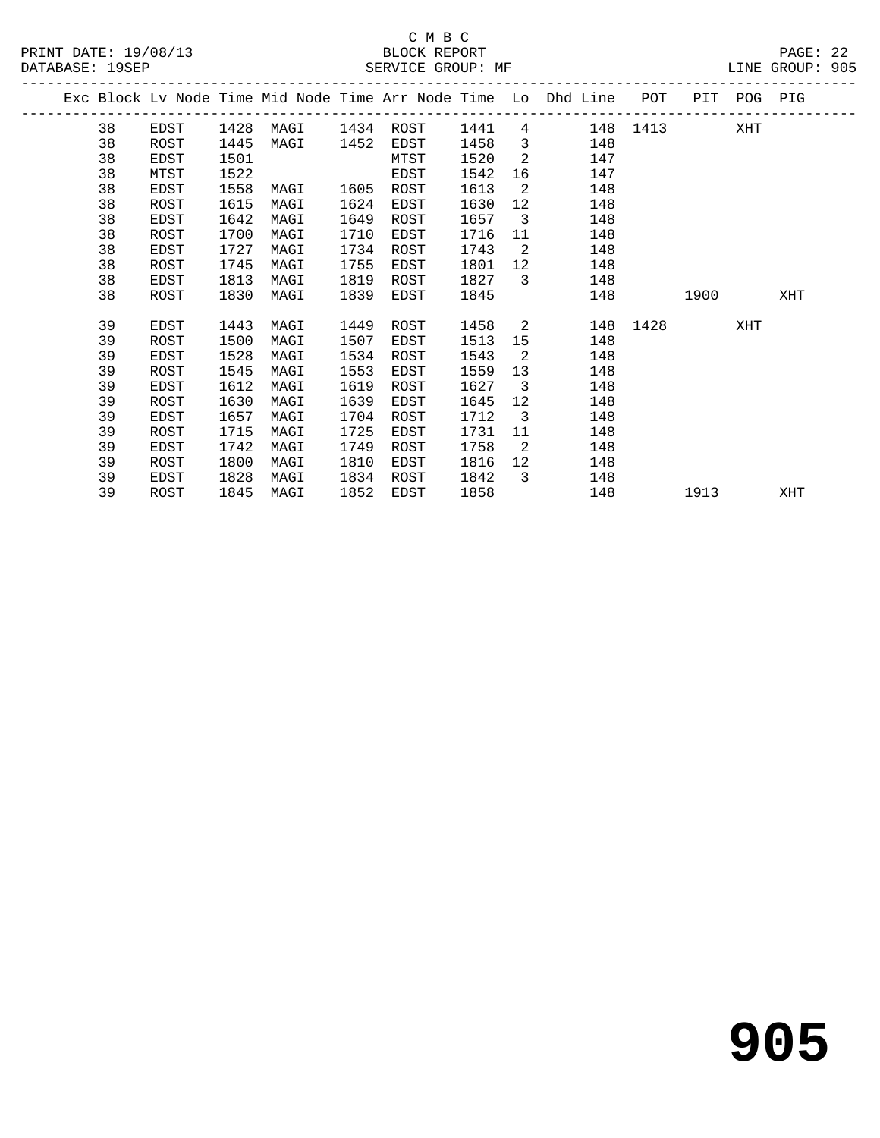PRINT DATE: 19/08/13 BLOCK REPORT<br>DATABASE: 19SEP BATABASE: 1982

## C M B C<br>BLOCK REPORT

PAGE: 22<br>LINE GROUP: 905

|  | patapaput tiont |             |      |      |      | DELATOE GIVOLI HE |      |                         |                                                                                |      |      |     |     |
|--|-----------------|-------------|------|------|------|-------------------|------|-------------------------|--------------------------------------------------------------------------------|------|------|-----|-----|
|  |                 |             |      |      |      |                   |      |                         | Exc Block Lv Node Time Mid Node Time Arr Node Time Lo Dhd Line POT PIT POG PIG |      |      |     |     |
|  | 38              | EDST        | 1428 |      |      |                   |      |                         | MAGI 1434 ROST 1441 4 148 1413                                                 |      |      | XHT |     |
|  | 38              | ROST        | 1445 | MAGI | 1452 | EDST              | 1458 | $\overline{\mathbf{3}}$ | 148                                                                            |      |      |     |     |
|  | 38              | EDST        | 1501 |      |      | MTST              | 1520 | $\overline{2}$          | 147                                                                            |      |      |     |     |
|  | 38              | MTST        | 1522 |      |      | EDST              | 1542 | 16                      | 147                                                                            |      |      |     |     |
|  | 38              | EDST        | 1558 | MAGI | 1605 | ROST              | 1613 | 2                       | 148                                                                            |      |      |     |     |
|  | 38              | ROST        | 1615 | MAGI | 1624 | EDST              | 1630 | 12                      | 148                                                                            |      |      |     |     |
|  | 38              | EDST        | 1642 | MAGI | 1649 | ROST              | 1657 | $\overline{\mathbf{3}}$ | 148                                                                            |      |      |     |     |
|  | 38              | ROST        | 1700 | MAGI | 1710 | EDST              | 1716 | 11                      | 148                                                                            |      |      |     |     |
|  | 38              | EDST        | 1727 | MAGI | 1734 | ROST              | 1743 | $\overline{2}$          | 148                                                                            |      |      |     |     |
|  | 38              | ROST        | 1745 | MAGI | 1755 | EDST              | 1801 | 12                      | 148                                                                            |      |      |     |     |
|  | 38              | EDST        | 1813 | MAGI | 1819 | ROST              | 1827 | $\overline{3}$          | 148                                                                            |      |      |     |     |
|  | 38              | ROST        | 1830 | MAGI | 1839 | EDST              | 1845 |                         | 148                                                                            |      | 1900 |     | XHT |
|  | 39              | EDST        | 1443 | MAGI | 1449 | ROST              | 1458 | 2                       | 148                                                                            | 1428 |      | XHT |     |
|  | 39              | ROST        | 1500 | MAGI | 1507 | EDST              | 1513 | 15                      | 148                                                                            |      |      |     |     |
|  | 39              | EDST        | 1528 | MAGI | 1534 | ROST              | 1543 | $\overline{2}$          | 148                                                                            |      |      |     |     |
|  | 39              | ROST        | 1545 | MAGI | 1553 | EDST              | 1559 | 13                      | 148                                                                            |      |      |     |     |
|  | 39              | EDST        | 1612 | MAGI | 1619 | ROST              | 1627 | $\overline{\mathbf{3}}$ | 148                                                                            |      |      |     |     |
|  | 39              | ROST        | 1630 | MAGI | 1639 | EDST              | 1645 | 12                      | 148                                                                            |      |      |     |     |
|  | 39              | <b>EDST</b> | 1657 | MAGI | 1704 | ROST              | 1712 | $\overline{\mathbf{3}}$ | 148                                                                            |      |      |     |     |
|  | 39              | ROST        | 1715 | MAGI | 1725 | EDST              | 1731 | 11                      | 148                                                                            |      |      |     |     |
|  | 39              | EDST        | 1742 | MAGI | 1749 | ROST              | 1758 | 2                       | 148                                                                            |      |      |     |     |
|  | 39              | ROST        | 1800 | MAGI | 1810 | EDST              | 1816 | 12 <sup>°</sup>         | 148                                                                            |      |      |     |     |
|  | 39              | EDST        | 1828 | MAGI | 1834 | ROST              | 1842 | $\overline{3}$          | 148                                                                            |      |      |     |     |
|  | 39              | ROST        | 1845 | MAGI | 1852 | EDST              | 1858 |                         | 148                                                                            |      | 1913 |     | XHT |
|  |                 |             |      |      |      |                   |      |                         |                                                                                |      |      |     |     |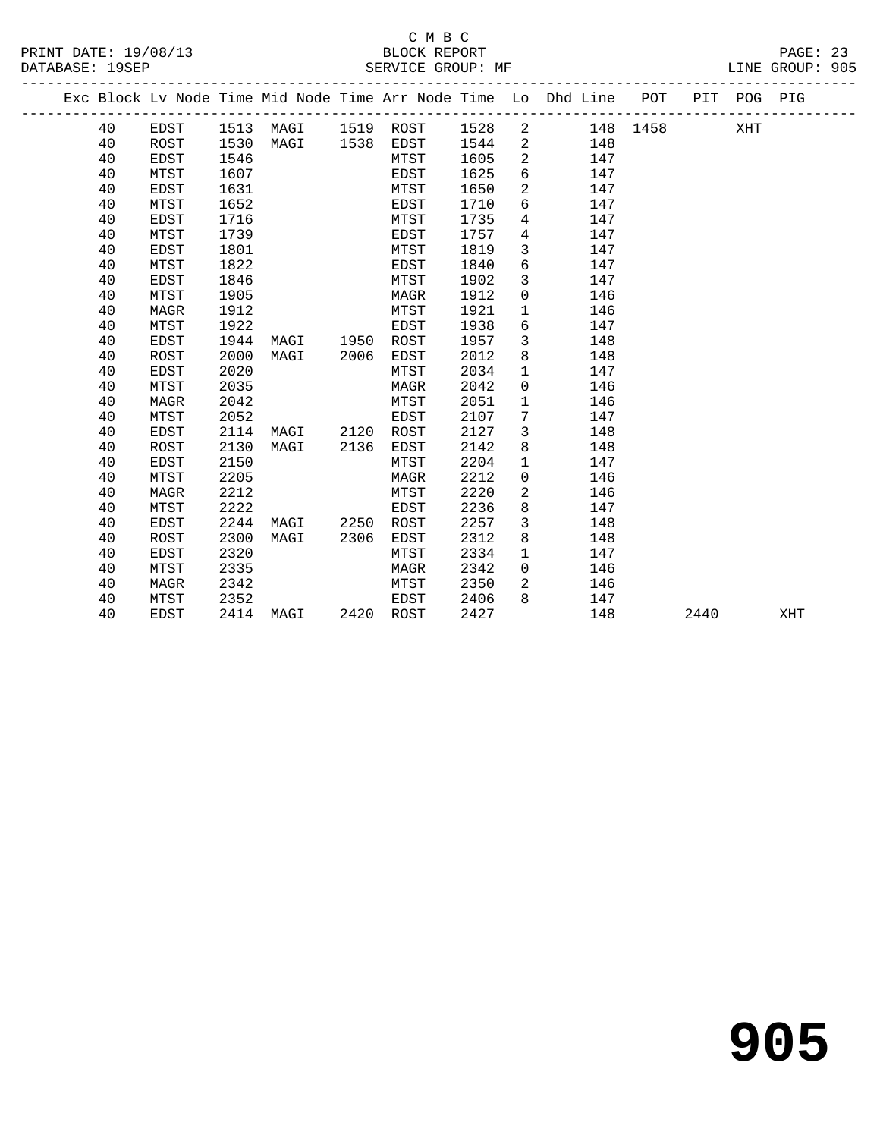|  |    |             |      |      |      |      |      |              | Exc Block Lv Node Time Mid Node Time Arr Node Time Lo Dhd Line POT |          |      | PIT POG PIG |     |  |
|--|----|-------------|------|------|------|------|------|--------------|--------------------------------------------------------------------|----------|------|-------------|-----|--|
|  | 40 | EDST        | 1513 | MAGI | 1519 | ROST | 1528 | 2            |                                                                    | 148 1458 |      | XHT         |     |  |
|  | 40 | ROST        | 1530 | MAGI | 1538 | EDST | 1544 | 2            | 148                                                                |          |      |             |     |  |
|  | 40 | <b>EDST</b> | 1546 |      |      | MTST | 1605 | 2            | 147                                                                |          |      |             |     |  |
|  | 40 | MTST        | 1607 |      |      | EDST | 1625 | 6            | 147                                                                |          |      |             |     |  |
|  | 40 | <b>EDST</b> | 1631 |      |      | MTST | 1650 | 2            | 147                                                                |          |      |             |     |  |
|  | 40 | MTST        | 1652 |      |      | EDST | 1710 | 6            | 147                                                                |          |      |             |     |  |
|  | 40 | EDST        | 1716 |      |      | MTST | 1735 | 4            | 147                                                                |          |      |             |     |  |
|  | 40 | MTST        | 1739 |      |      | EDST | 1757 | 4            | 147                                                                |          |      |             |     |  |
|  | 40 | <b>EDST</b> | 1801 |      |      | MTST | 1819 | 3            | 147                                                                |          |      |             |     |  |
|  | 40 | MTST        | 1822 |      |      | EDST | 1840 | 6            | 147                                                                |          |      |             |     |  |
|  | 40 | <b>EDST</b> | 1846 |      |      | MTST | 1902 | 3            | 147                                                                |          |      |             |     |  |
|  | 40 | MTST        | 1905 |      |      | MAGR | 1912 | $\mathbf 0$  | 146                                                                |          |      |             |     |  |
|  | 40 | MAGR        | 1912 |      |      | MTST | 1921 | 1            | 146                                                                |          |      |             |     |  |
|  | 40 | MTST        | 1922 |      |      | EDST | 1938 | 6            | 147                                                                |          |      |             |     |  |
|  | 40 | EDST        | 1944 | MAGI | 1950 | ROST | 1957 | 3            | 148                                                                |          |      |             |     |  |
|  | 40 | <b>ROST</b> | 2000 | MAGI | 2006 | EDST | 2012 | 8            | 148                                                                |          |      |             |     |  |
|  | 40 | <b>EDST</b> | 2020 |      |      | MTST | 2034 | $\mathbf 1$  | 147                                                                |          |      |             |     |  |
|  | 40 | MTST        | 2035 |      |      | MAGR | 2042 | 0            | 146                                                                |          |      |             |     |  |
|  | 40 | <b>MAGR</b> | 2042 |      |      | MTST | 2051 | $\mathbf{1}$ | 146                                                                |          |      |             |     |  |
|  | 40 | MTST        | 2052 |      |      | EDST | 2107 | 7            | 147                                                                |          |      |             |     |  |
|  | 40 | <b>EDST</b> | 2114 | MAGI | 2120 | ROST | 2127 | 3            | 148                                                                |          |      |             |     |  |
|  | 40 | ROST        | 2130 | MAGI | 2136 | EDST | 2142 | 8            | 148                                                                |          |      |             |     |  |
|  | 40 | <b>EDST</b> | 2150 |      |      | MTST | 2204 | $\mathbf{1}$ | 147                                                                |          |      |             |     |  |
|  | 40 | MTST        | 2205 |      |      | MAGR | 2212 | $\mathbf 0$  | 146                                                                |          |      |             |     |  |
|  | 40 | <b>MAGR</b> | 2212 |      |      | MTST | 2220 | 2            | 146                                                                |          |      |             |     |  |
|  | 40 | MTST        | 2222 |      |      | EDST | 2236 | 8            | 147                                                                |          |      |             |     |  |
|  | 40 | <b>EDST</b> | 2244 | MAGI | 2250 | ROST | 2257 | 3            | 148                                                                |          |      |             |     |  |
|  | 40 | ROST        | 2300 | MAGI | 2306 | EDST | 2312 | 8            | 148                                                                |          |      |             |     |  |
|  | 40 | EDST        | 2320 |      |      | MTST | 2334 | $\mathbf 1$  | 147                                                                |          |      |             |     |  |
|  | 40 | MTST        | 2335 |      |      | MAGR | 2342 | $\mathbf 0$  | 146                                                                |          |      |             |     |  |
|  | 40 | MAGR        | 2342 |      |      | MTST | 2350 | 2            | 146                                                                |          |      |             |     |  |
|  | 40 | MTST        | 2352 |      |      | EDST | 2406 | 8            | 147                                                                |          |      |             |     |  |
|  | 40 | <b>EDST</b> | 2414 | MAGI | 2420 | ROST | 2427 |              | 148                                                                |          | 2440 |             | XHT |  |
|  |    |             |      |      |      |      |      |              |                                                                    |          |      |             |     |  |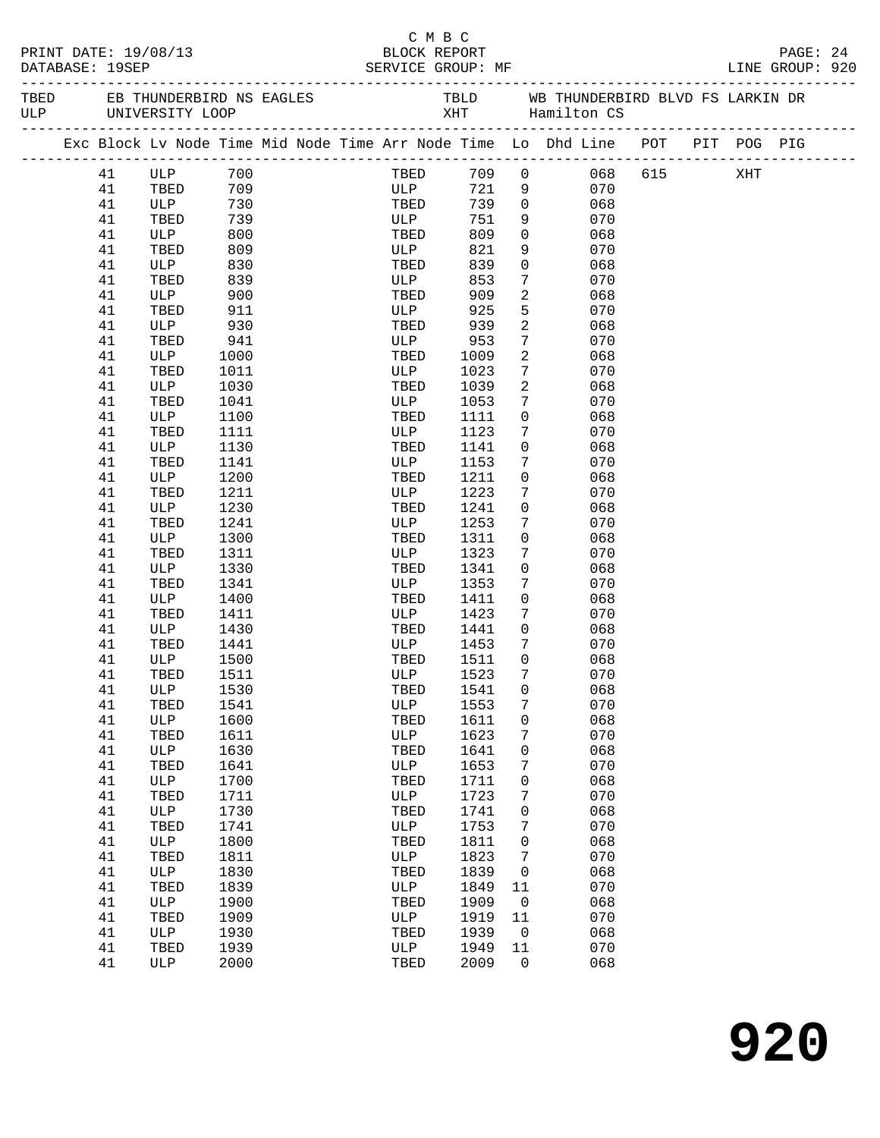|                 |          |                      |            |  | C M B C      |      |                         |                                                                                |  |          |  |
|-----------------|----------|----------------------|------------|--|--------------|------|-------------------------|--------------------------------------------------------------------------------|--|----------|--|
|                 |          | PRINT DATE: 19/08/13 |            |  | BLOCK REPORT |      |                         |                                                                                |  | PAGE: 24 |  |
| DATABASE: 19SEP |          |                      |            |  |              |      |                         |                                                                                |  |          |  |
|                 |          |                      |            |  |              |      |                         |                                                                                |  |          |  |
|                 |          |                      |            |  |              |      |                         |                                                                                |  |          |  |
|                 |          |                      |            |  |              |      |                         | Exc Block Lv Node Time Mid Node Time Arr Node Time Lo Dhd Line POT PIT POG PIG |  |          |  |
|                 |          |                      |            |  |              |      |                         |                                                                                |  |          |  |
|                 |          | 41 ULP 700           |            |  |              |      |                         | TBED 709 0 068 615 XHT                                                         |  |          |  |
|                 | 41       | TBED 709             |            |  | ULP          | 739  |                         | 721 9<br>070                                                                   |  |          |  |
|                 | 41<br>41 | ULP<br>TBED          | 730<br>739 |  | TBED<br>ULP  | 751  | $\overline{0}$<br>9     | 068<br>070                                                                     |  |          |  |
|                 | 41       | ULP                  | 800        |  | TBED         | 809  | $\overline{0}$          | 068                                                                            |  |          |  |
|                 | 41       | TBED                 | 809        |  | ULP          | 821  | 9                       | 070                                                                            |  |          |  |
|                 | 41       | ULP                  | 830        |  | TBED         | 839  | $\overline{0}$          | 068                                                                            |  |          |  |
|                 | 41       | TBED                 | 839        |  | ULP          | 853  | $7\phantom{.}$          | 070                                                                            |  |          |  |
|                 | 41       | ULP                  | 900        |  | TBED         | 909  | $\overline{a}$          | 068                                                                            |  |          |  |
|                 | 41       | TBED                 | 911        |  | ULP          | 925  | 5                       | 070                                                                            |  |          |  |
|                 | 41       | ULP                  | 930        |  | TBED         | 939  | $\overline{a}$          | 068                                                                            |  |          |  |
|                 | 41       | TBED                 | 941        |  | ULP          | 953  | $7\overline{ }$         | 070                                                                            |  |          |  |
|                 | 41       | ULP                  | 1000       |  | TBED         | 1009 | 2                       | 068                                                                            |  |          |  |
|                 | 41       | TBED                 | 1011       |  | ULP          | 1023 | $7\overline{ }$         | 070                                                                            |  |          |  |
|                 | 41       | ULP                  | 1030       |  | TBED         | 1039 | $\overline{2}$          | 068                                                                            |  |          |  |
|                 | 41       | TBED                 | 1041       |  | ULP          | 1053 | $7\phantom{.0}$         | 070                                                                            |  |          |  |
|                 | 41       | ULP                  | 1100       |  | TBED         | 1111 | $\overline{0}$          | 068                                                                            |  |          |  |
|                 | 41       | TBED                 | 1111       |  | ULP          | 1123 | $7\phantom{.}$          | 070                                                                            |  |          |  |
|                 | 41       | ULP                  | 1130       |  | TBED         | 1141 | 0                       | 068                                                                            |  |          |  |
|                 | 41       | TBED                 | 1141       |  | ULP          | 1153 | $7\phantom{.0}$         | 070                                                                            |  |          |  |
|                 | 41       | ULP                  | 1200       |  | TBED         | 1211 | $\mathsf{O}$            | 068                                                                            |  |          |  |
|                 | 41       | TBED                 | 1211       |  | ULP          | 1223 | $7\phantom{.}$          | 070                                                                            |  |          |  |
|                 | 41       | ULP                  | 1230       |  | TBED         | 1241 | 0                       | 068                                                                            |  |          |  |
|                 | 41       | TBED                 | 1241       |  | ULP          | 1253 | $7\phantom{.0}$         | 070                                                                            |  |          |  |
|                 | 41       | ULP                  | 1300       |  | TBED         | 1311 | $\overline{0}$          | 068                                                                            |  |          |  |
|                 | 41       | TBED                 | 1311       |  | ULP          | 1323 | $7\phantom{.}$          | 070                                                                            |  |          |  |
|                 | 41       | ULP                  | 1330       |  | TBED         | 1341 | $\mathbf{0}$            | 068                                                                            |  |          |  |
|                 | 41       | TBED                 | 1341       |  | ULP          | 1353 | 7                       | 070                                                                            |  |          |  |
|                 | 41       | ULP                  | 1400       |  | TBED         | 1411 | $\overline{0}$          | 068                                                                            |  |          |  |
|                 | 41       | TBED                 | 1411       |  | ULP          | 1423 | $7\phantom{.0}$         | 070                                                                            |  |          |  |
|                 | 41       | ULP                  | 1430       |  | TBED         | 1441 | $\overline{0}$          | 068                                                                            |  |          |  |
|                 | 41       | TBED                 | 1441       |  | ULP          | 1453 | 7                       | 070                                                                            |  |          |  |
|                 | 41       | ULP                  | 1500       |  | TBED         | 1511 | $\overline{0}$          | 068                                                                            |  |          |  |
|                 | 41       | TBED 1511            |            |  | ULP 1523 7   |      |                         | 070                                                                            |  |          |  |
|                 | 41       | ULP                  | 1530       |  | TBED         | 1541 | 0                       | 068                                                                            |  |          |  |
|                 | 41       | TBED                 | 1541       |  | ULP          | 1553 | 7                       | 070                                                                            |  |          |  |
|                 | 41       | ULP                  | 1600       |  | TBED         | 1611 | 0                       | 068                                                                            |  |          |  |
|                 | 41       | TBED                 | 1611       |  | ULP          | 1623 | 7                       | 070                                                                            |  |          |  |
|                 | 41       | ULP                  | 1630       |  | TBED         | 1641 | 0                       | 068                                                                            |  |          |  |
|                 | 41       | TBED                 | 1641       |  | ULP          | 1653 | 7                       | 070                                                                            |  |          |  |
|                 | 41       | ULP                  | 1700       |  | TBED         | 1711 | 0                       | 068                                                                            |  |          |  |
|                 | 41       | TBED                 | 1711       |  | ULP          | 1723 | 7                       | 070                                                                            |  |          |  |
|                 | 41       | ULP                  | 1730       |  | TBED         | 1741 | 0                       | 068                                                                            |  |          |  |
|                 | 41       | TBED                 | 1741       |  | ULP          | 1753 | 7                       | 070                                                                            |  |          |  |
|                 | 41       | ULP                  | 1800       |  | TBED         | 1811 | 0                       | 068                                                                            |  |          |  |
|                 | 41       | TBED                 | 1811       |  | ULP          | 1823 | 7                       | 070                                                                            |  |          |  |
|                 | 41       | ULP                  | 1830       |  | TBED         | 1839 | 0                       | 068                                                                            |  |          |  |
|                 | 41       | TBED                 | 1839       |  | ULP          | 1849 | 11                      | 070                                                                            |  |          |  |
|                 | 41       | ULP                  | 1900       |  | TBED         | 1909 | $\overline{0}$          | 068                                                                            |  |          |  |
|                 | 41       | TBED                 | 1909       |  | ULP          | 1919 | 11                      | 070                                                                            |  |          |  |
|                 | 41       | ULP                  | 1930       |  | TBED         | 1939 | $\overline{\mathbf{0}}$ | 068                                                                            |  |          |  |
|                 | 41       | TBED                 | 1939       |  | ULP          | 1949 | 11                      | 070                                                                            |  |          |  |
|                 | 41       | ULP                  | 2000       |  | TBED         | 2009 | $\overline{0}$          | 068                                                                            |  |          |  |
|                 |          |                      |            |  |              |      |                         |                                                                                |  |          |  |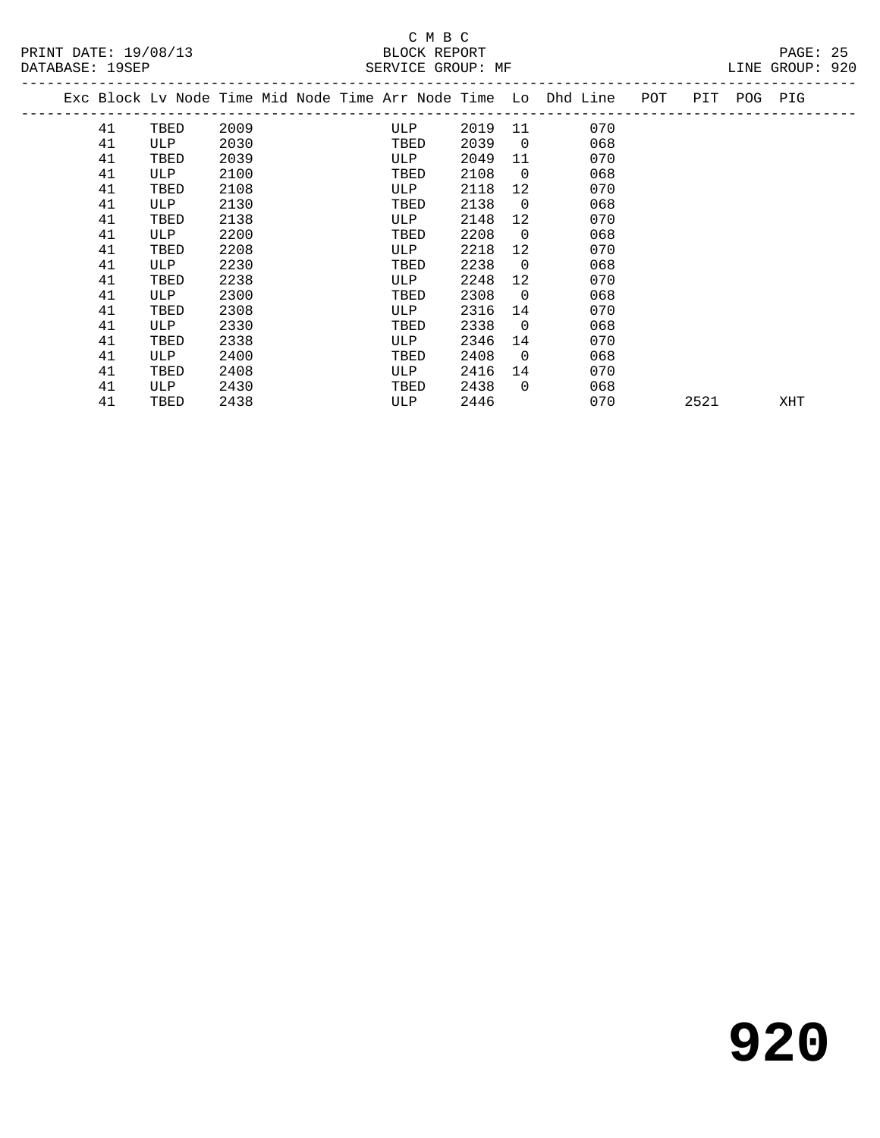|    |      |      |  |      |      |                | Exc Block Lv Node Time Mid Node Time Arr Node Time Lo Dhd Line | POT | PIT  | POG PIG |     |  |
|----|------|------|--|------|------|----------------|----------------------------------------------------------------|-----|------|---------|-----|--|
| 41 | TBED | 2009 |  | ULP  | 2019 | 11             | 070                                                            |     |      |         |     |  |
| 41 | ULP  | 2030 |  | TBED | 2039 | $\overline{0}$ | 068                                                            |     |      |         |     |  |
| 41 | TBED | 2039 |  | ULP  | 2049 | 11             | 070                                                            |     |      |         |     |  |
| 41 | ULP  | 2100 |  | TBED | 2108 | $\overline{0}$ | 068                                                            |     |      |         |     |  |
| 41 | TBED | 2108 |  | ULP  | 2118 | 12             | 070                                                            |     |      |         |     |  |
| 41 | ULP  | 2130 |  | TBED | 2138 | $\overline{0}$ | 068                                                            |     |      |         |     |  |
| 41 | TBED | 2138 |  | ULP  | 2148 | 12             | 070                                                            |     |      |         |     |  |
| 41 | ULP  | 2200 |  | TBED | 2208 | $\overline{0}$ | 068                                                            |     |      |         |     |  |
| 41 | TBED | 2208 |  | ULP  | 2218 | 12             | 070                                                            |     |      |         |     |  |
| 41 | ULP  | 2230 |  | TBED | 2238 | $\overline{0}$ | 068                                                            |     |      |         |     |  |
| 41 | TBED | 2238 |  | ULP  | 2248 | 12             | 070                                                            |     |      |         |     |  |
| 41 | ULP  | 2300 |  | TBED | 2308 | $\overline{0}$ | 068                                                            |     |      |         |     |  |
| 41 | TBED | 2308 |  | ULP  | 2316 | 14             | 070                                                            |     |      |         |     |  |
| 41 | ULP  | 2330 |  | TBED | 2338 | $\Omega$       | 068                                                            |     |      |         |     |  |
| 41 | TBED | 2338 |  | ULP  | 2346 | 14             | 070                                                            |     |      |         |     |  |
| 41 | ULP  | 2400 |  | TBED | 2408 | $\Omega$       | 068                                                            |     |      |         |     |  |
| 41 | TBED | 2408 |  | ULP  | 2416 | 14             | 070                                                            |     |      |         |     |  |
| 41 | ULP  | 2430 |  | TBED | 2438 | $\Omega$       | 068                                                            |     |      |         |     |  |
| 41 | TBED | 2438 |  | ULP  | 2446 |                | 070                                                            |     | 2521 |         | XHT |  |
|    |      |      |  |      |      |                |                                                                |     |      |         |     |  |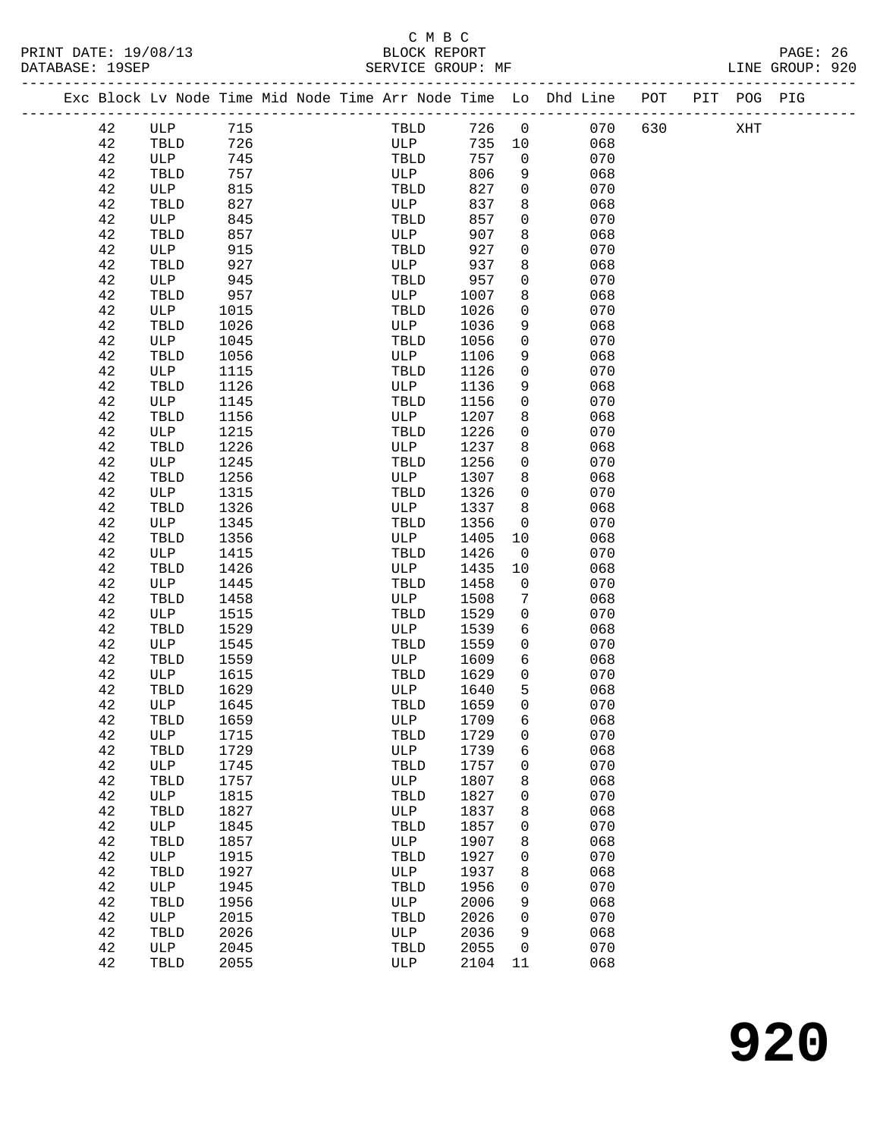### C M B C<br>BLOCK REPORT SERVICE GROUP: MF

-------------------------------------------------------------------------------------------------

|  |          |              |      |  |      |      |              | Exc Block Lv Node Time Mid Node Time Arr Node Time Lo Dhd Line | POT | PIT | POG PIG |  |
|--|----------|--------------|------|--|------|------|--------------|----------------------------------------------------------------|-----|-----|---------|--|
|  | 42       | ULP          | 715  |  | TBLD | 726  | $\mathsf{O}$ | 070                                                            | 630 |     | XHT     |  |
|  | 42       | TBLD         | 726  |  | ULP  | 735  | 10           | 068                                                            |     |     |         |  |
|  | 42       | ULP          | 745  |  | TBLD | 757  | 0            | 070                                                            |     |     |         |  |
|  | 42       | TBLD         | 757  |  | ULP  | 806  | 9            | 068                                                            |     |     |         |  |
|  | 42       | ULP          | 815  |  | TBLD | 827  | 0            | 070                                                            |     |     |         |  |
|  | 42       | TBLD         | 827  |  | ULP  | 837  | 8            | 068                                                            |     |     |         |  |
|  | 42       | ULP          | 845  |  | TBLD | 857  | 0            | 070                                                            |     |     |         |  |
|  | 42       | TBLD         | 857  |  | ULP  | 907  | 8            | 068                                                            |     |     |         |  |
|  | 42       | ULP          | 915  |  | TBLD | 927  | 0            | 070                                                            |     |     |         |  |
|  | 42       | TBLD         | 927  |  | ULP  | 937  | 8            | 068                                                            |     |     |         |  |
|  | 42       | ULP          | 945  |  | TBLD | 957  | 0            | 070                                                            |     |     |         |  |
|  | 42       | TBLD         | 957  |  | ULP  | 1007 | 8            | 068                                                            |     |     |         |  |
|  | 42       | ULP          | 1015 |  | TBLD | 1026 | 0            | 070                                                            |     |     |         |  |
|  | 42       | TBLD         | 1026 |  | ULP  | 1036 | 9            | 068                                                            |     |     |         |  |
|  | 42       | ULP          | 1045 |  | TBLD | 1056 | 0            | 070                                                            |     |     |         |  |
|  | 42       | TBLD         | 1056 |  | ULP  | 1106 | 9            | 068                                                            |     |     |         |  |
|  | 42       | ULP          | 1115 |  | TBLD | 1126 | 0            | 070                                                            |     |     |         |  |
|  | 42       | TBLD         | 1126 |  | ULP  | 1136 | 9            | 068                                                            |     |     |         |  |
|  | 42       | ULP          | 1145 |  | TBLD | 1156 | 0            | 070                                                            |     |     |         |  |
|  | 42       | TBLD         | 1156 |  | ULP  | 1207 | 8            | 068                                                            |     |     |         |  |
|  |          | ULP          | 1215 |  | TBLD | 1226 | 0            | 070                                                            |     |     |         |  |
|  | 42<br>42 |              | 1226 |  |      |      | 8            | 068                                                            |     |     |         |  |
|  |          | TBLD         |      |  | ULP  | 1237 |              |                                                                |     |     |         |  |
|  | 42       | ULP          | 1245 |  | TBLD | 1256 | 0            | 070                                                            |     |     |         |  |
|  | 42       | TBLD         | 1256 |  | ULP  | 1307 | 8            | 068                                                            |     |     |         |  |
|  | 42       | ULP          | 1315 |  | TBLD | 1326 | 0            | 070                                                            |     |     |         |  |
|  | 42       | TBLD         | 1326 |  | ULP  | 1337 | 8            | 068                                                            |     |     |         |  |
|  | 42       | ULP          | 1345 |  | TBLD | 1356 | 0            | 070                                                            |     |     |         |  |
|  | 42       | TBLD         | 1356 |  | ULP  | 1405 | 10           | 068                                                            |     |     |         |  |
|  | 42       | ULP          | 1415 |  | TBLD | 1426 | 0            | 070                                                            |     |     |         |  |
|  | 42       | TBLD         | 1426 |  | ULP  | 1435 | 10           | 068                                                            |     |     |         |  |
|  | 42       | ULP          | 1445 |  | TBLD | 1458 | 0            | 070                                                            |     |     |         |  |
|  | 42       | TBLD         | 1458 |  | ULP  | 1508 | 7            | 068                                                            |     |     |         |  |
|  | 42       | ULP          | 1515 |  | TBLD | 1529 | 0            | 070                                                            |     |     |         |  |
|  | 42       | TBLD         | 1529 |  | ULP  | 1539 | 6            | 068                                                            |     |     |         |  |
|  | 42       | ULP          | 1545 |  | TBLD | 1559 | 0            | 070                                                            |     |     |         |  |
|  | 42       | TBLD         | 1559 |  | ULP  | 1609 | 6            | 068                                                            |     |     |         |  |
|  | 42       | ULP          | 1615 |  | TBLD | 1629 | 0            | 070                                                            |     |     |         |  |
|  | 42       | TBLD         | 1629 |  | ULP  | 1640 | 5            | 068                                                            |     |     |         |  |
|  | 42       | ULP          | 1645 |  | TBLD | 1659 | 0            | 070                                                            |     |     |         |  |
|  | 42       | TBLD         | 1659 |  | ULP  | 1709 | 6            | 068                                                            |     |     |         |  |
|  | 42       | $_{\rm ULP}$ | 1715 |  | TBLD | 1729 | 0            | 070                                                            |     |     |         |  |
|  | 42       | TBLD         | 1729 |  | ULP  | 1739 | 6            | 068                                                            |     |     |         |  |
|  | 42       | ULP          | 1745 |  | TBLD | 1757 | 0            | 070                                                            |     |     |         |  |
|  | 42       | TBLD         | 1757 |  | ULP  | 1807 | 8            | 068                                                            |     |     |         |  |
|  | 42       | ULP          | 1815 |  | TBLD | 1827 | 0            | 070                                                            |     |     |         |  |
|  | 42       | TBLD         | 1827 |  | ULP  | 1837 | 8            | 068                                                            |     |     |         |  |
|  | 42       | ULP          | 1845 |  | TBLD | 1857 | 0            | 070                                                            |     |     |         |  |
|  | 42       | TBLD         | 1857 |  | ULP  | 1907 | 8            | 068                                                            |     |     |         |  |
|  | 42       | ULP          | 1915 |  | TBLD | 1927 | 0            | 070                                                            |     |     |         |  |
|  | 42       | TBLD         | 1927 |  | ULP  | 1937 | 8            | 068                                                            |     |     |         |  |
|  | 42       | ULP          | 1945 |  | TBLD | 1956 | 0            | 070                                                            |     |     |         |  |
|  | 42       | TBLD         | 1956 |  | ULP  | 2006 | 9            | 068                                                            |     |     |         |  |
|  | 42       | ULP          | 2015 |  | TBLD | 2026 | 0            | 070                                                            |     |     |         |  |
|  | 42       | TBLD         | 2026 |  | ULP  | 2036 | 9            | 068                                                            |     |     |         |  |
|  | 42       | ULP          | 2045 |  | TBLD | 2055 | 0            | 070                                                            |     |     |         |  |
|  | 42       | TBLD         | 2055 |  | ULP  | 2104 | 11           | 068                                                            |     |     |         |  |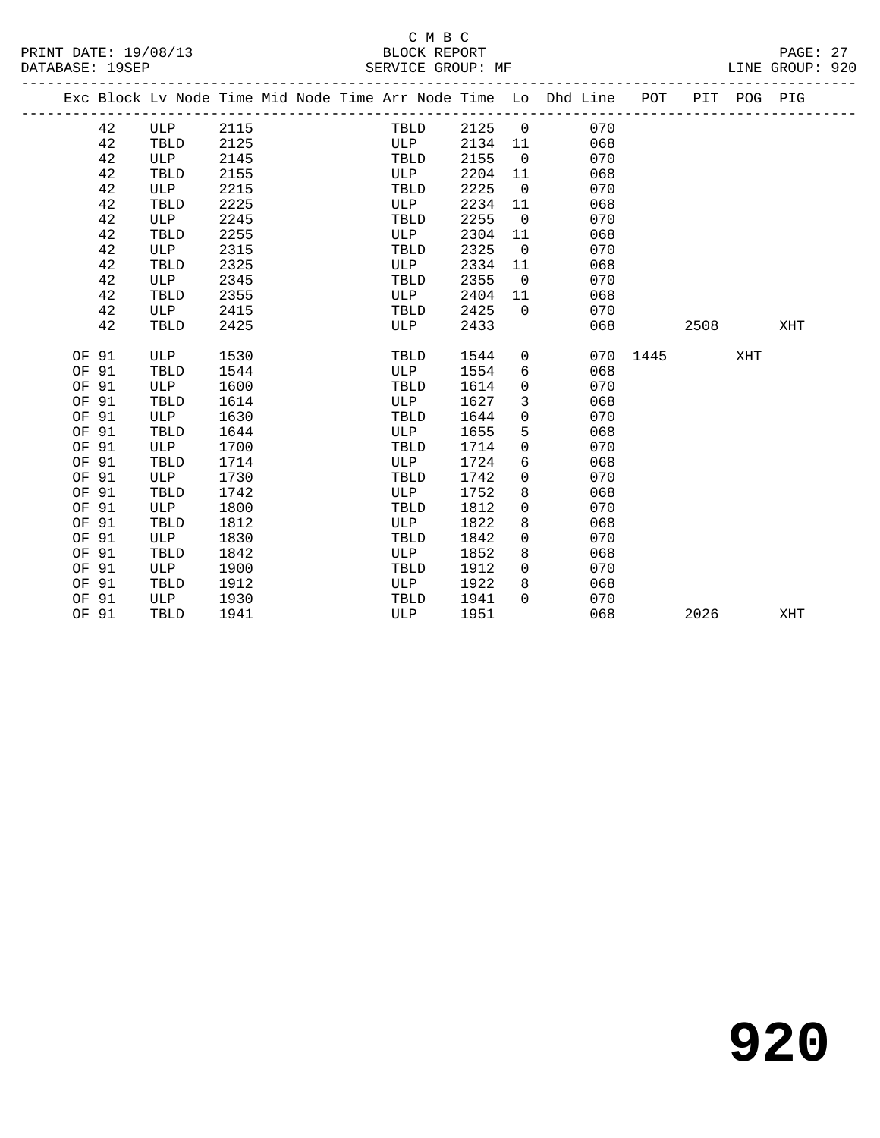|       |    |            |      |  |      |      |                | Exc Block Lv Node Time Mid Node Time Arr Node Time Lo Dhd Line POT |      |      | PIT POG PIG |     |
|-------|----|------------|------|--|------|------|----------------|--------------------------------------------------------------------|------|------|-------------|-----|
|       |    |            |      |  |      |      |                |                                                                    |      |      |             |     |
|       | 42 | ULP        | 2115 |  | TBLD | 2125 | $\mathsf{O}$   | 070                                                                |      |      |             |     |
|       | 42 | TBLD       | 2125 |  | ULP  | 2134 | 11             | 068                                                                |      |      |             |     |
|       | 42 | ULP        | 2145 |  | TBLD | 2155 | $\overline{0}$ | 070                                                                |      |      |             |     |
|       | 42 | TBLD       | 2155 |  | ULP  | 2204 | 11             | 068                                                                |      |      |             |     |
|       | 42 | ULP        | 2215 |  | TBLD | 2225 | $\mathbf 0$    | 070                                                                |      |      |             |     |
|       | 42 | TBLD       | 2225 |  | ULP  | 2234 | 11             | 068                                                                |      |      |             |     |
|       | 42 | ULP        | 2245 |  | TBLD | 2255 | $\mathbf 0$    | 070                                                                |      |      |             |     |
|       | 42 | TBLD       | 2255 |  | ULP  | 2304 | 11             | 068                                                                |      |      |             |     |
|       | 42 | ULP        | 2315 |  | TBLD | 2325 | $\mathbf 0$    | 070                                                                |      |      |             |     |
|       | 42 | TBLD       | 2325 |  | ULP  | 2334 | 11             | 068                                                                |      |      |             |     |
|       | 42 | <b>ULP</b> | 2345 |  | TBLD | 2355 | $\mathbf 0$    | 070                                                                |      |      |             |     |
|       | 42 | TBLD       | 2355 |  | ULP  | 2404 | 11             | 068                                                                |      |      |             |     |
|       | 42 | <b>ULP</b> | 2415 |  | TBLD | 2425 | $\Omega$       | 070                                                                |      |      |             |     |
|       | 42 | TBLD       | 2425 |  | ULP  | 2433 |                | 068                                                                |      | 2508 |             | XHT |
|       |    |            |      |  |      |      |                |                                                                    |      |      |             |     |
| OF 91 |    | ULP        | 1530 |  | TBLD | 1544 | $\mathbf 0$    | 070                                                                | 1445 |      | XHT         |     |
| OF 91 |    | TBLD       | 1544 |  | ULP  | 1554 | 6              | 068                                                                |      |      |             |     |
| OF 91 |    | ULP        | 1600 |  | TBLD | 1614 | 0              | 070                                                                |      |      |             |     |
| OF 91 |    | TBLD       | 1614 |  | ULP  | 1627 | 3              | 068                                                                |      |      |             |     |
| OF 91 |    | ULP        | 1630 |  | TBLD | 1644 | 0              | 070                                                                |      |      |             |     |
| OF 91 |    | TBLD       | 1644 |  | ULP  | 1655 | 5              | 068                                                                |      |      |             |     |
| OF 91 |    | ULP        | 1700 |  | TBLD | 1714 | 0              | 070                                                                |      |      |             |     |
| OF 91 |    | TBLD       | 1714 |  | ULP  | 1724 | 6              | 068                                                                |      |      |             |     |
| OF 91 |    | ULP        | 1730 |  | TBLD | 1742 | 0              | 070                                                                |      |      |             |     |
| OF 91 |    | TBLD       | 1742 |  | ULP  | 1752 | 8              | 068                                                                |      |      |             |     |
| OF 91 |    | ULP        | 1800 |  | TBLD | 1812 | 0              | 070                                                                |      |      |             |     |
| OF 91 |    | TBLD       | 1812 |  | ULP  | 1822 | 8              | 068                                                                |      |      |             |     |
| OF 91 |    | ULP        | 1830 |  | TBLD | 1842 | 0              | 070                                                                |      |      |             |     |
| OF 91 |    | TBLD       | 1842 |  | ULP  | 1852 | 8              | 068                                                                |      |      |             |     |
| OF 91 |    | <b>ULP</b> | 1900 |  | TBLD | 1912 | 0              | 070                                                                |      |      |             |     |
| OF 91 |    | TBLD       | 1912 |  | ULP  | 1922 | 8              | 068                                                                |      |      |             |     |
| OF 91 |    | ULP        | 1930 |  | TBLD | 1941 | $\Omega$       | 070                                                                |      |      |             |     |
| OF 91 |    | TBLD       | 1941 |  | ULP  | 1951 |                | 068                                                                |      | 2026 |             | XHT |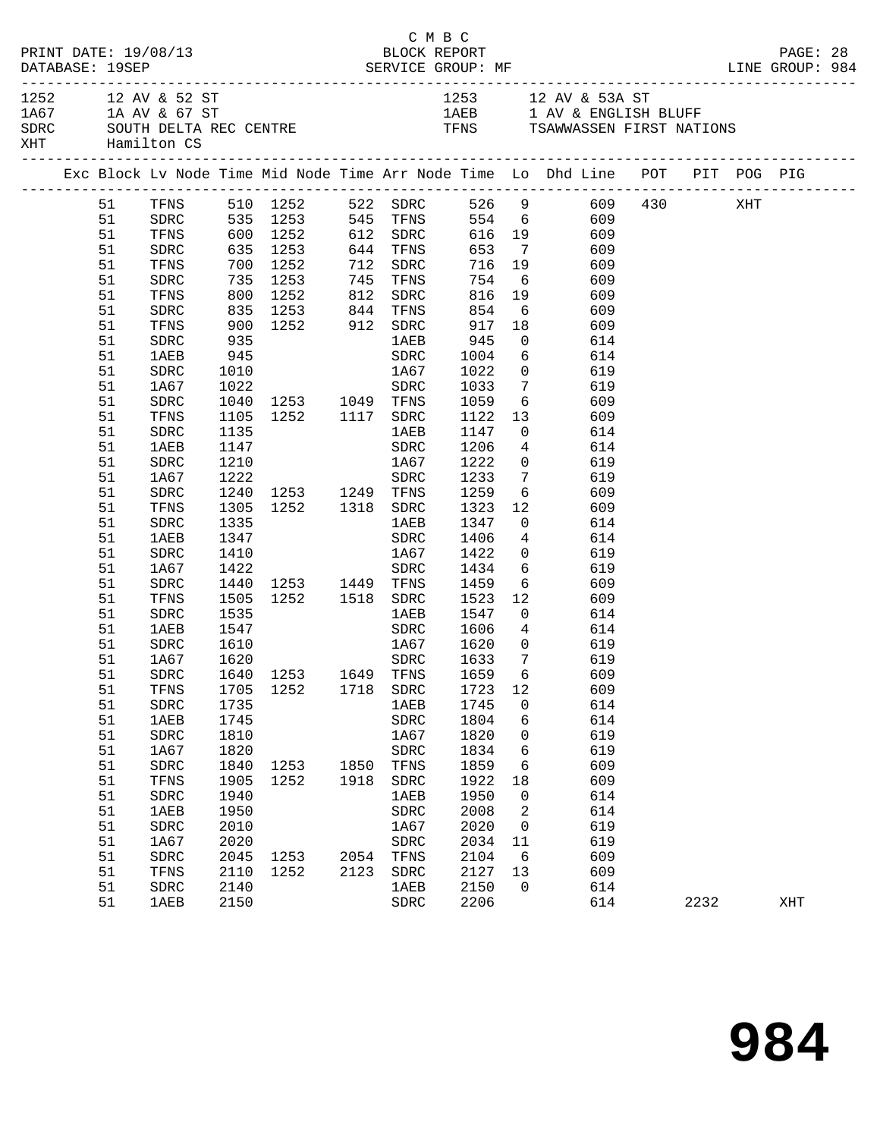|  | DATABASE: 19SEP | PRINT DATE: 19/08/13                  |      |                                                                                 |      | C M B C<br>BLOCK REPORT |                 |                            |                                                                                                                            |      | PAGE: 28 |  |
|--|-----------------|---------------------------------------|------|---------------------------------------------------------------------------------|------|-------------------------|-----------------|----------------------------|----------------------------------------------------------------------------------------------------------------------------|------|----------|--|
|  |                 | 1252 12 AV & 52 ST<br>XHT Hamilton CS |      | 1A67 1A AV & 67 ST                                                              |      |                         |                 |                            | 1253 12 AV & 53A ST<br>1AEB 1 AV & ENGLISH BLUFF<br>SDRC SOUTH DELTA REC CENTRE TENS TENS TSAWWASSEN FIRST NATIONS         |      |          |  |
|  |                 |                                       |      |                                                                                 |      |                         |                 |                            | Exc Block Lv Node Time Mid Node Time Arr Node Time Lo Dhd Line POT PIT POG PIG                                             |      |          |  |
|  |                 |                                       |      |                                                                                 |      |                         |                 |                            | 51 TFNS 510 1252 522 SDRC 526 9 609 430 XHT<br>51 SDRC 535 1253 545 TFNS 554 6 609<br>51 TFNS 600 1252 612 SDRC 616 19 609 |      |          |  |
|  |                 |                                       |      |                                                                                 |      |                         |                 |                            |                                                                                                                            |      |          |  |
|  |                 |                                       |      |                                                                                 |      |                         |                 |                            |                                                                                                                            |      |          |  |
|  | 51              | SDRC                                  |      |                                                                                 |      |                         |                 |                            | 635 1253 644 TFNS 653 7 609                                                                                                |      |          |  |
|  | 51              | TFNS                                  |      | 700 1252 712 SDRC 716 19<br>735 1253 745 TFNS 754 6<br>800 1252 812 SDRC 816 19 |      |                         |                 |                            | 609                                                                                                                        |      |          |  |
|  | 51              | SDRC                                  |      |                                                                                 |      |                         |                 |                            | 609                                                                                                                        |      |          |  |
|  | 51              | TFNS                                  |      |                                                                                 |      |                         |                 |                            | 816 19 609                                                                                                                 |      |          |  |
|  | 51              | SDRC                                  |      | 835 1253 844 TFNS                                                               |      |                         | 854             |                            | 6 609                                                                                                                      |      |          |  |
|  | 51              | TFNS                                  |      |                                                                                 |      |                         | 917 18<br>945 0 |                            | 609                                                                                                                        |      |          |  |
|  | 51              | SDRC                                  |      | 935<br>945                                                                      |      |                         |                 |                            | 614                                                                                                                        |      |          |  |
|  | 51              | 1AEB                                  |      |                                                                                 |      | SDRC                    |                 |                            | 1004 6 614                                                                                                                 |      |          |  |
|  | 51              | SDRC                                  | 1010 | 1A67                                                                            |      |                         | 1022            |                            | 0 619                                                                                                                      |      |          |  |
|  | 51              | 1A67                                  |      | 1022 SDRC<br>1040 1253 1049 TFNS<br>1105 1252 1117 SDRC                         |      |                         |                 | $7\overline{ }$            | 619                                                                                                                        |      |          |  |
|  | 51              | ${\tt SDRC}$                          |      |                                                                                 |      |                         | 1033<br>1059    | $6\overline{6}$            | 609                                                                                                                        |      |          |  |
|  | 51              | TFNS                                  |      |                                                                                 |      |                         | 1122            |                            | 13 609                                                                                                                     |      |          |  |
|  | 51              | SDRC                                  | 1135 |                                                                                 |      | 1AEB                    | 1147            |                            | 0 614                                                                                                                      |      |          |  |
|  | 51              | 1AEB                                  | 1147 |                                                                                 |      | SDRC                    | 1206            |                            | 4 614                                                                                                                      |      |          |  |
|  | 51              | SDRC                                  | 1210 |                                                                                 |      | 1A67                    | 1222            | $\overline{0}$             | 619                                                                                                                        |      |          |  |
|  | 51              | 1A67                                  | 1222 |                                                                                 |      | SDRC                    | 1233            | $7\overline{ }$            | 619                                                                                                                        |      |          |  |
|  | 51              | SDRC                                  |      | 1240 1253 1249 TFNS 1259                                                        |      |                         |                 |                            | $6\overline{6}$<br>609                                                                                                     |      |          |  |
|  | 51              | TFNS                                  | 1305 | 1252 1318 SDRC                                                                  |      |                         | 1323            | 12                         | 609                                                                                                                        |      |          |  |
|  | 51              | SDRC                                  | 1335 |                                                                                 |      | 1 AE B                  | 1347            | $\overline{0}$             | 614                                                                                                                        |      |          |  |
|  | 51              | 1AEB                                  | 1347 |                                                                                 |      | SDRC                    | 1406            | $4\overline{4}$            | 614                                                                                                                        |      |          |  |
|  | 51              | SDRC                                  | 1410 |                                                                                 |      | 1A67                    | 1422            |                            | 0 619                                                                                                                      |      |          |  |
|  | 51              | 1A67                                  |      |                                                                                 |      |                         | 1434            |                            | $6\overline{6}$<br>619                                                                                                     |      |          |  |
|  | 51              | SDRC                                  |      |                                                                                 |      |                         |                 |                            | 609                                                                                                                        |      |          |  |
|  | 51              | TFNS                                  |      | 1422 SDRC<br>1440 1253 1449 TFNS<br>1505 1252 1518 SDRC                         |      |                         | 1459<br>1523    |                            | $\begin{array}{c} 6 \\ 12 \end{array}$<br>609                                                                              |      |          |  |
|  | 51              | SDRC                                  | 1535 |                                                                                 |      | 1AEB 1547               |                 |                            | $\overline{0}$<br>614                                                                                                      |      |          |  |
|  | 51              | 1AEB                                  | 1547 |                                                                                 |      | SDRC 1606               |                 |                            | 4 614                                                                                                                      |      |          |  |
|  | 51              | SDRC                                  | 1610 |                                                                                 |      |                         |                 | $\overline{0}$             | 619                                                                                                                        |      |          |  |
|  | 51              | 1A67                                  | 1620 |                                                                                 |      | $\frac{1}{100}$ 1867    | 1620<br>1633    | $\overline{7}$             | 619                                                                                                                        |      |          |  |
|  |                 |                                       |      |                                                                                 |      |                         |                 |                            | 51 SDRC 1640 1253 1649 TFNS 1659 6 609                                                                                     |      |          |  |
|  | 51              | TFNS                                  | 1705 | 1252                                                                            |      | 1718 SDRC               | 1723            | 12                         | 609                                                                                                                        |      |          |  |
|  | 51              | ${\tt SDRC}$                          | 1735 |                                                                                 |      | 1AEB                    | 1745            | $\overline{0}$             | 614                                                                                                                        |      |          |  |
|  | 51              | <b>1AEB</b>                           | 1745 |                                                                                 |      | ${\tt SDRC}$            | 1804            | 6                          | 614                                                                                                                        |      |          |  |
|  | 51              | ${\tt SDRC}$                          | 1810 |                                                                                 |      | 1A67                    | 1820            | $\overline{0}$             | 619                                                                                                                        |      |          |  |
|  | 51              | 1A67                                  | 1820 |                                                                                 |      | ${\tt SDRC}$            | 1834            | 6                          | 619                                                                                                                        |      |          |  |
|  | 51              | SDRC                                  | 1840 | 1253 1850                                                                       |      | TFNS                    | 1859            | 6                          | 609                                                                                                                        |      |          |  |
|  | 51              | TFNS                                  | 1905 | 1252                                                                            | 1918 | SDRC                    | 1922            | 18                         | 609                                                                                                                        |      |          |  |
|  | 51              | ${\tt SDRC}$                          | 1940 |                                                                                 |      | 1AEB                    | 1950            | $\overline{\phantom{0}}$   | 614                                                                                                                        |      |          |  |
|  | 51              | <b>1AEB</b>                           | 1950 |                                                                                 |      | SDRC                    | 2008            | $\overline{\phantom{a}}^2$ | 614                                                                                                                        |      |          |  |
|  | 51              | SDRC                                  | 2010 |                                                                                 |      | 1A67                    | 2020            | $\overline{0}$             | 619                                                                                                                        |      |          |  |
|  | 51              | 1A67                                  | 2020 |                                                                                 |      | ${\tt SDRC}$            | 2034            | 11                         | 619                                                                                                                        |      |          |  |
|  | 51              | SDRC                                  | 2045 | 1253 2054                                                                       |      | TFNS                    | 2104            | 6                          | 609                                                                                                                        |      |          |  |
|  | 51              | TFNS                                  | 2110 | 1252                                                                            | 2123 | ${\tt SDRC}$            | 2127            | 13                         | 609                                                                                                                        |      |          |  |
|  | 51              | SDRC                                  | 2140 |                                                                                 |      | 1AEB                    | 2150            | $\overline{0}$             | 614                                                                                                                        |      |          |  |
|  | 51              | <b>1AEB</b>                           | 2150 |                                                                                 |      | SDRC                    | 2206            |                            | 614                                                                                                                        | 2232 | XHT      |  |
|  |                 |                                       |      |                                                                                 |      |                         |                 |                            |                                                                                                                            |      |          |  |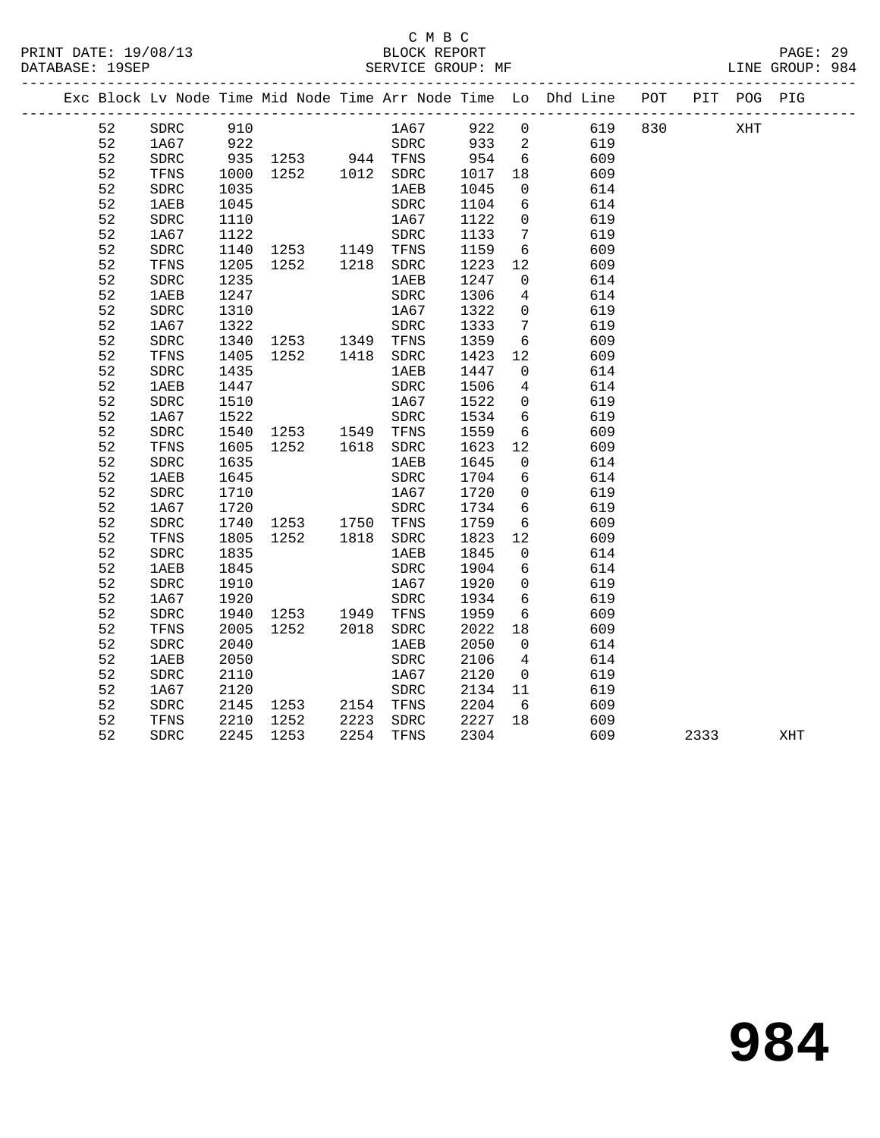## C M B C<br>BLOCK REPORT

|                |                                     |              |                                   |              |                      |                        |                 |                                                                                |         |      |     | PAGE: 29<br>LINE GROUP: 984 |  |
|----------------|-------------------------------------|--------------|-----------------------------------|--------------|----------------------|------------------------|-----------------|--------------------------------------------------------------------------------|---------|------|-----|-----------------------------|--|
|                |                                     |              |                                   |              |                      |                        |                 | Exc Block Lv Node Time Mid Node Time Arr Node Time Lo Dhd Line POT PIT POG PIG |         |      |     |                             |  |
| 52             | SDRC                                | 910          |                                   |              | 1A67                 | 922 0                  |                 |                                                                                | 619 830 |      | XHT |                             |  |
| 52             | 1A67 922                            |              |                                   |              | SDRC                 | 933 2                  |                 | 619                                                                            |         |      |     |                             |  |
| 52             | SDRC                                |              |                                   |              | TFNS                 |                        | $6\overline{6}$ | 609                                                                            |         |      |     |                             |  |
| 52             | TFNS                                |              | 935 1253 944<br>1000 1252 1012    |              | SDRC                 | 954<br>1017<br>1017 18 |                 | 609                                                                            |         |      |     |                             |  |
| 52             | SDRC                                | 1035         |                                   |              | 1AEB                 | 1045                   | $\overline{0}$  | 614                                                                            |         |      |     |                             |  |
| 52             | <b>1AEB</b>                         | 1045         |                                   |              | ${\tt SDRC}$         | 1104                   | 6               | 614                                                                            |         |      |     |                             |  |
| 52             | SDRC                                | 1110         |                                   |              | 1A67                 | 1122                   | $\overline{0}$  | 619                                                                            |         |      |     |                             |  |
| 52             | 1A67                                | 1122         |                                   |              | ${\tt SDRC}$         | 1133                   | $7\phantom{.0}$ | 619                                                                            |         |      |     |                             |  |
| 52             | SDRC                                |              |                                   |              | TFNS                 | 1159                   | 6               | 609                                                                            |         |      |     |                             |  |
| 52             | TFNS                                |              | 1140 1253 1149<br>1205 1252 1218  |              | SDRC                 | 1223                   | 12              | 609                                                                            |         |      |     |                             |  |
| 52             | SDRC                                | 1235         |                                   |              | 1AEB                 | 1247                   | $\Omega$        | 614                                                                            |         |      |     |                             |  |
| 52             | <b>1AEB</b>                         | 1247         |                                   |              | ${\tt SDRC}$         | 1306                   | $\overline{4}$  | 614                                                                            |         |      |     |                             |  |
| 52             | <b>SDRC</b>                         | 1310         |                                   |              | 1A67                 | 1322                   | $\mathbf 0$     | 619                                                                            |         |      |     |                             |  |
| 52             | 1A67                                | 1322         |                                   |              | ${\tt SDRC}$         | 1333                   | $\overline{7}$  | 619                                                                            |         |      |     |                             |  |
| 52             | SDRC                                |              | 1322<br>1340    1253         1349 |              | TFNS                 | 1359                   | $6\overline{6}$ | 609                                                                            |         |      |     |                             |  |
| 52             | TFNS                                | 1405         | 1252 1418                         |              | ${\tt SDRC}$         | 1423                   | 12              | 609                                                                            |         |      |     |                             |  |
| 52             | SDRC                                | 1435         |                                   |              | 1AEB                 | 1447                   | $\overline{0}$  | 614                                                                            |         |      |     |                             |  |
| 52             | 1AEB                                | 1447         |                                   |              | SDRC                 | 1506                   | 4               | 614                                                                            |         |      |     |                             |  |
| 52             | SDRC                                | 1510         |                                   |              | 1A67                 | 1522                   | $\overline{0}$  | 619                                                                            |         |      |     |                             |  |
| 52             | 1A67                                | 1522         |                                   |              | ${\tt SDRC}$         | 1534                   | 6               | 619                                                                            |         |      |     |                             |  |
| 52             | SDRC                                |              | 1540 1253 1549                    |              | TFNS                 | 1559                   | 6               | 609                                                                            |         |      |     |                             |  |
| 52             | TFNS                                | 1605         | 1252 1618                         |              | SDRC                 | 1623                   | 12              | 609                                                                            |         |      |     |                             |  |
| 52             | SDRC                                | 1635         |                                   |              | <b>1AEB</b>          | 1645                   | $\overline{0}$  | 614                                                                            |         |      |     |                             |  |
| 52             | <b>1AEB</b>                         | 1645         |                                   |              | SDRC                 | 1704                   | $6\overline{6}$ | 614                                                                            |         |      |     |                             |  |
| 52             | SDRC                                | 1710         |                                   |              | 1A67                 | 1720                   | $\overline{0}$  | 619                                                                            |         |      |     |                             |  |
| 52             | 1A67                                | 1720         |                                   |              | SDRC                 | 1734                   | 6               | 619                                                                            |         |      |     |                             |  |
| 52             | SDRC                                | 1740         | 1253 1750                         |              | TFNS                 | 1759                   | 6               | 609                                                                            |         |      |     |                             |  |
| 52             | TFNS                                | 1805         | 1252                              | 1818         | ${\tt SDRC}$         | 1823                   | 12              | 609                                                                            |         |      |     |                             |  |
| 52             | SDRC                                | 1835         |                                   |              | <b>1AEB</b>          | 1845                   | $\overline{0}$  | 614                                                                            |         |      |     |                             |  |
| 52             | 1AEB                                | 1845         |                                   |              | ${\tt SDRC}$         | 1904                   | $6\overline{6}$ | 614                                                                            |         |      |     |                             |  |
| 52             | SDRC                                | 1910         |                                   |              | 1A67                 | 1920                   | $\overline{0}$  | 619                                                                            |         |      |     |                             |  |
| 52             | 1A67                                | 1920         |                                   |              | ${\tt SDRC}$         | 1934                   | $6\overline{6}$ | 619                                                                            |         |      |     |                             |  |
| 52             | SDRC                                | 1940         | 1253 1949                         |              | TFNS                 | 1959                   | 6               | 609                                                                            |         |      |     |                             |  |
| 52             | TFNS                                | 2005         | 1252                              | 2018         | SDRC                 | 2022                   | 18              | 609                                                                            |         |      |     |                             |  |
| 52             | SDRC                                | 2040         |                                   |              | 1AEB                 | 2050                   | $\Omega$        | 614                                                                            |         |      |     |                             |  |
| 52             | <b>1AEB</b>                         | 2050         |                                   |              | ${\tt SDRC}$         | 2106                   | $\overline{4}$  | 614                                                                            |         |      |     |                             |  |
| 52             | SDRC                                | 2110         |                                   |              | 1A67                 | 2120                   | $\overline{0}$  | 619                                                                            |         |      |     |                             |  |
| 52             | 1A67                                | 2120         |                                   |              | ${\tt SDRC}$         | 2134                   | 11              | 619                                                                            |         |      |     |                             |  |
|                |                                     |              | 2145 1253 2154                    |              |                      |                        |                 |                                                                                |         |      |     |                             |  |
|                |                                     |              |                                   |              |                      |                        |                 |                                                                                |         |      |     |                             |  |
|                |                                     |              |                                   |              |                      |                        |                 |                                                                                |         |      |     |                             |  |
| 52<br>52<br>52 | ${\tt SDRC}$<br>TFNS<br><b>SDRC</b> | 2210<br>2245 | 1252<br>1253                      | 2223<br>2254 | TFNS<br>SDRC<br>TFNS | 2204<br>2227<br>2304   | 6<br>18         | 609<br>609<br>609                                                              |         | 2333 |     | XHT                         |  |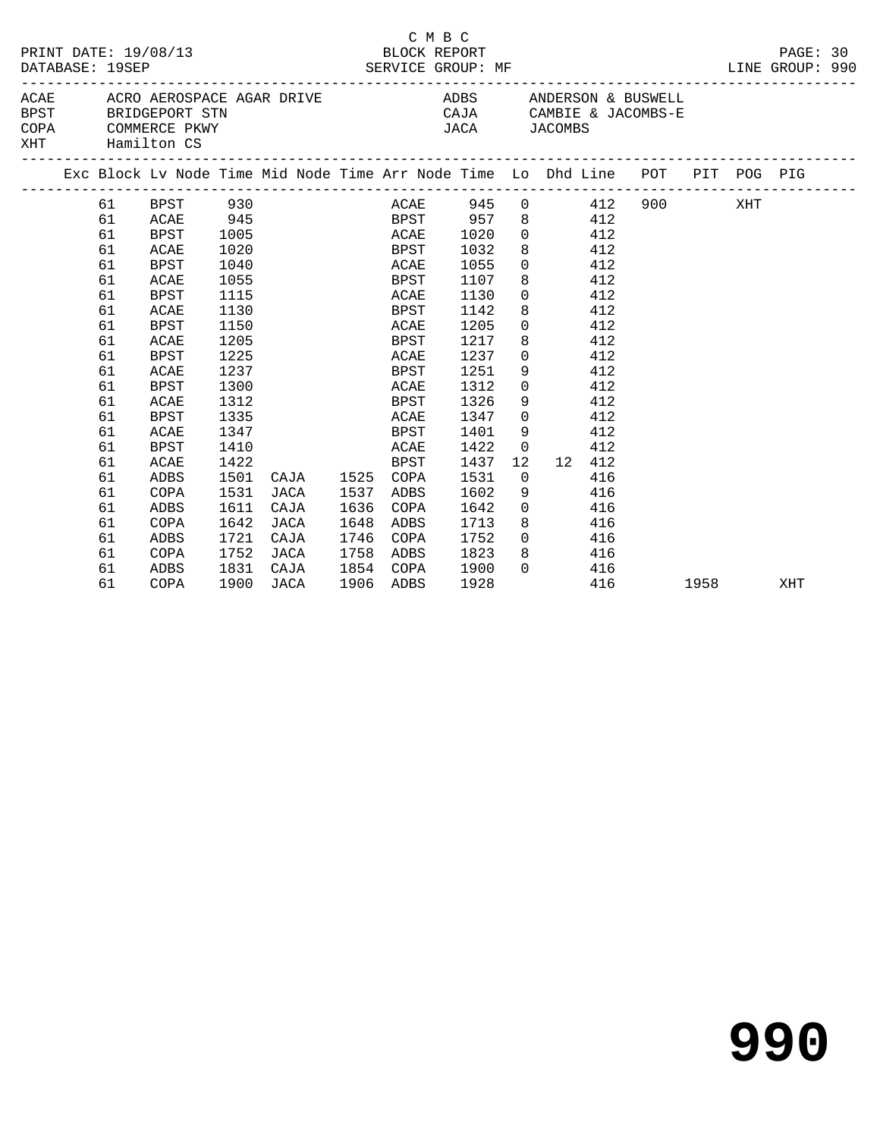| PRINT DATE: 19/08/13<br>DATABASE: 19SEP |          |               |            |           |           | BLOCK REPORT | C M B C | SERVICE GROUP: MF<br>-------------------- |                 |                            |        |                                                                                |           | PAGE: 30<br>LINE GROUP: 990 |  |
|-----------------------------------------|----------|---------------|------------|-----------|-----------|--------------|---------|-------------------------------------------|-----------------|----------------------------|--------|--------------------------------------------------------------------------------|-----------|-----------------------------|--|
| COPA<br>XHT Hamilton CS                 |          | COMMERCE PKWY |            |           |           |              |         | <b>JACA</b>                               |                 | JACOMBS                    |        |                                                                                |           |                             |  |
|                                         |          |               |            |           |           |              |         |                                           |                 |                            |        | Exc Block Lv Node Time Mid Node Time Arr Node Time Lo Dhd Line POT PIT POG PIG |           |                             |  |
|                                         | 61<br>61 | BPST<br>ACAE  | 930<br>945 |           |           |              |         | ACAE 945                                  |                 | $0 \qquad \qquad 412$<br>8 | 412    | 900 XHT                                                                        |           |                             |  |
|                                         | 61       | BPST          | 1005       |           |           | ACAE         |         | BPST 957<br>1020                          |                 | $0$ 412                    |        |                                                                                |           |                             |  |
|                                         | 61       | ACAE          | 1020       |           |           | <b>BPST</b>  |         | 1032                                      |                 | 8                          | 412    |                                                                                |           |                             |  |
|                                         | 61       | <b>BPST</b>   | 1040       |           |           | ACAE         |         | 1055                                      | $\Omega$        |                            | 412    |                                                                                |           |                             |  |
|                                         | 61       | ACAE          | 1055       |           |           | BPST         |         | 1107                                      | 8               |                            | 412    |                                                                                |           |                             |  |
|                                         | 61       | <b>BPST</b>   | 1115       |           |           | ACAE         |         | 1130                                      | $\overline{0}$  |                            | 412    |                                                                                |           |                             |  |
|                                         | 61       | ACAE          | 1130       |           |           | BPST         |         | 1142                                      | 8               |                            | 412    |                                                                                |           |                             |  |
|                                         | 61       | <b>BPST</b>   | 1150       |           |           | ACAE         |         | 1205                                      | $\overline{0}$  |                            | 412    |                                                                                |           |                             |  |
|                                         | 61       | ACAE          | 1205       |           |           | BPST         |         | 1217                                      | 8               |                            | 412    |                                                                                |           |                             |  |
|                                         | 61       | <b>BPST</b>   | 1225       |           |           | ACAE         |         | 1237                                      | $\overline{0}$  |                            | 412    |                                                                                |           |                             |  |
|                                         | 61       | ACAE          | 1237       |           |           | BPST         |         | 1251                                      |                 | 9                          | 412    |                                                                                |           |                             |  |
|                                         | 61       | <b>BPST</b>   | 1300       |           |           | ACAE         |         | 1312                                      | $\overline{0}$  |                            | 412    |                                                                                |           |                             |  |
|                                         | 61       | ACAE          | 1312       |           |           | BPST         |         | 1326                                      |                 | 9                          | 412    |                                                                                |           |                             |  |
|                                         | 61       | <b>BPST</b>   | 1335       |           |           | ACAE         |         | 1347                                      | $\overline{0}$  |                            | 412    |                                                                                |           |                             |  |
|                                         | 61       | ACAE          | 1347       |           |           | BPST         |         | 1401                                      |                 | 9                          | 412    |                                                                                |           |                             |  |
|                                         | 61       | <b>BPST</b>   | 1410       |           |           | ACAE         |         | 1422                                      |                 | $\overline{0}$             | 412    |                                                                                |           |                             |  |
|                                         | 61       | ACAE          | 1422       |           |           | BPST         |         | 1437                                      | 12 <sup>1</sup> |                            | 12 412 |                                                                                |           |                             |  |
|                                         | 61       | ADBS          | 1501       |           | CAJA 1525 | COPA         |         | 1531                                      | $\overline{0}$  |                            | 416    |                                                                                |           |                             |  |
|                                         | 61       | COPA          | 1531       | JACA      | 1537      | ADBS         |         | 1602                                      | 9               |                            | 416    |                                                                                |           |                             |  |
|                                         | 61       | ADBS          | 1611       | CAJA      | 1636      | COPA         |         | 1642                                      | $\overline{0}$  |                            | 416    |                                                                                |           |                             |  |
|                                         | 61       | COPA          | 1642       | JACA      | 1648      | ADBS         |         | 1713                                      | 8               |                            | 416    |                                                                                |           |                             |  |
|                                         | 61       | ADBS          | 1721       | CAJA      | 1746      | COPA         |         | 1752                                      |                 | $0$ 416                    |        |                                                                                |           |                             |  |
|                                         | 61       | COPA          | 1752       | JACA      | 1758      | ADBS         |         | 1823                                      |                 | 8 416                      |        |                                                                                |           |                             |  |
|                                         | 61       | ADBS          | 1831       | CAJA      | 1854      | COPA         |         | 1900                                      | $\Omega$        | 416                        |        |                                                                                |           |                             |  |
|                                         | 61       | COPA          |            | 1900 JACA | 1906      | ADBS         |         | 1928                                      |                 |                            | 416    |                                                                                | 1958 1990 | XHT                         |  |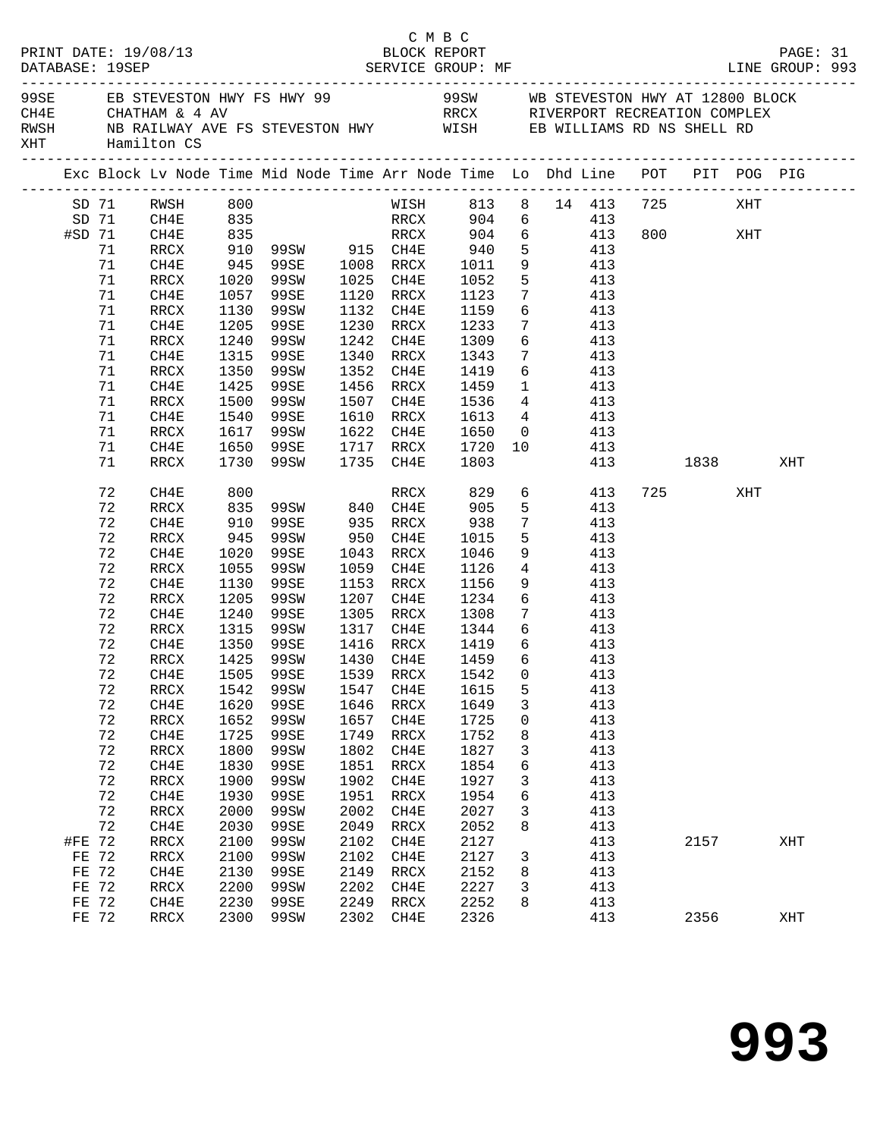|        |             | PRINT DATE: 19/08/13             |              |                                                                                |      | C M B C<br>BLOCK REPORT                                              |              |                 |                 |                                         |     |                                                                                                               |     | PAGE: 31 |  |
|--------|-------------|----------------------------------|--------------|--------------------------------------------------------------------------------|------|----------------------------------------------------------------------|--------------|-----------------|-----------------|-----------------------------------------|-----|---------------------------------------------------------------------------------------------------------------|-----|----------|--|
|        |             | XHT Hamilton CS                  |              | RWSH NB RAILWAY AVE FS STEVESTON HWY WISH EB WILLIAMS RD NS SHELL RD           |      |                                                                      |              |                 |                 |                                         |     |                                                                                                               |     |          |  |
|        |             |                                  |              | Exc Block Lv Node Time Mid Node Time Arr Node Time Lo Dhd Line POT PIT POG PIG |      |                                                                      |              |                 |                 |                                         |     |                                                                                                               |     |          |  |
|        |             | SD 71 RWSH 800<br>SD 71 CH4E 835 |              |                                                                                |      |                                                                      |              |                 |                 | WISH 813 8 14 413 725<br>RRCX 904 6 413 |     |                                                                                                               | XHT |          |  |
|        | #SD 71 CH4E |                                  |              | 835 RRCX 904 6 413                                                             |      |                                                                      |              |                 |                 |                                         |     | 800 XHT                                                                                                       |     |          |  |
|        | 71          | RRCX                             |              | 910 99SW 915 CH4E 940                                                          |      |                                                                      |              |                 |                 | 5 413                                   |     |                                                                                                               |     |          |  |
|        | 71          | CH4E                             |              |                                                                                |      |                                                                      |              | 9               |                 | 413                                     |     |                                                                                                               |     |          |  |
|        | 71          | RRCX                             | 945<br>1020  | 99SE 1008 RRCX 1011<br>99SW 1025 CH4E 1052                                     |      |                                                                      |              | 5 <sub>5</sub>  |                 | 413                                     |     |                                                                                                               |     |          |  |
|        | 71          | CH4E                             | 1057         | 99SE                                                                           |      | 1120 RRCX 1123                                                       |              | $7\overline{ }$ |                 | 413                                     |     |                                                                                                               |     |          |  |
|        | 71          | RRCX                             | 1130         | 99SW                                                                           |      | 1132 CH4E 1159                                                       |              |                 |                 | 6 413                                   |     |                                                                                                               |     |          |  |
|        | 71          | CH4E                             |              | 99SE                                                                           |      |                                                                      |              |                 | $7\overline{ }$ | 413                                     |     |                                                                                                               |     |          |  |
|        | 71          | RRCX                             | 1205<br>1240 | 99SW                                                                           |      | 1230 RRCX 1233<br>1242 CH4E 1309                                     |              | $6\overline{6}$ |                 | 413                                     |     |                                                                                                               |     |          |  |
|        | 71          | CH4E                             | 1315         | 99SE                                                                           |      | 1340 RRCX 1343                                                       |              |                 |                 | $7 \qquad \qquad 413$                   |     |                                                                                                               |     |          |  |
|        | 71          | RRCX                             | 1350         | 99SW                                                                           |      | 1352 CH4E 1419 6 413                                                 |              |                 |                 |                                         |     |                                                                                                               |     |          |  |
|        | 71          | CH4E                             | 1425         | 99SE                                                                           |      | 1456 RRCX 1459 1 413<br>1507 CH4E 1536 4 413<br>1610 RRCX 1613 4 413 |              | $\mathbf 1$     |                 | 413                                     |     |                                                                                                               |     |          |  |
|        | 71          | RRCX                             | 1500         | 99SW                                                                           |      |                                                                      |              |                 |                 |                                         |     |                                                                                                               |     |          |  |
|        | 71          | CH4E                             | 1540         | 99SE                                                                           |      |                                                                      |              |                 |                 |                                         |     |                                                                                                               |     |          |  |
|        | 71          | RRCX                             | 1617         | 99SW 1622 CH4E 1650 0 413                                                      |      |                                                                      |              |                 |                 |                                         |     |                                                                                                               |     |          |  |
|        | 71          | CH4E                             | 1650         | 99SE                                                                           |      | 1717 RRCX 1720                                                       |              |                 |                 | 10 413                                  |     |                                                                                                               |     |          |  |
|        | 71          | RRCX                             | 1730         | 99SW                                                                           |      | 1735 CH4E                                                            | 1803         |                 |                 |                                         | 413 | 1838   1839   1839   1838   1838   1838   1838   1838   1838   1838   1838   1838   1838   1838   1838   1838 |     | XHT      |  |
|        | 72          | CH4E                             | 800          |                                                                                |      |                                                                      | RRCX 829     |                 |                 | 6 413                                   |     | 725 — 120                                                                                                     | XHT |          |  |
|        | 72          | RRCX                             |              | 835 99SW 840 CH4E<br>910 99SE 935 RRCX<br>945 99SW 950 CH4E                    |      |                                                                      | 905          |                 |                 | $5$ 413                                 |     |                                                                                                               |     |          |  |
|        | 72          | CH4E                             |              | 99SE 935 RRCX 938<br>99SW 950 CH4E 1015                                        |      |                                                                      |              | 7               |                 | 413                                     |     |                                                                                                               |     |          |  |
|        | 72          | RRCX                             |              |                                                                                |      |                                                                      |              | 5 <sub>5</sub>  |                 | 413                                     |     |                                                                                                               |     |          |  |
|        | 72          | CH4E                             | 1020         | 99SE                                                                           |      | 1043 RRCX 1046                                                       |              | 9               |                 | 413                                     |     |                                                                                                               |     |          |  |
|        | 72          | RRCX                             | 1055         | 99SW                                                                           |      | 1059 CH4E                                                            | 1126         | $\overline{4}$  |                 | 413                                     |     |                                                                                                               |     |          |  |
|        | 72          | CH4E                             | 1130         | 99SE                                                                           |      | 1153 RRCX                                                            | 1156<br>1234 | 9               |                 | 413                                     |     |                                                                                                               |     |          |  |
|        | 72          | RRCX                             | 1205         | 99SW                                                                           |      | 1207 CH4E                                                            |              | $6\overline{6}$ |                 | 413                                     |     |                                                                                                               |     |          |  |
|        | 72          | CH4E                             | 1240         | 99SE                                                                           |      | 1305 RRCX 1308                                                       |              |                 |                 | 7 413                                   |     |                                                                                                               |     |          |  |
|        | 72          | RRCX                             | 1315         | 99SW 1317 CH4E 1344 6 413                                                      |      |                                                                      |              |                 |                 |                                         |     |                                                                                                               |     |          |  |
|        | 72<br>72    | CH4E<br>RRCX                     |              | 1350 99SE<br>1425 99SW                                                         |      |                                                                      |              | 6<br>6          |                 | 413<br>413                              |     |                                                                                                               |     |          |  |
|        |             |                                  |              | 72 CH4E 1505 99SE 1539 RRCX 1542 0 413                                         |      |                                                                      |              |                 |                 |                                         |     |                                                                                                               |     |          |  |
|        | 72          | RRCX                             | 1542         | 99SW                                                                           | 1547 | CH4E                                                                 | 1615         | 5               |                 | 413                                     |     |                                                                                                               |     |          |  |
|        | 72          | CH4E                             | 1620         | 99SE                                                                           | 1646 | RRCX                                                                 | 1649         | 3               |                 | 413                                     |     |                                                                                                               |     |          |  |
|        | 72          | $\mathop{\mathrm{RRCX}}$         | 1652         | 99SW                                                                           | 1657 | CH4E                                                                 | 1725         | 0               |                 | 413                                     |     |                                                                                                               |     |          |  |
|        | 72          | CH4E                             | 1725         | 99SE                                                                           | 1749 | RRCX                                                                 | 1752         | 8               |                 | 413                                     |     |                                                                                                               |     |          |  |
|        | 72          | RRCX                             | 1800         | 99SW                                                                           | 1802 | CH4E                                                                 | 1827         | 3               |                 | 413                                     |     |                                                                                                               |     |          |  |
|        | 72          | CH4E                             | 1830         | 99SE                                                                           | 1851 | $\verb!RRCX!$                                                        | 1854         | $\sqrt{6}$      |                 | 413                                     |     |                                                                                                               |     |          |  |
|        | 72          | RRCX                             | 1900         | 99SW                                                                           | 1902 | CH4E                                                                 | 1927         | 3               |                 | 413                                     |     |                                                                                                               |     |          |  |
|        | 72          | CH4E                             | 1930         | 99SE                                                                           | 1951 | $\verb!RRCX!$                                                        | 1954         | 6               |                 | 413                                     |     |                                                                                                               |     |          |  |
|        | 72          | RRCX                             | 2000         | 99SW                                                                           | 2002 | CH4E                                                                 | 2027         | 3               |                 | 413                                     |     |                                                                                                               |     |          |  |
|        | 72          | CH4E                             | 2030         | 99SE                                                                           | 2049 | RRCX                                                                 | 2052         | 8               |                 | 413                                     |     |                                                                                                               |     |          |  |
| #FE 72 |             | RRCX                             | 2100         | 99SW                                                                           | 2102 | CH4E                                                                 | 2127         |                 |                 | 413                                     |     | 2157                                                                                                          |     | XHT      |  |
| FE 72  |             | $\verb!RRCX!$                    | 2100         | 99SW                                                                           | 2102 | CH4E                                                                 | 2127         | $\mathbf{3}$    |                 | 413                                     |     |                                                                                                               |     |          |  |
| FE 72  |             | CH4E                             | 2130         | 99SE                                                                           | 2149 | RRCX                                                                 | 2152         | 8               |                 | 413                                     |     |                                                                                                               |     |          |  |
| FE 72  |             | RRCX                             | 2200         | 99SW                                                                           | 2202 | CH4E                                                                 | 2227         | 3               |                 | 413                                     |     |                                                                                                               |     |          |  |
| FE 72  |             | CH4E                             | 2230         | 99SE                                                                           | 2249 | RRCX                                                                 | 2252         | 8               |                 | 413                                     |     |                                                                                                               |     |          |  |
| FE 72  |             | RRCX                             | 2300         | 99SW                                                                           |      | 2302 CH4E                                                            | 2326         |                 |                 | 413                                     |     | 2356                                                                                                          |     | XHT      |  |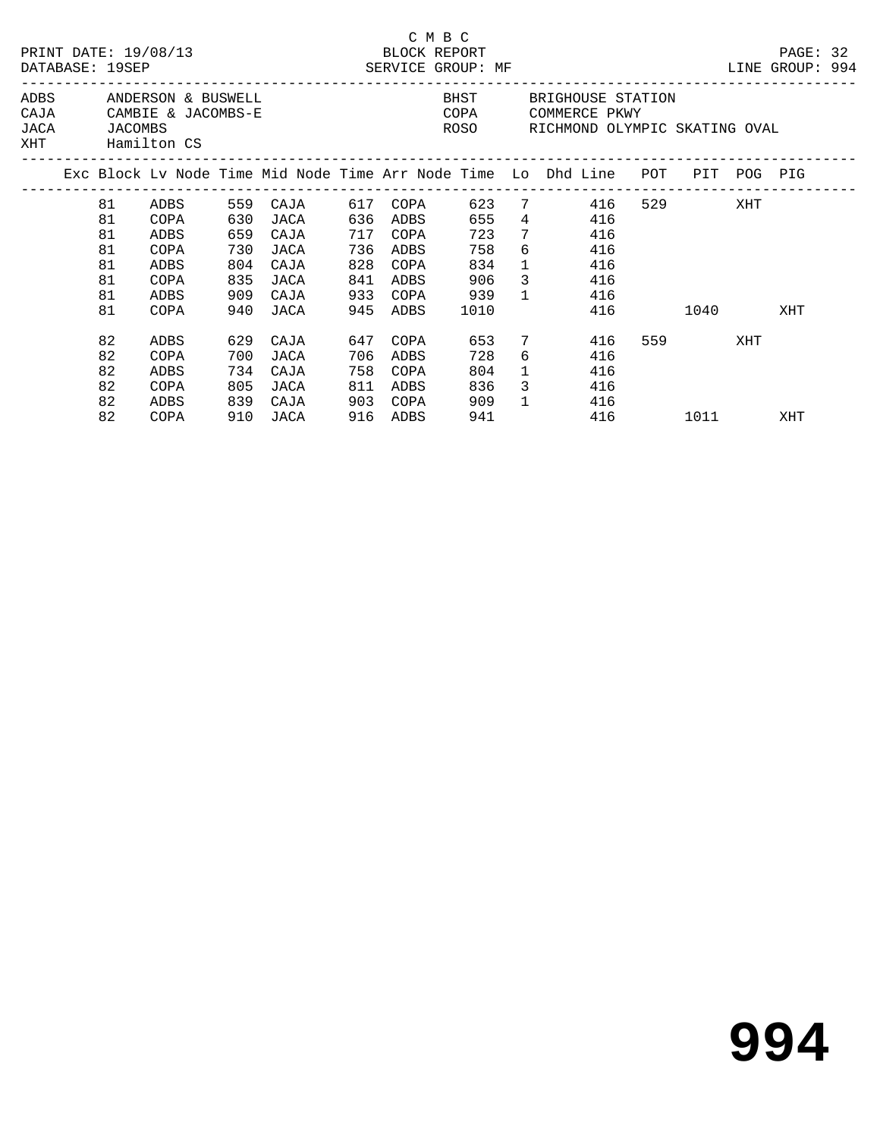|      |                                                                                                                                                                    | DATABASE: 19SEP                              | PRINT DATE: 19/08/13                                 |                                 | ______________________________                                                         |                                        |                                                          | C M B C<br>BLOCK REPORT<br>SERVICE GROUP: MF   |                                                 | ____________________________                                                                                       |     |                    |     | PAGE: 32<br>LINE GROUP: 994 |  |
|------|--------------------------------------------------------------------------------------------------------------------------------------------------------------------|----------------------------------------------|------------------------------------------------------|---------------------------------|----------------------------------------------------------------------------------------|----------------------------------------|----------------------------------------------------------|------------------------------------------------|-------------------------------------------------|--------------------------------------------------------------------------------------------------------------------|-----|--------------------|-----|-----------------------------|--|
| JACA | ADBS ANDERSON & BUSWELL<br>CAJA CAMBIE & JACOMBS-E<br>JACOMBS<br>XHT Hamilton CS<br>Exc Block Lv Node Time Mid Node Time Arr Node Time Lo Dhd Line POT PIT POG PIG |                                              |                                                      |                                 |                                                                                        |                                        |                                                          |                                                |                                                 | BHST BRIGHOUSE STATION<br>COPA COMMERCE PKWY<br>ROSO RICHMOND OLYMPIC SKATING OVAL                                 |     |                    |     |                             |  |
|      |                                                                                                                                                                    |                                              |                                                      |                                 |                                                                                        |                                        |                                                          |                                                |                                                 |                                                                                                                    |     |                    |     |                             |  |
|      |                                                                                                                                                                    | 81<br>81<br>81<br>81<br>81<br>81<br>81<br>81 | COPA<br>ADBS<br>COPA<br>ADBS<br>COPA<br>ADBS<br>COPA | 630<br>659<br>730<br>804<br>909 | ADBS 559 CAJA 617 COPA<br>JACA<br>CAJA<br>JACA<br>CAJA<br>835 JACA<br>CAJA<br>940 JACA | 717<br>736<br>828<br>841<br>933<br>945 | 636 ADBS<br>COPA<br>ADBS<br>COPA<br>ADBS<br>COPA<br>ADBS | 655<br>723<br>758<br>834<br>906<br>939<br>1010 | $\mathbf{1}$<br>$\mathbf{1}$                    | 623 7 416<br>4 4 16<br>7<br>416<br>$6 \qquad \qquad$<br>416<br>416<br>$3 \left( \frac{1}{2} \right)$<br>416<br>416 | 416 | 529 XHT<br>1040    |     | XHT                         |  |
|      |                                                                                                                                                                    | 82<br>82<br>82<br>82<br>82<br>82             | ADBS<br>COPA<br>ADBS<br>COPA<br>ADBS<br>COPA         | 734<br>805<br>839               | 629 CAJA<br>700 JACA<br>CAJA<br>JACA<br>CAJA<br>910 JACA                               | 647<br>706<br>758<br>811<br>903        | COPA<br>ADBS<br>COPA<br>ADBS<br>COPA<br>916 ADBS         | 653<br>728<br>804<br>836<br>909<br>941         | $7\overline{ }$<br>$\mathbf{1}$<br>$\mathbf{1}$ | 416<br>$6 \qquad \qquad$<br>416<br>416<br>$3 \left( \frac{1}{2} \right)$<br>416<br>416                             | 416 | 559 751<br>1011 70 | XHT | XHT                         |  |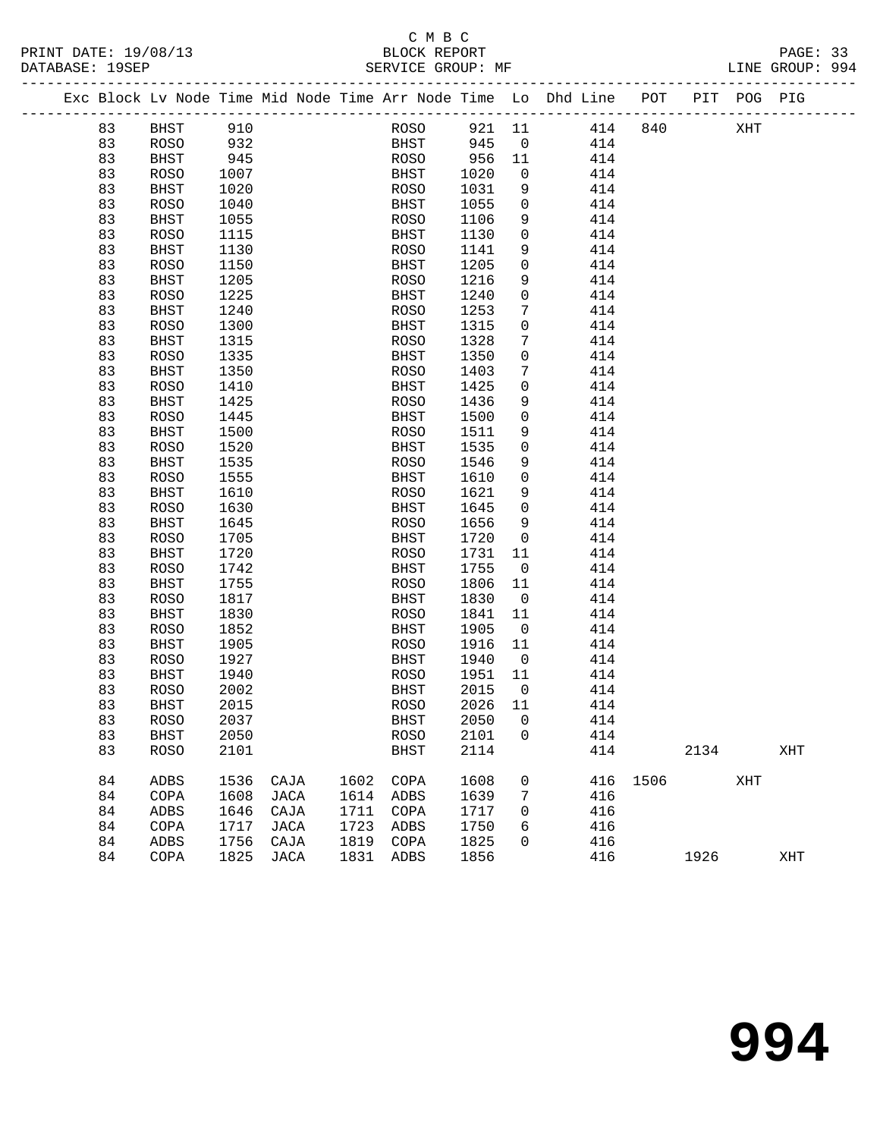### C M B C<br>BLOCK REPORT PRINT DATE: 19/08/13 BLOCK REPORT PAGE: 33 SERVICE GROUP: MF

|  |          |                            |              |      |      |              |              |                               | Exc Block Lv Node Time Mid Node Time Arr Node Time Lo Dhd Line POT PIT POG PIG |          |      |     |     |
|--|----------|----------------------------|--------------|------|------|--------------|--------------|-------------------------------|--------------------------------------------------------------------------------|----------|------|-----|-----|
|  | 83       | BHST                       | 910          |      |      | ROSO         | 921 11       |                               | 414                                                                            | 840      |      | XHT |     |
|  | 83       | ROSO                       | 932          |      |      | BHST         | 945          | $\overline{0}$                | 414                                                                            |          |      |     |     |
|  | 83       | BHST                       | 945          |      |      | ROSO         | 956          | 11                            | 414                                                                            |          |      |     |     |
|  | 83       | <b>ROSO</b>                | 1007         |      |      | BHST         | 1020         | $\overline{0}$                | 414                                                                            |          |      |     |     |
|  | 83       | <b>BHST</b>                | 1020         |      |      | ROSO         | 1031         | 9                             | 414                                                                            |          |      |     |     |
|  | 83       | <b>ROSO</b>                | 1040         |      |      | BHST         | 1055         | $\overline{0}$                | 414                                                                            |          |      |     |     |
|  | 83       | BHST                       | 1055         |      |      | ROSO         | 1106         | 9                             | 414                                                                            |          |      |     |     |
|  | 83       | <b>ROSO</b>                | 1115         |      |      | BHST         | 1130         | $\mathbf 0$                   | 414                                                                            |          |      |     |     |
|  | 83       | <b>BHST</b>                | 1130         |      |      | ROSO         | 1141         | 9                             | 414                                                                            |          |      |     |     |
|  | 83       | <b>ROSO</b>                | 1150         |      |      | BHST         | 1205         | $\overline{0}$                | 414                                                                            |          |      |     |     |
|  | 83       | BHST                       | 1205         |      |      | ROSO         | 1216         | 9                             | 414                                                                            |          |      |     |     |
|  | 83       | <b>ROSO</b>                | 1225         |      |      | BHST         | 1240         | $\mathbf 0$                   | 414                                                                            |          |      |     |     |
|  | 83       | <b>BHST</b>                | 1240         |      |      | ROSO         | 1253         | $7\phantom{.0}$               | 414                                                                            |          |      |     |     |
|  | 83       | <b>ROSO</b>                | 1300         |      |      | BHST         | 1315         | $\mathbf 0$                   | 414                                                                            |          |      |     |     |
|  | 83       | <b>BHST</b>                | 1315         |      |      | ROSO         | 1328         | 7                             | 414                                                                            |          |      |     |     |
|  | 83       | <b>ROSO</b>                | 1335         |      |      | BHST         | 1350         | $\mathbf 0$                   | 414                                                                            |          |      |     |     |
|  | 83       | <b>BHST</b>                | 1350         |      |      | ROSO         | 1403         | 7                             | 414                                                                            |          |      |     |     |
|  | 83       | <b>ROSO</b>                | 1410         |      |      | BHST         | 1425         | $\mathbf 0$                   | 414                                                                            |          |      |     |     |
|  | 83       | <b>BHST</b>                | 1425         |      |      | ROSO         | 1436         | 9                             | 414                                                                            |          |      |     |     |
|  | 83       | <b>ROSO</b>                | 1445         |      |      | BHST         | 1500         | $\mathbf 0$                   | 414                                                                            |          |      |     |     |
|  | 83       | <b>BHST</b>                | 1500         |      |      | ROSO         | 1511         | 9                             | 414                                                                            |          |      |     |     |
|  | 83       | <b>ROSO</b>                | 1520         |      |      | BHST         | 1535         | $\overline{0}$                | 414                                                                            |          |      |     |     |
|  | 83       | <b>BHST</b>                | 1535         |      |      | ROSO         | 1546         | 9                             | 414                                                                            |          |      |     |     |
|  | 83       | <b>ROSO</b>                | 1555         |      |      | BHST         | 1610         | $\mathbf 0$                   | 414                                                                            |          |      |     |     |
|  | 83       | <b>BHST</b>                | 1610         |      |      | ROSO         | 1621         | 9                             | 414                                                                            |          |      |     |     |
|  | 83       | <b>ROSO</b>                | 1630         |      |      | BHST         | 1645         | $\overline{0}$                | 414                                                                            |          |      |     |     |
|  | 83       | <b>BHST</b>                | 1645         |      |      | ROSO         | 1656         | 9                             | 414                                                                            |          |      |     |     |
|  | 83       | <b>ROSO</b>                | 1705         |      |      | BHST         | 1720         | $\overline{0}$                | 414                                                                            |          |      |     |     |
|  | 83       | <b>BHST</b>                | 1720         |      |      | ROSO         | 1731         | 11                            | 414                                                                            |          |      |     |     |
|  | 83       | <b>ROSO</b>                | 1742         |      |      | BHST         | 1755         | $\overline{\mathbf{0}}$       | 414                                                                            |          |      |     |     |
|  | 83       | <b>BHST</b>                | 1755         |      |      | ROSO         | 1806         | 11                            | 414                                                                            |          |      |     |     |
|  | 83       | <b>ROSO</b>                | 1817         |      |      | BHST         | 1830         | $\overline{\mathbf{0}}$<br>11 | 414<br>414                                                                     |          |      |     |     |
|  | 83<br>83 | <b>BHST</b>                | 1830         |      |      | ROSO         | 1841<br>1905 | $\overline{0}$                | 414                                                                            |          |      |     |     |
|  | 83       | <b>ROSO</b><br><b>BHST</b> | 1852<br>1905 |      |      | BHST<br>ROSO | 1916         | 11                            | 414                                                                            |          |      |     |     |
|  | 83       | ROSO                       | 1927         |      |      | BHST         | 1940         | $\overline{0}$                | 414                                                                            |          |      |     |     |
|  | 83       | BHST                       | 1940         |      |      | ROSO         | 1951         | 11                            | 414                                                                            |          |      |     |     |
|  | 83       | <b>ROSO</b>                | 2002         |      |      | BHST         | 2015         | $\overline{0}$                | 414                                                                            |          |      |     |     |
|  | 83       | <b>BHST</b>                | 2015         |      |      | ROSO         | 2026         | 11                            | 414                                                                            |          |      |     |     |
|  | 83       | ROSO                       | 2037         |      |      | BHST         | 2050 0       |                               | 414                                                                            |          |      |     |     |
|  | 83       | <b>BHST</b>                | 2050         |      |      | <b>ROSO</b>  | 2101         | $\mathbf 0$                   | 414                                                                            |          |      |     |     |
|  | 83       | <b>ROSO</b>                | 2101         |      |      | BHST         | 2114         |                               | 414                                                                            |          | 2134 |     | XHT |
|  |          |                            |              |      |      |              |              |                               |                                                                                |          |      |     |     |
|  | 84       | ADBS                       | 1536         | CAJA | 1602 | COPA         | 1608         | 0                             |                                                                                | 416 1506 |      | XHT |     |
|  | 84       | COPA                       | 1608         | JACA | 1614 | ADBS         | 1639         | 7                             | 416                                                                            |          |      |     |     |
|  | 84       | ADBS                       | 1646         | CAJA | 1711 | COPA         | 1717         | 0                             | 416                                                                            |          |      |     |     |
|  | 84       | COPA                       | 1717         | JACA | 1723 | ADBS         | 1750         | 6                             | 416                                                                            |          |      |     |     |
|  | 84       | ADBS                       | 1756         | CAJA | 1819 | COPA         | 1825         | 0                             | 416                                                                            |          |      |     |     |
|  | 84       | COPA                       | 1825         | JACA | 1831 | ADBS         | 1856         |                               | 416                                                                            |          | 1926 |     | XHT |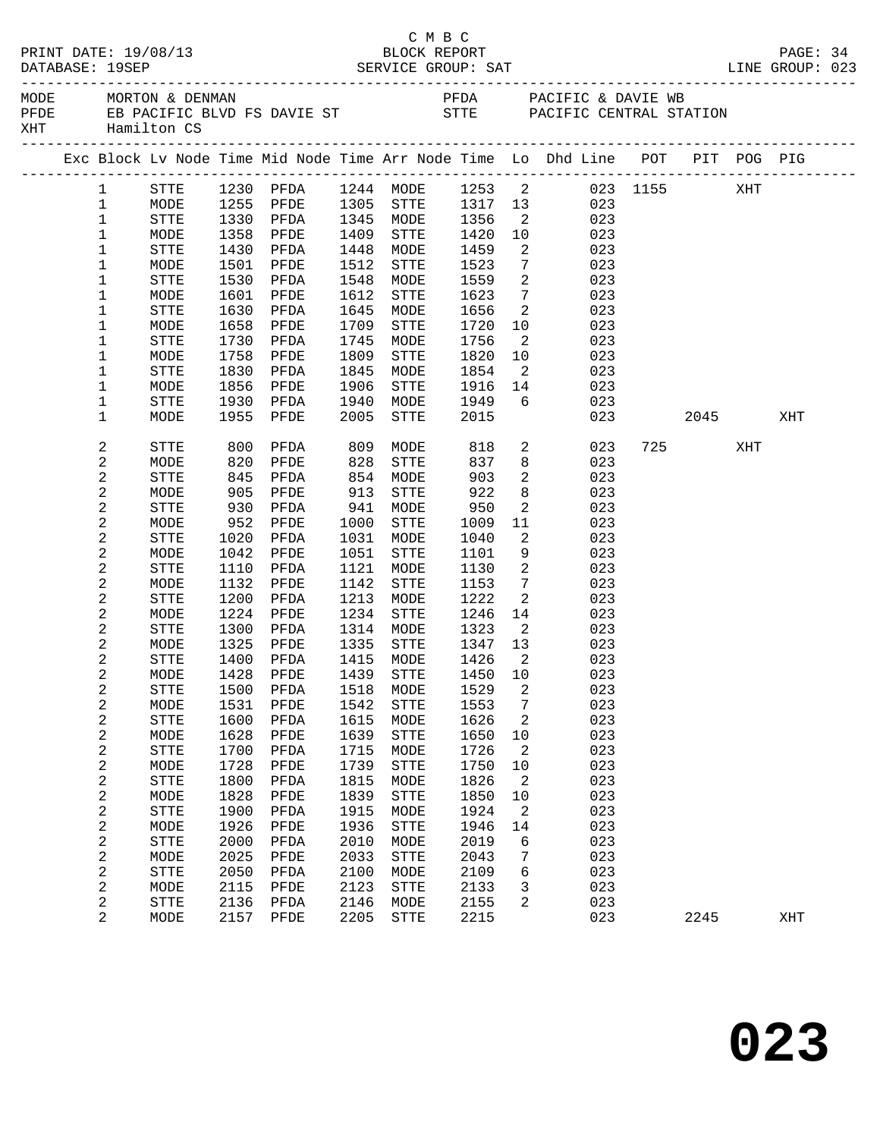| PRINT DATE: 19/08/13<br>DATABASE: 19SEP | C M B C<br>BLOCK REPORT |                                |      |                        |      |                                       |         | PAGE: 34                   |                                                                                               |  |           |     |     |  |
|-----------------------------------------|-------------------------|--------------------------------|------|------------------------|------|---------------------------------------|---------|----------------------------|-----------------------------------------------------------------------------------------------|--|-----------|-----|-----|--|
| MODE<br>XHT                             |                         | MORTON & DENMAN<br>Hamilton CS |      |                        |      |                                       |         |                            | PFDA PACIFIC & DAVIE WB<br>PFDE EB PACIFIC BLVD FS DAVIE ST STTE STTE PACIFIC CENTRAL STATION |  |           |     |     |  |
|                                         |                         |                                |      |                        |      |                                       |         |                            | Exc Block Lv Node Time Mid Node Time Arr Node Time Lo Dhd Line POT PIT POG PIG                |  |           |     |     |  |
|                                         | $\mathbf{1}$            | STTE                           |      |                        |      |                                       |         |                            | 1230 PFDA 1244 MODE 1253 2 023 1155                                                           |  |           | XHT |     |  |
|                                         | $\mathbf{1}$            | MODE                           |      |                        |      | 1305 STTE 1317 13<br>1345 MODE 1356 2 |         |                            | 023                                                                                           |  |           |     |     |  |
|                                         | $\mathbf{1}$            | STTE                           |      | 1255 PFDE<br>1330 PFDA |      |                                       |         |                            | 023                                                                                           |  |           |     |     |  |
|                                         | $\mathbf 1$             | MODE                           | 1358 | PFDE                   | 1409 | STTE                                  | 1420    | 10                         | 023                                                                                           |  |           |     |     |  |
|                                         | $\mathbf 1$             | <b>STTE</b>                    | 1430 | PFDA                   | 1448 | MODE                                  | 1459    | 2                          | 023                                                                                           |  |           |     |     |  |
|                                         | 1                       | MODE                           | 1501 | PFDE                   | 1512 | STTE                                  | 1523    | $7\phantom{.0}$            | 023                                                                                           |  |           |     |     |  |
|                                         | $\mathbf 1$             | STTE                           | 1530 | PFDA                   | 1548 | MODE                                  | 1559    | 2                          | 023                                                                                           |  |           |     |     |  |
|                                         | 1                       | MODE                           | 1601 | PFDE                   | 1612 | STTE                                  | 1623    | $7\overline{ }$            | 023                                                                                           |  |           |     |     |  |
|                                         | $\mathbf 1$             | STTE                           | 1630 | PFDA                   | 1645 | MODE                                  | 1656    | $\overline{a}$             | 023                                                                                           |  |           |     |     |  |
|                                         | 1                       | MODE                           | 1658 | PFDE                   | 1709 | STTE                                  | 1720    | 10                         | 023                                                                                           |  |           |     |     |  |
|                                         | $\mathbf 1$             | STTE                           | 1730 | PFDA                   | 1745 | MODE                                  | 1756    | $\overline{2}$             | 023                                                                                           |  |           |     |     |  |
|                                         | 1                       | MODE                           | 1758 | PFDE                   | 1809 | STTE                                  | 1820    | 10                         | 023                                                                                           |  |           |     |     |  |
|                                         | $\mathbf 1$             | STTE                           | 1830 | PFDA                   | 1845 | MODE                                  | 1854    | $\overline{\phantom{a}}^2$ | 023                                                                                           |  |           |     |     |  |
|                                         | 1                       | MODE                           | 1856 | PFDE                   | 1906 | STTE                                  | 1916    | 14                         | 023                                                                                           |  |           |     |     |  |
|                                         | $\mathbf 1$             | STTE                           | 1930 | PFDA                   | 1940 | MODE                                  | 1949    | 6                          | 023                                                                                           |  |           |     |     |  |
|                                         | 1                       | MODE                           | 1955 | PFDE                   | 2005 | STTE                                  | 2015    |                            | 023                                                                                           |  | 2045      |     | XHT |  |
|                                         | 2                       | STTE                           | 800  | PFDA                   | 809  | MODE                                  | 818     | $\overline{a}$             | 023                                                                                           |  | 725 — 120 | XHT |     |  |
|                                         | 2                       | MODE                           | 820  | PFDE                   | 828  | STTE                                  | 837     | 8                          | 023                                                                                           |  |           |     |     |  |
|                                         | 2                       | ${\tt STTE}$                   | 845  | PFDA                   | 854  | MODE                                  | 903     | 2                          | 023                                                                                           |  |           |     |     |  |
|                                         | 2                       | MODE                           | 905  | PFDE                   | 913  | STTE                                  | 922     | 8                          | 023                                                                                           |  |           |     |     |  |
|                                         | 2                       | STTE                           | 930  | PFDA                   | 941  | MODE                                  | 950     | 2                          | 023                                                                                           |  |           |     |     |  |
|                                         | $\boldsymbol{2}$        | MODE                           | 952  | PFDE                   | 1000 | STTE                                  | 1009    | 11                         | 023                                                                                           |  |           |     |     |  |
|                                         | 2                       | STTE                           | 1020 | PFDA                   | 1031 | MODE                                  | 1040    | $\overline{2}$             | 023                                                                                           |  |           |     |     |  |
|                                         | 2                       | MODE                           | 1042 | PFDE                   | 1051 | STTE                                  | 1101    | 9                          | 023                                                                                           |  |           |     |     |  |
|                                         | 2                       | <b>STTE</b>                    | 1110 | PFDA                   | 1121 | MODE                                  | 1130    | 2                          | 023                                                                                           |  |           |     |     |  |
|                                         | $\overline{c}$          | MODE                           | 1132 | PFDE                   | 1142 | STTE                                  | 1153    | $7\overline{ }$            | 023                                                                                           |  |           |     |     |  |
|                                         | $\overline{c}$          | STTE                           | 1200 | PFDA                   | 1213 | MODE                                  | 1222    | $\overline{2}$             | 023                                                                                           |  |           |     |     |  |
|                                         | 2                       | MODE                           | 1224 | PFDE                   | 1234 | STTE                                  | 1246    | 14                         | 023                                                                                           |  |           |     |     |  |
|                                         | 2                       | STTE                           | 1300 | PFDA                   | 1314 | MODE                                  | 1323    | $\overline{2}$             | 023                                                                                           |  |           |     |     |  |
|                                         | 2                       | MODE                           | 1325 | PFDE                   | 1335 | STTE                                  | 1347 13 |                            | 023                                                                                           |  |           |     |     |  |
|                                         | 2                       | STTE                           | 1400 | PFDA                   | 1415 | MODE                                  | 1426    | $\overline{2}$             | 023                                                                                           |  |           |     |     |  |
|                                         | 2                       | MODE                           |      |                        |      |                                       |         |                            | 1428 PFDE 1439 STTE 1450 10 023                                                               |  |           |     |     |  |
|                                         | 2                       | STTE                           | 1500 | PFDA                   | 1518 | MODE                                  | 1529    | 2                          | 023                                                                                           |  |           |     |     |  |
|                                         | 2                       | MODE                           | 1531 | PFDE                   | 1542 | ${\tt STTE}$                          | 1553    | 7                          | 023                                                                                           |  |           |     |     |  |
|                                         | $\boldsymbol{2}$        | <b>STTE</b>                    | 1600 | PFDA                   | 1615 | MODE                                  | 1626    | 2                          | 023                                                                                           |  |           |     |     |  |
|                                         | 2                       | MODE                           | 1628 | PFDE                   | 1639 | STTE                                  | 1650    | 10                         | 023                                                                                           |  |           |     |     |  |
|                                         | 2                       | <b>STTE</b>                    | 1700 | PFDA                   | 1715 | MODE                                  | 1726    | 2                          | 023                                                                                           |  |           |     |     |  |
|                                         | 2                       | MODE                           | 1728 | PFDE                   | 1739 | ${\tt STTE}$                          | 1750    | 10                         | 023                                                                                           |  |           |     |     |  |
|                                         | $\boldsymbol{2}$        | STTE                           | 1800 | PFDA                   | 1815 | MODE                                  | 1826    | 2                          | 023                                                                                           |  |           |     |     |  |
|                                         | 2                       | MODE                           | 1828 | PFDE                   | 1839 | ${\tt STTE}$                          | 1850    | 10                         | 023                                                                                           |  |           |     |     |  |
|                                         | $\boldsymbol{2}$        | STTE                           | 1900 | PFDA                   | 1915 | MODE                                  | 1924    | 2                          | 023                                                                                           |  |           |     |     |  |
|                                         | $\overline{\mathbf{c}}$ | MODE                           | 1926 | PFDE                   | 1936 | STTE                                  | 1946    | 14                         | 023                                                                                           |  |           |     |     |  |
|                                         | $\boldsymbol{2}$        | STTE                           | 2000 | PFDA                   | 2010 | MODE                                  | 2019    | 6                          | 023                                                                                           |  |           |     |     |  |
|                                         | 2                       | MODE                           | 2025 | PFDE                   | 2033 | STTE                                  | 2043    | 7                          | 023                                                                                           |  |           |     |     |  |
|                                         | 2                       | STTE                           | 2050 | PFDA                   | 2100 | MODE                                  | 2109    | 6                          | 023                                                                                           |  |           |     |     |  |
|                                         | 2                       | MODE                           | 2115 | PFDE                   | 2123 | ${\tt STTE}$                          | 2133    | 3                          | 023                                                                                           |  |           |     |     |  |
|                                         | $\boldsymbol{2}$        | STTE                           | 2136 | PFDA                   | 2146 | MODE                                  | 2155    | 2                          | 023                                                                                           |  |           |     |     |  |
|                                         | $\overline{2}$          | MODE                           |      | 2157 PFDE              | 2205 | ${\tt STTE}$                          | 2215    |                            | 023                                                                                           |  | 2245      |     | XHT |  |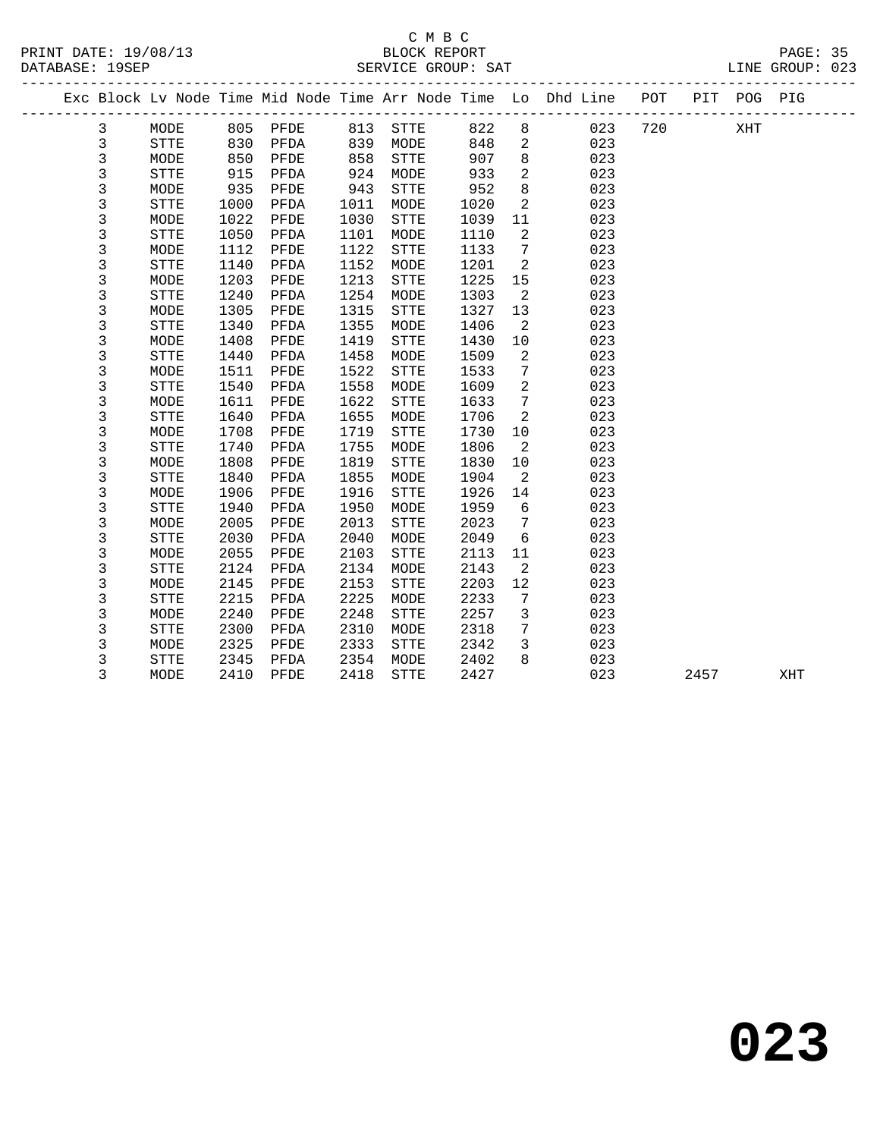## C M B C<br>BLOCK REPORT

| U M D U<br>PRINT DATE: 19/08/13<br>BLOCK REPORT<br>DATABASE: 19SEP<br>SERVICE GROUP: SAT<br>LINE GROUP: 023 |   |             |      |      |      |             |      |                            |                                                                                |     |  | PAGE: 35 |  |  |
|-------------------------------------------------------------------------------------------------------------|---|-------------|------|------|------|-------------|------|----------------------------|--------------------------------------------------------------------------------|-----|--|----------|--|--|
|                                                                                                             |   |             |      |      |      |             |      |                            | Exc Block Lv Node Time Mid Node Time Arr Node Time Lo Dhd Line POT PIT POG PIG |     |  |          |  |  |
|                                                                                                             | 3 | MODE        | 805  | PFDE | 813  | STTE        | 822  |                            | 023                                                                            | 720 |  | XHT      |  |  |
|                                                                                                             | 3 | <b>STTE</b> | 830  | PFDA | 839  | MODE        | 848  |                            | $2 \left( \frac{1}{2} \right)$<br>023                                          |     |  |          |  |  |
|                                                                                                             | 3 | MODE        | 850  | PFDE | 858  | STTE        | 907  |                            | 023                                                                            |     |  |          |  |  |
|                                                                                                             | 3 | STTE        | 915  | PFDA | 924  | MODE        | 933  | $2 \quad \blacksquare$     | 023                                                                            |     |  |          |  |  |
|                                                                                                             | 3 | MODE        | 935  | PFDE | 943  | <b>STTE</b> | 952  | 8                          | 023                                                                            |     |  |          |  |  |
|                                                                                                             | 3 | STTE        | 1000 | PFDA | 1011 | MODE        | 1020 | 2                          | 023                                                                            |     |  |          |  |  |
|                                                                                                             | 3 | MODE        | 1022 | PFDE | 1030 | <b>STTE</b> | 1039 | 11                         | 023                                                                            |     |  |          |  |  |
|                                                                                                             | 3 | <b>STTE</b> | 1050 | PFDA | 1101 | MODE        | 1110 | 2                          | 023                                                                            |     |  |          |  |  |
|                                                                                                             | 3 | MODE        | 1112 | PFDE | 1122 | <b>STTE</b> | 1133 | 7                          | 023                                                                            |     |  |          |  |  |
|                                                                                                             | 3 | <b>STTE</b> | 1140 | PFDA | 1152 | MODE        | 1201 | 2                          | 023                                                                            |     |  |          |  |  |
|                                                                                                             | 3 | MODE        | 1203 | PFDE | 1213 | STTE        | 1225 | 15                         | 023                                                                            |     |  |          |  |  |
|                                                                                                             | 3 | STTE        | 1240 | PFDA | 1254 | MODE        | 1303 | 2                          | 023                                                                            |     |  |          |  |  |
|                                                                                                             | 3 | MODE        | 1305 | PFDE | 1315 | STTE        | 1327 | 13                         | 023                                                                            |     |  |          |  |  |
|                                                                                                             | 3 | STTE        | 1340 | PFDA | 1355 | MODE        | 1406 | 2                          | 023                                                                            |     |  |          |  |  |
|                                                                                                             | 3 | MODE        | 1408 | PFDE | 1419 | <b>STTE</b> | 1430 | 10                         | 023                                                                            |     |  |          |  |  |
|                                                                                                             | 3 | STTE        | 1440 | PFDA | 1458 | MODE        | 1509 | 2                          | 023                                                                            |     |  |          |  |  |
|                                                                                                             | 3 | MODE        | 1511 | PFDE | 1522 | STTE        | 1533 | $7\phantom{.0}$            | 023                                                                            |     |  |          |  |  |
|                                                                                                             | 3 | STTE        | 1540 | PFDA | 1558 | MODE        | 1609 | $\overline{a}$             | 023                                                                            |     |  |          |  |  |
|                                                                                                             | 3 | MODE        | 1611 | PFDE | 1622 | STTE        | 1633 | $7\overline{ }$            | 023                                                                            |     |  |          |  |  |
|                                                                                                             | 3 | <b>STTE</b> | 1640 | PFDA | 1655 | MODE        | 1706 | 2                          | 023                                                                            |     |  |          |  |  |
|                                                                                                             | 3 | MODE        | 1708 | PFDE | 1719 | <b>STTE</b> | 1730 | 10 <sup>°</sup>            | 023                                                                            |     |  |          |  |  |
|                                                                                                             | 3 | <b>STTE</b> | 1740 | PFDA | 1755 | MODE        | 1806 | 2                          | 023                                                                            |     |  |          |  |  |
|                                                                                                             | 3 | MODE        | 1808 | PFDE | 1819 | STTE        | 1830 | 10                         | 023                                                                            |     |  |          |  |  |
|                                                                                                             | 3 | STTE        | 1840 | PFDA | 1855 | MODE        | 1904 | $\overline{\phantom{0}}^2$ | 023                                                                            |     |  |          |  |  |
|                                                                                                             | 3 | MODE        | 1906 | PFDE | 1916 | STTE        | 1926 | 14                         | 023                                                                            |     |  |          |  |  |

3 5118 2500 112A 2510 MODE 2510 7 025<br>3 MODE 2325 PFDE 2333 STTE 2342 3 023<br>3 STTE 2345 PFDA 2354 MODE 2402 8 023<br>3 MODE 2410 PFDE 2418 STTE 2427 023 2457 XHT

 3 STTE 1940 PFDA 1950 MODE 1959 6 023 3 MODE 2005 PFDE 2013 STTE 2023 7 023 3 STTE 2030 PFDA 2040 MODE 2049 6 023 3 MODE 2055 PFDE 2103 STTE 2113 11 023 3 STTE 2124 PFDA 2134 MODE 2143 2 023 3 MODE 2145 PFDE 2153 STTE 2203 12 023 3 STTE 2215 PFDA 2225 MODE 2233 7 023 3 MODE 2240 PFDE 2248 STTE 2257 3 023 3 STTE 2300 PFDA 2310 MODE 2318 7 023 3 MODE 2325 PFDE 2333 STTE 2342 3 023 3 STTE 2345 PFDA 2354 MODE 2402 8 023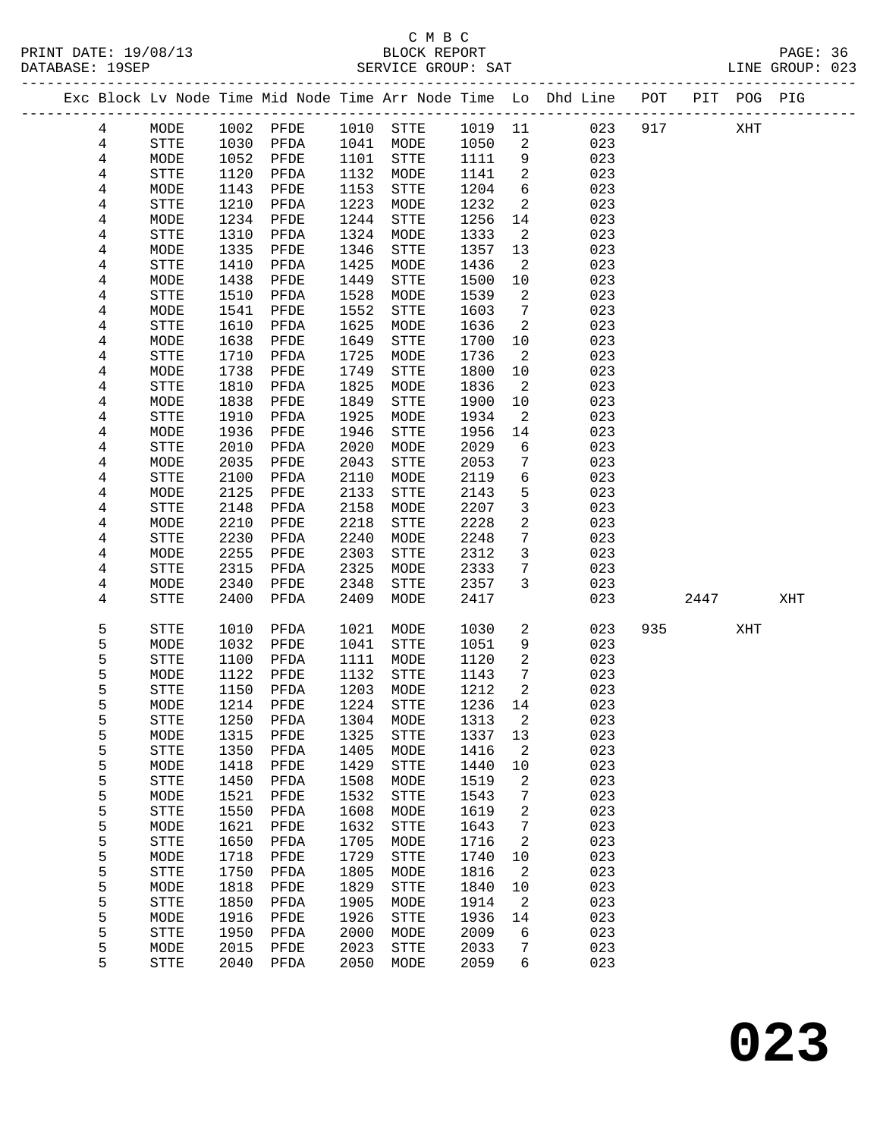### C M B C<br>BLOCK REPORT SERVICE GROUP: SAT

|                |             |      |           |      |              |        |                 | Exc Block Lv Node Time Mid Node Time Arr Node Time Lo Dhd Line POT PIT POG PIG |     |      |                      |     |
|----------------|-------------|------|-----------|------|--------------|--------|-----------------|--------------------------------------------------------------------------------|-----|------|----------------------|-----|
| 4              | MODE        | 1002 | PFDE      | 1010 | STTE         | 1019   | 11              | 023                                                                            | 917 |      | $\operatorname{XHT}$ |     |
| 4              | STTE        | 1030 | PFDA      | 1041 | MODE         | 1050   | 2               | 023                                                                            |     |      |                      |     |
| $\overline{4}$ | MODE        | 1052 | PFDE      | 1101 | ${\tt STTE}$ | 1111   | 9               | 023                                                                            |     |      |                      |     |
| 4              | STTE        | 1120 | PFDA      | 1132 | MODE         | 1141   | $\overline{a}$  | 023                                                                            |     |      |                      |     |
| 4              | MODE        | 1143 | PFDE      | 1153 | STTE         | 1204   | 6               | 023                                                                            |     |      |                      |     |
| 4              | STTE        | 1210 | PFDA      | 1223 | MODE         | 1232   | 2               | 023                                                                            |     |      |                      |     |
| 4              | MODE        | 1234 | PFDE      | 1244 | STTE         | 1256   | 14              | 023                                                                            |     |      |                      |     |
| 4              | STTE        | 1310 | PFDA      | 1324 | MODE         | 1333   | 2               | 023                                                                            |     |      |                      |     |
| 4              | MODE        | 1335 | PFDE      | 1346 | STTE         | 1357   | 13              | 023                                                                            |     |      |                      |     |
| 4              | STTE        | 1410 | PFDA      | 1425 | MODE         | 1436   | 2               | 023                                                                            |     |      |                      |     |
| 4              | MODE        | 1438 | PFDE      | 1449 | ${\tt STTE}$ | 1500   | 10              | 023                                                                            |     |      |                      |     |
| 4              | STTE        | 1510 | PFDA      | 1528 | MODE         | 1539   | 2               | 023                                                                            |     |      |                      |     |
| 4              | MODE        | 1541 | PFDE      | 1552 | STTE         | 1603   | $7\phantom{.0}$ | 023                                                                            |     |      |                      |     |
| 4              | STTE        | 1610 | PFDA      | 1625 | MODE         | 1636   | 2               | 023                                                                            |     |      |                      |     |
| 4              | MODE        | 1638 | PFDE      | 1649 | <b>STTE</b>  | 1700   | 10              | 023                                                                            |     |      |                      |     |
| 4              | STTE        | 1710 | PFDA      | 1725 | MODE         | 1736   | 2               | 023                                                                            |     |      |                      |     |
| 4              | MODE        | 1738 | PFDE      | 1749 | <b>STTE</b>  | 1800   | 10              | 023                                                                            |     |      |                      |     |
| 4              | STTE        | 1810 | PFDA      | 1825 | MODE         | 1836   | 2               | 023                                                                            |     |      |                      |     |
| 4              | MODE        | 1838 | PFDE      | 1849 | STTE         | 1900   | 10              | 023                                                                            |     |      |                      |     |
| 4              | STTE        | 1910 | PFDA      | 1925 | MODE         | 1934   | 2               | 023                                                                            |     |      |                      |     |
| 4              | MODE        | 1936 | PFDE      | 1946 | <b>STTE</b>  | 1956   | 14              | 023                                                                            |     |      |                      |     |
| 4              | STTE        | 2010 | PFDA      | 2020 | MODE         | 2029   | 6               | 023                                                                            |     |      |                      |     |
| 4              | MODE        | 2035 | PFDE      | 2043 | STTE         | 2053   | 7               | 023                                                                            |     |      |                      |     |
| 4              | STTE        | 2100 | PFDA      | 2110 | MODE         | 2119   | $\epsilon$      | 023                                                                            |     |      |                      |     |
| 4              | MODE        | 2125 | PFDE      | 2133 | STTE         | 2143   | 5               | 023                                                                            |     |      |                      |     |
| 4              | STTE        | 2148 | PFDA      | 2158 | MODE         | 2207   | $\mathbf{3}$    | 023                                                                            |     |      |                      |     |
| 4              | MODE        | 2210 | PFDE      | 2218 | STTE         | 2228   | $\overline{a}$  | 023                                                                            |     |      |                      |     |
| 4              | STTE        | 2230 | PFDA      | 2240 | MODE         | 2248   | $7\phantom{.0}$ | 023                                                                            |     |      |                      |     |
| 4              | MODE        | 2255 | PFDE      | 2303 | STTE         | 2312   | $\mathbf{3}$    | 023                                                                            |     |      |                      |     |
| 4              | <b>STTE</b> | 2315 | PFDA      | 2325 | MODE         | 2333   | 7               | 023                                                                            |     |      |                      |     |
| 4              | MODE        | 2340 | PFDE      | 2348 | STTE         | 2357   | $\mathbf{3}$    | 023                                                                            |     |      |                      |     |
| 4              | <b>STTE</b> | 2400 | PFDA      | 2409 | MODE         | 2417   |                 | 023                                                                            |     | 2447 |                      | XHT |
|                |             |      |           |      |              |        |                 |                                                                                |     |      |                      |     |
| 5              | STTE        | 1010 | PFDA      | 1021 | MODE         | 1030   | $\overline{a}$  | 023                                                                            | 935 |      | XHT                  |     |
| 5              | MODE        | 1032 | PFDE      | 1041 | STTE         | 1051   | 9               | 023                                                                            |     |      |                      |     |
| 5              | STTE        | 1100 | PFDA      | 1111 | MODE         | 1120   | $\overline{a}$  | 023                                                                            |     |      |                      |     |
| 5              | MODE        | 1122 | PFDE      | 1132 | STTE         | 1143   | $7\phantom{.0}$ | 023                                                                            |     |      |                      |     |
| 5              | <b>STTE</b> | 1150 | PFDA      | 1203 | MODE         | 1212   | 2               | 023                                                                            |     |      |                      |     |
| 5              | MODE        | 1214 | PFDE      | 1224 | <b>STTE</b>  | 1236   | 14              | 023                                                                            |     |      |                      |     |
| 5              | <b>STTE</b> |      | 1250 PFDA |      | 1304 MODE    | 1313 2 |                 | 023                                                                            |     |      |                      |     |
| 5              | MODE        | 1315 | PFDE      | 1325 | STTE         | 1337   | 13              | 023                                                                            |     |      |                      |     |
| 5              | STTE        | 1350 | PFDA      | 1405 | MODE         | 1416   | 2               | 023                                                                            |     |      |                      |     |
| 5              | MODE        | 1418 | PFDE      | 1429 | STTE         | 1440   | 10              | 023                                                                            |     |      |                      |     |
| 5              | <b>STTE</b> | 1450 | PFDA      | 1508 | MODE         | 1519   | 2               | 023                                                                            |     |      |                      |     |
| 5              | MODE        | 1521 | PFDE      | 1532 | STTE         | 1543   | 7               | 023                                                                            |     |      |                      |     |
| 5              | STTE        | 1550 | PFDA      | 1608 | MODE         | 1619   | 2               | 023                                                                            |     |      |                      |     |
| 5              | MODE        | 1621 | PFDE      | 1632 | <b>STTE</b>  | 1643   | 7               | 023                                                                            |     |      |                      |     |
| 5              | STTE        | 1650 | PFDA      | 1705 | MODE         | 1716   | 2               | 023                                                                            |     |      |                      |     |
| 5              | MODE        | 1718 | PFDE      | 1729 | STTE         | 1740   | 10              | 023                                                                            |     |      |                      |     |
| 5              | STTE        | 1750 | PFDA      | 1805 | MODE         | 1816   | 2               | 023                                                                            |     |      |                      |     |
| 5              | MODE        | 1818 | PFDE      | 1829 | STTE         | 1840   | 10              | 023                                                                            |     |      |                      |     |
| 5              | <b>STTE</b> | 1850 | PFDA      | 1905 | MODE         | 1914   | 2               | 023                                                                            |     |      |                      |     |

 5 MODE 1916 PFDE 1926 STTE 1936 14 023 5 STTE 1950 PFDA 2000 MODE 2009 6 023 5 MODE 2015 PFDE 2023 STTE 2033 7 023 5 STTE 2040 PFDA 2050 MODE 2059 6 023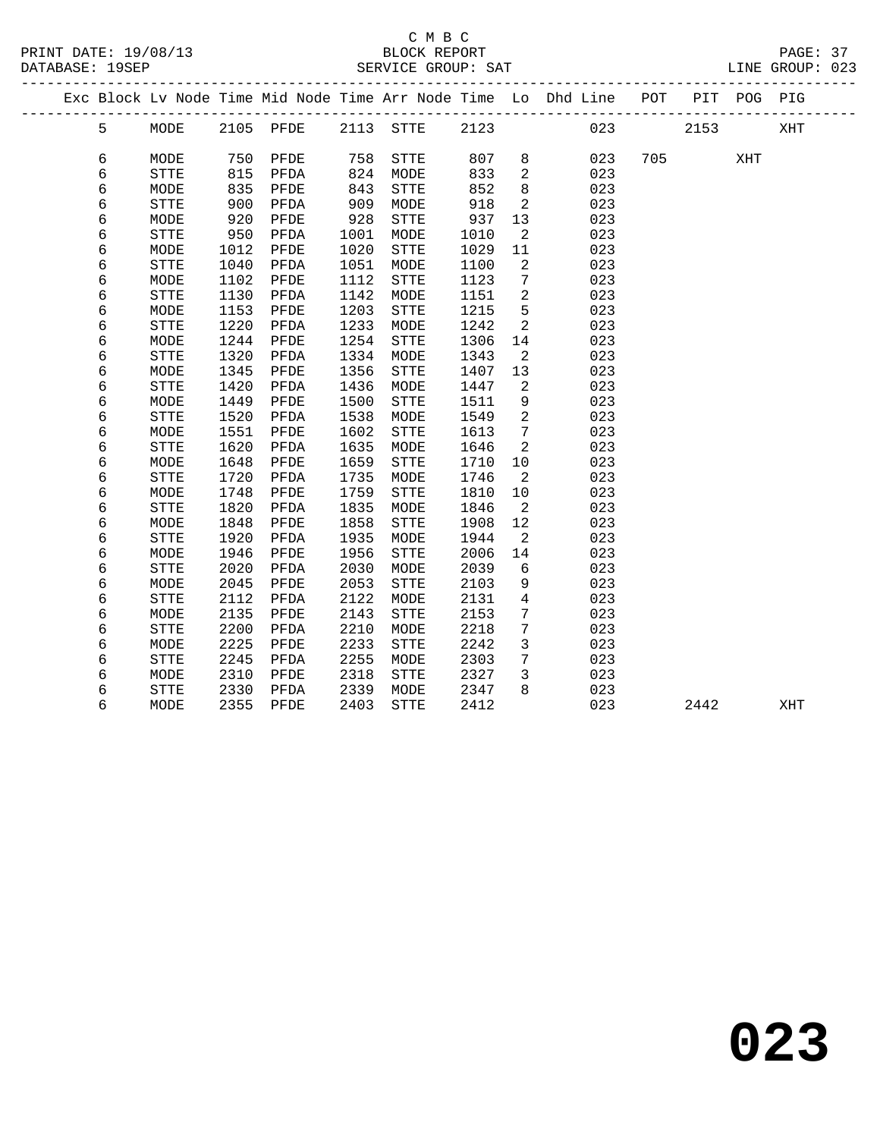|  |   |             |      | Exc Block Lv Node Time Mid Node Time Arr Node Time Lo Dhd Line POT |           |              |      |                 |     |     |      | PIT POG PIG |     |  |
|--|---|-------------|------|--------------------------------------------------------------------|-----------|--------------|------|-----------------|-----|-----|------|-------------|-----|--|
|  | 5 | MODE        |      | 2105 PFDE                                                          | 2113 STTE |              | 2123 |                 | 023 |     | 2153 |             | XHT |  |
|  |   |             |      |                                                                    |           |              |      |                 |     |     |      |             |     |  |
|  | 6 | MODE        | 750  | PFDE                                                               | 758       | <b>STTE</b>  | 807  | 8               | 023 | 705 |      | XHT         |     |  |
|  | 6 | <b>STTE</b> | 815  | PFDA                                                               | 824       | MODE         | 833  | 2               | 023 |     |      |             |     |  |
|  | 6 | MODE        | 835  | PFDE                                                               | 843       | ${\tt STTE}$ | 852  | 8               | 023 |     |      |             |     |  |
|  | 6 | STTE        | 900  | PFDA                                                               | 909       | MODE         | 918  | 2               | 023 |     |      |             |     |  |
|  | 6 | MODE        | 920  | PFDE                                                               | 928       | ${\tt STTE}$ | 937  | 13              | 023 |     |      |             |     |  |
|  | 6 | STTE        | 950  | PFDA                                                               | 1001      | MODE         | 1010 | 2               | 023 |     |      |             |     |  |
|  | 6 | MODE        | 1012 | PFDE                                                               | 1020      | ${\tt STTE}$ | 1029 | 11              | 023 |     |      |             |     |  |
|  | 6 | STTE        | 1040 | PFDA                                                               | 1051      | MODE         | 1100 | 2               | 023 |     |      |             |     |  |
|  | 6 | MODE        | 1102 | PFDE                                                               | 1112      | <b>STTE</b>  | 1123 | 7               | 023 |     |      |             |     |  |
|  | 6 | <b>STTE</b> | 1130 | PFDA                                                               | 1142      | MODE         | 1151 | $\overline{2}$  | 023 |     |      |             |     |  |
|  | 6 | MODE        | 1153 | PFDE                                                               | 1203      | <b>STTE</b>  | 1215 | 5               | 023 |     |      |             |     |  |
|  | 6 | STTE        | 1220 | PFDA                                                               | 1233      | MODE         | 1242 | 2               | 023 |     |      |             |     |  |
|  | 6 | MODE        | 1244 | PFDE                                                               | 1254      | STTE         | 1306 | 14              | 023 |     |      |             |     |  |
|  | 6 | <b>STTE</b> | 1320 | PFDA                                                               | 1334      | MODE         | 1343 | 2               | 023 |     |      |             |     |  |
|  | 6 | MODE        | 1345 | PFDE                                                               | 1356      | ${\tt STTE}$ | 1407 | 13              | 023 |     |      |             |     |  |
|  | 6 | <b>STTE</b> | 1420 | PFDA                                                               | 1436      | MODE         | 1447 | 2               | 023 |     |      |             |     |  |
|  | 6 | MODE        | 1449 | PFDE                                                               | 1500      | STTE         | 1511 | 9               | 023 |     |      |             |     |  |
|  | 6 | <b>STTE</b> | 1520 | PFDA                                                               | 1538      | MODE         | 1549 | 2               | 023 |     |      |             |     |  |
|  | 6 | MODE        | 1551 | PFDE                                                               | 1602      | ${\tt STTE}$ | 1613 | $7\phantom{.0}$ | 023 |     |      |             |     |  |
|  | 6 | <b>STTE</b> | 1620 | PFDA                                                               | 1635      | MODE         | 1646 | 2               | 023 |     |      |             |     |  |
|  | 6 | MODE        | 1648 | PFDE                                                               | 1659      | ${\tt STTE}$ | 1710 | 10              | 023 |     |      |             |     |  |
|  | 6 | <b>STTE</b> | 1720 | PFDA                                                               | 1735      | MODE         | 1746 | 2               | 023 |     |      |             |     |  |
|  | 6 | MODE        | 1748 | PFDE                                                               | 1759      | ${\tt STTE}$ | 1810 | 10              | 023 |     |      |             |     |  |
|  | 6 | STTE        | 1820 | PFDA                                                               | 1835      | MODE         | 1846 | 2               | 023 |     |      |             |     |  |
|  | 6 | MODE        | 1848 | PFDE                                                               | 1858      | ${\tt STTE}$ | 1908 | 12              | 023 |     |      |             |     |  |
|  | 6 | STTE        | 1920 | PFDA                                                               | 1935      | MODE         | 1944 | 2               | 023 |     |      |             |     |  |
|  | 6 | MODE        | 1946 | PFDE                                                               | 1956      | STTE         | 2006 | 14              | 023 |     |      |             |     |  |
|  | 6 | STTE        | 2020 | PFDA                                                               | 2030      | MODE         | 2039 | 6               | 023 |     |      |             |     |  |
|  | 6 | MODE        | 2045 | PFDE                                                               | 2053      | STTE         | 2103 | 9               | 023 |     |      |             |     |  |
|  | 6 | STTE        | 2112 | PFDA                                                               | 2122      | MODE         | 2131 | $\overline{4}$  | 023 |     |      |             |     |  |
|  | 6 | MODE        | 2135 | PFDE                                                               | 2143      | STTE         | 2153 | 7               | 023 |     |      |             |     |  |
|  | 6 | STTE        | 2200 | PFDA                                                               | 2210      | MODE         | 2218 | 7               | 023 |     |      |             |     |  |
|  | 6 | MODE        | 2225 | PFDE                                                               | 2233      | STTE         | 2242 | 3               | 023 |     |      |             |     |  |
|  | 6 | STTE        | 2245 | PFDA                                                               | 2255      | MODE         | 2303 | $7\phantom{.0}$ | 023 |     |      |             |     |  |
|  | 6 | MODE        | 2310 | PFDE                                                               | 2318      | <b>STTE</b>  | 2327 | 3               | 023 |     |      |             |     |  |
|  | 6 | <b>STTE</b> | 2330 | PFDA                                                               | 2339      | MODE         | 2347 | 8               | 023 |     |      |             |     |  |
|  | 6 | MODE        | 2355 | PFDE                                                               | 2403      | <b>STTE</b>  | 2412 |                 | 023 |     | 2442 |             | XHT |  |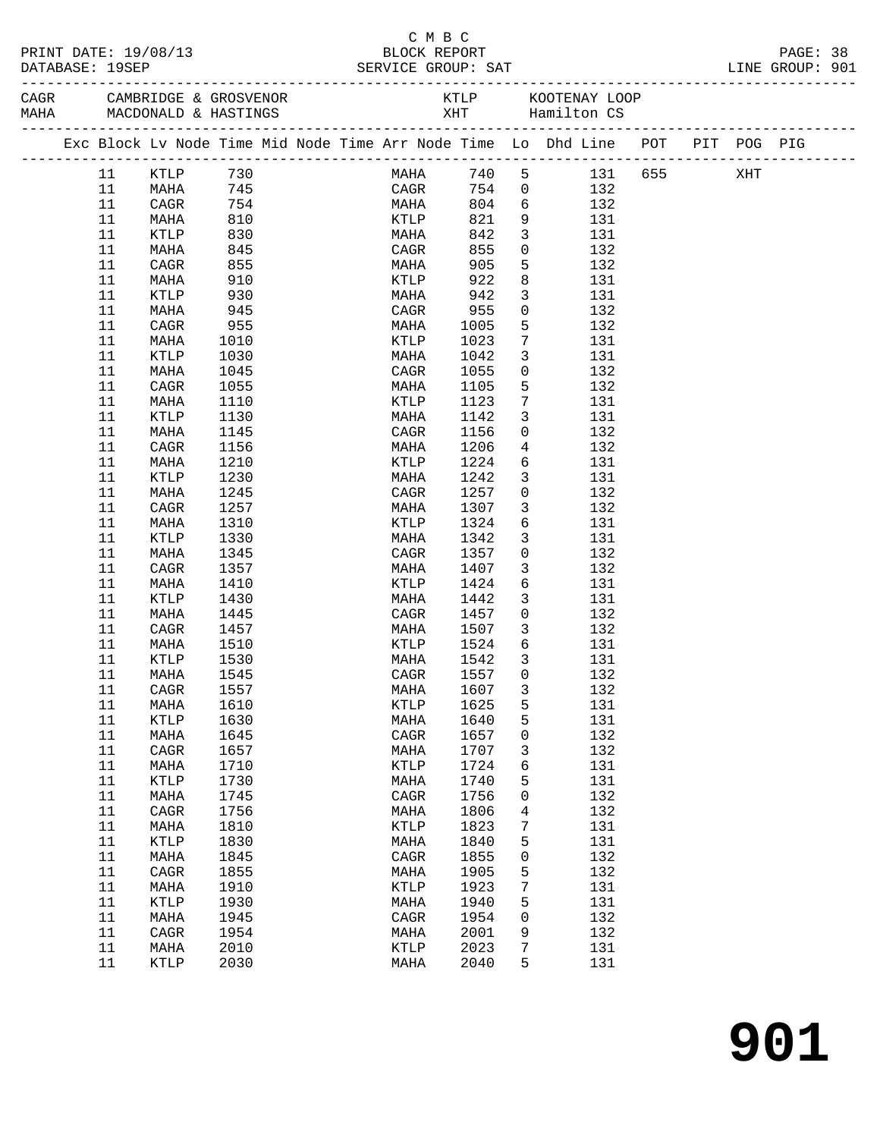| Exc Block Lv Node Time Mid Node Time Arr Node Time Lo Dhd Line POT PIT POG PIG<br>740 5 131 655 XHT<br>KTLP<br>730<br>11<br>MAHA<br>CAGR<br>754 0 132<br>745<br>11<br>MAHA<br>754<br>804<br>6 132<br>11<br>CAGR<br>MAHA<br>821<br>9<br>11<br>810<br>131<br>MAHA<br>KTLP<br>$\overline{\mathbf{3}}$<br>11<br>KTLP<br>830<br>MAHA<br>842<br>131<br>845<br>855<br>$\overline{0}$<br>11<br>132<br>MAHA<br>CAGR<br>5<br>905<br>11<br>CAGR<br>855<br>132<br>MAHA<br>8<br>922<br>11<br>910<br>131<br>MAHA<br>KTLP<br>942<br>$\mathbf{3}$<br>11<br>KTLP<br>930<br>131<br>MAHA<br>955<br>$\mathsf{O}$<br>11<br>MAHA<br>945<br>132<br>CAGR<br>5<br>11<br>955<br>1005<br>132<br>CAGR<br>MAHA<br>$7\phantom{.0}$<br>11<br>1023<br>131<br>MAHA<br>1010<br>KTLP<br>$\mathbf{3}$<br>11<br>1030<br>1042<br>131<br>KTLP<br>MAHA<br>$\mathsf{O}$<br>11<br>1045<br>1055<br>132<br>MAHA<br>CAGR<br>5<br>11<br>1055<br>132<br>CAGR<br>MAHA<br>1105<br>$7\phantom{.0}$<br>11<br>1123<br>MAHA<br>1110<br>KTLP<br>131<br>$\mathbf{3}$<br>11<br>1130<br>1142<br>131<br>KTLP<br>MAHA<br>$\mathbf 0$<br>11<br>MAHA<br>1145<br>CAGR<br>1156<br>132<br>11<br>1156<br>1206<br>$\overline{4}$<br>132<br>CAGR<br>MAHA<br>6<br>11<br>1210<br>1224<br>131<br>MAHA<br>KTLP<br>$\mathbf{3}$<br>11<br>1230<br>1242<br>131<br>KTLP<br>MAHA<br>$\overline{0}$<br>11<br>1245<br>1257<br>132<br>MAHA<br>CAGR<br>11<br>1257<br>1307<br>$\overline{3}$<br>132<br>CAGR<br>MAHA<br>6<br>11<br>1310<br>KTLP<br>1324<br>131<br>MAHA<br>$\mathbf{3}$<br>11<br>1330<br>1342<br>131<br>KTLP<br>MAHA<br>$\mathbf 0$<br>11<br>1345<br>1357<br>132<br>MAHA<br>CAGR<br>1407<br>$\mathbf{3}$<br>11<br>CAGR<br>1357<br>132<br>MAHA<br>6<br>11<br>1410<br>1424<br>131<br>MAHA<br>KTLP<br>$\mathbf{3}$<br>11<br>1430<br>1442<br>131<br>KTLP<br>MAHA<br>$\overline{0}$<br>11<br>1457<br>132<br>MAHA<br>1445<br>CAGR<br>1507<br>132<br>$\overline{\mathbf{3}}$<br>11<br>CAGR<br>1457<br>MAHA<br>KTLP 1524<br>$6\overline{6}$<br>11<br>1510<br>MAHA<br>131<br>1542<br>$\overline{3}$<br>11<br>1530<br>KTLP<br>MAHA<br>131<br>CAGR 1557 0<br>132<br>11 MAHA<br>1545<br>132<br>11<br>1557<br>1607<br>3<br>CAGR<br>MAHA<br>KTLP<br>1625<br>5<br>131<br>11<br>1610<br>MAHA<br>5<br>131<br>11<br>KTLP<br>1630<br>1640<br>MAHA<br>132<br>11<br>1645<br>1657<br>0<br>MAHA<br>CAGR<br>11<br>1657<br>1707<br>3<br>132<br>CAGR<br>MAHA<br>6<br>131<br>11<br>1710<br><b>KTLP</b><br>1724<br>MAHA<br>5<br>131<br>11<br>KTLP<br>1730<br>1740<br>MAHA<br>11<br>0<br>132<br>1745<br>1756<br>MAHA<br>CAGR<br>11<br>1756<br>1806<br>132<br>CAGR<br>MAHA<br>4<br>7<br>131<br>11<br>1810<br>KTLP<br>1823<br>MAHA<br>5<br>11<br>KTLP<br>1830<br>MAHA<br>1840<br>131<br>132<br>11<br>1855<br>0<br>1845<br>CAGR<br>MAHA<br>5<br>1855<br>132<br>11<br>CAGR<br>MAHA<br>1905<br>7<br>131<br>11<br>MAHA<br>1910<br>$\texttt{KTLP}$<br>1923<br>1930<br>1940<br>5<br>131<br>11<br>KTLP<br>MAHA<br>$11\,$<br>1945<br>132<br>CAGR<br>1954<br>0<br>MAHA<br>2001<br>9<br>132<br>11<br>CAGR<br>1954<br>MAHA<br>131<br>11<br>2010<br>KTLP<br>2023<br>7<br>MAHA<br>5<br>11<br>KTLP<br>2030<br>MAHA<br>2040<br>131 |  | DATABASE: 19SEP | PRINT DATE: 19/08/13 |  |  | BLOCK REPORT | C M B C |  | SERVICE GROUP: SAT |  | PAGE: 38<br>LINE GROUP: 901 |  |
|-------------------------------------------------------------------------------------------------------------------------------------------------------------------------------------------------------------------------------------------------------------------------------------------------------------------------------------------------------------------------------------------------------------------------------------------------------------------------------------------------------------------------------------------------------------------------------------------------------------------------------------------------------------------------------------------------------------------------------------------------------------------------------------------------------------------------------------------------------------------------------------------------------------------------------------------------------------------------------------------------------------------------------------------------------------------------------------------------------------------------------------------------------------------------------------------------------------------------------------------------------------------------------------------------------------------------------------------------------------------------------------------------------------------------------------------------------------------------------------------------------------------------------------------------------------------------------------------------------------------------------------------------------------------------------------------------------------------------------------------------------------------------------------------------------------------------------------------------------------------------------------------------------------------------------------------------------------------------------------------------------------------------------------------------------------------------------------------------------------------------------------------------------------------------------------------------------------------------------------------------------------------------------------------------------------------------------------------------------------------------------------------------------------------------------------------------------------------------------------------------------------------------------------------------------------------------------------------------------------------------------------------------------------------------------------------------------------------------------------------------------------------------------------------------------------------------------------------------------------------------------------------------------------------------------------------------------------------------------------------------------------------------------------------------------------------------------------------------------------------|--|-----------------|----------------------|--|--|--------------|---------|--|--------------------|--|-----------------------------|--|
|                                                                                                                                                                                                                                                                                                                                                                                                                                                                                                                                                                                                                                                                                                                                                                                                                                                                                                                                                                                                                                                                                                                                                                                                                                                                                                                                                                                                                                                                                                                                                                                                                                                                                                                                                                                                                                                                                                                                                                                                                                                                                                                                                                                                                                                                                                                                                                                                                                                                                                                                                                                                                                                                                                                                                                                                                                                                                                                                                                                                                                                                                                                   |  |                 |                      |  |  |              |         |  |                    |  |                             |  |
|                                                                                                                                                                                                                                                                                                                                                                                                                                                                                                                                                                                                                                                                                                                                                                                                                                                                                                                                                                                                                                                                                                                                                                                                                                                                                                                                                                                                                                                                                                                                                                                                                                                                                                                                                                                                                                                                                                                                                                                                                                                                                                                                                                                                                                                                                                                                                                                                                                                                                                                                                                                                                                                                                                                                                                                                                                                                                                                                                                                                                                                                                                                   |  |                 |                      |  |  |              |         |  |                    |  |                             |  |
|                                                                                                                                                                                                                                                                                                                                                                                                                                                                                                                                                                                                                                                                                                                                                                                                                                                                                                                                                                                                                                                                                                                                                                                                                                                                                                                                                                                                                                                                                                                                                                                                                                                                                                                                                                                                                                                                                                                                                                                                                                                                                                                                                                                                                                                                                                                                                                                                                                                                                                                                                                                                                                                                                                                                                                                                                                                                                                                                                                                                                                                                                                                   |  |                 |                      |  |  |              |         |  |                    |  |                             |  |
|                                                                                                                                                                                                                                                                                                                                                                                                                                                                                                                                                                                                                                                                                                                                                                                                                                                                                                                                                                                                                                                                                                                                                                                                                                                                                                                                                                                                                                                                                                                                                                                                                                                                                                                                                                                                                                                                                                                                                                                                                                                                                                                                                                                                                                                                                                                                                                                                                                                                                                                                                                                                                                                                                                                                                                                                                                                                                                                                                                                                                                                                                                                   |  |                 |                      |  |  |              |         |  |                    |  |                             |  |
|                                                                                                                                                                                                                                                                                                                                                                                                                                                                                                                                                                                                                                                                                                                                                                                                                                                                                                                                                                                                                                                                                                                                                                                                                                                                                                                                                                                                                                                                                                                                                                                                                                                                                                                                                                                                                                                                                                                                                                                                                                                                                                                                                                                                                                                                                                                                                                                                                                                                                                                                                                                                                                                                                                                                                                                                                                                                                                                                                                                                                                                                                                                   |  |                 |                      |  |  |              |         |  |                    |  |                             |  |
|                                                                                                                                                                                                                                                                                                                                                                                                                                                                                                                                                                                                                                                                                                                                                                                                                                                                                                                                                                                                                                                                                                                                                                                                                                                                                                                                                                                                                                                                                                                                                                                                                                                                                                                                                                                                                                                                                                                                                                                                                                                                                                                                                                                                                                                                                                                                                                                                                                                                                                                                                                                                                                                                                                                                                                                                                                                                                                                                                                                                                                                                                                                   |  |                 |                      |  |  |              |         |  |                    |  |                             |  |
|                                                                                                                                                                                                                                                                                                                                                                                                                                                                                                                                                                                                                                                                                                                                                                                                                                                                                                                                                                                                                                                                                                                                                                                                                                                                                                                                                                                                                                                                                                                                                                                                                                                                                                                                                                                                                                                                                                                                                                                                                                                                                                                                                                                                                                                                                                                                                                                                                                                                                                                                                                                                                                                                                                                                                                                                                                                                                                                                                                                                                                                                                                                   |  |                 |                      |  |  |              |         |  |                    |  |                             |  |
|                                                                                                                                                                                                                                                                                                                                                                                                                                                                                                                                                                                                                                                                                                                                                                                                                                                                                                                                                                                                                                                                                                                                                                                                                                                                                                                                                                                                                                                                                                                                                                                                                                                                                                                                                                                                                                                                                                                                                                                                                                                                                                                                                                                                                                                                                                                                                                                                                                                                                                                                                                                                                                                                                                                                                                                                                                                                                                                                                                                                                                                                                                                   |  |                 |                      |  |  |              |         |  |                    |  |                             |  |
|                                                                                                                                                                                                                                                                                                                                                                                                                                                                                                                                                                                                                                                                                                                                                                                                                                                                                                                                                                                                                                                                                                                                                                                                                                                                                                                                                                                                                                                                                                                                                                                                                                                                                                                                                                                                                                                                                                                                                                                                                                                                                                                                                                                                                                                                                                                                                                                                                                                                                                                                                                                                                                                                                                                                                                                                                                                                                                                                                                                                                                                                                                                   |  |                 |                      |  |  |              |         |  |                    |  |                             |  |
|                                                                                                                                                                                                                                                                                                                                                                                                                                                                                                                                                                                                                                                                                                                                                                                                                                                                                                                                                                                                                                                                                                                                                                                                                                                                                                                                                                                                                                                                                                                                                                                                                                                                                                                                                                                                                                                                                                                                                                                                                                                                                                                                                                                                                                                                                                                                                                                                                                                                                                                                                                                                                                                                                                                                                                                                                                                                                                                                                                                                                                                                                                                   |  |                 |                      |  |  |              |         |  |                    |  |                             |  |
|                                                                                                                                                                                                                                                                                                                                                                                                                                                                                                                                                                                                                                                                                                                                                                                                                                                                                                                                                                                                                                                                                                                                                                                                                                                                                                                                                                                                                                                                                                                                                                                                                                                                                                                                                                                                                                                                                                                                                                                                                                                                                                                                                                                                                                                                                                                                                                                                                                                                                                                                                                                                                                                                                                                                                                                                                                                                                                                                                                                                                                                                                                                   |  |                 |                      |  |  |              |         |  |                    |  |                             |  |
|                                                                                                                                                                                                                                                                                                                                                                                                                                                                                                                                                                                                                                                                                                                                                                                                                                                                                                                                                                                                                                                                                                                                                                                                                                                                                                                                                                                                                                                                                                                                                                                                                                                                                                                                                                                                                                                                                                                                                                                                                                                                                                                                                                                                                                                                                                                                                                                                                                                                                                                                                                                                                                                                                                                                                                                                                                                                                                                                                                                                                                                                                                                   |  |                 |                      |  |  |              |         |  |                    |  |                             |  |
|                                                                                                                                                                                                                                                                                                                                                                                                                                                                                                                                                                                                                                                                                                                                                                                                                                                                                                                                                                                                                                                                                                                                                                                                                                                                                                                                                                                                                                                                                                                                                                                                                                                                                                                                                                                                                                                                                                                                                                                                                                                                                                                                                                                                                                                                                                                                                                                                                                                                                                                                                                                                                                                                                                                                                                                                                                                                                                                                                                                                                                                                                                                   |  |                 |                      |  |  |              |         |  |                    |  |                             |  |
|                                                                                                                                                                                                                                                                                                                                                                                                                                                                                                                                                                                                                                                                                                                                                                                                                                                                                                                                                                                                                                                                                                                                                                                                                                                                                                                                                                                                                                                                                                                                                                                                                                                                                                                                                                                                                                                                                                                                                                                                                                                                                                                                                                                                                                                                                                                                                                                                                                                                                                                                                                                                                                                                                                                                                                                                                                                                                                                                                                                                                                                                                                                   |  |                 |                      |  |  |              |         |  |                    |  |                             |  |
|                                                                                                                                                                                                                                                                                                                                                                                                                                                                                                                                                                                                                                                                                                                                                                                                                                                                                                                                                                                                                                                                                                                                                                                                                                                                                                                                                                                                                                                                                                                                                                                                                                                                                                                                                                                                                                                                                                                                                                                                                                                                                                                                                                                                                                                                                                                                                                                                                                                                                                                                                                                                                                                                                                                                                                                                                                                                                                                                                                                                                                                                                                                   |  |                 |                      |  |  |              |         |  |                    |  |                             |  |
|                                                                                                                                                                                                                                                                                                                                                                                                                                                                                                                                                                                                                                                                                                                                                                                                                                                                                                                                                                                                                                                                                                                                                                                                                                                                                                                                                                                                                                                                                                                                                                                                                                                                                                                                                                                                                                                                                                                                                                                                                                                                                                                                                                                                                                                                                                                                                                                                                                                                                                                                                                                                                                                                                                                                                                                                                                                                                                                                                                                                                                                                                                                   |  |                 |                      |  |  |              |         |  |                    |  |                             |  |
|                                                                                                                                                                                                                                                                                                                                                                                                                                                                                                                                                                                                                                                                                                                                                                                                                                                                                                                                                                                                                                                                                                                                                                                                                                                                                                                                                                                                                                                                                                                                                                                                                                                                                                                                                                                                                                                                                                                                                                                                                                                                                                                                                                                                                                                                                                                                                                                                                                                                                                                                                                                                                                                                                                                                                                                                                                                                                                                                                                                                                                                                                                                   |  |                 |                      |  |  |              |         |  |                    |  |                             |  |
|                                                                                                                                                                                                                                                                                                                                                                                                                                                                                                                                                                                                                                                                                                                                                                                                                                                                                                                                                                                                                                                                                                                                                                                                                                                                                                                                                                                                                                                                                                                                                                                                                                                                                                                                                                                                                                                                                                                                                                                                                                                                                                                                                                                                                                                                                                                                                                                                                                                                                                                                                                                                                                                                                                                                                                                                                                                                                                                                                                                                                                                                                                                   |  |                 |                      |  |  |              |         |  |                    |  |                             |  |
|                                                                                                                                                                                                                                                                                                                                                                                                                                                                                                                                                                                                                                                                                                                                                                                                                                                                                                                                                                                                                                                                                                                                                                                                                                                                                                                                                                                                                                                                                                                                                                                                                                                                                                                                                                                                                                                                                                                                                                                                                                                                                                                                                                                                                                                                                                                                                                                                                                                                                                                                                                                                                                                                                                                                                                                                                                                                                                                                                                                                                                                                                                                   |  |                 |                      |  |  |              |         |  |                    |  |                             |  |
|                                                                                                                                                                                                                                                                                                                                                                                                                                                                                                                                                                                                                                                                                                                                                                                                                                                                                                                                                                                                                                                                                                                                                                                                                                                                                                                                                                                                                                                                                                                                                                                                                                                                                                                                                                                                                                                                                                                                                                                                                                                                                                                                                                                                                                                                                                                                                                                                                                                                                                                                                                                                                                                                                                                                                                                                                                                                                                                                                                                                                                                                                                                   |  |                 |                      |  |  |              |         |  |                    |  |                             |  |
|                                                                                                                                                                                                                                                                                                                                                                                                                                                                                                                                                                                                                                                                                                                                                                                                                                                                                                                                                                                                                                                                                                                                                                                                                                                                                                                                                                                                                                                                                                                                                                                                                                                                                                                                                                                                                                                                                                                                                                                                                                                                                                                                                                                                                                                                                                                                                                                                                                                                                                                                                                                                                                                                                                                                                                                                                                                                                                                                                                                                                                                                                                                   |  |                 |                      |  |  |              |         |  |                    |  |                             |  |
|                                                                                                                                                                                                                                                                                                                                                                                                                                                                                                                                                                                                                                                                                                                                                                                                                                                                                                                                                                                                                                                                                                                                                                                                                                                                                                                                                                                                                                                                                                                                                                                                                                                                                                                                                                                                                                                                                                                                                                                                                                                                                                                                                                                                                                                                                                                                                                                                                                                                                                                                                                                                                                                                                                                                                                                                                                                                                                                                                                                                                                                                                                                   |  |                 |                      |  |  |              |         |  |                    |  |                             |  |
|                                                                                                                                                                                                                                                                                                                                                                                                                                                                                                                                                                                                                                                                                                                                                                                                                                                                                                                                                                                                                                                                                                                                                                                                                                                                                                                                                                                                                                                                                                                                                                                                                                                                                                                                                                                                                                                                                                                                                                                                                                                                                                                                                                                                                                                                                                                                                                                                                                                                                                                                                                                                                                                                                                                                                                                                                                                                                                                                                                                                                                                                                                                   |  |                 |                      |  |  |              |         |  |                    |  |                             |  |
|                                                                                                                                                                                                                                                                                                                                                                                                                                                                                                                                                                                                                                                                                                                                                                                                                                                                                                                                                                                                                                                                                                                                                                                                                                                                                                                                                                                                                                                                                                                                                                                                                                                                                                                                                                                                                                                                                                                                                                                                                                                                                                                                                                                                                                                                                                                                                                                                                                                                                                                                                                                                                                                                                                                                                                                                                                                                                                                                                                                                                                                                                                                   |  |                 |                      |  |  |              |         |  |                    |  |                             |  |
|                                                                                                                                                                                                                                                                                                                                                                                                                                                                                                                                                                                                                                                                                                                                                                                                                                                                                                                                                                                                                                                                                                                                                                                                                                                                                                                                                                                                                                                                                                                                                                                                                                                                                                                                                                                                                                                                                                                                                                                                                                                                                                                                                                                                                                                                                                                                                                                                                                                                                                                                                                                                                                                                                                                                                                                                                                                                                                                                                                                                                                                                                                                   |  |                 |                      |  |  |              |         |  |                    |  |                             |  |
|                                                                                                                                                                                                                                                                                                                                                                                                                                                                                                                                                                                                                                                                                                                                                                                                                                                                                                                                                                                                                                                                                                                                                                                                                                                                                                                                                                                                                                                                                                                                                                                                                                                                                                                                                                                                                                                                                                                                                                                                                                                                                                                                                                                                                                                                                                                                                                                                                                                                                                                                                                                                                                                                                                                                                                                                                                                                                                                                                                                                                                                                                                                   |  |                 |                      |  |  |              |         |  |                    |  |                             |  |
|                                                                                                                                                                                                                                                                                                                                                                                                                                                                                                                                                                                                                                                                                                                                                                                                                                                                                                                                                                                                                                                                                                                                                                                                                                                                                                                                                                                                                                                                                                                                                                                                                                                                                                                                                                                                                                                                                                                                                                                                                                                                                                                                                                                                                                                                                                                                                                                                                                                                                                                                                                                                                                                                                                                                                                                                                                                                                                                                                                                                                                                                                                                   |  |                 |                      |  |  |              |         |  |                    |  |                             |  |
|                                                                                                                                                                                                                                                                                                                                                                                                                                                                                                                                                                                                                                                                                                                                                                                                                                                                                                                                                                                                                                                                                                                                                                                                                                                                                                                                                                                                                                                                                                                                                                                                                                                                                                                                                                                                                                                                                                                                                                                                                                                                                                                                                                                                                                                                                                                                                                                                                                                                                                                                                                                                                                                                                                                                                                                                                                                                                                                                                                                                                                                                                                                   |  |                 |                      |  |  |              |         |  |                    |  |                             |  |
|                                                                                                                                                                                                                                                                                                                                                                                                                                                                                                                                                                                                                                                                                                                                                                                                                                                                                                                                                                                                                                                                                                                                                                                                                                                                                                                                                                                                                                                                                                                                                                                                                                                                                                                                                                                                                                                                                                                                                                                                                                                                                                                                                                                                                                                                                                                                                                                                                                                                                                                                                                                                                                                                                                                                                                                                                                                                                                                                                                                                                                                                                                                   |  |                 |                      |  |  |              |         |  |                    |  |                             |  |
|                                                                                                                                                                                                                                                                                                                                                                                                                                                                                                                                                                                                                                                                                                                                                                                                                                                                                                                                                                                                                                                                                                                                                                                                                                                                                                                                                                                                                                                                                                                                                                                                                                                                                                                                                                                                                                                                                                                                                                                                                                                                                                                                                                                                                                                                                                                                                                                                                                                                                                                                                                                                                                                                                                                                                                                                                                                                                                                                                                                                                                                                                                                   |  |                 |                      |  |  |              |         |  |                    |  |                             |  |
|                                                                                                                                                                                                                                                                                                                                                                                                                                                                                                                                                                                                                                                                                                                                                                                                                                                                                                                                                                                                                                                                                                                                                                                                                                                                                                                                                                                                                                                                                                                                                                                                                                                                                                                                                                                                                                                                                                                                                                                                                                                                                                                                                                                                                                                                                                                                                                                                                                                                                                                                                                                                                                                                                                                                                                                                                                                                                                                                                                                                                                                                                                                   |  |                 |                      |  |  |              |         |  |                    |  |                             |  |
|                                                                                                                                                                                                                                                                                                                                                                                                                                                                                                                                                                                                                                                                                                                                                                                                                                                                                                                                                                                                                                                                                                                                                                                                                                                                                                                                                                                                                                                                                                                                                                                                                                                                                                                                                                                                                                                                                                                                                                                                                                                                                                                                                                                                                                                                                                                                                                                                                                                                                                                                                                                                                                                                                                                                                                                                                                                                                                                                                                                                                                                                                                                   |  |                 |                      |  |  |              |         |  |                    |  |                             |  |
|                                                                                                                                                                                                                                                                                                                                                                                                                                                                                                                                                                                                                                                                                                                                                                                                                                                                                                                                                                                                                                                                                                                                                                                                                                                                                                                                                                                                                                                                                                                                                                                                                                                                                                                                                                                                                                                                                                                                                                                                                                                                                                                                                                                                                                                                                                                                                                                                                                                                                                                                                                                                                                                                                                                                                                                                                                                                                                                                                                                                                                                                                                                   |  |                 |                      |  |  |              |         |  |                    |  |                             |  |
|                                                                                                                                                                                                                                                                                                                                                                                                                                                                                                                                                                                                                                                                                                                                                                                                                                                                                                                                                                                                                                                                                                                                                                                                                                                                                                                                                                                                                                                                                                                                                                                                                                                                                                                                                                                                                                                                                                                                                                                                                                                                                                                                                                                                                                                                                                                                                                                                                                                                                                                                                                                                                                                                                                                                                                                                                                                                                                                                                                                                                                                                                                                   |  |                 |                      |  |  |              |         |  |                    |  |                             |  |
|                                                                                                                                                                                                                                                                                                                                                                                                                                                                                                                                                                                                                                                                                                                                                                                                                                                                                                                                                                                                                                                                                                                                                                                                                                                                                                                                                                                                                                                                                                                                                                                                                                                                                                                                                                                                                                                                                                                                                                                                                                                                                                                                                                                                                                                                                                                                                                                                                                                                                                                                                                                                                                                                                                                                                                                                                                                                                                                                                                                                                                                                                                                   |  |                 |                      |  |  |              |         |  |                    |  |                             |  |
|                                                                                                                                                                                                                                                                                                                                                                                                                                                                                                                                                                                                                                                                                                                                                                                                                                                                                                                                                                                                                                                                                                                                                                                                                                                                                                                                                                                                                                                                                                                                                                                                                                                                                                                                                                                                                                                                                                                                                                                                                                                                                                                                                                                                                                                                                                                                                                                                                                                                                                                                                                                                                                                                                                                                                                                                                                                                                                                                                                                                                                                                                                                   |  |                 |                      |  |  |              |         |  |                    |  |                             |  |
|                                                                                                                                                                                                                                                                                                                                                                                                                                                                                                                                                                                                                                                                                                                                                                                                                                                                                                                                                                                                                                                                                                                                                                                                                                                                                                                                                                                                                                                                                                                                                                                                                                                                                                                                                                                                                                                                                                                                                                                                                                                                                                                                                                                                                                                                                                                                                                                                                                                                                                                                                                                                                                                                                                                                                                                                                                                                                                                                                                                                                                                                                                                   |  |                 |                      |  |  |              |         |  |                    |  |                             |  |
|                                                                                                                                                                                                                                                                                                                                                                                                                                                                                                                                                                                                                                                                                                                                                                                                                                                                                                                                                                                                                                                                                                                                                                                                                                                                                                                                                                                                                                                                                                                                                                                                                                                                                                                                                                                                                                                                                                                                                                                                                                                                                                                                                                                                                                                                                                                                                                                                                                                                                                                                                                                                                                                                                                                                                                                                                                                                                                                                                                                                                                                                                                                   |  |                 |                      |  |  |              |         |  |                    |  |                             |  |
|                                                                                                                                                                                                                                                                                                                                                                                                                                                                                                                                                                                                                                                                                                                                                                                                                                                                                                                                                                                                                                                                                                                                                                                                                                                                                                                                                                                                                                                                                                                                                                                                                                                                                                                                                                                                                                                                                                                                                                                                                                                                                                                                                                                                                                                                                                                                                                                                                                                                                                                                                                                                                                                                                                                                                                                                                                                                                                                                                                                                                                                                                                                   |  |                 |                      |  |  |              |         |  |                    |  |                             |  |
|                                                                                                                                                                                                                                                                                                                                                                                                                                                                                                                                                                                                                                                                                                                                                                                                                                                                                                                                                                                                                                                                                                                                                                                                                                                                                                                                                                                                                                                                                                                                                                                                                                                                                                                                                                                                                                                                                                                                                                                                                                                                                                                                                                                                                                                                                                                                                                                                                                                                                                                                                                                                                                                                                                                                                                                                                                                                                                                                                                                                                                                                                                                   |  |                 |                      |  |  |              |         |  |                    |  |                             |  |
|                                                                                                                                                                                                                                                                                                                                                                                                                                                                                                                                                                                                                                                                                                                                                                                                                                                                                                                                                                                                                                                                                                                                                                                                                                                                                                                                                                                                                                                                                                                                                                                                                                                                                                                                                                                                                                                                                                                                                                                                                                                                                                                                                                                                                                                                                                                                                                                                                                                                                                                                                                                                                                                                                                                                                                                                                                                                                                                                                                                                                                                                                                                   |  |                 |                      |  |  |              |         |  |                    |  |                             |  |
|                                                                                                                                                                                                                                                                                                                                                                                                                                                                                                                                                                                                                                                                                                                                                                                                                                                                                                                                                                                                                                                                                                                                                                                                                                                                                                                                                                                                                                                                                                                                                                                                                                                                                                                                                                                                                                                                                                                                                                                                                                                                                                                                                                                                                                                                                                                                                                                                                                                                                                                                                                                                                                                                                                                                                                                                                                                                                                                                                                                                                                                                                                                   |  |                 |                      |  |  |              |         |  |                    |  |                             |  |
|                                                                                                                                                                                                                                                                                                                                                                                                                                                                                                                                                                                                                                                                                                                                                                                                                                                                                                                                                                                                                                                                                                                                                                                                                                                                                                                                                                                                                                                                                                                                                                                                                                                                                                                                                                                                                                                                                                                                                                                                                                                                                                                                                                                                                                                                                                                                                                                                                                                                                                                                                                                                                                                                                                                                                                                                                                                                                                                                                                                                                                                                                                                   |  |                 |                      |  |  |              |         |  |                    |  |                             |  |
|                                                                                                                                                                                                                                                                                                                                                                                                                                                                                                                                                                                                                                                                                                                                                                                                                                                                                                                                                                                                                                                                                                                                                                                                                                                                                                                                                                                                                                                                                                                                                                                                                                                                                                                                                                                                                                                                                                                                                                                                                                                                                                                                                                                                                                                                                                                                                                                                                                                                                                                                                                                                                                                                                                                                                                                                                                                                                                                                                                                                                                                                                                                   |  |                 |                      |  |  |              |         |  |                    |  |                             |  |
|                                                                                                                                                                                                                                                                                                                                                                                                                                                                                                                                                                                                                                                                                                                                                                                                                                                                                                                                                                                                                                                                                                                                                                                                                                                                                                                                                                                                                                                                                                                                                                                                                                                                                                                                                                                                                                                                                                                                                                                                                                                                                                                                                                                                                                                                                                                                                                                                                                                                                                                                                                                                                                                                                                                                                                                                                                                                                                                                                                                                                                                                                                                   |  |                 |                      |  |  |              |         |  |                    |  |                             |  |
|                                                                                                                                                                                                                                                                                                                                                                                                                                                                                                                                                                                                                                                                                                                                                                                                                                                                                                                                                                                                                                                                                                                                                                                                                                                                                                                                                                                                                                                                                                                                                                                                                                                                                                                                                                                                                                                                                                                                                                                                                                                                                                                                                                                                                                                                                                                                                                                                                                                                                                                                                                                                                                                                                                                                                                                                                                                                                                                                                                                                                                                                                                                   |  |                 |                      |  |  |              |         |  |                    |  |                             |  |
|                                                                                                                                                                                                                                                                                                                                                                                                                                                                                                                                                                                                                                                                                                                                                                                                                                                                                                                                                                                                                                                                                                                                                                                                                                                                                                                                                                                                                                                                                                                                                                                                                                                                                                                                                                                                                                                                                                                                                                                                                                                                                                                                                                                                                                                                                                                                                                                                                                                                                                                                                                                                                                                                                                                                                                                                                                                                                                                                                                                                                                                                                                                   |  |                 |                      |  |  |              |         |  |                    |  |                             |  |
|                                                                                                                                                                                                                                                                                                                                                                                                                                                                                                                                                                                                                                                                                                                                                                                                                                                                                                                                                                                                                                                                                                                                                                                                                                                                                                                                                                                                                                                                                                                                                                                                                                                                                                                                                                                                                                                                                                                                                                                                                                                                                                                                                                                                                                                                                                                                                                                                                                                                                                                                                                                                                                                                                                                                                                                                                                                                                                                                                                                                                                                                                                                   |  |                 |                      |  |  |              |         |  |                    |  |                             |  |
|                                                                                                                                                                                                                                                                                                                                                                                                                                                                                                                                                                                                                                                                                                                                                                                                                                                                                                                                                                                                                                                                                                                                                                                                                                                                                                                                                                                                                                                                                                                                                                                                                                                                                                                                                                                                                                                                                                                                                                                                                                                                                                                                                                                                                                                                                                                                                                                                                                                                                                                                                                                                                                                                                                                                                                                                                                                                                                                                                                                                                                                                                                                   |  |                 |                      |  |  |              |         |  |                    |  |                             |  |
|                                                                                                                                                                                                                                                                                                                                                                                                                                                                                                                                                                                                                                                                                                                                                                                                                                                                                                                                                                                                                                                                                                                                                                                                                                                                                                                                                                                                                                                                                                                                                                                                                                                                                                                                                                                                                                                                                                                                                                                                                                                                                                                                                                                                                                                                                                                                                                                                                                                                                                                                                                                                                                                                                                                                                                                                                                                                                                                                                                                                                                                                                                                   |  |                 |                      |  |  |              |         |  |                    |  |                             |  |
|                                                                                                                                                                                                                                                                                                                                                                                                                                                                                                                                                                                                                                                                                                                                                                                                                                                                                                                                                                                                                                                                                                                                                                                                                                                                                                                                                                                                                                                                                                                                                                                                                                                                                                                                                                                                                                                                                                                                                                                                                                                                                                                                                                                                                                                                                                                                                                                                                                                                                                                                                                                                                                                                                                                                                                                                                                                                                                                                                                                                                                                                                                                   |  |                 |                      |  |  |              |         |  |                    |  |                             |  |
|                                                                                                                                                                                                                                                                                                                                                                                                                                                                                                                                                                                                                                                                                                                                                                                                                                                                                                                                                                                                                                                                                                                                                                                                                                                                                                                                                                                                                                                                                                                                                                                                                                                                                                                                                                                                                                                                                                                                                                                                                                                                                                                                                                                                                                                                                                                                                                                                                                                                                                                                                                                                                                                                                                                                                                                                                                                                                                                                                                                                                                                                                                                   |  |                 |                      |  |  |              |         |  |                    |  |                             |  |
|                                                                                                                                                                                                                                                                                                                                                                                                                                                                                                                                                                                                                                                                                                                                                                                                                                                                                                                                                                                                                                                                                                                                                                                                                                                                                                                                                                                                                                                                                                                                                                                                                                                                                                                                                                                                                                                                                                                                                                                                                                                                                                                                                                                                                                                                                                                                                                                                                                                                                                                                                                                                                                                                                                                                                                                                                                                                                                                                                                                                                                                                                                                   |  |                 |                      |  |  |              |         |  |                    |  |                             |  |
|                                                                                                                                                                                                                                                                                                                                                                                                                                                                                                                                                                                                                                                                                                                                                                                                                                                                                                                                                                                                                                                                                                                                                                                                                                                                                                                                                                                                                                                                                                                                                                                                                                                                                                                                                                                                                                                                                                                                                                                                                                                                                                                                                                                                                                                                                                                                                                                                                                                                                                                                                                                                                                                                                                                                                                                                                                                                                                                                                                                                                                                                                                                   |  |                 |                      |  |  |              |         |  |                    |  |                             |  |
|                                                                                                                                                                                                                                                                                                                                                                                                                                                                                                                                                                                                                                                                                                                                                                                                                                                                                                                                                                                                                                                                                                                                                                                                                                                                                                                                                                                                                                                                                                                                                                                                                                                                                                                                                                                                                                                                                                                                                                                                                                                                                                                                                                                                                                                                                                                                                                                                                                                                                                                                                                                                                                                                                                                                                                                                                                                                                                                                                                                                                                                                                                                   |  |                 |                      |  |  |              |         |  |                    |  |                             |  |
|                                                                                                                                                                                                                                                                                                                                                                                                                                                                                                                                                                                                                                                                                                                                                                                                                                                                                                                                                                                                                                                                                                                                                                                                                                                                                                                                                                                                                                                                                                                                                                                                                                                                                                                                                                                                                                                                                                                                                                                                                                                                                                                                                                                                                                                                                                                                                                                                                                                                                                                                                                                                                                                                                                                                                                                                                                                                                                                                                                                                                                                                                                                   |  |                 |                      |  |  |              |         |  |                    |  |                             |  |

**901**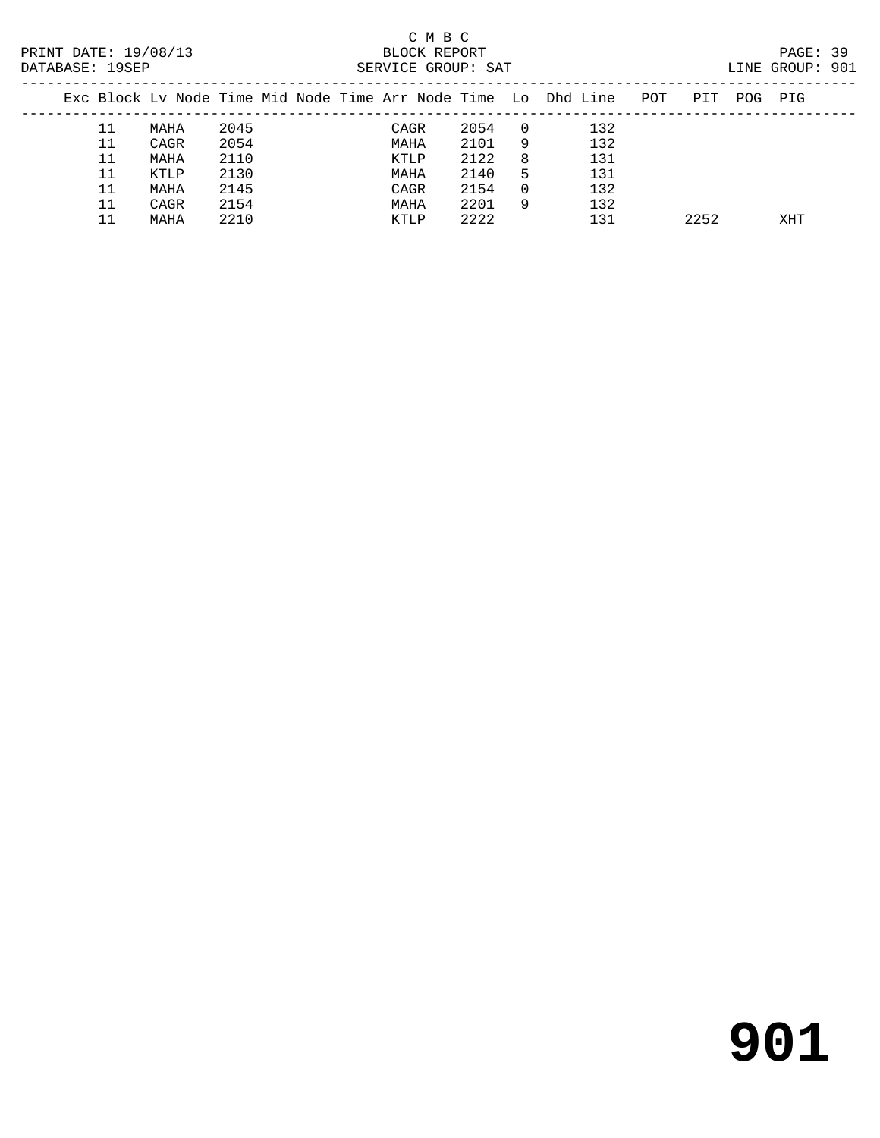| ---------- |    |                                                                |      |  | <u>UUILLEUD OILUUI</u> |      |          |     |     |      |      |     |  |
|------------|----|----------------------------------------------------------------|------|--|------------------------|------|----------|-----|-----|------|------|-----|--|
|            |    | Exc Block Lv Node Time Mid Node Time Arr Node Time Lo Dhd Line |      |  |                        |      |          |     | POT | PIT  | POG. | PIG |  |
|            | 11 | MAHA                                                           | 2045 |  | CAGR                   | 2054 | $\Box$ 0 | 132 |     |      |      |     |  |
|            | 11 | CAGR                                                           | 2054 |  | MAHA                   | 2101 | 9        | 132 |     |      |      |     |  |
|            | 11 | MAHA                                                           | 2110 |  | KTLP                   | 2122 | 8        | 131 |     |      |      |     |  |
|            | 11 | KTLP                                                           | 2130 |  | MAHA                   | 2140 | 5        | 131 |     |      |      |     |  |
|            | 11 | MAHA                                                           | 2145 |  | CAGR                   | 2154 | 0        | 132 |     |      |      |     |  |
|            | 11 | CAGR                                                           | 2154 |  | MAHA                   | 2201 | 9        | 132 |     |      |      |     |  |
|            |    | MAHA                                                           | 2210 |  | KTLP                   | 2222 |          | 131 |     | 2252 |      | XHT |  |
|            |    |                                                                |      |  |                        |      |          |     |     |      |      |     |  |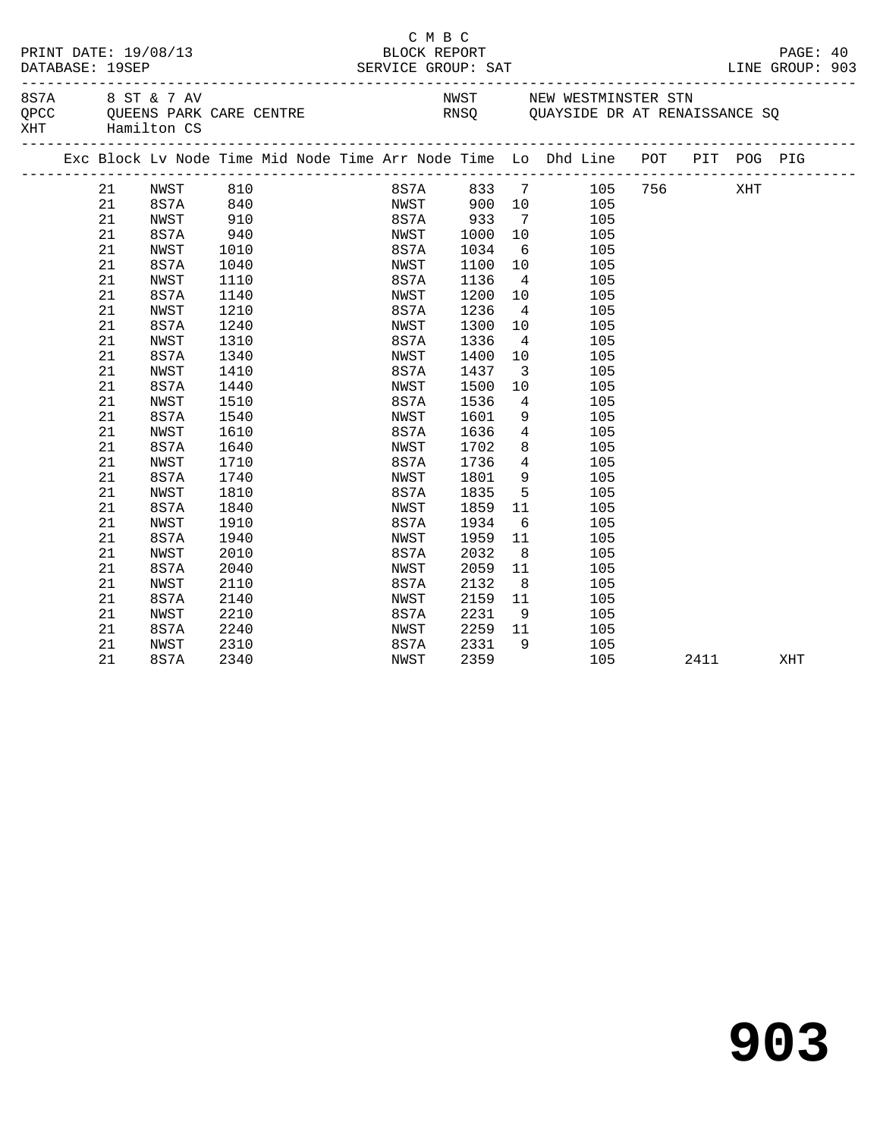| 8 ST & 7 AV<br>NWST NEW WESTMINSTER STN<br>8S7A<br>QUEENS PARK CARE CENTRE<br>Hamilton CS<br>QPCC<br>RNSQ QUAYSIDE DR AT RENAISSANCE SQ |
|-----------------------------------------------------------------------------------------------------------------------------------------|
| XHT<br>Hamilton CS                                                                                                                      |
| Exc Block Lv Node Time Mid Node Time Arr Node Time Lo Dhd Line POT PIT POG PIG                                                          |
| 756<br>NWST<br>810<br>8S7A 833 7<br>105<br>XHT<br>21                                                                                    |
| 840<br>NWST 900 10<br>21<br>8S7A<br>105                                                                                                 |
| 21<br>910<br>8S7A<br>933<br>NWST<br>$\overline{7}$<br>105                                                                               |
| 21<br>8S7A<br>940<br>NWST<br>1000<br>10<br>105                                                                                          |
| 21<br>NWST<br>8S7A<br>1034<br>$\begin{array}{c}\n5 \\ 6 \\ 7\n\end{array}$<br>105<br>1010                                               |
| 21<br>8S7A<br>1100<br>1040<br>NWST<br>105                                                                                               |
| 21<br>1110<br>8S7A<br>1136<br>$\overline{4}$<br>105<br>NWST                                                                             |
| 21<br>8S7A<br>1140<br>1200<br>10<br>NWST<br>105                                                                                         |
| 21<br>1210<br>8S7A<br>1236<br>$4\overline{ }$<br>105<br>NWST                                                                            |
| 21<br>8S7A<br>1240<br>NWST<br>1300<br>10<br>105                                                                                         |
| 21<br>1310<br>1336<br>NWST<br>8S7A<br>$\overline{4}$<br>105                                                                             |
| 21<br>8S7A<br>1340<br>1400<br>10<br>NWST<br>105                                                                                         |
| 21<br>1410<br>1437<br>$\overline{\mathbf{3}}$<br>105<br>NWST<br>8S7A                                                                    |
| 21<br>8S7A<br>1440<br>NWST<br>1500<br>10<br>105                                                                                         |
| 21<br>NWST<br>1510<br>8S7A<br>1536<br>$\overline{4}$<br>105                                                                             |
| 21<br>8S7A<br>1540<br>1601<br>NWST<br>9<br>105                                                                                          |
| 21<br>1610<br>1636<br>$\overline{4}$<br>NWST<br>8S7A<br>105                                                                             |
| 21<br>1640<br>8<br>8S7A<br>NWST<br>1702<br>105                                                                                          |
| 21<br>$4\overline{4}$<br><b>NWST</b><br>1710<br>8S7A<br>1736<br>105                                                                     |
| $9 \left( \frac{1}{2} \right)$<br>21<br>1801<br>105<br>8S7A<br>1740<br>NWST                                                             |
| 21<br>1835<br>$5\overline{)}$<br>NWST<br>1810<br>8S7A<br>105                                                                            |
| 21<br>8S7A<br>1840<br>1859<br>11<br>105<br>NWST                                                                                         |
| 21<br>1910<br>8S7A<br>1934<br>6<br>105<br>NWST                                                                                          |
| 21<br>8S7A<br>1959<br>1940<br>NWST<br>11<br>105                                                                                         |
| 21<br>2010<br>8S7A<br>2032<br>8 <sup>8</sup><br>NWST<br>105                                                                             |
| 21<br>8S7A<br>2040<br>2059<br>NWST<br>11<br>105                                                                                         |
| 21<br>2110<br>2132<br>NWST<br>8S7A<br>8 <sup>8</sup><br>105                                                                             |
| 21<br>8S7A<br>2140<br>NWST<br>2159<br>11<br>105                                                                                         |
| 9<br>21<br>NWST<br>2210<br>8S7A<br>2231<br>105                                                                                          |
| 21<br>8S7A<br>2240<br>2259<br>NWST<br>11<br>105                                                                                         |
| 21<br>2310<br>2331<br>9<br>105<br>NWST<br>8S7A                                                                                          |
| 21<br>8S7A<br>2359<br>105<br>2340<br>NWST<br>2411<br>XHT                                                                                |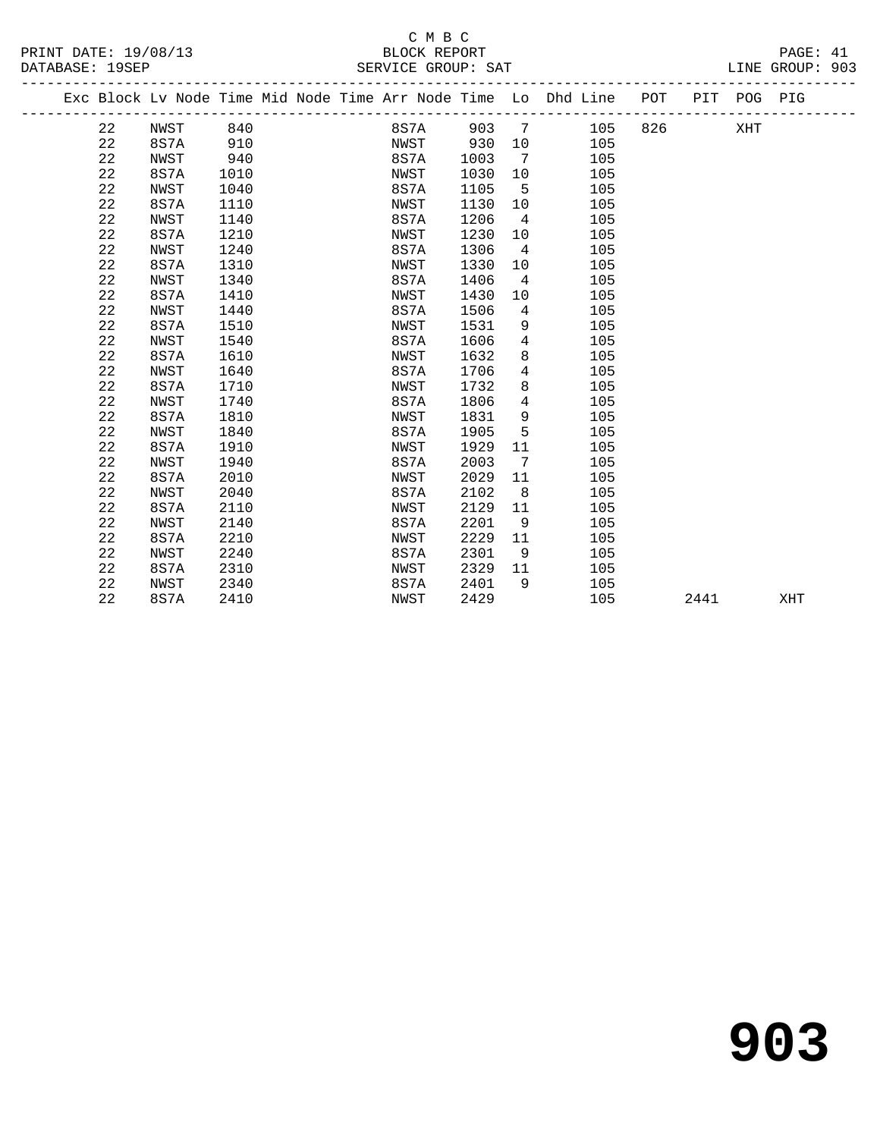# C M B C<br>BLOCK REPORT

PRINT DATE: 19/08/13 BLOCK REPORT PAGE: 41 SERVICE GROUP: SAT -------------------------------------------------------------------------------------------------

|  |             |      |      |  |      |      |                              |                | Exc Block Lv Node Time Mid Node Time Arr Node Time Lo Dhd Line | POT | PIT  | POG | PIG |
|--|-------------|------|------|--|------|------|------------------------------|----------------|----------------------------------------------------------------|-----|------|-----|-----|
|  | 22          | NWST | 840  |  | 8S7A | 903  | $\overline{7}$               |                | 105                                                            | 826 |      | XHT |     |
|  | 22          | 8S7A | 910  |  | NWST | 930  | 10                           |                | 105                                                            |     |      |     |     |
|  | $2\sqrt{2}$ | NWST | 940  |  | 8S7A | 1003 | $7\phantom{.0}\phantom{.0}7$ |                | 105                                                            |     |      |     |     |
|  | 22          | 8S7A | 1010 |  | NWST | 1030 | 10                           |                | 105                                                            |     |      |     |     |
|  | 22          | NWST | 1040 |  | 8S7A | 1105 |                              | 5              | 105                                                            |     |      |     |     |
|  | 22          | 8S7A | 1110 |  | NWST | 1130 | 10                           |                | 105                                                            |     |      |     |     |
|  | 22          | NWST | 1140 |  | 8S7A | 1206 | $\overline{4}$               |                | 105                                                            |     |      |     |     |
|  | 22          | 8S7A | 1210 |  | NWST | 1230 | 10                           |                | 105                                                            |     |      |     |     |
|  | 22          | NWST | 1240 |  | 8S7A | 1306 |                              | $\overline{4}$ | 105                                                            |     |      |     |     |
|  | 22          | 8S7A | 1310 |  | NWST | 1330 | 10                           |                | 105                                                            |     |      |     |     |
|  | 22          | NWST | 1340 |  | 8S7A | 1406 | $\overline{4}$               |                | 105                                                            |     |      |     |     |
|  | 22          | 8S7A | 1410 |  | NWST | 1430 | 10                           |                | 105                                                            |     |      |     |     |
|  | 22          | NWST | 1440 |  | 8S7A | 1506 |                              | $\overline{4}$ | 105                                                            |     |      |     |     |
|  | 22          | 8S7A | 1510 |  | NWST | 1531 |                              | 9              | 105                                                            |     |      |     |     |
|  | 22          | NWST | 1540 |  | 8S7A | 1606 |                              | 4              | 105                                                            |     |      |     |     |
|  | 22          | 8S7A | 1610 |  | NWST | 1632 |                              | 8              | 105                                                            |     |      |     |     |
|  | 22          | NWST | 1640 |  | 8S7A | 1706 |                              | 4              | 105                                                            |     |      |     |     |
|  | 22          | 8S7A | 1710 |  | NWST | 1732 |                              | 8              | 105                                                            |     |      |     |     |
|  | 22          | NWST | 1740 |  | 8S7A | 1806 |                              | $\overline{4}$ | 105                                                            |     |      |     |     |
|  | 22          | 8S7A | 1810 |  | NWST | 1831 |                              | 9              | 105                                                            |     |      |     |     |
|  | 22          | NWST | 1840 |  | 8S7A | 1905 |                              | 5              | 105                                                            |     |      |     |     |
|  | 22          | 8S7A | 1910 |  | NWST | 1929 | 11                           |                | 105                                                            |     |      |     |     |
|  | 22          | NWST | 1940 |  | 8S7A | 2003 | 7                            |                | 105                                                            |     |      |     |     |
|  | 22          | 8S7A | 2010 |  | NWST | 2029 | 11                           |                | 105                                                            |     |      |     |     |
|  | 22          | NWST | 2040 |  | 8S7A | 2102 |                              | 8              | 105                                                            |     |      |     |     |
|  | 22          | 8S7A | 2110 |  | NWST | 2129 | 11                           |                | 105                                                            |     |      |     |     |
|  | 22          | NWST | 2140 |  | 8S7A | 2201 |                              | 9              | 105                                                            |     |      |     |     |
|  | 22          | 8S7A | 2210 |  | NWST | 2229 | 11                           |                | 105                                                            |     |      |     |     |
|  | 22          | NWST | 2240 |  | 8S7A | 2301 | - 9                          |                | 105                                                            |     |      |     |     |
|  | 22          | 8S7A | 2310 |  | NWST | 2329 | 11                           |                | 105                                                            |     |      |     |     |
|  | 22          | NWST | 2340 |  | 8S7A | 2401 |                              | 9              | 105                                                            |     |      |     |     |
|  | 22          | 8S7A | 2410 |  | NWST | 2429 |                              |                | 105                                                            |     | 2441 |     | XHT |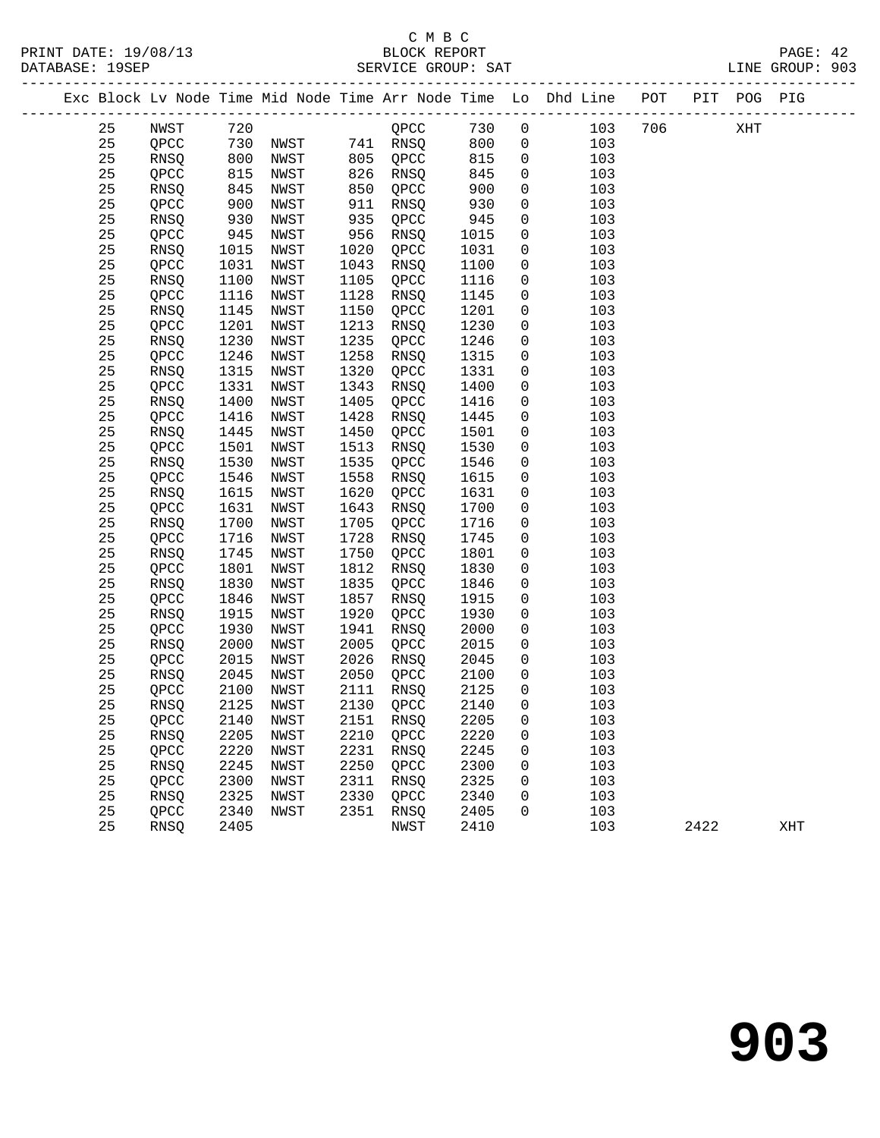|    |      |      |           |      |            |      |                | Exc Block Lv Node Time Mid Node Time Arr Node Time Lo Dhd Line POT PIT POG PIG |      |     |     |
|----|------|------|-----------|------|------------|------|----------------|--------------------------------------------------------------------------------|------|-----|-----|
| 25 | NWST |      |           |      | $QPCC$ 730 |      | $\overline{0}$ | 103                                                                            | 706  | XHT |     |
| 25 | QPCC |      |           |      |            | 800  | $\overline{0}$ | 103                                                                            |      |     |     |
| 25 | RNSQ | 800  | NWST      |      | 805 QPCC   | 815  | $\mathsf{O}$   | 103                                                                            |      |     |     |
| 25 | QPCC | 815  | NWST      | 826  | RNSQ       | 845  | $\mathsf{O}$   | 103                                                                            |      |     |     |
| 25 | RNSQ | 845  | NWST      | 850  | QPCC       | 900  | $\mathsf{O}$   | 103                                                                            |      |     |     |
| 25 | QPCC | 900  | NWST      | 911  | RNSQ       | 930  | 0              | 103                                                                            |      |     |     |
| 25 | RNSQ | 930  | NWST      | 935  | QPCC       | 945  | $\mathsf{O}$   | 103                                                                            |      |     |     |
| 25 | QPCC | 945  | NWST      | 956  | RNSQ       | 1015 | 0              | 103                                                                            |      |     |     |
| 25 | RNSQ | 1015 | NWST      | 1020 | QPCC       | 1031 | $\mathbf 0$    | 103                                                                            |      |     |     |
| 25 | QPCC | 1031 | NWST      | 1043 | RNSQ       | 1100 | $\mathbf 0$    | 103                                                                            |      |     |     |
| 25 | RNSQ | 1100 | NWST      | 1105 | QPCC       | 1116 | 0              | 103                                                                            |      |     |     |
| 25 | QPCC | 1116 | NWST      | 1128 | RNSQ       | 1145 | 0              | 103                                                                            |      |     |     |
| 25 | RNSQ | 1145 | NWST      | 1150 | QPCC       | 1201 | $\mathbf 0$    | 103                                                                            |      |     |     |
| 25 | QPCC | 1201 | NWST      | 1213 | RNSQ       | 1230 | 0              | 103                                                                            |      |     |     |
| 25 | RNSQ | 1230 | NWST      | 1235 | QPCC       | 1246 | 0              | 103                                                                            |      |     |     |
| 25 | QPCC | 1246 | NWST      | 1258 | RNSQ       | 1315 | $\mathbf 0$    | 103                                                                            |      |     |     |
| 25 | RNSQ | 1315 | NWST      | 1320 | QPCC       | 1331 | 0              | 103                                                                            |      |     |     |
| 25 | QPCC | 1331 | NWST      | 1343 | RNSQ       | 1400 | 0              | 103                                                                            |      |     |     |
| 25 | RNSQ | 1400 | NWST      | 1405 | QPCC       | 1416 | 0              | 103                                                                            |      |     |     |
| 25 | QPCC | 1416 | NWST      | 1428 | RNSQ       | 1445 | $\mathbf 0$    | 103                                                                            |      |     |     |
| 25 | RNSQ | 1445 | NWST      | 1450 | QPCC       | 1501 | $\mathbf 0$    | 103                                                                            |      |     |     |
| 25 | QPCC | 1501 | NWST      | 1513 | RNSQ       | 1530 | 0              | 103                                                                            |      |     |     |
| 25 | RNSQ | 1530 | NWST      | 1535 | QPCC       | 1546 | 0              | 103                                                                            |      |     |     |
| 25 | QPCC | 1546 | NWST      | 1558 | RNSQ       | 1615 | $\mathbf 0$    | 103                                                                            |      |     |     |
| 25 | RNSQ | 1615 | NWST      | 1620 | QPCC       | 1631 | 0              | 103                                                                            |      |     |     |
| 25 | QPCC | 1631 | NWST      | 1643 | RNSQ       | 1700 | 0              | 103                                                                            |      |     |     |
| 25 | RNSQ | 1700 | NWST      | 1705 | QPCC       | 1716 | 0              | 103                                                                            |      |     |     |
| 25 | QPCC | 1716 | NWST      | 1728 | RNSQ       | 1745 | $\mathbf 0$    | 103                                                                            |      |     |     |
| 25 | RNSQ | 1745 | NWST      | 1750 | QPCC       | 1801 | $\mathbf 0$    | 103                                                                            |      |     |     |
| 25 | QPCC | 1801 | NWST      | 1812 | RNSQ       | 1830 | 0              | 103                                                                            |      |     |     |
| 25 | RNSQ | 1830 | NWST      | 1835 | QPCC       | 1846 | $\mathbf 0$    | 103                                                                            |      |     |     |
| 25 | QPCC | 1846 | NWST      | 1857 | RNSQ       | 1915 | $\mathbf 0$    | 103                                                                            |      |     |     |
| 25 | RNSQ | 1915 | NWST      | 1920 | QPCC       | 1930 | $\mathbf 0$    | 103                                                                            |      |     |     |
| 25 | QPCC | 1930 | NWST      | 1941 | RNSQ       | 2000 | $\mathbf 0$    | 103                                                                            |      |     |     |
| 25 | RNSQ | 2000 | NWST      | 2005 | QPCC       | 2015 | $\mathbf 0$    | 103                                                                            |      |     |     |
| 25 | QPCC | 2015 | NWST      | 2026 | RNSO       | 2045 | $\mathbf{0}$   | 103                                                                            |      |     |     |
| 25 | RNSQ | 2045 | NWST      | 2050 | QPCC       | 2100 | $\mathsf{O}$   | 103                                                                            |      |     |     |
| 25 | QPCC | 2100 | NWST      | 2111 | RNSQ       | 2125 | $\overline{0}$ | 103                                                                            |      |     |     |
| 25 | RNSQ | 2125 | NWST      | 2130 | QPCC       | 2140 | $\overline{0}$ | 103                                                                            |      |     |     |
| 25 | QPCC |      | 2140 NWST |      | 2151 RNSQ  | 2205 | $\overline{0}$ | 103                                                                            |      |     |     |
| 25 | RNSQ | 2205 | NWST      | 2210 | QPCC       | 2220 | 0              | 103                                                                            |      |     |     |
| 25 | QPCC | 2220 | NWST      | 2231 | RNSQ       | 2245 | 0              | 103                                                                            |      |     |     |
| 25 | RNSQ | 2245 | NWST      | 2250 | QPCC       | 2300 | 0              | 103                                                                            |      |     |     |
| 25 | QPCC | 2300 | NWST      | 2311 | RNSQ       | 2325 | 0              | 103                                                                            |      |     |     |
| 25 | RNSQ | 2325 | NWST      | 2330 | QPCC       | 2340 | 0              | 103                                                                            |      |     |     |
| 25 | QPCC | 2340 | NWST      | 2351 | RNSQ       | 2405 | 0              | 103                                                                            |      |     |     |
| 25 | RNSQ | 2405 |           |      | NWST       | 2410 |                | 103                                                                            | 2422 |     | XHT |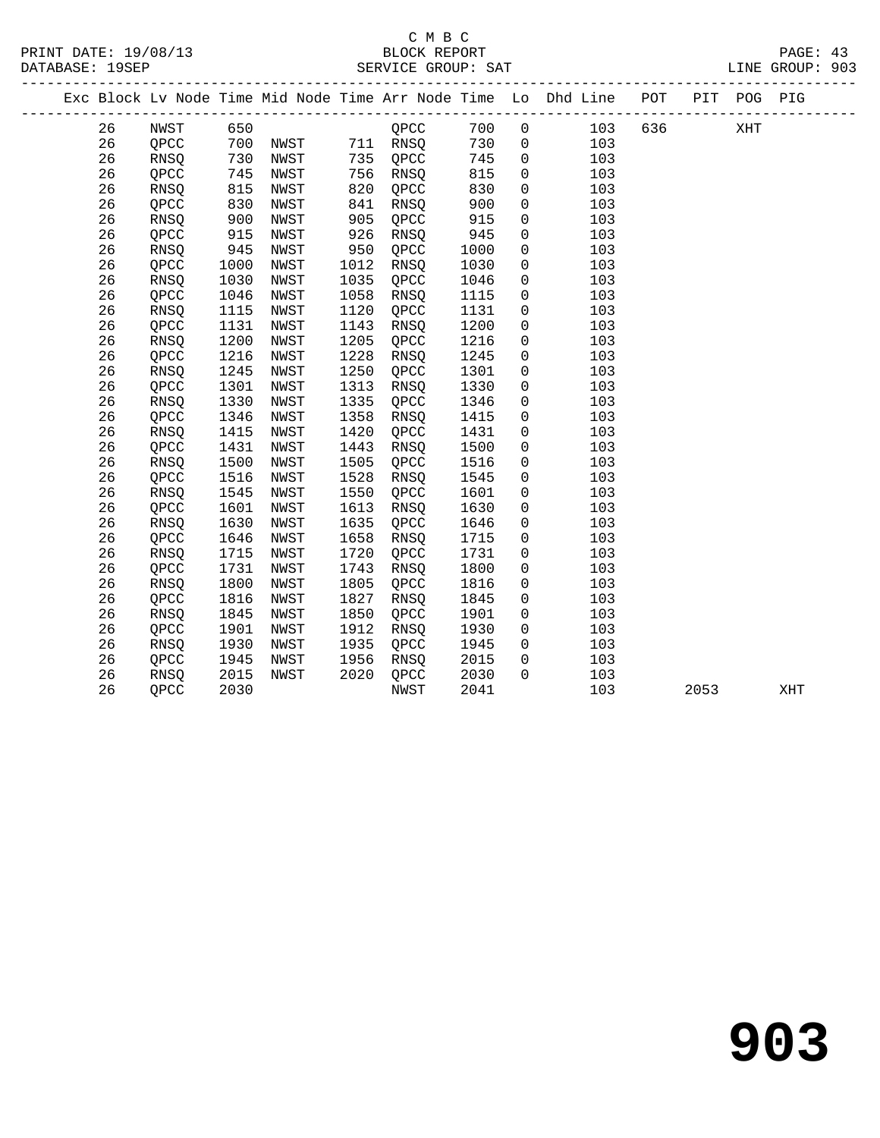|  |    |             |            |      |      |             |      |                | Exc Block Lv Node Time Mid Node Time Arr Node Time Lo Dhd Line POT | _____________________ |      | PIT POG PIG |     |
|--|----|-------------|------------|------|------|-------------|------|----------------|--------------------------------------------------------------------|-----------------------|------|-------------|-----|
|  | 26 | NWST        | 650        |      |      | QPCC        | 700  | $\mathsf{O}$   | 103                                                                | 636 100               |      | XHT         |     |
|  | 26 | QPCC        |            |      |      |             | 730  | $\overline{0}$ | 103                                                                |                       |      |             |     |
|  | 26 | RNSQ        | 700<br>730 | NWST |      | 735 QPCC    | 745  | $\overline{0}$ | 103                                                                |                       |      |             |     |
|  | 26 | QPCC        | 745        | NWST |      | 756 RNSQ    | 815  | $\overline{0}$ | 103                                                                |                       |      |             |     |
|  | 26 | <b>RNSO</b> | 815        | NWST | 820  | OPCC        | 830  | $\mathbf 0$    | 103                                                                |                       |      |             |     |
|  | 26 | QPCC        | 830        | NWST | 841  | RNSQ        | 900  | $\mathbf 0$    | 103                                                                |                       |      |             |     |
|  | 26 | <b>RNSO</b> | 900<br>915 | NWST | 905  | QPCC        | 915  | $\overline{0}$ | 103                                                                |                       |      |             |     |
|  | 26 | QPCC        |            | NWST | 926  | RNSQ        | 945  | $\mathsf{O}$   | 103                                                                |                       |      |             |     |
|  | 26 | RNSQ        | 945        | NWST | 950  | QPCC        | 1000 | $\overline{0}$ | 103                                                                |                       |      |             |     |
|  | 26 | QPCC        | 1000       | NWST | 1012 | <b>RNSO</b> | 1030 | $\overline{0}$ | 103                                                                |                       |      |             |     |
|  | 26 | RNSQ        | 1030       | NWST | 1035 | QPCC        | 1046 | $\mathsf{O}$   | 103                                                                |                       |      |             |     |
|  | 26 | QPCC        | 1046       | NWST | 1058 | RNSQ        | 1115 | $\mathbf 0$    | 103                                                                |                       |      |             |     |
|  | 26 | RNSQ        | 1115       | NWST | 1120 | QPCC        | 1131 | $\mathbf 0$    | 103                                                                |                       |      |             |     |
|  | 26 | QPCC        | 1131       | NWST | 1143 | RNSQ        | 1200 | $\mathsf{O}$   | 103                                                                |                       |      |             |     |
|  | 26 | RNSQ        | 1200       | NWST | 1205 | QPCC        | 1216 | $\mathbf 0$    | 103                                                                |                       |      |             |     |
|  | 26 | QPCC        | 1216       | NWST | 1228 | RNSQ        | 1245 | $\mathsf{O}$   | 103                                                                |                       |      |             |     |
|  | 26 | RNSQ        | 1245       | NWST | 1250 | QPCC        | 1301 | 0              | 103                                                                |                       |      |             |     |
|  | 26 | QPCC        | 1301       | NWST | 1313 | RNSQ        | 1330 | $\mathbf 0$    | 103                                                                |                       |      |             |     |
|  | 26 | RNSQ        | 1330       | NWST | 1335 | QPCC        | 1346 | $\mathbf 0$    | 103                                                                |                       |      |             |     |
|  | 26 | QPCC        | 1346       | NWST | 1358 | RNSQ        | 1415 | $\mathsf{O}$   | 103                                                                |                       |      |             |     |
|  | 26 | RNSQ        | 1415       | NWST | 1420 | QPCC        | 1431 | $\overline{0}$ | 103                                                                |                       |      |             |     |
|  | 26 | QPCC        | 1431       | NWST | 1443 | RNSQ        | 1500 | $\mathbf 0$    | 103                                                                |                       |      |             |     |
|  | 26 | RNSQ        | 1500       | NWST | 1505 | QPCC        | 1516 | $\mathbf 0$    | 103                                                                |                       |      |             |     |
|  | 26 | QPCC        | 1516       | NWST | 1528 | RNSQ        | 1545 | $\mathbf 0$    | 103                                                                |                       |      |             |     |
|  | 26 | RNSQ        | 1545       | NWST | 1550 | QPCC        | 1601 | $\mathbf 0$    | 103                                                                |                       |      |             |     |
|  | 26 | QPCC        | 1601       | NWST | 1613 | RNSQ        | 1630 | $\mathbf 0$    | 103                                                                |                       |      |             |     |
|  | 26 | <b>RNSO</b> | 1630       | NWST | 1635 | QPCC        | 1646 | $\mathbf 0$    | 103                                                                |                       |      |             |     |
|  | 26 | QPCC        | 1646       | NWST | 1658 | RNSO        | 1715 | $\mathbf 0$    | 103                                                                |                       |      |             |     |
|  | 26 | <b>RNSO</b> | 1715       | NWST | 1720 | QPCC        | 1731 | $\mathbf 0$    | 103                                                                |                       |      |             |     |
|  | 26 | QPCC        | 1731       | NWST | 1743 | RNSO        | 1800 | $\mathsf{O}$   | 103                                                                |                       |      |             |     |
|  | 26 | RNSQ        | 1800       | NWST | 1805 | QPCC        | 1816 | $\overline{0}$ | 103                                                                |                       |      |             |     |
|  | 26 | QPCC        | 1816       | NWST | 1827 | RNSQ        | 1845 | $\overline{0}$ | 103                                                                |                       |      |             |     |
|  | 26 | RNSQ        | 1845       | NWST | 1850 | QPCC        | 1901 | $\mathsf{O}$   | 103                                                                |                       |      |             |     |
|  | 26 | QPCC        | 1901       | NWST | 1912 | RNSQ        | 1930 | 0              | 103                                                                |                       |      |             |     |
|  | 26 | RNSQ        | 1930       | NWST | 1935 | QPCC        | 1945 | $\overline{0}$ | 103                                                                |                       |      |             |     |
|  | 26 | QPCC        | 1945       | NWST | 1956 | RNSQ        | 2015 | $\overline{0}$ | 103                                                                |                       |      |             |     |
|  | 26 | RNSQ        | 2015       | NWST | 2020 | QPCC        | 2030 | $\Omega$       | 103                                                                |                       |      |             |     |
|  | 26 | QPCC        | 2030       |      |      | NWST        | 2041 |                | 103                                                                |                       | 2053 |             | XHT |
|  |    |             |            |      |      |             |      |                |                                                                    |                       |      |             |     |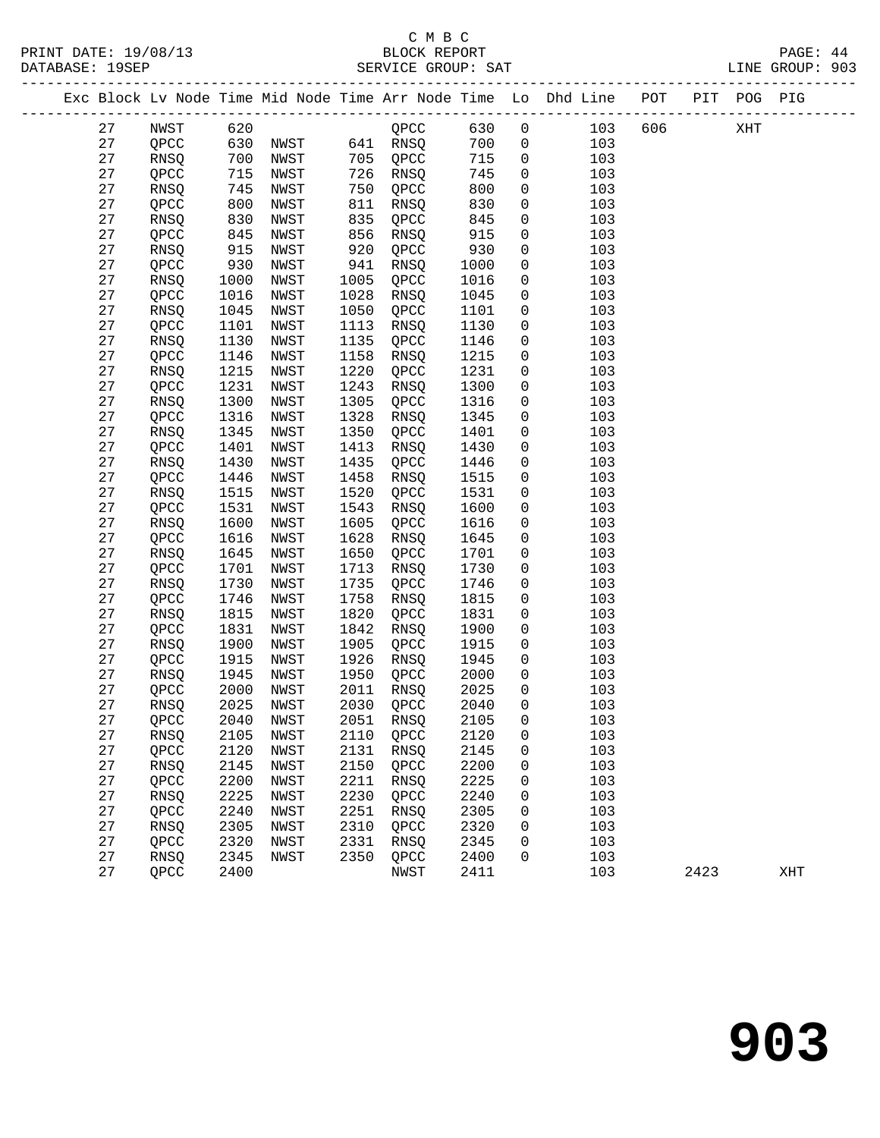|  |          |                 |              |              |              |                |              |                              | Exc Block Lv Node Time Mid Node Time Arr Node Time Lo Dhd Line POT PIT POG PIG |      |     |     |
|--|----------|-----------------|--------------|--------------|--------------|----------------|--------------|------------------------------|--------------------------------------------------------------------------------|------|-----|-----|
|  | 27       | NWST            | 620          |              |              | $QPCC$ 630     |              | $\overline{0}$               | 103                                                                            | 606  | XHT |     |
|  | 27       | QPCC            |              | 630 NWST     |              | 641 RNSQ       | 700          | $\overline{0}$               | 103                                                                            |      |     |     |
|  | 27       | RNSQ            | 700          | NWST         | 705          | QPCC           | 715          | $\mathbf 0$                  | 103                                                                            |      |     |     |
|  | 27       | QPCC            | 715          | NWST         | 726          | RNSQ           | 745          | $\mathbf 0$                  | 103                                                                            |      |     |     |
|  | 27       | RNSQ            | 745          | NWST         | 750          | QPCC           | 800          | $\mathsf{O}\xspace$          | 103                                                                            |      |     |     |
|  | 27       | QPCC            | 800          | NWST         | 811          | RNSQ           | 830          | $\mathsf{O}$                 | 103                                                                            |      |     |     |
|  | 27       | RNSQ            | 830          | NWST         | 835          | QPCC           | 845          | $\mathsf{O}$                 | 103                                                                            |      |     |     |
|  | $2\,7$   | QPCC            | 845          | NWST         | 856          | RNSQ           | 915          | $\mathsf{O}$                 | 103                                                                            |      |     |     |
|  | 27       | RNSQ            | 915          | NWST         | 920          | QPCC           | 930          | $\mathsf{O}$                 | 103                                                                            |      |     |     |
|  | 27       | QPCC            | 930          | NWST         | 941          | RNSQ           | 1000         | $\mathsf{O}$                 | 103                                                                            |      |     |     |
|  | 27       | RNSQ            | 1000         | NWST         | 1005         | QPCC           | 1016         | $\mathbf 0$                  | 103                                                                            |      |     |     |
|  | 27       | QPCC            | 1016         | NWST         | 1028         | RNSQ           | 1045         | $\mathbf 0$                  | 103                                                                            |      |     |     |
|  | 27       | RNSQ            | 1045         | NWST         | 1050         | QPCC           | 1101         | $\mathsf{O}$                 | 103                                                                            |      |     |     |
|  | 27       | QPCC            | 1101         | NWST         | 1113         | RNSQ           | 1130         | $\mathsf{O}$                 | 103                                                                            |      |     |     |
|  | 27       | RNSQ            | 1130         | NWST         | 1135         | QPCC           | 1146         | $\mathbf 0$                  | 103                                                                            |      |     |     |
|  | $2\,7$   | QPCC            | 1146         | NWST         | 1158         | RNSQ           | 1215         | $\mathsf{O}$                 | 103                                                                            |      |     |     |
|  | 27       | RNSQ            | 1215         | NWST         | 1220         | QPCC           | 1231         | 0                            | 103                                                                            |      |     |     |
|  | 27       | QPCC            | 1231         | NWST         | 1243         | RNSQ           | 1300         | $\mathsf{O}$                 | 103                                                                            |      |     |     |
|  | 27       | RNSQ            | 1300         | NWST         | 1305         | QPCC           | 1316         | 0                            | 103                                                                            |      |     |     |
|  | 27       | QPCC            | 1316         | NWST         | 1328         | RNSQ           | 1345         | $\mathsf{O}$                 | 103                                                                            |      |     |     |
|  | 27       | RNSQ            | 1345         | NWST         | 1350         | QPCC           | 1401         | $\mathbf 0$                  | 103                                                                            |      |     |     |
|  | 27       | QPCC            | 1401         | NWST         | 1413         | RNSQ           | 1430         | 0                            | 103                                                                            |      |     |     |
|  | 27       | RNSQ            | 1430         | NWST         | 1435         | QPCC           | 1446         | $\mathbf 0$                  | 103                                                                            |      |     |     |
|  | 27       | QPCC            | 1446         | NWST         | 1458         | RNSQ           | 1515         | $\mathsf{O}$                 | 103                                                                            |      |     |     |
|  | $2\,7$   | <b>RNSQ</b>     | 1515         | NWST         | 1520         | QPCC           | 1531         | $\mathbf 0$                  | 103                                                                            |      |     |     |
|  | 27       | QPCC            | 1531         | NWST         | 1543         | RNSQ           | 1600         | 0                            | 103                                                                            |      |     |     |
|  | 27       | RNSQ            | 1600         | NWST         | 1605         | QPCC           | 1616         | $\mathsf{O}$                 | 103                                                                            |      |     |     |
|  | 27       | QPCC            | 1616         | NWST         | 1628         | RNSQ           | 1645         | $\mathsf{O}$                 | 103                                                                            |      |     |     |
|  | $2\,7$   | RNSQ            | 1645         | NWST         | 1650         | QPCC           | 1701         | $\mathsf{O}$                 | 103                                                                            |      |     |     |
|  | 27       | QPCC            | 1701         | NWST         | 1713         | RNSQ           | 1730         | 0                            | 103                                                                            |      |     |     |
|  | 27       | RNSQ            | 1730         | NWST         | 1735         | QPCC           | 1746         | $\mathsf{O}$                 | 103                                                                            |      |     |     |
|  | 27       | QPCC            | 1746         | NWST         | 1758         | RNSQ           | 1815         | $\mathbf 0$                  | 103                                                                            |      |     |     |
|  | 27       | RNSQ            | 1815         | NWST         | 1820         | QPCC           | 1831         | $\mathbf 0$                  | 103                                                                            |      |     |     |
|  | 27       | QPCC            | 1831         | NWST         | 1842         | RNSQ           | 1900         | $\mathsf{O}$                 | 103                                                                            |      |     |     |
|  | 27<br>27 | RNSQ            | 1900<br>1915 | NWST         | 1905<br>1926 | QPCC           | 1915<br>1945 | $\mathsf{O}$<br>$\mathsf{O}$ | 103                                                                            |      |     |     |
|  | 27       | QPCC            | 1945         | NWST<br>NWST | 1950         | RNSQ<br>QPCC   | 2000         | $\mathsf{O}$                 | 103<br>103                                                                     |      |     |     |
|  | 27       | RNSQ<br>QPCC    | 2000         | NWST         | 2011         | RNSQ           | 2025         | $\overline{0}$               | 103                                                                            |      |     |     |
|  | 27       | RNSQ            | 2025         | NWST         | 2030         | QPCC           | 2040         | $\mathbf 0$                  | 103                                                                            |      |     |     |
|  | 27       | $\mathsf{QPCC}$ |              | 2040 NWST    |              | 2051 RNSQ 2105 |              | $\overline{0}$               | 103                                                                            |      |     |     |
|  | 27       | RNSQ            | 2105         | <b>NWST</b>  | 2110         | QPCC           | 2120         | 0                            | 103                                                                            |      |     |     |
|  | 27       | QPCC            | 2120         | NWST         | 2131         | RNSQ           | 2145         | 0                            | 103                                                                            |      |     |     |
|  | 27       | RNSQ            | 2145         | NWST         | 2150         | QPCC           | 2200         | 0                            | 103                                                                            |      |     |     |
|  | 27       | QPCC            | 2200         | NWST         | 2211         | RNSQ           | 2225         | 0                            | 103                                                                            |      |     |     |
|  | 27       | RNSQ            | 2225         | NWST         | 2230         | QPCC           | 2240         | 0                            | 103                                                                            |      |     |     |
|  | 27       | QPCC            | 2240         | NWST         | 2251         | RNSQ           | 2305         | 0                            | 103                                                                            |      |     |     |
|  | 27       | RNSQ            | 2305         | NWST         | 2310         | QPCC           | 2320         | 0                            | 103                                                                            |      |     |     |
|  | 27       | QPCC            | 2320         | NWST         | 2331         | RNSQ           | 2345         | 0                            | 103                                                                            |      |     |     |
|  | 27       | RNSQ            | 2345         | NWST         | 2350         | QPCC           | 2400         | 0                            | 103                                                                            |      |     |     |
|  | 27       | QPCC            | 2400         |              |              | NWST           | 2411         |                              | 103                                                                            | 2423 |     | XHT |
|  |          |                 |              |              |              |                |              |                              |                                                                                |      |     |     |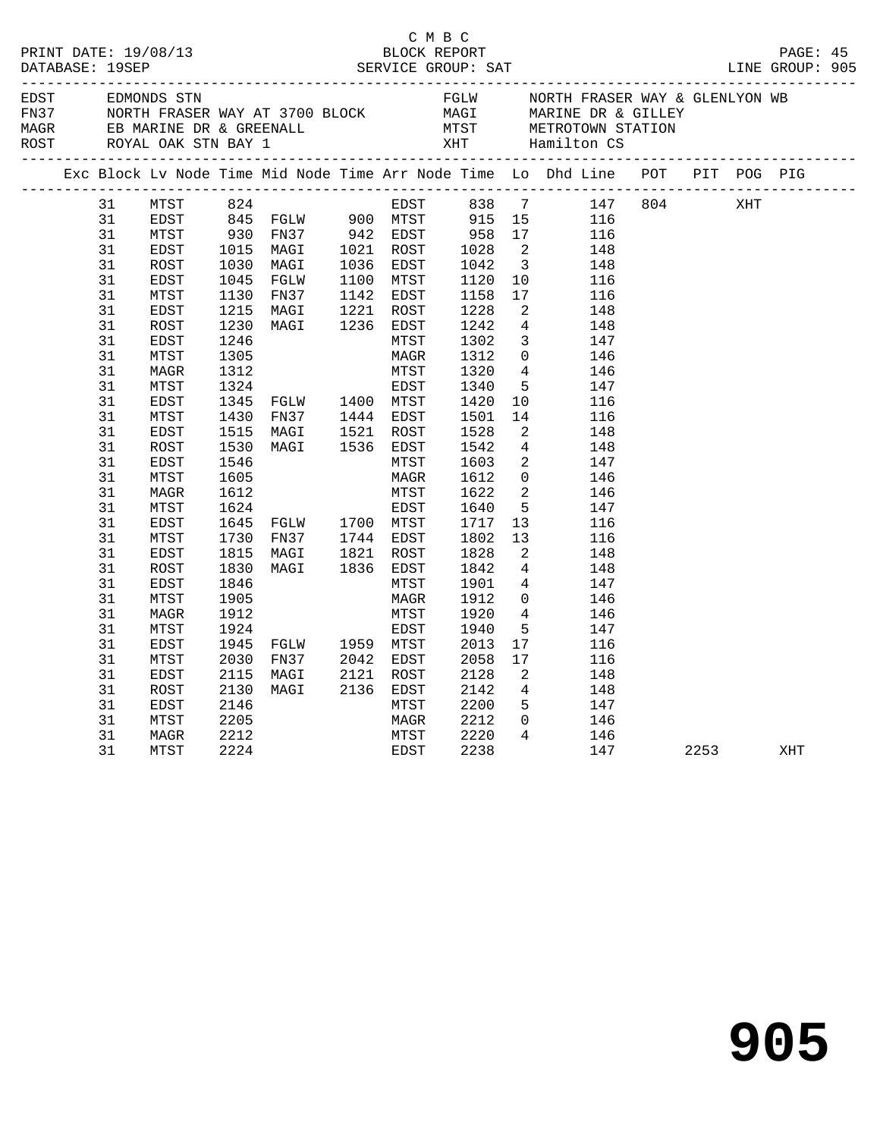|                                                                                                                                                                                        |                                                                                                                                                              |                              |  |  |                              |                                                                                                                                                                                                                                                                                                                                                                                                                                                                                                                                                                                                             |                                                                                      |                                                                                                                                                                                                                                                                                                                                                                                                                                                                                                                                                                                                                         | PAGE: 45<br>LINE GROUP: 905 |     |  |
|----------------------------------------------------------------------------------------------------------------------------------------------------------------------------------------|--------------------------------------------------------------------------------------------------------------------------------------------------------------|------------------------------|--|--|------------------------------|-------------------------------------------------------------------------------------------------------------------------------------------------------------------------------------------------------------------------------------------------------------------------------------------------------------------------------------------------------------------------------------------------------------------------------------------------------------------------------------------------------------------------------------------------------------------------------------------------------------|--------------------------------------------------------------------------------------|-------------------------------------------------------------------------------------------------------------------------------------------------------------------------------------------------------------------------------------------------------------------------------------------------------------------------------------------------------------------------------------------------------------------------------------------------------------------------------------------------------------------------------------------------------------------------------------------------------------------------|-----------------------------|-----|--|
|                                                                                                                                                                                        |                                                                                                                                                              |                              |  |  |                              |                                                                                                                                                                                                                                                                                                                                                                                                                                                                                                                                                                                                             |                                                                                      | EDST EDMONDS STN FGLW NORTH FRASER WAY & GLENLYON WB<br>FN37 NORTH FRASER WAY AT 3700 BLOCK MAGI MARINE DR & GILLEY<br>MAGR EB MARINE DR & GREENALL MTST METROTOWN STATION<br>ROST ROYAL OAK STN BAY 1 XHT Hamilton CS<br>------------                                                                                                                                                                                                                                                                                                                                                                                  |                             |     |  |
|                                                                                                                                                                                        |                                                                                                                                                              |                              |  |  |                              |                                                                                                                                                                                                                                                                                                                                                                                                                                                                                                                                                                                                             |                                                                                      | Exc Block Lv Node Time Mid Node Time Arr Node Time Lo Dhd Line POT PIT POG PIG                                                                                                                                                                                                                                                                                                                                                                                                                                                                                                                                          |                             |     |  |
| 31<br>31<br>31<br>31<br>31<br>31<br>31<br>31<br>31<br>31<br>31<br>31<br>31<br>31<br>31<br>31<br>31<br>31<br>31<br>31<br>31<br>31<br>31<br>31<br>31<br>31<br>31<br>31<br>31<br>31<br>31 | MAGR<br>MTST<br>EDST<br>MTST<br>EDST<br>ROST<br>EDST<br>MTST<br>MAGR<br>MTST<br>EDST<br>MTST<br>EDST<br>ROST<br>EDST<br>MTST<br>MAGR<br>MTST<br>EDST<br>MTST | 1846<br>1905<br>1912<br>1924 |  |  | MTST<br>MAGR<br>MTST<br>EDST | $\begin{tabular}{lllllllllll} 1230 & \text{MAG1} & & & & & & & & & \\ 1246 & & & & & & & & & & & & \\ 1305 & & & & & & & & & & & & 1312 \\ 1312 & & & & & & & & & & & 1312 \\ 1322 & & & & & & & & & & & 1320 \\ 1324 & & & & & & & & & & & 1340 \\ 1345 & FGLW & & 1400 & MTST & & 1420 \\ 1430 & FN37 & & 1444 & EDST & 1501 \\ 1515 & MAGI & & 1521 & ROST & 15$<br>1546<br>1605 MAGR 1612<br>1612 MTST 1622<br>1624 EDST 1640<br>1645 FGLW 1700 MTST 1717<br>1730 FN37 1744 EDST 1802<br>1815 MAGI 1821 ROST 1828<br>1830 MAGI 1836 EDST 1842<br>1842<br>1846 MTST 1901<br>1901<br>1912<br>1920<br>1940 | 14<br>$\overline{2}$<br>13<br>13<br>$\overline{\phantom{a}}$<br>5 <sup>5</sup><br>17 | EDST 838 7 147 804 XHT<br>MTST 824 EDST 838 7 147<br>EDST 845 FGLW 900 MTST 915 15 116<br>MTST 930 FN37 942 EDST 958 17 116<br>EDST 1015 MAGI 1021 ROST 1028 2 148<br>ROST 1030 MAGI 1036 EDST 1042 3 148<br>EDST 1045 FGLW 1100 MTST 1120 10 116<br>MTST 1130 FW37<br>$\begin{array}{cc} 4 & 146 \\ 5 & 147 \end{array}$<br>10 116<br>116<br>148<br>$\begin{array}{cc} 4 & 148 \\ 2 & 147 \end{array}$<br>$\begin{array}{ccc} 0 & \hspace{1.5cm} & 146 \\ 2 & \hspace{1.5cm} & 146 \end{array}$<br>5 147<br>116<br>116<br>148<br>$\frac{1}{4}$ 148<br>$\frac{4}{0}$<br>147<br>146<br>$4 \t146$<br>147<br>17 116<br>116 |                             |     |  |
| 31<br>31<br>31<br>31<br>31<br>31                                                                                                                                                       | EDST<br>ROST<br>EDST<br>MTST<br>MAGR<br>MTST                                                                                                                 | 2205<br>2212<br>2224         |  |  | EDST                         | 1924<br>1945 FGLW 1959 MTST 2013<br>2030 FN37 2042 EDST 2058<br>2115 MAGI 2121 ROST 2128<br>2130 MAGI 2136 EDST 2142<br>2146 MTST 2200<br>MAGR 2212<br>MTST 2220<br>2238                                                                                                                                                                                                                                                                                                                                                                                                                                    | $\overline{\phantom{a}}^2$<br>$4\overline{4}$                                        | 148<br>$\begin{array}{cc} 4 & 148 \\ 5 & 147 \end{array}$<br>$0$ 146<br>146<br>147                                                                                                                                                                                                                                                                                                                                                                                                                                                                                                                                      | 2253                        | XHT |  |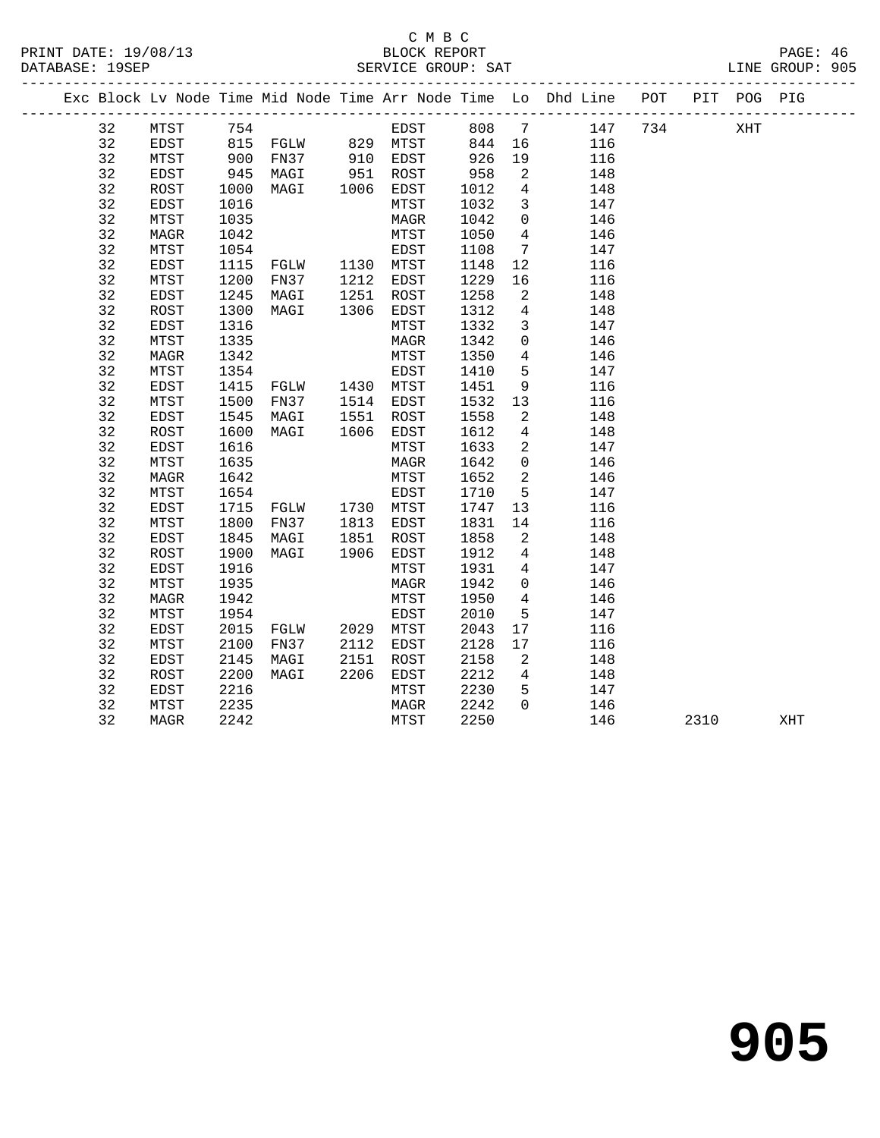#### C M B C<br>BLOCK REPORT PRINT DATE: 19/08/13 BLOCK REPORT PAGE: 46 SERVICE GROUP: SAT

|  |    |             |      |                                  |      |                        |      |                 | Exc Block Lv Node Time Mid Node Time Arr Node Time Lo Dhd Line POT |     |      | PIT POG PIG |     |
|--|----|-------------|------|----------------------------------|------|------------------------|------|-----------------|--------------------------------------------------------------------|-----|------|-------------|-----|
|  | 32 | MTST        | 754  |                                  |      | EDST                   | 808  | 7               | 147                                                                | 734 |      | XHT         |     |
|  | 32 | EDST        |      | 815 FGLW 829 MTST                |      |                        | 844  | 16              | 116                                                                |     |      |             |     |
|  | 32 | MTST        | 900  | FN37                             |      | 910 EDST               | 926  | 19              | 116                                                                |     |      |             |     |
|  | 32 | EDST        | 945  | MAGI                             |      | 951 ROST<br>1006 EDST  | 958  | 2               | 148                                                                |     |      |             |     |
|  | 32 | ROST        | 1000 | MAGI                             |      |                        | 1012 | $\overline{4}$  | 148                                                                |     |      |             |     |
|  | 32 | EDST        | 1016 |                                  |      | MTST                   | 1032 | $\overline{3}$  | 147                                                                |     |      |             |     |
|  | 32 | MTST        | 1035 |                                  |      | MAGR                   | 1042 | $\overline{0}$  | 146                                                                |     |      |             |     |
|  | 32 | MAGR        | 1042 |                                  |      | MTST                   | 1050 | $\overline{4}$  | 146                                                                |     |      |             |     |
|  | 32 | MTST        | 1054 |                                  |      | EDST                   | 1108 | $7\overline{ }$ | 147                                                                |     |      |             |     |
|  | 32 | EDST        | 1115 | FGLW 1130 MTST                   |      |                        | 1148 | 12              | 116                                                                |     |      |             |     |
|  | 32 | MTST        | 1200 | FN37                             |      | 1212 EDST<br>1251 ROST | 1229 | 16              | 116                                                                |     |      |             |     |
|  | 32 | EDST        | 1245 | MAGI                             |      |                        | 1258 | 2               | 148                                                                |     |      |             |     |
|  | 32 | ROST        | 1300 | MAGI                             | 1306 | EDST                   | 1312 | $\overline{4}$  | 148                                                                |     |      |             |     |
|  | 32 | EDST        | 1316 |                                  |      | MTST                   | 1332 | $\mathbf{3}$    | 147                                                                |     |      |             |     |
|  | 32 | MTST        | 1335 |                                  |      | MAGR                   | 1342 | $\mathsf{O}$    | 146                                                                |     |      |             |     |
|  | 32 | MAGR        | 1342 |                                  |      | MTST                   | 1350 | $\overline{4}$  | 146                                                                |     |      |             |     |
|  | 32 | MTST        | 1354 |                                  |      | EDST                   | 1410 | 5               | 147                                                                |     |      |             |     |
|  | 32 | EDST        | 1415 | FGLW 1430 MTST                   |      |                        | 1451 | 9               | 116                                                                |     |      |             |     |
|  | 32 | MTST        | 1500 | FN37                             |      | 1514 EDST              | 1532 | 13              | 116                                                                |     |      |             |     |
|  | 32 | EDST        | 1545 | MAGI                             | 1551 | ROST                   | 1558 | 2               | 148                                                                |     |      |             |     |
|  | 32 | <b>ROST</b> | 1600 | MAGI                             |      | 1606 EDST              | 1612 | $\overline{4}$  | 148                                                                |     |      |             |     |
|  | 32 | EDST        | 1616 |                                  |      | MTST                   | 1633 | 2               | 147                                                                |     |      |             |     |
|  | 32 | MTST        | 1635 |                                  |      | MAGR                   | 1642 | $\overline{0}$  | 146                                                                |     |      |             |     |
|  | 32 | MAGR        | 1642 |                                  |      | MTST                   | 1652 | 2               | 146                                                                |     |      |             |     |
|  | 32 | MTST        | 1654 |                                  |      | EDST                   | 1710 | 5               | 147                                                                |     |      |             |     |
|  | 32 | EDST        | 1715 | FGLW 1730 MTST<br>FN37 1813 EDST |      |                        | 1747 | 13              | 116                                                                |     |      |             |     |
|  | 32 | MTST        | 1800 |                                  |      |                        | 1831 | 14              | 116                                                                |     |      |             |     |
|  | 32 | EDST        | 1845 | MAGI                             |      | 1851 ROST              | 1858 | 2               | 148                                                                |     |      |             |     |
|  | 32 | ROST        | 1900 | MAGI                             | 1906 | EDST                   | 1912 | 4               | 148                                                                |     |      |             |     |
|  | 32 | EDST        | 1916 |                                  |      | MTST                   | 1931 | $\overline{4}$  | 147                                                                |     |      |             |     |
|  | 32 | MTST        | 1935 |                                  |      | MAGR                   | 1942 | $\overline{0}$  | 146                                                                |     |      |             |     |
|  | 32 | MAGR        | 1942 |                                  |      | MTST                   | 1950 | $\overline{4}$  | 146                                                                |     |      |             |     |
|  | 32 | MTST        | 1954 |                                  |      | EDST                   | 2010 | 5               | 147                                                                |     |      |             |     |
|  | 32 | <b>EDST</b> | 2015 | FGLW                             |      | 2029 MTST              | 2043 | 17              | 116                                                                |     |      |             |     |
|  | 32 | MTST        | 2100 | FN37                             | 2112 | EDST                   | 2128 | 17              | 116                                                                |     |      |             |     |
|  | 32 | EDST        | 2145 | MAGI                             | 2151 | ROST                   | 2158 | $\overline{2}$  | 148                                                                |     |      |             |     |
|  | 32 | ROST        | 2200 | MAGI                             | 2206 | EDST                   | 2212 | $\overline{4}$  | 148                                                                |     |      |             |     |
|  | 32 | EDST        | 2216 |                                  |      | MTST                   | 2230 | 5               | 147                                                                |     |      |             |     |
|  | 32 | MTST        | 2235 |                                  |      | MAGR                   | 2242 | $\Omega$        | 146                                                                |     |      |             |     |
|  | 32 | MAGR        | 2242 |                                  |      | MTST                   | 2250 |                 | 146                                                                |     | 2310 |             | XHT |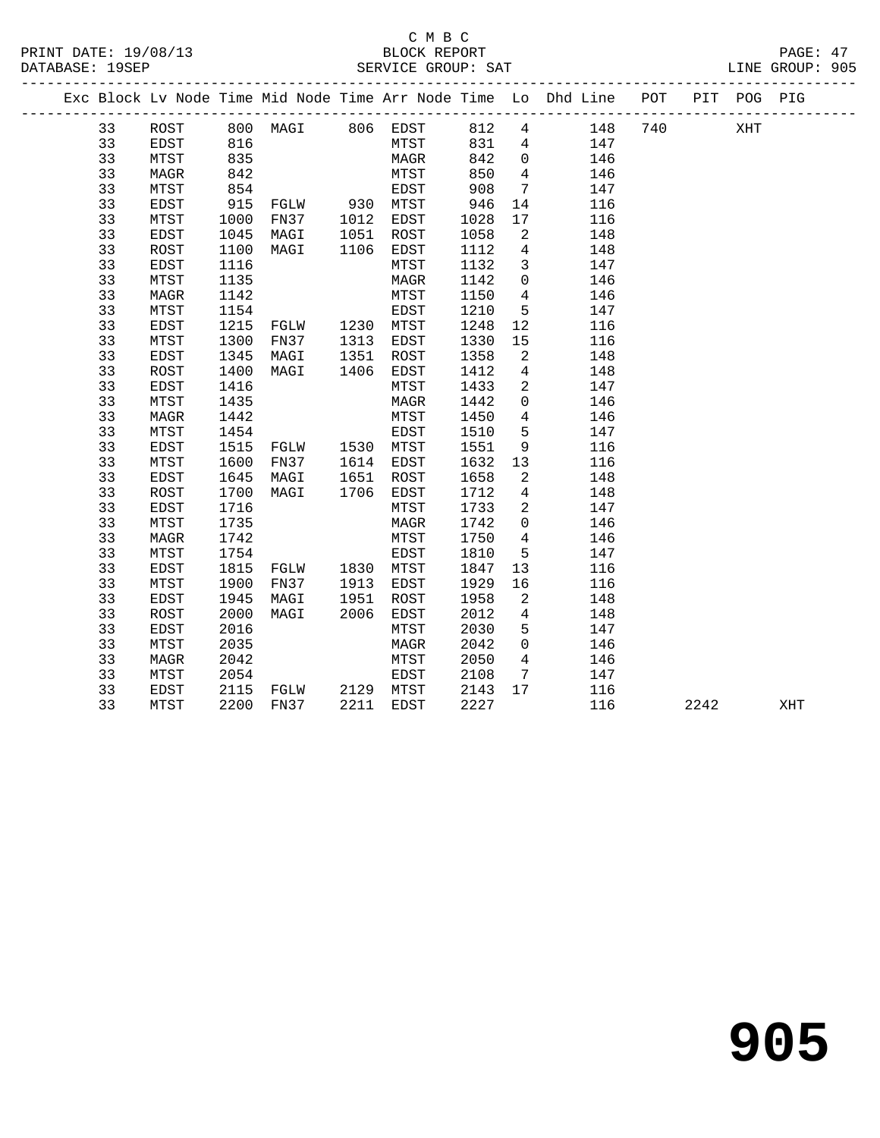| PRINT DATE: 19/08/13 | BLOCK REPORT       | PAGE: 47        |
|----------------------|--------------------|-----------------|
| DATABASE: 19SEP      | SERVICE GROUP: SAT | LINE GROUP: 905 |

|  |    |             |      |                |              |           |      |                            | Exc Block Lv Node Time Mid Node Time Arr Node Time Lo Dhd Line POT |     |      | PIT POG PIG |     |  |
|--|----|-------------|------|----------------|--------------|-----------|------|----------------------------|--------------------------------------------------------------------|-----|------|-------------|-----|--|
|  | 33 | ROST        |      |                |              |           |      | $\overline{4}$             | 148                                                                | 740 |      | XHT         |     |  |
|  | 33 | EDST        | 816  |                |              | MTST      | 831  | 4                          | 147                                                                |     |      |             |     |  |
|  | 33 | MTST        | 835  |                |              | MAGR      | 842  | $\overline{0}$             | 146                                                                |     |      |             |     |  |
|  | 33 | MAGR        | 842  |                |              | MTST      | 850  | $\overline{4}$             | 146                                                                |     |      |             |     |  |
|  | 33 | MTST        | 854  |                |              | EDST      | 908  | $\overline{7}$             | 147                                                                |     |      |             |     |  |
|  | 33 | EDST        | 915  |                |              |           | 946  | 14                         | 116                                                                |     |      |             |     |  |
|  | 33 | MTST        | 1000 |                |              |           | 1028 | 17                         | 116                                                                |     |      |             |     |  |
|  | 33 | EDST        | 1045 | MAGI           | 1051         | ROST      | 1058 | $\overline{\phantom{a}}$   | 148                                                                |     |      |             |     |  |
|  | 33 | ROST        | 1100 | MAGI           | 1106         | EDST      | 1112 | $\overline{4}$             | 148                                                                |     |      |             |     |  |
|  | 33 | EDST        | 1116 |                |              | MTST      | 1132 | $\overline{3}$             | 147                                                                |     |      |             |     |  |
|  | 33 | MTST        | 1135 |                |              | MAGR      | 1142 | $\overline{0}$             | 146                                                                |     |      |             |     |  |
|  | 33 | MAGR        | 1142 |                |              | MTST      | 1150 | $\overline{4}$             | 146                                                                |     |      |             |     |  |
|  | 33 | MTST        | 1154 |                |              | EDST      | 1210 | 5                          | 147                                                                |     |      |             |     |  |
|  | 33 | EDST        | 1215 | FGLW 1230 MTST |              |           | 1248 | 12                         | 116                                                                |     |      |             |     |  |
|  | 33 | MTST        | 1300 | FN37           | 1313<br>1351 | EDST      | 1330 | 15                         | 116                                                                |     |      |             |     |  |
|  | 33 | EDST        | 1345 | MAGI           |              | ROST      | 1358 | $\overline{2}$             | 148                                                                |     |      |             |     |  |
|  | 33 | ROST        | 1400 | MAGI           | 1406         | EDST      | 1412 | $4\overline{4}$            | 148                                                                |     |      |             |     |  |
|  | 33 | EDST        | 1416 |                |              | MTST      | 1433 | 2                          | 147                                                                |     |      |             |     |  |
|  | 33 | MTST        | 1435 |                |              | MAGR      | 1442 | $\mathbf{0}$               | 146                                                                |     |      |             |     |  |
|  | 33 | <b>MAGR</b> | 1442 |                |              | MTST      | 1450 | $4\overline{ }$            | 146                                                                |     |      |             |     |  |
|  | 33 | MTST        | 1454 |                |              | EDST      | 1510 | 5                          | 147                                                                |     |      |             |     |  |
|  | 33 | EDST        | 1515 | FGLW 1530 MTST |              |           | 1551 | 9                          | 116                                                                |     |      |             |     |  |
|  | 33 | MTST        | 1600 | FN37 1614 EDST |              |           | 1632 | 13                         | 116                                                                |     |      |             |     |  |
|  | 33 | EDST        | 1645 | MAGI           | 1651         | ROST      | 1658 | 2                          | 148                                                                |     |      |             |     |  |
|  | 33 | ROST        | 1700 | MAGI           |              | 1706 EDST | 1712 | $4\overline{ }$            | 148                                                                |     |      |             |     |  |
|  | 33 | EDST        | 1716 |                |              | MTST      | 1733 | 2                          | 147                                                                |     |      |             |     |  |
|  | 33 | MTST        | 1735 |                |              | MAGR      | 1742 | $\overline{0}$             | 146                                                                |     |      |             |     |  |
|  | 33 | MAGR        | 1742 |                |              | MTST      | 1750 | $\overline{4}$             | 146                                                                |     |      |             |     |  |
|  | 33 | MTST        | 1754 |                |              | EDST      | 1810 | $5^{\circ}$                | 147                                                                |     |      |             |     |  |
|  | 33 | EDST        | 1815 |                |              |           | 1847 | 13                         | 116                                                                |     |      |             |     |  |
|  | 33 | MTST        | 1900 | FN37           | 1913         | EDST      | 1929 | 16                         | 116                                                                |     |      |             |     |  |
|  | 33 | EDST        | 1945 | MAGI           | 1951         | ROST      | 1958 | $\overline{\phantom{a}}^2$ | 148                                                                |     |      |             |     |  |
|  | 33 | <b>ROST</b> | 2000 | MAGI           | 2006         | EDST      | 2012 | $4\overline{ }$            | 148                                                                |     |      |             |     |  |
|  | 33 | EDST        | 2016 |                |              | MTST      | 2030 | 5                          | 147                                                                |     |      |             |     |  |
|  | 33 | MTST        | 2035 |                |              | MAGR      | 2042 | $\mathbf{0}$               | 146                                                                |     |      |             |     |  |
|  | 33 | MAGR        | 2042 |                |              | MTST      | 2050 | $\overline{4}$             | 146                                                                |     |      |             |     |  |
|  | 33 | MTST        | 2054 |                |              | EDST      | 2108 | 7                          | 147                                                                |     |      |             |     |  |
|  | 33 | EDST        | 2115 | FGLW 2129 MTST |              |           | 2143 | 17                         | 116                                                                |     |      |             |     |  |
|  | 33 | MTST        | 2200 | FN37           | 2211         | EDST      | 2227 |                            | 116                                                                |     | 2242 |             | XHT |  |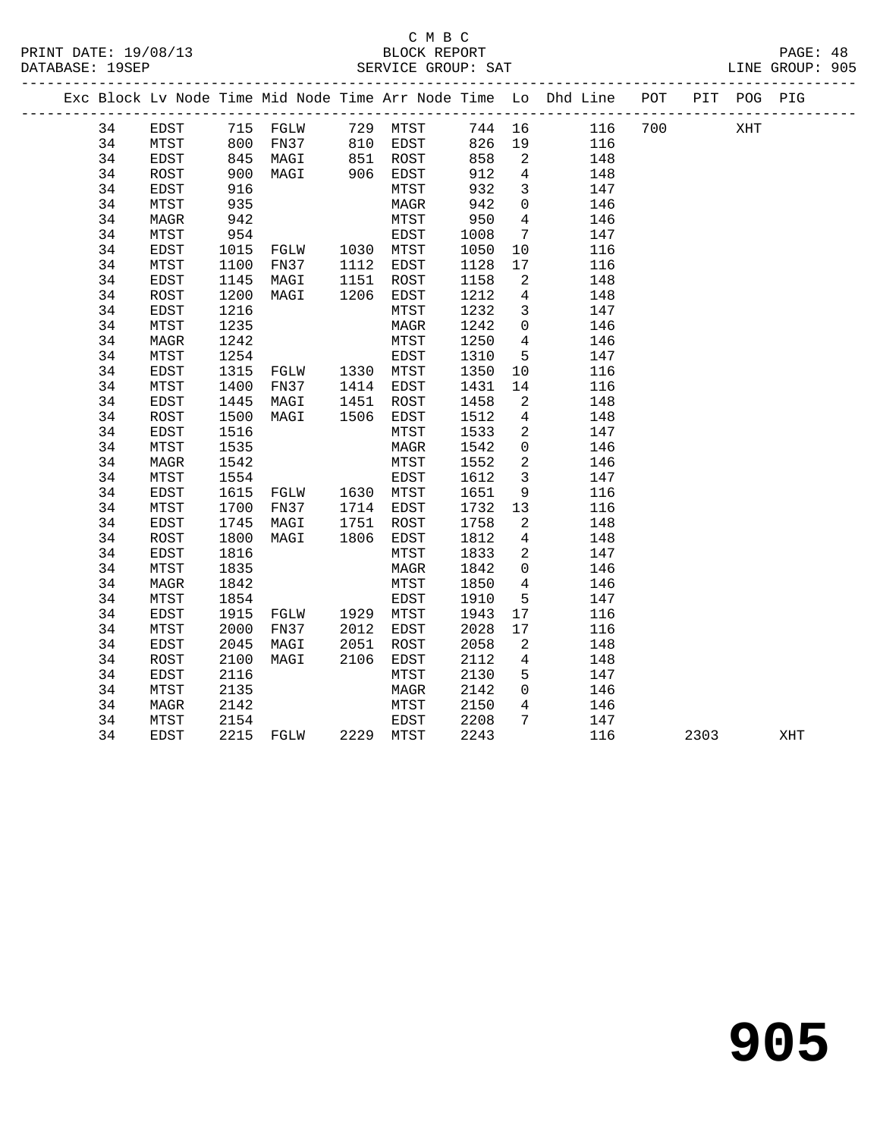#### C M B C<br>BLOCK REPORT SERVICE GROUP: SAT

|    |             |                   |                                |      |               |        |                          | Exc Block Lv Node Time Mid Node Time Arr Node Time Lo Dhd Line POT |     | PIT POG PIG |  |
|----|-------------|-------------------|--------------------------------|------|---------------|--------|--------------------------|--------------------------------------------------------------------|-----|-------------|--|
| 34 | EDST        |                   | 715 FGLW 729 MTST              |      |               |        |                          | 744 16 116                                                         | 700 | XHT         |  |
| 34 | MTST        | 800               |                                |      | FN37 810 EDST |        |                          | 826 19 116                                                         |     |             |  |
| 34 | EDST        | 845<br>900<br>916 | MAGI 851 ROST<br>MAGI 906 EDST |      |               | 858    |                          | 2 148                                                              |     |             |  |
| 34 | ROST        |                   |                                |      |               | 912    | $4\overline{4}$          | 148                                                                |     |             |  |
| 34 | EDST        |                   |                                |      | MTST          | 932    | $\overline{\mathbf{3}}$  | 147                                                                |     |             |  |
| 34 | MTST        | 935               |                                |      | MAGR          | 942    | $\overline{0}$           | 146                                                                |     |             |  |
| 34 | MAGR        | 942               |                                |      | MTST          | 950    | $\overline{4}$           | 146                                                                |     |             |  |
| 34 | MTST        | 954               |                                |      | EDST          | 1008   |                          | $7\overline{ }$<br>147                                             |     |             |  |
| 34 | EDST        | 1015              | FGLW 1030 MTST                 |      |               | 1050   | 10                       | 116                                                                |     |             |  |
| 34 | MTST        | 1100              | FN37 1112                      |      | EDST          | 1128   | 17                       | 116                                                                |     |             |  |
| 34 | EDST        | 1145              | MAGI 1151<br>MAGI 1206         |      | ROST          | 1158   | $\overline{2}$           | 148                                                                |     |             |  |
| 34 | ROST        | 1200              |                                |      | EDST          | 1212   | $4\overline{4}$          | 148                                                                |     |             |  |
| 34 | EDST        | 1216              |                                |      | MTST          | 1232   | $\overline{\mathbf{3}}$  | 147                                                                |     |             |  |
| 34 | MTST        | 1235              |                                |      | MAGR          | 1242   | $\overline{0}$           | 146                                                                |     |             |  |
| 34 | MAGR        | 1242              |                                |      | MTST          | 1250 4 |                          | 146                                                                |     |             |  |
| 34 | MTST        | 1254              |                                |      | EDST          | 1310   | 5 <sup>5</sup>           | 147                                                                |     |             |  |
| 34 | EDST        | 1315              | FGLW 1330 MTST                 |      |               | 1350   |                          | 116<br>10                                                          |     |             |  |
| 34 | MTST        | 1400              | FN37                           |      | 1414 EDST     | 1431   | 14                       | 116                                                                |     |             |  |
| 34 | EDST        | 1445              | MAGI                           | 1451 | ROST          | 1458   | $\overline{2}$           | 148                                                                |     |             |  |
| 34 | ROST        | 1500              | MAGI 1506                      |      | EDST          | 1512   | $4\overline{4}$          | 148                                                                |     |             |  |
| 34 | EDST        | 1516              |                                |      | MTST          | 1533   | $\overline{\phantom{a}}$ | 147                                                                |     |             |  |
| 34 | MTST        | 1535              |                                |      | MAGR          | 1542   | $\overline{0}$           | 146                                                                |     |             |  |
| 34 | MAGR        | 1542              |                                |      | MTST          | 1552   | $\overline{2}$           | 146                                                                |     |             |  |
| 34 | MTST        | 1554              |                                |      | EDST          | 1612   | $\overline{\mathbf{3}}$  | 147                                                                |     |             |  |
| 34 | EDST        | 1615              | FGLW 1630 MTST                 |      |               | 1651   |                          | $9 \left( \frac{1}{2} \right)$<br>116                              |     |             |  |
| 34 | MTST        | 1700              | FN37 1714                      |      | EDST          | 1732   |                          | 13<br>116                                                          |     |             |  |
| 34 | EDST        | 1745              | MAGI                           | 1751 | ROST          | 1758   | $\overline{a}$           | 148                                                                |     |             |  |
| 34 | ROST        | 1800              | MAGI 1806                      |      | EDST          | 1812   | $4\overline{4}$          | 148                                                                |     |             |  |
| 34 | EDST        | 1816              |                                |      | MTST          | 1833   | $\overline{2}$           | 147                                                                |     |             |  |
| 34 | MTST        | 1835              |                                |      | MAGR          | 1842   | $\overline{0}$           | 146                                                                |     |             |  |
| 34 | MAGR        | 1842              |                                |      | MTST          | 1850   | $\overline{4}$           | 146                                                                |     |             |  |
| 34 | MTST        | 1854              |                                |      | EDST          | 1910   | 5                        | 147                                                                |     |             |  |
| 34 | EDST        | 1915              | FGLW 1929                      |      | MTST          | 1943   | 17                       | 116                                                                |     |             |  |
| 34 | MTST        | 2000              | FN37 2012                      |      | EDST          | 2028   | 17                       | 116                                                                |     |             |  |
| 34 | EDST        | 2045              | MAGI                           | 2051 | ROST          | 2058   | $\overline{\mathbf{c}}$  | 148                                                                |     |             |  |
| 34 | ROST        | 2100              | MAGI                           | 2106 | EDST          | 2112   | $\overline{4}$           | 148                                                                |     |             |  |
| 34 | <b>EDST</b> | 2116              |                                |      | MTST          | 2130   | 5                        | 147                                                                |     |             |  |

 34 MTST 2135 MAGR 2142 0 146 34 MAGR 2142 MTST 2150 4 146 34 MTST 2154 EDST 2208 7 147

34 EDST 2215 FGLW 2229 MTST 2243 116 2303 XHT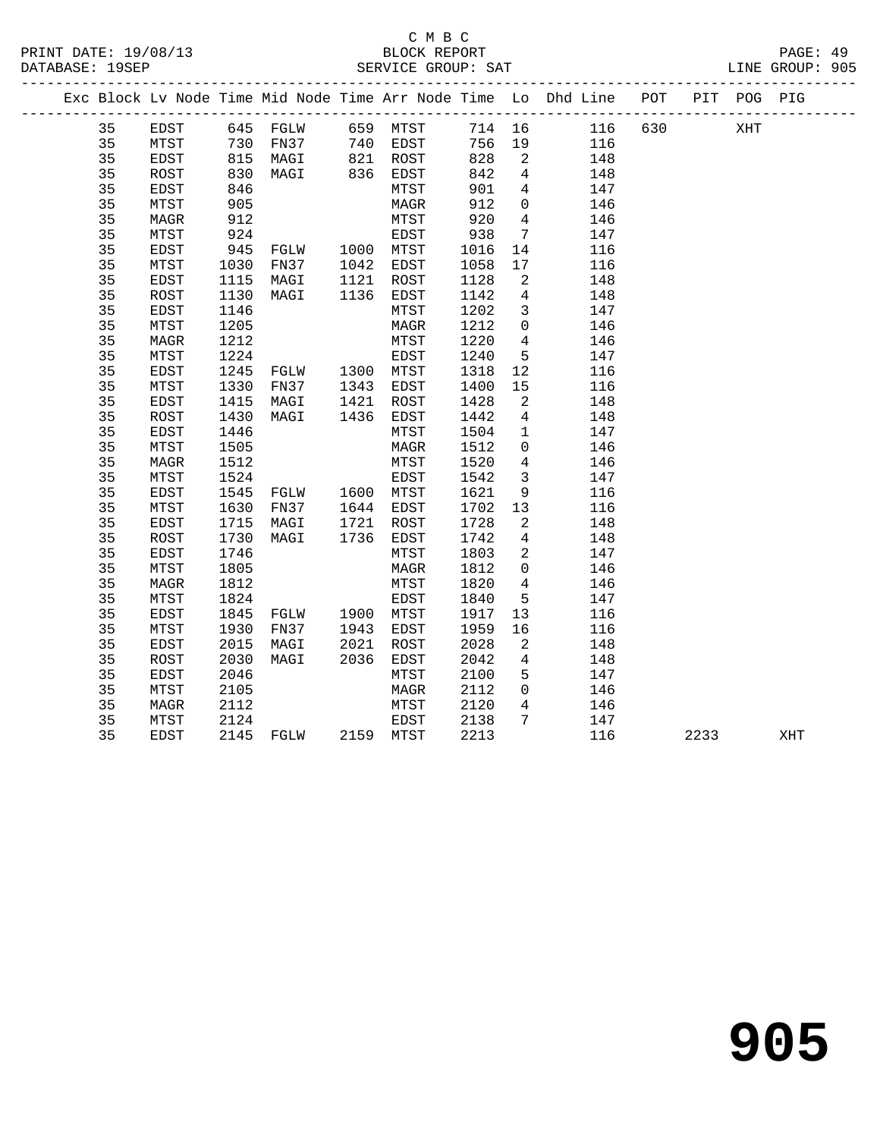# C M B C<br>BLOCK REPORT SERVICE GROUP: SAT

PRINT DATE: 19/08/13 BLOCK REPORT PAGE: 49

|  |    |      |            |                                  |      |                        |        |                          | Exc Block Lv Node Time Mid Node Time Arr Node Time Lo Dhd Line POT |         |      | PIT POG PIG |     |  |
|--|----|------|------------|----------------------------------|------|------------------------|--------|--------------------------|--------------------------------------------------------------------|---------|------|-------------|-----|--|
|  | 35 | EDST |            | 645 FGLW 659 MTST                |      |                        |        |                          | 714 16                                                             | 116 630 |      | XHT         |     |  |
|  | 35 | MTST | 730        | FN37 740 EDST                    |      |                        | 756 19 |                          | 116                                                                |         |      |             |     |  |
|  | 35 | EDST | 815<br>830 | MAGI                             |      |                        | 828    | $\overline{\phantom{a}}$ | 148                                                                |         |      |             |     |  |
|  | 35 | ROST |            |                                  |      |                        | 842    | $\overline{4}$           | 148                                                                |         |      |             |     |  |
|  | 35 | EDST | 846        |                                  |      | MTST                   | 901    | $4\overline{ }$          | 147                                                                |         |      |             |     |  |
|  | 35 | MTST | 905        |                                  |      | MAGR                   | 912    | $\overline{0}$           | 146                                                                |         |      |             |     |  |
|  | 35 | MAGR | 912        |                                  |      | MTST                   | 920    | $\overline{4}$           | 146                                                                |         |      |             |     |  |
|  | 35 | MTST | 924        |                                  |      | EDST                   | 938    | $\overline{7}$           | 147                                                                |         |      |             |     |  |
|  | 35 | EDST | 945        | FGLW 1000 MTST                   |      |                        | 1016   | 14                       | 116                                                                |         |      |             |     |  |
|  | 35 | MTST | 1030       | FN37                             |      | 1042 EDST<br>1121 ROST | 1058   | 17                       | 116                                                                |         |      |             |     |  |
|  | 35 | EDST | 1115       | MAGI                             |      |                        | 1128   | 2                        | 148                                                                |         |      |             |     |  |
|  | 35 | ROST | 1130       | MAGI                             |      | 1136 EDST              | 1142   | $\overline{4}$           | 148                                                                |         |      |             |     |  |
|  | 35 | EDST | 1146       |                                  |      | MTST                   | 1202   | $\overline{3}$           | 147                                                                |         |      |             |     |  |
|  | 35 | MTST | 1205       |                                  |      | MAGR                   | 1212   | $\overline{0}$           | 146                                                                |         |      |             |     |  |
|  | 35 | MAGR | 1212       |                                  |      | MTST                   | 1220   | $\overline{4}$           | 146                                                                |         |      |             |     |  |
|  | 35 | MTST | 1224       |                                  |      | EDST                   | 1240   | 5                        | 147                                                                |         |      |             |     |  |
|  | 35 | EDST | 1245       | FGLW 1300 MTST                   |      |                        | 1318   | 12                       | 116                                                                |         |      |             |     |  |
|  | 35 | MTST | 1330       | FN37                             |      | 1343 EDST              | 1400   | 15                       | 116                                                                |         |      |             |     |  |
|  | 35 | EDST | 1415       | MAGI                             |      | 1421 ROST              | 1428   | 2                        | 148                                                                |         |      |             |     |  |
|  | 35 | ROST | 1430       | MAGI                             |      | 1436 EDST              | 1442   | $\overline{4}$           | 148                                                                |         |      |             |     |  |
|  | 35 | EDST | 1446       |                                  |      | MTST                   | 1504   | $\mathbf{1}$             | 147                                                                |         |      |             |     |  |
|  | 35 | MTST | 1505       |                                  |      | MAGR                   | 1512   | $\mathbf 0$              | 146                                                                |         |      |             |     |  |
|  | 35 | MAGR | 1512       |                                  |      | MTST                   | 1520   | $\overline{4}$           | 146                                                                |         |      |             |     |  |
|  | 35 | MTST | 1524       |                                  |      | EDST                   | 1542   | $\overline{3}$           | 147                                                                |         |      |             |     |  |
|  | 35 | EDST | 1545       | FGLW 1600 MTST                   |      |                        | 1621   | 9                        | 116                                                                |         |      |             |     |  |
|  | 35 | MTST | 1630       | FN37                             |      | 1644 EDST              | 1702   | 13                       | 116                                                                |         |      |             |     |  |
|  | 35 | EDST | 1715       | MAGI                             | 1721 | ROST                   | 1728   | 2                        | 148                                                                |         |      |             |     |  |
|  | 35 | ROST | 1730       | MAGI                             | 1736 | EDST                   | 1742   | $\overline{4}$           | 148                                                                |         |      |             |     |  |
|  | 35 | EDST | 1746       |                                  |      | MTST                   | 1803   | $\overline{a}$           | 147                                                                |         |      |             |     |  |
|  | 35 | MTST | 1805       |                                  |      | MAGR                   | 1812   | $\overline{0}$           | 146                                                                |         |      |             |     |  |
|  | 35 | MAGR | 1812       |                                  |      | MTST                   | 1820   | $4\overline{4}$          | 146                                                                |         |      |             |     |  |
|  | 35 | MTST | 1824       |                                  |      | EDST                   | 1840   | 5                        | 147                                                                |         |      |             |     |  |
|  | 35 | EDST | 1845       | FGLW 1900 MTST<br>FN37 1943 EDST |      |                        | 1917   | 13                       | 116                                                                |         |      |             |     |  |
|  | 35 | MTST | 1930       |                                  |      |                        | 1959   | 16                       | 116                                                                |         |      |             |     |  |
|  | 35 | EDST | 2015       | MAGI                             | 2021 | ROST                   | 2028   | 2                        | 148                                                                |         |      |             |     |  |
|  | 35 | ROST | 2030       | MAGI                             | 2036 | EDST                   | 2042   | 4                        | 148                                                                |         |      |             |     |  |
|  | 35 | EDST | 2046       |                                  |      | MTST                   | 2100   | 5                        | 147                                                                |         |      |             |     |  |
|  | 35 | MTST | 2105       |                                  |      | MAGR                   | 2112   | $\overline{0}$           | 146                                                                |         |      |             |     |  |
|  | 35 | MAGR | 2112       |                                  |      | MTST                   | 2120   | $\overline{4}$           | 146                                                                |         |      |             |     |  |
|  | 35 | MTST | 2124       |                                  |      | EDST                   | 2138   | $7\phantom{.0}$          | 147                                                                |         |      |             |     |  |
|  | 35 | EDST |            | 2145 FGLW                        |      | 2159 MTST              | 2213   |                          | 116                                                                |         | 2233 |             | XHT |  |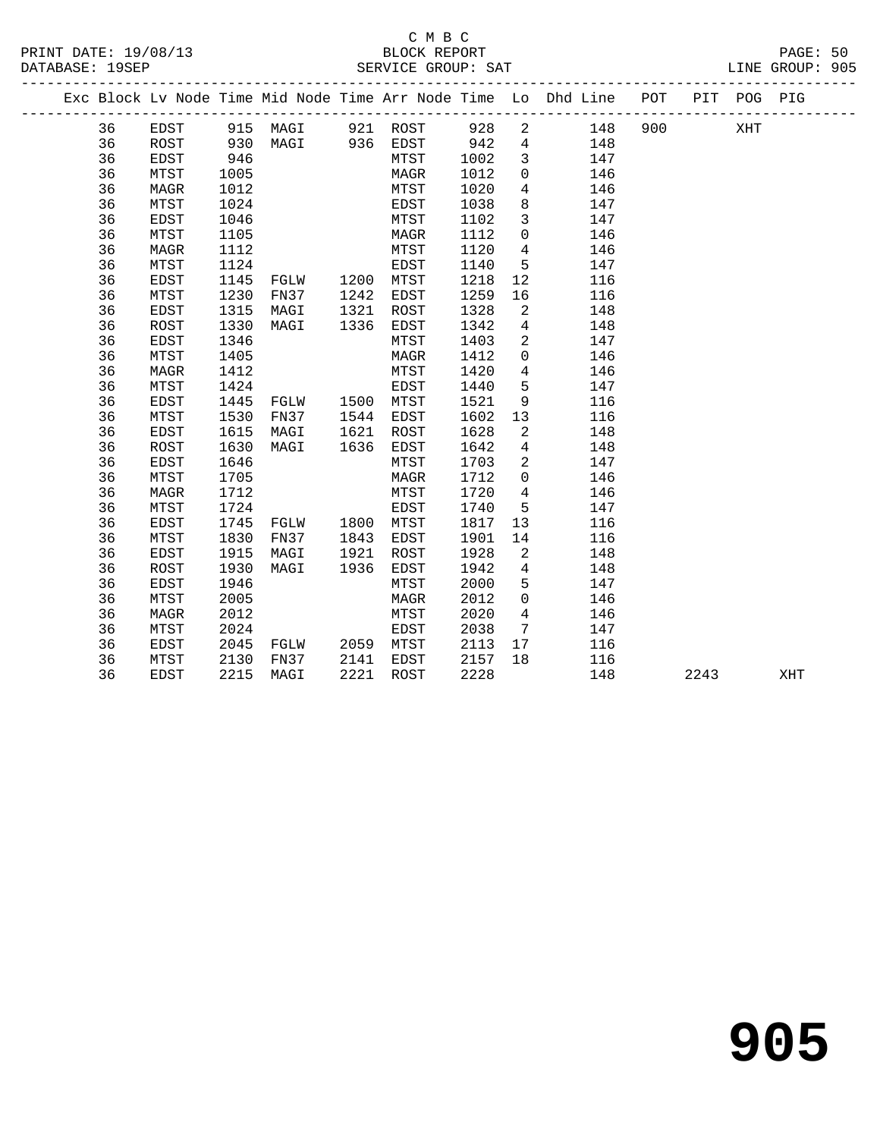#### C M B C<br>BLOCK REPORT PRINT DATE: 19/08/13 BLOCK REPORT PAGE: 50 SERVICE GROUP: SAT

|  |          |                     |              |                   |              |              |              |                 | Exc Block Lv Node Time Mid Node Time Arr Node Time Lo Dhd Line POT |     |      | PIT POG PIG |     |
|--|----------|---------------------|--------------|-------------------|--------------|--------------|--------------|-----------------|--------------------------------------------------------------------|-----|------|-------------|-----|
|  | 36       | EDST                |              | 915 MAGI 921 ROST |              |              | 928          | $\overline{a}$  | 148                                                                | 900 |      | XHT         |     |
|  | 36       | ROST                | 930          | MAGI 936 EDST     |              |              | 942          | $\overline{4}$  | 148                                                                |     |      |             |     |
|  | 36       | EDST                | 946          |                   |              | MTST         | 1002         | $\mathbf{3}$    | 147                                                                |     |      |             |     |
|  | 36       | MTST                | 1005         |                   |              | MAGR         | 1012         | $\mathbf 0$     | 146                                                                |     |      |             |     |
|  | 36       | <b>MAGR</b>         | 1012         |                   |              | MTST         | 1020         | $\overline{4}$  | 146                                                                |     |      |             |     |
|  | 36       | MTST                | 1024         |                   |              | EDST         | 1038         | 8               | 147                                                                |     |      |             |     |
|  | 36       | EDST                | 1046         |                   |              | MTST         | 1102         | $\mathbf{3}$    | 147                                                                |     |      |             |     |
|  | 36       | MTST                | 1105         |                   |              | MAGR         | 1112         | $\mathbf 0$     | 146                                                                |     |      |             |     |
|  | 36       | <b>MAGR</b>         | 1112         |                   |              | MTST         | 1120         | $4\overline{4}$ | 146                                                                |     |      |             |     |
|  | 36       | MTST                | 1124         |                   |              | EDST         | 1140         | 5               | 147                                                                |     |      |             |     |
|  | 36       | EDST                | 1145         | FGLW              | 1200         | MTST         | 1218         | 12              | 116                                                                |     |      |             |     |
|  | 36       | MTST                | 1230         | FN37              | 1242         | EDST         | 1259         | 16              | 116                                                                |     |      |             |     |
|  | 36       | <b>EDST</b>         | 1315         | MAGI              | 1321         | ROST         | 1328         | 2               | 148                                                                |     |      |             |     |
|  | 36       | <b>ROST</b>         | 1330         | MAGI              | 1336         | EDST         | 1342         | $4\overline{ }$ | 148                                                                |     |      |             |     |
|  | 36       | <b>EDST</b>         | 1346         |                   |              | MTST         | 1403         | 2               | 147                                                                |     |      |             |     |
|  | 36       | MTST                | 1405         |                   |              | MAGR         | 1412         | $\overline{0}$  | 146                                                                |     |      |             |     |
|  | 36       | <b>MAGR</b>         | 1412         |                   |              | MTST         | 1420         | $4\overline{ }$ | 146                                                                |     |      |             |     |
|  | 36       | MTST                | 1424         |                   |              | EDST         | 1440         | 5               | 147                                                                |     |      |             |     |
|  | 36       | <b>EDST</b>         | 1445         | FGLW              | 1500         | MTST         | 1521         | 9               | 116                                                                |     |      |             |     |
|  | 36       | MTST                | 1530         | FN37              | 1544         | EDST         | 1602         | 13              | 116                                                                |     |      |             |     |
|  | 36       | EDST                | 1615         | MAGI              | 1621         | ROST         | 1628         | 2               | 148                                                                |     |      |             |     |
|  | 36       | ROST                | 1630         | MAGI              | 1636         | EDST         | 1642         | $4\overline{ }$ | 148                                                                |     |      |             |     |
|  | 36       | <b>EDST</b>         | 1646         |                   |              | MTST         | 1703         | 2               | 147                                                                |     |      |             |     |
|  | 36       | MTST                | 1705         |                   |              | MAGR         | 1712         | $\Omega$        | 146                                                                |     |      |             |     |
|  | 36       | MAGR                | 1712         |                   |              | MTST         | 1720         | $4\overline{ }$ | 146                                                                |     |      |             |     |
|  | 36       | MTST                | 1724         |                   |              | EDST         | 1740         | 5               | 147                                                                |     |      |             |     |
|  | 36       | <b>EDST</b><br>MTST | 1745         | FGLW              | 1800<br>1843 | MTST         | 1817         | 13              | 116<br>116                                                         |     |      |             |     |
|  | 36<br>36 |                     | 1830<br>1915 | FN37              | 1921         | EDST         | 1901<br>1928 | 14<br>2         | 148                                                                |     |      |             |     |
|  | 36       | EDST<br><b>ROST</b> | 1930         | MAGI<br>MAGI      | 1936         | ROST<br>EDST | 1942         | $4\overline{ }$ | 148                                                                |     |      |             |     |
|  | 36       | <b>EDST</b>         | 1946         |                   |              | MTST         | 2000         | 5               | 147                                                                |     |      |             |     |
|  | 36       | MTST                | 2005         |                   |              | MAGR         | 2012         | $\mathbf 0$     | 146                                                                |     |      |             |     |
|  | 36       | <b>MAGR</b>         | 2012         |                   |              | MTST         | 2020         | $\overline{4}$  | 146                                                                |     |      |             |     |
|  | 36       | MTST                | 2024         |                   |              | EDST         | 2038         | $7\overline{ }$ | 147                                                                |     |      |             |     |
|  | 36       | EDST                | 2045         | FGLW              |              | 2059 MTST    | 2113         | 17              | 116                                                                |     |      |             |     |
|  | 36       | MTST                | 2130         | FN37              | 2141         | EDST         | 2157         | 18              | 116                                                                |     |      |             |     |
|  | 36       | <b>EDST</b>         | 2215         | MAGI              | 2221         | ROST         | 2228         |                 | 148                                                                |     | 2243 |             | XHT |
|  |          |                     |              |                   |              |              |              |                 |                                                                    |     |      |             |     |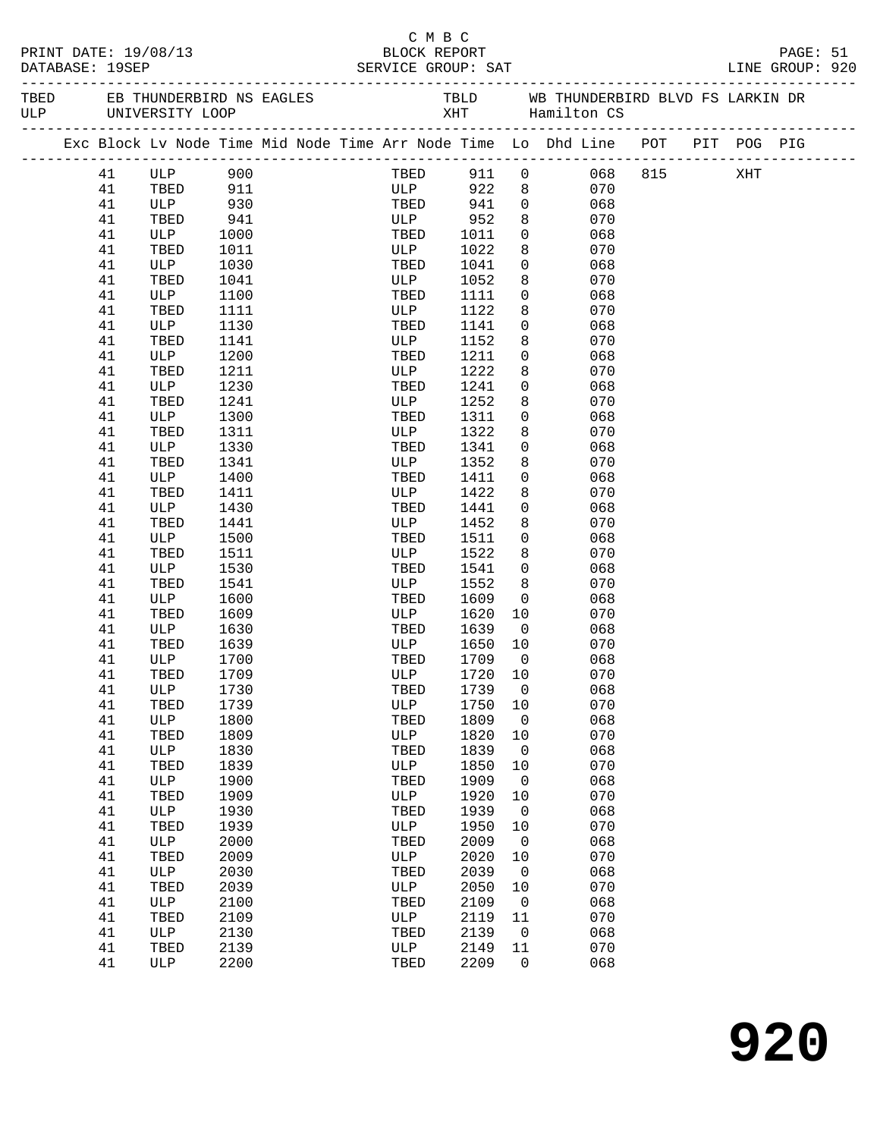|  |                 | PRINT DATE: 19/08/13 |              |  | смвс<br>BLOCK REPORT |              |                     |                                                                                |  | PAGE: 51 |  |
|--|-----------------|----------------------|--------------|--|----------------------|--------------|---------------------|--------------------------------------------------------------------------------|--|----------|--|
|  | DATABASE: 19SEP |                      |              |  |                      |              |                     |                                                                                |  |          |  |
|  |                 |                      |              |  |                      |              |                     |                                                                                |  |          |  |
|  |                 |                      |              |  |                      |              |                     | Exc Block Lv Node Time Mid Node Time Arr Node Time Lo Dhd Line POT PIT POG PIG |  |          |  |
|  |                 | 41 ULP 900           |              |  |                      |              |                     | TBED 911 0 068 815 XHT                                                         |  |          |  |
|  | 41              | TBED 911             |              |  | ULP 922 8            |              |                     | 070                                                                            |  |          |  |
|  | 41              | ULP                  | 930          |  |                      |              |                     | $\frac{6}{9}$<br>068                                                           |  |          |  |
|  | 41              | TBED                 | 941          |  |                      |              | 8                   | 070                                                                            |  |          |  |
|  | 41              | ULP                  | 1000         |  | TBED 1011            |              | $\overline{0}$      | 068                                                                            |  |          |  |
|  | 41              | TBED                 | 1011         |  | ULP                  | 1022         | 8                   | 070                                                                            |  |          |  |
|  | 41              | ULP                  | 1030         |  | TBED                 | 1041         | $\overline{0}$      | 068                                                                            |  |          |  |
|  | 41              | TBED                 | 1041         |  | ULP                  | 1052         | 8                   | 070                                                                            |  |          |  |
|  | 41<br>41        | ULP                  | 1100<br>1111 |  | TBED                 | 1111         | $\overline{0}$<br>8 | 068<br>070                                                                     |  |          |  |
|  | 41              | TBED<br>ULP          | 1130         |  | ULP<br>TBED          | 1122<br>1141 | $\mathsf{O}$        | 068                                                                            |  |          |  |
|  | 41              | TBED                 | 1141         |  | ULP                  | 1152         | 8                   | 070                                                                            |  |          |  |
|  | 41              | ULP                  | 1200         |  | TBED                 | 1211         | $\mathsf{O}$        | 068                                                                            |  |          |  |
|  | 41              | TBED                 | 1211         |  | ULP                  | 1222         | 8                   | 070                                                                            |  |          |  |
|  | 41              | ULP                  | 1230         |  | TBED                 | 1241         | $\mathsf{O}$        | 068                                                                            |  |          |  |
|  | 41              | TBED                 | 1241         |  | ULP                  | 1252         | 8                   | 070                                                                            |  |          |  |
|  | 41              | ULP                  | 1300         |  | TBED                 | 1311         | $\overline{0}$      | 068                                                                            |  |          |  |
|  | 41              | TBED                 | 1311         |  | ULP                  | 1322         | 8                   | 070                                                                            |  |          |  |
|  | 41              | ULP                  | 1330         |  | TBED                 | 1341         | $\overline{0}$      | 068                                                                            |  |          |  |
|  | 41              | TBED                 | 1341         |  | ULP                  | 1352         | 8                   | 070                                                                            |  |          |  |
|  | 41              | ULP                  | 1400         |  | TBED                 | 1411         | $\overline{0}$      | 068                                                                            |  |          |  |
|  | 41              | TBED                 | 1411         |  | ULP                  | 1422         | 8                   | 070                                                                            |  |          |  |
|  | 41              | ULP                  | 1430         |  | TBED                 | 1441         | $\mathbf 0$         | 068                                                                            |  |          |  |
|  | 41              | TBED                 | 1441         |  | ULP                  | 1452         | 8                   | 070                                                                            |  |          |  |
|  | 41              | ULP                  | 1500         |  | TBED                 | 1511         | $\overline{0}$      | 068                                                                            |  |          |  |
|  | 41<br>41        | TBED<br>ULP          | 1511<br>1530 |  | ULP<br>TBED          | 1522<br>1541 | 8<br>$\overline{0}$ | 070<br>068                                                                     |  |          |  |
|  | 41              | TBED                 | 1541         |  | ULP                  | 1552         | 8                   | 070                                                                            |  |          |  |
|  | 41              | ULP                  | 1600         |  | TBED                 | 1609         | $\overline{0}$      | 068                                                                            |  |          |  |
|  | 41              | TBED                 | 1609         |  | ULP                  | 1620         | 10                  | 070                                                                            |  |          |  |
|  | 41              | ULP                  | 1630         |  | TBED                 | 1639         | $\overline{0}$      | 068                                                                            |  |          |  |
|  | 41              | TBED                 | 1639         |  | ULP                  | 1650         | 10                  | 070                                                                            |  |          |  |
|  | 41              | ULP                  | 1700         |  | TBED                 | 1709         | $\overline{0}$      | 068                                                                            |  |          |  |
|  | 41              | TBED 1709            |              |  | ULP 1720 10          |              |                     | 070                                                                            |  |          |  |
|  | 41              | ULP                  | 1730         |  | TBED                 | 1739         | 0                   | 068                                                                            |  |          |  |
|  | 41              | TBED                 | 1739         |  | ULP                  | 1750         | 10                  | 070                                                                            |  |          |  |
|  | 41              | ULP                  | 1800         |  | TBED                 | 1809         | $\overline{0}$      | 068                                                                            |  |          |  |
|  | 41              | TBED                 | 1809         |  | ULP                  | 1820         | 10                  | 070                                                                            |  |          |  |
|  | 41              | ULP                  | 1830         |  | TBED                 | 1839         | 0                   | 068                                                                            |  |          |  |
|  | 41              | TBED                 | 1839         |  | ULP                  | 1850         | 10                  | 070                                                                            |  |          |  |
|  | 41              | ULP                  | 1900         |  | TBED<br>ULP          | 1909         | $\mathsf{O}$        | 068<br>070                                                                     |  |          |  |
|  | 41<br>41        | TBED<br><b>ULP</b>   | 1909<br>1930 |  | TBED                 | 1920<br>1939 | 10<br>0             | 068                                                                            |  |          |  |
|  | 41              | TBED                 | 1939         |  | ULP                  | 1950         | 10                  | 070                                                                            |  |          |  |
|  | 41              | ULP                  | 2000         |  | TBED                 | 2009         | $\mathsf{O}$        | 068                                                                            |  |          |  |
|  | 41              | TBED                 | 2009         |  | $_{\rm ULP}$         | 2020         | 10                  | 070                                                                            |  |          |  |
|  | 41              | ULP                  | 2030         |  | TBED                 | 2039         | 0                   | 068                                                                            |  |          |  |
|  | 41              | TBED                 | 2039         |  | ULP                  | 2050         | 10                  | 070                                                                            |  |          |  |
|  | 41              | ULP                  | 2100         |  | TBED                 | 2109         | 0                   | 068                                                                            |  |          |  |
|  | 41              | TBED                 | 2109         |  | ULP                  | 2119         | 11                  | 070                                                                            |  |          |  |
|  | 41              | ULP                  | 2130         |  | TBED                 | 2139         | 0                   | 068                                                                            |  |          |  |
|  | 41              | TBED                 | 2139         |  | ULP                  | 2149         | 11                  | 070                                                                            |  |          |  |
|  | 41              | ULP                  | 2200         |  | TBED                 | 2209         | $\mathbf 0$         | 068                                                                            |  |          |  |
|  |                 |                      |              |  |                      |              |                     |                                                                                |  |          |  |

**920**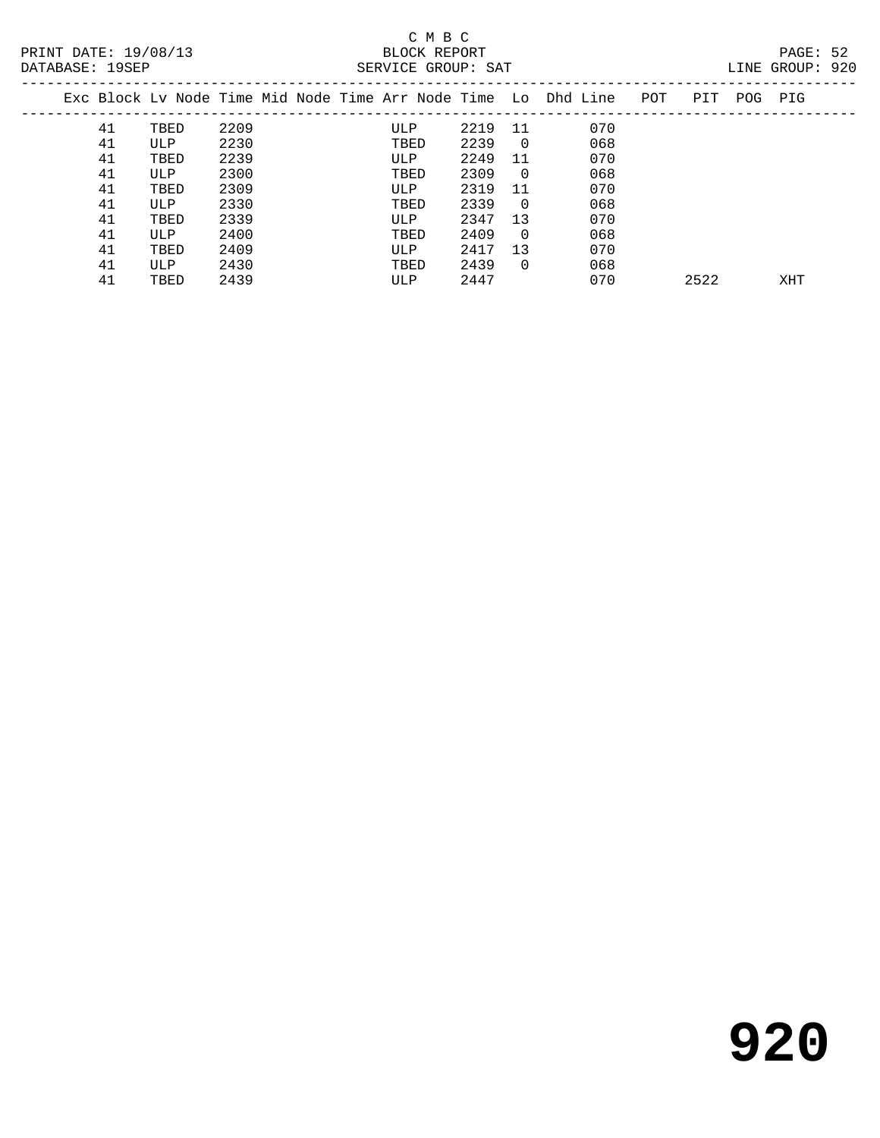# C M B C<br>BLOCK REPORT SERVICE GROUP: SAT

|    |      |      |  |      |      |                |                                                                |     |     |     | ALITA OITOUL .<br>- - - |
|----|------|------|--|------|------|----------------|----------------------------------------------------------------|-----|-----|-----|-------------------------|
|    |      |      |  |      |      |                | Exc Block Ly Node Time Mid Node Time Arr Node Time Lo Dhd Line | POT | PIT | POG | PIG                     |
| 41 | TBED | 2209 |  | ULP  | 2219 | 11             | 070                                                            |     |     |     |                         |
| 41 | ULP  | 2230 |  | TBED | 2239 | $\overline{0}$ | 068                                                            |     |     |     |                         |
| 41 | TBED | 2239 |  | ULP  | 2249 | 11             | 070                                                            |     |     |     |                         |
| 41 | ULP  | 2300 |  | TBED | 2309 | $\overline{0}$ | 068                                                            |     |     |     |                         |
| 41 | TBED | 2309 |  | ULP  | 2319 | 11             | 070                                                            |     |     |     |                         |
| 41 | ULP  | 2330 |  | TBED | 2339 | $\overline{0}$ | 068                                                            |     |     |     |                         |
| 41 | TBED | 2339 |  | ULP  | 2347 | 13             | 070                                                            |     |     |     |                         |
| 41 | ULP  | 2400 |  | TBED | 2409 | $\overline{0}$ | 068                                                            |     |     |     |                         |
| 41 | TBED | 2409 |  | ULP  | 2417 | 13             | 070                                                            |     |     |     |                         |
| 41 | ULP  | 2430 |  | TBED | 2439 | $\Omega$       | 068                                                            |     |     |     |                         |

41 TBED 2439 ULP 2447 070 2522 XHT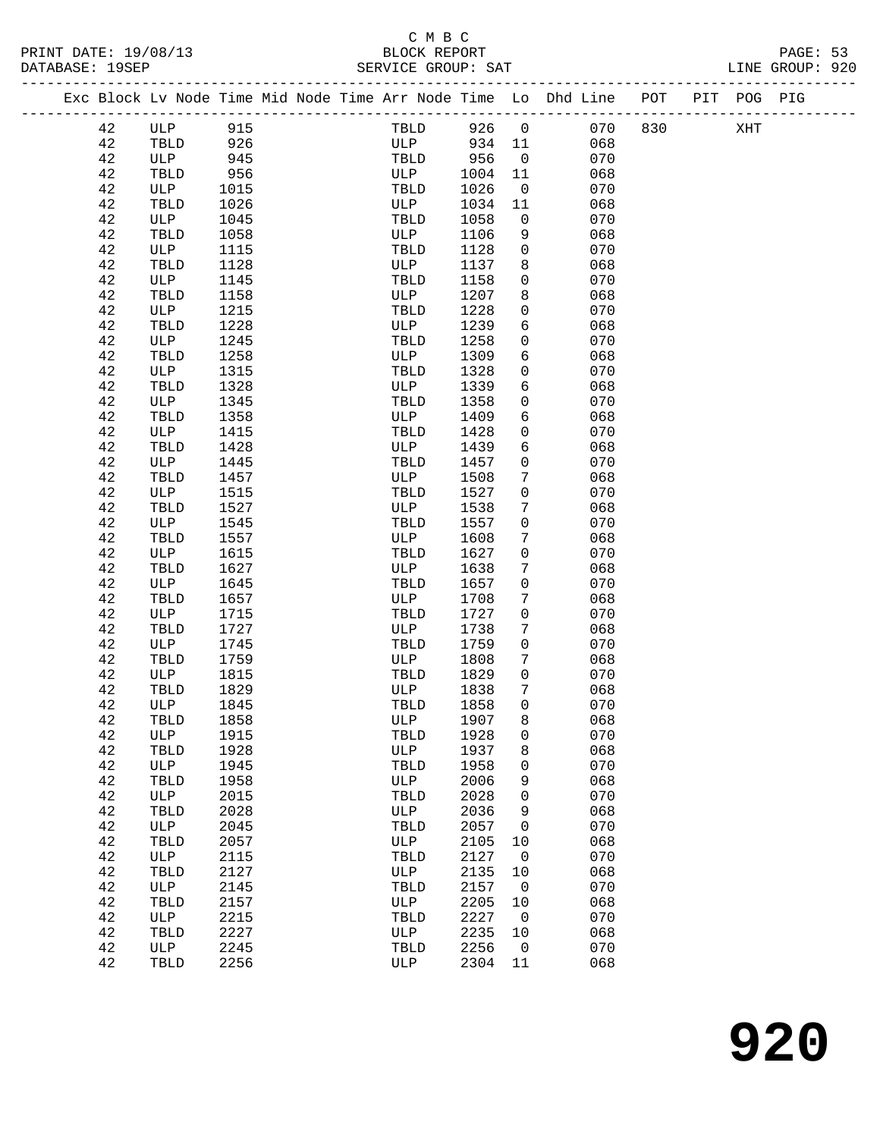# C M B C<br>BLOCK REPORT

|                      | mass places to Made miss Mid Made miss not Made miss that place the power program pool pro |                 |
|----------------------|--------------------------------------------------------------------------------------------|-----------------|
| DATABASE: 19SEP      | SERVICE GROUP: SAT                                                                         | LINE GROUP: 920 |
| PRINT DATE: 19/08/13 | BLOCK REPORT                                                                               | PAGE: 53        |
|                      | $\sim$ $\sim$ $\sim$                                                                       |                 |

|  |    |              |      |  | Exc Block Lv Node Time Mid Node Time Arr Node Time Lo Dhd Line |      |                          |     | POT | PIT | POG PIG |  |
|--|----|--------------|------|--|----------------------------------------------------------------|------|--------------------------|-----|-----|-----|---------|--|
|  | 42 | $_{\rm ULP}$ | 915  |  | TBLD                                                           | 926  | $\mathsf{O}$             | 070 | 830 |     | XHT     |  |
|  | 42 | TBLD         | 926  |  | ULP                                                            | 934  | 11                       | 068 |     |     |         |  |
|  | 42 | ULP          | 945  |  | TBLD                                                           | 956  | 0                        | 070 |     |     |         |  |
|  | 42 | TBLD         | 956  |  | ULP                                                            | 1004 | 11                       | 068 |     |     |         |  |
|  | 42 | ULP          | 1015 |  | TBLD                                                           | 1026 | 0                        | 070 |     |     |         |  |
|  | 42 | TBLD         | 1026 |  | ULP                                                            | 1034 | 11                       | 068 |     |     |         |  |
|  | 42 | ULP          | 1045 |  | TBLD                                                           | 1058 | 0                        | 070 |     |     |         |  |
|  | 42 | TBLD         | 1058 |  | ULP                                                            | 1106 | 9                        | 068 |     |     |         |  |
|  | 42 | ULP          | 1115 |  | TBLD                                                           | 1128 | 0                        | 070 |     |     |         |  |
|  | 42 | TBLD         | 1128 |  | ULP                                                            | 1137 | 8                        | 068 |     |     |         |  |
|  | 42 | ULP          | 1145 |  | TBLD                                                           | 1158 | 0                        | 070 |     |     |         |  |
|  | 42 | TBLD         | 1158 |  | ULP                                                            | 1207 | 8                        | 068 |     |     |         |  |
|  | 42 | ULP          | 1215 |  | TBLD                                                           | 1228 | 0                        | 070 |     |     |         |  |
|  | 42 | TBLD         | 1228 |  | ULP                                                            | 1239 | 6                        | 068 |     |     |         |  |
|  | 42 | ULP          | 1245 |  | TBLD                                                           | 1258 | 0                        | 070 |     |     |         |  |
|  | 42 | TBLD         | 1258 |  | ULP                                                            | 1309 | 6                        | 068 |     |     |         |  |
|  | 42 | ULP          | 1315 |  | TBLD                                                           | 1328 | 0                        | 070 |     |     |         |  |
|  | 42 | TBLD         | 1328 |  | ULP                                                            | 1339 | 6                        | 068 |     |     |         |  |
|  | 42 | ULP          | 1345 |  | TBLD                                                           | 1358 | 0                        | 070 |     |     |         |  |
|  | 42 | TBLD         | 1358 |  | ULP                                                            | 1409 | 6                        | 068 |     |     |         |  |
|  | 42 | ULP          | 1415 |  | TBLD                                                           | 1428 | 0                        | 070 |     |     |         |  |
|  | 42 | TBLD         | 1428 |  | ULP                                                            | 1439 | 6                        | 068 |     |     |         |  |
|  | 42 | ULP          | 1445 |  | TBLD                                                           | 1457 | 0                        | 070 |     |     |         |  |
|  | 42 | TBLD         | 1457 |  | ULP                                                            | 1508 | 7                        | 068 |     |     |         |  |
|  | 42 | ULP          | 1515 |  | TBLD                                                           | 1527 | 0                        | 070 |     |     |         |  |
|  | 42 | TBLD         | 1527 |  | ULP                                                            | 1538 | 7                        | 068 |     |     |         |  |
|  | 42 | ULP          | 1545 |  | TBLD                                                           | 1557 | 0                        | 070 |     |     |         |  |
|  | 42 | TBLD         | 1557 |  | ULP                                                            | 1608 | 7                        | 068 |     |     |         |  |
|  | 42 | ULP          | 1615 |  | TBLD                                                           | 1627 | 0                        | 070 |     |     |         |  |
|  | 42 | TBLD         | 1627 |  | ULP                                                            | 1638 | 7                        | 068 |     |     |         |  |
|  | 42 | ULP          | 1645 |  | TBLD                                                           | 1657 | 0                        | 070 |     |     |         |  |
|  | 42 | TBLD         | 1657 |  | ULP                                                            | 1708 | 7                        | 068 |     |     |         |  |
|  | 42 | ULP          | 1715 |  | TBLD                                                           | 1727 | 0                        | 070 |     |     |         |  |
|  | 42 | TBLD         | 1727 |  | ULP                                                            | 1738 | 7                        | 068 |     |     |         |  |
|  | 42 | ULP          | 1745 |  | TBLD                                                           | 1759 | 0                        | 070 |     |     |         |  |
|  | 42 | TBLD         | 1759 |  | ULP                                                            | 1808 | 7                        | 068 |     |     |         |  |
|  | 42 | ULP          | 1815 |  | TBLD                                                           | 1829 | 0                        | 070 |     |     |         |  |
|  | 42 | TBLD         | 1829 |  | ULP                                                            | 1838 | 7                        | 068 |     |     |         |  |
|  | 42 | ULP          | 1845 |  | TBLD                                                           | 1858 | 0                        | 070 |     |     |         |  |
|  | 42 | TBLD         | 1858 |  | ULP                                                            | 1907 | 8                        | 068 |     |     |         |  |
|  | 42 | ULP          | 1915 |  | TBLD                                                           | 1928 | 0                        | 070 |     |     |         |  |
|  | 42 | TBLD         | 1928 |  | ULP                                                            | 1937 | 8                        | 068 |     |     |         |  |
|  | 42 | ULP          | 1945 |  | TBLD                                                           | 1958 | 0                        | 070 |     |     |         |  |
|  | 42 | TBLD         | 1958 |  | ULP                                                            | 2006 | 9                        | 068 |     |     |         |  |
|  | 42 | ULP          | 2015 |  | TBLD                                                           | 2028 | 0                        | 070 |     |     |         |  |
|  | 42 | TBLD         | 2028 |  | ULP                                                            | 2036 | 9                        | 068 |     |     |         |  |
|  | 42 | ULP          | 2045 |  | TBLD                                                           | 2057 | 0                        | 070 |     |     |         |  |
|  | 42 | TBLD         | 2057 |  | ULP                                                            | 2105 | 10                       | 068 |     |     |         |  |
|  | 42 | ULP          | 2115 |  | TBLD                                                           | 2127 | $\mathsf{O}$             | 070 |     |     |         |  |
|  | 42 | TBLD         | 2127 |  | ULP                                                            | 2135 | 10                       | 068 |     |     |         |  |
|  | 42 | ULP          | 2145 |  | TBLD                                                           | 2157 | $\overline{0}$           | 070 |     |     |         |  |
|  | 42 | TBLD         | 2157 |  | ULP                                                            | 2205 | 10                       | 068 |     |     |         |  |
|  | 42 | ULP          | 2215 |  | TBLD                                                           | 2227 | $\overline{\phantom{0}}$ | 070 |     |     |         |  |
|  | 42 | TBLD         | 2227 |  | ULP                                                            | 2235 | 10                       | 068 |     |     |         |  |
|  | 42 | ULP          | 2245 |  | TBLD                                                           | 2256 | $\overline{0}$           | 070 |     |     |         |  |
|  | 42 | TBLD         | 2256 |  | ULP                                                            | 2304 | 11                       | 068 |     |     |         |  |
|  |    |              |      |  |                                                                |      |                          |     |     |     |         |  |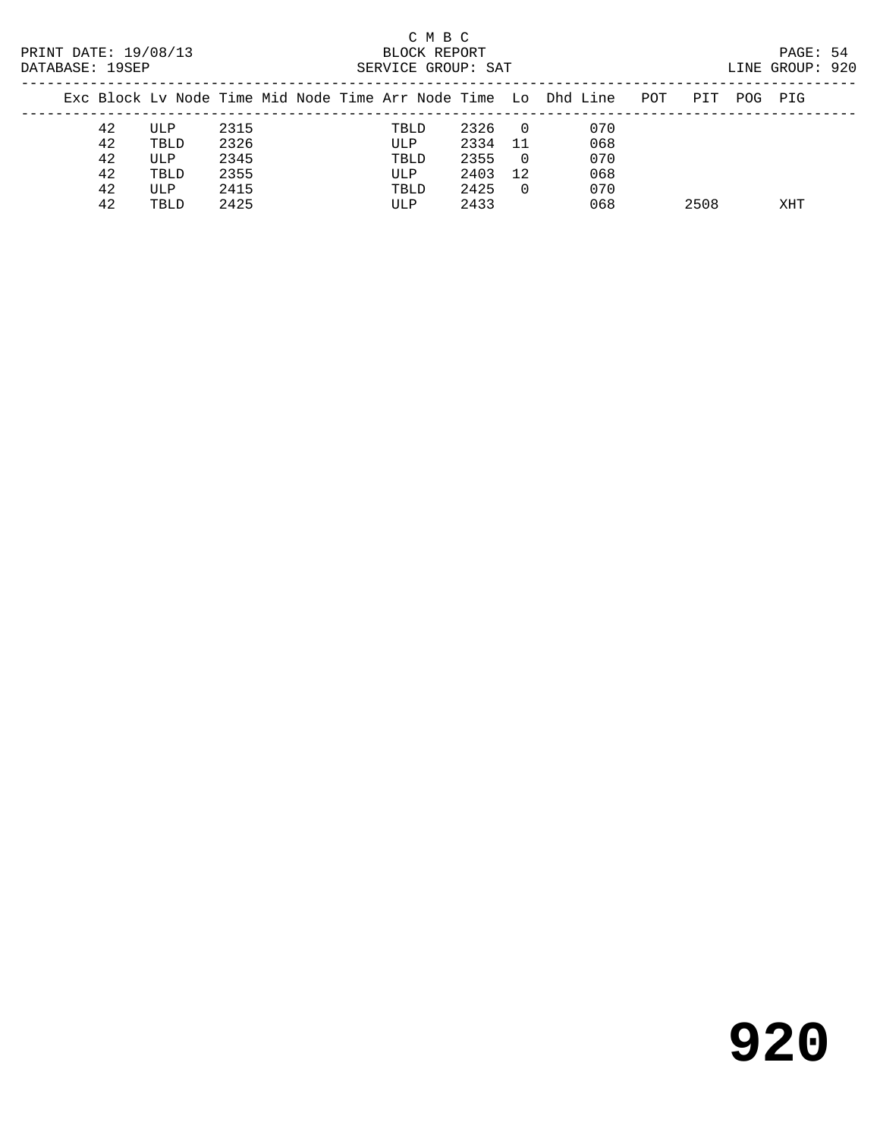|  | PRINT DATE: 19/08/13<br>DATABASE: 19SEP |      |      |  | C M B C<br>BLOCK REPORT<br>SERVICE GROUP: SAT |      |                |                                                                    |     |     | PAGE: 54<br>LINE GROUP: 920 |  |
|--|-----------------------------------------|------|------|--|-----------------------------------------------|------|----------------|--------------------------------------------------------------------|-----|-----|-----------------------------|--|
|  |                                         |      |      |  |                                               |      |                | Exc Block Lv Node Time Mid Node Time Arr Node Time Lo Dhd Line POT | PIT | POG | PIG                         |  |
|  | 42                                      | ULP  | 2315 |  | TBLD                                          | 2326 | $\overline{0}$ | 070                                                                |     |     |                             |  |
|  | 42                                      | TBLD | 2326 |  | ULP                                           | 2334 | - 11           | 068                                                                |     |     |                             |  |
|  | 42                                      | ULP  | 2345 |  | TBLD                                          | 2355 | $\overline{0}$ | 070                                                                |     |     |                             |  |
|  | 42                                      | TBLD | 2355 |  | ULP                                           | 2403 | 12             | 068                                                                |     |     |                             |  |
|  | 42                                      | ULP  | 2415 |  | TBLD                                          | 2425 | $\Omega$       | 070                                                                |     |     |                             |  |

42 TBLD 2425 ULP 2433 068 2508 XHT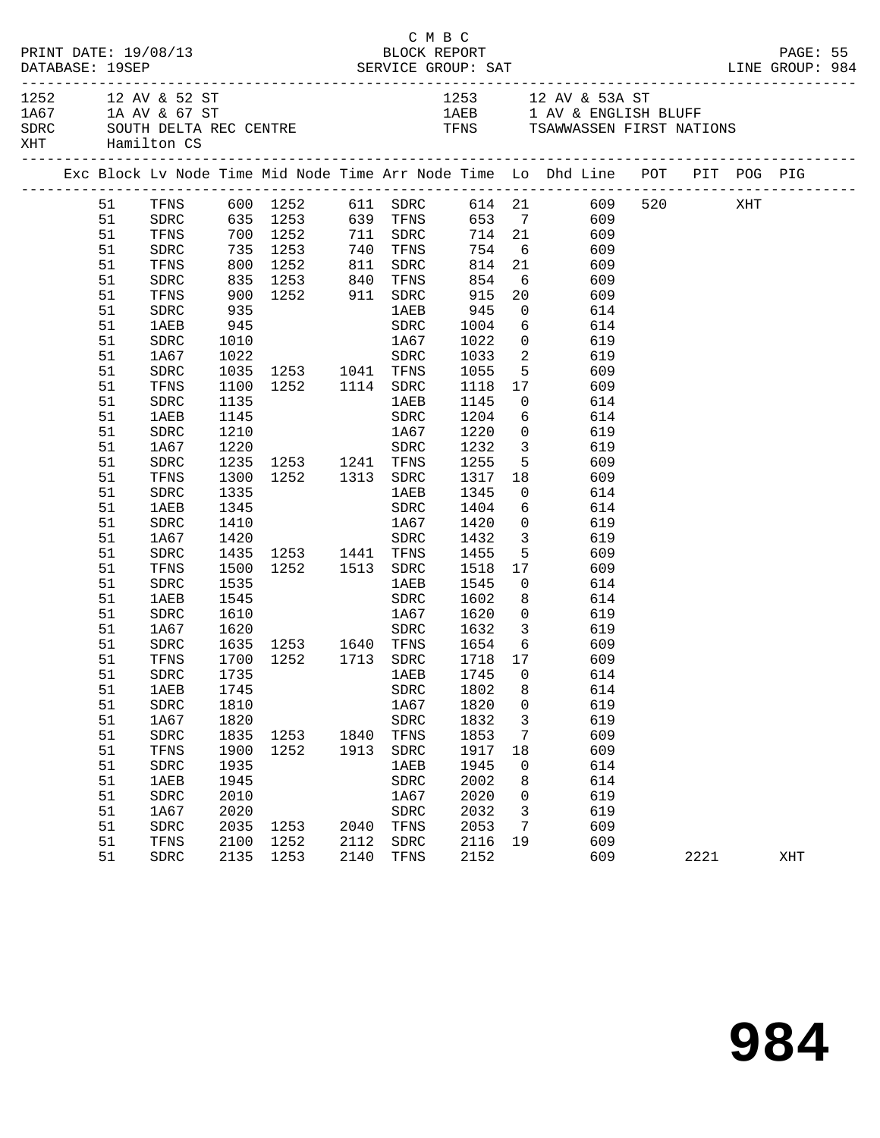| PRINT DATE: 19/08/13<br>DATABASE: 19SEP |    |             |      |                                                                               |      | C M B C<br>BLOCK REPORT |                      |                 |                                                                                                                                         |      | PAGE: 55 |  |
|-----------------------------------------|----|-------------|------|-------------------------------------------------------------------------------|------|-------------------------|----------------------|-----------------|-----------------------------------------------------------------------------------------------------------------------------------------|------|----------|--|
| 1252 12 AV & 52 ST<br>XHT Hamilton CS   |    |             |      |                                                                               |      |                         |                      |                 | 1253 12 AV & 53A ST<br>$1A67$ 1A AV & 67 ST 1AEB 1 AV & ENGLISH BLUFF<br>SDRC SOUTH DELTA REC CENTRE TENS TENS TSAWWASSEN FIRST NATIONS |      |          |  |
|                                         |    |             |      |                                                                               |      |                         |                      |                 | Exc Block Lv Node Time Mid Node Time Arr Node Time Lo Dhd Line POT PIT POG PIG                                                          |      |          |  |
|                                         |    |             |      |                                                                               |      |                         |                      |                 | 51 TFNS 600 1252 611 SDRC 614 21 609 520 XHT<br>51 SDRC 635 1253 639 TFNS 653 7 609                                                     |      |          |  |
|                                         |    |             |      |                                                                               |      |                         |                      |                 |                                                                                                                                         |      |          |  |
|                                         | 51 |             |      |                                                                               |      |                         |                      |                 | TFNS 700 1252 711 SDRC 714 21 609                                                                                                       |      |          |  |
|                                         | 51 | SDRC        |      |                                                                               |      |                         |                      |                 | 735 1253 740 TFNS 754 6 609<br>800 1252 811 SDRC 814 21 609<br>835 1253 840 TFNS 854 6 609<br>900 1252 911 SDRC 915 20 609              |      |          |  |
|                                         | 51 | TFNS        |      |                                                                               |      |                         |                      |                 |                                                                                                                                         |      |          |  |
|                                         | 51 | SDRC        |      |                                                                               |      |                         |                      |                 |                                                                                                                                         |      |          |  |
|                                         | 51 | TFNS        |      |                                                                               |      |                         |                      |                 |                                                                                                                                         |      |          |  |
|                                         | 51 | SDRC        | 935  |                                                                               |      | 1AEB                    | 945                  |                 | $0$ 614                                                                                                                                 |      |          |  |
|                                         | 51 | 1AEB        |      |                                                                               |      |                         |                      | $6\overline{6}$ | 614                                                                                                                                     |      |          |  |
|                                         | 51 | SDRC        |      |                                                                               |      |                         |                      | $\overline{0}$  | 619                                                                                                                                     |      |          |  |
|                                         | 51 | 1A67        |      | 945 SDRC 1004<br>1010 1A67 1022<br>1022 SDRC 1033<br>1035 1253 1041 TFNS 1055 |      |                         |                      |                 | 2 619                                                                                                                                   |      |          |  |
|                                         | 51 | SDRC        |      |                                                                               |      |                         |                      |                 | 5 609                                                                                                                                   |      |          |  |
|                                         | 51 | TFNS        |      | 1100 1252 1114 SDRC                                                           |      |                         |                      |                 |                                                                                                                                         |      |          |  |
|                                         | 51 | SDRC        | 1135 |                                                                               |      | 1AEB                    |                      |                 | 1118  17  609<br>1145  0  614                                                                                                           |      |          |  |
|                                         | 51 | 1AEB        | 1145 |                                                                               |      | SDRC                    | 1204                 |                 | 6 614                                                                                                                                   |      |          |  |
|                                         | 51 | SDRC        | 1210 | 1A67                                                                          |      |                         | 1220                 | $\overline{0}$  | 619                                                                                                                                     |      |          |  |
|                                         | 51 | 1A67        |      |                                                                               |      |                         |                      |                 | 3 619                                                                                                                                   |      |          |  |
|                                         | 51 | SDRC        |      |                                                                               |      |                         |                      | 5 <sub>5</sub>  | 609                                                                                                                                     |      |          |  |
|                                         | 51 | TFNS        |      | 1220 SDRC<br>1235 1253 1241 TFNS<br>1300 1252 1313 SDRC                       |      |                         | 1232<br>1255<br>1317 |                 | 18 609                                                                                                                                  |      |          |  |
|                                         | 51 | SDRC        | 1335 |                                                                               |      | 1 AE B                  | 1345                 |                 | $\overline{0}$<br>614                                                                                                                   |      |          |  |
|                                         | 51 | 1AEB        | 1345 |                                                                               |      | SDRC                    | 1404                 |                 | 6 614                                                                                                                                   |      |          |  |
|                                         | 51 | SDRC        | 1410 |                                                                               |      | $\frac{1}{1467}$        |                      | $\overline{0}$  | 619                                                                                                                                     |      |          |  |
|                                         | 51 | 1A67        | 1420 |                                                                               |      | SDRC                    | 1420<br>1432         |                 | $\overline{\mathbf{3}}$<br>619                                                                                                          |      |          |  |
|                                         | 51 | SDRC        |      | 1435 1253 1441 TFNS                                                           |      |                         | 1455                 |                 | 5 609                                                                                                                                   |      |          |  |
|                                         | 51 | TFNS        | 1500 | 1252 1513 SDRC                                                                |      |                         | 1518                 |                 | 17<br>609                                                                                                                               |      |          |  |
|                                         | 51 | SDRC        |      |                                                                               |      | 1AEB                    | 1545                 | $\overline{0}$  | 614                                                                                                                                     |      |          |  |
|                                         | 51 | 1AEB        |      | $\frac{1535}{1545}$                                                           |      | SDRC                    | 1602                 | 8 <sup>1</sup>  | 614                                                                                                                                     |      |          |  |
|                                         | 51 | SDRC        |      |                                                                               |      |                         |                      |                 | 1610 1867 1620 0 619                                                                                                                    |      |          |  |
|                                         | 51 | 1A67        |      |                                                                               |      |                         |                      |                 | SDRC 1632 3 619                                                                                                                         |      |          |  |
|                                         | 51 | SDRC        |      | 1620 SDRC<br>1635 1253 1640 TFNS<br>1700 1252 1713 SDRC                       |      |                         |                      |                 |                                                                                                                                         |      |          |  |
|                                         | 51 | TFNS        |      |                                                                               |      |                         |                      |                 | 1654 6 609<br>1718 17 609                                                                                                               |      |          |  |
|                                         |    |             |      |                                                                               |      |                         |                      |                 | 51 SDRC 1735 1AEB 1745 0 614                                                                                                            |      |          |  |
|                                         | 51 | 1AEB        | 1745 |                                                                               |      | SDRC                    | 1802                 | 8               | 614                                                                                                                                     |      |          |  |
|                                         | 51 | SDRC        | 1810 |                                                                               |      | 1A67                    | 1820                 | 0               | 619                                                                                                                                     |      |          |  |
|                                         | 51 | 1A67        | 1820 |                                                                               |      | ${\tt SDRC}$            | 1832                 | 3               | 619                                                                                                                                     |      |          |  |
|                                         | 51 | SDRC        | 1835 | 1253                                                                          | 1840 | TFNS                    | 1853                 | 7               | 609                                                                                                                                     |      |          |  |
|                                         | 51 | TFNS        | 1900 | 1252                                                                          | 1913 | SDRC                    | 1917                 | 18              | 609                                                                                                                                     |      |          |  |
|                                         | 51 | SDRC        | 1935 |                                                                               |      | 1AEB                    | 1945                 | 0               | 614                                                                                                                                     |      |          |  |
|                                         | 51 | <b>1AEB</b> | 1945 |                                                                               |      | SDRC                    | 2002                 | 8               | 614                                                                                                                                     |      |          |  |
|                                         | 51 | SDRC        | 2010 |                                                                               |      | 1A67                    | 2020                 | 0               | 619                                                                                                                                     |      |          |  |
|                                         | 51 | 1A67        | 2020 |                                                                               |      | SDRC                    | 2032                 | 3               | 619                                                                                                                                     |      |          |  |
|                                         | 51 | SDRC        | 2035 | 1253                                                                          | 2040 | TFNS                    | 2053                 | 7               | 609                                                                                                                                     |      |          |  |
|                                         | 51 | TFNS        | 2100 | 1252                                                                          | 2112 | ${\tt SDRC}$            | 2116                 | 19              | 609                                                                                                                                     |      |          |  |
|                                         | 51 | SDRC        | 2135 | 1253                                                                          | 2140 | TFNS                    | 2152                 |                 | 609                                                                                                                                     | 2221 | XHT      |  |
|                                         |    |             |      |                                                                               |      |                         |                      |                 |                                                                                                                                         |      |          |  |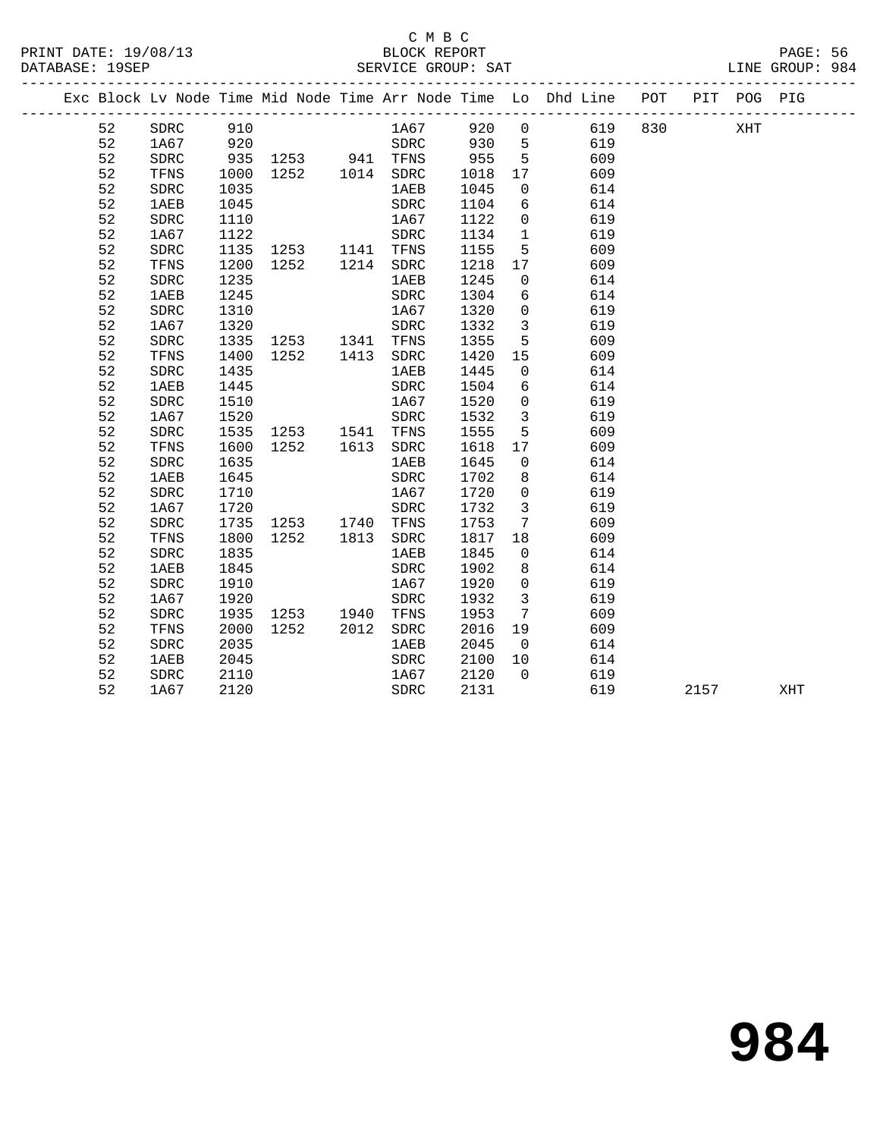## C M B C<br>BLOCK REPORT SERVICE GROUP: SAT

PRINT DATE: 19/08/13 BLOCK REPORT PAGE: 56

|  |    |              |      |                          |      |              |      |                         | Exc Block Lv Node Time Mid Node Time Arr Node Time Lo Dhd Line POT |     | PIT POG PIG |     |
|--|----|--------------|------|--------------------------|------|--------------|------|-------------------------|--------------------------------------------------------------------|-----|-------------|-----|
|  | 52 | SDRC         | 910  |                          |      | 1A67 920     |      | $\overline{0}$          | 619                                                                | 830 | XHT         |     |
|  | 52 | 1A67         |      |                          |      |              |      |                         | 619<br>609                                                         |     |             |     |
|  | 52 | ${\tt SDRC}$ |      |                          |      |              |      |                         |                                                                    |     |             |     |
|  | 52 | TFNS         |      |                          |      |              |      |                         | 609                                                                |     |             |     |
|  | 52 | SDRC         | 1035 |                          |      | 1AEB         | 1045 | $\overline{0}$          | 614                                                                |     |             |     |
|  | 52 | 1AEB         | 1045 |                          |      | SDRC         | 1104 | 6                       | 614                                                                |     |             |     |
|  | 52 | SDRC         | 1110 |                          |      | 1A67         | 1122 | $\overline{0}$          | 619                                                                |     |             |     |
|  | 52 | 1A67         | 1122 |                          |      | ${\tt SDRC}$ | 1134 | $\overline{1}$          | 619                                                                |     |             |     |
|  | 52 | SDRC         |      | 1135 1253 1141 TFNS      |      |              | 1155 | $5^{\circ}$             | 609                                                                |     |             |     |
|  | 52 | TFNS         | 1200 | 1252   1214   SDRC       |      |              | 1218 | 17                      | 609                                                                |     |             |     |
|  | 52 | SDRC         | 1235 |                          |      | <b>1AEB</b>  | 1245 | $\overline{0}$          | 614                                                                |     |             |     |
|  | 52 | 1AEB         | 1245 |                          |      | SDRC         | 1304 | 6                       | 614                                                                |     |             |     |
|  | 52 | <b>SDRC</b>  | 1310 |                          |      | 1A67         | 1320 | $\overline{0}$          | 619                                                                |     |             |     |
|  | 52 | 1A67         | 1320 |                          |      | SDRC         | 1332 | $\overline{\mathbf{3}}$ | 619                                                                |     |             |     |
|  | 52 | SDRC         |      | 1335 1253 1341 TFNS      |      |              | 1355 | $-5$                    | 609                                                                |     |             |     |
|  | 52 | TFNS         | 1400 | 1252 1413 SDRC           |      |              | 1420 | 15                      | 609                                                                |     |             |     |
|  | 52 | SDRC         | 1435 |                          |      | 1AEB         | 1445 | $\Omega$                | 614                                                                |     |             |     |
|  | 52 | 1AEB         | 1445 |                          |      | SDRC         | 1504 | 6                       | 614                                                                |     |             |     |
|  | 52 | SDRC         | 1510 |                          |      | 1A67         | 1520 | $\overline{0}$          | 619                                                                |     |             |     |
|  | 52 | 1A67         | 1520 |                          |      | SDRC         | 1532 | $\overline{\mathbf{3}}$ | 619                                                                |     |             |     |
|  | 52 | SDRC         | 1535 | 1253  1541  TFNS         |      |              | 1555 | $5^{\circ}$             | 609                                                                |     |             |     |
|  | 52 | TFNS         | 1600 | 1252   1613   SDRC       |      |              | 1618 | 17                      | 609                                                                |     |             |     |
|  | 52 | <b>SDRC</b>  | 1635 |                          |      | 1AEB         | 1645 | $\Omega$                | 614                                                                |     |             |     |
|  | 52 | 1AEB         | 1645 |                          |      | SDRC         | 1702 | 8                       | 614                                                                |     |             |     |
|  | 52 | SDRC         | 1710 |                          |      | 1A67         | 1720 | $\overline{0}$          | 619                                                                |     |             |     |
|  | 52 | 1A67         | 1720 |                          |      | SDRC         | 1732 | $\overline{\mathbf{3}}$ | 619                                                                |     |             |     |
|  | 52 | SDRC         |      | 1735 1253 1740 TFNS 1753 |      |              |      | $7\phantom{0}$          | 609                                                                |     |             |     |
|  | 52 | TFNS         | 1800 | 1252 1813                |      | SDRC         | 1817 | 18                      | 609                                                                |     |             |     |
|  | 52 | <b>SDRC</b>  | 1835 |                          |      | 1 AE B       | 1845 | $\overline{0}$          | 614                                                                |     |             |     |
|  | 52 | 1AEB         | 1845 |                          |      | SDRC         | 1902 | 8                       | 614                                                                |     |             |     |
|  | 52 | SDRC         | 1910 |                          |      | 1A67         | 1920 | $\overline{0}$          | 619                                                                |     |             |     |
|  | 52 | 1A67         | 1920 |                          |      | SDRC         | 1932 | $\overline{\mathbf{3}}$ | 619                                                                |     |             |     |
|  | 52 | SDRC         | 1935 | 1253 1940 TFNS           |      |              | 1953 | $7\overline{ }$         | 609                                                                |     |             |     |
|  | 52 | TFNS         | 2000 | 1252                     | 2012 | SDRC         | 2016 | 19                      | 609                                                                |     |             |     |
|  | 52 | SDRC         | 2035 |                          |      | <b>1AEB</b>  | 2045 | $\overline{0}$          | 614                                                                |     |             |     |
|  | 52 | 1AEB         | 2045 |                          |      | SDRC         | 2100 | 10                      | 614                                                                |     |             |     |
|  | 52 | SDRC         | 2110 |                          |      | 1A67         | 2120 | $\overline{0}$          | 619                                                                |     |             |     |
|  | 52 | 1A67         | 2120 |                          |      | SDRC         | 2131 |                         | 619                                                                |     | 2157        | XHT |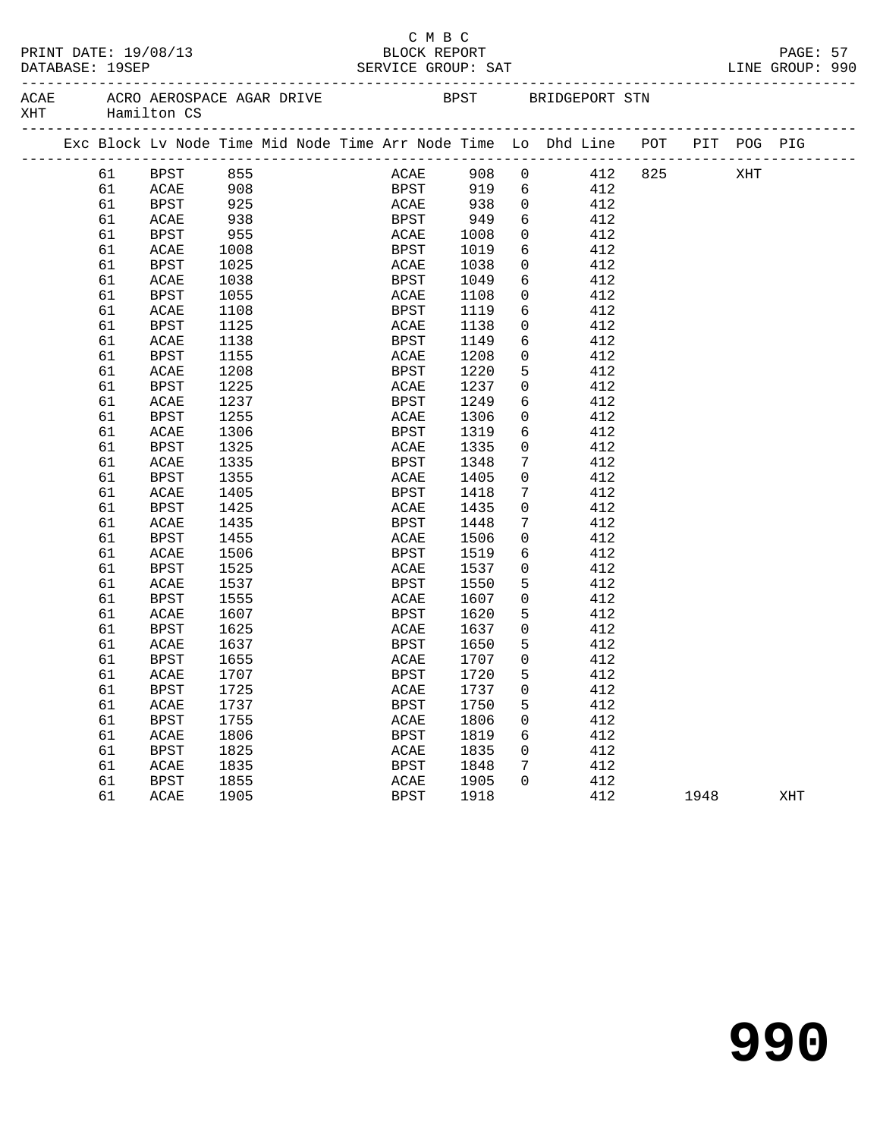| DATABASE: 19SEP | PRINT DATE: 19/08/13                                                                                     |            |  | СМВС<br>BLOCK REPORT                   |      |                 |                        |                                |      | PAGE: 57 |  |
|-----------------|----------------------------------------------------------------------------------------------------------|------------|--|----------------------------------------|------|-----------------|------------------------|--------------------------------|------|----------|--|
|                 | ACAE ACRO AEROSPACE AGAR DRIVE THE BPST BRIDGEPORT STN<br>XHT Hamilton CS<br>___________________________ |            |  | ______________________________________ |      |                 |                        | ------------------------------ |      |          |  |
|                 | Exc Block Lv Node Time Mid Node Time Arr Node Time Lo Dhd Line POT PIT POG PIG                           |            |  |                                        |      |                 |                        |                                |      |          |  |
|                 | 61 BPST 855                                                                                              |            |  |                                        |      |                 | ACAE 908 0 412 825 XHT |                                |      |          |  |
| 61              | <b>ACAE</b>                                                                                              | 908        |  |                                        |      |                 | BPST 919 6 412         |                                |      |          |  |
| 61              | BPST                                                                                                     | 925<br>938 |  | ACAE 938<br>BPST 949                   |      |                 | $\overline{0}$<br>412  |                                |      |          |  |
| 61              | ACAE                                                                                                     |            |  |                                        |      | 6               | 412                    |                                |      |          |  |
| 61              | BPST                                                                                                     | 955        |  | <b>ACAE</b> 1008                       |      | $\overline{0}$  | 412                    |                                |      |          |  |
| 61              | ACAE                                                                                                     | 1008       |  | BPST                                   | 1019 | 6               | 412                    |                                |      |          |  |
| 61              | BPST                                                                                                     | 1025       |  | <b>ACAE</b>                            | 1038 | $\overline{0}$  | 412                    |                                |      |          |  |
| 61              | ACAE                                                                                                     | 1038       |  | BPST                                   | 1049 | 6               | 412                    |                                |      |          |  |
| 61              | BPST                                                                                                     | 1055       |  | ACAE                                   | 1108 | $\overline{0}$  | 412                    |                                |      |          |  |
| 61              | ACAE                                                                                                     | 1108       |  | BPST                                   | 1119 | 6               | 412                    |                                |      |          |  |
| 61              | BPST                                                                                                     | 1125       |  | ACAE                                   | 1138 | $\overline{0}$  | 412                    |                                |      |          |  |
| 61              | ACAE                                                                                                     | 1138       |  | BPST                                   | 1149 | $6\overline{6}$ | 412                    |                                |      |          |  |
| 61              | BPST                                                                                                     | 1155       |  | ACAE                                   | 1208 | $\overline{0}$  | 412                    |                                |      |          |  |
| 61              | ACAE                                                                                                     | 1208       |  | BPST                                   | 1220 | 5               | 412                    |                                |      |          |  |
| 61              | BPST                                                                                                     | 1225       |  | ACAE                                   | 1237 | $\overline{0}$  | 412                    |                                |      |          |  |
| 61              | ACAE                                                                                                     | 1237       |  | BPST                                   | 1249 | 6               | 412                    |                                |      |          |  |
| 61              | BPST                                                                                                     | 1255       |  | ACAE                                   | 1306 | $\overline{0}$  | 412                    |                                |      |          |  |
| 61              | ACAE                                                                                                     | 1306       |  | BPST                                   | 1319 | 6               | 412                    |                                |      |          |  |
| 61              | BPST                                                                                                     | 1325       |  | ACAE                                   | 1335 | $\overline{0}$  | 412                    |                                |      |          |  |
| 61              | ACAE                                                                                                     | 1335       |  | BPST                                   | 1348 | $7\overline{ }$ | 412                    |                                |      |          |  |
| 61              | BPST                                                                                                     | 1355       |  | ACAE                                   | 1405 | $\overline{0}$  | 412                    |                                |      |          |  |
| 61              | ACAE                                                                                                     | 1405       |  | BPST                                   | 1418 | 7               | 412                    |                                |      |          |  |
| 61              | BPST                                                                                                     | 1425       |  | ACAE                                   | 1435 | $\overline{0}$  | 412                    |                                |      |          |  |
| 61              | ACAE                                                                                                     | 1435       |  | BPST                                   | 1448 | $7\phantom{.}$  | 412                    |                                |      |          |  |
| 61              | BPST                                                                                                     | 1455       |  | ACAE                                   | 1506 | $\overline{0}$  | 412                    |                                |      |          |  |
| 61              | ACAE                                                                                                     | 1506       |  | BPST                                   | 1519 | 6               | 412                    |                                |      |          |  |
| 61              | BPST                                                                                                     | 1525       |  | ACAE                                   | 1537 | 0               | 412                    |                                |      |          |  |
| 61              | ACAE                                                                                                     | 1537       |  | BPST                                   | 1550 | 5               | 412                    |                                |      |          |  |
| 61              | BPST                                                                                                     | 1555       |  | ACAE                                   | 1607 | $\overline{0}$  | 412                    |                                |      |          |  |
| 61              | ACAE                                                                                                     | 1607       |  | BPST                                   | 1620 | 5               | 412                    |                                |      |          |  |
| 61              | BPST                                                                                                     | 1625       |  | ACAE                                   | 1637 | $\mathbf 0$     | 412                    |                                |      |          |  |
| 61              | ACAE                                                                                                     | 1637       |  | BPST                                   | 1650 | 5               | 412                    |                                |      |          |  |
| 61              | <b>BPST</b>                                                                                              | 1655       |  | ACAE                                   | 1707 | $\overline{0}$  | 412                    |                                |      |          |  |
|                 |                                                                                                          |            |  |                                        |      | 5               |                        |                                |      |          |  |
| 61              | ACAE 1707                                                                                                |            |  | BPST 1720                              | 1737 |                 | 412<br>412             |                                |      |          |  |
| 61              | BPST                                                                                                     | 1725       |  | ACAE                                   |      | 0               |                        |                                |      |          |  |
| 61              | $\sf ACAE$                                                                                               | 1737       |  | BPST                                   | 1750 | 5               | 412                    |                                |      |          |  |
| 61              | <b>BPST</b>                                                                                              | 1755       |  | $\ensuremath{\mathsf{ACAE}}$           | 1806 | 0               | 412                    |                                |      |          |  |
| 61              | ACAE                                                                                                     | 1806       |  | BPST                                   | 1819 | 6               | 412                    |                                |      |          |  |
| 61              | <b>BPST</b>                                                                                              | 1825       |  | ACAE                                   | 1835 | 0               | 412                    |                                |      |          |  |
| 61              | ACAE                                                                                                     | 1835       |  | BPST                                   | 1848 | 7               | 412                    |                                |      |          |  |
| 61              | <b>BPST</b>                                                                                              | 1855       |  | ACAE                                   | 1905 | 0               | 412                    |                                |      |          |  |
| 61              | ACAE                                                                                                     | 1905       |  | BPST                                   | 1918 |                 | 412                    |                                | 1948 | XHT      |  |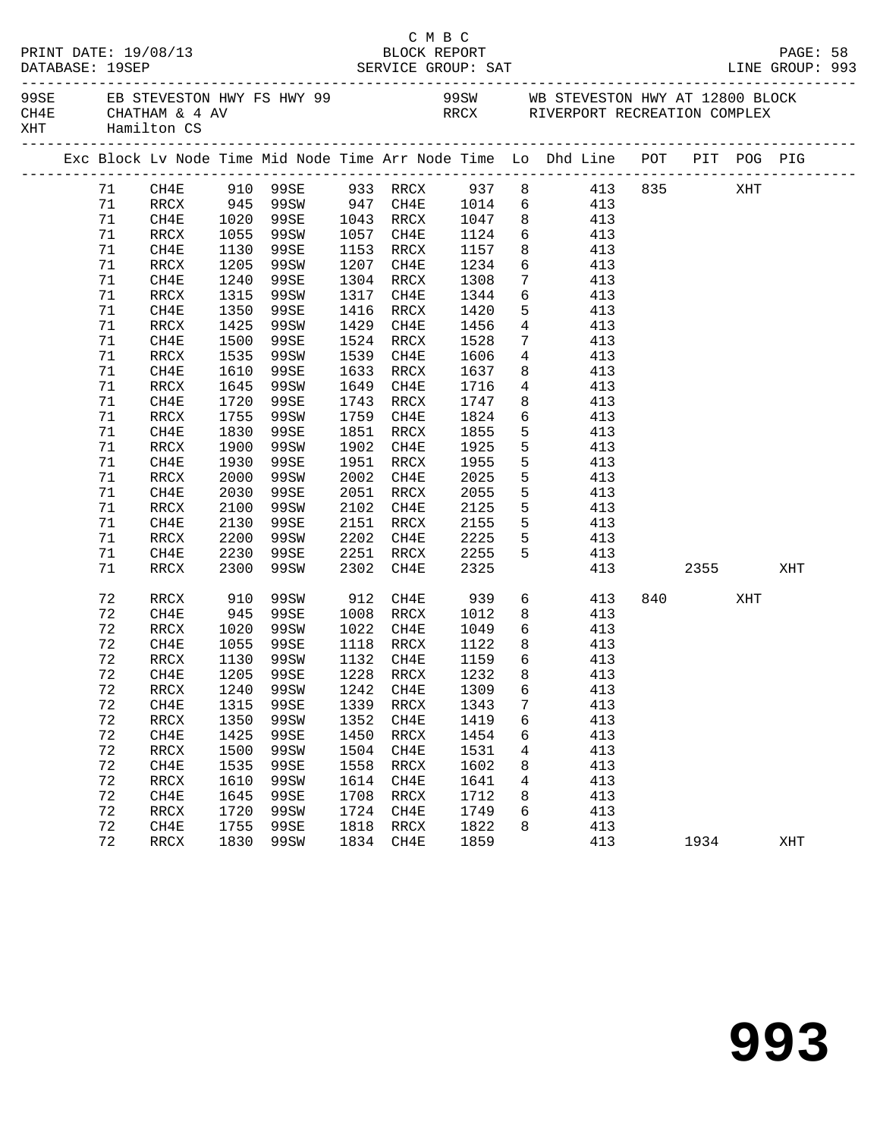|  | DATABASE: 19SEP | PRINT DATE: 19/08/13                   |              |      |      |                        | C M B C<br>BLOCK REPORT |                 |                                                                                                                          |     |          |     | PAGE: 58<br>LINE GROUP: 993 |  |
|--|-----------------|----------------------------------------|--------------|------|------|------------------------|-------------------------|-----------------|--------------------------------------------------------------------------------------------------------------------------|-----|----------|-----|-----------------------------|--|
|  |                 | CH4E CHATHAM & 4 AV<br>XHT Hamilton CS |              |      |      |                        |                         |                 | 99SE EB STEVESTON HWY FS HWY 99 $\overline{O}$ 99SW WB STEVESTON HWY AT 12800 BLOCK<br>RRCX RIVERPORT RECREATION COMPLEX |     |          |     |                             |  |
|  |                 |                                        |              |      |      |                        |                         |                 | Exc Block Lv Node Time Mid Node Time Arr Node Time Lo Dhd Line POT PIT POG PIG                                           |     |          |     |                             |  |
|  | 71              | CH4E                                   |              |      |      |                        |                         |                 | 910 99SE 933 RRCX 937 8 413 835 XHT                                                                                      |     |          |     |                             |  |
|  | 71              |                                        |              |      |      |                        |                         |                 | RRCX 945 99SW 947 CH4E 1014 6 413<br>CH4E 1020 99SE 1043 RRCX 1047 8 413                                                 |     |          |     |                             |  |
|  | 71              |                                        |              |      |      |                        |                         |                 |                                                                                                                          |     |          |     |                             |  |
|  | 71              | RRCX                                   | 1055         | 99SW |      |                        | 1057 CH4E 1124          |                 | 6 413                                                                                                                    |     |          |     |                             |  |
|  | 71              | CH4E                                   | 1130         | 99SE |      | 1153 RRCX              | 1157                    | 8               | 413                                                                                                                      |     |          |     |                             |  |
|  | 71              | RRCX                                   | 1205         | 99SW |      | 1207 CH4E              | 1234<br>1308            |                 | $\frac{6}{7}$ $\frac{413}{112}$                                                                                          |     |          |     |                             |  |
|  | 71              | CH4E                                   | 1240         | 99SE |      | 1304 RRCX              |                         | $7\overline{ }$ | 413                                                                                                                      |     |          |     |                             |  |
|  | 71              | RRCX                                   | 1315         | 99SW |      | 1317 CH4E              | 1344                    |                 | 6 413                                                                                                                    |     |          |     |                             |  |
|  | 71              | CH4E                                   | 1350         | 99SE |      | 1416 RRCX              | 1420                    | 5               | 413                                                                                                                      |     |          |     |                             |  |
|  | 71              | RRCX                                   | 1425         | 99SW |      | 1429 CH4E              | 1456<br>1528            | $4\overline{ }$ | 413                                                                                                                      |     |          |     |                             |  |
|  | 71              | CH4E                                   | 1500         | 99SE |      | 1524 RRCX              | 1528                    | $7\overline{ }$ | 413                                                                                                                      |     |          |     |                             |  |
|  | 71              | RRCX                                   | 1535         | 99SW |      | 1539 CH4E              | 1606                    | $\overline{4}$  | 413                                                                                                                      |     |          |     |                             |  |
|  | 71              | CH4E                                   | 1610         | 99SE |      | 1633 RRCX              | 1637                    | 8               | 413                                                                                                                      |     |          |     |                             |  |
|  | 71              | RRCX                                   | 1645         | 99SW |      | 1649 CH4E              | 1716                    |                 | $4\overline{ }$<br>413                                                                                                   |     |          |     |                             |  |
|  | 71              | CH4E                                   | 1720         | 99SE |      | 1743 RRCX              | 1747                    | 8               | 413                                                                                                                      |     |          |     |                             |  |
|  | 71              | RRCX                                   | 1755         | 99SW |      | 1759 CH4E              | 1824                    |                 | 6 413                                                                                                                    |     |          |     |                             |  |
|  | 71              | CH4E                                   | 1830         | 99SE |      | 1851 RRCX              | 1855                    | 5               | 413                                                                                                                      |     |          |     |                             |  |
|  | 71              | RRCX                                   | 1900         | 99SW |      | 1902 CH4E              | 1925                    | 5               | 413                                                                                                                      |     |          |     |                             |  |
|  | 71              | CH4E                                   | 1930         | 99SE |      | 1951 RRCX              | 1955                    | 5 <sup>5</sup>  | 413                                                                                                                      |     |          |     |                             |  |
|  | 71              | RRCX                                   | 2000         | 99SW |      | 2002 CH4E              | 2025                    | 5 <sub>5</sub>  | 413                                                                                                                      |     |          |     |                             |  |
|  | 71              | CH4E                                   | 2030         | 99SE |      | 2051 RRCX              | 2055                    | 5               | 413                                                                                                                      |     |          |     |                             |  |
|  | 71              | RRCX                                   | 2100         | 99SW | 2102 | CH4E                   | 2125                    | 5               | 413                                                                                                                      |     |          |     |                             |  |
|  | 71              | CH4E                                   | 2130         | 99SE |      | 2151 RRCX              | 2155<br>2225            | 5 <sup>1</sup>  | 413                                                                                                                      |     |          |     |                             |  |
|  | 71              | RRCX                                   | 2200         | 99SW |      | 2202 CH4E              |                         | 5 <sup>5</sup>  | 413                                                                                                                      |     |          |     |                             |  |
|  | 71              | CH4E                                   | 2230         | 99SE |      | 2251 RRCX              | 2255                    | 5               | 413                                                                                                                      |     |          |     |                             |  |
|  | 71              | RRCX                                   | 2300         | 99SW | 2302 | CH4E                   | 2325                    |                 |                                                                                                                          | 413 | 2355     |     | XHT                         |  |
|  | 72              | RRCX                                   | 910          | 99SW |      |                        | 912 CH4E 939            |                 | $6\overline{6}$<br>413                                                                                                   |     | 840 — 10 | XHT |                             |  |
|  | 72              | CH4E                                   | 945          | 99SE |      | 1008 RRCX              | 1012                    |                 | 8<br>413                                                                                                                 |     |          |     |                             |  |
|  | 72              | RRCX                                   | 1020         | 99SW |      | 1022 CH4E              | 1049                    |                 | 6 413                                                                                                                    |     |          |     |                             |  |
|  | 72              | CH4E                                   |              | 99SE |      |                        | 1122<br>1159            | 8 <sup>8</sup>  | 413                                                                                                                      |     |          |     |                             |  |
|  | 72              | RRCX                                   | 1055<br>1130 | 99SW |      | 1118 RRCX<br>1132 CH4E | 1159                    | 6               | 413                                                                                                                      |     |          |     |                             |  |
|  | 72              |                                        |              |      |      |                        |                         |                 | CH4E 1205 99SE 1228 RRCX 1232 8 413                                                                                      |     |          |     |                             |  |
|  | 72              | RRCX                                   | 1240         | 99SW | 1242 | CH4E                   | 1309                    | 6               | 413                                                                                                                      |     |          |     |                             |  |
|  | 72              | CH4E                                   | 1315         | 99SE | 1339 | RRCX                   | 1343                    | 7               | 413                                                                                                                      |     |          |     |                             |  |
|  | 72              | $\mathop{\mathrm{RRCX}}$               | 1350         | 99SW | 1352 | CH4E                   | 1419                    | 6               | 413                                                                                                                      |     |          |     |                             |  |
|  | 72              | CH4E                                   | 1425         | 99SE | 1450 | RRCX                   | 1454                    | 6               | 413                                                                                                                      |     |          |     |                             |  |
|  | 72              | RRCX                                   | 1500         | 99SW | 1504 | CH4E                   | 1531                    | 4               | 413                                                                                                                      |     |          |     |                             |  |
|  | 72              | CH4E                                   | 1535         | 99SE | 1558 | $\verb!RRCX!$          | 1602                    | 8               | 413                                                                                                                      |     |          |     |                             |  |
|  | 72              | RRCX                                   | 1610         | 99SW | 1614 | CH4E                   | 1641                    | 4               | 413                                                                                                                      |     |          |     |                             |  |
|  | 72              | CH4E                                   | 1645         | 99SE | 1708 | RRCX                   | 1712                    | 8               | 413                                                                                                                      |     |          |     |                             |  |
|  | 72              | RRCX                                   | 1720         | 99SW | 1724 | CH4E                   | 1749                    | 6               | 413                                                                                                                      |     |          |     |                             |  |
|  | 72              | CH4E                                   | 1755         | 99SE | 1818 | RRCX                   | 1822                    | 8               | 413                                                                                                                      |     |          |     |                             |  |
|  | 72              | RRCX                                   | 1830         | 99SW |      | 1834 CH4E              | 1859                    |                 | 413                                                                                                                      |     | 1934     |     | XHT                         |  |
|  |                 |                                        |              |      |      |                        |                         |                 |                                                                                                                          |     |          |     |                             |  |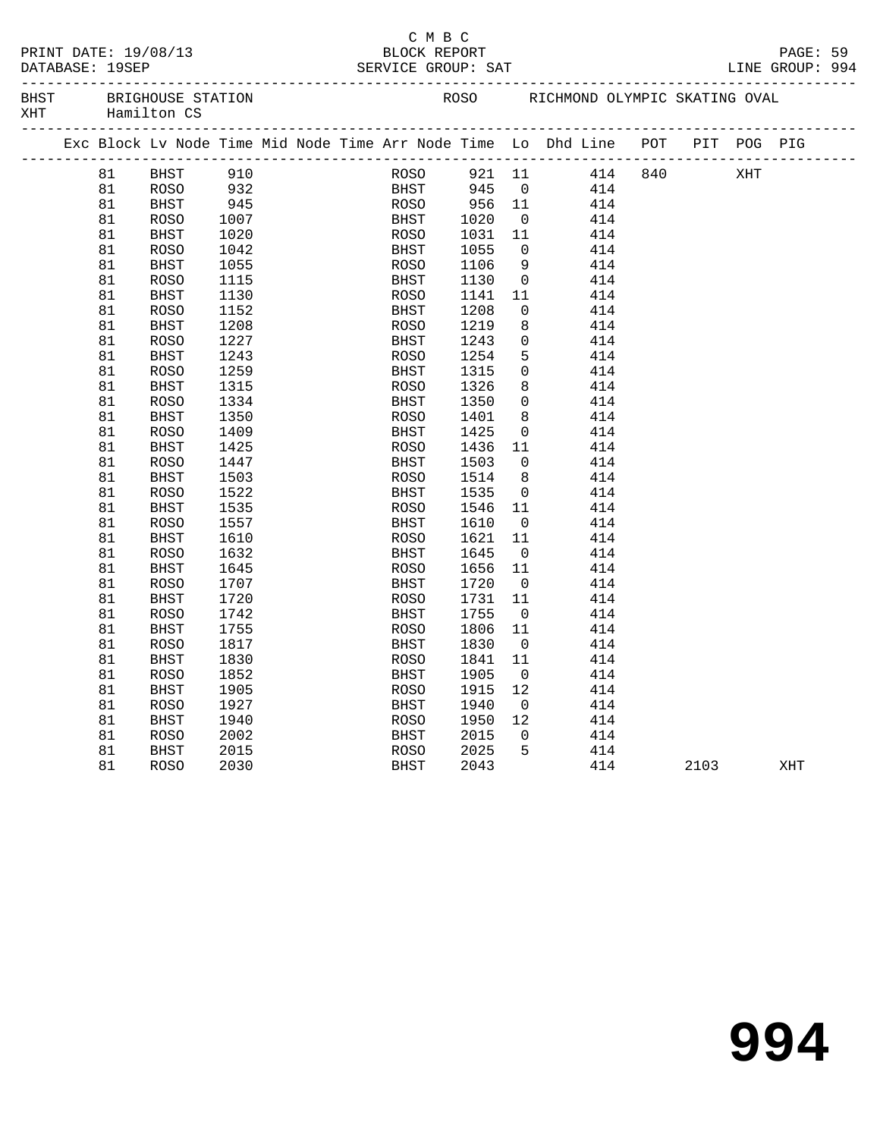|           | PRINT DATE: 19/08/13                      |
|-----------|-------------------------------------------|
| --------- | $\bullet \bullet \bullet \bullet \bullet$ |

#### C M B C PRINT DATE: 19/08/13 BLOCK REPORT PAGE: 59 DATABASE: 19SEP SERVICE GROUP: SAT LINE GROUP: 994

-------------------------------------------------------------------------------------------------

| <b>BHST</b> | BRIGHOUSE STATION |
|-------------|-------------------|
| XHT.        | Hamilton CS       |

| BHST | BRIGHOUSE STATION | ROSO | RICHMOND OLYMPIC SKATING |  | OVAL |
|------|-------------------|------|--------------------------|--|------|
|      |                   |      |                          |  |      |

|  |    |             | Exc Block Lv Node Time Mid Node Time Arr Node Time Lo Dhd Line POT |  |             |      |            |                         |     |     |      | PIT POG PIG |     |
|--|----|-------------|--------------------------------------------------------------------|--|-------------|------|------------|-------------------------|-----|-----|------|-------------|-----|
|  | 81 | <b>BHST</b> | 910                                                                |  |             | ROSO | 921 11     |                         | 414 | 840 |      | XHT         |     |
|  | 81 | ROSO        | 932                                                                |  |             |      | BHST 945 0 |                         | 414 |     |      |             |     |
|  | 81 | <b>BHST</b> | 945                                                                |  | ROSO        |      | 956 11     |                         | 414 |     |      |             |     |
|  | 81 | ROSO        | 1007                                                               |  | BHST        |      | 1020       | $\overline{\mathbf{0}}$ | 414 |     |      |             |     |
|  | 81 | BHST        | 1020                                                               |  | ROSO        |      | 1031       | 11                      | 414 |     |      |             |     |
|  | 81 | <b>ROSO</b> | 1042                                                               |  | <b>BHST</b> |      | 1055       | $\overline{0}$          | 414 |     |      |             |     |
|  | 81 | <b>BHST</b> | 1055                                                               |  | <b>ROSO</b> |      | 1106       | 9                       | 414 |     |      |             |     |
|  | 81 | <b>ROSO</b> | 1115                                                               |  | BHST        |      | 1130       | $\overline{0}$          | 414 |     |      |             |     |
|  | 81 | BHST        | 1130                                                               |  | ROSO        |      | 1141       | 11                      | 414 |     |      |             |     |
|  | 81 | <b>ROSO</b> | 1152                                                               |  | BHST        |      | 1208       | $\overline{0}$          | 414 |     |      |             |     |
|  | 81 | BHST        | 1208                                                               |  | ROSO        |      | 1219       | 8                       | 414 |     |      |             |     |
|  | 81 | <b>ROSO</b> | 1227                                                               |  | <b>BHST</b> |      | 1243       | $\overline{0}$          | 414 |     |      |             |     |
|  | 81 | <b>BHST</b> | 1243                                                               |  | <b>ROSO</b> |      | 1254       | 5                       | 414 |     |      |             |     |
|  | 81 | <b>ROSO</b> | 1259                                                               |  | BHST        |      | 1315       | $\overline{0}$          | 414 |     |      |             |     |
|  | 81 | BHST        | 1315                                                               |  | <b>ROSO</b> |      | 1326       | 8                       | 414 |     |      |             |     |
|  | 81 | <b>ROSO</b> | 1334                                                               |  | <b>BHST</b> |      | 1350       | $\overline{0}$          | 414 |     |      |             |     |
|  | 81 | <b>BHST</b> | 1350                                                               |  | <b>ROSO</b> |      | 1401       | 8                       | 414 |     |      |             |     |
|  | 81 | <b>ROSO</b> | 1409                                                               |  | BHST        |      | 1425       | $\overline{0}$          | 414 |     |      |             |     |
|  | 81 | <b>BHST</b> | 1425                                                               |  | <b>ROSO</b> |      | 1436       | 11                      | 414 |     |      |             |     |
|  | 81 | <b>ROSO</b> | 1447                                                               |  | <b>BHST</b> |      | 1503       | $\overline{0}$          | 414 |     |      |             |     |
|  | 81 | <b>BHST</b> | 1503                                                               |  | <b>ROSO</b> |      | 1514       | 8 <sup>8</sup>          | 414 |     |      |             |     |
|  | 81 | <b>ROSO</b> | 1522                                                               |  | BHST        |      | 1535       | $\overline{0}$          | 414 |     |      |             |     |
|  | 81 | <b>BHST</b> | 1535                                                               |  | <b>ROSO</b> |      | 1546       | 11                      | 414 |     |      |             |     |
|  | 81 | <b>ROSO</b> | 1557                                                               |  | <b>BHST</b> |      | 1610       | $\overline{0}$          | 414 |     |      |             |     |
|  | 81 | BHST        | 1610                                                               |  | ROSO        |      | 1621       | 11                      | 414 |     |      |             |     |
|  | 81 | <b>ROSO</b> | 1632                                                               |  | BHST        |      | 1645       | $\overline{0}$          | 414 |     |      |             |     |
|  | 81 | <b>BHST</b> | 1645                                                               |  | <b>ROSO</b> |      | 1656       | 11                      | 414 |     |      |             |     |
|  | 81 | <b>ROSO</b> | 1707                                                               |  | <b>BHST</b> |      | 1720       | $\overline{0}$          | 414 |     |      |             |     |
|  | 81 | BHST        | 1720                                                               |  | <b>ROSO</b> |      | 1731       | 11                      | 414 |     |      |             |     |
|  | 81 | <b>ROSO</b> | 1742                                                               |  | <b>BHST</b> |      | 1755       | $\overline{0}$          | 414 |     |      |             |     |
|  | 81 | <b>BHST</b> | 1755                                                               |  | ROSO        |      | 1806       | 11                      | 414 |     |      |             |     |
|  | 81 | <b>ROSO</b> | 1817                                                               |  | <b>BHST</b> |      | 1830       | $\overline{0}$          | 414 |     |      |             |     |
|  | 81 | <b>BHST</b> | 1830                                                               |  | <b>ROSO</b> |      | 1841       | 11                      | 414 |     |      |             |     |
|  | 81 | <b>ROSO</b> | 1852                                                               |  | <b>BHST</b> |      | 1905       | $\overline{0}$          | 414 |     |      |             |     |
|  | 81 | BHST        | 1905                                                               |  | ROSO        |      | 1915       | 12                      | 414 |     |      |             |     |
|  | 81 | <b>ROSO</b> | 1927                                                               |  | <b>BHST</b> |      | 1940       | $\overline{0}$          | 414 |     |      |             |     |
|  | 81 | <b>BHST</b> | 1940                                                               |  | ROSO        |      | 1950       | 12                      | 414 |     |      |             |     |
|  | 81 | <b>ROSO</b> | 2002                                                               |  | BHST        |      | 2015       | $\overline{0}$          | 414 |     |      |             |     |
|  | 81 | <b>BHST</b> | 2015                                                               |  | <b>ROSO</b> |      | 2025       | -5                      | 414 |     |      |             |     |
|  | 81 | <b>ROSO</b> | 2030                                                               |  | <b>BHST</b> |      | 2043       |                         | 414 |     | 2103 |             | XHT |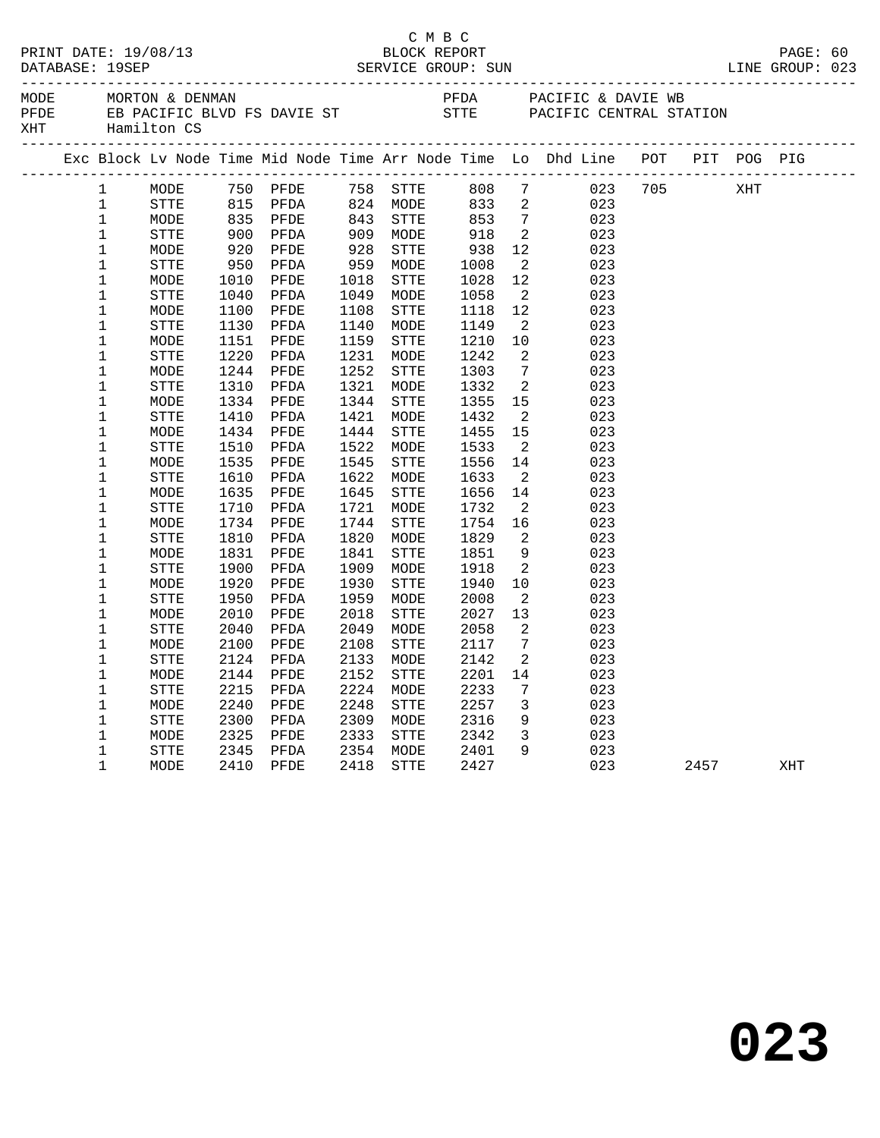|                     |              |                                                                                |      |                                                                       |      |                            |                                                                                                    |                              | PAGE: 60<br>123 LINE GROUP: 0             |                        |      |     |  |
|---------------------|--------------|--------------------------------------------------------------------------------|------|-----------------------------------------------------------------------|------|----------------------------|----------------------------------------------------------------------------------------------------|------------------------------|-------------------------------------------|------------------------|------|-----|--|
| MODE<br>PFDE<br>XHT |              | ______________________________                                                 |      |                                                                       |      | _____________              |                                                                                                    |                              |                                           |                        |      |     |  |
|                     |              | Exc Block Lv Node Time Mid Node Time Arr Node Time Lo Dhd Line POT PIT POG PIG |      |                                                                       |      |                            |                                                                                                    |                              |                                           |                        |      |     |  |
|                     | 1            | MODE                                                                           |      |                                                                       |      |                            |                                                                                                    |                              | 750 PFDE 758 STTE 808 7 023 705 XHT       |                        |      |     |  |
|                     | $\mathbf{1}$ | STTE                                                                           |      |                                                                       |      |                            |                                                                                                    |                              | $\begin{array}{c} 023 \\ 023 \end{array}$ |                        |      |     |  |
|                     | $\mathbf 1$  | MODE                                                                           |      |                                                                       |      | 824 MODE<br>843 STTE       |                                                                                                    |                              |                                           |                        |      |     |  |
|                     | $\mathbf{1}$ | STTE                                                                           |      | 815 PFDA<br>835 PFDA<br>900 PFDA<br>920 PFDA<br>950 PFDA<br>1010 PFDE |      | 909    MODE<br>928    STTE | $\begin{array}{r} 233 \ 833 \ 2 \ 853 \ 7 \ 918 \ 2 \ 938 \ 12 \ 1008 \ 2 \ 1028 \ 12 \end{array}$ |                              | 023                                       |                        |      |     |  |
|                     | $\mathbf 1$  | MODE                                                                           |      |                                                                       |      |                            |                                                                                                    |                              | 023                                       |                        |      |     |  |
|                     | $\mathbf{1}$ | STTE                                                                           |      |                                                                       |      | 959 MODE                   |                                                                                                    |                              | 023                                       |                        |      |     |  |
|                     | $\mathbf 1$  | MODE                                                                           |      |                                                                       | 1018 | STTE                       |                                                                                                    |                              | 023                                       |                        |      |     |  |
|                     | $\mathbf{1}$ | STTE                                                                           | 1040 | PFDA                                                                  | 1049 | MODE                       | $\begin{array}{r} 1058 \\ 1058 \\ 1118 \end{array}$                                                | $\overline{2}$               | 023                                       |                        |      |     |  |
|                     | $\mathbf 1$  | MODE                                                                           | 1100 | PFDE                                                                  | 1108 | STTE                       | 1118                                                                                               | 12                           | 023                                       |                        |      |     |  |
|                     | $\mathbf 1$  | STTE                                                                           | 1130 | PFDA                                                                  | 1140 | MODE                       | 1149                                                                                               | $\overline{2}$               | 023                                       |                        |      |     |  |
|                     | $\mathbf 1$  | MODE                                                                           | 1151 | PFDE                                                                  | 1159 | STTE                       | 1210                                                                                               | 10                           | 023                                       |                        |      |     |  |
|                     | $\mathbf 1$  | STTE                                                                           | 1220 | PFDA                                                                  | 1231 | MODE                       | 1242                                                                                               | $\overline{\phantom{a}}^2$   | 023                                       |                        |      |     |  |
|                     | 1            | MODE                                                                           | 1244 | PFDE                                                                  | 1252 | STTE                       | 1303                                                                                               | $\overline{7}$               | 023                                       |                        |      |     |  |
|                     | $\mathbf 1$  | <b>STTE</b>                                                                    | 1310 | PFDA                                                                  | 1321 | MODE                       | 1332                                                                                               | $\overline{2}$               | 023                                       |                        |      |     |  |
|                     | $\mathbf 1$  | MODE                                                                           | 1334 | PFDE                                                                  | 1344 | STTE                       | 1355                                                                                               | 15                           | 023                                       |                        |      |     |  |
|                     | $\mathbf 1$  | STTE                                                                           | 1410 | PFDA                                                                  | 1421 | MODE                       | 1432                                                                                               | $\overline{\phantom{a}}^2$   | 023                                       |                        |      |     |  |
|                     | $\mathbf 1$  | MODE                                                                           | 1434 | PFDE                                                                  | 1444 | STTE                       | 1455<br>1533                                                                                       | 15                           | 023                                       |                        |      |     |  |
|                     | $\mathbf 1$  | STTE                                                                           | 1510 | PFDA                                                                  | 1522 | MODE                       |                                                                                                    | $\overline{2}$               | 023                                       |                        |      |     |  |
|                     | $\mathbf 1$  | MODE                                                                           | 1535 | PFDE                                                                  | 1545 | STTE                       | 1556                                                                                               | 14                           | 023                                       |                        |      |     |  |
|                     | $\mathbf 1$  | STTE                                                                           | 1610 | PFDA                                                                  | 1622 | MODE                       | 1556<br>1633                                                                                       | $\overline{2}$               | 023                                       |                        |      |     |  |
|                     | $\mathbf 1$  | MODE                                                                           | 1635 | PFDE                                                                  | 1645 | STTE                       | 1656<br>1732<br>1656                                                                               | 14                           | 023                                       |                        |      |     |  |
|                     | $\mathbf 1$  | STTE                                                                           | 1710 | PFDA                                                                  | 1721 | MODE                       |                                                                                                    | $\overline{\phantom{a}}$     | 023                                       |                        |      |     |  |
|                     | $\mathbf 1$  | MODE                                                                           | 1734 | PFDE                                                                  | 1744 | STTE                       | 1754<br>1829<br>1754                                                                               | 16                           | 023                                       |                        |      |     |  |
|                     | $\mathbf 1$  | STTE                                                                           | 1810 | PFDA                                                                  | 1820 | MODE                       |                                                                                                    | $\overline{2}$               | 023                                       |                        |      |     |  |
|                     | $\mathbf 1$  | MODE                                                                           | 1831 | PFDE                                                                  | 1841 | STTE                       |                                                                                                    | 9                            | 023                                       |                        |      |     |  |
|                     | $\mathbf 1$  | STTE                                                                           | 1900 | PFDA                                                                  | 1909 | MODE                       | 1851<br>1918                                                                                       | $\overline{\phantom{a}}^2$   | 023                                       |                        |      |     |  |
|                     | 1            | MODE                                                                           | 1920 | PFDE                                                                  | 1930 | STTE                       | 1940                                                                                               | 10                           | 023                                       |                        |      |     |  |
|                     | $\mathbf 1$  | STTE                                                                           | 1950 | PFDA                                                                  | 1959 | MODE                       | 2008                                                                                               | $\overline{\phantom{a}}^2$   | 023                                       |                        |      |     |  |
|                     | $\mathbf 1$  | MODE                                                                           | 2010 | PFDE                                                                  | 2018 | STTE                       | 2027                                                                                               | 13                           | 023                                       |                        |      |     |  |
|                     | $\mathbf 1$  | STTE                                                                           | 2040 | PFDA                                                                  | 2049 | MODE                       | 2058                                                                                               | $\overline{2}$               | 023                                       |                        |      |     |  |
|                     | $\mathbf 1$  | MODE                                                                           | 2100 | PFDE                                                                  | 2108 | STTE                       | 2117                                                                                               | $\overline{7}$               | 023                                       |                        |      |     |  |
|                     | $\mathbf 1$  | ${\tt STTE}$                                                                   | 2124 | PFDA                                                                  | 2133 | MODE                       | 2142                                                                                               | 2                            | 023                                       |                        |      |     |  |
|                     | $\mathbf 1$  | MODE                                                                           | 2144 | PFDE                                                                  | 2152 | <b>STTE</b>                | 2201                                                                                               | 14                           | 023                                       |                        |      |     |  |
|                     | $\mathbf 1$  | STTE                                                                           | 2215 | PFDA                                                                  | 2224 | MODE                       | 2233                                                                                               | $7\phantom{.0}\phantom{.0}7$ | 023                                       |                        |      |     |  |
|                     | $\mathbf 1$  | MODE                                                                           | 2240 | PFDE                                                                  | 2248 | STTE                       | 2257<br>2316                                                                                       | $\overline{\mathbf{3}}$      | 023                                       |                        |      |     |  |
|                     | $\mathbf 1$  | STTE                                                                           | 2300 | PFDA                                                                  | 2309 | MODE                       |                                                                                                    | 9                            | 023                                       |                        |      |     |  |
|                     | $\mathbf 1$  | MODE                                                                           | 2325 | PFDE                                                                  | 2333 | STTE                       | 2342                                                                                               | $\overline{\mathbf{3}}$      | 023                                       |                        |      |     |  |
|                     | 1            | STTE                                                                           | 2345 | PFDA                                                                  |      |                            | 2354 MODE 2401                                                                                     | 9                            | 023                                       |                        |      |     |  |
|                     | $\mathbf{1}$ | MODE                                                                           | 2410 | PFDE                                                                  | 2418 | STTE                       | 2427                                                                                               |                              |                                           | 023 and $\overline{a}$ | 2457 | XHT |  |
|                     |              |                                                                                |      |                                                                       |      |                            |                                                                                                    |                              |                                           |                        |      |     |  |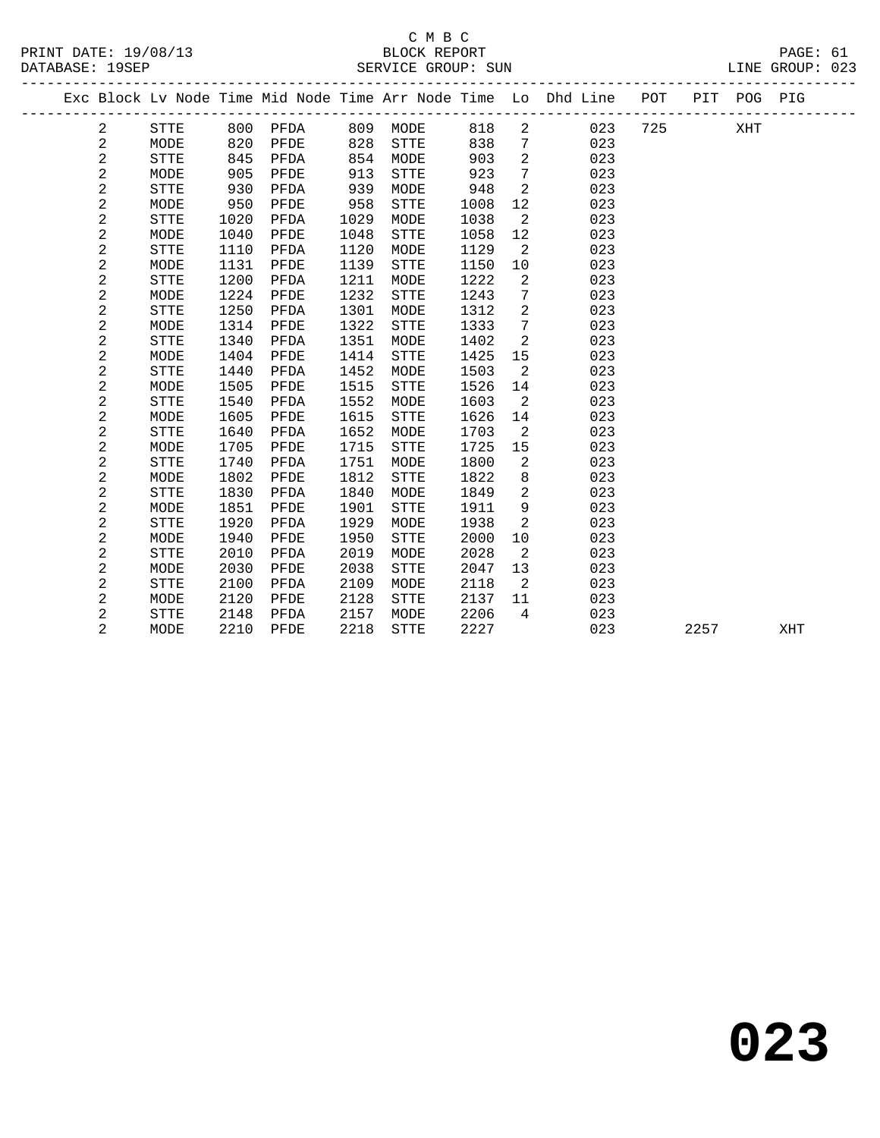|  |                |             |      |      |      |             |      |                | Exc Block Lv Node Time Mid Node Time Arr Node Time Lo Dhd Line | POT | PIT  | POG PIG |     |  |
|--|----------------|-------------|------|------|------|-------------|------|----------------|----------------------------------------------------------------|-----|------|---------|-----|--|
|  | 2              | STTE        | 800  | PFDA | 809  | MODE        | 818  | $\overline{c}$ | 023                                                            | 725 |      | XHT     |     |  |
|  | $\sqrt{2}$     | MODE        | 820  | PFDE | 828  | STTE        | 838  | 7              | 023                                                            |     |      |         |     |  |
|  | $\overline{c}$ | STTE        | 845  | PFDA | 854  | MODE        | 903  | 2              | 023                                                            |     |      |         |     |  |
|  | $\overline{a}$ | MODE        | 905  | PFDE | 913  | <b>STTE</b> | 923  | 7              | 023                                                            |     |      |         |     |  |
|  | $\overline{a}$ | STTE        | 930  | PFDA | 939  | MODE        | 948  | 2              | 023                                                            |     |      |         |     |  |
|  | $\overline{a}$ | MODE        | 950  | PFDE | 958  | STTE        | 1008 | 12             | 023                                                            |     |      |         |     |  |
|  | $\overline{a}$ | STTE        | 1020 | PFDA | 1029 | MODE        | 1038 | 2              | 023                                                            |     |      |         |     |  |
|  | 2              | MODE        | 1040 | PFDE | 1048 | <b>STTE</b> | 1058 | 12             | 023                                                            |     |      |         |     |  |
|  | $\sqrt{2}$     | <b>STTE</b> | 1110 | PFDA | 1120 | MODE        | 1129 | 2              | 023                                                            |     |      |         |     |  |
|  | $\sqrt{2}$     | MODE        | 1131 | PFDE | 1139 | STTE        | 1150 | 10             | 023                                                            |     |      |         |     |  |
|  | $\sqrt{2}$     | <b>STTE</b> | 1200 | PFDA | 1211 | MODE        | 1222 | 2              | 023                                                            |     |      |         |     |  |
|  | 2              | MODE        | 1224 | PFDE | 1232 | <b>STTE</b> | 1243 | 7              | 023                                                            |     |      |         |     |  |
|  | $\sqrt{2}$     | <b>STTE</b> | 1250 | PFDA | 1301 | MODE        | 1312 | 2              | 023                                                            |     |      |         |     |  |
|  | $\sqrt{2}$     | MODE        | 1314 | PFDE | 1322 | <b>STTE</b> | 1333 | 7              | 023                                                            |     |      |         |     |  |
|  | 2              | <b>STTE</b> | 1340 | PFDA | 1351 | MODE        | 1402 | 2              | 023                                                            |     |      |         |     |  |
|  | $\mathbf{2}$   | MODE        | 1404 | PFDE | 1414 | <b>STTE</b> | 1425 | 15             | 023                                                            |     |      |         |     |  |
|  | $\mathbf{2}$   | <b>STTE</b> | 1440 | PFDA | 1452 | MODE        | 1503 | 2              | 023                                                            |     |      |         |     |  |
|  | 2              | MODE        | 1505 | PFDE | 1515 | <b>STTE</b> | 1526 | 14             | 023                                                            |     |      |         |     |  |
|  | $\mathbf 2$    | <b>STTE</b> | 1540 | PFDA | 1552 | MODE        | 1603 | 2              | 023                                                            |     |      |         |     |  |
|  | 2              | MODE        | 1605 | PFDE | 1615 | STTE        | 1626 | 14             | 023                                                            |     |      |         |     |  |
|  | $\mathbf{2}$   | <b>STTE</b> | 1640 | PFDA | 1652 | MODE        | 1703 | 2              | 023                                                            |     |      |         |     |  |
|  | $\mathbf{2}$   | MODE        | 1705 | PFDE | 1715 | STTE        | 1725 | 15             | 023                                                            |     |      |         |     |  |
|  | $\mathbf{2}$   | STTE        | 1740 | PFDA | 1751 | MODE        | 1800 | 2              | 023                                                            |     |      |         |     |  |
|  | $\mathbf 2$    | MODE        | 1802 | PFDE | 1812 | STTE        | 1822 | 8              | 023                                                            |     |      |         |     |  |
|  | $\overline{2}$ | <b>STTE</b> | 1830 | PFDA | 1840 | MODE        | 1849 | 2              | 023                                                            |     |      |         |     |  |
|  | $\mathbf{2}$   | MODE        | 1851 | PFDE | 1901 | STTE        | 1911 | 9              | 023                                                            |     |      |         |     |  |
|  | $\mathbf{2}$   | STTE        | 1920 | PFDA | 1929 | MODE        | 1938 | 2              | 023                                                            |     |      |         |     |  |
|  | $\mathbf 2$    | MODE        | 1940 | PFDE | 1950 | STTE        | 2000 | 10             | 023                                                            |     |      |         |     |  |
|  | $\overline{a}$ | <b>STTE</b> | 2010 | PFDA | 2019 | MODE        | 2028 | 2              | 023                                                            |     |      |         |     |  |
|  | $\mathbf{2}$   | MODE        | 2030 | PFDE | 2038 | <b>STTE</b> | 2047 | 13             | 023                                                            |     |      |         |     |  |
|  | $\mathbf 2$    | <b>STTE</b> | 2100 | PFDA | 2109 | MODE        | 2118 | 2              | 023                                                            |     |      |         |     |  |
|  | 2              | MODE        | 2120 | PFDE | 2128 | STTE        | 2137 | 11             | 023                                                            |     |      |         |     |  |
|  | $\mathbf{2}$   | <b>STTE</b> | 2148 | PFDA | 2157 | MODE        | 2206 | 4              | 023                                                            |     |      |         |     |  |
|  | $\overline{2}$ | MODE        | 2210 | PFDE | 2218 | <b>STTE</b> | 2227 |                | 023                                                            |     | 2257 |         | XHT |  |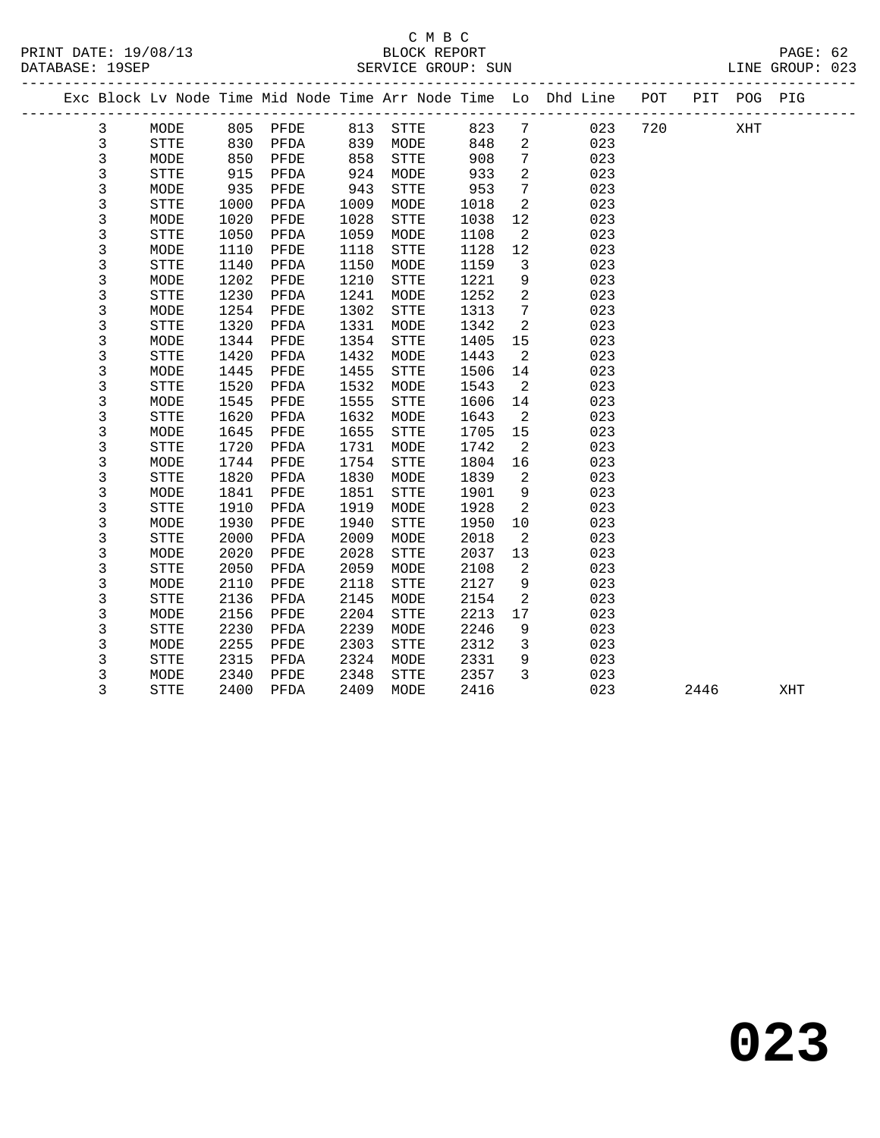#### C M B C DATABASE: 19SEP SERVICE GROUP: SUN SERVICE GROUP: SUN LINE GROUP: 023

|  |   |             |      |          |      |             |      |                | Exc Block Lv Node Time Mid Node Time Arr Node Time Lo Dhd Line | POT | PIT POG PIG |  |
|--|---|-------------|------|----------|------|-------------|------|----------------|----------------------------------------------------------------|-----|-------------|--|
|  | 3 | MODE        |      | 805 PFDE | 813  | STTE        | 823  | 7              | 023                                                            | 720 | XHT         |  |
|  | 3 | <b>STTE</b> | 830  | PFDA     | 839  | MODE        | 848  | 2              | 023                                                            |     |             |  |
|  | 3 | MODE        | 850  | PFDE     | 858  | <b>STTE</b> | 908  | 7              | 023                                                            |     |             |  |
|  | 3 | <b>STTE</b> | 915  | PFDA     | 924  | MODE        | 933  | $\overline{a}$ | 023                                                            |     |             |  |
|  | 3 | MODE        | 935  | PFDE     | 943  | <b>STTE</b> | 953  | $7\phantom{.}$ | 023                                                            |     |             |  |
|  | 3 | <b>STTE</b> | 1000 | PFDA     | 1009 | MODE        | 1018 | 2              | 023                                                            |     |             |  |
|  | 3 | MODE        | 1020 | PFDE     | 1028 | <b>STTE</b> | 1038 | 12             | 023                                                            |     |             |  |
|  | 3 | STTE        | 1050 | PFDA     | 1059 | MODE        | 1108 | 2              | 023                                                            |     |             |  |
|  | 3 | MODE        | 1110 | PFDE     | 1118 | <b>STTE</b> | 1128 | 12             | 023                                                            |     |             |  |
|  | 3 | <b>STTE</b> | 1140 | PFDA     | 1150 | MODE        | 1159 | 3              | 023                                                            |     |             |  |
|  | 3 | MODE        | 1202 | PFDE     | 1210 | <b>STTE</b> | 1221 | 9              | 023                                                            |     |             |  |
|  | 3 | STTE        | 1230 | PFDA     | 1241 | MODE        | 1252 | 2              | 023                                                            |     |             |  |
|  | 3 | MODE        | 1254 | PFDE     | 1302 | STTE        | 1313 | $\overline{7}$ | 023                                                            |     |             |  |
|  | 3 | <b>STTE</b> | 1320 | PFDA     | 1331 | MODE        | 1342 | 2              | 023                                                            |     |             |  |
|  | 3 | MODE        | 1344 | PFDE     | 1354 | <b>STTE</b> | 1405 | 15             | 023                                                            |     |             |  |
|  | 3 | <b>STTE</b> | 1420 | PFDA     | 1432 | MODE        | 1443 | 2              | 023                                                            |     |             |  |
|  | 3 | MODE        | 1445 | PFDE     | 1455 | <b>STTE</b> | 1506 | 14             | 023                                                            |     |             |  |
|  | 3 | STTE        | 1520 | PFDA     | 1532 | MODE        | 1543 | 2              | 023                                                            |     |             |  |
|  | 3 | MODE        | 1545 | PFDE     | 1555 | <b>STTE</b> | 1606 | 14             | 023                                                            |     |             |  |
|  | 3 | <b>STTE</b> | 1620 | PFDA     | 1632 | MODE        | 1643 | 2              | 023                                                            |     |             |  |
|  | 3 | MODE        | 1645 | PFDE     | 1655 | <b>STTE</b> | 1705 | 15             | 023                                                            |     |             |  |
|  | 3 | STTE        | 1720 | PFDA     | 1731 | MODE        | 1742 | 2              | 023                                                            |     |             |  |
|  | 3 | MODE        | 1744 | PFDE     | 1754 | <b>STTE</b> | 1804 | 16             | 023                                                            |     |             |  |
|  | 3 | <b>STTE</b> | 1820 | PFDA     | 1830 | MODE        | 1839 | 2              | 023                                                            |     |             |  |
|  | 3 | MODE        | 1841 | PFDE     | 1851 | <b>STTE</b> | 1901 | 9              | 023                                                            |     |             |  |
|  | 3 | STTE        | 1910 | PFDA     | 1919 | MODE        | 1928 | 2              | 023                                                            |     |             |  |
|  | 3 | MODE        | 1930 | PFDE     | 1940 | <b>STTE</b> | 1950 | 10             | 023                                                            |     |             |  |
|  | 3 | <b>STTE</b> | 2000 | PFDA     | 2009 | MODE        | 2018 | 2              | 023                                                            |     |             |  |
|  | 3 | MODE        | 2020 | PFDE     | 2028 | <b>STTE</b> | 2037 | 13             | 023                                                            |     |             |  |
|  | 3 | <b>STTE</b> | 2050 | PFDA     | 2059 | MODE        | 2108 | 2              | 023                                                            |     |             |  |

 3 MODE 2110 PFDE 2118 STTE 2127 9 023 3 STTE 2136 PFDA 2145 MODE 2154 2 023 3 MODE 2156 PFDE 2204 STTE 2213 17 023 3 STTE 2230 PFDA 2239 MODE 2246 9 023 3 MODE 2255 PFDE 2303 STTE 2312 3 023 3 STTE 2315 PFDA 2324 MODE 2331 9 023 3 MODE 2340 PFDE 2348 STTE 2357 3 023

3 STTE 2400 PFDA 2409 MODE 2416 023 2446 XHT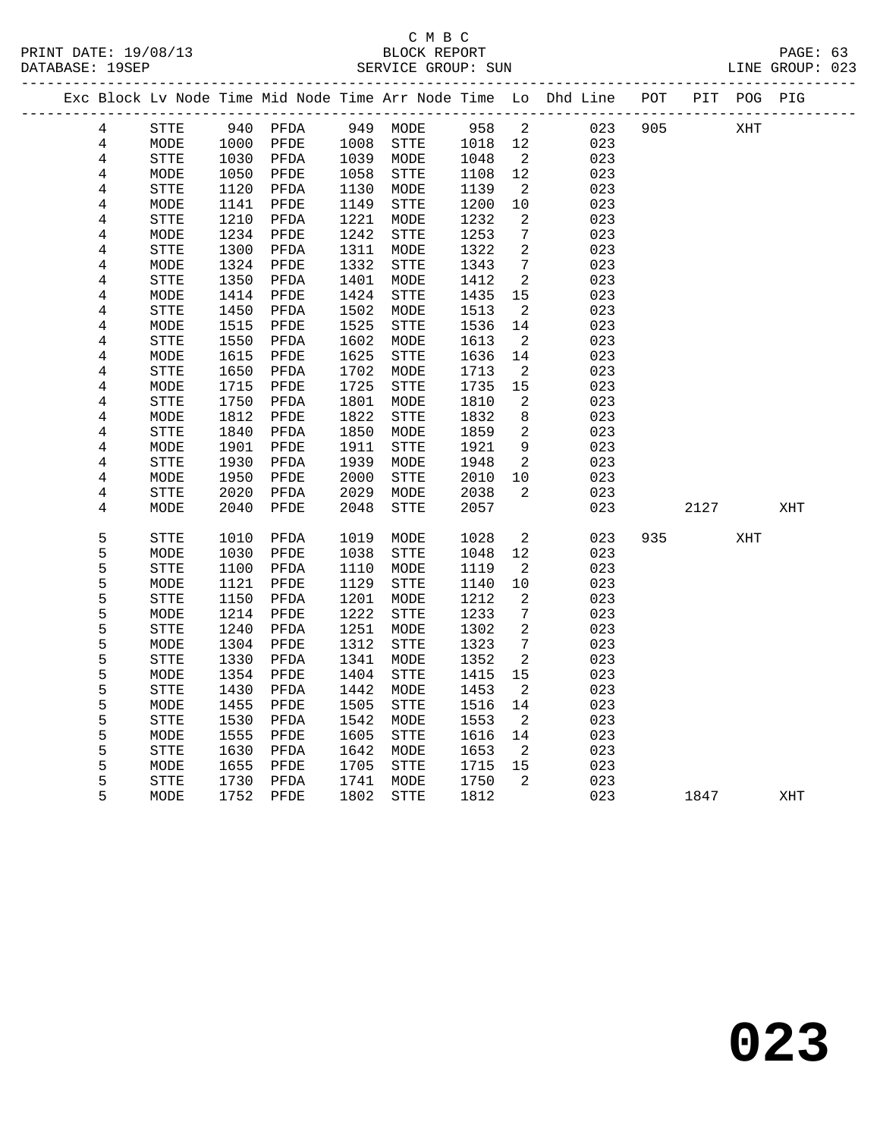|                         |             |      |          |      |              |      |                          | Exc Block Lv Node Time Mid Node Time Arr Node Time Lo Dhd Line POT |     |      | PIT POG PIG |     |  |
|-------------------------|-------------|------|----------|------|--------------|------|--------------------------|--------------------------------------------------------------------|-----|------|-------------|-----|--|
| 4                       | <b>STTE</b> |      | 940 PFDA |      | 949 MODE     | 958  | 2                        | 023                                                                | 905 |      | XHT         |     |  |
| $\overline{4}$          | MODE        | 1000 | PFDE     | 1008 | ${\tt STTE}$ | 1018 | 12                       | 023                                                                |     |      |             |     |  |
| $\overline{4}$          | STTE        | 1030 | PFDA     | 1039 | MODE         | 1048 | $\overline{\phantom{a}}$ | 023                                                                |     |      |             |     |  |
| 4                       | MODE        | 1050 | PFDE     | 1058 | STTE         | 1108 | 12                       | 023                                                                |     |      |             |     |  |
| 4                       | STTE        | 1120 | PFDA     | 1130 | MODE         | 1139 | 2                        | 023                                                                |     |      |             |     |  |
| 4                       | MODE        | 1141 | PFDE     | 1149 | <b>STTE</b>  | 1200 | 10                       | 023                                                                |     |      |             |     |  |
| 4                       | <b>STTE</b> | 1210 | PFDA     | 1221 | MODE         | 1232 | 2                        | 023                                                                |     |      |             |     |  |
| 4                       | MODE        | 1234 | PFDE     | 1242 | ${\tt STTE}$ | 1253 | 7                        | 023                                                                |     |      |             |     |  |
| $\,4$                   | STTE        | 1300 | PFDA     | 1311 | MODE         | 1322 | 2                        | 023                                                                |     |      |             |     |  |
| 4                       | MODE        | 1324 | PFDE     | 1332 | STTE         | 1343 | 7                        | 023                                                                |     |      |             |     |  |
| $\overline{\mathbf{4}}$ | STTE        | 1350 | PFDA     | 1401 | MODE         | 1412 | $\overline{a}$           | 023                                                                |     |      |             |     |  |
| 4                       | MODE        | 1414 | PFDE     | 1424 | STTE         | 1435 | 15                       | 023                                                                |     |      |             |     |  |
| 4                       | <b>STTE</b> | 1450 | PFDA     | 1502 | MODE         | 1513 | $\overline{2}$           | 023                                                                |     |      |             |     |  |
| 4                       | MODE        | 1515 | PFDE     | 1525 | STTE         | 1536 | 14                       | 023                                                                |     |      |             |     |  |
| $\overline{\mathbf{4}}$ | <b>STTE</b> | 1550 | PFDA     | 1602 | MODE         | 1613 | 2                        | 023                                                                |     |      |             |     |  |
| $\bf 4$                 | MODE        | 1615 | PFDE     | 1625 | STTE         | 1636 | 14                       | 023                                                                |     |      |             |     |  |
| 4                       | STTE        | 1650 | PFDA     | 1702 | MODE         | 1713 | 2                        | 023                                                                |     |      |             |     |  |
| 4                       | MODE        | 1715 | PFDE     | 1725 | STTE         | 1735 | 15                       | 023                                                                |     |      |             |     |  |
| 4                       | STTE        | 1750 | PFDA     | 1801 | MODE         | 1810 | 2                        | 023                                                                |     |      |             |     |  |
| 4                       | MODE        | 1812 | PFDE     | 1822 | STTE         | 1832 | 8                        | 023                                                                |     |      |             |     |  |
| 4                       | <b>STTE</b> | 1840 | PFDA     | 1850 | MODE         | 1859 | 2                        | 023                                                                |     |      |             |     |  |
| $\overline{\mathbf{4}}$ | MODE        | 1901 | PFDE     | 1911 | STTE         | 1921 | 9                        | 023                                                                |     |      |             |     |  |
| $\,4$                   | STTE        | 1930 | PFDA     | 1939 | MODE         | 1948 | 2                        | 023                                                                |     |      |             |     |  |
| $\overline{\mathbf{4}}$ | MODE        | 1950 | PFDE     | 2000 | STTE         | 2010 | 10                       | 023                                                                |     |      |             |     |  |
| 4                       | STTE        | 2020 | PFDA     | 2029 | MODE         | 2038 | $\overline{2}$           | 023                                                                |     |      |             |     |  |
| 4                       | MODE        | 2040 | PFDE     | 2048 | <b>STTE</b>  | 2057 |                          | 023                                                                |     | 2127 |             | XHT |  |
|                         |             |      |          |      |              |      |                          |                                                                    |     |      |             |     |  |
| 5                       | <b>STTE</b> | 1010 | PFDA     | 1019 | MODE         | 1028 | 2                        | 023                                                                | 935 |      | XHT         |     |  |
| 5                       | MODE        | 1030 | PFDE     | 1038 | STTE         | 1048 | 12                       | 023                                                                |     |      |             |     |  |
| 5                       | STTE        | 1100 | PFDA     | 1110 | MODE         | 1119 | 2                        | 023                                                                |     |      |             |     |  |
| 5                       | MODE        | 1121 | PFDE     | 1129 | STTE         | 1140 | $10$                     | 023                                                                |     |      |             |     |  |
| 5                       | STTE        | 1150 | PFDA     | 1201 | MODE         | 1212 | 2                        | 023                                                                |     |      |             |     |  |
| 5                       | MODE        | 1214 | PFDE     | 1222 | STTE         | 1233 | 7                        | 023                                                                |     |      |             |     |  |
| 5                       | <b>STTE</b> | 1240 | PFDA     | 1251 | MODE         | 1302 | 2                        | 023                                                                |     |      |             |     |  |
| 5                       | MODE        | 1304 | PFDE     | 1312 | <b>STTE</b>  | 1323 | $\overline{7}$           | 023                                                                |     |      |             |     |  |
| 5                       | STTE        | 1330 | PFDA     | 1341 | MODE         | 1352 | 2                        | 023                                                                |     |      |             |     |  |
| 5                       | MODE        | 1354 | PFDE     | 1404 | STTE         | 1415 | 15                       | 023                                                                |     |      |             |     |  |
| 5                       | STTE        | 1430 | PFDA     | 1442 | MODE         | 1453 | 2                        | 023                                                                |     |      |             |     |  |
| 5                       | MODE        | 1455 | PFDE     | 1505 | ${\tt STTE}$ | 1516 | 14                       | 023                                                                |     |      |             |     |  |
| 5                       | <b>STTE</b> | 1530 | PFDA     | 1542 | MODE         | 1553 | 2                        | 023                                                                |     |      |             |     |  |
| 5                       | MODE        | 1555 | PFDE     | 1605 | <b>STTE</b>  | 1616 | 14                       | 023                                                                |     |      |             |     |  |
| 5                       | <b>STTE</b> | 1630 | PFDA     | 1642 | MODE         | 1653 | $\overline{2}$           | 023                                                                |     |      |             |     |  |
| 5                       | MODE        | 1655 | PFDE     | 1705 | STTE         | 1715 | 15                       | 023                                                                |     |      |             |     |  |
| 5                       | STTE        | 1730 | PFDA     | 1741 | MODE         | 1750 | 2                        | 023                                                                |     |      |             |     |  |
| 5                       | MODE        | 1752 | PFDE     | 1802 | <b>STTE</b>  | 1812 |                          | 023                                                                |     | 1847 |             | XHT |  |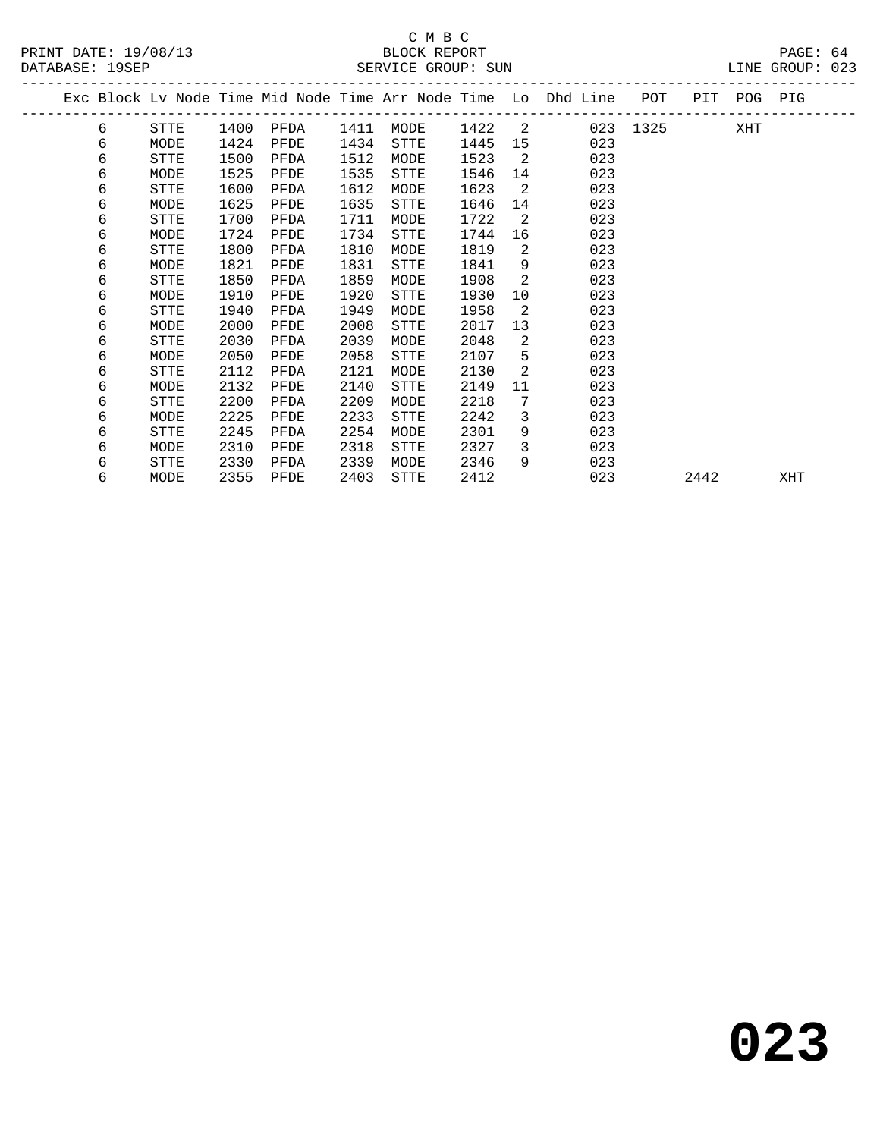|  |   |             |      |      |      |             |      |                | Exc Block Lv Node Time Mid Node Time Arr Node Time Lo Dhd Line | POT      |      | PIT POG PIG |     |
|--|---|-------------|------|------|------|-------------|------|----------------|----------------------------------------------------------------|----------|------|-------------|-----|
|  | 6 | STTE        | 1400 | PFDA | 1411 | MODE        | 1422 | $\overline{2}$ |                                                                | 023 1325 |      | XHT         |     |
|  | 6 | MODE        | 1424 | PFDE | 1434 | STTE        | 1445 | 15             | 023                                                            |          |      |             |     |
|  | 6 | <b>STTE</b> | 1500 | PFDA | 1512 | MODE        | 1523 | 2              | 023                                                            |          |      |             |     |
|  | 6 | MODE        | 1525 | PFDE | 1535 | <b>STTE</b> | 1546 | 14             | 023                                                            |          |      |             |     |
|  | 6 | <b>STTE</b> | 1600 | PFDA | 1612 | MODE        | 1623 | 2              | 023                                                            |          |      |             |     |
|  | 6 | MODE        | 1625 | PFDE | 1635 | <b>STTE</b> | 1646 | 14             | 023                                                            |          |      |             |     |
|  | 6 | STTE        | 1700 | PFDA | 1711 | MODE        | 1722 | 2              | 023                                                            |          |      |             |     |
|  | 6 | MODE        | 1724 | PFDE | 1734 | <b>STTE</b> | 1744 | 16             | 023                                                            |          |      |             |     |
|  | 6 | <b>STTE</b> | 1800 | PFDA | 1810 | MODE        | 1819 | 2              | 023                                                            |          |      |             |     |
|  | 6 | MODE        | 1821 | PFDE | 1831 | <b>STTE</b> | 1841 | 9              | 023                                                            |          |      |             |     |
|  | 6 | <b>STTE</b> | 1850 | PFDA | 1859 | MODE        | 1908 | 2              | 023                                                            |          |      |             |     |
|  | 6 | MODE        | 1910 | PFDE | 1920 | <b>STTE</b> | 1930 | 10             | 023                                                            |          |      |             |     |
|  | 6 | STTE        | 1940 | PFDA | 1949 | MODE        | 1958 | 2              | 023                                                            |          |      |             |     |
|  | 6 | MODE        | 2000 | PFDE | 2008 | STTE        | 2017 | 13             | 023                                                            |          |      |             |     |
|  | 6 | <b>STTE</b> | 2030 | PFDA | 2039 | MODE        | 2048 | 2              | 023                                                            |          |      |             |     |
|  | 6 | MODE        | 2050 | PFDE | 2058 | STTE        | 2107 | 5              | 023                                                            |          |      |             |     |
|  | 6 | <b>STTE</b> | 2112 | PFDA | 2121 | MODE        | 2130 | 2              | 023                                                            |          |      |             |     |
|  | 6 | MODE        | 2132 | PFDE | 2140 | <b>STTE</b> | 2149 | 11             | 023                                                            |          |      |             |     |
|  | 6 | <b>STTE</b> | 2200 | PFDA | 2209 | MODE        | 2218 | 7              | 023                                                            |          |      |             |     |
|  | 6 | MODE        | 2225 | PFDE | 2233 | <b>STTE</b> | 2242 | 3              | 023                                                            |          |      |             |     |
|  | 6 | <b>STTE</b> | 2245 | PFDA | 2254 | MODE        | 2301 | 9              | 023                                                            |          |      |             |     |
|  | 6 | MODE        | 2310 | PFDE | 2318 | <b>STTE</b> | 2327 | 3              | 023                                                            |          |      |             |     |
|  | 6 | <b>STTE</b> | 2330 | PFDA | 2339 | MODE        | 2346 | 9              | 023                                                            |          |      |             |     |
|  | 6 | MODE        | 2355 | PFDE | 2403 | STTE        | 2412 |                | 023                                                            |          | 2442 |             | XHT |
|  |   |             |      |      |      |             |      |                |                                                                |          |      |             |     |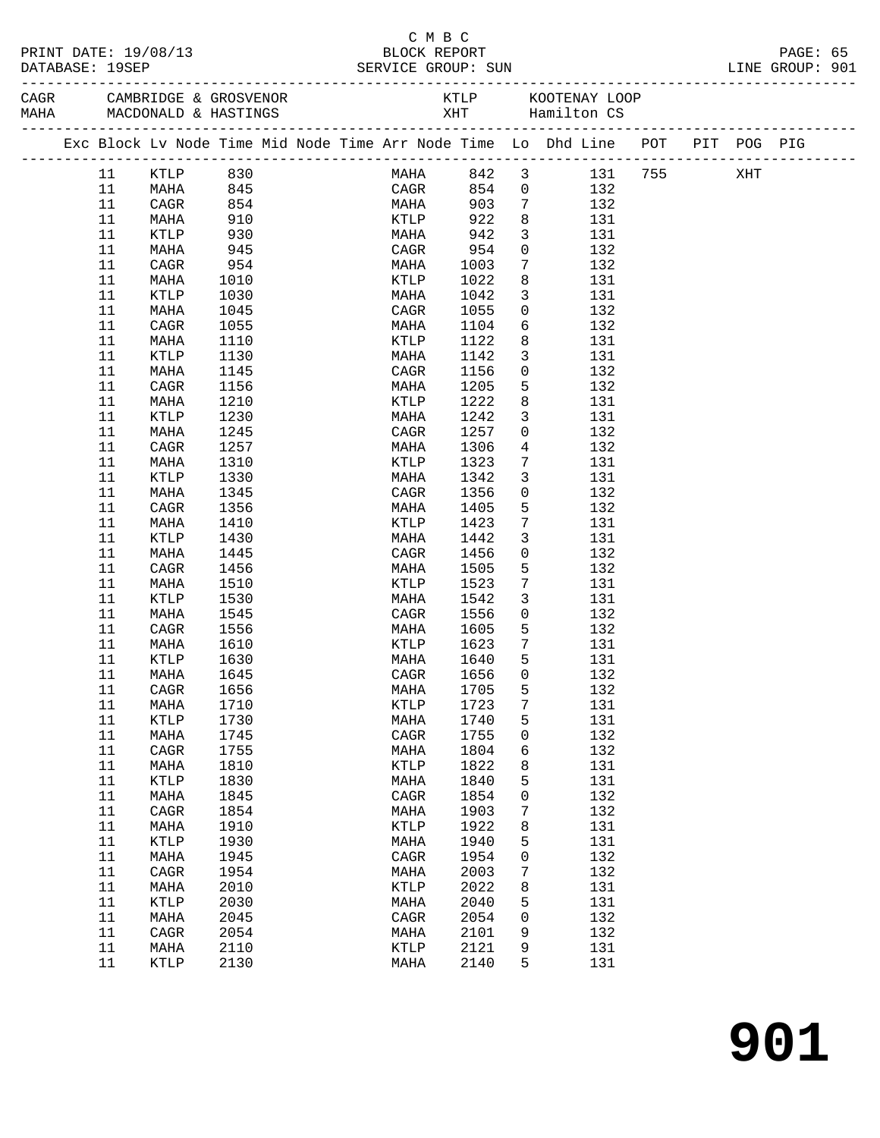| PRINT DATE: 19/08/13<br>DATABASE: 19SEP |          |          |            |  |  | BLOCK REPORT    | C M B C |      |                         | SERVICE GROUP: SUN                                                             |  | PAGE: 65<br>LINE GROUP: 901 |  |
|-----------------------------------------|----------|----------|------------|--|--|-----------------|---------|------|-------------------------|--------------------------------------------------------------------------------|--|-----------------------------|--|
|                                         |          |          |            |  |  |                 |         |      |                         |                                                                                |  |                             |  |
|                                         |          |          |            |  |  |                 |         |      |                         | Exc Block Lv Node Time Mid Node Time Arr Node Time Lo Dhd Line POT PIT POG PIG |  |                             |  |
|                                         | 11       | KTLP 830 |            |  |  |                 |         |      |                         | MAHA 842 3 131 755 XHT                                                         |  |                             |  |
|                                         | 11       | MAHA     | 845        |  |  | CAGR            |         |      |                         | 854 0 132                                                                      |  |                             |  |
|                                         | 11       | CAGR     | 854        |  |  | <b>MAHA</b>     |         | 903  | $7\overline{ }$         | 132                                                                            |  |                             |  |
|                                         | 11       | MAHA     | 910        |  |  | <b>KTLP</b>     |         | 922  | 8                       | 131                                                                            |  |                             |  |
|                                         | 11       | KTLP     | 930<br>945 |  |  | MAHA            |         | 942  | $\overline{\mathbf{3}}$ | 131                                                                            |  |                             |  |
|                                         | 11       | MAHA     |            |  |  | CAGR 954        |         |      | $\overline{0}$          | 132                                                                            |  |                             |  |
|                                         | 11       | CAGR     | 954        |  |  | MAHA 1003       |         |      | $7\overline{ }$         | 132                                                                            |  |                             |  |
|                                         | 11       | MAHA     | 1010       |  |  | KTLP            |         | 1022 | 8                       | 131                                                                            |  |                             |  |
|                                         | 11       | KTLP     | 1030       |  |  | MAHA            |         | 1042 | $\overline{3}$          | 131                                                                            |  |                             |  |
|                                         | 11       | MAHA     | 1045       |  |  | CAGR            |         | 1055 | $\overline{0}$          | 132                                                                            |  |                             |  |
|                                         | 11       | CAGR     | 1055       |  |  | MAHA            |         | 1104 |                         | $6\overline{}$<br>132                                                          |  |                             |  |
|                                         | 11       | MAHA     | 1110       |  |  | KTLP            |         | 1122 | 8                       | 131                                                                            |  |                             |  |
|                                         | 11       | KTLP     | 1130       |  |  | MAHA            |         | 1142 | $\overline{3}$          | 131                                                                            |  |                             |  |
|                                         | 11       | MAHA     | 1145       |  |  | CAGR            |         | 1156 | $\overline{0}$          | 132                                                                            |  |                             |  |
|                                         | 11       | CAGR     | 1156       |  |  | MAHA            | 1205    |      | $5\overline{)}$         | 132                                                                            |  |                             |  |
|                                         | 11       | MAHA     | 1210       |  |  | KTLP            |         | 1222 | 8                       | 131                                                                            |  |                             |  |
|                                         | 11       | KTLP     | 1230       |  |  | MAHA            |         | 1242 | $\mathbf{3}$            | 131                                                                            |  |                             |  |
|                                         | 11       | MAHA     | 1245       |  |  | CAGR            |         | 1257 | $\overline{0}$          | 132                                                                            |  |                             |  |
|                                         | 11       | CAGR     | 1257       |  |  | MAHA            | 1306    |      | $\overline{4}$          | 132                                                                            |  |                             |  |
|                                         | 11       | MAHA     | 1310       |  |  | KTLP            |         | 1323 | $7\phantom{.0}$         | 131                                                                            |  |                             |  |
|                                         | 11       | KTLP     | 1330       |  |  | MAHA            | 1342    |      | $\mathbf{3}$            | 131                                                                            |  |                             |  |
|                                         | 11       | MAHA     | 1345       |  |  | CAGR            |         | 1356 | $\overline{0}$          | 132                                                                            |  |                             |  |
|                                         | 11       | CAGR     | 1356       |  |  | MAHA            | 1405    |      | $5^{\circ}$             | 132                                                                            |  |                             |  |
|                                         | 11       | MAHA     | 1410       |  |  | KTLP            |         | 1423 | $7\overline{ }$         | 131                                                                            |  |                             |  |
|                                         | 11       | KTLP     | 1430       |  |  | MAHA            |         | 1442 | $\mathbf{3}$            | 131                                                                            |  |                             |  |
|                                         | 11       | MAHA     | 1445       |  |  | CAGR            |         | 1456 | $\mathbf 0$             | 132                                                                            |  |                             |  |
|                                         | 11       | CAGR     | 1456       |  |  | MAHA            |         | 1505 | 5                       | 132                                                                            |  |                             |  |
|                                         | 11       | MAHA     | 1510       |  |  | KTLP            |         | 1523 | $7\phantom{.0}$         | 131                                                                            |  |                             |  |
|                                         | 11       | KTLP     | 1530       |  |  | MAHA            |         | 1542 | $\mathbf{3}$            | 131                                                                            |  |                             |  |
|                                         | 11       | MAHA     | 1545       |  |  | CAGR            |         | 1556 | $\overline{0}$          | 132                                                                            |  |                             |  |
|                                         | 11       | CAGR     | 1556       |  |  | MAHA 1605       |         |      | $5^{\circ}$             | 132                                                                            |  |                             |  |
|                                         | 11       | MAHA     | 1610       |  |  | KTLP 1623       |         |      | $\overline{7}$          | 131                                                                            |  |                             |  |
|                                         | 11       | KTLP     | 1630       |  |  | MAHA            |         | 1640 | 5                       | 131                                                                            |  |                             |  |
|                                         | 11 MAHA  |          | 1645       |  |  | CAGR 1656 0     |         |      |                         | 132                                                                            |  |                             |  |
|                                         | 11       | CAGR     | 1656       |  |  | MAHA            |         | 1705 | 5                       | 132                                                                            |  |                             |  |
|                                         | 11       | MAHA     | 1710       |  |  | $\texttt{KTLP}$ |         | 1723 | 7                       | 131                                                                            |  |                             |  |
|                                         | 11       | KTLP     | 1730       |  |  | MAHA            |         | 1740 | 5                       | 131                                                                            |  |                             |  |
|                                         | 11       | MAHA     | 1745       |  |  | CAGR            |         | 1755 | 0                       | 132                                                                            |  |                             |  |
|                                         | 11       | CAGR     | 1755       |  |  | MAHA            |         | 1804 | 6                       | 132                                                                            |  |                             |  |
|                                         | 11       | MAHA     | 1810       |  |  | KTLP            |         | 1822 | 8                       | 131                                                                            |  |                             |  |
|                                         | 11       | KTLP     | 1830       |  |  | MAHA            |         | 1840 | 5                       | 131                                                                            |  |                             |  |
|                                         | 11       | MAHA     | 1845       |  |  | CAGR            |         | 1854 | 0                       | 132                                                                            |  |                             |  |
|                                         | 11       | CAGR     | 1854       |  |  | MAHA            |         | 1903 | 7                       | 132                                                                            |  |                             |  |
|                                         | 11       | MAHA     | 1910       |  |  | KTLP            |         | 1922 | 8                       | 131                                                                            |  |                             |  |
|                                         | 11       | KTLP     | 1930       |  |  | MAHA            |         | 1940 | 5                       | 131                                                                            |  |                             |  |
|                                         | 11       | MAHA     | 1945       |  |  | $\rm CAGR$      |         | 1954 | 0                       | 132                                                                            |  |                             |  |
|                                         | 11       | CAGR     | 1954       |  |  | MAHA            |         | 2003 | 7                       | 132                                                                            |  |                             |  |
|                                         | 11       | MAHA     | 2010       |  |  | KTLP            |         | 2022 | 8                       | 131                                                                            |  |                             |  |
|                                         |          |          | 2030       |  |  |                 |         |      |                         | 131                                                                            |  |                             |  |
|                                         | 11       | KTLP     |            |  |  | MAHA            |         | 2040 | 5                       |                                                                                |  |                             |  |
|                                         | 11       | MAHA     | 2045       |  |  | CAGR            |         | 2054 | 0                       | 132                                                                            |  |                             |  |
|                                         | 11       | CAGR     | 2054       |  |  | MAHA            |         | 2101 | 9                       | 132                                                                            |  |                             |  |
|                                         | 11<br>11 | MAHA     | 2110       |  |  | KTLP            |         | 2121 | 9<br>5                  | 131                                                                            |  |                             |  |
|                                         |          | KTLP     | 2130       |  |  | MAHA            |         | 2140 |                         | 131                                                                            |  |                             |  |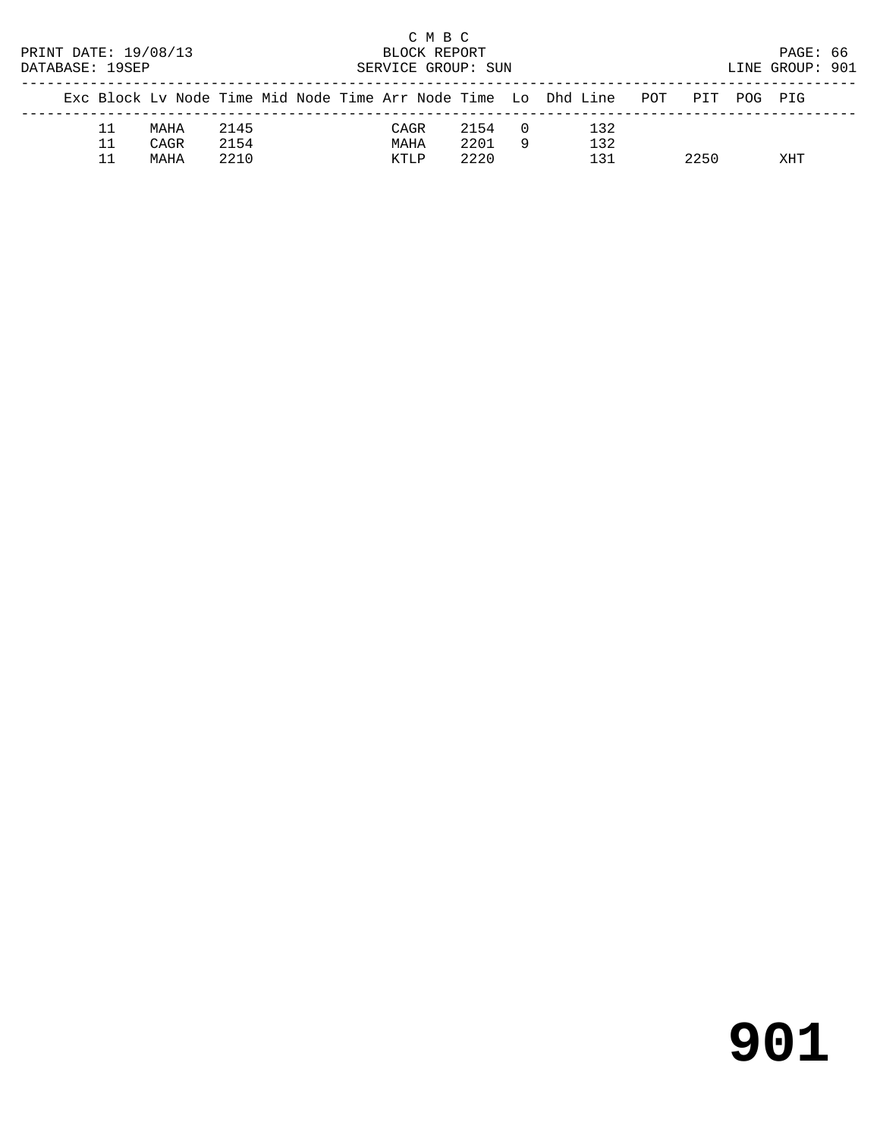| PRINT DATE: 19/08/13<br>DATABASE: 19SEP |    |      | BLOCK REPORT<br>SERVICE GROUP: SUN | C M B C |      |  |      |          | PAGE: 66<br>LINE GROUP: 901                                            |      |            |  |
|-----------------------------------------|----|------|------------------------------------|---------|------|--|------|----------|------------------------------------------------------------------------|------|------------|--|
|                                         |    |      |                                    |         |      |  |      |          | Exc Block Lv Node Time Mid Node Time Arr Node Time Lo Dhd Line POT PIT |      | POG PIG    |  |
|                                         | 11 | MAHA | 2145                               |         | CAGR |  | 2154 | $\Box$ 0 | 132                                                                    |      |            |  |
|                                         | 11 | CAGR | 2154                               |         | MAHA |  | 2201 | -9       | 132                                                                    |      |            |  |
|                                         |    | MAHA | 2210                               |         | KTLP |  | 2220 |          | 131                                                                    | 2250 | <b>XHT</b> |  |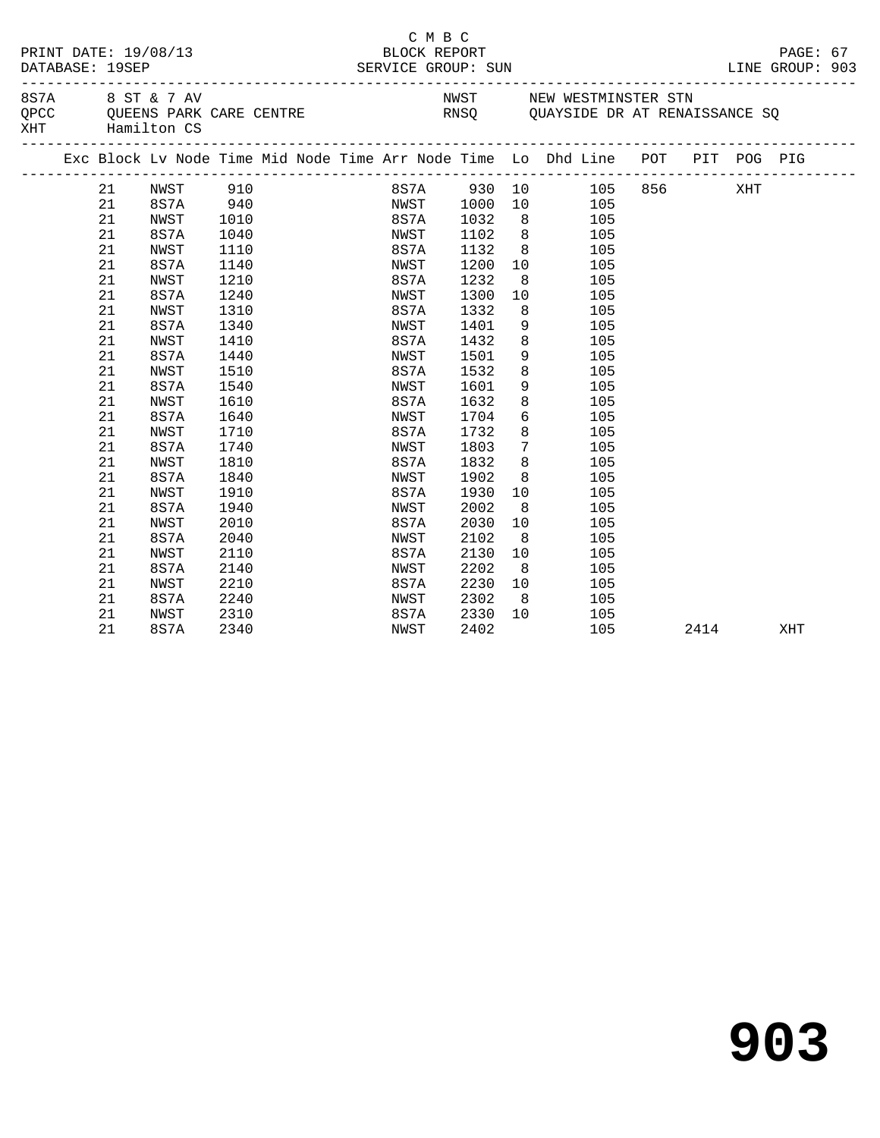|     | PRINT DATE: 19/08/13<br>DATABASE: 19SEP<br>8 S 7 A 8 S T & 7 AV |    |             |          |  |  | C M B C<br>BLOCK REPORT<br>SERVICE GROUP: SUN |      |                 |                                                                                                 |      | PAGE: 67<br>LINE GROUP: 903 |  |
|-----|-----------------------------------------------------------------|----|-------------|----------|--|--|-----------------------------------------------|------|-----------------|-------------------------------------------------------------------------------------------------|------|-----------------------------|--|
| XHT |                                                                 |    | Hamilton CS |          |  |  |                                               |      |                 | NWST NEW WESTMINSTER STN<br>QPCC QUEENS PARK CARE CENTRE THE RNSQ QUAYSIDE DR AT RENAISSANCE SQ |      |                             |  |
|     |                                                                 |    |             |          |  |  |                                               |      |                 | Exc Block Lv Node Time Mid Node Time Arr Node Time Lo Dhd Line POT PIT POG PIG                  |      |                             |  |
|     |                                                                 | 21 | NWST 910    |          |  |  |                                               |      |                 | 8S7A 930 10 105 856 XHT                                                                         |      |                             |  |
|     |                                                                 | 21 |             | 8S7A 940 |  |  | NWST 1000                                     |      |                 | 10 105                                                                                          |      |                             |  |
|     |                                                                 | 21 | NWST        | 1010     |  |  | 8S7A 1032                                     |      |                 | 8 105                                                                                           |      |                             |  |
|     |                                                                 | 21 | 8S7A        | 1040     |  |  | NWST                                          | 1102 | 8 <sup>8</sup>  | 105                                                                                             |      |                             |  |
|     |                                                                 | 21 | NWST        | 1110     |  |  | 8S7A                                          | 1132 |                 | 8<br>105                                                                                        |      |                             |  |
|     |                                                                 | 21 | 8S7A        | 1140     |  |  | NWST                                          | 1200 | 10              | 105                                                                                             |      |                             |  |
|     |                                                                 | 21 | NWST        | 1210     |  |  | 8S7A                                          | 1232 | 8 <sup>8</sup>  | 105                                                                                             |      |                             |  |
|     |                                                                 | 21 | 8S7A        | 1240     |  |  | NWST                                          | 1300 | 10              | 105                                                                                             |      |                             |  |
|     |                                                                 | 21 | NWST        | 1310     |  |  | 8S7A                                          | 1332 | 8 <sup>8</sup>  | 105                                                                                             |      |                             |  |
|     |                                                                 | 21 | 8S7A        | 1340     |  |  | NWST                                          | 1401 | 9               | 105                                                                                             |      |                             |  |
|     |                                                                 | 21 | NWST        | 1410     |  |  | 8S7A                                          | 1432 | 8               | 105                                                                                             |      |                             |  |
|     |                                                                 | 21 | 8S7A        | 1440     |  |  | NWST                                          | 1501 | 9               | 105                                                                                             |      |                             |  |
|     |                                                                 | 21 | NWST        | 1510     |  |  | 8S7A                                          | 1532 | 8               | 105                                                                                             |      |                             |  |
|     |                                                                 | 21 | 8S7A        | 1540     |  |  | NWST                                          | 1601 | 9               | 105                                                                                             |      |                             |  |
|     |                                                                 | 21 | NWST        | 1610     |  |  | 8S7A                                          | 1632 | 8               | 105                                                                                             |      |                             |  |
|     |                                                                 | 21 | 8S7A        | 1640     |  |  | NWST                                          | 1704 | 6               | 105                                                                                             |      |                             |  |
|     |                                                                 | 21 | NWST        | 1710     |  |  | 8S7A                                          | 1732 | 8               | 105                                                                                             |      |                             |  |
|     |                                                                 | 21 | 8S7A        | 1740     |  |  | NWST                                          | 1803 | $7\overline{ }$ | 105                                                                                             |      |                             |  |
|     |                                                                 | 21 | NWST        | 1810     |  |  | 8S7A                                          | 1832 | 8               | 105                                                                                             |      |                             |  |
|     |                                                                 | 21 | 8S7A        | 1840     |  |  | NWST                                          | 1902 | 8               | 105                                                                                             |      |                             |  |
|     |                                                                 | 21 | NWST        | 1910     |  |  | 8S7A                                          | 1930 | 10 <sup>°</sup> | 105                                                                                             |      |                             |  |
|     |                                                                 | 21 | 8S7A        | 1940     |  |  | NWST                                          | 2002 | 8 <sup>8</sup>  | 105                                                                                             |      |                             |  |
|     |                                                                 | 21 | NWST        | 2010     |  |  | 8S7A                                          | 2030 | 10              | 105                                                                                             |      |                             |  |
|     |                                                                 | 21 | 8S7A        | 2040     |  |  | NWST                                          | 2102 | 8 <sup>8</sup>  | 105                                                                                             |      |                             |  |
|     |                                                                 | 21 | NWST        | 2110     |  |  | 8S7A                                          | 2130 | 10              | 105                                                                                             |      |                             |  |
|     |                                                                 | 21 | 8S7A        | 2140     |  |  | NWST                                          | 2202 | 8 <sup>8</sup>  | 105                                                                                             |      |                             |  |
|     |                                                                 | 21 | NWST        | 2210     |  |  | 8S7A                                          | 2230 | 10              | 105                                                                                             |      |                             |  |
|     |                                                                 | 21 | 8S7A        | 2240     |  |  | NWST                                          | 2302 | 8 <sup>8</sup>  | 105                                                                                             |      |                             |  |
|     |                                                                 | 21 | NWST        | 2310     |  |  | 8S7A                                          | 2330 | 10              | 105                                                                                             |      |                             |  |
|     |                                                                 | 21 | 8S7A        | 2340     |  |  | NWST                                          | 2402 |                 | 105                                                                                             | 2414 | XHT                         |  |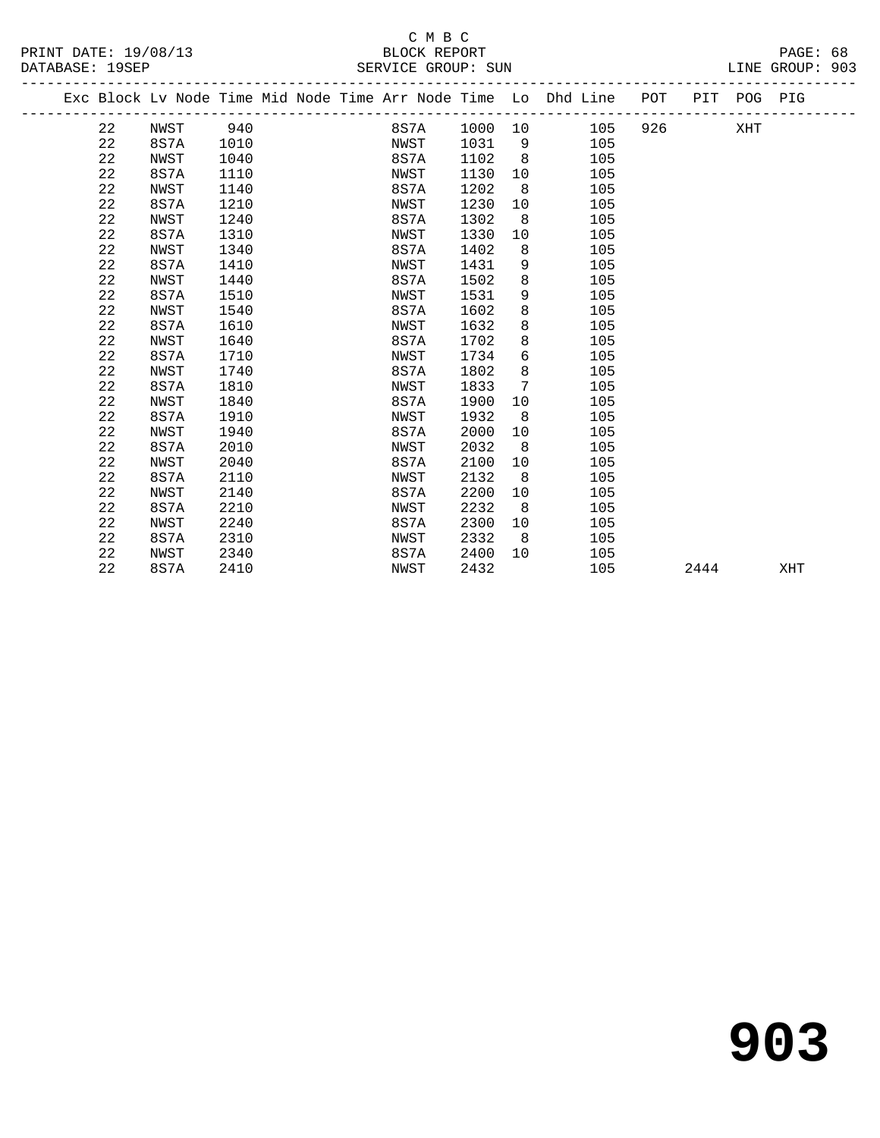# C M B C

| PRINT DATE: 19/08/13 | BLOCK REPORT       | PAGE: 68        |
|----------------------|--------------------|-----------------|
| DATABASE: 19SEP      | SERVICE GROUP: SUN | LINE GROUP: 903 |

|     | F AUTH |  |
|-----|--------|--|
| ᅚᅚᅚ | CDOTID |  |

|  |    | Exc Block Lv Node Time Mid Node Time Arr Node Time Lo Dhd Line POT |      |  |      |         |     |     |     |      | PIT POG PIG |     |
|--|----|--------------------------------------------------------------------|------|--|------|---------|-----|-----|-----|------|-------------|-----|
|  | 22 | NWST                                                               | 940  |  | 8S7A | 1000 10 |     | 105 | 926 |      | XHT         |     |
|  | 22 | 8S7A                                                               | 1010 |  | NWST | 1031    | - 9 | 105 |     |      |             |     |
|  | 22 | NWST                                                               | 1040 |  | 8S7A | 1102    | 8   | 105 |     |      |             |     |
|  | 22 | 8S7A                                                               | 1110 |  | NWST | 1130    | 10  | 105 |     |      |             |     |
|  | 22 | NWST                                                               | 1140 |  | 8S7A | 1202    | 8   | 105 |     |      |             |     |
|  | 22 | 8S7A                                                               | 1210 |  | NWST | 1230    | 10  | 105 |     |      |             |     |
|  | 22 | NWST                                                               | 1240 |  | 8S7A | 1302    | 8   | 105 |     |      |             |     |
|  | 22 | 8S7A                                                               | 1310 |  | NWST | 1330    | 10  | 105 |     |      |             |     |
|  | 22 | NWST                                                               | 1340 |  | 8S7A | 1402    | 8   | 105 |     |      |             |     |
|  | 22 | 8S7A                                                               | 1410 |  | NWST | 1431    | 9   | 105 |     |      |             |     |
|  | 22 | NWST                                                               | 1440 |  | 8S7A | 1502    | 8   | 105 |     |      |             |     |
|  | 22 | 8S7A                                                               | 1510 |  | NWST | 1531    | 9   | 105 |     |      |             |     |
|  | 22 | NWST                                                               | 1540 |  | 8S7A | 1602    | 8   | 105 |     |      |             |     |
|  | 22 | 8S7A                                                               | 1610 |  | NWST | 1632    | 8   | 105 |     |      |             |     |
|  | 22 | NWST                                                               | 1640 |  | 8S7A | 1702    | 8   | 105 |     |      |             |     |
|  | 22 | 8S7A                                                               | 1710 |  | NWST | 1734    | 6   | 105 |     |      |             |     |
|  | 22 | NWST                                                               | 1740 |  | 8S7A | 1802    | 8   | 105 |     |      |             |     |
|  | 22 | 8S7A                                                               | 1810 |  | NWST | 1833    | 7   | 105 |     |      |             |     |
|  | 22 | NWST                                                               | 1840 |  | 8S7A | 1900    | 10  | 105 |     |      |             |     |
|  | 22 | 8S7A                                                               | 1910 |  | NWST | 1932    | 8   | 105 |     |      |             |     |
|  | 22 | NWST                                                               | 1940 |  | 8S7A | 2000    | 10  | 105 |     |      |             |     |
|  | 22 | 8S7A                                                               | 2010 |  | NWST | 2032    | 8   | 105 |     |      |             |     |
|  | 22 | NWST                                                               | 2040 |  | 8S7A | 2100    | 10  | 105 |     |      |             |     |
|  | 22 | 8S7A                                                               | 2110 |  | NWST | 2132    | 8   | 105 |     |      |             |     |
|  | 22 | NWST                                                               | 2140 |  | 8S7A | 2200    | 10  | 105 |     |      |             |     |
|  | 22 | 8S7A                                                               | 2210 |  | NWST | 2232    | 8   | 105 |     |      |             |     |
|  | 22 | NWST                                                               | 2240 |  | 8S7A | 2300    | 10  | 105 |     |      |             |     |
|  | 22 | 8S7A                                                               | 2310 |  | NWST | 2332    | 8   | 105 |     |      |             |     |
|  | 22 | NWST                                                               | 2340 |  | 8S7A | 2400    | 10  | 105 |     |      |             |     |
|  | 22 | 8S7A                                                               | 2410 |  | NWST | 2432    |     | 105 |     | 2444 |             | XHT |
|  |    |                                                                    |      |  |      |         |     |     |     |      |             |     |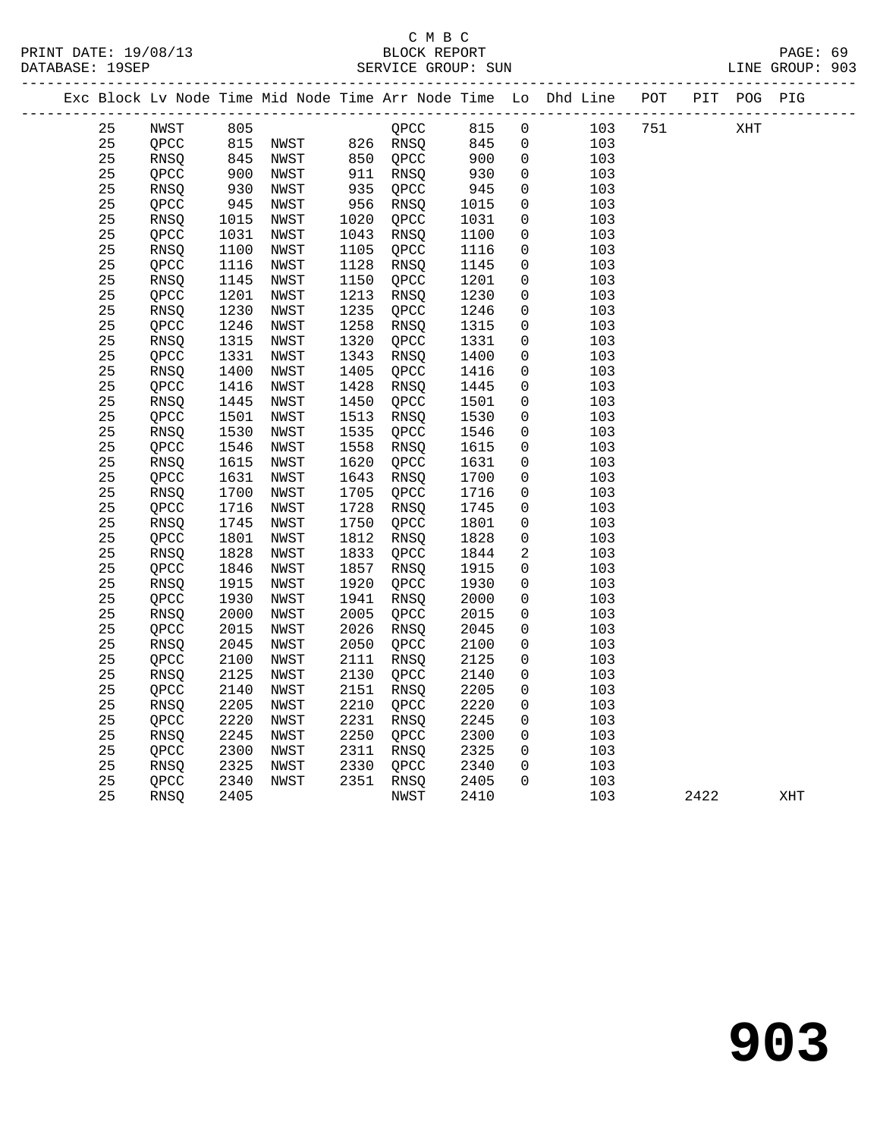| PRINT DATE: 19/08/13 |    |                |      |      |      | C M B C<br>BLOCK REPORT |      |                |                                                                                |     |      |     | PAGE: 69 |  |
|----------------------|----|----------------|------|------|------|-------------------------|------|----------------|--------------------------------------------------------------------------------|-----|------|-----|----------|--|
|                      |    |                |      |      |      |                         |      |                | Exc Block Lv Node Time Mid Node Time Arr Node Time Lo Dhd Line POT PIT POG PIG |     |      |     |          |  |
|                      | 25 | NWST           | 805  |      |      | QPCC                    | 815  | $\overline{0}$ | 103                                                                            | 751 |      | XHT |          |  |
|                      | 25 | QPCC           |      |      |      |                         | 845  | $\overline{0}$ | 103                                                                            |     |      |     |          |  |
|                      | 25 | RNSQ           |      |      |      |                         | 900  | $\mathbf 0$    | 103                                                                            |     |      |     |          |  |
|                      | 25 | QPCC           | 900  | NWST |      | 911 RNSQ                | 930  | $\overline{0}$ | 103                                                                            |     |      |     |          |  |
|                      | 25 | RNSQ           | 930  | NWST | 935  | QPCC                    | 945  | $\mathbf 0$    | 103                                                                            |     |      |     |          |  |
|                      | 25 | QPCC           | 945  | NWST | 956  | RNSQ                    | 1015 | $\overline{0}$ | 103                                                                            |     |      |     |          |  |
|                      | 25 | RNSQ           | 1015 | NWST | 1020 | QPCC                    | 1031 | $\mathbf 0$    | 103                                                                            |     |      |     |          |  |
|                      | 25 | QPCC           | 1031 | NWST | 1043 | RNSQ                    | 1100 | $\mathbf{0}$   | 103                                                                            |     |      |     |          |  |
|                      | 25 | RNSQ           | 1100 | NWST | 1105 | QPCC                    | 1116 | $\mathbf 0$    | 103                                                                            |     |      |     |          |  |
|                      | 25 | QPCC           | 1116 | NWST | 1128 | RNSQ                    | 1145 | $\mathbf 0$    | 103                                                                            |     |      |     |          |  |
|                      | 25 | RNSQ           | 1145 | NWST | 1150 | QPCC                    | 1201 | 0              | 103                                                                            |     |      |     |          |  |
|                      | 25 | QPCC           | 1201 | NWST | 1213 | RNSQ                    | 1230 | $\mathbf 0$    | 103                                                                            |     |      |     |          |  |
|                      | 25 | RNSQ           | 1230 | NWST | 1235 | QPCC                    | 1246 | $\mathbf 0$    | 103                                                                            |     |      |     |          |  |
|                      | 25 | QPCC           | 1246 | NWST | 1258 | RNSQ                    | 1315 | $\mathbf 0$    | 103                                                                            |     |      |     |          |  |
|                      | 25 | RNSQ           | 1315 | NWST | 1320 | QPCC                    | 1331 | 0              | 103                                                                            |     |      |     |          |  |
|                      | 25 | QPCC           | 1331 | NWST | 1343 | RNSQ                    | 1400 | $\mathbf 0$    | 103                                                                            |     |      |     |          |  |
|                      | 25 | RNSQ           | 1400 | NWST | 1405 | QPCC                    | 1416 | $\mathbf 0$    | 103                                                                            |     |      |     |          |  |
|                      | 25 | QPCC           | 1416 | NWST | 1428 | RNSQ                    | 1445 | $\mathbf 0$    | 103                                                                            |     |      |     |          |  |
|                      | 25 | RNSQ           | 1445 | NWST | 1450 | QPCC                    | 1501 | $\mathbf 0$    | 103                                                                            |     |      |     |          |  |
|                      | 25 | QPCC           | 1501 | NWST | 1513 | RNSQ                    | 1530 | $\mathbf 0$    | 103                                                                            |     |      |     |          |  |
|                      | 25 | RNSQ           | 1530 | NWST | 1535 | QPCC                    | 1546 | $\mathbf 0$    | 103                                                                            |     |      |     |          |  |
|                      | 25 | QPCC           | 1546 | NWST | 1558 | RNSQ                    | 1615 | $\mathbf 0$    | 103                                                                            |     |      |     |          |  |
|                      | 25 | RNSQ           | 1615 | NWST | 1620 | QPCC                    | 1631 | $\mathbf 0$    | 103                                                                            |     |      |     |          |  |
|                      | 25 | QPCC           | 1631 | NWST | 1643 | RNSQ                    | 1700 | $\mathbf 0$    | 103                                                                            |     |      |     |          |  |
|                      | 25 | RNSQ           | 1700 | NWST | 1705 | QPCC                    | 1716 | 0              | 103                                                                            |     |      |     |          |  |
|                      | 25 | QPCC           | 1716 | NWST | 1728 | RNSQ                    | 1745 | $\mathbf 0$    | 103                                                                            |     |      |     |          |  |
|                      | 25 | RNSQ           | 1745 | NWST | 1750 | QPCC                    | 1801 | $\mathbf 0$    | 103                                                                            |     |      |     |          |  |
|                      | 25 | QPCC           | 1801 | NWST | 1812 | RNSQ                    | 1828 | $\mathbf 0$    | 103                                                                            |     |      |     |          |  |
|                      | 25 | RNSQ           | 1828 | NWST | 1833 | QPCC                    | 1844 | $\overline{a}$ | 103                                                                            |     |      |     |          |  |
|                      | 25 | QPCC           | 1846 | NWST | 1857 | RNSQ                    | 1915 | $\mathbf 0$    | 103                                                                            |     |      |     |          |  |
|                      | 25 | RNSQ           | 1915 | NWST | 1920 | QPCC                    | 1930 | $\mathbf 0$    | 103                                                                            |     |      |     |          |  |
|                      | 25 | QPCC           | 1930 | NWST | 1941 | RNSO                    | 2000 | $\mathbf 0$    | 103                                                                            |     |      |     |          |  |
|                      | 25 | RNSQ           | 2000 | NWST | 2005 | QPCC                    | 2015 | $\mathbf{0}$   | 103                                                                            |     |      |     |          |  |
|                      | 25 | QPCC           | 2015 | NWST | 2026 | RNSQ                    | 2045 | $\mathbf 0$    | 103                                                                            |     |      |     |          |  |
|                      | 25 | RNSQ           | 2045 | NWST | 2050 | QPCC                    | 2100 | $\overline{0}$ | 103                                                                            |     |      |     |          |  |
|                      | 25 | QPCC           | 2100 | NWST |      | 2111 RNSQ               | 2125 | $\mathbf 0$    | 103                                                                            |     |      |     |          |  |
|                      | 25 | RNSQ 2125 NWST |      |      |      | 2130 QPCC 2140          |      | $\overline{0}$ | 103                                                                            |     |      |     |          |  |
|                      | 25 | QPCC           | 2140 | NWST |      | 2151 RNSQ               | 2205 | 0              | 103                                                                            |     |      |     |          |  |
|                      | 25 | RNSQ           | 2205 | NWST |      | 2210 QPCC               | 2220 | 0              | 103                                                                            |     |      |     |          |  |
|                      | 25 | QPCC           | 2220 | NWST | 2231 | RNSQ                    | 2245 | 0              | 103                                                                            |     |      |     |          |  |
|                      | 25 | RNSQ           | 2245 | NWST | 2250 | QPCC                    | 2300 | 0              | 103                                                                            |     |      |     |          |  |
|                      | 25 | QPCC           | 2300 | NWST | 2311 | RNSQ                    | 2325 | 0              | 103                                                                            |     |      |     |          |  |
|                      | 25 | RNSQ           | 2325 | NWST | 2330 | QPCC                    | 2340 | 0              | 103                                                                            |     |      |     |          |  |
|                      | 25 | QPCC           | 2340 | NWST | 2351 | RNSQ                    | 2405 | 0              | 103                                                                            |     |      |     |          |  |
|                      | 25 | RNSQ           | 2405 |      |      | NWST                    | 2410 |                | 103                                                                            |     | 2422 |     | XHT      |  |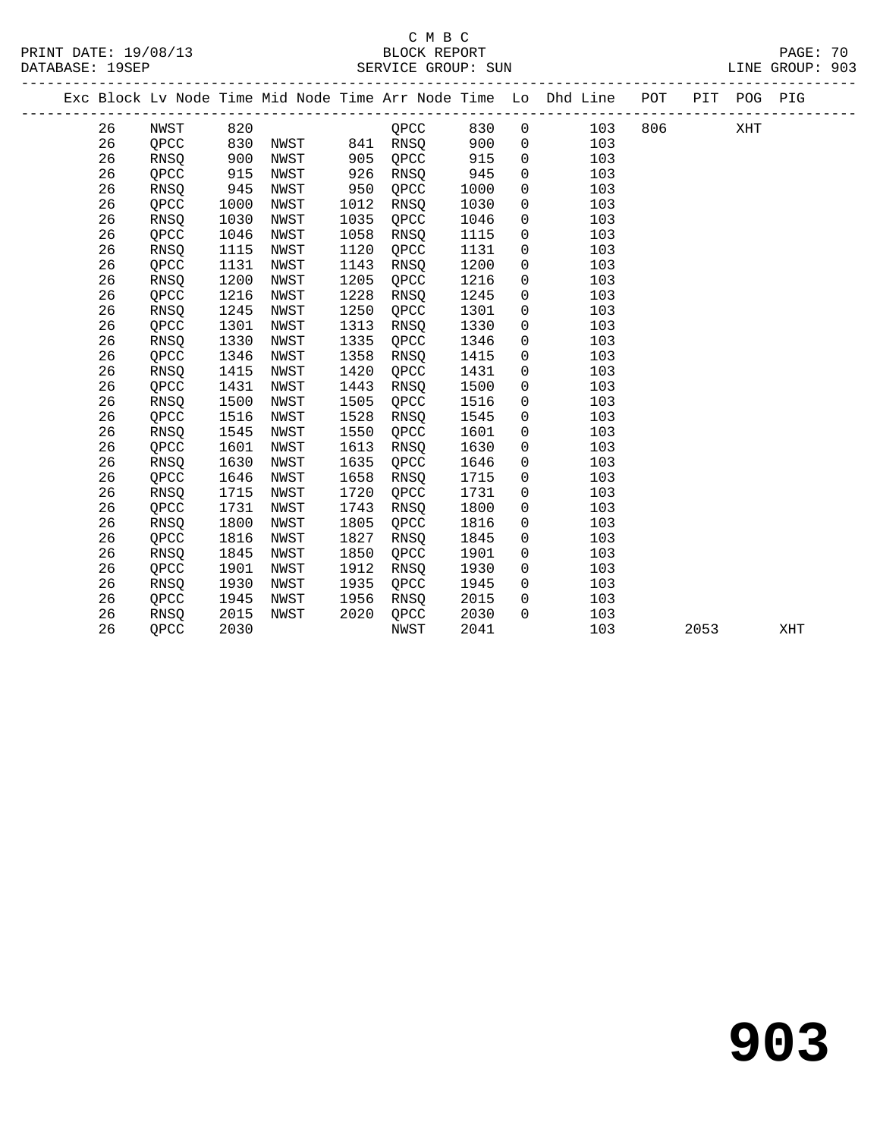#### C M B C<br>BLOCK REPORT PRINT DATE: 19/08/13 BLOCK REPORT PAGE: 70 SERVICE GROUP: SUN

| BLOCK REP |  |
|-----------|--|
|           |  |

|  |    |             |      |      |      |               |      |                | Exc Block Lv Node Time Mid Node Time Arr Node Time Lo Dhd Line POT |         |      | PIT POG PIG |     |
|--|----|-------------|------|------|------|---------------|------|----------------|--------------------------------------------------------------------|---------|------|-------------|-----|
|  | 26 | NWST        | 820  |      |      | $QPCC$ 830    |      | $\overline{0}$ |                                                                    | 103 806 |      | XHT         |     |
|  | 26 | QPCC        | 830  |      |      | NWST 841 RNSQ | 900  | $\overline{0}$ | 103                                                                |         |      |             |     |
|  | 26 | RNSQ        | 900  | NWST | 905  | QPCC          | 915  | $\mathsf{O}$   | 103                                                                |         |      |             |     |
|  | 26 | QPCC        | 915  | NWST | 926  | RNSQ          | 945  | $\mathsf{O}$   | 103                                                                |         |      |             |     |
|  | 26 | RNSQ        | 945  | NWST | 950  | QPCC          | 1000 | $\mathbf 0$    | 103                                                                |         |      |             |     |
|  | 26 | QPCC        | 1000 | NWST | 1012 | RNSQ          | 1030 | $\mathbf 0$    | 103                                                                |         |      |             |     |
|  | 26 | RNSQ        | 1030 | NWST | 1035 | QPCC          | 1046 | $\mathbf 0$    | 103                                                                |         |      |             |     |
|  | 26 | QPCC        | 1046 | NWST | 1058 | RNSQ          | 1115 | $\mathbf 0$    | 103                                                                |         |      |             |     |
|  | 26 | <b>RNSO</b> | 1115 | NWST | 1120 | QPCC          | 1131 | 0              | 103                                                                |         |      |             |     |
|  | 26 | QPCC        | 1131 | NWST | 1143 | RNSQ          | 1200 | 0              | 103                                                                |         |      |             |     |
|  | 26 | <b>RNSO</b> | 1200 | NWST | 1205 | QPCC          | 1216 | 0              | 103                                                                |         |      |             |     |
|  | 26 | QPCC        | 1216 | NWST | 1228 | RNSQ          | 1245 | 0              | 103                                                                |         |      |             |     |
|  | 26 | <b>RNSO</b> | 1245 | NWST | 1250 | QPCC          | 1301 | 0              | 103                                                                |         |      |             |     |
|  | 26 | QPCC        | 1301 | NWST | 1313 | RNSQ          | 1330 | 0              | 103                                                                |         |      |             |     |
|  | 26 | RNSQ        | 1330 | NWST | 1335 | QPCC          | 1346 | $\mathsf{O}$   | 103                                                                |         |      |             |     |
|  | 26 | QPCC        | 1346 | NWST | 1358 | RNSO          | 1415 | 0              | 103                                                                |         |      |             |     |
|  | 26 | RNSQ        | 1415 | NWST | 1420 | QPCC          | 1431 | 0              | 103                                                                |         |      |             |     |
|  | 26 | QPCC        | 1431 | NWST | 1443 | <b>RNSO</b>   | 1500 | $\mathbf 0$    | 103                                                                |         |      |             |     |
|  | 26 | RNSQ        | 1500 | NWST | 1505 | QPCC          | 1516 | 0              | 103                                                                |         |      |             |     |
|  | 26 | OPCC        | 1516 | NWST | 1528 | RNSQ          | 1545 | $\mathbf 0$    | 103                                                                |         |      |             |     |
|  | 26 | RNSQ        | 1545 | NWST | 1550 | QPCC          | 1601 | $\mathbf 0$    | 103                                                                |         |      |             |     |
|  | 26 | QPCC        | 1601 | NWST | 1613 | RNSQ          | 1630 | $\mathbf 0$    | 103                                                                |         |      |             |     |
|  | 26 | RNSQ        | 1630 | NWST | 1635 | OPCC          | 1646 | 0              | 103                                                                |         |      |             |     |
|  | 26 | QPCC        | 1646 | NWST | 1658 | RNSQ          | 1715 | $\mathsf{O}$   | 103                                                                |         |      |             |     |
|  | 26 | RNSQ        | 1715 | NWST | 1720 | OPCC          | 1731 | $\mathbf 0$    | 103                                                                |         |      |             |     |
|  | 26 | QPCC        | 1731 | NWST | 1743 | RNSQ          | 1800 | $\mathbf 0$    | 103                                                                |         |      |             |     |
|  | 26 | RNSQ        | 1800 | NWST | 1805 | QPCC          | 1816 | 0              | 103                                                                |         |      |             |     |
|  | 26 | QPCC        | 1816 | NWST | 1827 | RNSQ          | 1845 | 0              | 103                                                                |         |      |             |     |
|  | 26 | RNSQ        | 1845 | NWST | 1850 | QPCC          | 1901 | 0              | 103                                                                |         |      |             |     |
|  | 26 | QPCC        | 1901 | NWST | 1912 | RNSQ          | 1930 | 0              | 103                                                                |         |      |             |     |
|  | 26 | RNSQ        | 1930 | NWST | 1935 | QPCC          | 1945 | 0              | 103                                                                |         |      |             |     |
|  | 26 | QPCC        | 1945 | NWST | 1956 | RNSQ          | 2015 | $\mathsf{O}$   | 103                                                                |         |      |             |     |
|  | 26 | RNSQ        | 2015 | NWST | 2020 | QPCC          | 2030 | $\Omega$       | 103                                                                |         |      |             |     |
|  | 26 | QPCC        | 2030 |      |      | NWST          | 2041 |                | 103                                                                |         | 2053 |             | XHT |
|  |    |             |      |      |      |               |      |                |                                                                    |         |      |             |     |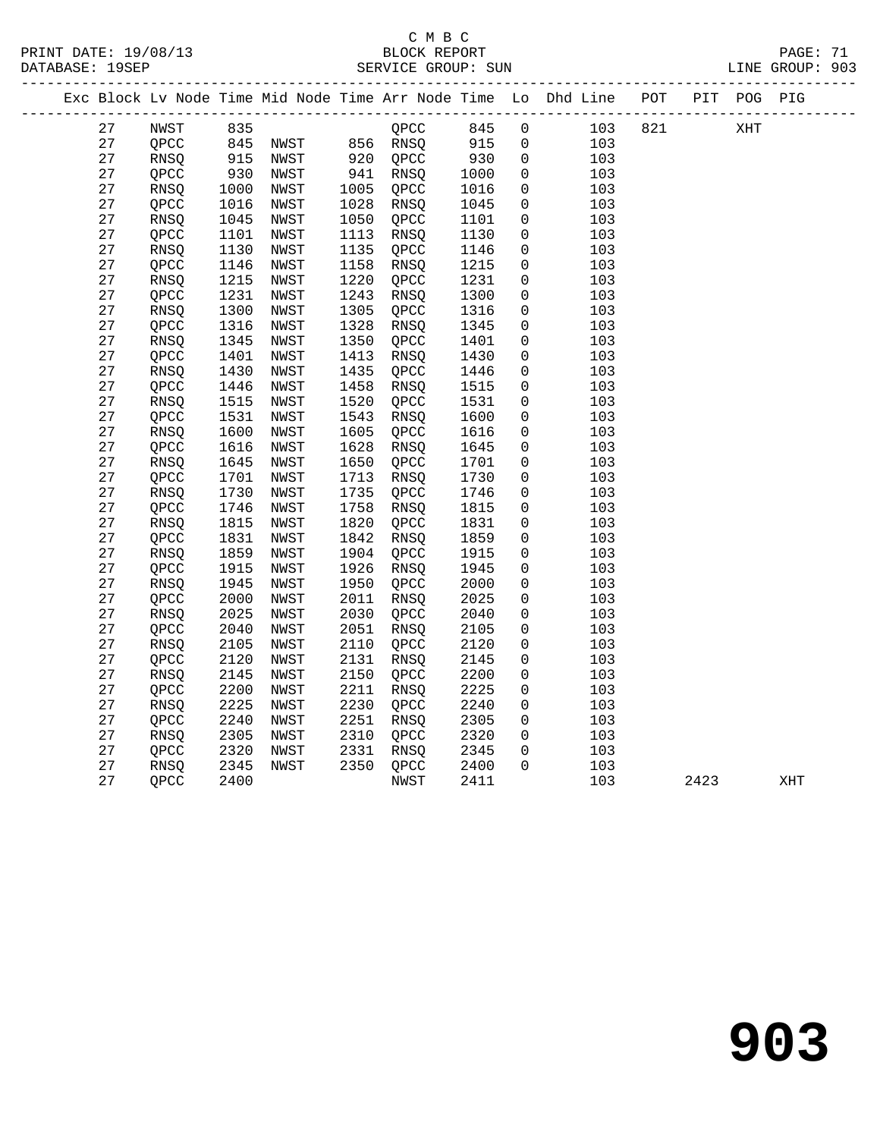#### C M B C<br>BLOCK REPORT PRINT DATE: 19/08/13 BLOCK REPORT PAGE: 71 SERVICE GROUP: SUN

|  |          |              |              |                             |              |              |              |                | Exc Block Lv Node Time Mid Node Time Arr Node Time Lo Dhd Line POT PIT POG PIG |     |      |     |     |
|--|----------|--------------|--------------|-----------------------------|--------------|--------------|--------------|----------------|--------------------------------------------------------------------------------|-----|------|-----|-----|
|  | 27       | NWST         |              |                             |              | QPCC         | 845          | $\overline{0}$ | 103                                                                            | 821 |      | XHT |     |
|  | 27       | QPCC         |              | $845$ NWST $856$ RNSQ       |              |              | 915          | $\overline{0}$ | 103                                                                            |     |      |     |     |
|  | 27       | RNSO         |              | 835<br>845 NWST<br>915 NWST |              | 920 QPCC     | 930          | $\overline{0}$ | 103                                                                            |     |      |     |     |
|  | 27       | QPCC         | 930          | NWST                        |              | 941 RNSQ     | 1000         | $\mathbf 0$    | 103                                                                            |     |      |     |     |
|  | 27       | RNSQ         | 1000         | NWST                        | 1005         | QPCC         | 1016         | $\mathbf 0$    | 103                                                                            |     |      |     |     |
|  | 27       | QPCC         | 1016         | NWST                        | 1028         | RNSQ         | 1045         | 0              | 103                                                                            |     |      |     |     |
|  | 27       | RNSQ         | 1045         | NWST                        | 1050         | QPCC         | 1101         | $\mathbf 0$    | 103                                                                            |     |      |     |     |
|  | 27       | QPCC         | 1101         | NWST                        | 1113         | RNSQ         | 1130         | 0              | 103                                                                            |     |      |     |     |
|  | 27       | RNSQ         | 1130         | NWST                        | 1135         | QPCC         | 1146         | 0              | 103                                                                            |     |      |     |     |
|  | 27       | QPCC         | 1146         | NWST                        | 1158         | RNSQ         | 1215         | $\mathbf 0$    | 103                                                                            |     |      |     |     |
|  | 27       | RNSO         | 1215         | NWST                        | 1220         | QPCC         | 1231         | $\mathbf 0$    | 103                                                                            |     |      |     |     |
|  | 27       | QPCC         | 1231         | NWST                        | 1243         | RNSQ         | 1300         | $\mathbf 0$    | 103                                                                            |     |      |     |     |
|  | 27       | RNSQ         | 1300         | NWST                        | 1305         | QPCC         | 1316         | 0              | 103                                                                            |     |      |     |     |
|  | 27       | QPCC         | 1316         | NWST                        | 1328         | RNSQ         | 1345         | 0              | 103                                                                            |     |      |     |     |
|  | 27       | <b>RNSO</b>  | 1345         | NWST                        | 1350         | OPCC         | 1401         | $\mathbf 0$    | 103                                                                            |     |      |     |     |
|  | 27       | QPCC         | 1401         | NWST                        | 1413         | RNSQ         | 1430         | 0              | 103                                                                            |     |      |     |     |
|  | 27       | RNSQ         | 1430         | NWST                        | 1435         | QPCC         | 1446         | 0              | 103                                                                            |     |      |     |     |
|  | 27       | QPCC         | 1446         | NWST                        | 1458         | RNSQ         | 1515         | 0              | 103                                                                            |     |      |     |     |
|  | 27       | <b>RNSQ</b>  | 1515         | NWST                        | 1520         | QPCC         | 1531         | 0              | 103                                                                            |     |      |     |     |
|  | 27       | QPCC         | 1531         | NWST                        | 1543         | RNSQ         | 1600         | 0              | 103                                                                            |     |      |     |     |
|  | 27       | RNSQ         | 1600         | NWST                        | 1605         | QPCC         | 1616         | 0              | 103                                                                            |     |      |     |     |
|  | 27       | QPCC         | 1616         | NWST                        | 1628         | RNSQ         | 1645         | 0              | 103                                                                            |     |      |     |     |
|  | 27       | RNSQ         | 1645         | NWST                        | 1650         | QPCC         | 1701         | $\mathbf 0$    | 103                                                                            |     |      |     |     |
|  | 27       | QPCC         | 1701         | NWST                        | 1713         | RNSQ         | 1730         | 0              | 103                                                                            |     |      |     |     |
|  | 27       | RNSQ         | 1730         | NWST                        | 1735         | QPCC         | 1746         | 0              | 103                                                                            |     |      |     |     |
|  | 27       | QPCC         | 1746         | NWST                        | 1758         | RNSQ         | 1815         | 0              | 103                                                                            |     |      |     |     |
|  | 27       | <b>RNSQ</b>  | 1815         | NWST                        | 1820         | QPCC         | 1831         | $\mathbf 0$    | 103                                                                            |     |      |     |     |
|  | 27       | QPCC         | 1831         | NWST                        | 1842         | RNSQ         | 1859         | $\mathbf 0$    | 103                                                                            |     |      |     |     |
|  | 27       | RNSQ         | 1859         | NWST                        | 1904         | QPCC         | 1915         | 0              | 103                                                                            |     |      |     |     |
|  | 27<br>27 | QPCC         | 1915<br>1945 | NWST<br>NWST                | 1926<br>1950 | RNSQ         | 1945<br>2000 | 0              | 103<br>103                                                                     |     |      |     |     |
|  | 27       | RNSQ<br>QPCC | 2000         | NWST                        | 2011         | QPCC<br>RNSO | 2025         | 0<br>0         | 103                                                                            |     |      |     |     |
|  | 27       | RNSQ         | 2025         | NWST                        | 2030         | QPCC         | 2040         | 0              | 103                                                                            |     |      |     |     |
|  | 27       | QPCC         | 2040         | NWST                        | 2051         | RNSQ         | 2105         | 0              | 103                                                                            |     |      |     |     |
|  | 27       | RNSQ         | 2105         | NWST                        | 2110         | QPCC         | 2120         | $\mathbf 0$    | 103                                                                            |     |      |     |     |
|  | 27       | QPCC         | 2120         | NWST                        | 2131         | RNSQ         | 2145         | 0              | 103                                                                            |     |      |     |     |
|  | 27       | RNSQ         | 2145         | NWST                        | 2150         | QPCC         | 2200         | 0              | 103                                                                            |     |      |     |     |
|  | 27       | QPCC         | 2200         | NWST                        | 2211         | RNSQ         | 2225         | 0              | 103                                                                            |     |      |     |     |
|  | 27       | <b>RNSQ</b>  | 2225         | NWST                        | 2230         | QPCC         | 2240         | $\mathbf 0$    | 103                                                                            |     |      |     |     |
|  | 27       | QPCC         | 2240         | NWST                        | 2251         | RNSQ         | 2305         | $\mathbf 0$    | 103                                                                            |     |      |     |     |
|  | 27       | RNSQ         | 2305         | NWST                        | 2310         | QPCC         | 2320         | $\overline{0}$ | 103                                                                            |     |      |     |     |
|  | 27       | QPCC         | 2320         | NWST                        | 2331         | RNSQ         | 2345         | 0              | 103                                                                            |     |      |     |     |
|  | 27       | <b>RNSQ</b>  | 2345         | NWST                        |              | 2350 QPCC    | 2400         | $\Omega$       | 103                                                                            |     |      |     |     |
|  | 27       | QPCC         | 2400         |                             |              | NWST         | 2411         |                | 103                                                                            |     | 2423 |     | XHT |
|  |          |              |              |                             |              |              |              |                |                                                                                |     |      |     |     |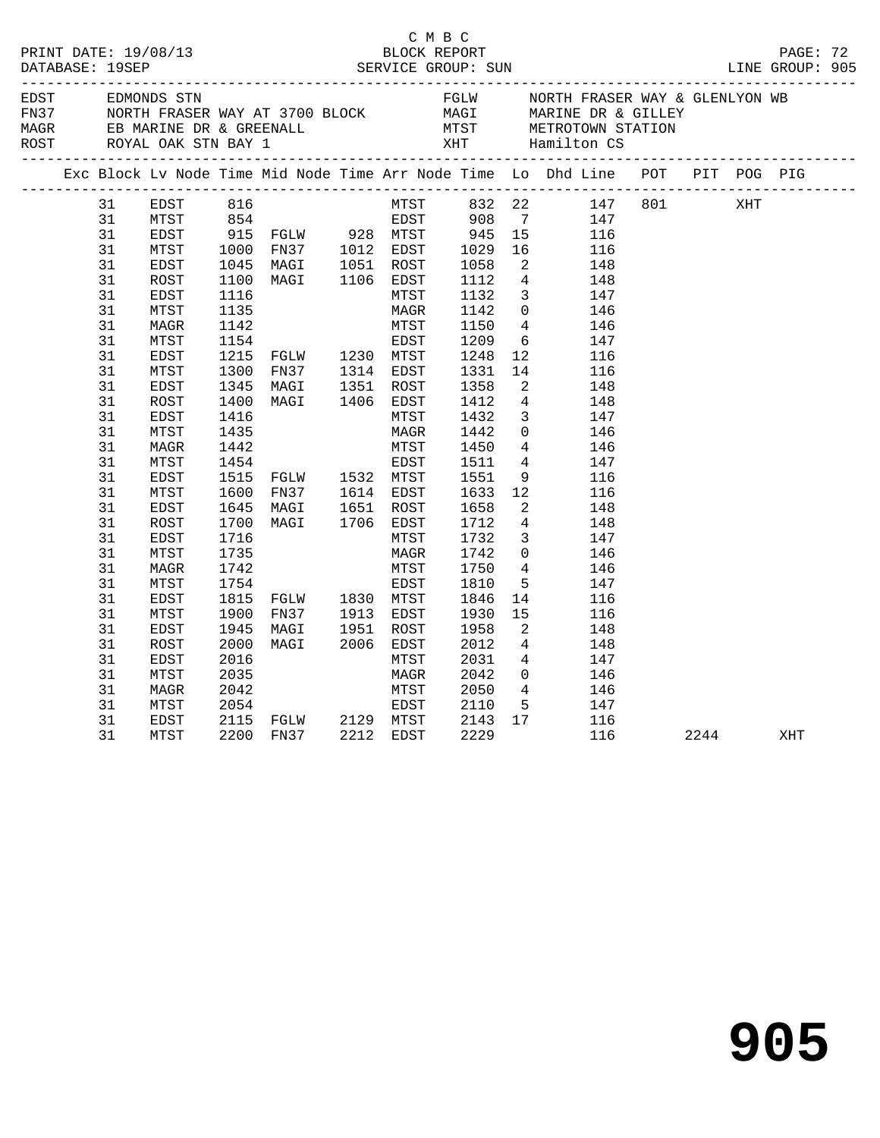|                                                                                                                                                                                              |                                                                                                                                                                                                                                                              |                                                                                                                                                                              |                                                                                                                                                                                   | C M B C                                                                                                                                                                                                                                |                                                                                                                                                                                                      |                                                                                                                                                                                                                                                                                                                                                                                                                                                                                                                                                                                                                                                                      | PRINT DATE: 19/08/13<br>BLOCK REPORT BLOCK PROT<br>DATABASE: 19SEP SERVICE GROUP: SUN SERVICE GROUP: SUN LINE GROUP: 905                                                                                                                                                                                                                                                                                                                                                              |  |      |     |  |
|----------------------------------------------------------------------------------------------------------------------------------------------------------------------------------------------|--------------------------------------------------------------------------------------------------------------------------------------------------------------------------------------------------------------------------------------------------------------|------------------------------------------------------------------------------------------------------------------------------------------------------------------------------|-----------------------------------------------------------------------------------------------------------------------------------------------------------------------------------|----------------------------------------------------------------------------------------------------------------------------------------------------------------------------------------------------------------------------------------|------------------------------------------------------------------------------------------------------------------------------------------------------------------------------------------------------|----------------------------------------------------------------------------------------------------------------------------------------------------------------------------------------------------------------------------------------------------------------------------------------------------------------------------------------------------------------------------------------------------------------------------------------------------------------------------------------------------------------------------------------------------------------------------------------------------------------------------------------------------------------------|---------------------------------------------------------------------------------------------------------------------------------------------------------------------------------------------------------------------------------------------------------------------------------------------------------------------------------------------------------------------------------------------------------------------------------------------------------------------------------------|--|------|-----|--|
|                                                                                                                                                                                              |                                                                                                                                                                                                                                                              |                                                                                                                                                                              |                                                                                                                                                                                   | EDST EDMONDS STN FGLW NORTH FRASER WAY & GLENLYON WB<br>FOR NORTH FRASER WAY AT 3700 BLOCK MAGI MARINE DR & GILLEY<br>MAGR EB MARINE DR & GREENALL MTST METROTOWN STATION<br>ROST ROYAL OAK STN BAY 1 XHT Hamilton CS<br>------------- |                                                                                                                                                                                                      |                                                                                                                                                                                                                                                                                                                                                                                                                                                                                                                                                                                                                                                                      |                                                                                                                                                                                                                                                                                                                                                                                                                                                                                       |  |      |     |  |
|                                                                                                                                                                                              |                                                                                                                                                                                                                                                              |                                                                                                                                                                              |                                                                                                                                                                                   |                                                                                                                                                                                                                                        |                                                                                                                                                                                                      |                                                                                                                                                                                                                                                                                                                                                                                                                                                                                                                                                                                                                                                                      | Exc Block Lv Node Time Mid Node Time Arr Node Time Lo Dhd Line POT PIT POG PIG                                                                                                                                                                                                                                                                                                                                                                                                        |  |      |     |  |
| 31<br>31<br>31<br>31<br>31<br>31<br>31<br>31<br>31<br>31<br>31<br>31<br>31<br>31<br>31<br>31<br>31<br>31<br>31<br>31<br>31<br>31<br>31<br>31<br>31<br>31<br>31<br>31<br>31<br>31<br>31<br>31 | EDST<br>MTST<br>EDST<br>MTST<br>EDST<br>ROST<br>EDST<br>MTST<br>MAGR<br>MTST<br>EDST<br>MTST<br>EDST<br>ROST<br>EDST<br>MTST<br>MAGR<br>MTST<br>EDST<br>MTST<br>EDST<br>ROST<br>EDST<br>MTST<br>MAGR<br>MTST<br>EDST<br>MTST<br>EDST<br>ROST<br>EDST<br>MTST | 1135<br>1142<br>1154<br>1345<br>1400<br>1416<br>1435<br>1442<br>1454<br>1600<br>1645<br>1700<br>1716<br>1735<br>1742<br>1754<br>1815<br>1900<br>1945<br>2000<br>2016<br>2035 | 1215 FGLW 1230 MTST<br>1300 FN37 1314 EDST<br>MAGI 1351 ROST<br>MAGI 1406 EDST<br>1515 FGLW 1532 MTST<br>FN37<br>MAGI<br>MAGI<br>FGLW 1830 MTST<br>FN37 1913 EDST<br>MAGI<br>MAGI | MAGR<br>MTST<br>EDST<br>MTST<br>MAGR<br>MTST<br>EDST<br>1614 EDST<br>1651 ROST<br>1651 ROST<br>1706 EDST<br>MTST<br>MAGR<br>MTST<br>EDST<br>1951 ROST<br>2006 EDST<br>MTST<br>MAGR                                                     | 1142<br>1150<br>1209<br>1248<br>1331<br>1358<br>1412<br>1432<br>1442<br>1450<br>1511<br>1551<br>1633<br>1658<br>1712<br>1732<br>1742<br>1750<br>1810<br>1846<br>1930<br>1958<br>2012<br>2031<br>2042 | $\overline{4}$<br>12 <sup>°</sup><br>$\overline{a}$<br>$4\overline{4}$<br>$\overline{3}$<br>$\overline{4}$<br>$4\overline{ }$<br>12<br>$\overline{2}$<br>$\overline{4}$<br>$\mathbf{3}$<br>$\overline{0}$<br>$4\phantom{.0000}\phantom{.0000}\phantom{.0000}\phantom{.0000}\phantom{.0000}\phantom{.0000}\phantom{.0000}\phantom{.0000}\phantom{.0000}\phantom{.0000}\phantom{.0000}\phantom{.0000}\phantom{.0000}\phantom{.0000}\phantom{.0000}\phantom{.0000}\phantom{.0000}\phantom{.0000}\phantom{.0000}\phantom{.0000}\phantom{.0000}\phantom{.0000}\phantom{.0000}\phantom{.0000}\phantom$<br>$5^{\circ}$<br>14<br>15<br>2<br>$\overline{4}$<br>$\overline{4}$ | 316 MTST 332 22 147 801<br>354 EDST 908 7 147<br>915 FGLW 928 MTST 945 15 116<br>1000 FN37 1012 EDST 1029 16 116<br>1045 MAGI 1051 ROST 1058 2 148<br>1100 MAGI 1106 EDST 1112 4 148<br>1116 MTST 1132 3 147<br>1116 MTST 1132 3 147<br>$\overline{0}$<br>146<br>146<br>$6\overline{6}$<br>147<br>116<br>14<br>116<br>148<br>148<br>147<br>$\overline{0}$<br>146<br>146<br>147<br>9<br>116<br>116<br>148<br>148<br>147<br>146<br>146<br>147<br>116<br>116<br>148<br>148<br>147<br>146 |  | XHT  |     |  |
| 31<br>31<br>31<br>31                                                                                                                                                                         | MAGR<br>MTST<br>EDST<br>MTST                                                                                                                                                                                                                                 | 2042<br>2054                                                                                                                                                                 | 2115 FGLW 2129 MTST<br>2200 FN37 2212 EDST                                                                                                                                        | MTST<br>EDST                                                                                                                                                                                                                           | 2050<br>2110<br>2143<br>2229                                                                                                                                                                         | 17                                                                                                                                                                                                                                                                                                                                                                                                                                                                                                                                                                                                                                                                   | $\frac{0}{4}$<br>146<br>5 147<br>116<br>116                                                                                                                                                                                                                                                                                                                                                                                                                                           |  | 2244 | XHT |  |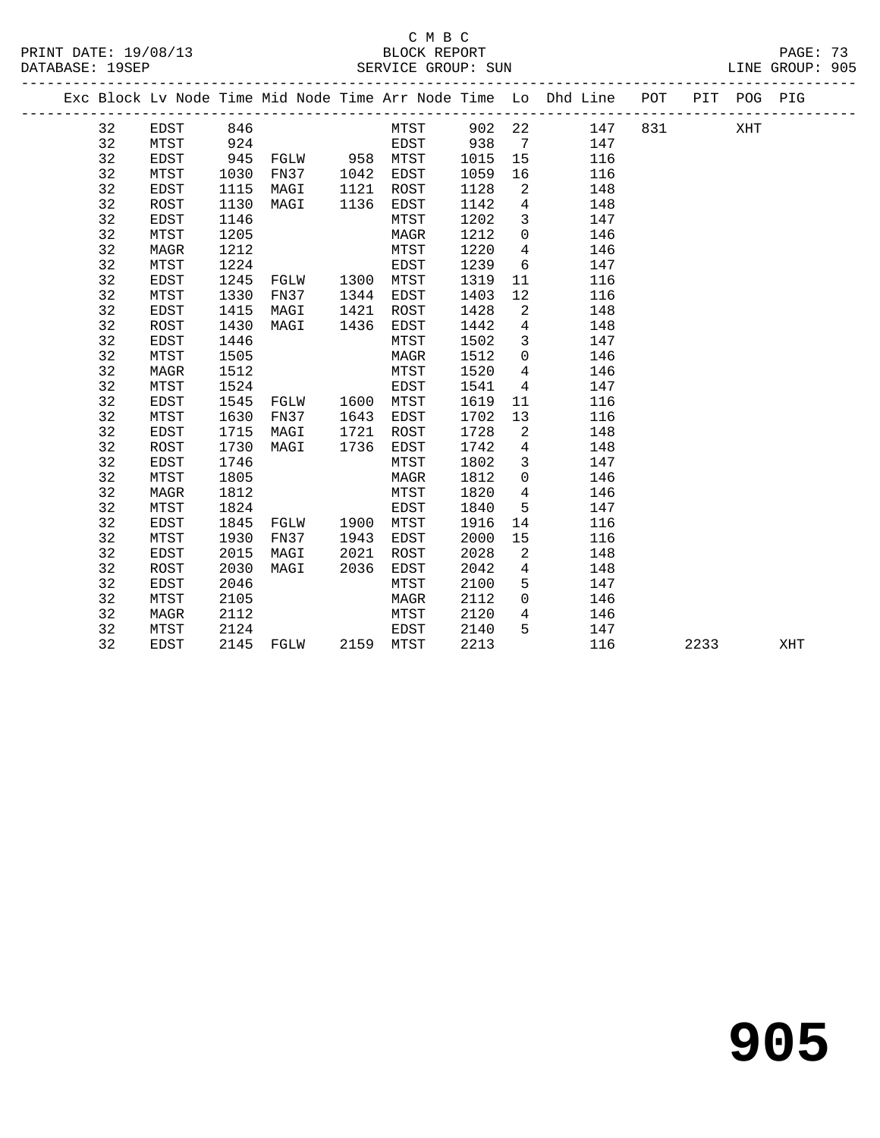PRINT DATE: 19/08/13 BLOCK REPORT PAGE: 73 DATABASE: 19SEP

## C M B C

|  | DAIABASL 195LF |      |      |      |      | SEKVICE GKOUP. SUN |      |             |                                                                |     |     |         | LINE GROUP. 905 |  |
|--|----------------|------|------|------|------|--------------------|------|-------------|----------------------------------------------------------------|-----|-----|---------|-----------------|--|
|  |                |      |      |      |      |                    |      |             | Exc Block Lv Node Time Mid Node Time Arr Node Time Lo Dhd Line | POT | PIT | POG PIG |                 |  |
|  | 32             | EDST | 846  |      |      | MTST               | 902  | 22          | 147                                                            | 831 |     | XHT     |                 |  |
|  | 32             | MTST | 924  |      |      | EDST               | 938  | 7           | 147                                                            |     |     |         |                 |  |
|  | 32             | EDST | 945  | FGLW | 958  | MTST               | 1015 | 15          | 116                                                            |     |     |         |                 |  |
|  | 32             | MTST | 1030 | FN37 | 1042 | EDST               | 1059 | 16          | 116                                                            |     |     |         |                 |  |
|  | 32             | EDST | 1115 | MAGI | 1121 | ROST               | 1128 | -2          | 148                                                            |     |     |         |                 |  |
|  | 32             | ROST | 1130 | MAGI | 1136 | EDST               | 1142 | 4           | 148                                                            |     |     |         |                 |  |
|  | 32             | EDST | 1146 |      |      | MTST               | 1202 | 3           | 147                                                            |     |     |         |                 |  |
|  | 32             | MTST | 1205 |      |      | MAGR               | 1212 | $\mathbf 0$ | 146                                                            |     |     |         |                 |  |
|  | 32             | MAGR | 1212 |      |      | MTST               | 1220 | 4           | 146                                                            |     |     |         |                 |  |
|  | 32             | MTST | 1224 |      |      | EDST               | 1239 | 6           | 147                                                            |     |     |         |                 |  |
|  | 32             | EDST | 1245 | FGLW | 1300 | MTST               | 1319 | -11         | 116                                                            |     |     |         |                 |  |
|  | 32             | MTST | 1330 | FN37 | 1344 | EDST               | 1403 | 12          | 116                                                            |     |     |         |                 |  |

| 32 | MTST | 1330 | FN37 | 1344 | EDST | 1403 | 12             | 116 |      |     |
|----|------|------|------|------|------|------|----------------|-----|------|-----|
| 32 | EDST | 1415 | MAGI | 1421 | ROST | 1428 | $\overline{2}$ | 148 |      |     |
| 32 | ROST | 1430 | MAGI | 1436 | EDST | 1442 | 4              | 148 |      |     |
| 32 | EDST | 1446 |      |      | MTST | 1502 | 3              | 147 |      |     |
| 32 | MTST | 1505 |      |      | MAGR | 1512 | 0              | 146 |      |     |
| 32 | MAGR | 1512 |      |      | MTST | 1520 | 4              | 146 |      |     |
| 32 | MTST | 1524 |      |      | EDST | 1541 | 4              | 147 |      |     |
| 32 | EDST | 1545 | FGLW | 1600 | MTST | 1619 | 11             | 116 |      |     |
| 32 | MTST | 1630 | FN37 | 1643 | EDST | 1702 | 13             | 116 |      |     |
| 32 | EDST | 1715 | MAGI | 1721 | ROST | 1728 | 2              | 148 |      |     |
| 32 | ROST | 1730 | MAGI | 1736 | EDST | 1742 | 4              | 148 |      |     |
| 32 | EDST | 1746 |      |      | MTST | 1802 | 3              | 147 |      |     |
| 32 | MTST | 1805 |      |      | MAGR | 1812 | 0              | 146 |      |     |
| 32 | MAGR | 1812 |      |      | MTST | 1820 | 4              | 146 |      |     |
| 32 | MTST | 1824 |      |      | EDST | 1840 | 5              | 147 |      |     |
| 32 | EDST | 1845 | FGLW | 1900 | MTST | 1916 | 14             | 116 |      |     |
| 32 | MTST | 1930 | FN37 | 1943 | EDST | 2000 | 15             | 116 |      |     |
| 32 | EDST | 2015 | MAGI | 2021 | ROST | 2028 | $\overline{2}$ | 148 |      |     |
| 32 | ROST | 2030 | MAGI | 2036 | EDST | 2042 | 4              | 148 |      |     |
| 32 | EDST | 2046 |      |      | MTST | 2100 | 5              | 147 |      |     |
| 32 | MTST | 2105 |      |      | MAGR | 2112 | 0              | 146 |      |     |
| 32 | MAGR | 2112 |      |      | MTST | 2120 | 4              | 146 |      |     |
| 32 | MTST | 2124 |      |      | EDST | 2140 | 5              | 147 |      |     |
| 32 | EDST | 2145 | FGLW | 2159 | MTST | 2213 |                | 116 | 2233 | XHT |
|    |      |      |      |      |      |      |                |     |      |     |

**905**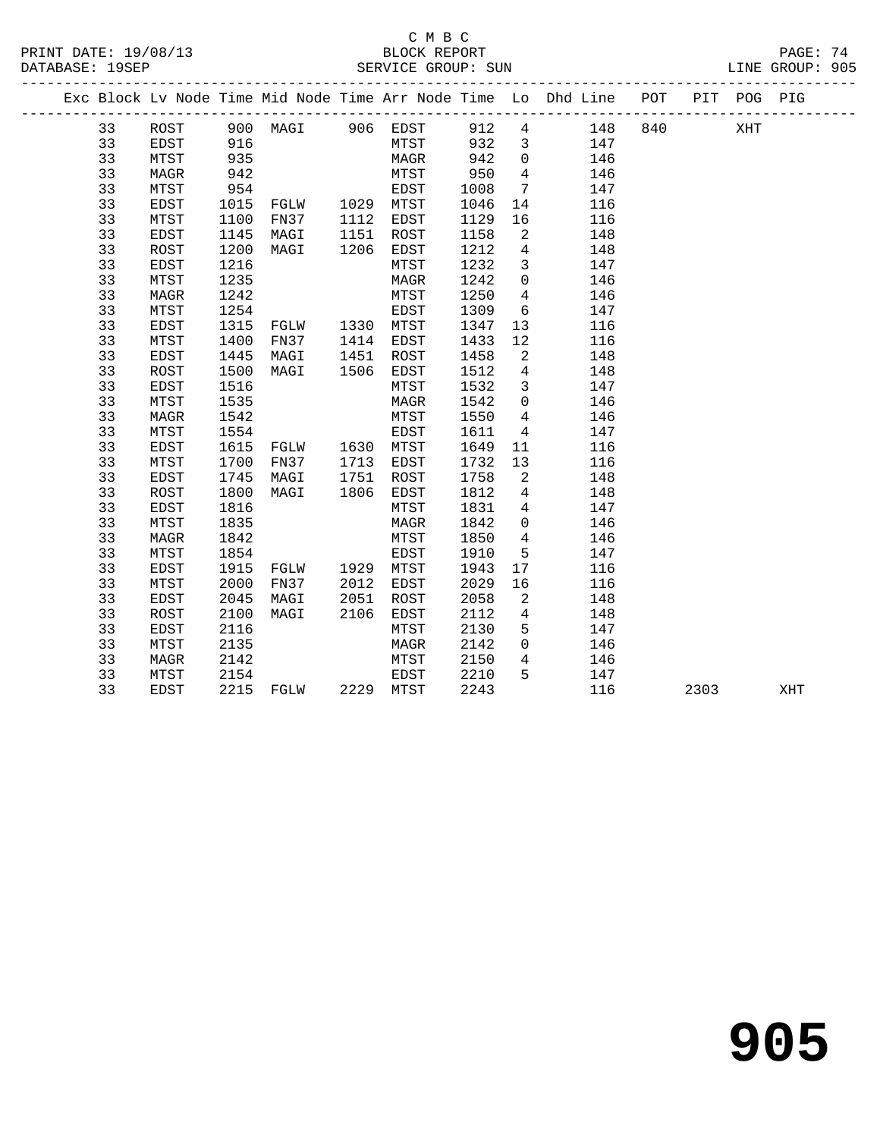#### C M B C<br>BLOCK REPORT SERVICE GROUP: SUN

|    |             |      |                                |      |           |      |                            | Exc Block Lv Node Time Mid Node Time Arr Node Time Lo Dhd Line POT |     | PIT POG PIG |  |
|----|-------------|------|--------------------------------|------|-----------|------|----------------------------|--------------------------------------------------------------------|-----|-------------|--|
| 33 | ROST        |      | 900 MAGI 906 EDST              |      |           | 912  |                            | $4\overline{ }$<br>148                                             | 840 | XHT         |  |
| 33 | EDST        | 916  |                                |      | MTST      | 932  | $\overline{\mathbf{3}}$    | 147                                                                |     |             |  |
| 33 | MTST        | 935  |                                |      | MAGR      | 942  | $\overline{0}$             | 146                                                                |     |             |  |
| 33 | MAGR        | 942  |                                |      | MTST      | 950  | $4\overline{4}$            | 146                                                                |     |             |  |
| 33 | MTST        | 954  |                                |      | EDST      | 1008 | $7\phantom{.0}$            | 147                                                                |     |             |  |
| 33 | EDST        | 1015 | FGLW 1029 MTST                 |      |           | 1046 | 14                         | 116                                                                |     |             |  |
| 33 | MTST        | 1100 | FN37 1112                      |      | EDST      | 1129 | 16                         | 116                                                                |     |             |  |
| 33 | EDST        | 1145 | MAGI                           | 1151 | ROST      | 1158 | 2                          | 148                                                                |     |             |  |
| 33 | ROST        | 1200 | MAGI                           | 1206 | EDST      | 1212 | $\overline{4}$             | 148                                                                |     |             |  |
| 33 | EDST        | 1216 |                                |      | MTST      | 1232 | $\mathbf{3}$               | 147                                                                |     |             |  |
| 33 | MTST        | 1235 |                                |      | MAGR      | 1242 | $\overline{0}$             | 146                                                                |     |             |  |
| 33 | MAGR        | 1242 |                                |      | MTST      | 1250 | $4\overline{ }$            | 146                                                                |     |             |  |
| 33 | MTST        | 1254 |                                |      | EDST      | 1309 | 6                          | 147                                                                |     |             |  |
| 33 | EDST        | 1315 | FGLW 1330 MTST                 |      |           | 1347 | 13                         | 116                                                                |     |             |  |
| 33 | MTST        | 1400 | FN37                           |      | 1414 EDST | 1433 | 12                         | 116                                                                |     |             |  |
| 33 | EDST        | 1445 | MAGI                           | 1451 | ROST      | 1458 | $\overline{a}$             | 148                                                                |     |             |  |
| 33 | ROST        | 1500 | MAGI                           | 1506 | EDST      | 1512 | $\overline{4}$             | 148                                                                |     |             |  |
| 33 | EDST        | 1516 |                                |      | MTST      | 1532 | $\mathbf{3}$               | 147                                                                |     |             |  |
| 33 | MTST        | 1535 |                                |      | MAGR      | 1542 | $\overline{0}$             | 146                                                                |     |             |  |
| 33 | MAGR        | 1542 |                                |      | MTST      | 1550 | $4\overline{ }$            | 146                                                                |     |             |  |
| 33 | MTST        | 1554 | MISI<br>EDST<br>FGLW 1630 MTST |      |           | 1611 | $\overline{4}$             | 147                                                                |     |             |  |
| 33 | EDST        | 1615 |                                |      |           | 1649 | 11                         | 116                                                                |     |             |  |
| 33 | MTST        | 1700 | FN37                           | 1713 | EDST      | 1732 | 13                         | 116                                                                |     |             |  |
| 33 | EDST        | 1745 | MAGI                           | 1751 | ROST      | 1758 | $\overline{\phantom{a}}^2$ | 148                                                                |     |             |  |
| 33 | ROST        | 1800 | MAGI                           | 1806 | EDST      | 1812 | $\overline{4}$             | 148                                                                |     |             |  |
| 33 | EDST        | 1816 |                                |      | MTST      | 1831 | $4\overline{ }$            | 147                                                                |     |             |  |
| 33 | MTST        | 1835 |                                |      | MAGR      | 1842 | $\overline{0}$             | 146                                                                |     |             |  |
| 33 | <b>MAGR</b> | 1842 |                                |      | MTST      | 1850 | $\overline{4}$             | 146                                                                |     |             |  |
| 33 | MTST        | 1854 |                                |      | EDST      | 1910 | 5                          | 147                                                                |     |             |  |
| 33 | EDST        | 1915 | FGLW 1929 MTST                 |      |           | 1943 | 17                         | 116                                                                |     |             |  |
| 33 | MTST        | 2000 | FN37                           | 2012 | EDST      | 2029 | 16                         | 116                                                                |     |             |  |
| 33 | EDST        | 2045 | MAGI                           | 2051 | ROST      | 2058 | $\overline{2}$             | 148                                                                |     |             |  |
| 33 | ROST        | 2100 | MAGI                           | 2106 | EDST      | 2112 | $\overline{4}$             | 148                                                                |     |             |  |
| 33 | EDST        | 2116 |                                |      | MTST      | 2130 | 5                          | 147                                                                |     |             |  |
| 33 | MTST        | 2135 |                                |      | MAGR      | 2142 | $\overline{0}$             | 146                                                                |     |             |  |
| 33 | MAGR        | 2142 |                                |      | MTST      | 2150 | $4\overline{ }$            | 146                                                                |     |             |  |
| 33 | MTST        | 2154 |                                |      | EDST      | 2210 | 5                          | 147                                                                |     |             |  |

33 EDST 2215 FGLW 2229 MTST 2243 116 2303 XHT

# **905**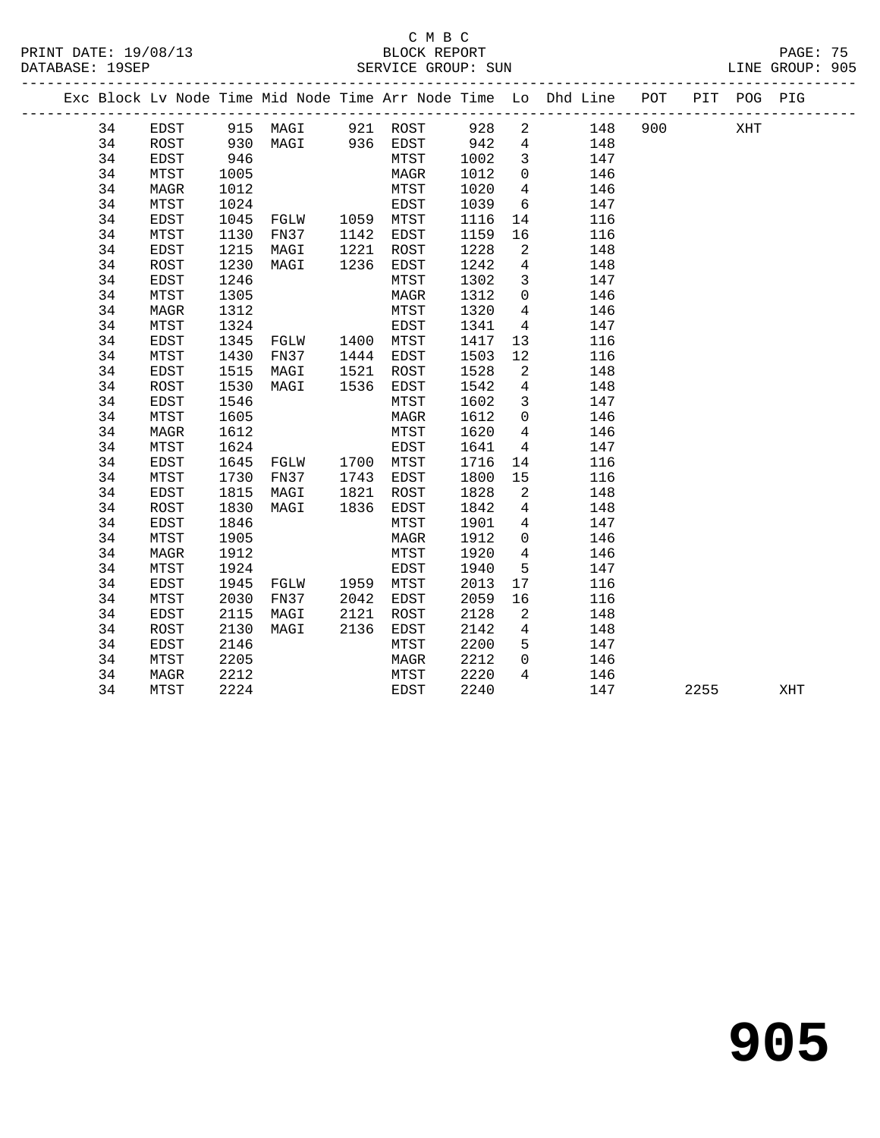|  |    |             |      |                                                    |      |           |      |                         | Exc Block Lv Node Time Mid Node Time Arr Node Time Lo Dhd Line POT |     |      | PIT POG PIG |     |
|--|----|-------------|------|----------------------------------------------------|------|-----------|------|-------------------------|--------------------------------------------------------------------|-----|------|-------------|-----|
|  | 34 | EDST        |      | 915 MAGI 921 ROST 928                              |      |           |      | $\overline{a}$          | 148                                                                | 900 |      | XHT         |     |
|  | 34 | ROST        |      |                                                    |      |           |      | $\overline{4}$          | 148                                                                |     |      |             |     |
|  | 34 | EDST        |      |                                                    |      |           |      | $\overline{\mathbf{3}}$ | 147                                                                |     |      |             |     |
|  | 34 | MTST        | 1005 |                                                    |      | MAGR      | 1012 | $\overline{0}$          | 146                                                                |     |      |             |     |
|  | 34 | MAGR        | 1012 |                                                    |      | MTST      | 1020 | $\overline{4}$          | 146                                                                |     |      |             |     |
|  | 34 | MTST        | 1024 |                                                    |      | EDST      | 1039 | 6                       | 147                                                                |     |      |             |     |
|  | 34 | EDST        | 1045 | FGLW 1059 MTST<br>FN37 1142 EDST                   |      |           | 1116 | 14                      | 116                                                                |     |      |             |     |
|  | 34 | MTST        | 1130 |                                                    |      |           | 1159 | 16                      | 116                                                                |     |      |             |     |
|  | 34 | EDST        | 1215 | MAGI                                               |      | 1221 ROST | 1228 | $\overline{2}$          | 148                                                                |     |      |             |     |
|  | 34 | ROST        | 1230 | MAGI                                               |      | 1236 EDST | 1242 | $\overline{4}$          | 148                                                                |     |      |             |     |
|  | 34 | EDST        | 1246 |                                                    |      | MTST      | 1302 | $\mathbf{3}$            | 147                                                                |     |      |             |     |
|  | 34 | MTST        | 1305 |                                                    |      | MAGR      | 1312 | $\overline{0}$          | 146                                                                |     |      |             |     |
|  | 34 | MAGR        | 1312 |                                                    |      | MTST      | 1320 | $\overline{4}$          | 146                                                                |     |      |             |     |
|  | 34 | MTST        | 1324 |                                                    |      | EDST      | 1341 | $\overline{4}$          | 147                                                                |     |      |             |     |
|  | 34 | EDST        | 1345 | FGLW 1400 MTST                                     |      |           | 1417 | 13                      | 116                                                                |     |      |             |     |
|  | 34 | MTST        | 1430 | FN37 1444 EDST                                     |      |           | 1503 | 12                      | 116                                                                |     |      |             |     |
|  | 34 | EDST        | 1515 | MAGI                                               |      | 1521 ROST | 1528 | $\overline{2}$          | 148                                                                |     |      |             |     |
|  | 34 | ROST        | 1530 | MAGI 1536 EDST                                     |      |           | 1542 | $\overline{4}$          | 148                                                                |     |      |             |     |
|  | 34 | EDST        | 1546 |                                                    |      | MTST      | 1602 | $\overline{\mathbf{3}}$ | 147                                                                |     |      |             |     |
|  | 34 | MTST        | 1605 |                                                    |      | MAGR      | 1612 | $\overline{0}$          | 146                                                                |     |      |             |     |
|  | 34 | MAGR        | 1612 |                                                    |      | MTST      | 1620 | $\overline{4}$          | 146                                                                |     |      |             |     |
|  | 34 | MTST        | 1624 |                                                    |      | EDST      | 1641 | $\overline{4}$          | 147                                                                |     |      |             |     |
|  | 34 | EDST        | 1645 | FGLW 1700 MTST<br>FN37 1743 EDST<br>MAGI 1821 ROST |      |           | 1716 | 14                      | 116                                                                |     |      |             |     |
|  | 34 | MTST        | 1730 |                                                    |      |           | 1800 | 15                      | 116                                                                |     |      |             |     |
|  | 34 | EDST        | 1815 |                                                    |      |           | 1828 | $\overline{\mathbf{2}}$ | 148                                                                |     |      |             |     |
|  | 34 | ROST        | 1830 | MAGI                                               |      | 1836 EDST | 1842 | $\overline{4}$          | 148                                                                |     |      |             |     |
|  | 34 | <b>EDST</b> | 1846 |                                                    |      | MTST      | 1901 | $\overline{4}$          | 147                                                                |     |      |             |     |
|  | 34 | MTST        | 1905 |                                                    |      | MAGR      | 1912 | $\Omega$                | 146                                                                |     |      |             |     |
|  | 34 | MAGR        | 1912 |                                                    |      | MTST      | 1920 | $\overline{4}$          | 146                                                                |     |      |             |     |
|  | 34 | MTST        | 1924 |                                                    |      | EDST      | 1940 | 5                       | 147                                                                |     |      |             |     |
|  | 34 | EDST        | 1945 | FGLW 1959 MTST                                     |      |           | 2013 | 17                      | 116                                                                |     |      |             |     |
|  | 34 | MTST        | 2030 | FN37                                               |      | 2042 EDST | 2059 | 16                      | 116                                                                |     |      |             |     |
|  | 34 | EDST        | 2115 | MAGI                                               | 2121 | ROST      | 2128 | 2                       | 148                                                                |     |      |             |     |
|  | 34 | ROST        | 2130 | MAGI                                               |      | 2136 EDST | 2142 | $4\overline{ }$         | 148                                                                |     |      |             |     |
|  | 34 | EDST        | 2146 |                                                    |      | MTST      | 2200 | 5 <sup>5</sup>          | 147                                                                |     |      |             |     |
|  | 34 | MTST        | 2205 |                                                    |      | MAGR      | 2212 | $\overline{0}$          | 146                                                                |     |      |             |     |
|  | 34 | MAGR        | 2212 |                                                    |      | MTST      | 2220 | 4                       | 146                                                                |     |      |             |     |
|  | 34 | MTST        | 2224 |                                                    |      | EDST      | 2240 |                         | 147                                                                |     | 2255 |             | XHT |
|  |    |             |      |                                                    |      |           |      |                         |                                                                    |     |      |             |     |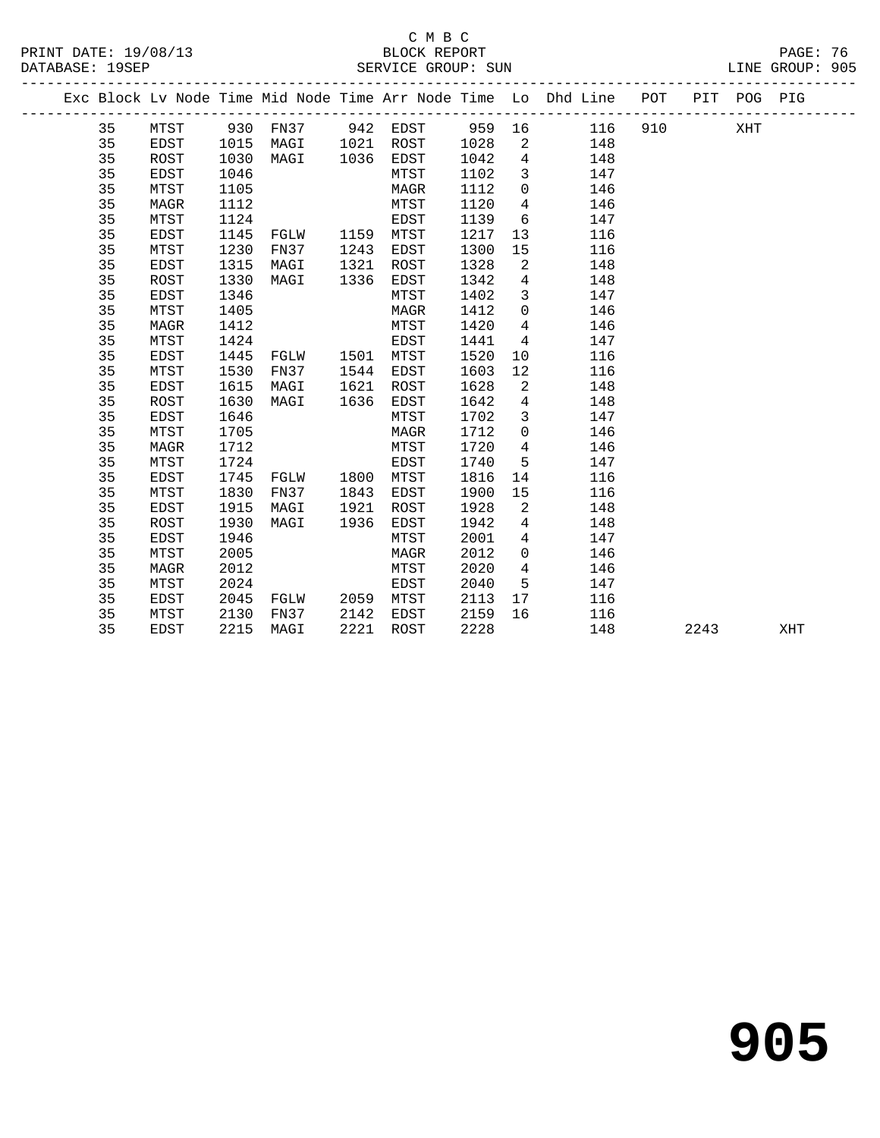#### C M B C<br>BLOCK REPORT DATABASE: 19SEP SERVICE GROUP: SUN SERVICE GROUP: SUN

 35 MTST 1124 EDST 1139 6 147 35 EDST 1145 FGLW 1159 MTST 1217 13 116 35 MTST 1230 FN37 1243 EDST 1300 15 116 35 EDST 1315 MAGI 1321 ROST 1328 2 148 35 ROST 1330 MAGI 1336 EDST 1342 4 148 35 EDST 1346 MTST 1402 3 147

35 MAGR 1412 MTST 1420 4 146

|    |      |      |      | Exc Block Ly Node Time Mid Node Time Arr Node Time Lo Dhd Line |      |      |      |     | POT | PIT | POG | PTG |
|----|------|------|------|----------------------------------------------------------------|------|------|------|-----|-----|-----|-----|-----|
| 35 | MTST | 930  | FN37 | 942                                                            | EDST | 959  | - 16 | 116 | 910 |     | XHT |     |
| 35 | EDST | 1015 | MAGI | 1021                                                           | ROST | 1028 | - 2  | 148 |     |     |     |     |
| 35 | ROST | 1030 | MAGI | 1036                                                           | EDST | 1042 | 4    | 148 |     |     |     |     |
| 35 | EDST | 1046 |      |                                                                | MTST | 1102 |      | 147 |     |     |     |     |
| 35 | MTST | 1105 |      |                                                                | MAGR | 1112 | 0    | 146 |     |     |     |     |
| 35 | MAGR | 1112 |      |                                                                | MTST | 1120 |      | 146 |     |     |     |     |

35 EDST 1346 MTST 1402 3 147<br>35 MTST 1405 MAGR 1412 0 146<br>35 MTST 1405 MAGR 1412 0 146<br>35 MTST 1424 EDST 1441 4 147<br>35 EDST 1445 FGLW 1501 MTST 1520 10 116<br>35 MTST 1530 FN37 1544 EDST 1603 12 116<br>35 EDST 1615 MAGI 1621 ROS 35 MTST 1424 EDST 1441 4 147 35 EDST 1445 FGLW 1501 MTST 1520 10 116 35 MTST 1530 FN37 1544 EDST 1603 12 116 35 EDST 1615 MAGI 1621 ROST 1628 2 148 35 ROST 1630 MAGI 1636 EDST 1642 4 148 35 EDST 1646 MTST 1702 3 147 35 MTST 1705 MAGR 1712 0 146 35 MAGR 1712 MTST 1720 4 146 35 MTST 1724 EDST 1740 5 147 35 EDST 1745 FGLW 1800 MTST 1816 14 116 35 MTST 1830 FN37 1843 EDST 1900 15 116 35 EDST 1915 MAGI 1921 ROST 1928 2 148 35 ROST 1930 MAGI 1936 EDST 1942 4 148 35 EDST 1946 MTST 2001 4 147 35 MTST 2005 MAGR 2012 0 146 35 MAGR 2012 MTST 2020 4 146 35 MTST 2024 EDST 2040 5 147 35 EDST 2045 FGLW 2059 MTST 2113 17 116 35 MTST 2130 FN37 2142 EDST 2159 16 116 35 EDST 2215 MAGI 2221 ROST 2228 148 2243 XHT

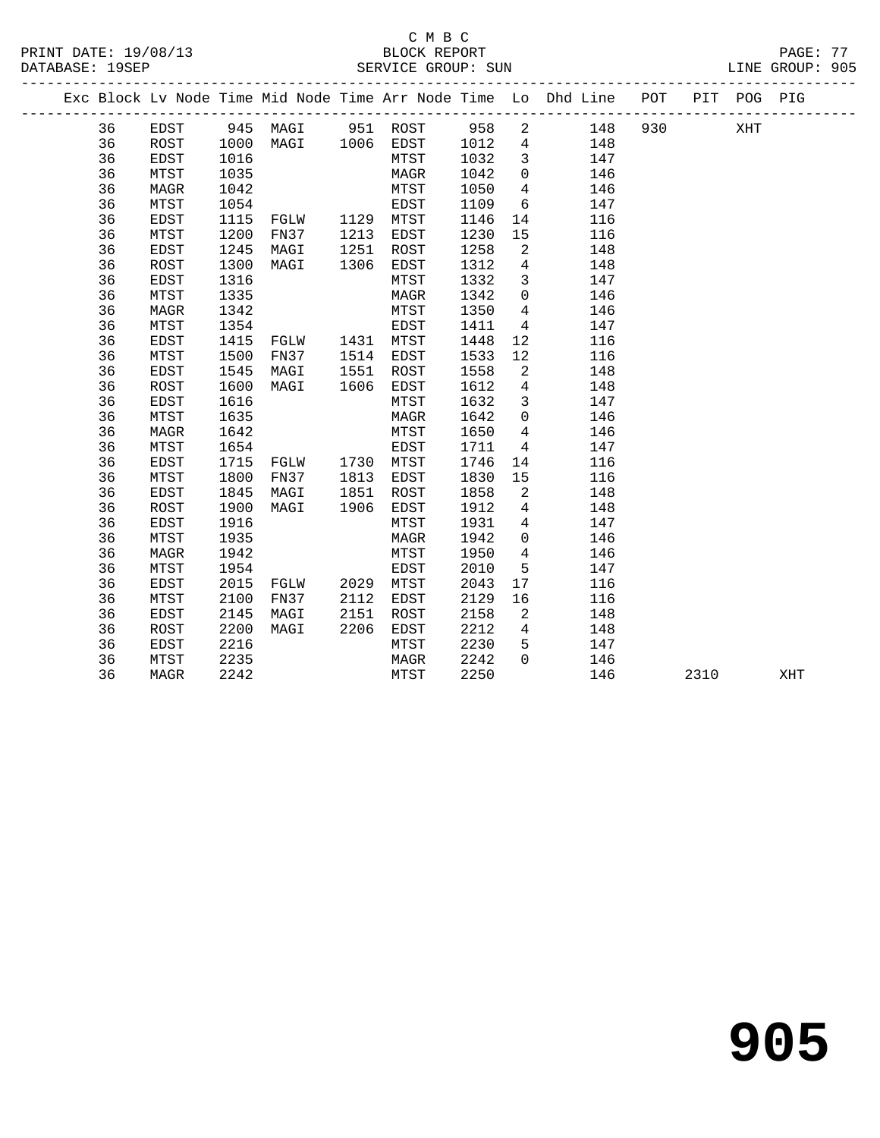|          |                     |              |                       |              |              |              |                 | Exc Block Lv Node Time Mid Node Time Arr Node Time Lo Dhd Line POT |     |      | PIT POG PIG |     |
|----------|---------------------|--------------|-----------------------|--------------|--------------|--------------|-----------------|--------------------------------------------------------------------|-----|------|-------------|-----|
| 36       | EDST                |              | 945 MAGI 951 ROST 958 |              |              |              | $\overline{a}$  | 148                                                                | 930 |      | XHT         |     |
| 36       | ROST                | 1000         | MAGI 1006 EDST        |              |              | 1012         | $\overline{4}$  | 148                                                                |     |      |             |     |
| 36       | EDST                | 1016         |                       |              | MTST         | 1032         | $\overline{3}$  | 147                                                                |     |      |             |     |
| 36       | MTST                | 1035         |                       |              | MAGR         | 1042         | $\mathsf{O}$    | 146                                                                |     |      |             |     |
| 36       | MAGR                | 1042         |                       |              | MTST         | 1050         | $\overline{4}$  | 146                                                                |     |      |             |     |
| 36       | MTST                | 1054         |                       |              | EDST         | 1109         | 6               | 147                                                                |     |      |             |     |
| 36       | EDST                | 1115         | FGLW 1129 MTST        |              |              | 1146         | 14              | 116                                                                |     |      |             |     |
| 36       | MTST                | 1200         | FN37                  | 1213         | EDST         | 1230         | 15              | 116                                                                |     |      |             |     |
| 36       | EDST                | 1245         | MAGI                  | 1251         | ROST         | 1258         | 2               | 148                                                                |     |      |             |     |
| 36       | ROST                | 1300         | MAGI                  | 1306         | EDST         | 1312         | $4\overline{ }$ | 148                                                                |     |      |             |     |
| 36       | <b>EDST</b>         | 1316         |                       |              | MTST         | 1332         | $\mathbf{3}$    | 147                                                                |     |      |             |     |
| 36       | MTST                | 1335         |                       |              | MAGR         | 1342         | $\overline{0}$  | 146                                                                |     |      |             |     |
| 36       | MAGR                | 1342         |                       |              | MTST         | 1350         | $4\overline{ }$ | 146                                                                |     |      |             |     |
| 36       | MTST                | 1354         |                       |              | EDST         | 1411         | $\overline{4}$  | 147                                                                |     |      |             |     |
| 36       | EDST                | 1415         | FGLW 1431 MTST        |              |              | 1448         | 12              | 116                                                                |     |      |             |     |
| 36       | MTST                | 1500         | FN37                  |              | 1514 EDST    | 1533         | 12              | 116                                                                |     |      |             |     |
| 36       | EDST                | 1545         | MAGI                  | 1551         | ROST         | 1558         | 2               | 148                                                                |     |      |             |     |
| 36       | ROST                | 1600         | MAGI                  | 1606         | EDST         | 1612         | $4\overline{ }$ | 148                                                                |     |      |             |     |
| 36       | EDST                | 1616         |                       |              | MTST         | 1632         | $\overline{3}$  | 147                                                                |     |      |             |     |
| 36       | MTST                | 1635         |                       |              | MAGR         | 1642         | $\overline{0}$  | 146                                                                |     |      |             |     |
| 36       | MAGR                | 1642         |                       |              | MTST         | 1650         | $\overline{4}$  | 146                                                                |     |      |             |     |
| 36       | MTST                | 1654         |                       |              | EDST         | 1711         | $\overline{4}$  | 147                                                                |     |      |             |     |
| 36       | EDST                | 1715         | FGLW 1730 MTST        |              |              | 1746         | 14              | 116                                                                |     |      |             |     |
| 36       | MTST                | 1800         | FN37                  |              | 1813 EDST    | 1830         | 15              | 116                                                                |     |      |             |     |
| 36       | EDST                | 1845         | MAGI                  | 1851         | ROST         | 1858         | 2               | 148                                                                |     |      |             |     |
| 36       | ROST                | 1900         | MAGI                  | 1906         | EDST         | 1912         | $4\overline{ }$ | 148                                                                |     |      |             |     |
| 36       | EDST                | 1916         |                       |              | MTST         | 1931         | $\overline{4}$  | 147                                                                |     |      |             |     |
| 36       | MTST                | 1935         |                       |              | MAGR         | 1942         | $\overline{0}$  | 146                                                                |     |      |             |     |
| 36       | MAGR                | 1942         |                       |              | MTST         | 1950         | $4\overline{ }$ | 146                                                                |     |      |             |     |
| 36       | MTST                | 1954         |                       |              | EDST         | 2010         | 5               | 147                                                                |     |      |             |     |
| 36       | EDST                | 2015         | FGLW                  | 2029<br>2112 | MTST         | 2043         | 17              | 116                                                                |     |      |             |     |
| 36<br>36 | MTST                | 2100<br>2145 | FN37<br>MAGI          | 2151         | EDST         | 2129<br>2158 | 16<br>2         | 116<br>148                                                         |     |      |             |     |
| 36       | EDST<br><b>ROST</b> | 2200         | MAGI                  | 2206         | ROST         | 2212         | $\overline{4}$  | 148                                                                |     |      |             |     |
| 36       | EDST                | 2216         |                       |              | EDST<br>MTST | 2230         | 5               | 147                                                                |     |      |             |     |
| 36       | MTST                | 2235         |                       |              | MAGR         | 2242         | $\Omega$        | 146                                                                |     |      |             |     |
| 36       | MAGR                | 2242         |                       |              | MTST         | 2250         |                 | 146                                                                |     | 2310 |             | XHT |
|          |                     |              |                       |              |              |              |                 |                                                                    |     |      |             |     |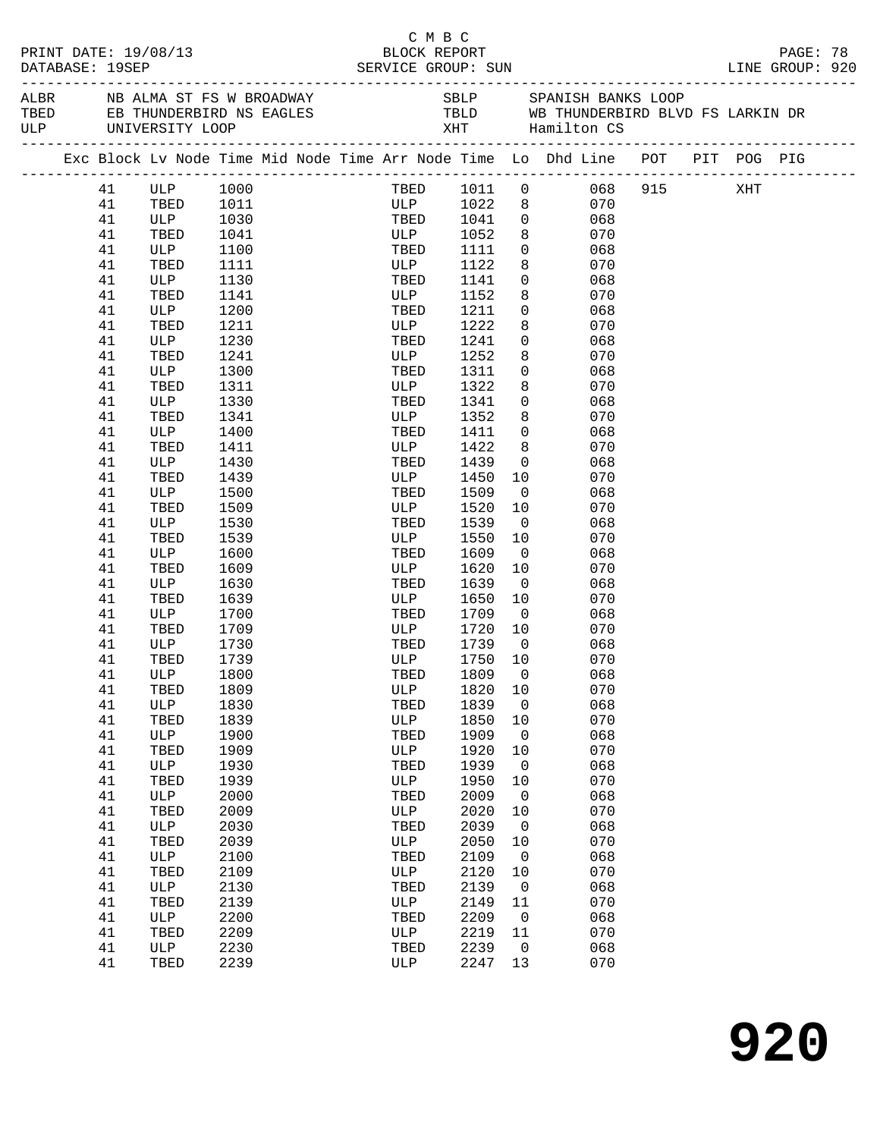| DATABASE: 19SEP |    | PRINT DATE: 19/08/13                                                                  |      |  | C M B C<br>BLOCK REPORT<br>SERVICE GROUP: SUN                                                                |         |                |                         |     |  | PAGE: 78<br>LINE GROUP: 920 |  |
|-----------------|----|---------------------------------------------------------------------------------------|------|--|--------------------------------------------------------------------------------------------------------------|---------|----------------|-------------------------|-----|--|-----------------------------|--|
|                 |    | ALBR NB ALMA ST FS W BROADWAY<br>TBED EB THUNDERBIRD NS EAGLES<br>ULP UNIVERSITY LOOP |      |  | SBLP         SPANISH BANKS LOOP<br>TBLD         WB THUNDERBIRD BLVD FS LARKIN DR<br>XHT          Hamilton CS |         |                |                         |     |  |                             |  |
|                 |    |                                                                                       |      |  | Exc Block Lv Node Time Mid Node Time Arr Node Time Lo Dhd Line POT PIT POG PIG                               |         |                |                         |     |  |                             |  |
|                 | 41 | ULP                                                                                   | 1000 |  |                                                                                                              |         |                | TBED 1011 0 068 915 XHT |     |  |                             |  |
|                 | 41 | TBED                                                                                  | 1011 |  | ULP 1022 8                                                                                                   |         |                |                         | 070 |  |                             |  |
|                 | 41 | ULP                                                                                   | 1030 |  | TBED                                                                                                         | 1041    |                | $\overline{0}$          | 068 |  |                             |  |
|                 | 41 | TBED                                                                                  | 1041 |  | ULP<br>TRED                                                                                                  | 1052    | 8              |                         | 070 |  |                             |  |
|                 | 41 | ULP                                                                                   | 1100 |  | TBED                                                                                                         | 1111    | $\overline{0}$ | 068                     |     |  |                             |  |
|                 | 41 | TBED                                                                                  | 1111 |  | <b>ULP</b>                                                                                                   | 1122    | 8              | 070                     |     |  |                             |  |
|                 | 41 | ULP                                                                                   | 1130 |  | TBED                                                                                                         | 1141    | $\mathsf{O}$   | 068                     |     |  |                             |  |
|                 | 41 | TBED                                                                                  | 1141 |  | ULP                                                                                                          | 1152    | 8              | 070                     |     |  |                             |  |
|                 | 41 | ULP                                                                                   | 1200 |  | TBED                                                                                                         | 1211    | $\overline{0}$ | 068                     |     |  |                             |  |
|                 | 41 | TBED                                                                                  | 1211 |  | ULP                                                                                                          | 1222    | 8              | 070                     |     |  |                             |  |
|                 | 41 | ULP                                                                                   | 1230 |  | TBED                                                                                                         | 1241    | $\mathsf{O}$   | 068                     |     |  |                             |  |
|                 | 41 | TBED                                                                                  | 1241 |  | ULP                                                                                                          | 1252    | 8              | 070                     |     |  |                             |  |
|                 | 41 | ULP                                                                                   | 1300 |  | TBED                                                                                                         | 1311    | $\overline{0}$ | 068                     |     |  |                             |  |
|                 | 41 | TBED                                                                                  | 1311 |  | ULP                                                                                                          | 1322    | 8              |                         | 070 |  |                             |  |
|                 | 41 | ULP                                                                                   | 1330 |  | TBED                                                                                                         | 1341    | $\mathsf{O}$   |                         | 068 |  |                             |  |
|                 | 41 | TBED                                                                                  | 1341 |  | ULP                                                                                                          | 1352    | 8              | 070                     |     |  |                             |  |
|                 | 41 | ULP                                                                                   | 1400 |  | TBED                                                                                                         | 1411    | $\overline{0}$ | 068                     |     |  |                             |  |
|                 | 41 | TBED                                                                                  | 1411 |  | ULP                                                                                                          | 1422    | 8              | 070                     |     |  |                             |  |
|                 | 41 | ULP                                                                                   | 1430 |  | TBED                                                                                                         | 1439    | $\overline{0}$ |                         | 068 |  |                             |  |
|                 | 41 | TBED                                                                                  | 1439 |  | ULP                                                                                                          | 1450    | 10             | 070                     |     |  |                             |  |
|                 | 41 | ULP                                                                                   | 1500 |  | TBED                                                                                                         | 1509    | $\overline{0}$ | 068                     |     |  |                             |  |
|                 | 41 | TBED                                                                                  | 1509 |  | ULP                                                                                                          | 1520    | 10             |                         | 070 |  |                             |  |
|                 | 41 | ULP                                                                                   | 1530 |  | TBED                                                                                                         | 1539    | $\overline{0}$ |                         | 068 |  |                             |  |
|                 | 41 | TBED                                                                                  | 1539 |  | ULP                                                                                                          | 1550    | 10             |                         | 070 |  |                             |  |
|                 | 41 | ULP                                                                                   | 1600 |  | TBED                                                                                                         | 1609    | $\overline{0}$ |                         | 068 |  |                             |  |
|                 | 41 | TBED                                                                                  | 1609 |  | ULP                                                                                                          | 1620    | 10             |                         | 070 |  |                             |  |
|                 | 41 | ULP                                                                                   | 1630 |  | TBED                                                                                                         | 1639    | $\overline{0}$ |                         | 068 |  |                             |  |
|                 | 41 | TBED                                                                                  | 1639 |  | ULP                                                                                                          | 1650    | 10             |                         | 070 |  |                             |  |
|                 | 41 | ULP                                                                                   | 1700 |  | TBED                                                                                                         | 1709    | $\overline{0}$ | 068                     |     |  |                             |  |
|                 | 41 | TBED                                                                                  | 1709 |  | ULP                                                                                                          | 1720    | 10             | 070                     |     |  |                             |  |
|                 | 41 | ULP                                                                                   | 1730 |  | TBED                                                                                                         | 1739    | $\overline{0}$ | 068                     |     |  |                             |  |
|                 | 41 | TBED                                                                                  | 1739 |  | ULP                                                                                                          | 1750 10 |                |                         | 070 |  |                             |  |
|                 | 41 | ULP                                                                                   | 1800 |  | TBED                                                                                                         | 1809 0  |                | 068                     |     |  |                             |  |
|                 | 41 | TBED                                                                                  | 1809 |  | ULP                                                                                                          | 1820    | 10             |                         | 070 |  |                             |  |
|                 | 41 | ULP                                                                                   | 1830 |  | TBED                                                                                                         | 1839    | 0              |                         | 068 |  |                             |  |
|                 | 41 | TBED                                                                                  | 1839 |  | ULP                                                                                                          | 1850    | 10             |                         | 070 |  |                             |  |
|                 | 41 | ULP                                                                                   | 1900 |  | TBED                                                                                                         | 1909    | 0              |                         | 068 |  |                             |  |
|                 | 41 | TBED                                                                                  | 1909 |  | $_{\rm ULP}$                                                                                                 | 1920    | 10             |                         | 070 |  |                             |  |
|                 | 41 | $_{\rm ULP}$                                                                          | 1930 |  | TBED                                                                                                         | 1939    | 0              |                         | 068 |  |                             |  |
|                 | 41 | TBED                                                                                  | 1939 |  | ULP                                                                                                          | 1950    | 10             |                         | 070 |  |                             |  |
|                 | 41 | ULP                                                                                   | 2000 |  | TBED                                                                                                         | 2009    | 0              |                         | 068 |  |                             |  |
|                 | 41 | TBED                                                                                  | 2009 |  | $_{\rm ULP}$                                                                                                 | 2020    | 10             |                         | 070 |  |                             |  |
|                 | 41 | ULP                                                                                   | 2030 |  | TBED                                                                                                         | 2039    | 0              |                         | 068 |  |                             |  |
|                 | 41 | TBED                                                                                  | 2039 |  | ULP                                                                                                          | 2050    | 10             |                         | 070 |  |                             |  |
|                 | 41 | ULP                                                                                   | 2100 |  | TBED                                                                                                         | 2109    | 0              |                         | 068 |  |                             |  |
|                 | 41 | TBED                                                                                  | 2109 |  | $_{\rm ULP}$                                                                                                 | 2120    | 10             |                         | 070 |  |                             |  |
|                 | 41 | ULP                                                                                   | 2130 |  | TBED                                                                                                         | 2139    | 0              |                         | 068 |  |                             |  |
|                 | 41 | TBED                                                                                  | 2139 |  | ULP                                                                                                          | 2149    | 11             |                         | 070 |  |                             |  |
|                 | 41 | ULP                                                                                   | 2200 |  | TBED                                                                                                         | 2209    | 0              |                         | 068 |  |                             |  |
|                 | 41 | TBED                                                                                  | 2209 |  | $_{\rm ULP}$                                                                                                 | 2219    | 11             |                         | 070 |  |                             |  |
|                 | 41 | ULP                                                                                   | 2230 |  | TBED                                                                                                         | 2239    | 0              |                         | 068 |  |                             |  |
|                 | 41 | TBED                                                                                  | 2239 |  | ULP                                                                                                          | 2247    | 13             |                         | 070 |  |                             |  |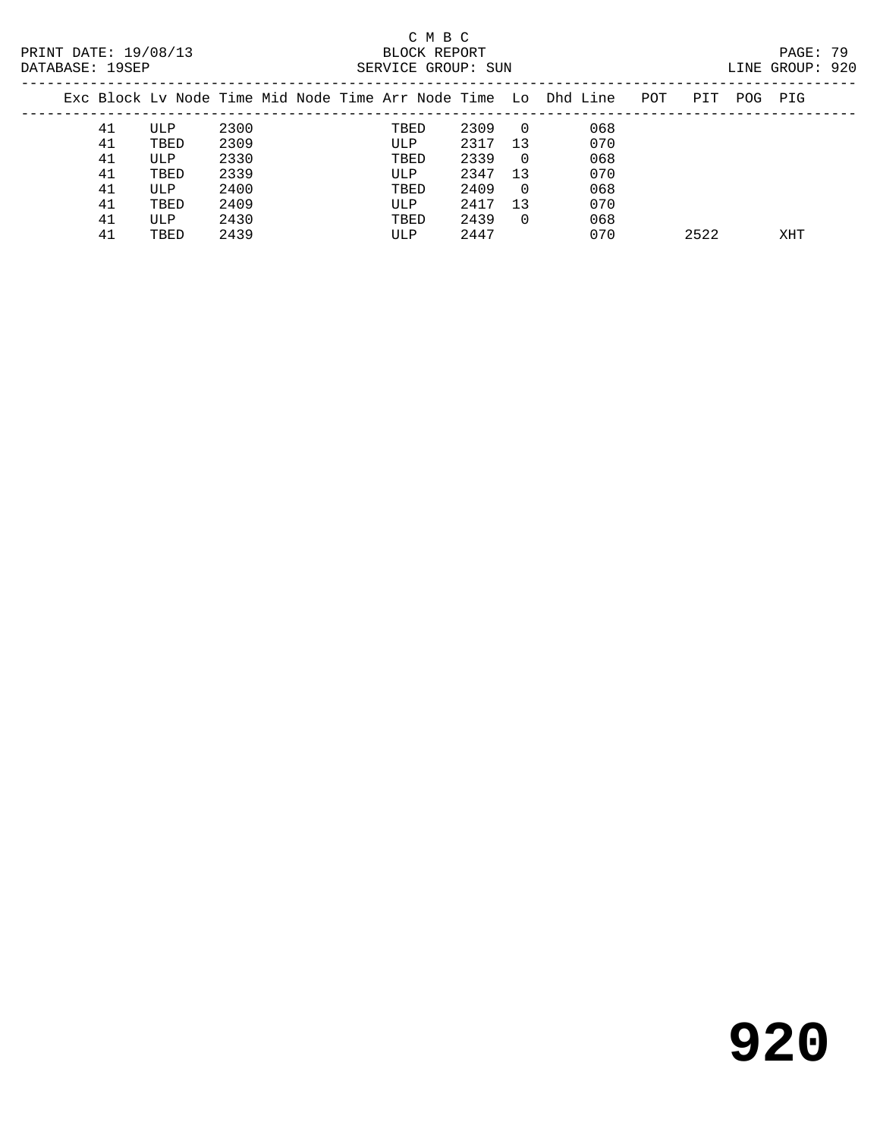| DAIADAOE: IJOEF |    |      |      |  | DEILVILLE GILOUF · DUIN |      |                |                                                                |     |      |         | LINE GROUP · JAV |  |
|-----------------|----|------|------|--|-------------------------|------|----------------|----------------------------------------------------------------|-----|------|---------|------------------|--|
|                 |    |      |      |  |                         |      |                | Exc Block Ly Node Time Mid Node Time Arr Node Time Lo Dhd Line | POT | PIT  | POG PIG |                  |  |
|                 | 41 | ULP  | 2300 |  | TBED                    | 2309 | $\overline{0}$ | 068                                                            |     |      |         |                  |  |
|                 | 41 | TBED | 2309 |  | ULP                     | 2317 | -13            | 070                                                            |     |      |         |                  |  |
|                 | 41 | ULP  | 2330 |  | TBED                    | 2339 | - 0            | 068                                                            |     |      |         |                  |  |
|                 | 41 | TBED | 2339 |  | ULP                     | 2347 | 13             | 070                                                            |     |      |         |                  |  |
|                 | 41 | ULP  | 2400 |  | TBED                    | 2409 | $\Omega$       | 068                                                            |     |      |         |                  |  |
|                 | 41 | TBED | 2409 |  | ULP                     | 2417 | 13             | 070                                                            |     |      |         |                  |  |
|                 | 41 | ULP  | 2430 |  | TBED                    | 2439 | $\Omega$       | 068                                                            |     |      |         |                  |  |
|                 | 41 | TBED | 2439 |  | ULP                     | 2447 |                | 070                                                            |     | 2522 |         | XHT              |  |
|                 |    |      |      |  |                         |      |                |                                                                |     |      |         |                  |  |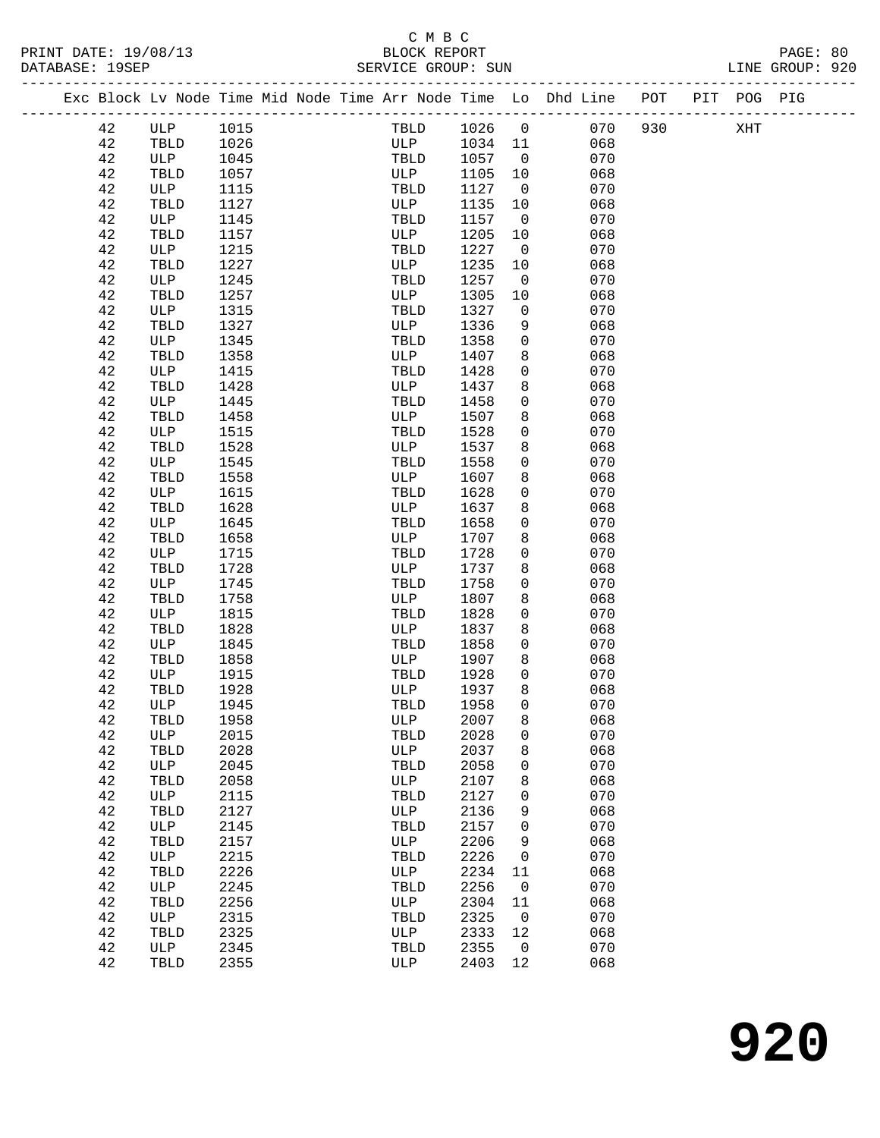|  |             |                                |      |  |      |     |         |                | Exc Block Lv Node Time Mid Node Time Arr Node Time Lo Dhd Line POT |     | PIT POG PIG |  |
|--|-------------|--------------------------------|------|--|------|-----|---------|----------------|--------------------------------------------------------------------|-----|-------------|--|
|  | 42          | ULP                            | 1015 |  | TBLD |     | 1026    | $\overline{0}$ | 070                                                                | 930 | XHT         |  |
|  | 42          | TBLD                           | 1026 |  | ULP  |     | 1034 11 |                | 068                                                                |     |             |  |
|  | 42          | ULP                            | 1045 |  | TBLD |     | 1057    | $\overline{0}$ | 070                                                                |     |             |  |
|  | 42          | TBLD                           | 1057 |  | ULP  |     | 1105    | 10             | 068                                                                |     |             |  |
|  | 42          | ULP                            | 1115 |  | TBLD |     | 1127    | $\overline{0}$ | 070                                                                |     |             |  |
|  | 42          | TBLD                           | 1127 |  | ULP  |     | 1135    | 10             | 068                                                                |     |             |  |
|  | 42          | ULP                            | 1145 |  | TBLD |     | 1157    | $\overline{0}$ | 070                                                                |     |             |  |
|  | 42          | TBLD                           | 1157 |  | ULP  |     | 1205    | 10             | 068                                                                |     |             |  |
|  | 42          | ULP                            | 1215 |  | TBLD |     | 1227    | $\overline{0}$ | 070                                                                |     |             |  |
|  | 42          | TBLD                           | 1227 |  | ULP  |     | 1235    | 10             | 068                                                                |     |             |  |
|  | 42          | ULP                            | 1245 |  | TBLD |     | 1257    | $\overline{0}$ | 070                                                                |     |             |  |
|  | 42          | $\operatorname{\mathsf{TBLD}}$ | 1257 |  | ULP  |     | 1305    | 10             | 068                                                                |     |             |  |
|  | 42          | ULP                            | 1315 |  | TBLD |     | 1327    | $\mathsf{O}$   | 070                                                                |     |             |  |
|  | 42          | TBLD                           | 1327 |  | ULP  |     | 1336    | 9              | 068                                                                |     |             |  |
|  | 42          | ULP                            | 1345 |  | TBLD |     | 1358    | 0              | 070                                                                |     |             |  |
|  | 42          | TBLD                           | 1358 |  | ULP  |     | 1407    | 8              | 068                                                                |     |             |  |
|  | 42          | ULP                            | 1415 |  | TBLD |     | 1428    | 0              | 070                                                                |     |             |  |
|  | 42          | TBLD                           | 1428 |  | ULP  |     | 1437    | 8              | 068                                                                |     |             |  |
|  | 42          | ULP                            | 1445 |  | TBLD |     | 1458    | 0              | 070                                                                |     |             |  |
|  | 42          | TBLD                           | 1458 |  | ULP  |     | 1507    | 8              | 068                                                                |     |             |  |
|  | 42          | ULP                            | 1515 |  | TBLD |     | 1528    | 0              | 070                                                                |     |             |  |
|  | 42          | TBLD                           | 1528 |  | ULP  |     | 1537    | 8              | 068                                                                |     |             |  |
|  | 42          | ULP                            | 1545 |  | TBLD |     | 1558    | 0              | 070                                                                |     |             |  |
|  | 42          | TBLD                           | 1558 |  | ULP  |     | 1607    | 8              | 068                                                                |     |             |  |
|  | 42          | ULP                            | 1615 |  | TBLD |     | 1628    | $\mathbf 0$    | 070                                                                |     |             |  |
|  | 42          | TBLD                           | 1628 |  | ULP  |     | 1637    | 8              | 068                                                                |     |             |  |
|  | 42          | ULP                            | 1645 |  | TBLD |     | 1658    | $\mathbf{0}$   | 070                                                                |     |             |  |
|  | 42          | TBLD                           | 1658 |  | ULP  |     | 1707    | 8              | 068                                                                |     |             |  |
|  | 42          | ULP                            | 1715 |  | TBLD |     | 1728    | 0              | 070                                                                |     |             |  |
|  | 42          | TBLD                           | 1728 |  | ULP  |     | 1737    | 8              | 068                                                                |     |             |  |
|  | 42          | ULP                            | 1745 |  | TBLD |     | 1758    | 0              | 070                                                                |     |             |  |
|  | 42          | TBLD                           | 1758 |  | ULP  |     | 1807    | 8              | 068                                                                |     |             |  |
|  | 42          | ULP                            | 1815 |  | TBLD |     | 1828    | 0              | 070                                                                |     |             |  |
|  | 42          | TBLD                           | 1828 |  | ULP  |     | 1837    | 8              | 068                                                                |     |             |  |
|  | 42          | ULP                            | 1845 |  | TBLD |     | 1858    | 0              | 070                                                                |     |             |  |
|  | 42          | TBLD                           | 1858 |  | ULP  |     | 1907    | 8              | 068                                                                |     |             |  |
|  | 42          | ULP                            | 1915 |  | TBLD |     | 1928    | 0              | 070                                                                |     |             |  |
|  | 42          | TBLD                           | 1928 |  | ULP  |     | 1937    | 8              | 068                                                                |     |             |  |
|  | 42          | ULP                            | 1945 |  | TBLD |     | 1958    | $\mathbf 0$    | 070                                                                |     |             |  |
|  | 42          | TBLD                           | 1958 |  |      | ULP | 2007    | 8              | 068                                                                |     |             |  |
|  | 42          | ULP                            | 2015 |  | TBLD |     | 2028    | 0              | 070                                                                |     |             |  |
|  | 42          | TBLD                           | 2028 |  | ULP  |     | 2037    | 8              | 068                                                                |     |             |  |
|  | 42          | ULP                            | 2045 |  | TBLD |     | 2058    | 0              | 070                                                                |     |             |  |
|  | 42          | TBLD                           | 2058 |  | ULP  |     | 2107    | 8              | 068                                                                |     |             |  |
|  | 42          | ULP                            | 2115 |  | TBLD |     | 2127    | 0              | 070                                                                |     |             |  |
|  | 42          | TBLD                           | 2127 |  | ULP  |     | 2136    | 9              | 068                                                                |     |             |  |
|  | 42          | ULP                            | 2145 |  | TBLD |     | 2157    | 0              | 070                                                                |     |             |  |
|  | 42          | TBLD                           | 2157 |  | ULP  |     | 2206    | 9              | 068                                                                |     |             |  |
|  | 42          | ULP                            | 2215 |  | TBLD |     | 2226    | 0              | 070                                                                |     |             |  |
|  | 42          | TBLD                           | 2226 |  | ULP  |     | 2234    | 11             | 068                                                                |     |             |  |
|  | 42          | ULP                            | 2245 |  | TBLD |     | 2256    | $\mathsf{O}$   | 070                                                                |     |             |  |
|  | $4\sqrt{2}$ | TBLD                           | 2256 |  | ULP  |     | 2304    | 11             | 068                                                                |     |             |  |
|  | 42          | ULP                            | 2315 |  | TBLD |     | 2325    | $\overline{0}$ | 070                                                                |     |             |  |
|  | 42          | TBLD                           | 2325 |  | ULP  |     | 2333    | 12             | 068                                                                |     |             |  |
|  | 42          | ULP                            | 2345 |  | TBLD |     | 2355    | $\overline{0}$ | 070                                                                |     |             |  |
|  | 42          | TBLD                           | 2355 |  | ULP  |     | 2403 12 |                | 068                                                                |     |             |  |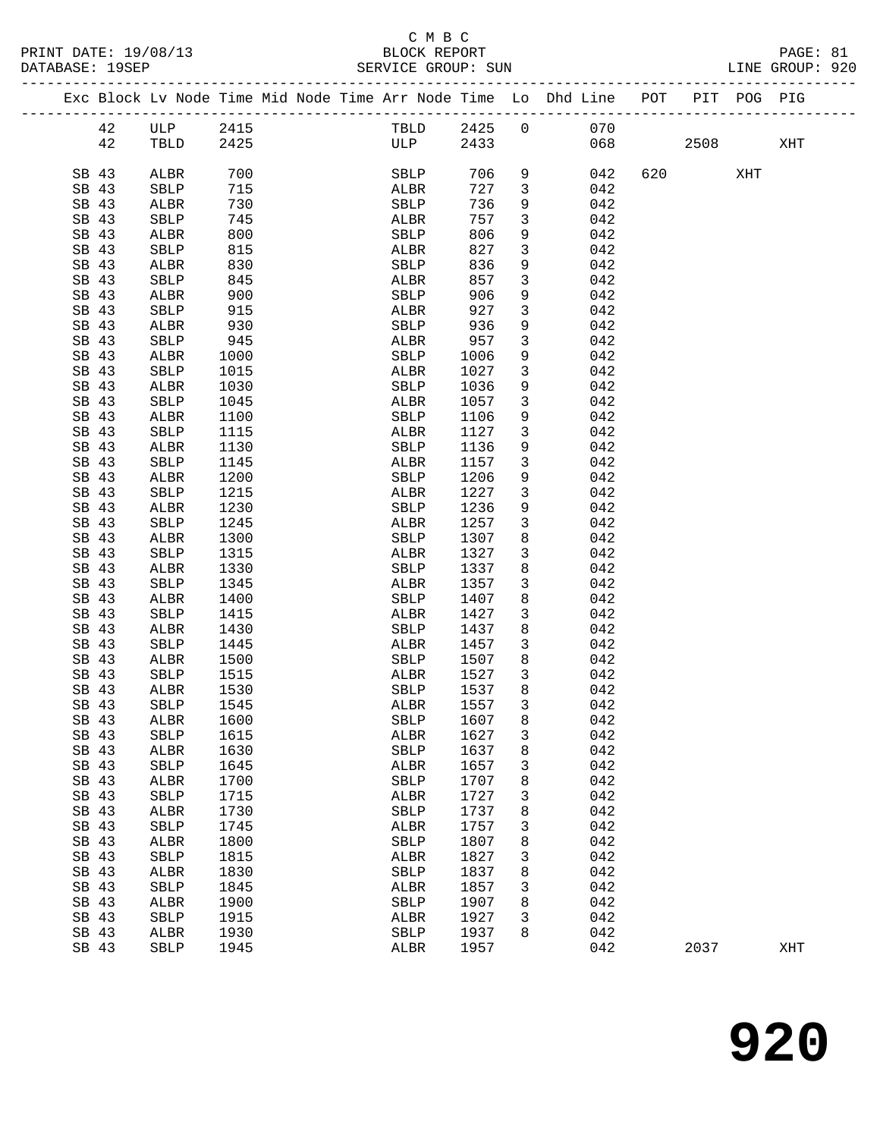#### C M B C PRINT DATE: 19/08/13 BLOCK REPORT BATABASE: 19SEP

| PRINT DATE: 19/08/13<br>DATABASE: 19SEP |       |              |      |                                                                                |      | U M D U<br>BLOCK REPORT | SERVICE GROUP: SUN |                         |       |                 |         |      | PAGE: 81<br>LINE GROUP: 920 |  |
|-----------------------------------------|-------|--------------|------|--------------------------------------------------------------------------------|------|-------------------------|--------------------|-------------------------|-------|-----------------|---------|------|-----------------------------|--|
|                                         |       |              |      | Exc Block Lv Node Time Mid Node Time Arr Node Time Lo Dhd Line POT PIT POG PIG |      |                         |                    |                         |       |                 |         |      |                             |  |
|                                         | 42    | ULP          | 2415 |                                                                                |      |                         |                    |                         |       | TBLD 2425 0 070 |         |      |                             |  |
|                                         | 42    | TBLD         | 2425 |                                                                                |      | ULP                     |                    |                         |       | 2433 068        |         | 2508 | XHT                         |  |
|                                         | SB 43 | ALBR         | 700  |                                                                                |      | SBLP                    |                    |                         | 706 9 | 042             | 620 000 | XHT  |                             |  |
|                                         | SB 43 | SBLP         | 715  |                                                                                | ALBR |                         | 727                | $\overline{\mathbf{3}}$ |       | 042             |         |      |                             |  |
|                                         | SB 43 | ALBR         | 730  |                                                                                | SBLP |                         | 736                | 9                       |       | 042             |         |      |                             |  |
|                                         | SB 43 | SBLP         | 745  |                                                                                | ALBR |                         | 757                | $\mathbf{3}$            |       | 042             |         |      |                             |  |
|                                         | SB 43 | ALBR         | 800  |                                                                                | SBLP |                         | 806                | 9                       |       | 042             |         |      |                             |  |
|                                         | SB 43 | SBLP         | 815  |                                                                                | ALBR |                         | 827                | $\mathbf{3}$            |       | 042             |         |      |                             |  |
|                                         | SB 43 | ALBR         | 830  |                                                                                | SBLP |                         | 836                | 9                       |       | 042             |         |      |                             |  |
|                                         | SB 43 | SBLP         | 845  |                                                                                | ALBR |                         | 857                | $\mathbf{3}$            |       | 042             |         |      |                             |  |
|                                         | SB 43 | ALBR         | 900  |                                                                                | SBLP |                         | 906                | 9                       |       | 042             |         |      |                             |  |
|                                         | SB 43 | SBLP         | 915  |                                                                                | ALBR |                         | 927                | $\mathbf{3}$            |       | 042             |         |      |                             |  |
|                                         | SB 43 | ALBR         | 930  |                                                                                | SBLP |                         | 936                | 9                       |       | 042             |         |      |                             |  |
|                                         | SB 43 | SBLP         | 945  |                                                                                | ALBR |                         | 957                | $\mathbf{3}$            |       | 042             |         |      |                             |  |
|                                         | SB 43 | ALBR         | 1000 |                                                                                | SBLP |                         | 1006               | 9                       |       | 042             |         |      |                             |  |
|                                         | SB 43 | SBLP         | 1015 |                                                                                | ALBR |                         | 1027               | $\mathbf{3}$            |       | 042             |         |      |                             |  |
|                                         | SB 43 | ALBR         | 1030 |                                                                                | SBLP |                         | 1036               | 9                       |       | 042             |         |      |                             |  |
|                                         | SB 43 | SBLP         | 1045 |                                                                                | ALBR |                         | 1057               | $\mathbf{3}$            |       | 042             |         |      |                             |  |
|                                         | SB 43 | ALBR         | 1100 |                                                                                | SBLP |                         | 1106               | 9                       |       | 042             |         |      |                             |  |
|                                         | SB 43 | SBLP         | 1115 |                                                                                | ALBR |                         | 1127               | $\mathbf{3}$            |       | 042             |         |      |                             |  |
|                                         | SB 43 | ALBR         | 1130 |                                                                                | SBLP |                         | 1136               | 9                       |       | 042             |         |      |                             |  |
|                                         | SB 43 | SBLP         | 1145 |                                                                                | ALBR |                         | 1157               | $\mathbf{3}$            |       | 042             |         |      |                             |  |
|                                         | SB 43 | ALBR         | 1200 |                                                                                | SBLP |                         | 1206               | 9                       |       | 042             |         |      |                             |  |
|                                         | SB 43 | SBLP         | 1215 |                                                                                | ALBR |                         | 1227               | $\mathbf{3}$            |       | 042             |         |      |                             |  |
|                                         | SB 43 | ALBR         | 1230 |                                                                                | SBLP |                         | 1236               | 9                       |       | 042             |         |      |                             |  |
|                                         | SB 43 | SBLP         | 1245 |                                                                                | ALBR |                         | 1257               | $\mathbf{3}$            |       | 042             |         |      |                             |  |
|                                         | SB 43 | ALBR         | 1300 |                                                                                | SBLP |                         | 1307               | 8                       |       | 042             |         |      |                             |  |
|                                         | SB 43 | SBLP         | 1315 |                                                                                | ALBR |                         | 1327               | $\mathbf{3}$            |       | 042             |         |      |                             |  |
|                                         | SB 43 | ALBR         | 1330 |                                                                                | SBLP |                         | 1337               | 8                       |       | 042             |         |      |                             |  |
|                                         | SB 43 | SBLP         | 1345 |                                                                                | ALBR |                         | 1357               | 3                       |       | 042             |         |      |                             |  |
|                                         | SB 43 | ALBR         | 1400 |                                                                                | SBLP |                         | 1407               | 8                       |       | 042             |         |      |                             |  |
|                                         | SB 43 | SBLP         | 1415 |                                                                                | ALBR |                         | 1427               | $\mathbf{3}$            |       | 042             |         |      |                             |  |
|                                         | SB 43 | ALBR         | 1430 |                                                                                | SBLP |                         | 1437               | 8                       |       | 042             |         |      |                             |  |
|                                         | SB 43 | SBLP         | 1445 |                                                                                | ALBR |                         | 1457               | $\overline{3}$          |       | 042             |         |      |                             |  |
|                                         | SB 43 | ALBR         | 1500 |                                                                                | SBLP |                         | 1507               | 8                       |       | 042             |         |      |                             |  |
|                                         | SB 43 | <b>SBLP</b>  | 1515 |                                                                                | ALBR |                         | 1527               | $\overline{3}$          |       | 042             |         |      |                             |  |
|                                         | SB 43 | ALBR         | 1530 |                                                                                | SBLP |                         | 1537               | 8                       |       | 042             |         |      |                             |  |
|                                         | SB 43 | SBLP         | 1545 |                                                                                | ALBR |                         | 1557               | 3                       |       | 042             |         |      |                             |  |
|                                         | SB 43 | ${\tt ALBR}$ | 1600 |                                                                                | SBLP |                         | 1607               | 8                       |       | 042             |         |      |                             |  |
|                                         | SB 43 | SBLP         | 1615 |                                                                                | ALBR |                         | 1627               | 3                       |       | 042             |         |      |                             |  |
|                                         | SB 43 | ALBR         | 1630 |                                                                                | SBLP |                         | 1637               | 8                       |       | 042             |         |      |                             |  |
|                                         | SB 43 | SBLP         | 1645 |                                                                                | ALBR |                         | 1657               | 3                       |       | 042             |         |      |                             |  |
|                                         | SB 43 | ALBR         | 1700 |                                                                                | SBLP |                         | 1707               | 8                       |       | 042             |         |      |                             |  |
|                                         | SB 43 | SBLP         | 1715 |                                                                                | ALBR |                         | 1727               | 3                       |       | 042             |         |      |                             |  |
|                                         | SB 43 | ALBR         | 1730 |                                                                                | SBLP |                         | 1737               | 8                       |       | 042             |         |      |                             |  |
|                                         | SB 43 | SBLP         | 1745 |                                                                                | ALBR |                         | 1757               | 3                       |       | 042             |         |      |                             |  |
|                                         | SB 43 | ALBR         | 1800 |                                                                                | SBLP |                         | 1807               | 8                       |       | 042             |         |      |                             |  |
|                                         | SB 43 | SBLP         | 1815 |                                                                                | ALBR |                         | 1827               | 3                       |       | 042             |         |      |                             |  |
|                                         | SB 43 | ALBR         | 1830 |                                                                                | SBLP |                         | 1837               | 8                       |       | 042             |         |      |                             |  |
|                                         | SB 43 | SBLP         | 1845 |                                                                                | ALBR |                         | 1857               | 3                       |       | 042             |         |      |                             |  |
|                                         | SB 43 | ALBR         | 1900 |                                                                                | SBLP |                         | 1907               | 8                       |       | 042             |         |      |                             |  |
|                                         | SB 43 | SBLP         | 1915 |                                                                                | ALBR |                         | 1927               | 3                       |       | 042             |         |      |                             |  |
|                                         | SB 43 | ALBR         | 1930 |                                                                                | SBLP |                         | 1937               | 8                       |       | 042             |         |      |                             |  |
|                                         | SB 43 | SBLP         | 1945 |                                                                                | ALBR |                         | 1957               |                         |       | 042             | 2037    |      | XHT                         |  |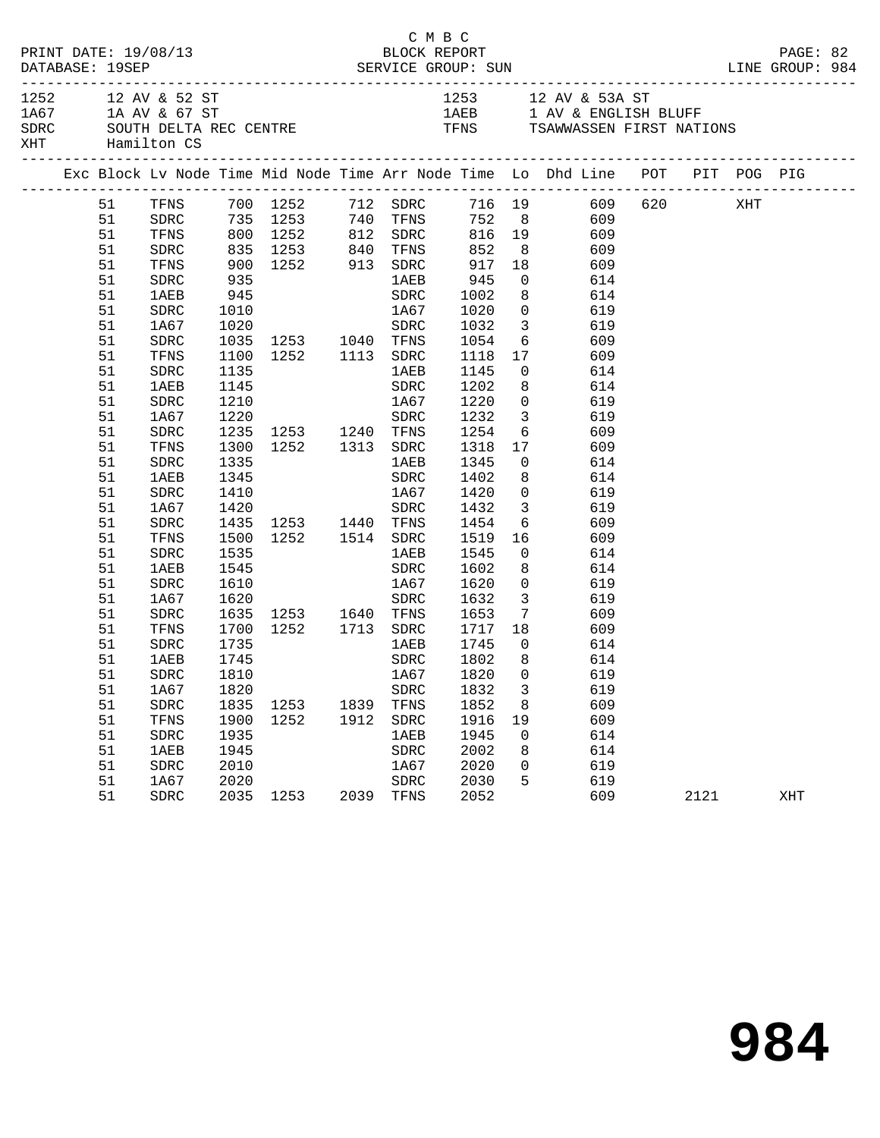| 1253 12 AV & 53A ST<br>1252 12 AV & 52 ST<br>1A67 1A AV & 67 ST<br>1AEB 1 AV & ENGLISH BLUFF<br>SDRC SOUTH DELTA REC CENTRE TENS TENS TSAWWASSEN FIRST NATIONS<br>XHT Hamilton CS<br>Exc Block Lv Node Time Mid Node Time Arr Node Time Lo Dhd Line POT PIT POG PIG<br>51 TFNS 700 1252 712 SDRC 716 19 609 620 XHT<br>51 SDRC 735 1253 740 TFNS 752 8 609<br>51 TFNS 800 1252 812 SDRC 816 19 609<br>51<br>835 1253 840 TFNS 852 8 609<br>SDRC<br>900 1252 913 SDRC<br>935 1AEB<br>917 18<br>945 0<br>51<br>TFNS<br>609<br>51<br>SDRC<br>614<br>1002<br>945<br>8 614<br>51<br>1AEB<br>SDRC<br>51<br>SDRC<br>1010<br>1A67<br>1020<br>$\overline{0}$<br>619<br>1020 SDRC<br>1035 1253 1040 TFNS<br>$\overline{\mathbf{3}}$<br>51<br>1A67<br>1032<br>1054<br>1118<br>619<br>51<br>${\tt SDRC}$<br>$6\overline{6}$<br>609<br>1100 1252 1113 SDRC<br>17 609<br>51<br>TFNS<br>51<br>1135<br>SDRC<br>1145<br>$0$ 614<br>1 AE B<br>1145<br>1202<br>1220<br>51<br>1AEB<br>SDRC<br>8<br>614<br>51<br>1210<br>$\overline{0}$<br>SDRC<br>1A67<br>619<br>3 619<br>1232<br>51<br>1A67<br>1220<br>SDRC<br>1235 1253 1240 TFNS<br>1254<br>51<br>${\tt SDRC}$<br>6 609<br>1300 1252 1313 SDRC<br>51<br>TFNS<br>1318<br>17<br>609<br>1345<br>51<br>${\tt SDRC}$<br>1335<br>1 AE B<br>$\overline{0}$<br>614<br>$\overbrace{SDRC}^{11}$<br>1402<br>8 <sup>1</sup><br>614<br>51<br>1345<br>1 AEB<br>1A67 1420<br>$\overline{0}$<br>51<br>SDRC<br>1410<br>619<br>1432<br>3 619<br>51<br>1A67<br>1420 SDRC<br>1435 1253 1440 TFNS<br>1500 1252 1514 SDRC<br>1454<br>1519<br>${\tt SDRC}$<br>$6\overline{6}$<br>51<br>609<br>16<br>51<br>TFNS<br>609<br>1545<br>$\overline{0}$<br>51<br>SDRC<br>1535<br>614<br>1AEB<br>51<br>1AEB<br>1545<br>SDRC<br>1602<br>8<br>614<br>1620<br>1632<br>51<br>SDRC<br>1610<br>1A67<br>$\overline{0}$<br>619<br>$\overline{\mathbf{3}}$<br>51<br>1A67<br>1620<br>SDRC<br>619<br>1635 1253 1640 TFNS 1653<br>$7\overline{ }$<br>51<br>SDRC<br>609<br>1252 1713 SDRC 1717 18 609<br>51<br>TFNS<br>1700<br>51<br>SDRC<br>1735<br><b>1AEB</b><br>1745<br>1802<br>$\overline{0}$<br>614<br>51<br>8 <sup>8</sup><br>1AEB<br>1745<br>SDRC<br>614<br>51 SDRC 1810 1A67 1820 0 619<br>1832<br>3<br>619<br>51<br>1A67<br>1820<br>SDRC<br>51<br>1835<br>1852<br>609<br>SDRC<br>1253<br>1839<br>TFNS<br>8<br>51<br>TFNS<br>1900<br>1252<br>1912<br>${\tt SDRC}$<br>1916<br>609<br>19<br>51<br>1935<br>1945<br>614<br>SDRC<br>1AEB<br>$\mathbf 0$<br>51<br>1945<br>2002<br>614<br><b>1AEB</b><br>SDRC<br>8<br>51<br>2010<br>2020<br>619<br>SDRC<br>1A67<br>0<br>51<br>2020<br>2030<br>5<br>619<br>1A67<br>SDRC<br>51<br>2035 1253<br>2039<br>2052<br>609<br>SDRC<br>TFNS<br>2121<br>XHT |  | DATABASE: 19SEP | PRINT DATE: 19/08/13 |  | C M B C<br>BLOCK REPORT |  |  |  | PAGE: 82 |  |
|-------------------------------------------------------------------------------------------------------------------------------------------------------------------------------------------------------------------------------------------------------------------------------------------------------------------------------------------------------------------------------------------------------------------------------------------------------------------------------------------------------------------------------------------------------------------------------------------------------------------------------------------------------------------------------------------------------------------------------------------------------------------------------------------------------------------------------------------------------------------------------------------------------------------------------------------------------------------------------------------------------------------------------------------------------------------------------------------------------------------------------------------------------------------------------------------------------------------------------------------------------------------------------------------------------------------------------------------------------------------------------------------------------------------------------------------------------------------------------------------------------------------------------------------------------------------------------------------------------------------------------------------------------------------------------------------------------------------------------------------------------------------------------------------------------------------------------------------------------------------------------------------------------------------------------------------------------------------------------------------------------------------------------------------------------------------------------------------------------------------------------------------------------------------------------------------------------------------------------------------------------------------------------------------------------------------------------------------------------------------------------------------------------------------------------------------------------------------------------------------------------------------------------------------------------------------------------------------------------------------------------------------------------------------------------------|--|-----------------|----------------------|--|-------------------------|--|--|--|----------|--|
|                                                                                                                                                                                                                                                                                                                                                                                                                                                                                                                                                                                                                                                                                                                                                                                                                                                                                                                                                                                                                                                                                                                                                                                                                                                                                                                                                                                                                                                                                                                                                                                                                                                                                                                                                                                                                                                                                                                                                                                                                                                                                                                                                                                                                                                                                                                                                                                                                                                                                                                                                                                                                                                                                     |  |                 |                      |  |                         |  |  |  |          |  |
|                                                                                                                                                                                                                                                                                                                                                                                                                                                                                                                                                                                                                                                                                                                                                                                                                                                                                                                                                                                                                                                                                                                                                                                                                                                                                                                                                                                                                                                                                                                                                                                                                                                                                                                                                                                                                                                                                                                                                                                                                                                                                                                                                                                                                                                                                                                                                                                                                                                                                                                                                                                                                                                                                     |  |                 |                      |  |                         |  |  |  |          |  |
|                                                                                                                                                                                                                                                                                                                                                                                                                                                                                                                                                                                                                                                                                                                                                                                                                                                                                                                                                                                                                                                                                                                                                                                                                                                                                                                                                                                                                                                                                                                                                                                                                                                                                                                                                                                                                                                                                                                                                                                                                                                                                                                                                                                                                                                                                                                                                                                                                                                                                                                                                                                                                                                                                     |  |                 |                      |  |                         |  |  |  |          |  |
|                                                                                                                                                                                                                                                                                                                                                                                                                                                                                                                                                                                                                                                                                                                                                                                                                                                                                                                                                                                                                                                                                                                                                                                                                                                                                                                                                                                                                                                                                                                                                                                                                                                                                                                                                                                                                                                                                                                                                                                                                                                                                                                                                                                                                                                                                                                                                                                                                                                                                                                                                                                                                                                                                     |  |                 |                      |  |                         |  |  |  |          |  |
|                                                                                                                                                                                                                                                                                                                                                                                                                                                                                                                                                                                                                                                                                                                                                                                                                                                                                                                                                                                                                                                                                                                                                                                                                                                                                                                                                                                                                                                                                                                                                                                                                                                                                                                                                                                                                                                                                                                                                                                                                                                                                                                                                                                                                                                                                                                                                                                                                                                                                                                                                                                                                                                                                     |  |                 |                      |  |                         |  |  |  |          |  |
|                                                                                                                                                                                                                                                                                                                                                                                                                                                                                                                                                                                                                                                                                                                                                                                                                                                                                                                                                                                                                                                                                                                                                                                                                                                                                                                                                                                                                                                                                                                                                                                                                                                                                                                                                                                                                                                                                                                                                                                                                                                                                                                                                                                                                                                                                                                                                                                                                                                                                                                                                                                                                                                                                     |  |                 |                      |  |                         |  |  |  |          |  |
|                                                                                                                                                                                                                                                                                                                                                                                                                                                                                                                                                                                                                                                                                                                                                                                                                                                                                                                                                                                                                                                                                                                                                                                                                                                                                                                                                                                                                                                                                                                                                                                                                                                                                                                                                                                                                                                                                                                                                                                                                                                                                                                                                                                                                                                                                                                                                                                                                                                                                                                                                                                                                                                                                     |  |                 |                      |  |                         |  |  |  |          |  |
|                                                                                                                                                                                                                                                                                                                                                                                                                                                                                                                                                                                                                                                                                                                                                                                                                                                                                                                                                                                                                                                                                                                                                                                                                                                                                                                                                                                                                                                                                                                                                                                                                                                                                                                                                                                                                                                                                                                                                                                                                                                                                                                                                                                                                                                                                                                                                                                                                                                                                                                                                                                                                                                                                     |  |                 |                      |  |                         |  |  |  |          |  |
|                                                                                                                                                                                                                                                                                                                                                                                                                                                                                                                                                                                                                                                                                                                                                                                                                                                                                                                                                                                                                                                                                                                                                                                                                                                                                                                                                                                                                                                                                                                                                                                                                                                                                                                                                                                                                                                                                                                                                                                                                                                                                                                                                                                                                                                                                                                                                                                                                                                                                                                                                                                                                                                                                     |  |                 |                      |  |                         |  |  |  |          |  |
|                                                                                                                                                                                                                                                                                                                                                                                                                                                                                                                                                                                                                                                                                                                                                                                                                                                                                                                                                                                                                                                                                                                                                                                                                                                                                                                                                                                                                                                                                                                                                                                                                                                                                                                                                                                                                                                                                                                                                                                                                                                                                                                                                                                                                                                                                                                                                                                                                                                                                                                                                                                                                                                                                     |  |                 |                      |  |                         |  |  |  |          |  |
|                                                                                                                                                                                                                                                                                                                                                                                                                                                                                                                                                                                                                                                                                                                                                                                                                                                                                                                                                                                                                                                                                                                                                                                                                                                                                                                                                                                                                                                                                                                                                                                                                                                                                                                                                                                                                                                                                                                                                                                                                                                                                                                                                                                                                                                                                                                                                                                                                                                                                                                                                                                                                                                                                     |  |                 |                      |  |                         |  |  |  |          |  |
|                                                                                                                                                                                                                                                                                                                                                                                                                                                                                                                                                                                                                                                                                                                                                                                                                                                                                                                                                                                                                                                                                                                                                                                                                                                                                                                                                                                                                                                                                                                                                                                                                                                                                                                                                                                                                                                                                                                                                                                                                                                                                                                                                                                                                                                                                                                                                                                                                                                                                                                                                                                                                                                                                     |  |                 |                      |  |                         |  |  |  |          |  |
|                                                                                                                                                                                                                                                                                                                                                                                                                                                                                                                                                                                                                                                                                                                                                                                                                                                                                                                                                                                                                                                                                                                                                                                                                                                                                                                                                                                                                                                                                                                                                                                                                                                                                                                                                                                                                                                                                                                                                                                                                                                                                                                                                                                                                                                                                                                                                                                                                                                                                                                                                                                                                                                                                     |  |                 |                      |  |                         |  |  |  |          |  |
|                                                                                                                                                                                                                                                                                                                                                                                                                                                                                                                                                                                                                                                                                                                                                                                                                                                                                                                                                                                                                                                                                                                                                                                                                                                                                                                                                                                                                                                                                                                                                                                                                                                                                                                                                                                                                                                                                                                                                                                                                                                                                                                                                                                                                                                                                                                                                                                                                                                                                                                                                                                                                                                                                     |  |                 |                      |  |                         |  |  |  |          |  |
|                                                                                                                                                                                                                                                                                                                                                                                                                                                                                                                                                                                                                                                                                                                                                                                                                                                                                                                                                                                                                                                                                                                                                                                                                                                                                                                                                                                                                                                                                                                                                                                                                                                                                                                                                                                                                                                                                                                                                                                                                                                                                                                                                                                                                                                                                                                                                                                                                                                                                                                                                                                                                                                                                     |  |                 |                      |  |                         |  |  |  |          |  |
|                                                                                                                                                                                                                                                                                                                                                                                                                                                                                                                                                                                                                                                                                                                                                                                                                                                                                                                                                                                                                                                                                                                                                                                                                                                                                                                                                                                                                                                                                                                                                                                                                                                                                                                                                                                                                                                                                                                                                                                                                                                                                                                                                                                                                                                                                                                                                                                                                                                                                                                                                                                                                                                                                     |  |                 |                      |  |                         |  |  |  |          |  |
|                                                                                                                                                                                                                                                                                                                                                                                                                                                                                                                                                                                                                                                                                                                                                                                                                                                                                                                                                                                                                                                                                                                                                                                                                                                                                                                                                                                                                                                                                                                                                                                                                                                                                                                                                                                                                                                                                                                                                                                                                                                                                                                                                                                                                                                                                                                                                                                                                                                                                                                                                                                                                                                                                     |  |                 |                      |  |                         |  |  |  |          |  |
|                                                                                                                                                                                                                                                                                                                                                                                                                                                                                                                                                                                                                                                                                                                                                                                                                                                                                                                                                                                                                                                                                                                                                                                                                                                                                                                                                                                                                                                                                                                                                                                                                                                                                                                                                                                                                                                                                                                                                                                                                                                                                                                                                                                                                                                                                                                                                                                                                                                                                                                                                                                                                                                                                     |  |                 |                      |  |                         |  |  |  |          |  |
|                                                                                                                                                                                                                                                                                                                                                                                                                                                                                                                                                                                                                                                                                                                                                                                                                                                                                                                                                                                                                                                                                                                                                                                                                                                                                                                                                                                                                                                                                                                                                                                                                                                                                                                                                                                                                                                                                                                                                                                                                                                                                                                                                                                                                                                                                                                                                                                                                                                                                                                                                                                                                                                                                     |  |                 |                      |  |                         |  |  |  |          |  |
|                                                                                                                                                                                                                                                                                                                                                                                                                                                                                                                                                                                                                                                                                                                                                                                                                                                                                                                                                                                                                                                                                                                                                                                                                                                                                                                                                                                                                                                                                                                                                                                                                                                                                                                                                                                                                                                                                                                                                                                                                                                                                                                                                                                                                                                                                                                                                                                                                                                                                                                                                                                                                                                                                     |  |                 |                      |  |                         |  |  |  |          |  |
|                                                                                                                                                                                                                                                                                                                                                                                                                                                                                                                                                                                                                                                                                                                                                                                                                                                                                                                                                                                                                                                                                                                                                                                                                                                                                                                                                                                                                                                                                                                                                                                                                                                                                                                                                                                                                                                                                                                                                                                                                                                                                                                                                                                                                                                                                                                                                                                                                                                                                                                                                                                                                                                                                     |  |                 |                      |  |                         |  |  |  |          |  |
|                                                                                                                                                                                                                                                                                                                                                                                                                                                                                                                                                                                                                                                                                                                                                                                                                                                                                                                                                                                                                                                                                                                                                                                                                                                                                                                                                                                                                                                                                                                                                                                                                                                                                                                                                                                                                                                                                                                                                                                                                                                                                                                                                                                                                                                                                                                                                                                                                                                                                                                                                                                                                                                                                     |  |                 |                      |  |                         |  |  |  |          |  |
|                                                                                                                                                                                                                                                                                                                                                                                                                                                                                                                                                                                                                                                                                                                                                                                                                                                                                                                                                                                                                                                                                                                                                                                                                                                                                                                                                                                                                                                                                                                                                                                                                                                                                                                                                                                                                                                                                                                                                                                                                                                                                                                                                                                                                                                                                                                                                                                                                                                                                                                                                                                                                                                                                     |  |                 |                      |  |                         |  |  |  |          |  |
|                                                                                                                                                                                                                                                                                                                                                                                                                                                                                                                                                                                                                                                                                                                                                                                                                                                                                                                                                                                                                                                                                                                                                                                                                                                                                                                                                                                                                                                                                                                                                                                                                                                                                                                                                                                                                                                                                                                                                                                                                                                                                                                                                                                                                                                                                                                                                                                                                                                                                                                                                                                                                                                                                     |  |                 |                      |  |                         |  |  |  |          |  |
|                                                                                                                                                                                                                                                                                                                                                                                                                                                                                                                                                                                                                                                                                                                                                                                                                                                                                                                                                                                                                                                                                                                                                                                                                                                                                                                                                                                                                                                                                                                                                                                                                                                                                                                                                                                                                                                                                                                                                                                                                                                                                                                                                                                                                                                                                                                                                                                                                                                                                                                                                                                                                                                                                     |  |                 |                      |  |                         |  |  |  |          |  |
|                                                                                                                                                                                                                                                                                                                                                                                                                                                                                                                                                                                                                                                                                                                                                                                                                                                                                                                                                                                                                                                                                                                                                                                                                                                                                                                                                                                                                                                                                                                                                                                                                                                                                                                                                                                                                                                                                                                                                                                                                                                                                                                                                                                                                                                                                                                                                                                                                                                                                                                                                                                                                                                                                     |  |                 |                      |  |                         |  |  |  |          |  |
|                                                                                                                                                                                                                                                                                                                                                                                                                                                                                                                                                                                                                                                                                                                                                                                                                                                                                                                                                                                                                                                                                                                                                                                                                                                                                                                                                                                                                                                                                                                                                                                                                                                                                                                                                                                                                                                                                                                                                                                                                                                                                                                                                                                                                                                                                                                                                                                                                                                                                                                                                                                                                                                                                     |  |                 |                      |  |                         |  |  |  |          |  |
|                                                                                                                                                                                                                                                                                                                                                                                                                                                                                                                                                                                                                                                                                                                                                                                                                                                                                                                                                                                                                                                                                                                                                                                                                                                                                                                                                                                                                                                                                                                                                                                                                                                                                                                                                                                                                                                                                                                                                                                                                                                                                                                                                                                                                                                                                                                                                                                                                                                                                                                                                                                                                                                                                     |  |                 |                      |  |                         |  |  |  |          |  |
|                                                                                                                                                                                                                                                                                                                                                                                                                                                                                                                                                                                                                                                                                                                                                                                                                                                                                                                                                                                                                                                                                                                                                                                                                                                                                                                                                                                                                                                                                                                                                                                                                                                                                                                                                                                                                                                                                                                                                                                                                                                                                                                                                                                                                                                                                                                                                                                                                                                                                                                                                                                                                                                                                     |  |                 |                      |  |                         |  |  |  |          |  |
|                                                                                                                                                                                                                                                                                                                                                                                                                                                                                                                                                                                                                                                                                                                                                                                                                                                                                                                                                                                                                                                                                                                                                                                                                                                                                                                                                                                                                                                                                                                                                                                                                                                                                                                                                                                                                                                                                                                                                                                                                                                                                                                                                                                                                                                                                                                                                                                                                                                                                                                                                                                                                                                                                     |  |                 |                      |  |                         |  |  |  |          |  |
|                                                                                                                                                                                                                                                                                                                                                                                                                                                                                                                                                                                                                                                                                                                                                                                                                                                                                                                                                                                                                                                                                                                                                                                                                                                                                                                                                                                                                                                                                                                                                                                                                                                                                                                                                                                                                                                                                                                                                                                                                                                                                                                                                                                                                                                                                                                                                                                                                                                                                                                                                                                                                                                                                     |  |                 |                      |  |                         |  |  |  |          |  |
|                                                                                                                                                                                                                                                                                                                                                                                                                                                                                                                                                                                                                                                                                                                                                                                                                                                                                                                                                                                                                                                                                                                                                                                                                                                                                                                                                                                                                                                                                                                                                                                                                                                                                                                                                                                                                                                                                                                                                                                                                                                                                                                                                                                                                                                                                                                                                                                                                                                                                                                                                                                                                                                                                     |  |                 |                      |  |                         |  |  |  |          |  |
|                                                                                                                                                                                                                                                                                                                                                                                                                                                                                                                                                                                                                                                                                                                                                                                                                                                                                                                                                                                                                                                                                                                                                                                                                                                                                                                                                                                                                                                                                                                                                                                                                                                                                                                                                                                                                                                                                                                                                                                                                                                                                                                                                                                                                                                                                                                                                                                                                                                                                                                                                                                                                                                                                     |  |                 |                      |  |                         |  |  |  |          |  |
|                                                                                                                                                                                                                                                                                                                                                                                                                                                                                                                                                                                                                                                                                                                                                                                                                                                                                                                                                                                                                                                                                                                                                                                                                                                                                                                                                                                                                                                                                                                                                                                                                                                                                                                                                                                                                                                                                                                                                                                                                                                                                                                                                                                                                                                                                                                                                                                                                                                                                                                                                                                                                                                                                     |  |                 |                      |  |                         |  |  |  |          |  |
|                                                                                                                                                                                                                                                                                                                                                                                                                                                                                                                                                                                                                                                                                                                                                                                                                                                                                                                                                                                                                                                                                                                                                                                                                                                                                                                                                                                                                                                                                                                                                                                                                                                                                                                                                                                                                                                                                                                                                                                                                                                                                                                                                                                                                                                                                                                                                                                                                                                                                                                                                                                                                                                                                     |  |                 |                      |  |                         |  |  |  |          |  |
|                                                                                                                                                                                                                                                                                                                                                                                                                                                                                                                                                                                                                                                                                                                                                                                                                                                                                                                                                                                                                                                                                                                                                                                                                                                                                                                                                                                                                                                                                                                                                                                                                                                                                                                                                                                                                                                                                                                                                                                                                                                                                                                                                                                                                                                                                                                                                                                                                                                                                                                                                                                                                                                                                     |  |                 |                      |  |                         |  |  |  |          |  |
|                                                                                                                                                                                                                                                                                                                                                                                                                                                                                                                                                                                                                                                                                                                                                                                                                                                                                                                                                                                                                                                                                                                                                                                                                                                                                                                                                                                                                                                                                                                                                                                                                                                                                                                                                                                                                                                                                                                                                                                                                                                                                                                                                                                                                                                                                                                                                                                                                                                                                                                                                                                                                                                                                     |  |                 |                      |  |                         |  |  |  |          |  |
|                                                                                                                                                                                                                                                                                                                                                                                                                                                                                                                                                                                                                                                                                                                                                                                                                                                                                                                                                                                                                                                                                                                                                                                                                                                                                                                                                                                                                                                                                                                                                                                                                                                                                                                                                                                                                                                                                                                                                                                                                                                                                                                                                                                                                                                                                                                                                                                                                                                                                                                                                                                                                                                                                     |  |                 |                      |  |                         |  |  |  |          |  |
|                                                                                                                                                                                                                                                                                                                                                                                                                                                                                                                                                                                                                                                                                                                                                                                                                                                                                                                                                                                                                                                                                                                                                                                                                                                                                                                                                                                                                                                                                                                                                                                                                                                                                                                                                                                                                                                                                                                                                                                                                                                                                                                                                                                                                                                                                                                                                                                                                                                                                                                                                                                                                                                                                     |  |                 |                      |  |                         |  |  |  |          |  |
|                                                                                                                                                                                                                                                                                                                                                                                                                                                                                                                                                                                                                                                                                                                                                                                                                                                                                                                                                                                                                                                                                                                                                                                                                                                                                                                                                                                                                                                                                                                                                                                                                                                                                                                                                                                                                                                                                                                                                                                                                                                                                                                                                                                                                                                                                                                                                                                                                                                                                                                                                                                                                                                                                     |  |                 |                      |  |                         |  |  |  |          |  |
|                                                                                                                                                                                                                                                                                                                                                                                                                                                                                                                                                                                                                                                                                                                                                                                                                                                                                                                                                                                                                                                                                                                                                                                                                                                                                                                                                                                                                                                                                                                                                                                                                                                                                                                                                                                                                                                                                                                                                                                                                                                                                                                                                                                                                                                                                                                                                                                                                                                                                                                                                                                                                                                                                     |  |                 |                      |  |                         |  |  |  |          |  |
|                                                                                                                                                                                                                                                                                                                                                                                                                                                                                                                                                                                                                                                                                                                                                                                                                                                                                                                                                                                                                                                                                                                                                                                                                                                                                                                                                                                                                                                                                                                                                                                                                                                                                                                                                                                                                                                                                                                                                                                                                                                                                                                                                                                                                                                                                                                                                                                                                                                                                                                                                                                                                                                                                     |  |                 |                      |  |                         |  |  |  |          |  |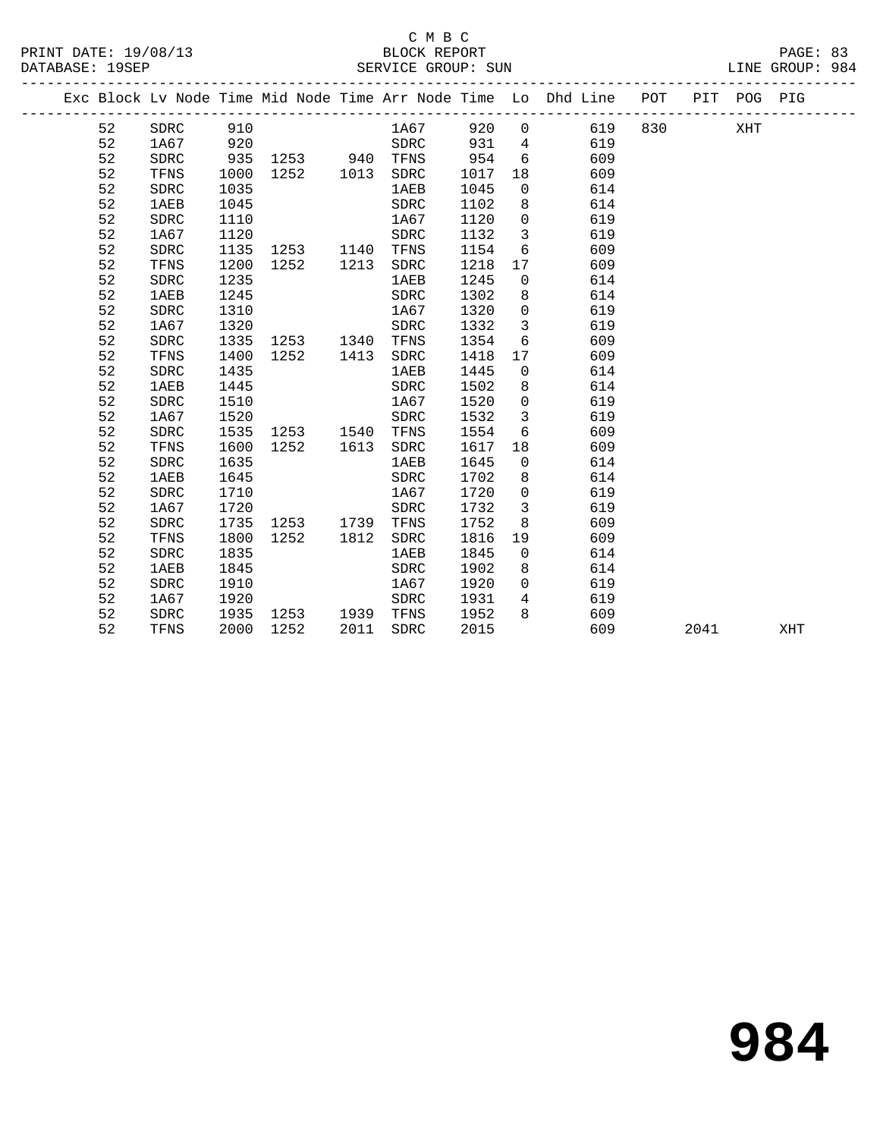## C M B C<br>BLOCK REPORT

|                 | PRINT DATE: 19/08/13 | BLOCK REPORT       | PAGE: 83        |
|-----------------|----------------------|--------------------|-----------------|
| DATABASE: 19SEP |                      | SERVICE GROUP: SUN | LINE GROUP: 984 |

|  |    |             |      |                                 |      |              |                  |                         | Exc Block Lv Node Time Mid Node Time Arr Node Time Lo Dhd Line POT PIT POG PIG |           |     |     |
|--|----|-------------|------|---------------------------------|------|--------------|------------------|-------------------------|--------------------------------------------------------------------------------|-----------|-----|-----|
|  | 52 | SDRC        | 910  |                                 |      |              |                  |                         | 1A67 920 0 619 830                                                             |           | XHT |     |
|  | 52 | 1A67        | 920  |                                 |      | SDRC         | $931$ 4<br>954 6 |                         | 619                                                                            |           |     |     |
|  | 52 | SDRC        | 935  | 1253 940 TFNS<br>1252 1013 SDRC |      |              |                  |                         | 609                                                                            |           |     |     |
|  | 52 | TFNS        | 1000 |                                 |      |              | 1017             | 18                      | 609                                                                            |           |     |     |
|  | 52 | SDRC        | 1035 |                                 |      | <b>1AEB</b>  | 1045             | $\overline{0}$          | 614                                                                            |           |     |     |
|  | 52 | <b>1AEB</b> | 1045 |                                 |      | ${\tt SDRC}$ | 1102             | 8                       | 614                                                                            |           |     |     |
|  | 52 | SDRC        | 1110 |                                 |      | 1A67         | 1120             | $\overline{0}$          | 619                                                                            |           |     |     |
|  | 52 | 1A67        | 1120 |                                 |      | SDRC         | 1132             | $\overline{\mathbf{3}}$ | 619                                                                            |           |     |     |
|  | 52 | <b>SDRC</b> | 1135 | 1253 1140 TFNS                  |      |              | 1154             | 6                       | 609                                                                            |           |     |     |
|  | 52 | TFNS        | 1200 | 1252                            |      | 1213 SDRC    | 1218             | 17                      | 609                                                                            |           |     |     |
|  | 52 | <b>SDRC</b> | 1235 |                                 |      | <b>1AEB</b>  | 1245             | $\overline{0}$          | 614                                                                            |           |     |     |
|  | 52 | <b>1AEB</b> | 1245 |                                 |      | SDRC         | 1302             | 8                       | 614                                                                            |           |     |     |
|  | 52 | <b>SDRC</b> | 1310 |                                 |      | 1A67         | 1320             | $\overline{0}$          | 619                                                                            |           |     |     |
|  | 52 | 1A67        | 1320 |                                 |      | SDRC         | 1332             | $\mathbf{3}$            | 619                                                                            |           |     |     |
|  | 52 | <b>SDRC</b> | 1335 | 1253 1340 TFNS                  |      |              | 1354             | 6                       | 609                                                                            |           |     |     |
|  | 52 | TFNS        | 1400 | 1252                            | 1413 | SDRC         | 1418             | 17                      | 609                                                                            |           |     |     |
|  | 52 | SDRC        | 1435 |                                 |      | 1AEB         | 1445             | $\overline{0}$          | 614                                                                            |           |     |     |
|  | 52 | <b>1AEB</b> | 1445 |                                 |      | SDRC         | 1502             | 8                       | 614                                                                            |           |     |     |
|  | 52 | <b>SDRC</b> | 1510 |                                 |      | 1A67         | 1520             | $\overline{0}$          | 619                                                                            |           |     |     |
|  | 52 | 1A67        | 1520 |                                 |      | SDRC         | 1532             | $\mathbf{3}$            | 619                                                                            |           |     |     |
|  | 52 | <b>SDRC</b> | 1535 | 1253 1540 TFNS                  |      |              | 1554             | 6                       | 609                                                                            |           |     |     |
|  | 52 | TFNS        | 1600 | 1252                            | 1613 | SDRC         | 1617             | 18                      | 609                                                                            |           |     |     |
|  | 52 | <b>SDRC</b> | 1635 |                                 |      | 1AEB         | 1645             | $\Omega$                | 614                                                                            |           |     |     |
|  | 52 | <b>1AEB</b> | 1645 |                                 |      | SDRC         | 1702             | 8                       | 614                                                                            |           |     |     |
|  | 52 | <b>SDRC</b> | 1710 |                                 |      | 1A67         | 1720             | $\Omega$                | 619                                                                            |           |     |     |
|  | 52 | 1A67        | 1720 |                                 |      | SDRC         | 1732             | $\mathbf{3}$            | 619                                                                            |           |     |     |
|  | 52 | SDRC        | 1735 | 1253 1739                       |      | TFNS         | 1752             | 8                       | 609                                                                            |           |     |     |
|  | 52 | TFNS        | 1800 | 1252                            | 1812 | SDRC         | 1816             | 19                      | 609                                                                            |           |     |     |
|  | 52 | SDRC        | 1835 |                                 |      | 1AEB         | 1845             | $\overline{0}$          | 614                                                                            |           |     |     |
|  | 52 | <b>1AEB</b> | 1845 |                                 |      | SDRC         | 1902             | 8                       | 614                                                                            |           |     |     |
|  | 52 | SDRC        | 1910 |                                 |      | 1A67         | 1920             |                         | $\Omega$<br>619                                                                |           |     |     |
|  | 52 | 1A67        | 1920 |                                 |      | SDRC         | 1931             | 4                       | 619                                                                            |           |     |     |
|  | 52 | SDRC        | 1935 | 1253 1939 TFNS                  |      |              | 1952             | 8                       | 609                                                                            |           |     |     |
|  | 52 | TFNS        | 2000 | 1252                            | 2011 | SDRC         | 2015             |                         | 609                                                                            | 2041 2012 |     | XHT |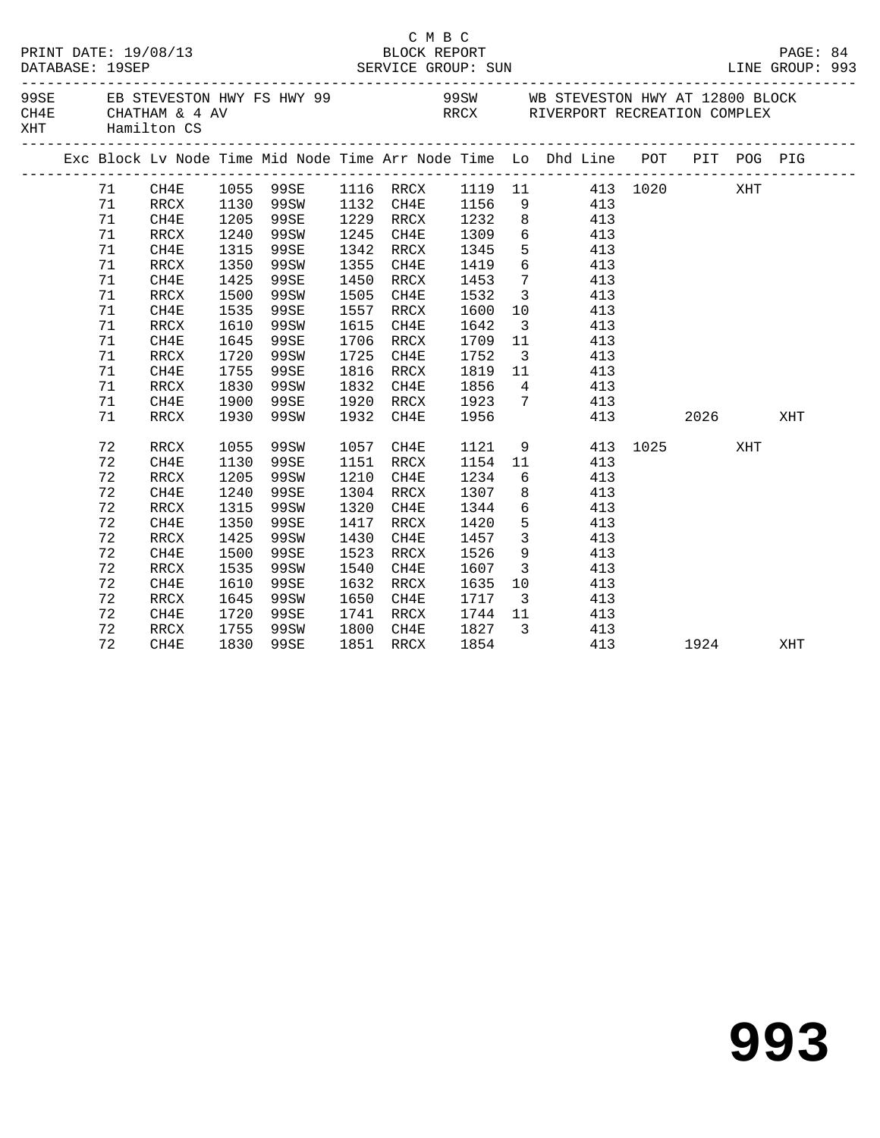|     | DATABASE: 19SEP | PRINT DATE: 19/08/13 |      |           |      | C M B C<br>BLOCK REPORT |              |                         |                                                                                |     |          |     | PAGE: 84<br>LINE GROUP: 993 |  |
|-----|-----------------|----------------------|------|-----------|------|-------------------------|--------------|-------------------------|--------------------------------------------------------------------------------|-----|----------|-----|-----------------------------|--|
| XHT |                 | Hamilton CS          |      |           |      |                         |              |                         |                                                                                |     |          |     |                             |  |
|     |                 |                      |      |           |      |                         |              |                         | Exc Block Lv Node Time Mid Node Time Arr Node Time Lo Dhd Line POT PIT POG PIG |     |          |     |                             |  |
|     | 71              | CH4E                 |      |           |      |                         |              |                         | 1055 99SE 1116 RRCX 1119 11 413 1020                                           |     |          | XHT |                             |  |
|     | 71              | RRCX                 |      | 1130 99SW |      | 1132 CH4E               | 1156         |                         | $9$ $413$                                                                      |     |          |     |                             |  |
|     | 71              | CH4E                 | 1205 | 99SE      |      | 1229 RRCX               |              |                         | 1232 8 413                                                                     |     |          |     |                             |  |
|     | 71              | RRCX                 | 1240 | 99SW      |      | 1245 CH4E               | 1309         |                         | 6 413                                                                          |     |          |     |                             |  |
|     | 71              | CH4E                 | 1315 | 99SE      |      | 1342 RRCX               | 1345<br>1419 | 5 <sub>5</sub>          | 413                                                                            |     |          |     |                             |  |
|     | 71              | RRCX                 | 1350 | 99SW      |      | 1355 CH4E               |              | $6\overline{6}$         | 413                                                                            |     |          |     |                             |  |
|     | 71              | CH4E                 | 1425 | 99SE      |      | 1450 RRCX               | 1453         |                         | $7 \overline{413}$                                                             |     |          |     |                             |  |
|     | 71              | RRCX                 | 1500 | 99SW      |      | 1505 CH4E               | 1532         | $\overline{\mathbf{3}}$ | 413                                                                            |     |          |     |                             |  |
|     | 71              | CH4E                 | 1535 | 99SE      |      | 1557 RRCX               | 1600         | 10                      | 413                                                                            |     |          |     |                             |  |
|     | 71              | RRCX                 | 1610 | 99SW      |      | 1615 CH4E               | 1642         | $\overline{\mathbf{3}}$ | 413                                                                            |     |          |     |                             |  |
|     | 71              | CH4E                 | 1645 | 99SE      |      | 1706 RRCX               | 1709         | 11                      | 413                                                                            |     |          |     |                             |  |
|     | 71              | RRCX                 | 1720 | 99SW      |      | 1725 CH4E               | 1752         | $\overline{\mathbf{3}}$ | 413                                                                            |     |          |     |                             |  |
|     | 71              | CH4E                 | 1755 | 99SE      |      | 1816 RRCX               | 1819         | 11                      | 413                                                                            |     |          |     |                             |  |
|     | 71              | RRCX                 | 1830 | 99SW      |      | 1832 CH4E               | 1856         |                         | 4 413                                                                          |     |          |     |                             |  |
|     | 71              | CH4E                 | 1900 | 99SE      |      | 1920 RRCX               |              |                         | 1923 7 413                                                                     |     |          |     |                             |  |
|     | 71              | RRCX                 | 1930 | 99SW      |      | 1932 CH4E               | 1956         |                         |                                                                                | 413 | 2026     |     | XHT                         |  |
|     | 72              | RRCX                 | 1055 | 99SW      |      | 1057 CH4E               | 1121         |                         | 9                                                                              |     | 413 1025 | XHT |                             |  |
|     | 72              | CH4E                 | 1130 | 99SE      |      | 1151 RRCX               |              |                         | 1154 11 413                                                                    |     |          |     |                             |  |
|     | 72              | RRCX                 | 1205 | 99SW      | 1210 | CH4E                    | 1234         |                         | $6\overline{6}$<br>413                                                         |     |          |     |                             |  |
|     | 72              | CH4E                 | 1240 | 99SE      |      | 1304 RRCX               | 1307         |                         | 8<br>413                                                                       |     |          |     |                             |  |
|     | 72              | RRCX                 | 1315 | 99SW      |      | 1320 CH4E               | 1344         | $6\overline{}$          | 413                                                                            |     |          |     |                             |  |
|     | 72              | CH4E                 | 1350 | 99SE      |      | 1417 RRCX               | 1420         | 5 <sup>5</sup>          | 413                                                                            |     |          |     |                             |  |
|     | 72              | RRCX                 | 1425 | 99SW      | 1430 | CH4E                    | 1457         | $\overline{\mathbf{3}}$ | 413                                                                            |     |          |     |                             |  |
|     | 72              | CH4E                 | 1500 | 99SE      | 1523 | RRCX                    | 1526         | 9                       | 413                                                                            |     |          |     |                             |  |
|     | 72              | RRCX                 | 1535 | 99SW      | 1540 | CH4E                    | 1607         |                         | 3 413                                                                          |     |          |     |                             |  |
|     | 72              | CH4E                 | 1610 | 99SE      |      | 1632 RRCX               | 1635         | 10                      | 413                                                                            |     |          |     |                             |  |
|     | 72              | RRCX                 | 1645 | 99SW      |      | 1650 CH4E               | 1717         |                         | $\frac{15}{3}$ $\frac{115}{413}$                                               |     |          |     |                             |  |
|     | 72              | CH4E                 | 1720 | 99SE      |      | 1741 RRCX               | 1744 11      |                         | 413                                                                            |     |          |     |                             |  |
|     | 72              | RRCX                 | 1755 | 99SW      |      |                         |              |                         | 1800 CH4E 1827 3 413                                                           |     |          |     |                             |  |
|     | 72              | CH4E                 | 1830 | 99SE      |      | 1851 RRCX               | 1854         |                         | 413                                                                            |     | 1924     |     | XHT                         |  |
|     |                 |                      |      |           |      |                         |              |                         |                                                                                |     |          |     |                             |  |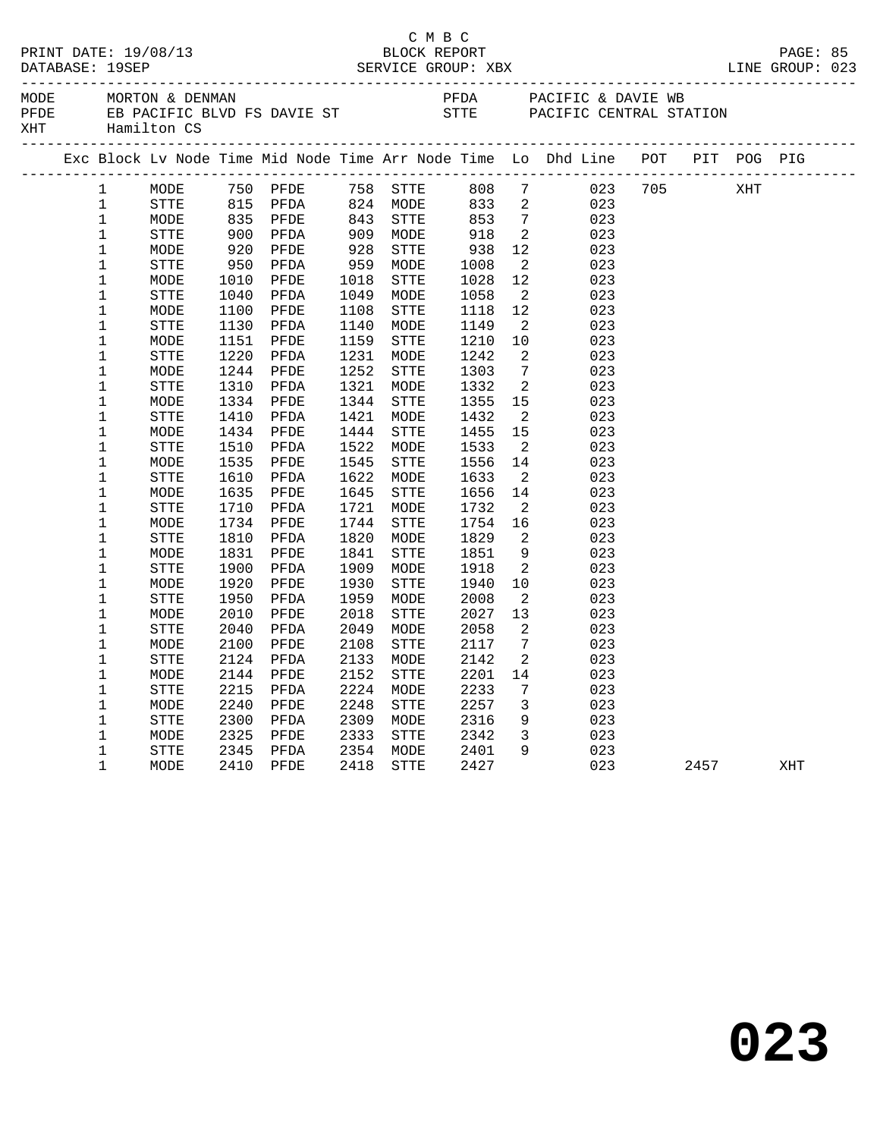| MODE<br>PFDE<br>XHT |              | ______________________________                                                 |      |                                                                       |      | _____________              |                                                                                                    |                              |                                           |                        |      |     |  |
|---------------------|--------------|--------------------------------------------------------------------------------|------|-----------------------------------------------------------------------|------|----------------------------|----------------------------------------------------------------------------------------------------|------------------------------|-------------------------------------------|------------------------|------|-----|--|
|                     |              | Exc Block Lv Node Time Mid Node Time Arr Node Time Lo Dhd Line POT PIT POG PIG |      |                                                                       |      |                            |                                                                                                    |                              |                                           |                        |      |     |  |
|                     | 1            | MODE                                                                           |      |                                                                       |      |                            |                                                                                                    |                              | 750 PFDE 758 STTE 808 7 023 705 XHT       |                        |      |     |  |
|                     | $\mathbf{1}$ | STTE                                                                           |      |                                                                       |      |                            |                                                                                                    |                              | $\begin{array}{c} 023 \\ 023 \end{array}$ |                        |      |     |  |
|                     | $\mathbf 1$  | MODE                                                                           |      |                                                                       |      | 824 MODE<br>843 STTE       |                                                                                                    |                              |                                           |                        |      |     |  |
|                     | $\mathbf{1}$ | STTE                                                                           |      | 815 PFDA<br>835 PFDA<br>900 PFDA<br>920 PFDA<br>950 PFDA<br>1010 PFDE |      | 909    MODE<br>928    STTE | $\begin{array}{r} 233 \ 833 \ 2 \ 853 \ 7 \ 918 \ 2 \ 938 \ 12 \ 1008 \ 2 \ 1028 \ 12 \end{array}$ |                              | 023                                       |                        |      |     |  |
|                     | $\mathbf 1$  | MODE                                                                           |      |                                                                       |      |                            |                                                                                                    |                              | 023                                       |                        |      |     |  |
|                     | $\mathbf{1}$ | STTE                                                                           |      |                                                                       |      | 959 MODE                   |                                                                                                    |                              | 023                                       |                        |      |     |  |
|                     | $\mathbf 1$  | MODE                                                                           |      |                                                                       | 1018 | STTE                       |                                                                                                    |                              | 023                                       |                        |      |     |  |
|                     | $\mathbf{1}$ | STTE                                                                           | 1040 | PFDA                                                                  | 1049 | MODE                       | $\begin{array}{r} 1058 \\ 1058 \\ 1118 \end{array}$                                                | $\overline{2}$               | 023                                       |                        |      |     |  |
|                     | $\mathbf 1$  | MODE                                                                           | 1100 | PFDE                                                                  | 1108 | STTE                       | 1118                                                                                               | 12                           | 023                                       |                        |      |     |  |
|                     | $\mathbf 1$  | STTE                                                                           | 1130 | PFDA                                                                  | 1140 | MODE                       | 1149                                                                                               | $\overline{2}$               | 023                                       |                        |      |     |  |
|                     | $\mathbf 1$  | MODE                                                                           | 1151 | PFDE                                                                  | 1159 | STTE                       | 1210                                                                                               | 10                           | 023                                       |                        |      |     |  |
|                     | $\mathbf 1$  | STTE                                                                           | 1220 | PFDA                                                                  | 1231 | MODE                       | 1242                                                                                               | $\overline{\phantom{a}}^2$   | 023                                       |                        |      |     |  |
|                     | 1            | MODE                                                                           | 1244 | PFDE                                                                  | 1252 | STTE                       | 1303                                                                                               | $\overline{7}$               | 023                                       |                        |      |     |  |
|                     | $\mathbf 1$  | <b>STTE</b>                                                                    | 1310 | PFDA                                                                  | 1321 | MODE                       | 1332                                                                                               | $\overline{\mathbf{2}}$      | 023                                       |                        |      |     |  |
|                     | $\mathbf 1$  | MODE                                                                           | 1334 | PFDE                                                                  | 1344 | STTE                       | 1355                                                                                               | 15                           | 023                                       |                        |      |     |  |
|                     | $\mathbf 1$  | STTE                                                                           | 1410 | PFDA                                                                  | 1421 | MODE                       | 1432                                                                                               | $\overline{\phantom{a}}^2$   | 023                                       |                        |      |     |  |
|                     | $\mathbf 1$  | MODE                                                                           | 1434 | PFDE                                                                  | 1444 | STTE                       | 1455<br>1533                                                                                       | 15                           | 023                                       |                        |      |     |  |
|                     | $\mathbf 1$  | STTE                                                                           | 1510 | PFDA                                                                  | 1522 | MODE                       |                                                                                                    | $\overline{2}$               | 023                                       |                        |      |     |  |
|                     | $\mathbf 1$  | MODE                                                                           | 1535 | PFDE                                                                  | 1545 | STTE                       | 1556                                                                                               | 14                           | 023                                       |                        |      |     |  |
|                     | $\mathbf 1$  | STTE                                                                           | 1610 | PFDA                                                                  | 1622 | MODE                       | 1556<br>1633                                                                                       | $\overline{2}$               | 023                                       |                        |      |     |  |
|                     | $\mathbf 1$  | MODE                                                                           | 1635 | PFDE                                                                  | 1645 | STTE                       | 1656<br>1732<br>1656                                                                               | 14                           | 023                                       |                        |      |     |  |
|                     | $\mathbf 1$  | STTE                                                                           | 1710 | PFDA                                                                  | 1721 | MODE                       |                                                                                                    | $\overline{\phantom{a}}$     | 023                                       |                        |      |     |  |
|                     | $\mathbf 1$  | MODE                                                                           | 1734 | PFDE                                                                  | 1744 | STTE                       | 1754<br>1829<br>1754                                                                               | 16                           | 023                                       |                        |      |     |  |
|                     | $\mathbf 1$  | STTE                                                                           | 1810 | PFDA                                                                  | 1820 | MODE                       |                                                                                                    | $\overline{2}$               | 023                                       |                        |      |     |  |
|                     | $\mathbf 1$  | MODE                                                                           | 1831 | PFDE                                                                  | 1841 | STTE                       |                                                                                                    | 9                            | 023                                       |                        |      |     |  |
|                     | $\mathbf 1$  | STTE                                                                           | 1900 | PFDA                                                                  | 1909 | MODE                       | 1851<br>1918                                                                                       | $\overline{\phantom{a}}^2$   | 023                                       |                        |      |     |  |
|                     | 1            | MODE                                                                           | 1920 | PFDE                                                                  | 1930 | STTE                       | 1940                                                                                               | 10                           | 023                                       |                        |      |     |  |
|                     | $\mathbf 1$  | STTE                                                                           | 1950 | PFDA                                                                  | 1959 | MODE                       | 2008                                                                                               | $\overline{\phantom{a}}^2$   | 023                                       |                        |      |     |  |
|                     | $\mathbf 1$  | MODE                                                                           | 2010 | PFDE                                                                  | 2018 | STTE                       | 2027                                                                                               | 13                           | 023                                       |                        |      |     |  |
|                     | $\mathbf 1$  | STTE                                                                           | 2040 | PFDA                                                                  | 2049 | MODE                       | 2058                                                                                               | $\overline{2}$               | 023                                       |                        |      |     |  |
|                     | $\mathbf 1$  | MODE                                                                           | 2100 | PFDE                                                                  | 2108 | STTE                       | 2117                                                                                               | $\overline{7}$               | 023                                       |                        |      |     |  |
|                     | $\mathbf 1$  | ${\tt STTE}$                                                                   | 2124 | PFDA                                                                  | 2133 | MODE                       | 2142                                                                                               | 2                            | 023                                       |                        |      |     |  |
|                     | $\mathbf 1$  | MODE                                                                           | 2144 | PFDE                                                                  | 2152 | <b>STTE</b>                | 2201                                                                                               | 14                           | 023                                       |                        |      |     |  |
|                     | $\mathbf 1$  | STTE                                                                           | 2215 | PFDA                                                                  | 2224 | MODE                       | 2233                                                                                               | $7\phantom{.0}\phantom{.0}7$ | 023                                       |                        |      |     |  |
|                     | $\mathbf 1$  | MODE                                                                           | 2240 | PFDE                                                                  | 2248 | STTE                       | 2257<br>2316                                                                                       | $\overline{\mathbf{3}}$      | 023                                       |                        |      |     |  |
|                     | $\mathbf 1$  | STTE                                                                           | 2300 | PFDA                                                                  | 2309 | MODE                       |                                                                                                    | 9                            | 023                                       |                        |      |     |  |
|                     | $\mathbf 1$  | MODE                                                                           | 2325 | PFDE                                                                  | 2333 | STTE                       | 2342                                                                                               | $\overline{\mathbf{3}}$      | 023                                       |                        |      |     |  |
|                     | 1            | STTE                                                                           | 2345 | PFDA                                                                  |      | 2354 MODE 2401             |                                                                                                    | 9                            | 023                                       |                        |      |     |  |
|                     | $\mathbf{1}$ | MODE                                                                           | 2410 | PFDE                                                                  | 2418 | STTE                       | 2427                                                                                               |                              |                                           | 023 and $\overline{a}$ | 2457 | XHT |  |
|                     |              |                                                                                |      |                                                                       |      |                            |                                                                                                    |                              |                                           |                        |      |     |  |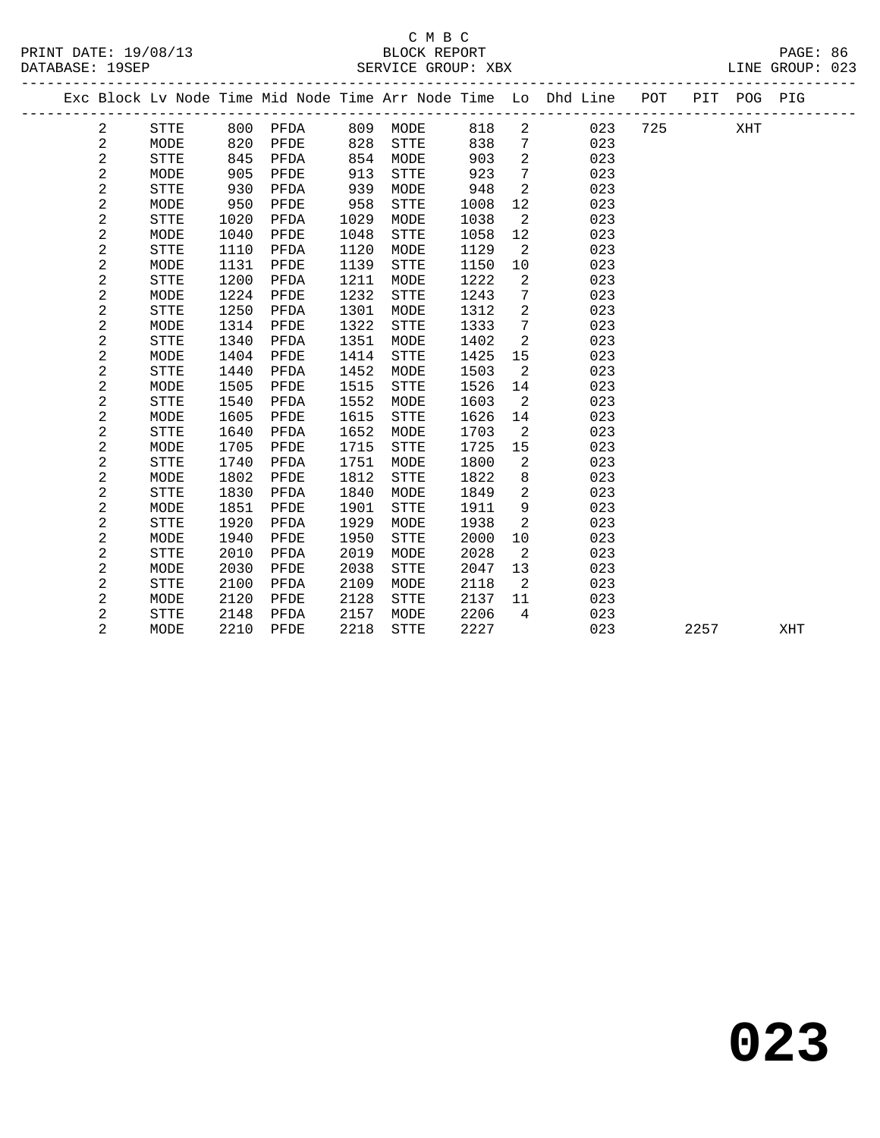#### C M B C<br>BLOCK REPORT DATABASE: 19SEP SERVICE GROUP: XBX

 2 STTE 1020 PFDA 1029 MODE 1038 2 023 2 MODE 1040 PFDE 1048 STTE 1058 12 023 2 STTE 1110 PFDA 1120 MODE 1129 2 023

|  |      |     |      |     |      |      |    | Exc Block Ly Node Time Mid Node Time Arr Node Time Lo Dhd Line | POT | PTT | POG. | PIG |
|--|------|-----|------|-----|------|------|----|----------------------------------------------------------------|-----|-----|------|-----|
|  | STTE | 800 | PFDA | 809 | MODE | 818  | -2 | 023                                                            | 725 |     | XHT  |     |
|  | MODE | 820 | PFDE | 828 | STTE | 838  | 7  | 023                                                            |     |     |      |     |
|  | STTE | 845 | PFDA | 854 | MODE | 903  | -2 | 023                                                            |     |     |      |     |
|  | MODE | 905 | PFDE | 913 | STTE | 923  | 7  | 023                                                            |     |     |      |     |
|  | STTE | 930 | PFDA | 939 | MODE | 948  | 2  | 023                                                            |     |     |      |     |
|  | MODE | 950 | PFDE | 958 | STTE | 1008 | 12 | 023                                                            |     |     |      |     |

| 2              | MODE | 1131 | PFDE | 1139 | STTE        | 1150 | 10 | 023 |      |     |  |
|----------------|------|------|------|------|-------------|------|----|-----|------|-----|--|
| 2              | STTE | 1200 | PFDA | 1211 | MODE        | 1222 | 2  | 023 |      |     |  |
| 2              | MODE | 1224 | PFDE | 1232 | STTE        | 1243 | 7  | 023 |      |     |  |
| 2              | STTE | 1250 | PFDA | 1301 | MODE        | 1312 | 2  | 023 |      |     |  |
| 2              | MODE | 1314 | PFDE | 1322 | STTE        | 1333 | 7  | 023 |      |     |  |
| 2              | STTE | 1340 | PFDA | 1351 | MODE        | 1402 | 2  | 023 |      |     |  |
| 2              | MODE | 1404 | PFDE | 1414 | STTE        | 1425 | 15 | 023 |      |     |  |
| 2              | STTE | 1440 | PFDA | 1452 | MODE        | 1503 | 2  | 023 |      |     |  |
| 2              | MODE | 1505 | PFDE | 1515 | STTE        | 1526 | 14 | 023 |      |     |  |
| 2              | STTE | 1540 | PFDA | 1552 | MODE        | 1603 | 2  | 023 |      |     |  |
| 2              | MODE | 1605 | PFDE | 1615 | STTE        | 1626 | 14 | 023 |      |     |  |
| 2              | STTE | 1640 | PFDA | 1652 | MODE        | 1703 | 2  | 023 |      |     |  |
| 2              | MODE | 1705 | PFDE | 1715 | STTE        | 1725 | 15 | 023 |      |     |  |
| 2              | STTE | 1740 | PFDA | 1751 | MODE        | 1800 | 2  | 023 |      |     |  |
| 2              | MODE | 1802 | PFDE | 1812 | STTE        | 1822 | 8  | 023 |      |     |  |
| 2              | STTE | 1830 | PFDA | 1840 | MODE        | 1849 | 2  | 023 |      |     |  |
| 2              | MODE | 1851 | PFDE | 1901 | STTE        | 1911 | 9  | 023 |      |     |  |
| 2              | STTE | 1920 | PFDA | 1929 | MODE        | 1938 | 2  | 023 |      |     |  |
| 2              | MODE | 1940 | PFDE | 1950 | STTE        | 2000 | 10 | 023 |      |     |  |
| 2              | STTE | 2010 | PFDA | 2019 | MODE        | 2028 | 2  | 023 |      |     |  |
| 2              | MODE | 2030 | PFDE | 2038 | <b>STTE</b> | 2047 | 13 | 023 |      |     |  |
| 2              | STTE | 2100 | PFDA | 2109 | MODE        | 2118 | 2  | 023 |      |     |  |
| $\overline{2}$ | MODE | 2120 | PFDE | 2128 | <b>STTE</b> | 2137 | 11 | 023 |      |     |  |
| 2              | STTE | 2148 | PFDA | 2157 | MODE        | 2206 | 4  | 023 |      |     |  |
| 2              | MODE | 2210 | PFDE | 2218 | <b>STTE</b> | 2227 |    | 023 | 2257 | XHT |  |
|                |      |      |      |      |             |      |    |     |      |     |  |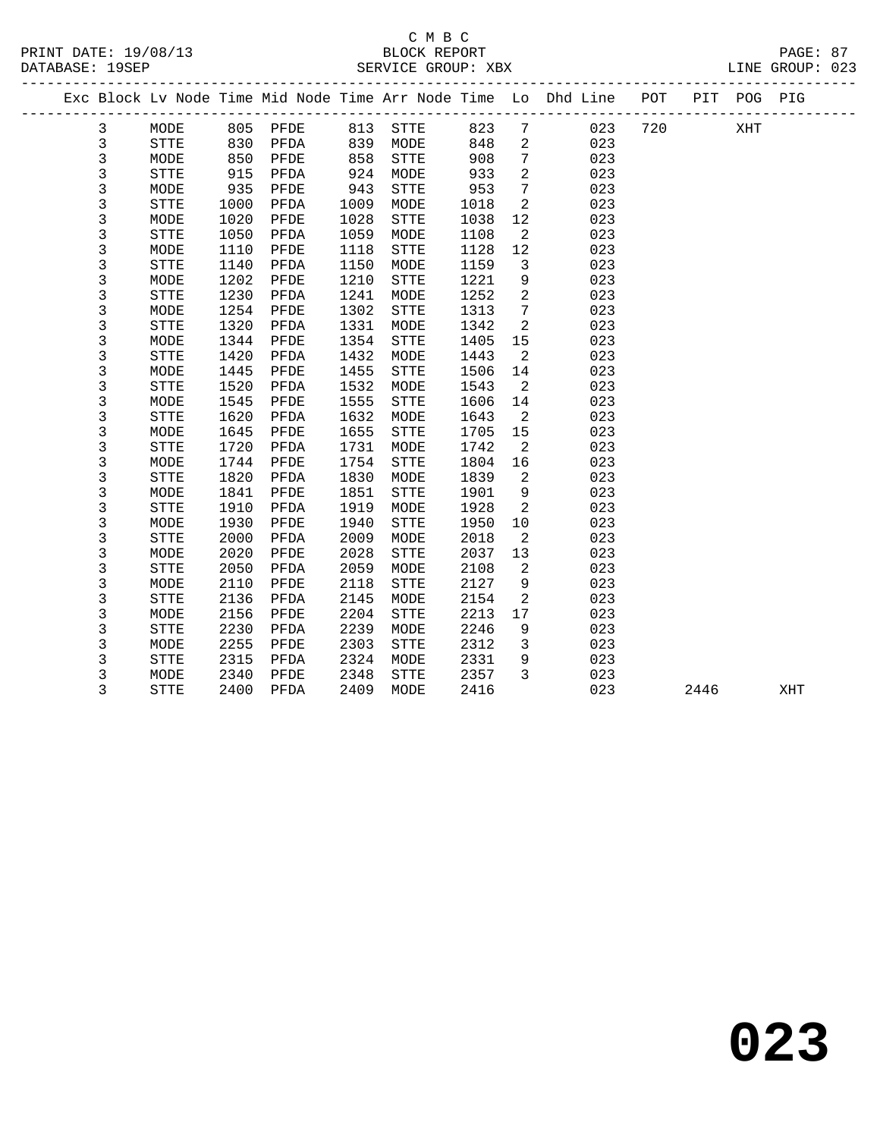|  |              |              |      |      |      |              |      |                 | Exc Block Lv Node Time Mid Node Time Arr Node Time Lo Dhd Line POT |     |      | PIT POG PIG |     |  |
|--|--------------|--------------|------|------|------|--------------|------|-----------------|--------------------------------------------------------------------|-----|------|-------------|-----|--|
|  | $\mathbf{3}$ | MODE         | 805  | PFDE | 813  | <b>STTE</b>  | 823  | $7\overline{ }$ | 023                                                                | 720 |      | XHT         |     |  |
|  | 3            | <b>STTE</b>  | 830  | PFDA | 839  | MODE         | 848  | 2               | 023                                                                |     |      |             |     |  |
|  | $\mathsf 3$  | MODE         | 850  | PFDE | 858  | STTE         | 908  | $7\phantom{.0}$ | 023                                                                |     |      |             |     |  |
|  | 3            | STTE         | 915  | PFDA | 924  | MODE         | 933  | 2               | 023                                                                |     |      |             |     |  |
|  | $\mathbf{3}$ | MODE         | 935  | PFDE | 943  | STTE         | 953  | $7\phantom{.0}$ | 023                                                                |     |      |             |     |  |
|  | 3            | <b>STTE</b>  | 1000 | PFDA | 1009 | MODE         | 1018 | 2               | 023                                                                |     |      |             |     |  |
|  | 3            | MODE         | 1020 | PFDE | 1028 | STTE         | 1038 | 12              | 023                                                                |     |      |             |     |  |
|  | 3            | <b>STTE</b>  | 1050 | PFDA | 1059 | MODE         | 1108 | 2               | 023                                                                |     |      |             |     |  |
|  | 3            | MODE         | 1110 | PFDE | 1118 | STTE         | 1128 | 12              | 023                                                                |     |      |             |     |  |
|  | 3            | <b>STTE</b>  | 1140 | PFDA | 1150 | MODE         | 1159 | $\overline{3}$  | 023                                                                |     |      |             |     |  |
|  | 3            | MODE         | 1202 | PFDE | 1210 | ${\tt STTE}$ | 1221 | 9               | 023                                                                |     |      |             |     |  |
|  | 3            | STTE         | 1230 | PFDA | 1241 | MODE         | 1252 | $\overline{a}$  | 023                                                                |     |      |             |     |  |
|  | 3            | MODE         | 1254 | PFDE | 1302 | STTE         | 1313 | $7\overline{ }$ | 023                                                                |     |      |             |     |  |
|  | 3            | <b>STTE</b>  | 1320 | PFDA | 1331 | MODE         | 1342 | 2               | 023                                                                |     |      |             |     |  |
|  | 3            | MODE         | 1344 | PFDE | 1354 | STTE         | 1405 | 15              | 023                                                                |     |      |             |     |  |
|  | 3            | STTE         | 1420 | PFDA | 1432 | MODE         | 1443 | 2               | 023                                                                |     |      |             |     |  |
|  | 3            | MODE         | 1445 | PFDE | 1455 | STTE         | 1506 | 14              | 023                                                                |     |      |             |     |  |
|  | 3            | STTE         | 1520 | PFDA | 1532 | MODE         | 1543 | 2               | 023                                                                |     |      |             |     |  |
|  | 3            | MODE         | 1545 | PFDE | 1555 | STTE         | 1606 | 14              | 023                                                                |     |      |             |     |  |
|  | 3            | <b>STTE</b>  | 1620 | PFDA | 1632 | MODE         | 1643 | $\overline{2}$  | 023                                                                |     |      |             |     |  |
|  | 3            | MODE         | 1645 | PFDE | 1655 | <b>STTE</b>  | 1705 | 15              | 023                                                                |     |      |             |     |  |
|  | 3            | <b>STTE</b>  | 1720 | PFDA | 1731 | MODE         | 1742 | 2               | 023                                                                |     |      |             |     |  |
|  | 3            | MODE         | 1744 | PFDE | 1754 | STTE         | 1804 | 16              | 023                                                                |     |      |             |     |  |
|  | 3            | STTE         | 1820 | PFDA | 1830 | MODE         | 1839 | 2               | 023                                                                |     |      |             |     |  |
|  | $\mathsf 3$  | MODE         | 1841 | PFDE | 1851 | STTE         | 1901 | $\mathsf 9$     | 023                                                                |     |      |             |     |  |
|  | 3            | <b>STTE</b>  | 1910 | PFDA | 1919 | MODE         | 1928 | 2               | 023                                                                |     |      |             |     |  |
|  | 3            | MODE         | 1930 | PFDE | 1940 | <b>STTE</b>  | 1950 | 10              | 023                                                                |     |      |             |     |  |
|  | 3            | STTE         | 2000 | PFDA | 2009 | MODE         | 2018 | 2               | 023                                                                |     |      |             |     |  |
|  | 3            | MODE         | 2020 | PFDE | 2028 | <b>STTE</b>  | 2037 | 13              | 023                                                                |     |      |             |     |  |
|  | 3            | <b>STTE</b>  | 2050 | PFDA | 2059 | MODE         | 2108 | 2               | 023                                                                |     |      |             |     |  |
|  | $\mathbf{3}$ | MODE         | 2110 | PFDE | 2118 | STTE         | 2127 | 9               | 023                                                                |     |      |             |     |  |
|  | 3            | ${\tt STTE}$ | 2136 | PFDA | 2145 | MODE         | 2154 | 2               | 023                                                                |     |      |             |     |  |
|  | 3            | MODE         | 2156 | PFDE | 2204 | STTE         | 2213 | 17              | 023                                                                |     |      |             |     |  |
|  | 3            | STTE         | 2230 | PFDA | 2239 | MODE         | 2246 | 9               | 023                                                                |     |      |             |     |  |
|  | 3            | MODE         | 2255 | PFDE | 2303 | <b>STTE</b>  | 2312 | $\overline{3}$  | 023                                                                |     |      |             |     |  |
|  | 3            | STTE         | 2315 | PFDA | 2324 | MODE         | 2331 | 9               | 023                                                                |     |      |             |     |  |
|  | 3            | MODE         | 2340 | PFDE | 2348 | STTE         | 2357 | 3               | 023                                                                |     |      |             |     |  |
|  | 3            | <b>STTE</b>  | 2400 | PFDA | 2409 | MODE         | 2416 |                 | 023                                                                |     | 2446 |             | XHT |  |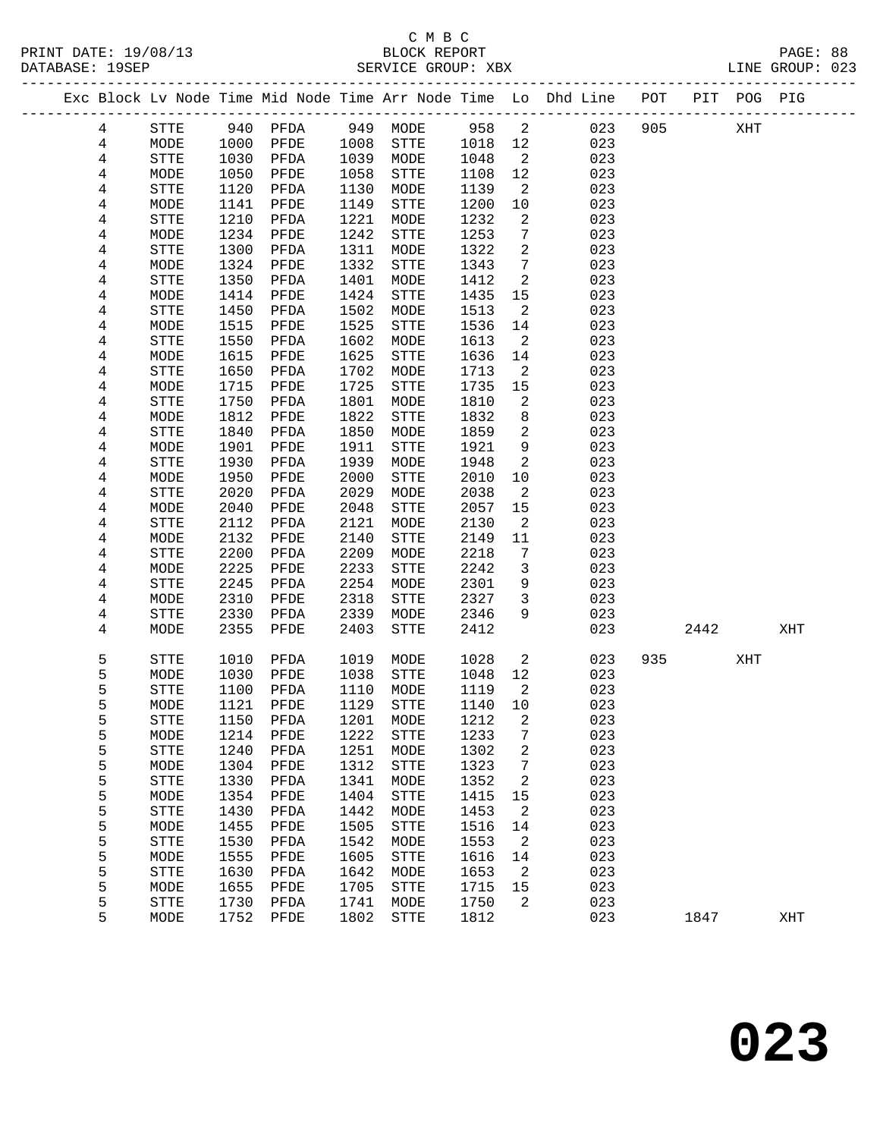#### C M B C<br>BLOCK REPORT SERVICE GROUP: XBX

-------------------------------------------------------------------------------------------------

|  |                              |                   |              |              |              |                      |              |         | Exc Block Lv Node Time Mid Node Time Arr Node Time Lo Dhd Line<br>__________________ | POT | PIT  | POG PIG |     |
|--|------------------------------|-------------------|--------------|--------------|--------------|----------------------|--------------|---------|--------------------------------------------------------------------------------------|-----|------|---------|-----|
|  | 4                            | STTE              | 940          | PFDA         | 949          | MODE                 | 958          | 2       | 023                                                                                  | 905 |      | XHT     |     |
|  | 4                            | MODE              | 1000         | PFDE         | 1008         | ${\tt STTE}$         | 1018         | 12      | 023                                                                                  |     |      |         |     |
|  | $\overline{\mathbf{4}}$      | STTE              | 1030         | PFDA         | 1039         | MODE                 | 1048         | 2       | 023                                                                                  |     |      |         |     |
|  | 4                            | MODE              | 1050         | PFDE         | 1058         | STTE                 | 1108         | 12      | 023                                                                                  |     |      |         |     |
|  | 4                            | STTE              | 1120         | PFDA         | 1130         | MODE                 | 1139         | 2       | 023                                                                                  |     |      |         |     |
|  | 4                            | MODE              | 1141         | PFDE         | 1149         | STTE                 | 1200         | 10      | 023                                                                                  |     |      |         |     |
|  | 4                            | STTE              | 1210         | PFDA         | 1221         | MODE                 | 1232         | 2       | 023                                                                                  |     |      |         |     |
|  | $\overline{\mathbf{4}}$      | MODE              | 1234         | PFDE         | 1242         | STTE                 | 1253         | 7       | 023                                                                                  |     |      |         |     |
|  | $\overline{\mathbf{4}}$      | ${\tt STTE}$      | 1300         | PFDA         | 1311         | MODE                 | 1322         | 2       | 023                                                                                  |     |      |         |     |
|  | 4                            | MODE              | 1324         | PFDE         | 1332         | STTE                 | 1343         | 7       | 023                                                                                  |     |      |         |     |
|  | $\overline{\mathbf{4}}$      | STTE              | 1350         | PFDA         | 1401         | MODE                 | 1412         | 2       | 023                                                                                  |     |      |         |     |
|  | $\overline{\mathbf{4}}$      | MODE              | 1414         | PFDE         | 1424         | ${\tt STTE}$         | 1435         | 15      | 023                                                                                  |     |      |         |     |
|  | $\overline{\mathbf{4}}$      | <b>STTE</b>       | 1450         | ${\tt PFDA}$ | 1502         | MODE                 | 1513         | 2       | 023                                                                                  |     |      |         |     |
|  | 4                            | MODE              | 1515         | PFDE         | 1525         | STTE                 | 1536         | 14      | 023                                                                                  |     |      |         |     |
|  | 4                            | STTE              | 1550         | PFDA         | 1602         | MODE                 | 1613         | 2       | 023                                                                                  |     |      |         |     |
|  | $\overline{\mathbf{4}}$      | MODE              | 1615         | PFDE         | 1625         | STTE                 | 1636         | 14      | 023                                                                                  |     |      |         |     |
|  | $\overline{\mathbf{4}}$      | STTE              | 1650         | PFDA         | 1702         | MODE                 | 1713         | 2       | 023                                                                                  |     |      |         |     |
|  | 4                            | MODE              | 1715         | PFDE         | 1725         | STTE                 | 1735         | 15      | 023                                                                                  |     |      |         |     |
|  | 4<br>$\overline{\mathbf{4}}$ | STTE<br>MODE      | 1750<br>1812 | PFDA<br>PFDE | 1801<br>1822 | MODE<br>${\tt STTE}$ | 1810<br>1832 | 2<br>8  | 023<br>023                                                                           |     |      |         |     |
|  | $\overline{\mathbf{4}}$      | STTE              | 1840         | PFDA         | 1850         | MODE                 | 1859         | 2       | 023                                                                                  |     |      |         |     |
|  | 4                            | MODE              | 1901         | PFDE         | 1911         | STTE                 | 1921         | 9       | 023                                                                                  |     |      |         |     |
|  | 4                            | STTE              | 1930         | PFDA         | 1939         | MODE                 | 1948         | 2       | 023                                                                                  |     |      |         |     |
|  | $\overline{\mathbf{4}}$      | MODE              | 1950         | PFDE         | 2000         | STTE                 | 2010         | 10      | 023                                                                                  |     |      |         |     |
|  | 4                            | <b>STTE</b>       | 2020         | PFDA         | 2029         | MODE                 | 2038         | 2       | 023                                                                                  |     |      |         |     |
|  | 4                            | MODE              | 2040         | PFDE         | 2048         | ${\tt STTE}$         | 2057         | 15      | 023                                                                                  |     |      |         |     |
|  | 4                            | STTE              | 2112         | PFDA         | 2121         | MODE                 | 2130         | 2       | 023                                                                                  |     |      |         |     |
|  | 4                            | MODE              | 2132         | PFDE         | 2140         | STTE                 | 2149         | 11      | 023                                                                                  |     |      |         |     |
|  | $\overline{\mathbf{4}}$      | STTE              | 2200         | PFDA         | 2209         | MODE                 | 2218         | 7       | 023                                                                                  |     |      |         |     |
|  | 4                            | MODE              | 2225         | PFDE         | 2233         | STTE                 | 2242         | 3       | 023                                                                                  |     |      |         |     |
|  | 4                            | STTE              | 2245         | PFDA         | 2254         | MODE                 | 2301         | 9       | 023                                                                                  |     |      |         |     |
|  | 4                            | MODE              | 2310         | PFDE         | 2318         | STTE                 | 2327         | 3       | 023                                                                                  |     |      |         |     |
|  | 4                            | STTE              | 2330         | PFDA         | 2339         | MODE                 | 2346         | 9       | 023                                                                                  |     |      |         |     |
|  | 4                            | MODE              | 2355         | PFDE         | 2403         | ${\tt STTE}$         | 2412         |         | 023                                                                                  |     | 2442 |         | XHT |
|  | 5                            | STTE              | 1010         | PFDA         | 1019         | MODE                 | 1028         | 2       | 023                                                                                  | 935 |      | XHT     |     |
|  | 5                            | MODE              | 1030         | PFDE         | 1038         | STTE                 | 1048         | 12      | 023                                                                                  |     |      |         |     |
|  | 5                            | <b>STTE</b>       | 1100         | PFDA         | 1110         | MODE                 | 1119         | 2       | 023                                                                                  |     |      |         |     |
|  | 5                            | MODE              | 1121         | PFDE         | 1129         | STTE                 | 1140         | 10      | 023                                                                                  |     |      |         |     |
|  | 5                            | <b>STTE</b>       | 1150         | PFDA         | 1201         | MODE                 | 1212         | 2       | 023                                                                                  |     |      |         |     |
|  | 5                            | $\texttt{MODE}{}$ |              | 1214 PFDE    |              | 1222 STTE            | 1233 7       |         | 023                                                                                  |     |      |         |     |
|  | 5                            | STTE              | 1240         | PFDA         | 1251         | MODE                 | 1302         | 2       | 023                                                                                  |     |      |         |     |
|  | 5                            | MODE              | 1304         | PFDE         | 1312         | <b>STTE</b>          | 1323         | 7       | 023                                                                                  |     |      |         |     |
|  | 5                            | STTE              | 1330         | PFDA         | 1341         | MODE                 | 1352         | 2       | 023                                                                                  |     |      |         |     |
|  | 5                            | MODE              | 1354         | PFDE         | 1404         | STTE                 | 1415         | 15      | 023                                                                                  |     |      |         |     |
|  | 5                            | STTE              | 1430         | PFDA         | 1442         | MODE                 | 1453         | 2       | 023                                                                                  |     |      |         |     |
|  | 5                            | MODE              | 1455         | PFDE         | 1505         | STTE                 | 1516         | 14      | 023                                                                                  |     |      |         |     |
|  | 5                            | STTE              | 1530         | PFDA         | 1542         | MODE                 | 1553         | 2       | 023                                                                                  |     |      |         |     |
|  | 5                            | MODE              | 1555         | PFDE         | 1605         | <b>STTE</b>          | 1616         | 14      | 023                                                                                  |     |      |         |     |
|  | 5                            | STTE              | 1630         | PFDA         | 1642         | MODE                 | 1653         | 2       | 023                                                                                  |     |      |         |     |
|  | 5<br>5                       | MODE              | 1655<br>1730 | PFDE         | 1705<br>1741 | STTE                 | 1715<br>1750 | 15<br>2 | 023<br>023                                                                           |     |      |         |     |
|  | 5                            | STTE<br>MODE      | 1752         | PFDA<br>PFDE | 1802         | MODE<br>${\tt STTE}$ | 1812         |         | 023                                                                                  |     | 1847 |         | XHT |
|  |                              |                   |              |              |              |                      |              |         |                                                                                      |     |      |         |     |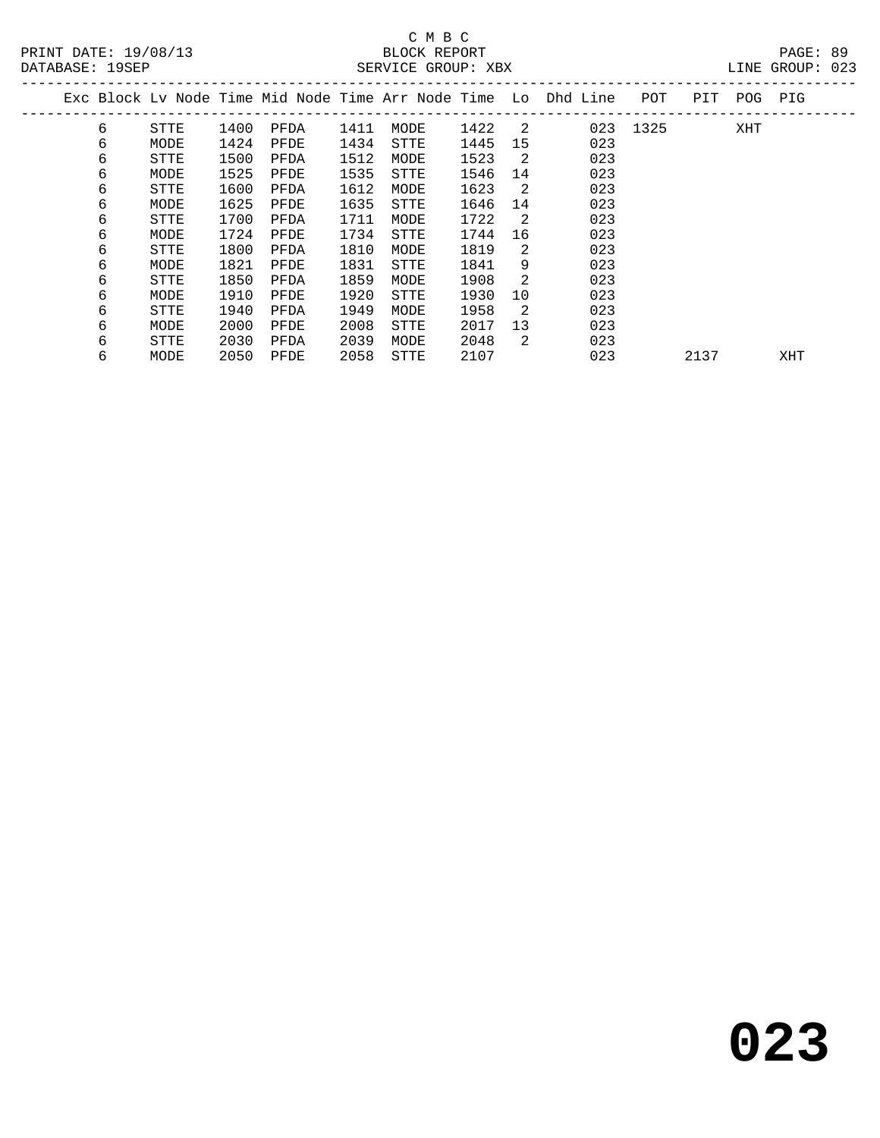| DAIADAOL · 170LF |   |      |      |      |      | SERVICE GROUP. ABA |      |                |                                                                |      |      |     | CAO JUOUD ANIIL |  |
|------------------|---|------|------|------|------|--------------------|------|----------------|----------------------------------------------------------------|------|------|-----|-----------------|--|
|                  |   |      |      |      |      |                    |      |                | Exc Block Lv Node Time Mid Node Time Arr Node Time Lo Dhd Line | POT  | PIT  | POG | PIG             |  |
|                  | 6 | STTE | 1400 | PFDA | 1411 | MODE               | 1422 | $\overline{2}$ | 023                                                            | 1325 |      | XHT |                 |  |
|                  | 6 | MODE | 1424 | PFDE | 1434 | STTE               | 1445 | 15             | 023                                                            |      |      |     |                 |  |
|                  | 6 | STTE | 1500 | PFDA | 1512 | MODE               | 1523 | 2              | 023                                                            |      |      |     |                 |  |
|                  | 6 | MODE | 1525 | PFDE | 1535 | STTE               | 1546 | 14             | 023                                                            |      |      |     |                 |  |
|                  | 6 | STTE | 1600 | PFDA | 1612 | MODE               | 1623 | 2              | 023                                                            |      |      |     |                 |  |
|                  | 6 | MODE | 1625 | PFDE | 1635 | STTE               | 1646 | 14             | 023                                                            |      |      |     |                 |  |
|                  | 6 | STTE | 1700 | PFDA | 1711 | MODE               | 1722 | 2              | 023                                                            |      |      |     |                 |  |
|                  | 6 | MODE | 1724 | PFDE | 1734 | STTE               | 1744 | 16             | 023                                                            |      |      |     |                 |  |
|                  | 6 | STTE | 1800 | PFDA | 1810 | MODE               | 1819 | 2              | 023                                                            |      |      |     |                 |  |
|                  | 6 | MODE | 1821 | PFDE | 1831 | STTE               | 1841 | 9              | 023                                                            |      |      |     |                 |  |
|                  | 6 | STTE | 1850 | PFDA | 1859 | MODE               | 1908 | 2              | 023                                                            |      |      |     |                 |  |
|                  | 6 | MODE | 1910 | PFDE | 1920 | <b>STTE</b>        | 1930 | 10             | 023                                                            |      |      |     |                 |  |
|                  | 6 | STTE | 1940 | PFDA | 1949 | MODE               | 1958 | 2              | 023                                                            |      |      |     |                 |  |
|                  | 6 | MODE | 2000 | PFDE | 2008 | STTE               | 2017 | 13             | 023                                                            |      |      |     |                 |  |
|                  | 6 | STTE | 2030 | PFDA | 2039 | MODE               | 2048 | 2              | 023                                                            |      |      |     |                 |  |
|                  | 6 | MODE | 2050 | PFDE | 2058 | STTE               | 2107 |                | 023                                                            |      | 2137 |     | XHT             |  |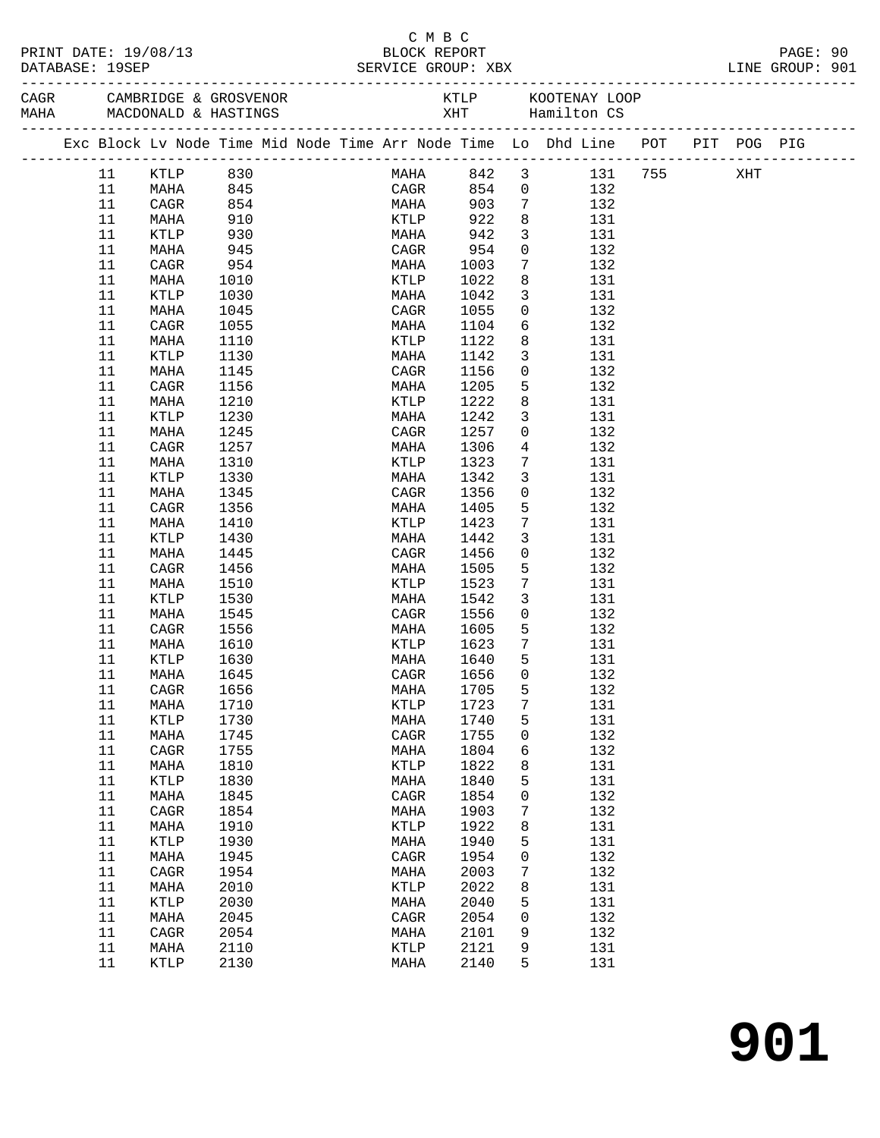| PRINT DATE: 19/08/13<br>DATABASE: 19SEP |          |            |  | BLOCK REPORT    | C M B C     |                         | SERVICE GROUP: XBX                                                             |  | PAGE: 90<br>LINE GROUP: 901 |  |
|-----------------------------------------|----------|------------|--|-----------------|-------------|-------------------------|--------------------------------------------------------------------------------|--|-----------------------------|--|
|                                         |          |            |  |                 |             |                         |                                                                                |  |                             |  |
|                                         |          |            |  |                 |             |                         | Exc Block Lv Node Time Mid Node Time Arr Node Time Lo Dhd Line POT PIT POG PIG |  |                             |  |
| 11                                      | KTLP 830 |            |  |                 |             |                         | MAHA 842 3 131 755 XHT                                                         |  |                             |  |
| 11                                      | MAHA     | 845        |  | CAGR            |             |                         | 854 0 132                                                                      |  |                             |  |
| 11                                      | CAGR     | 854        |  | <b>MAHA</b>     | 903         | $7\overline{ }$         | 132                                                                            |  |                             |  |
| 11                                      | MAHA     | 910        |  | <b>KTLP</b>     | 922         | 8                       | 131                                                                            |  |                             |  |
| 11                                      | KTLP     | 930<br>945 |  | MAHA            | 942         | $\overline{\mathbf{3}}$ | 131                                                                            |  |                             |  |
| 11                                      | MAHA     |            |  |                 | CAGR 954    | $\overline{0}$          | 132                                                                            |  |                             |  |
| 11                                      | CAGR     | 954        |  |                 | MAHA 1003   | $7\overline{ }$         | 132                                                                            |  |                             |  |
| 11                                      | MAHA     | 1010       |  | KTLP            | 1022        | 8                       | 131                                                                            |  |                             |  |
| 11                                      | KTLP     | 1030       |  | MAHA            | 1042        | $\overline{3}$          | 131                                                                            |  |                             |  |
| 11                                      | MAHA     | 1045       |  | CAGR            | 1055        | $\overline{0}$          | 132                                                                            |  |                             |  |
| 11                                      | CAGR     | 1055       |  | MAHA            | 1104        |                         | $6\overline{6}$<br>132                                                         |  |                             |  |
| 11                                      | MAHA     | 1110       |  | KTLP            | 1122        | 8                       | 131                                                                            |  |                             |  |
| 11                                      | KTLP     | 1130       |  | MAHA            | 1142        | $\overline{3}$          | 131                                                                            |  |                             |  |
| 11                                      | MAHA     | 1145       |  | CAGR            | 1156        | $\overline{0}$          | 132                                                                            |  |                             |  |
| 11                                      | CAGR     | 1156       |  | MAHA            | 1205        | $5^{\circ}$             | 132                                                                            |  |                             |  |
| 11                                      | MAHA     | 1210       |  | KTLP            | 1222        | 8                       | 131                                                                            |  |                             |  |
| 11                                      | KTLP     | 1230       |  | MAHA            | 1242        | $\overline{3}$          | 131                                                                            |  |                             |  |
| 11                                      | MAHA     | 1245       |  | CAGR            | 1257        | $\overline{0}$          | 132                                                                            |  |                             |  |
| 11                                      | CAGR     | 1257       |  | MAHA            | 1306        | $\overline{4}$          | 132                                                                            |  |                             |  |
| 11                                      | MAHA     | 1310       |  | KTLP            | 1323        | $7\phantom{.0}$         | 131                                                                            |  |                             |  |
| 11                                      | KTLP     | 1330       |  | MAHA            | 1342        | $\mathbf{3}$            | 131                                                                            |  |                             |  |
| 11                                      | MAHA     | 1345       |  | CAGR            | 1356        | $\overline{0}$          | 132                                                                            |  |                             |  |
| 11                                      | CAGR     | 1356       |  | MAHA            | 1405        | $5^{\circ}$             | 132                                                                            |  |                             |  |
| 11                                      | MAHA     | 1410       |  | KTLP            | 1423        | $7\overline{ }$         | 131                                                                            |  |                             |  |
| 11                                      | KTLP     | 1430       |  | MAHA            | 1442        | $\mathbf{3}$            | 131                                                                            |  |                             |  |
| 11                                      | MAHA     | 1445       |  | CAGR            | 1456        | $\mathbf 0$             | 132                                                                            |  |                             |  |
| 11                                      | CAGR     | 1456       |  | MAHA            | 1505        | 5                       | 132                                                                            |  |                             |  |
| 11                                      | MAHA     | 1510       |  | KTLP            | 1523        | $7\overline{ }$         | 131                                                                            |  |                             |  |
| 11                                      | KTLP     | 1530       |  | MAHA            | 1542        | $\mathbf{3}$            | 131                                                                            |  |                             |  |
| 11                                      | MAHA     | 1545       |  | CAGR            | 1556        | $\overline{0}$          | 132                                                                            |  |                             |  |
| 11                                      | CAGR     | 1556       |  |                 | MAHA 1605   | $5^{\circ}$             | 132                                                                            |  |                             |  |
| 11                                      | MAHA     | 1610       |  |                 | KTLP 1623   | $\overline{7}$          | 131                                                                            |  |                             |  |
| 11                                      | KTLP     | 1630       |  | MAHA            | 1640        | 5                       | 131                                                                            |  |                             |  |
| 11 MAHA                                 |          | 1645       |  |                 | CAGR 1656 0 |                         | 132                                                                            |  |                             |  |
| 11                                      | CAGR     | 1656       |  | MAHA            | 1705        | 5                       | 132                                                                            |  |                             |  |
| 11                                      | MAHA     | 1710       |  | $\texttt{KTLP}$ | 1723        | 7                       | 131                                                                            |  |                             |  |
| 11                                      | KTLP     | 1730       |  | MAHA            | 1740        | 5                       | 131                                                                            |  |                             |  |
| 11                                      | MAHA     | 1745       |  | CAGR            | 1755        | 0                       | 132                                                                            |  |                             |  |
| 11                                      | CAGR     | 1755       |  | MAHA            | 1804        | 6                       | 132                                                                            |  |                             |  |
| 11                                      | MAHA     | 1810       |  | KTLP            | 1822        | 8                       | 131                                                                            |  |                             |  |
| 11                                      | KTLP     | 1830       |  | MAHA            | 1840        | 5                       | 131                                                                            |  |                             |  |
| 11                                      | MAHA     | 1845       |  | CAGR            | 1854        | 0                       | 132                                                                            |  |                             |  |
| 11                                      | CAGR     | 1854       |  | MAHA            | 1903        | 7                       | 132                                                                            |  |                             |  |
| 11                                      | MAHA     | 1910       |  | KTLP            | 1922        | 8                       | 131                                                                            |  |                             |  |
| 11                                      | KTLP     | 1930       |  | MAHA            | 1940        | 5                       | 131                                                                            |  |                             |  |
| 11                                      | MAHA     | 1945       |  | $\rm CAGR$      | 1954        | 0                       | 132                                                                            |  |                             |  |
| 11                                      |          | 1954       |  |                 |             | 7                       | 132                                                                            |  |                             |  |
| 11                                      | CAGR     |            |  | MAHA            | 2003        |                         | 131                                                                            |  |                             |  |
|                                         | MAHA     | 2010       |  | KTLP            | 2022        | 8                       |                                                                                |  |                             |  |
| 11                                      | KTLP     | 2030       |  | MAHA            | 2040        | 5                       | 131                                                                            |  |                             |  |
| 11                                      | MAHA     | 2045       |  | CAGR            | 2054        | 0                       | 132                                                                            |  |                             |  |
| 11                                      | CAGR     | 2054       |  | MAHA            | 2101        | 9                       | 132                                                                            |  |                             |  |
| 11                                      | MAHA     | 2110       |  | KTLP            | 2121        | 9                       | 131                                                                            |  |                             |  |
| 11                                      | KTLP     | 2130       |  | MAHA            | 2140        | 5                       | 131                                                                            |  |                             |  |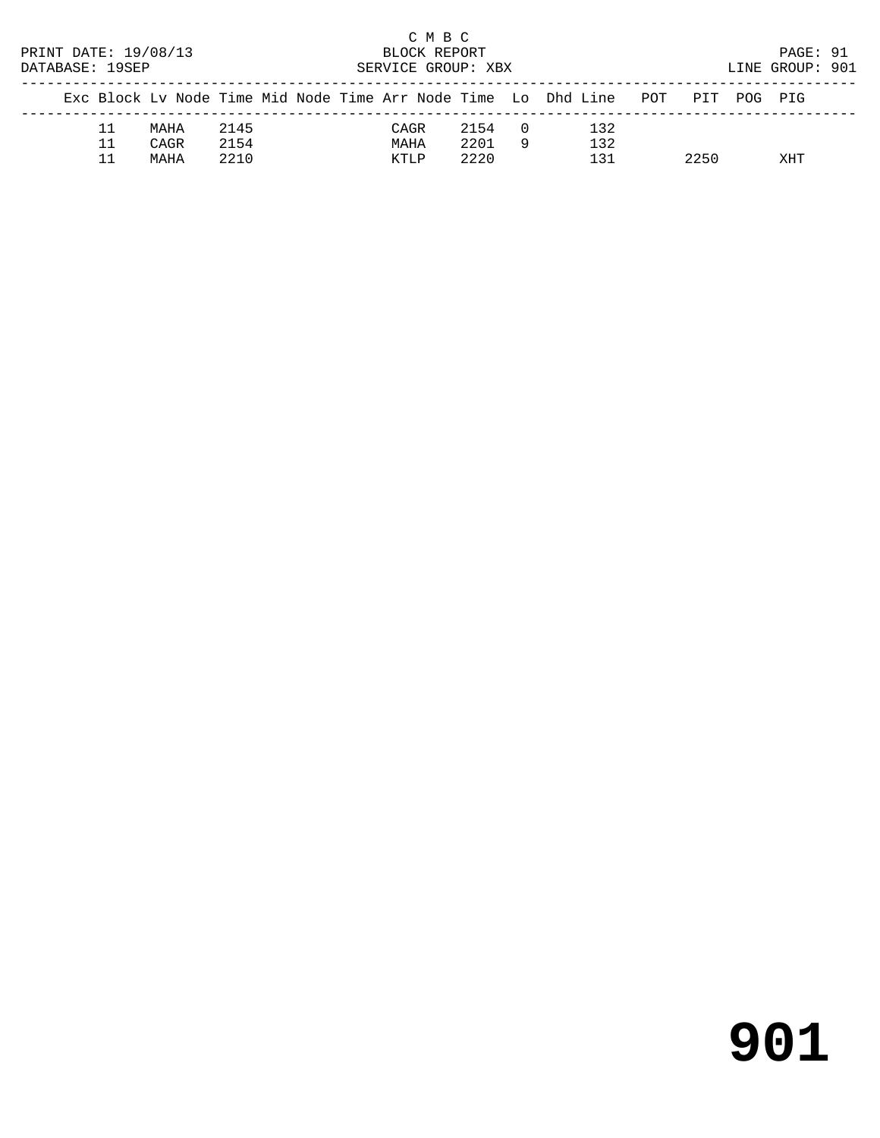| PRINT DATE: 19/08/13<br>DATABASE: 19SEP |    |      |      |  | BLOCK REPORT<br>SERVICE GROUP: XBX | C M B C |      |          |                                                                        |      | PAGE: 91<br>LINE GROUP: 901 |  |
|-----------------------------------------|----|------|------|--|------------------------------------|---------|------|----------|------------------------------------------------------------------------|------|-----------------------------|--|
|                                         |    |      |      |  |                                    |         |      |          | Exc Block Lv Node Time Mid Node Time Arr Node Time Lo Dhd Line POT PIT |      | POG PIG                     |  |
|                                         | 11 | MAHA | 2145 |  | CAGR                               |         | 2154 | $\Box$ 0 | 132                                                                    |      |                             |  |
|                                         | 11 | CAGR | 2154 |  | MAHA                               |         | 2201 | -9       | 132                                                                    |      |                             |  |
|                                         |    | MAHA | 2210 |  | KTLP                               |         | 2220 |          | 131                                                                    | 2250 | XHT                         |  |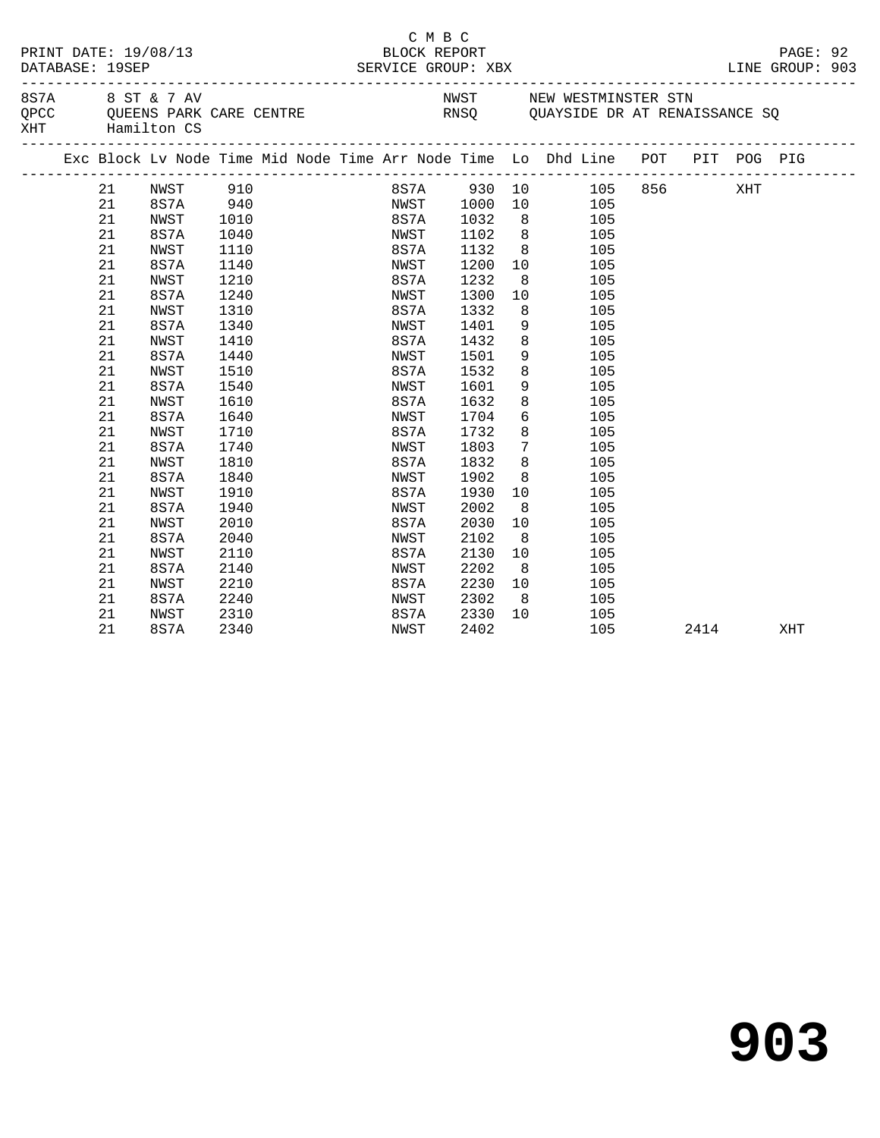|  | PRINT DATE: 19/08/13<br>DATABASE: 19SEP |                                         |      |  | C M B C<br>BLOCK REPORT<br>SERVICE GROUP: XBX |      |                 |                                                                                                                                                                    |      | PAGE: 92<br>LINE GROUP: 903 |  |
|--|-----------------------------------------|-----------------------------------------|------|--|-----------------------------------------------|------|-----------------|--------------------------------------------------------------------------------------------------------------------------------------------------------------------|------|-----------------------------|--|
|  |                                         | 8 S 7 A 8 S T & 7 AV<br>XHT Hamilton CS |      |  |                                               |      |                 | NWST NEW WESTMINSTER STN<br>QPCC QUEENS PARK CARE CENTRE THE RNSQ QUAYSIDE DR AT RENAISSANCE SQ                                                                    |      |                             |  |
|  |                                         |                                         |      |  |                                               |      |                 | Exc Block Lv Node Time Mid Node Time Arr Node Time Lo Dhd Line POT PIT POG PIG<br>.com/accommodation/accommodation/accommodation/accommodation/accommodation/accom |      |                             |  |
|  | 21                                      | NWST 910                                |      |  |                                               |      |                 | 8S7A 930 10 105 856 XHT                                                                                                                                            |      |                             |  |
|  | 21                                      | 8S7A 940                                |      |  | NWST 1000                                     |      |                 | 10 105                                                                                                                                                             |      |                             |  |
|  | 21                                      | NWST                                    | 1010 |  | 8S7A 1032                                     |      |                 | 8 105                                                                                                                                                              |      |                             |  |
|  | 21                                      | 8S7A                                    | 1040 |  | NWST                                          | 1102 | 8 <sup>8</sup>  | 105                                                                                                                                                                |      |                             |  |
|  | 21                                      | NWST                                    | 1110 |  | 8S7A                                          | 1132 |                 | 8<br>105                                                                                                                                                           |      |                             |  |
|  | 21                                      | 8S7A                                    | 1140 |  | NWST                                          | 1200 | 10              | 105                                                                                                                                                                |      |                             |  |
|  | 21                                      | NWST                                    | 1210 |  | 8S7A                                          | 1232 | 8 <sup>8</sup>  | 105                                                                                                                                                                |      |                             |  |
|  | 21                                      | 8S7A                                    | 1240 |  | NWST                                          | 1300 | 10              | 105                                                                                                                                                                |      |                             |  |
|  | 21                                      | NWST                                    | 1310 |  | 8S7A                                          | 1332 | 8 <sup>8</sup>  | 105                                                                                                                                                                |      |                             |  |
|  | 21                                      | 8S7A                                    | 1340 |  | NWST                                          | 1401 | 9               | 105                                                                                                                                                                |      |                             |  |
|  | 21                                      | NWST                                    | 1410 |  | 8S7A                                          | 1432 | 8               | 105                                                                                                                                                                |      |                             |  |
|  | 21                                      | 8S7A                                    | 1440 |  | NWST                                          | 1501 | 9               | 105                                                                                                                                                                |      |                             |  |
|  | 21                                      | NWST                                    | 1510 |  | 8S7A                                          | 1532 | 8               | 105                                                                                                                                                                |      |                             |  |
|  | 21                                      | 8S7A                                    | 1540 |  | NWST                                          | 1601 | 9               | 105                                                                                                                                                                |      |                             |  |
|  | 21                                      | NWST                                    | 1610 |  | 8S7A                                          | 1632 | 8               | 105                                                                                                                                                                |      |                             |  |
|  | 21                                      | 8S7A                                    | 1640 |  | NWST                                          | 1704 |                 | $6\overline{6}$<br>105                                                                                                                                             |      |                             |  |
|  | 21                                      | NWST                                    | 1710 |  | 8S7A                                          | 1732 | 8               | 105                                                                                                                                                                |      |                             |  |
|  | 21                                      | 8S7A                                    | 1740 |  | NWST                                          | 1803 | $7\overline{ }$ | 105                                                                                                                                                                |      |                             |  |
|  | 21                                      | NWST                                    | 1810 |  | 8S7A                                          | 1832 | 8               | 105                                                                                                                                                                |      |                             |  |
|  | 21                                      | 8S7A                                    | 1840 |  | NWST                                          | 1902 | 8               | 105                                                                                                                                                                |      |                             |  |
|  | 21                                      | NWST                                    | 1910 |  | 8S7A                                          | 1930 | 10              | 105                                                                                                                                                                |      |                             |  |
|  | 21                                      | 8S7A                                    | 1940 |  | NWST                                          | 2002 | 8 <sup>8</sup>  | 105                                                                                                                                                                |      |                             |  |
|  | 21                                      | NWST                                    | 2010 |  | 8S7A                                          | 2030 | 10              | 105                                                                                                                                                                |      |                             |  |
|  | 21                                      | 8S7A                                    | 2040 |  | NWST                                          | 2102 | 8 <sup>8</sup>  | 105                                                                                                                                                                |      |                             |  |
|  | 21                                      | NWST                                    | 2110 |  | 8S7A                                          | 2130 | 10              | 105                                                                                                                                                                |      |                             |  |
|  | 21                                      | 8S7A                                    | 2140 |  | NWST                                          | 2202 | 8 <sup>8</sup>  | 105                                                                                                                                                                |      |                             |  |
|  | 21                                      | NWST                                    | 2210 |  | 8S7A                                          | 2230 | 10              | 105                                                                                                                                                                |      |                             |  |
|  | 21                                      | 8S7A                                    | 2240 |  | NWST                                          | 2302 | 8 <sup>8</sup>  | 105                                                                                                                                                                |      |                             |  |
|  | 21                                      | NWST                                    | 2310 |  | 8S7A                                          | 2330 | 10              | 105                                                                                                                                                                |      |                             |  |
|  | 21                                      | 8S7A                                    | 2340 |  | NWST                                          | 2402 |                 | 105                                                                                                                                                                | 2414 | XHT                         |  |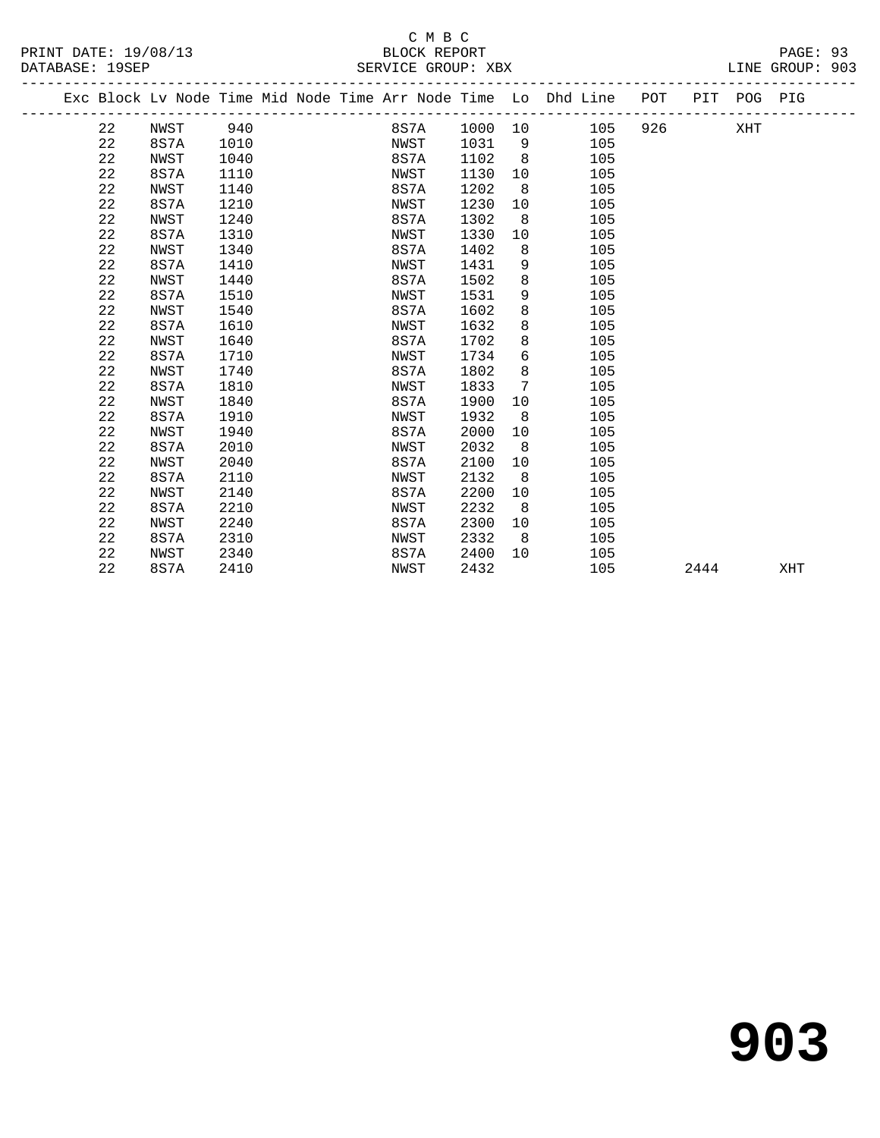#### C M B C<br>BLOCK REPORT PRINT DATE: 19/08/13 BLOCK REPORT PAGE: 93 SERVICE GROUP: XBX

| . 10/00/12 |
|------------|

|  |    | Exc Block Lv Node Time Mid Node Time Arr Node Time Lo Dhd Line |      |  |      |      |     |     | POT |      | PIT POG PIG |     |
|--|----|----------------------------------------------------------------|------|--|------|------|-----|-----|-----|------|-------------|-----|
|  | 22 | NWST                                                           | 940  |  | 8S7A | 1000 | 10  | 105 | 926 |      | XHT         |     |
|  | 22 | 8S7A                                                           | 1010 |  | NWST | 1031 | - 9 | 105 |     |      |             |     |
|  | 22 | NWST                                                           | 1040 |  | 8S7A | 1102 | 8   | 105 |     |      |             |     |
|  | 22 | 8S7A                                                           | 1110 |  | NWST | 1130 | 10  | 105 |     |      |             |     |
|  | 22 | NWST                                                           | 1140 |  | 8S7A | 1202 | 8   | 105 |     |      |             |     |
|  | 22 | 8S7A                                                           | 1210 |  | NWST | 1230 | 10  | 105 |     |      |             |     |
|  | 22 | NWST                                                           | 1240 |  | 8S7A | 1302 | 8   | 105 |     |      |             |     |
|  | 22 | 8S7A                                                           | 1310 |  | NWST | 1330 | 10  | 105 |     |      |             |     |
|  | 22 | NWST                                                           | 1340 |  | 8S7A | 1402 | 8   | 105 |     |      |             |     |
|  | 22 | 8S7A                                                           | 1410 |  | NWST | 1431 | 9   | 105 |     |      |             |     |
|  | 22 | NWST                                                           | 1440 |  | 8S7A | 1502 | 8   | 105 |     |      |             |     |
|  | 22 | 8S7A                                                           | 1510 |  | NWST | 1531 | 9   | 105 |     |      |             |     |
|  | 22 | NWST                                                           | 1540 |  | 8S7A | 1602 | 8   | 105 |     |      |             |     |
|  | 22 | 8S7A                                                           | 1610 |  | NWST | 1632 | 8   | 105 |     |      |             |     |
|  | 22 | NWST                                                           | 1640 |  | 8S7A | 1702 | 8   | 105 |     |      |             |     |
|  | 22 | 8S7A                                                           | 1710 |  | NWST | 1734 | 6   | 105 |     |      |             |     |
|  | 22 | NWST                                                           | 1740 |  | 8S7A | 1802 | 8   | 105 |     |      |             |     |
|  | 22 | 8S7A                                                           | 1810 |  | NWST | 1833 | 7   | 105 |     |      |             |     |
|  | 22 | NWST                                                           | 1840 |  | 8S7A | 1900 | 10  | 105 |     |      |             |     |
|  | 22 | 8S7A                                                           | 1910 |  | NWST | 1932 | 8   | 105 |     |      |             |     |
|  | 22 | NWST                                                           | 1940 |  | 8S7A | 2000 | 10  | 105 |     |      |             |     |
|  | 22 | 8S7A                                                           | 2010 |  | NWST | 2032 | 8   | 105 |     |      |             |     |
|  | 22 | NWST                                                           | 2040 |  | 8S7A | 2100 | 10  | 105 |     |      |             |     |
|  | 22 | 8S7A                                                           | 2110 |  | NWST | 2132 | 8   | 105 |     |      |             |     |
|  | 22 | NWST                                                           | 2140 |  | 8S7A | 2200 | 10  | 105 |     |      |             |     |
|  | 22 | 8S7A                                                           | 2210 |  | NWST | 2232 | 8   | 105 |     |      |             |     |
|  | 22 | NWST                                                           | 2240 |  | 8S7A | 2300 | 10  | 105 |     |      |             |     |
|  | 22 | 8S7A                                                           | 2310 |  | NWST | 2332 | -8  | 105 |     |      |             |     |
|  | 22 | NWST                                                           | 2340 |  | 8S7A | 2400 | 10  | 105 |     |      |             |     |
|  | 22 | 8S7A                                                           | 2410 |  | NWST | 2432 |     | 105 |     | 2444 |             | XHT |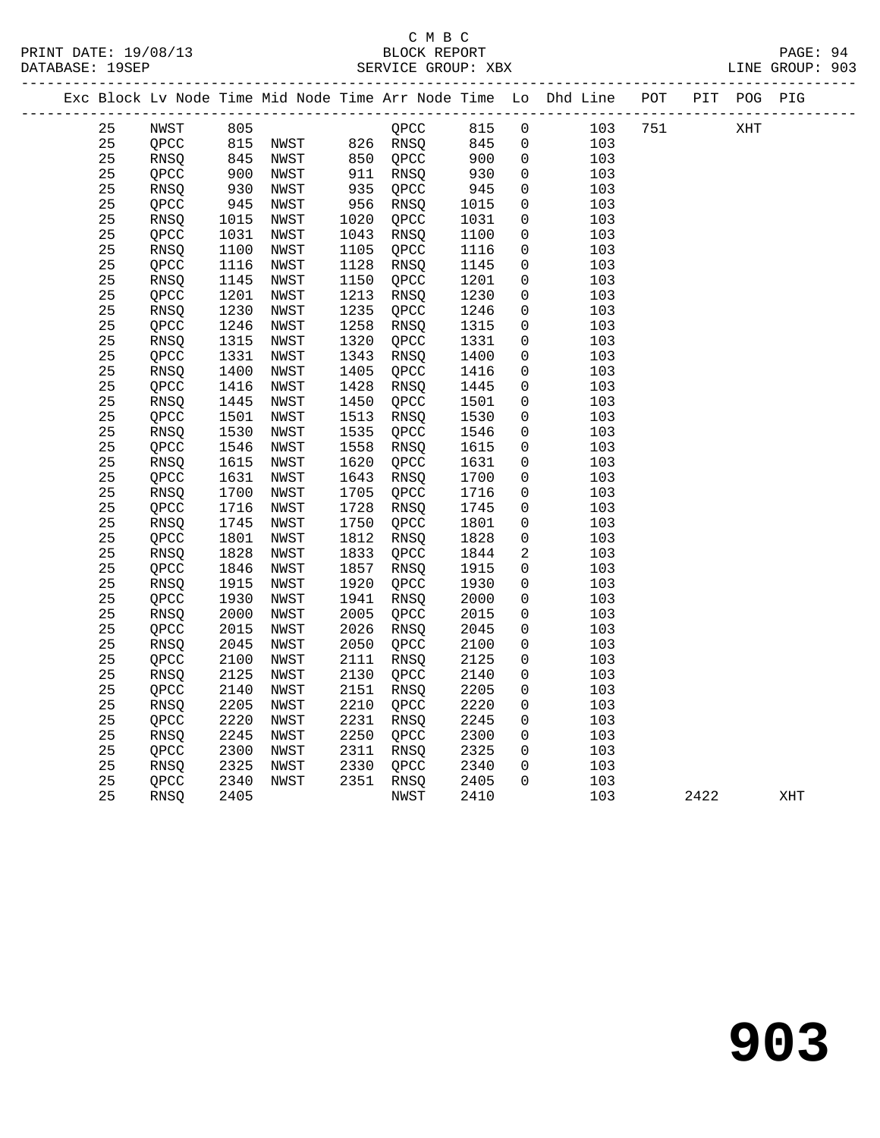|  |    |             |                   |      |      |                      |                      |                | Exc Block Lv Node Time Mid Node Time Arr Node Time Lo Dhd Line POT PIT POG PIG |     |      |                      |     |
|--|----|-------------|-------------------|------|------|----------------------|----------------------|----------------|--------------------------------------------------------------------------------|-----|------|----------------------|-----|
|  | 25 | NWST        |                   |      |      |                      | 815                  | $\overline{0}$ | 103                                                                            | 751 |      | $\operatorname{XHT}$ |     |
|  | 25 | QPCC        |                   |      |      |                      | 845                  | $\mathsf{O}$   | 103                                                                            |     |      |                      |     |
|  | 25 | RNSQ        | $845$ $900$ $930$ | NWST |      | 850 QPCC<br>911 RNSO | 900<br>930           | $\mathbf 0$    | 103                                                                            |     |      |                      |     |
|  | 25 | QPCC        |                   | NWST |      | 911 RNSQ             |                      | $\mathsf{O}$   | 103                                                                            |     |      |                      |     |
|  | 25 | <b>RNSO</b> |                   | NWST |      | $935$ QPCC           | 945                  | $\mathbf 0$    | 103                                                                            |     |      |                      |     |
|  | 25 | QPCC        | 945               | NWST | 956  | RNSQ                 | 1015                 | $\mathsf{O}$   | 103                                                                            |     |      |                      |     |
|  | 25 | RNSQ        | 1015              | NWST |      | 1020 QPCC            | 1031                 | 0              | 103                                                                            |     |      |                      |     |
|  | 25 | QPCC        | 1031              | NWST |      | 1043 RNSQ            | 1100                 | $\mathbf 0$    | 103                                                                            |     |      |                      |     |
|  | 25 | RNSQ        | 1100              | NWST |      | 1105 QPCC            | 1116                 | $\mathbf 0$    | 103                                                                            |     |      |                      |     |
|  | 25 | QPCC        | 1116              | NWST | 1128 | RNSQ                 | 1145                 | $\mathbf 0$    | 103                                                                            |     |      |                      |     |
|  | 25 | RNSQ        | 1145              | NWST | 1150 | QPCC                 | 1201                 | $\mathbf 0$    | 103                                                                            |     |      |                      |     |
|  | 25 | QPCC        | 1201              | NWST | 1213 | RNSQ                 | 1230                 | $\mathbf 0$    | 103                                                                            |     |      |                      |     |
|  | 25 | RNSQ        | 1230              | NWST | 1235 | QPCC                 | 1246                 | $\mathbf 0$    | 103                                                                            |     |      |                      |     |
|  | 25 | QPCC        | 1246              | NWST | 1258 | RNSQ                 | 1315                 | 0              | 103                                                                            |     |      |                      |     |
|  | 25 | <b>RNSO</b> | 1315              | NWST | 1320 | QPCC                 | 1331                 | $\mathbf 0$    | 103                                                                            |     |      |                      |     |
|  | 25 | QPCC        | 1331              | NWST | 1343 | RNSQ                 | 1400                 | $\mathbf 0$    | 103                                                                            |     |      |                      |     |
|  | 25 | RNSQ        | 1400              | NWST | 1405 | QPCC                 | 1416                 | $\mathsf{O}$   | 103                                                                            |     |      |                      |     |
|  | 25 | QPCC        | 1416              | NWST | 1428 | RNSQ                 | 1445                 | $\mathsf{O}$   | 103                                                                            |     |      |                      |     |
|  | 25 | RNSQ        | 1445              | NWST | 1450 | QPCC                 | 1501                 | $\mathbf 0$    | 103                                                                            |     |      |                      |     |
|  | 25 | QPCC        | 1501              | NWST | 1513 | RNSQ                 | 1530                 | $\mathbf 0$    | 103                                                                            |     |      |                      |     |
|  | 25 | RNSQ        | 1530              | NWST | 1535 | QPCC                 | 1546                 | 0              | 103                                                                            |     |      |                      |     |
|  | 25 | QPCC        | 1546              | NWST | 1558 | RNSQ                 | 1615                 | $\mathsf{O}$   | 103                                                                            |     |      |                      |     |
|  | 25 | RNSQ        | 1615              | NWST | 1620 | QPCC                 | 1631                 | $\mathbf 0$    | 103                                                                            |     |      |                      |     |
|  | 25 | QPCC        | 1631              | NWST | 1643 | RNSQ                 | 1700                 | $\mathbf 0$    | 103                                                                            |     |      |                      |     |
|  | 25 | RNSQ        | 1700              | NWST | 1705 | QPCC                 | 1716                 | $\mathbf 0$    | 103                                                                            |     |      |                      |     |
|  | 25 | QPCC        | 1716              | NWST | 1728 | RNSQ                 | 1745                 | $\mathsf{O}$   | 103                                                                            |     |      |                      |     |
|  | 25 | RNSQ        | 1745              | NWST | 1750 | QPCC                 | 1801                 | $\mathsf{O}$   | 103                                                                            |     |      |                      |     |
|  | 25 | QPCC        | 1801              | NWST | 1812 | RNSQ                 | 1828                 | $\mathbf 0$    | 103                                                                            |     |      |                      |     |
|  | 25 | RNSQ        | 1828              | NWST | 1833 | QPCC                 | 1844                 | $\overline{2}$ | 103                                                                            |     |      |                      |     |
|  | 25 | QPCC        | 1846              | NWST | 1857 | RNSO                 | 1915                 | $\mathbf 0$    | 103                                                                            |     |      |                      |     |
|  | 25 | RNSQ        | 1915              | NWST | 1920 | QPCC                 | 1930                 | 0              | 103                                                                            |     |      |                      |     |
|  | 25 | QPCC        | 1930              | NWST | 1941 | RNSQ                 | 2000                 | 0              | 103                                                                            |     |      |                      |     |
|  | 25 | RNSQ        | 2000              | NWST | 2005 | QPCC                 | 2015                 | $\mathbf 0$    | 103                                                                            |     |      |                      |     |
|  | 25 | QPCC        | 2015              | NWST | 2026 | RNSO                 | 2045                 | $\mathbf 0$    | 103                                                                            |     |      |                      |     |
|  | 25 | RNSQ        | 2045              | NWST | 2050 | QPCC                 | 2100                 | $\mathbf 0$    | 103                                                                            |     |      |                      |     |
|  | 25 | QPCC        | 2100              | NWST | 2111 | RNSQ                 | 2125                 | $\mathbf 0$    | 103                                                                            |     |      |                      |     |
|  | 25 | RNSQ        | 2125              | NWST | 2130 | QPCC                 | 2140                 | $\mathbf 0$    | 103                                                                            |     |      |                      |     |
|  | 25 | QPCC        | 2140              | NWST | 2151 | RNSQ                 | 2205                 | $\mathbf 0$    | 103                                                                            |     |      |                      |     |
|  | 25 | RNSQ        | 2205              | NWST | 2210 | QPCC                 | 2220                 | 0              | 103                                                                            |     |      |                      |     |
|  | 25 | QPCC        | 2220              | NWST | 2231 | RNSQ                 | 2245                 | $\mathbf 0$    | 103                                                                            |     |      |                      |     |
|  | 25 | RNSQ        | 2245              | NWST | 2250 | QPCC                 | 2300                 | $\mathsf{O}$   | 103                                                                            |     |      |                      |     |
|  | 25 | QPCC        | 2300              | NWST | 2311 | RNSQ                 | 2325<br>2325<br>2340 | $\mathsf{O}$   | 103                                                                            |     |      |                      |     |
|  | 25 | RNSQ        | 2325              | NWST | 2330 | QPCC                 |                      | $\mathbf 0$    | 103                                                                            |     |      |                      |     |
|  | 25 | QPCC        | 2340              | NWST |      | 2351 RNSQ            | 2405                 | $\Omega$       | 103                                                                            |     |      |                      |     |
|  | 25 | RNSQ        | 2405              |      |      | NWST                 | 2410                 |                | 103                                                                            |     | 2422 |                      | XHT |
|  |    |             |                   |      |      |                      |                      |                |                                                                                |     |      |                      |     |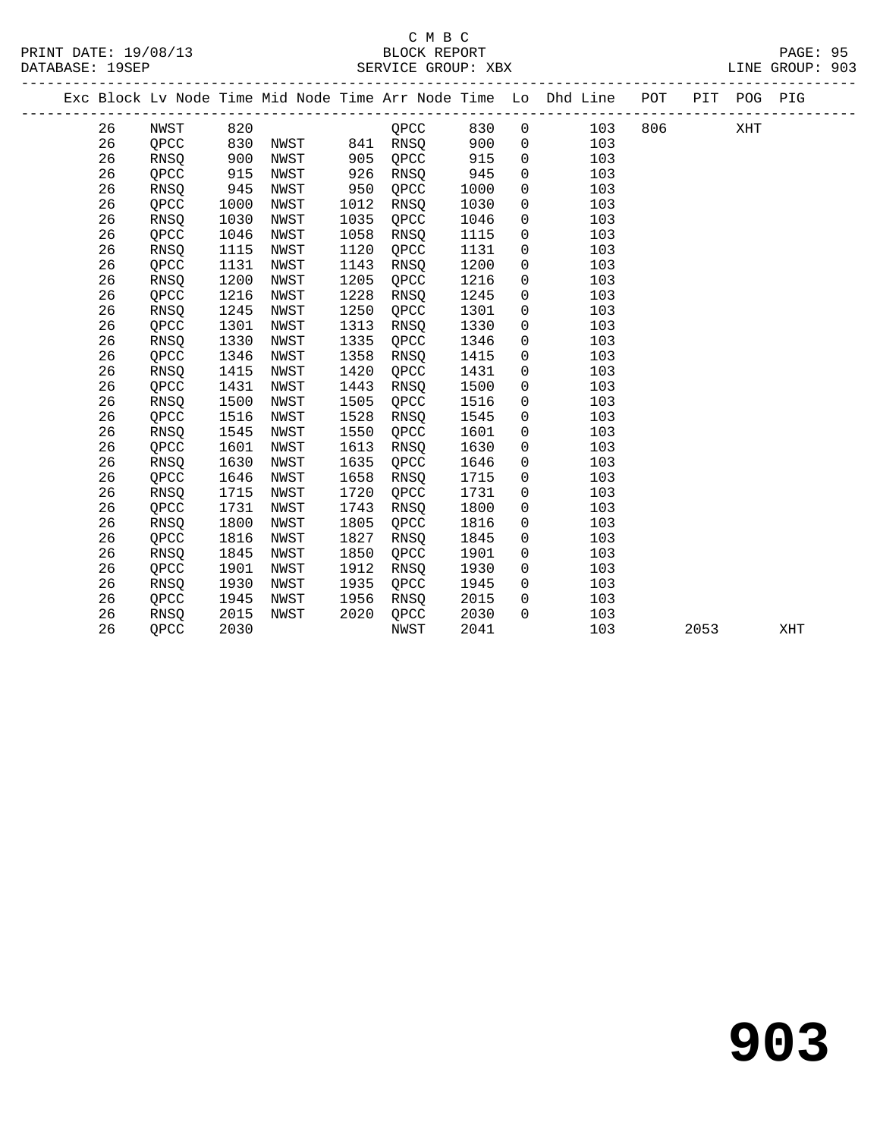#### C M B C<br>BLOCK REPORT PRINT DATE: 19/08/13 BLOCK REPORT PAGE: 95 SERVICE GROUP: XBX

|  |    |             |                   |      |      |                                                 |      |                | Exc Block Lv Node Time Mid Node Time Arr Node Time Lo Dhd Line POT PIT POG PIG |      |     |     |
|--|----|-------------|-------------------|------|------|-------------------------------------------------|------|----------------|--------------------------------------------------------------------------------|------|-----|-----|
|  | 26 | NWST        | 820               |      |      | QPCC                                            | 830  | $\overline{0}$ | 103 806                                                                        |      | XHT |     |
|  | 26 | QPCC        |                   |      |      |                                                 | 900  | $\overline{0}$ | 103                                                                            |      |     |     |
|  | 26 | RNSQ        | 830<br>900        |      |      | NWST 841 RNSQ<br>NWST 905 QPCC<br>NWST 926 RNSO | 915  | $\mathsf{O}$   | 103                                                                            |      |     |     |
|  | 26 | QPCC        | $\frac{915}{945}$ | NWST | 926  | RNSQ                                            | 945  | $\mathbf 0$    | 103                                                                            |      |     |     |
|  | 26 | RNSQ        |                   | NWST | 950  | OPCC                                            | 1000 | $\mathbf 0$    | 103                                                                            |      |     |     |
|  | 26 | QPCC        | 1000              | NWST | 1012 | <b>RNSO</b>                                     | 1030 | $\mathbf 0$    | 103                                                                            |      |     |     |
|  | 26 | RNSQ        | 1030              | NWST | 1035 | QPCC                                            | 1046 | $\mathsf{O}$   | 103                                                                            |      |     |     |
|  | 26 | QPCC        | 1046              | NWST | 1058 | RNSQ                                            | 1115 | $\mathsf{O}$   | 103                                                                            |      |     |     |
|  | 26 | RNSQ        | 1115              | NWST | 1120 | QPCC                                            | 1131 | $\mathsf{O}$   | 103                                                                            |      |     |     |
|  | 26 | QPCC        | 1131              | NWST | 1143 | RNSQ                                            | 1200 | $\mathbf 0$    | 103                                                                            |      |     |     |
|  | 26 | RNSQ        | 1200              | NWST | 1205 | QPCC                                            | 1216 | 0              | 103                                                                            |      |     |     |
|  | 26 | QPCC        | 1216              | NWST | 1228 | RNSQ                                            | 1245 | $\mathbf 0$    | 103                                                                            |      |     |     |
|  | 26 | RNSQ        | 1245              | NWST | 1250 | QPCC                                            | 1301 | $\mathbf 0$    | 103                                                                            |      |     |     |
|  | 26 | QPCC        | 1301              | NWST | 1313 | RNSQ                                            | 1330 | 0              | 103                                                                            |      |     |     |
|  | 26 | <b>RNSQ</b> | 1330              | NWST | 1335 | QPCC                                            | 1346 | $\mathbf 0$    | 103                                                                            |      |     |     |
|  | 26 | QPCC        | 1346              | NWST | 1358 | RNSQ                                            | 1415 | $\mathbf 0$    | 103                                                                            |      |     |     |
|  | 26 | <b>RNSO</b> | 1415              | NWST | 1420 | QPCC                                            | 1431 | 0              | 103                                                                            |      |     |     |
|  | 26 | QPCC        | 1431              | NWST | 1443 | RNSQ                                            | 1500 | 0              | 103                                                                            |      |     |     |
|  | 26 | RNSQ        | 1500              | NWST | 1505 | QPCC                                            | 1516 | 0              | 103                                                                            |      |     |     |
|  | 26 | QPCC        | 1516              | NWST | 1528 | RNSQ                                            | 1545 | 0              | 103                                                                            |      |     |     |
|  | 26 | RNSQ        | 1545              | NWST | 1550 | QPCC                                            | 1601 | 0              | 103                                                                            |      |     |     |
|  | 26 | QPCC        | 1601              | NWST | 1613 | RNSQ                                            | 1630 | 0              | 103                                                                            |      |     |     |
|  | 26 | <b>RNSO</b> | 1630              | NWST | 1635 | QPCC                                            | 1646 | 0              | 103                                                                            |      |     |     |
|  | 26 | QPCC        | 1646              | NWST | 1658 | <b>RNSO</b>                                     | 1715 | 0              | 103                                                                            |      |     |     |
|  | 26 | <b>RNSO</b> | 1715              | NWST | 1720 | QPCC                                            | 1731 | 0              | 103                                                                            |      |     |     |
|  | 26 | QPCC        | 1731              | NWST | 1743 | RNSQ                                            | 1800 | $\mathbf 0$    | 103                                                                            |      |     |     |
|  | 26 | RNSQ        | 1800              | NWST | 1805 | QPCC                                            | 1816 | 0              | 103                                                                            |      |     |     |
|  | 26 | QPCC        | 1816              | NWST | 1827 | RNSQ                                            | 1845 | 0              | 103                                                                            |      |     |     |
|  | 26 | RNSQ        | 1845              | NWST | 1850 | QPCC                                            | 1901 | 0              | 103                                                                            |      |     |     |
|  | 26 | QPCC        | 1901              | NWST | 1912 | RNSQ                                            | 1930 | $\mathbf 0$    | 103                                                                            |      |     |     |
|  | 26 | RNSQ        | 1930              | NWST | 1935 | QPCC                                            | 1945 | $\mathbf 0$    | 103                                                                            |      |     |     |
|  | 26 | OPCC        | 1945              | NWST | 1956 | RNSO                                            | 2015 | $\mathbf 0$    | 103                                                                            |      |     |     |
|  | 26 | RNSO        | 2015              | NWST | 2020 | QPCC                                            | 2030 | $\Omega$       | 103                                                                            |      |     |     |
|  | 26 | OPCC        | 2030              |      |      | NWST                                            | 2041 |                | 103                                                                            | 2053 |     | XHT |
|  |    |             |                   |      |      |                                                 |      |                |                                                                                |      |     |     |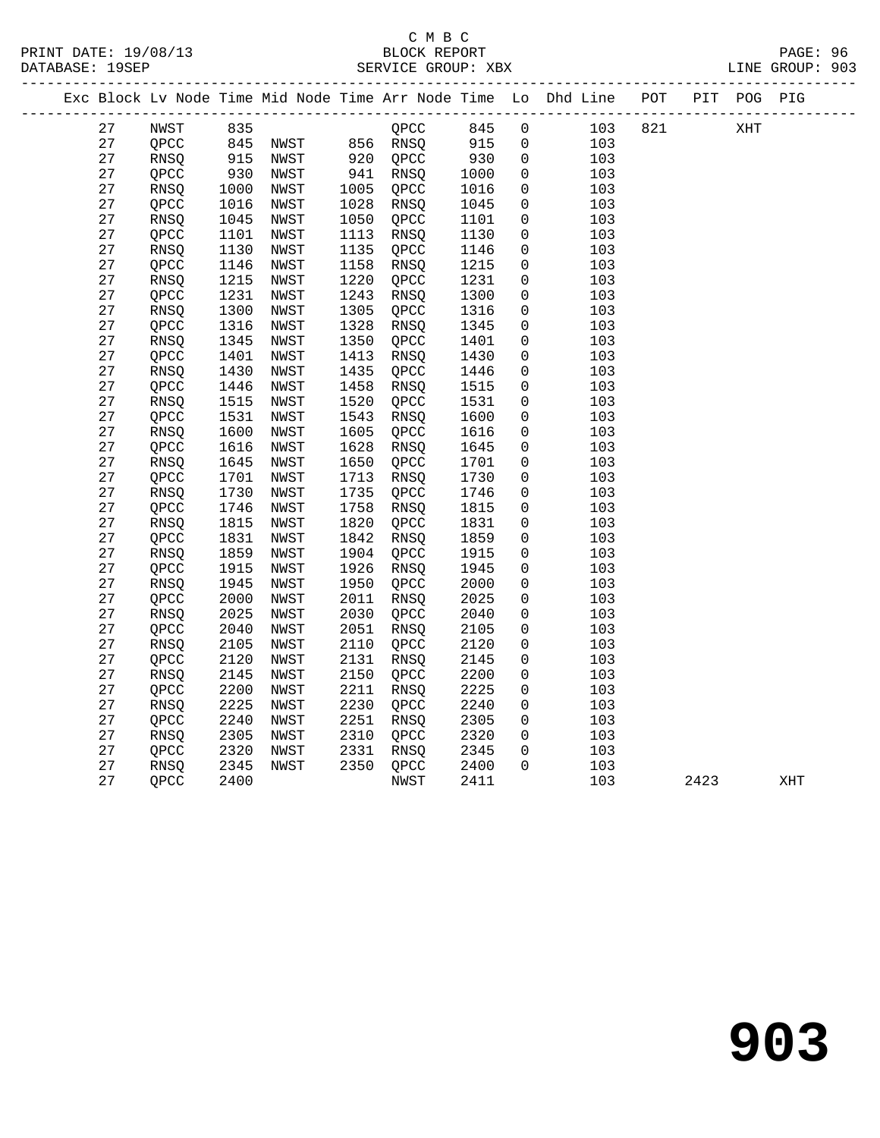#### C M B C SERVICE GROUP: XBX

|  |          |              |              |                                                                      |              |              |              |                            | Exc Block Lv Node Time Mid Node Time Arr Node Time Lo Dhd Line POT PIT POG PIG |     |      |     |     |
|--|----------|--------------|--------------|----------------------------------------------------------------------|--------------|--------------|--------------|----------------------------|--------------------------------------------------------------------------------|-----|------|-----|-----|
|  | 27       | NWST         |              | 835<br>845 NWST<br>915 NWST<br>CPU<br>NWST 856 RNSQ<br>NWST 920 QPCC |              | QPCC         | 845          | $\overline{0}$             | 103                                                                            | 821 |      | XHT |     |
|  | 27       | QPCC         |              |                                                                      |              |              | 915          | $\overline{0}$             | 103                                                                            |     |      |     |     |
|  | 27       | RNSQ         |              |                                                                      |              |              | 930          | $\mathsf{O}$               | 103                                                                            |     |      |     |     |
|  | 27       | QPCC         | 930          | NWST                                                                 |              | 941 RNSQ     | 1000         | $\overline{0}$             | 103                                                                            |     |      |     |     |
|  | 27       | RNSQ         | 1000         | NWST                                                                 |              | 1005 QPCC    | 1016         | 0                          | 103                                                                            |     |      |     |     |
|  | 27       | QPCC         | 1016         | NWST                                                                 | 1028         | RNSO         | 1045         | $\mathbf 0$                | 103                                                                            |     |      |     |     |
|  | 27       | RNSQ         | 1045         | NWST                                                                 | 1050         | QPCC         | 1101         | 0                          | 103                                                                            |     |      |     |     |
|  | 27       | QPCC         | 1101         | NWST                                                                 | 1113         | RNSQ         | 1130         | 0                          | 103                                                                            |     |      |     |     |
|  | 27       | RNSQ         | 1130         | NWST                                                                 | 1135         | QPCC         | 1146         | $\mathbf 0$                | 103                                                                            |     |      |     |     |
|  | 27       | QPCC         | 1146         | NWST                                                                 | 1158         | RNSQ         | 1215         | 0                          | 103                                                                            |     |      |     |     |
|  | 27       | RNSQ         | 1215         | NWST                                                                 | 1220         | QPCC         | 1231         | $\mathbf 0$                | 103                                                                            |     |      |     |     |
|  | 27       | QPCC         | 1231         | NWST                                                                 | 1243         | RNSQ         | 1300         | 0                          | 103                                                                            |     |      |     |     |
|  | 27       | RNSQ         | 1300         | NWST                                                                 | 1305         | QPCC         | 1316         | 0                          | 103                                                                            |     |      |     |     |
|  | 27       | QPCC         | 1316         | NWST                                                                 | 1328         | RNSQ         | 1345         | 0                          | 103                                                                            |     |      |     |     |
|  | 27       | RNSQ         | 1345         | NWST                                                                 | 1350         | QPCC         | 1401         | 0                          | 103                                                                            |     |      |     |     |
|  | 27       | QPCC         | 1401         | NWST                                                                 | 1413         | RNSQ         | 1430         | 0                          | 103                                                                            |     |      |     |     |
|  | 27       | RNSQ         | 1430         | NWST                                                                 | 1435         | QPCC         | 1446         | 0                          | 103                                                                            |     |      |     |     |
|  | 27       | QPCC         | 1446         | NWST                                                                 | 1458         | RNSQ         | 1515         | 0                          | 103                                                                            |     |      |     |     |
|  | 27       | RNSQ         | 1515         | NWST                                                                 | 1520         | QPCC         | 1531         | 0                          | 103                                                                            |     |      |     |     |
|  | 27       | QPCC         | 1531         | NWST                                                                 | 1543         | RNSQ         | 1600         | 0                          | 103                                                                            |     |      |     |     |
|  | 27       | RNSQ         | 1600         | NWST                                                                 | 1605         | QPCC         | 1616         | 0                          | 103                                                                            |     |      |     |     |
|  | 27       | QPCC         | 1616         | NWST                                                                 | 1628         | RNSO         | 1645         | $\mathbf 0$                | 103                                                                            |     |      |     |     |
|  | 27       | RNSQ         | 1645         | NWST                                                                 | 1650         | QPCC         | 1701         | 0                          | 103                                                                            |     |      |     |     |
|  | 27       | QPCC         | 1701         | NWST                                                                 | 1713         | RNSQ         | 1730         | 0                          | 103                                                                            |     |      |     |     |
|  | 27       | RNSQ         | 1730         | NWST                                                                 | 1735         | QPCC         | 1746         | 0                          | 103                                                                            |     |      |     |     |
|  | 27       | QPCC         | 1746         | NWST                                                                 | 1758         | RNSQ         | 1815         | 0                          | 103                                                                            |     |      |     |     |
|  | 27       | RNSQ         | 1815         | NWST                                                                 | 1820         | QPCC         | 1831         | $\mathsf{O}\xspace$        | 103                                                                            |     |      |     |     |
|  | 27       | QPCC         | 1831         | NWST                                                                 | 1842         | RNSO         | 1859         | $\mathbf 0$                | 103                                                                            |     |      |     |     |
|  | 27       | RNSQ         | 1859         | NWST                                                                 | 1904         | QPCC         | 1915         | 0                          | 103                                                                            |     |      |     |     |
|  | 27       | QPCC         | 1915         | NWST                                                                 | 1926         | RNSO         | 1945         | $\mathbf 0$                | 103                                                                            |     |      |     |     |
|  | 27       | RNSQ         | 1945         | NWST                                                                 | 1950         | QPCC         | 2000         | $\mathbf 0$                | 103                                                                            |     |      |     |     |
|  | 27<br>27 | QPCC         | 2000<br>2025 | NWST<br>NWST                                                         | 2011<br>2030 | RNSQ         | 2025<br>2040 | 0                          | 103                                                                            |     |      |     |     |
|  |          | RNSQ         |              |                                                                      |              | QPCC         |              | 0                          | 103                                                                            |     |      |     |     |
|  | 27<br>27 | QPCC         | 2040         | NWST                                                                 | 2051<br>2110 | RNSQ         | 2105<br>2120 | 0                          | 103<br>103                                                                     |     |      |     |     |
|  | 27       | RNSQ         | 2105         | NWST                                                                 |              | OPCC         |              | $\mathbf 0$<br>$\mathbf 0$ |                                                                                |     |      |     |     |
|  |          | QPCC         | 2120         | NWST                                                                 | 2131         | RNSQ         | 2145         |                            | 103                                                                            |     |      |     |     |
|  | 27<br>27 | RNSQ<br>QPCC | 2145<br>2200 | NWST<br>NWST                                                         | 2150<br>2211 | QPCC<br>RNSQ | 2200<br>2225 | 0<br>$\mathbf 0$           | 103<br>103                                                                     |     |      |     |     |
|  | 27       | RNSQ         | 2225         | NWST                                                                 | 2230         | QPCC         | 2240         | 0                          | 103                                                                            |     |      |     |     |
|  | 27       |              | 2240         |                                                                      | 2251         |              |              | $\mathbf 0$                |                                                                                |     |      |     |     |
|  | 27       | QPCC         | 2305         | NWST<br>NWST                                                         | 2310         | RNSQ<br>QPCC | 2305<br>2320 | $\mathbf 0$                | 103<br>103                                                                     |     |      |     |     |
|  | 27       | RNSQ<br>QPCC | 2320         | NWST                                                                 | 2331         | RNSQ         | 2320<br>2345 | $\mathbf 0$                | 103                                                                            |     |      |     |     |
|  | 27       | RNSO         | 2345         | NWST                                                                 |              | 2350 QPCC    |              | $\Omega$                   | 103                                                                            |     |      |     |     |
|  | 27       | QPCC         | 2400         |                                                                      |              | NWST         | 2400<br>2411 |                            | 103                                                                            |     | 2423 |     |     |
|  |          |              |              |                                                                      |              |              |              |                            |                                                                                |     |      |     | XHT |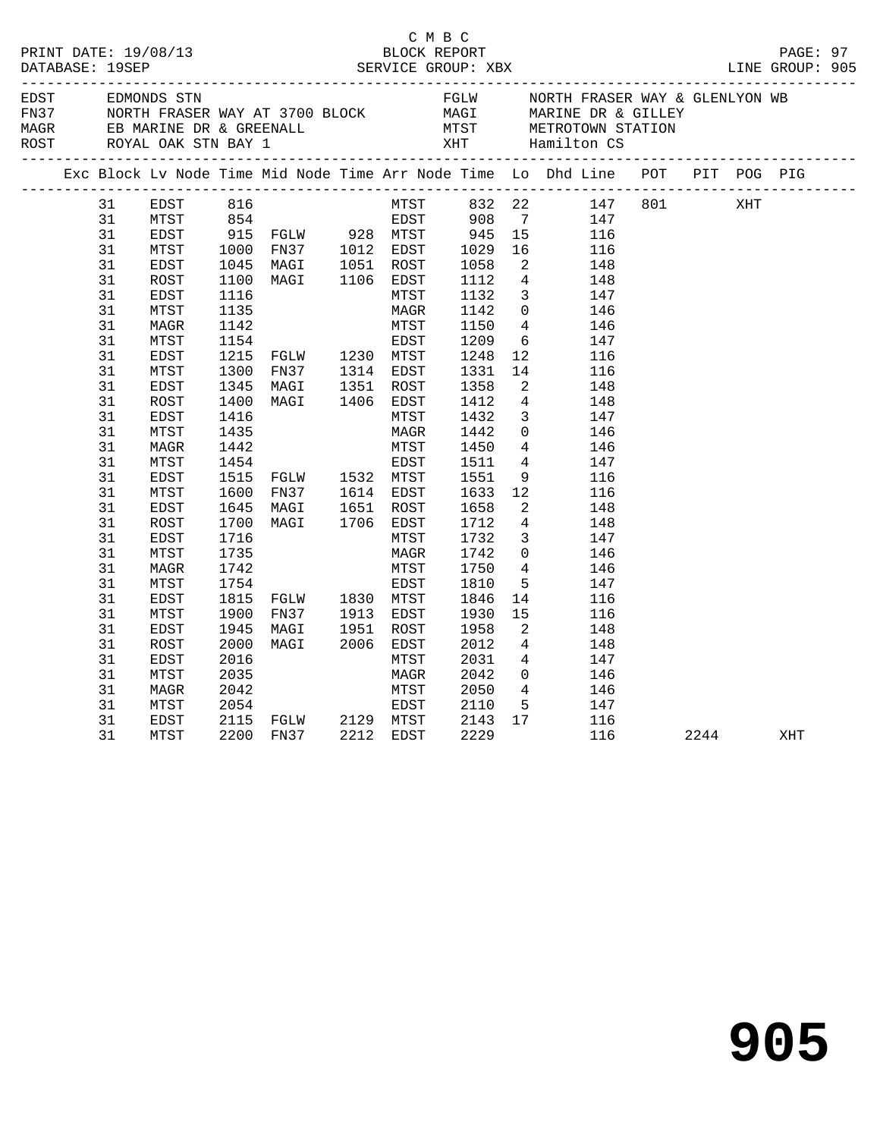|                                                                                                                                                                                        |                                                                                                                                                                                                                                                      |                                                                                                                                                                      |                                                                                                                                                                                   | C M B C                                                                                                                                                                    |                                                                                                                                                                                              |                                                                                                                                                                                                                                                                                                                                                                                                                                                                                                                                                                                                                                                        |                                                                                                                                                                                                                                                                                                                                                                                                                                                                                                  |  |      |     |  |
|----------------------------------------------------------------------------------------------------------------------------------------------------------------------------------------|------------------------------------------------------------------------------------------------------------------------------------------------------------------------------------------------------------------------------------------------------|----------------------------------------------------------------------------------------------------------------------------------------------------------------------|-----------------------------------------------------------------------------------------------------------------------------------------------------------------------------------|----------------------------------------------------------------------------------------------------------------------------------------------------------------------------|----------------------------------------------------------------------------------------------------------------------------------------------------------------------------------------------|--------------------------------------------------------------------------------------------------------------------------------------------------------------------------------------------------------------------------------------------------------------------------------------------------------------------------------------------------------------------------------------------------------------------------------------------------------------------------------------------------------------------------------------------------------------------------------------------------------------------------------------------------------|--------------------------------------------------------------------------------------------------------------------------------------------------------------------------------------------------------------------------------------------------------------------------------------------------------------------------------------------------------------------------------------------------------------------------------------------------------------------------------------------------|--|------|-----|--|
|                                                                                                                                                                                        |                                                                                                                                                                                                                                                      |                                                                                                                                                                      |                                                                                                                                                                                   |                                                                                                                                                                            |                                                                                                                                                                                              |                                                                                                                                                                                                                                                                                                                                                                                                                                                                                                                                                                                                                                                        | EDST EDMONDS STN FGLW NORTH FRASER WAY & GLENLYON WB<br>FOR NORTH FRASER WAY AT 3700 BLOCK MAGI MARINE DR & GILLEY<br>MAGR EB MARINE DR & GREENALL MTST METROTOWN STATION<br>ROST ROYAL OAK STN BAY 1 XHT Hamilton CS<br>-------------                                                                                                                                                                                                                                                           |  |      |     |  |
|                                                                                                                                                                                        |                                                                                                                                                                                                                                                      |                                                                                                                                                                      |                                                                                                                                                                                   |                                                                                                                                                                            |                                                                                                                                                                                              |                                                                                                                                                                                                                                                                                                                                                                                                                                                                                                                                                                                                                                                        | Exc Block Lv Node Time Mid Node Time Arr Node Time Lo Dhd Line POT PIT POG PIG                                                                                                                                                                                                                                                                                                                                                                                                                   |  |      |     |  |
| 31<br>31<br>31<br>31<br>31<br>31<br>31<br>31<br>31<br>31<br>31<br>31<br>31<br>31<br>31<br>31<br>31<br>31<br>31<br>31<br>31<br>31<br>31<br>31<br>31<br>31<br>31<br>31<br>31<br>31<br>31 | EDST<br>MTST<br>EDST<br>MTST<br>EDST<br>ROST<br>EDST<br>MTST<br>MAGR<br>MTST<br>EDST<br>MTST<br>EDST<br>ROST<br>EDST<br>MTST<br>MAGR<br>MTST<br>EDST<br>MTST<br>EDST<br>ROST<br>EDST<br>MTST<br>MAGR<br>MTST<br>EDST<br>MTST<br>EDST<br>ROST<br>EDST | 1135<br>1142<br>1154<br>1345<br>1400<br>1416<br>1435<br>1442<br>1454<br>1600<br>1645<br>1700<br>1716<br>1735<br>1742<br>1754<br>1815<br>1900<br>1945<br>2000<br>2016 | 1215 FGLW 1230 MTST<br>1300 FN37 1314 EDST<br>MAGI 1351 ROST<br>MAGI 1406 EDST<br>1515 FGLW 1532 MTST<br>FN37<br>MAGI<br>MAGI<br>FGLW 1830 MTST<br>FN37 1913 EDST<br>MAGI<br>MAGI | MAGR<br>MTST<br>EDST<br>MTST<br>MAGR<br>MTST<br>EDST<br>1614 EDST<br>1651 ROST<br>1651 ROST<br>1706 EDST<br>MTST<br>MAGR<br>MTST<br>EDST<br>1951 ROST<br>2006 EDST<br>MTST | 1142<br>1150<br>1209<br>1248<br>1331<br>1358<br>1412<br>1432<br>1442<br>1450<br>1511<br>1551<br>1633<br>1658<br>1712<br>1732<br>1742<br>1750<br>1810<br>1846<br>1930<br>1958<br>2012<br>2031 | $\overline{4}$<br>12 <sup>12</sup><br>$\overline{a}$<br>$4\overline{4}$<br>$\overline{3}$<br>$\overline{4}$<br>$4\overline{4}$<br>12<br>$\overline{2}$<br>$\overline{4}$<br>$\mathbf{3}$<br>$\overline{0}$<br>$4\phantom{.0000}\phantom{.0000}\phantom{.0000}\phantom{.0000}\phantom{.0000}\phantom{.0000}\phantom{.0000}\phantom{.0000}\phantom{.0000}\phantom{.0000}\phantom{.0000}\phantom{.0000}\phantom{.0000}\phantom{.0000}\phantom{.0000}\phantom{.0000}\phantom{.0000}\phantom{.0000}\phantom{.0000}\phantom{.0000}\phantom{.0000}\phantom{.0000}\phantom{.0000}\phantom{.0000}\phantom$<br>14<br>15<br>2<br>$\overline{4}$<br>$\overline{4}$ | 316 MTST 332 22 147 801<br>354 EDST 908 7 147<br>915 FGLW 928 MTST 945 15 116<br>1000 FN37 1012 EDST 1029 16 116<br>1045 MAGI 1051 ROST 1058 2 148<br>1100 MAGI 1106 EDST 1112 4 148<br>1116 MTST 1132 3 147<br>1116 MTST 1132 3 147<br>$\overline{0}$<br>146<br>146<br>$6\overline{6}$<br>147<br>116<br>14<br>116<br>148<br>148<br>147<br>$\overline{0}$<br>146<br>146<br>147<br>9<br>116<br>116<br>148<br>148<br>147<br>146<br>146<br>5 <sub>5</sub><br>147<br>116<br>116<br>148<br>148<br>147 |  | XHT  |     |  |
| 31<br>31<br>31<br>31<br>31                                                                                                                                                             | MTST<br>MAGR<br>MTST<br>EDST<br>MTST                                                                                                                                                                                                                 | 2035<br>2042<br>2054                                                                                                                                                 | 2115 FGLW 2129 MTST<br>2200 FN37 2212 EDST                                                                                                                                        | MAGR<br>MTST<br>EDST                                                                                                                                                       | 2042<br>2050<br>2110<br>2143<br>2229                                                                                                                                                         | 17                                                                                                                                                                                                                                                                                                                                                                                                                                                                                                                                                                                                                                                     | $\frac{0}{4}$<br>146<br>146<br>5 147<br>116<br>116                                                                                                                                                                                                                                                                                                                                                                                                                                               |  | 2244 | XHT |  |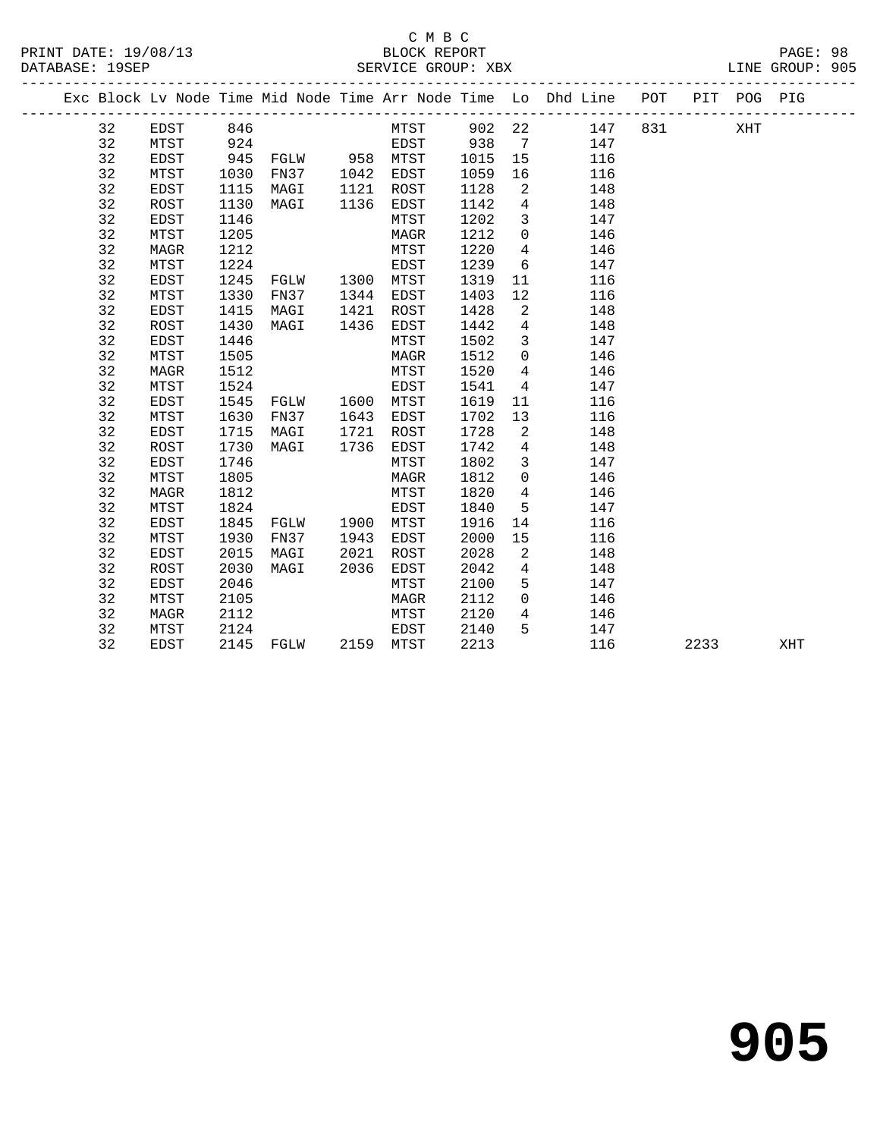#### C M B C<br>BLOCK REPORT PRINT DATE: 19/08/13 BLOCK REPORT PAGE: 98 SERVICE GROUP: XBX

|  |    |      |      |                |      | ________________________ |      |                 | Exc Block Lv Node Time Mid Node Time Arr Node Time Lo Dhd Line POT |     |      | PIT POG PIG |     |
|--|----|------|------|----------------|------|--------------------------|------|-----------------|--------------------------------------------------------------------|-----|------|-------------|-----|
|  | 32 | EDST | 846  |                |      | MTST 902 22              |      |                 | 147                                                                | 831 |      | XHT         |     |
|  | 32 | MTST | 924  |                |      | EDST                     | 938  | $\overline{7}$  | 147                                                                |     |      |             |     |
|  | 32 | EDST | 945  | FGLW 958 MTST  |      |                          | 1015 | 15              | 116                                                                |     |      |             |     |
|  | 32 | MTST | 1030 | FN37 1042 EDST |      |                          | 1059 | 16              | 116                                                                |     |      |             |     |
|  | 32 | EDST | 1115 | MAGI           | 1121 | ROST                     | 1128 | $\overline{a}$  | 148                                                                |     |      |             |     |
|  | 32 | ROST | 1130 | MAGI           |      | 1136 EDST                | 1142 | $\overline{4}$  | 148                                                                |     |      |             |     |
|  | 32 | EDST | 1146 |                |      | MTST                     | 1202 | $\mathbf{3}$    | 147                                                                |     |      |             |     |
|  | 32 | MTST | 1205 |                |      | MAGR                     | 1212 | $\overline{0}$  | 146                                                                |     |      |             |     |
|  | 32 | MAGR | 1212 |                |      | MTST                     | 1220 | $\overline{4}$  | 146                                                                |     |      |             |     |
|  | 32 | MTST | 1224 |                |      | EDST                     | 1239 | 6               | 147                                                                |     |      |             |     |
|  | 32 | EDST | 1245 | FGLW           |      | 1300 MTST                | 1319 | 11              | 116                                                                |     |      |             |     |
|  | 32 | MTST | 1330 | FN37           | 1344 | EDST                     | 1403 | 12              | 116                                                                |     |      |             |     |
|  | 32 | EDST | 1415 | MAGI           | 1421 | ROST                     | 1428 | 2               | 148                                                                |     |      |             |     |
|  | 32 | ROST | 1430 | MAGI           | 1436 | EDST                     | 1442 | $\overline{4}$  | 148                                                                |     |      |             |     |
|  | 32 | EDST | 1446 |                |      | MTST                     | 1502 | $\overline{3}$  | 147                                                                |     |      |             |     |
|  | 32 | MTST | 1505 |                |      | MAGR                     | 1512 | $\mathbf 0$     | 146                                                                |     |      |             |     |
|  | 32 | MAGR | 1512 |                |      | MTST                     | 1520 | $\overline{4}$  | 146                                                                |     |      |             |     |
|  | 32 | MTST | 1524 |                |      | EDST                     | 1541 | $\overline{4}$  | 147                                                                |     |      |             |     |
|  | 32 | EDST | 1545 | FGLW           |      | 1600 MTST                | 1619 | 11              | 116                                                                |     |      |             |     |
|  | 32 | MTST | 1630 | FN37           | 1643 | EDST                     | 1702 | 13              | 116                                                                |     |      |             |     |
|  | 32 | EDST | 1715 | MAGI           | 1721 | ROST                     | 1728 | 2               | 148                                                                |     |      |             |     |
|  | 32 | ROST | 1730 | MAGI           | 1736 | EDST                     | 1742 | $\overline{4}$  | 148                                                                |     |      |             |     |
|  | 32 | EDST | 1746 |                |      | MTST                     | 1802 | $\mathbf{3}$    | 147                                                                |     |      |             |     |
|  | 32 | MTST | 1805 |                |      | MAGR                     | 1812 | $\Omega$        | 146                                                                |     |      |             |     |
|  | 32 | MAGR | 1812 |                |      | MTST                     | 1820 | $4\overline{ }$ | 146                                                                |     |      |             |     |
|  | 32 | MTST | 1824 |                |      | EDST                     | 1840 | 5 <sup>5</sup>  | 147                                                                |     |      |             |     |
|  | 32 | EDST | 1845 | FGLW           |      | 1900 MTST                | 1916 | 14              | 116                                                                |     |      |             |     |
|  | 32 | MTST | 1930 | FN37           | 1943 | EDST                     | 2000 | 15              | 116                                                                |     |      |             |     |
|  | 32 | EDST | 2015 | MAGI           | 2021 | ROST                     | 2028 | 2               | 148                                                                |     |      |             |     |
|  | 32 | ROST | 2030 | MAGI           | 2036 | EDST                     | 2042 | $\overline{4}$  | 148                                                                |     |      |             |     |
|  | 32 | EDST | 2046 |                |      | MTST                     | 2100 | 5               | 147                                                                |     |      |             |     |
|  | 32 | MTST | 2105 |                |      | MAGR                     | 2112 | $\overline{0}$  | 146                                                                |     |      |             |     |
|  | 32 | MAGR | 2112 |                |      | MTST                     | 2120 | $4\overline{ }$ | 146                                                                |     |      |             |     |
|  | 32 | MTST | 2124 |                |      | EDST                     | 2140 | 5               | 147                                                                |     |      |             |     |
|  | 32 | EDST | 2145 | FGLW 2159 MTST |      |                          | 2213 |                 | 116                                                                |     | 2233 |             | XHT |
|  |    |      |      |                |      |                          |      |                 |                                                                    |     |      |             |     |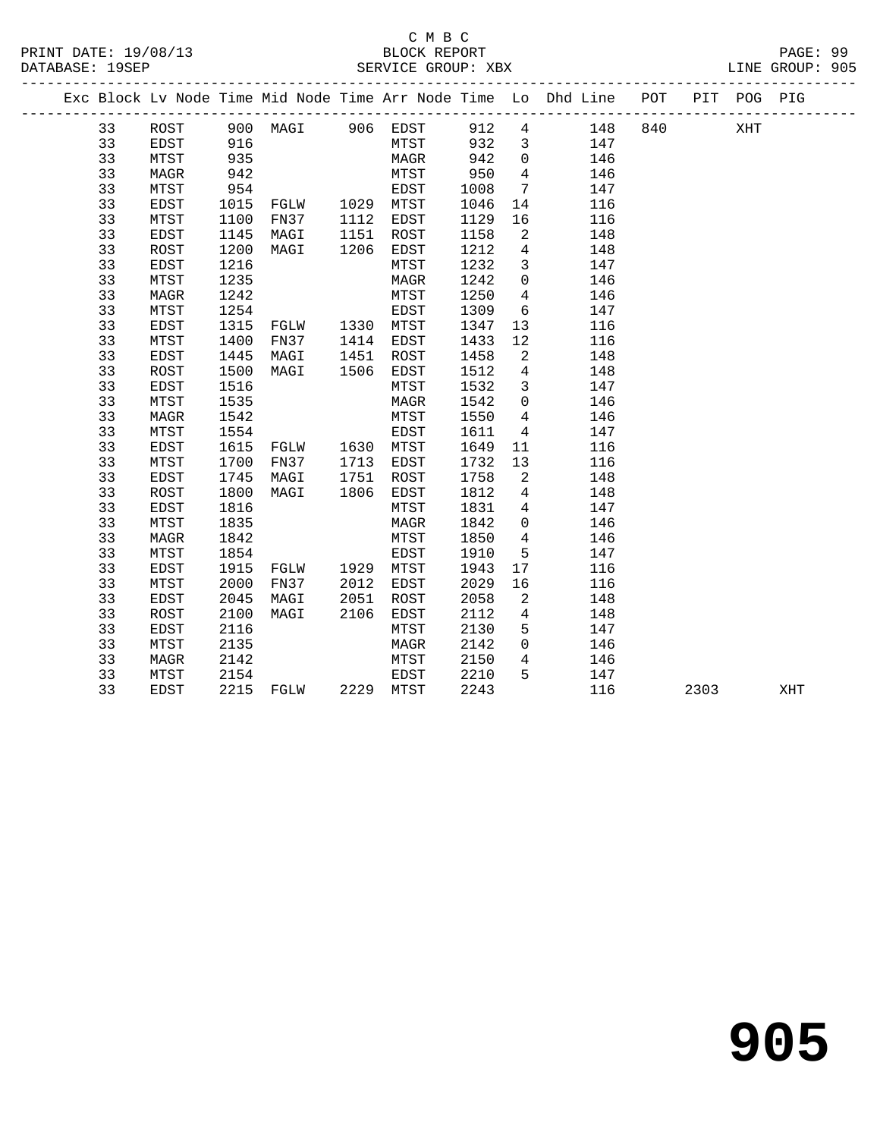#### C M B C<br>BLOCK REPORT SERVICE GROUP: XBX

|  |          |              |              |                       |      |              |              |                               | Exc Block Lv Node Time Mid Node Time Arr Node Time Lo Dhd Line POT |     | PIT POG PIG |  |
|--|----------|--------------|--------------|-----------------------|------|--------------|--------------|-------------------------------|--------------------------------------------------------------------|-----|-------------|--|
|  | 33       | ROST         |              | 900 MAGI 906 EDST 912 |      |              |              |                               | $4\degree$<br>148                                                  | 840 | XHT         |  |
|  | 33       | EDST         | 916          |                       |      | MTST         | 932          | $\overline{\mathbf{3}}$       | 147                                                                |     |             |  |
|  | 33       | MTST         | 935          |                       |      | MAGR         | 942          | $\overline{0}$                | 146                                                                |     |             |  |
|  | 33       | MAGR         | 942          |                       |      | MTST         | 950          | $4\overline{ }$               | 146                                                                |     |             |  |
|  | 33       | MTST         | 954          |                       |      | EDST         | 1008         | $7\overline{ }$               | 147                                                                |     |             |  |
|  | 33       | EDST         | 1015         | $FGLW$ 1029 $MTST$    |      |              | 1046         | 14                            | 116                                                                |     |             |  |
|  | 33       | MTST         | 1100         | FN37                  | 1112 | EDST         | 1129         | 16                            | 116                                                                |     |             |  |
|  | 33       | EDST         | 1145         | MAGI                  | 1151 | ROST         | 1158         | $\overline{\phantom{a}}^2$    | 148                                                                |     |             |  |
|  | 33       | ROST         | 1200         | MAGI                  | 1206 | EDST         | 1212         | $\overline{4}$                | 148                                                                |     |             |  |
|  | 33       | EDST         | 1216         |                       |      | MTST         | 1232         | $\mathbf{3}$                  | 147                                                                |     |             |  |
|  | 33       | MTST         | 1235         |                       |      | MAGR         | 1242         | $\overline{0}$                | 146                                                                |     |             |  |
|  | 33       | <b>MAGR</b>  | 1242         |                       |      | MTST         | 1250         | $4\overline{ }$               | 146                                                                |     |             |  |
|  | 33       | MTST         | 1254         |                       |      | EDST         | 1309         | $6\overline{6}$               | 147                                                                |     |             |  |
|  | 33       | EDST         | 1315         | FGLW 1330 MTST        |      |              | 1347         | 13                            | 116                                                                |     |             |  |
|  | 33       | MTST         | 1400         | FN37                  |      | 1414 EDST    | 1433         | 12                            | 116                                                                |     |             |  |
|  | 33       | EDST         | 1445         | MAGI                  | 1451 | ROST         | 1458         | $\overline{\mathbf{c}}$       | 148                                                                |     |             |  |
|  | 33       | ROST         | 1500         | MAGI                  | 1506 | EDST         | 1512         | $\overline{4}$                | 148                                                                |     |             |  |
|  | 33       | EDST         | 1516         |                       |      | MTST         | 1532         | $\mathbf{3}$                  | 147                                                                |     |             |  |
|  | 33       | MTST         | 1535         |                       |      | MAGR         | 1542         | $\overline{0}$                | 146                                                                |     |             |  |
|  | 33       | <b>MAGR</b>  | 1542         |                       |      | MTST         | 1550         | $4\overline{ }$               | 146                                                                |     |             |  |
|  | 33       | MTST         | 1554         |                       |      | EDST         | 1611         | $\overline{4}$                | 147                                                                |     |             |  |
|  | 33       | EDST         | 1615         |                       |      |              | 1649         | 11                            | 116                                                                |     |             |  |
|  | 33       | MTST         | 1700         | FN37                  |      | 1713 EDST    | 1732         | 13                            | 116                                                                |     |             |  |
|  | 33       | EDST         | 1745         | MAGI                  | 1751 | ROST         | 1758         | $\overline{\phantom{0}}^2$    | 148                                                                |     |             |  |
|  | 33       | ROST         | 1800         | MAGI                  | 1806 | EDST         | 1812         | $\overline{4}$                | 148                                                                |     |             |  |
|  | 33       | EDST         | 1816         |                       |      | MTST         | 1831         | $\overline{4}$                | 147                                                                |     |             |  |
|  | 33       | MTST         | 1835         |                       |      | MAGR         | 1842         | $\overline{0}$                | 146                                                                |     |             |  |
|  | 33       | MAGR         | 1842         |                       |      | MTST         | 1850         | $\overline{4}$                | 146                                                                |     |             |  |
|  | 33<br>33 | MTST         | 1854         |                       |      | EDST         | 1910         | 5                             | 147                                                                |     |             |  |
|  | 33       | EDST         | 1915<br>2000 | FGLW 1929 MTST        |      | 2012 EDST    | 1943         | 17                            | 116                                                                |     |             |  |
|  |          | MTST         |              | FN37                  |      |              | 2029         | 16                            | 116                                                                |     |             |  |
|  | 33       | EDST         | 2045         | MAGI                  | 2051 | ROST         | 2058         | $\overline{2}$                | 148                                                                |     |             |  |
|  | 33       | ROST         | 2100         | MAGI                  | 2106 | EDST         | 2112         | $\overline{4}$                | 148                                                                |     |             |  |
|  | 33<br>33 | EDST<br>MTST | 2116<br>2135 |                       |      | MTST         | 2130<br>2142 | $5^{\circ}$<br>$\overline{0}$ | 147<br>146                                                         |     |             |  |
|  | 33       | MAGR         |              |                       |      | MAGR         |              | $4\overline{ }$               |                                                                    |     |             |  |
|  | 33       | MTST         | 2142<br>2154 |                       |      | MTST<br>EDST | 2150<br>2210 | 5                             | 146<br>147                                                         |     |             |  |
|  |          |              |              |                       |      |              |              |                               |                                                                    |     |             |  |

33 EDST 2215 FGLW 2229 MTST 2243 116 2303 XHT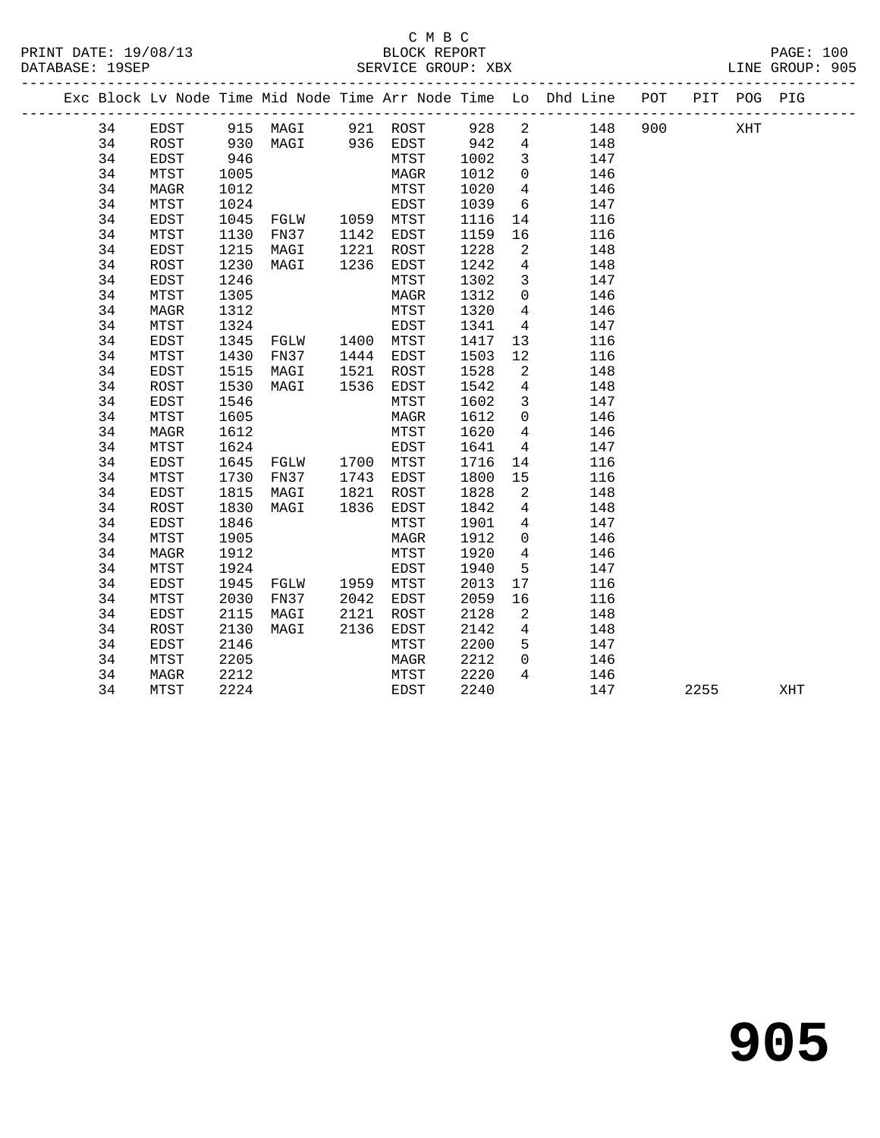### $\begin{tabular}{lllllll} \multicolumn{2}{c}{\textbf{C} M B C} \\ \multicolumn{2}{c}{\textbf{P RINT} \textbf{DATE: }}& 19/08/13 \end{tabular}$ DATABASE: 19SEP SERVICE GROUP: XBX LINE GROUP: 905

| PRINT DATE: 19/08/13 | BLOCK REPORT | PAGE: | 100 |
|----------------------|--------------|-------|-----|
|                      |              |       |     |

|  |    |             |            | Exc Block Lv Node Time Mid Node Time Arr Node Time Lo Dhd Line POT |           |      |      |                            |     |     |      | PIT POG PIG |     |  |
|--|----|-------------|------------|--------------------------------------------------------------------|-----------|------|------|----------------------------|-----|-----|------|-------------|-----|--|
|  | 34 | EDST        |            | 915 MAGI 921 ROST 928                                              |           |      |      | $\overline{a}$             | 148 | 900 |      | XHT         |     |  |
|  | 34 | ROST        |            | MAGI 936 EDST 942<br>MTST 1002                                     |           |      |      | $\overline{4}$             | 148 |     |      |             |     |  |
|  | 34 | EDST        | 930<br>946 |                                                                    |           |      |      | $\overline{\mathbf{3}}$    | 147 |     |      |             |     |  |
|  | 34 | MTST        | 1005       |                                                                    |           | MAGR | 1012 | $\overline{0}$             | 146 |     |      |             |     |  |
|  | 34 | MAGR        | 1012       |                                                                    |           | MTST | 1020 | $\overline{4}$             | 146 |     |      |             |     |  |
|  | 34 | MTST        | 1024       | EDST<br>FGLW 1059 MTST<br>FN37 1142 EDST                           |           |      | 1039 | 6                          | 147 |     |      |             |     |  |
|  | 34 | EDST        | 1045       |                                                                    |           |      | 1116 | 14                         | 116 |     |      |             |     |  |
|  | 34 | MTST        | 1130       |                                                                    |           |      | 1159 | 16                         | 116 |     |      |             |     |  |
|  | 34 | EDST        | 1215       | MAGI                                                               | 1221 ROST |      | 1228 | $\overline{2}$             | 148 |     |      |             |     |  |
|  | 34 | ROST        | 1230       | MAGI                                                               | 1236      | EDST | 1242 | $\overline{4}$             | 148 |     |      |             |     |  |
|  | 34 | EDST        | 1246       |                                                                    |           | MTST | 1302 | $\overline{\mathbf{3}}$    | 147 |     |      |             |     |  |
|  | 34 | MTST        | 1305       |                                                                    |           | MAGR | 1312 | $\overline{0}$             | 146 |     |      |             |     |  |
|  | 34 | <b>MAGR</b> | 1312       |                                                                    |           | MTST | 1320 | $4\overline{ }$            | 146 |     |      |             |     |  |
|  | 34 | MTST        | 1324       |                                                                    |           | EDST | 1341 | $\overline{4}$             | 147 |     |      |             |     |  |
|  | 34 | EDST        | 1345       |                                                                    |           |      | 1417 | 13                         | 116 |     |      |             |     |  |
|  | 34 | MTST        | 1430       | FN37 1444 EDST                                                     |           |      | 1503 | 12                         | 116 |     |      |             |     |  |
|  | 34 | EDST        | 1515       | MAGI                                                               | 1521      | ROST | 1528 | $\overline{\phantom{a}}^2$ | 148 |     |      |             |     |  |
|  | 34 | ROST        | 1530       | MAGI                                                               | 1536      | EDST | 1542 | $\overline{4}$             | 148 |     |      |             |     |  |
|  | 34 | EDST        | 1546       |                                                                    |           | MTST | 1602 | $\mathbf{3}$               | 147 |     |      |             |     |  |
|  | 34 | MTST        | 1605       |                                                                    |           | MAGR | 1612 | $\overline{0}$             | 146 |     |      |             |     |  |
|  | 34 | <b>MAGR</b> | 1612       |                                                                    |           | MTST | 1620 | $\overline{4}$             | 146 |     |      |             |     |  |
|  | 34 | MTST        | 1624       |                                                                    |           | EDST | 1641 | $\overline{4}$             | 147 |     |      |             |     |  |
|  | 34 | EDST        | 1645       | FGLW 1700 MTST                                                     |           |      | 1716 | 14                         | 116 |     |      |             |     |  |
|  | 34 | MTST        | 1730       | FN37 1743 EDST                                                     |           |      | 1800 | 15                         | 116 |     |      |             |     |  |
|  | 34 | EDST        | 1815       | MAGI<br>MAGI 1821 ROST<br>MAGI 1836 EDST                           |           |      | 1828 | 2                          | 148 |     |      |             |     |  |
|  | 34 | ROST        | 1830       |                                                                    |           |      | 1842 | $\overline{4}$             | 148 |     |      |             |     |  |
|  | 34 | EDST        | 1846       |                                                                    |           | MTST | 1901 | $\overline{4}$             | 147 |     |      |             |     |  |
|  | 34 | MTST        | 1905       |                                                                    |           | MAGR | 1912 | $\overline{0}$             | 146 |     |      |             |     |  |
|  | 34 | MAGR        | 1912       |                                                                    |           | MTST | 1920 | $\overline{4}$             | 146 |     |      |             |     |  |
|  | 34 | MTST        | 1924       |                                                                    |           | EDST | 1940 | 5                          | 147 |     |      |             |     |  |
|  | 34 | EDST        | 1945       | FGLW 1959 MTST                                                     |           |      | 2013 | 17                         | 116 |     |      |             |     |  |
|  | 34 | MTST        | 2030       | FN37                                                               | 2042 EDST |      | 2059 | 16                         | 116 |     |      |             |     |  |
|  | 34 | EDST        | 2115       | MAGI                                                               | 2121      | ROST | 2128 | $\overline{2}$             | 148 |     |      |             |     |  |
|  | 34 | ROST        | 2130       | MAGI                                                               | 2136      | EDST | 2142 | $\overline{4}$             | 148 |     |      |             |     |  |
|  | 34 | EDST        | 2146       |                                                                    |           | MTST | 2200 | $5^{\circ}$                | 147 |     |      |             |     |  |
|  | 34 | MTST        | 2205       |                                                                    |           | MAGR | 2212 | $\Omega$                   | 146 |     |      |             |     |  |
|  | 34 | MAGR        | 2212       |                                                                    |           | MTST | 2220 | $\overline{4}$             | 146 |     |      |             |     |  |
|  | 34 | MTST        | 2224       |                                                                    |           | EDST | 2240 |                            | 147 |     | 2255 |             | XHT |  |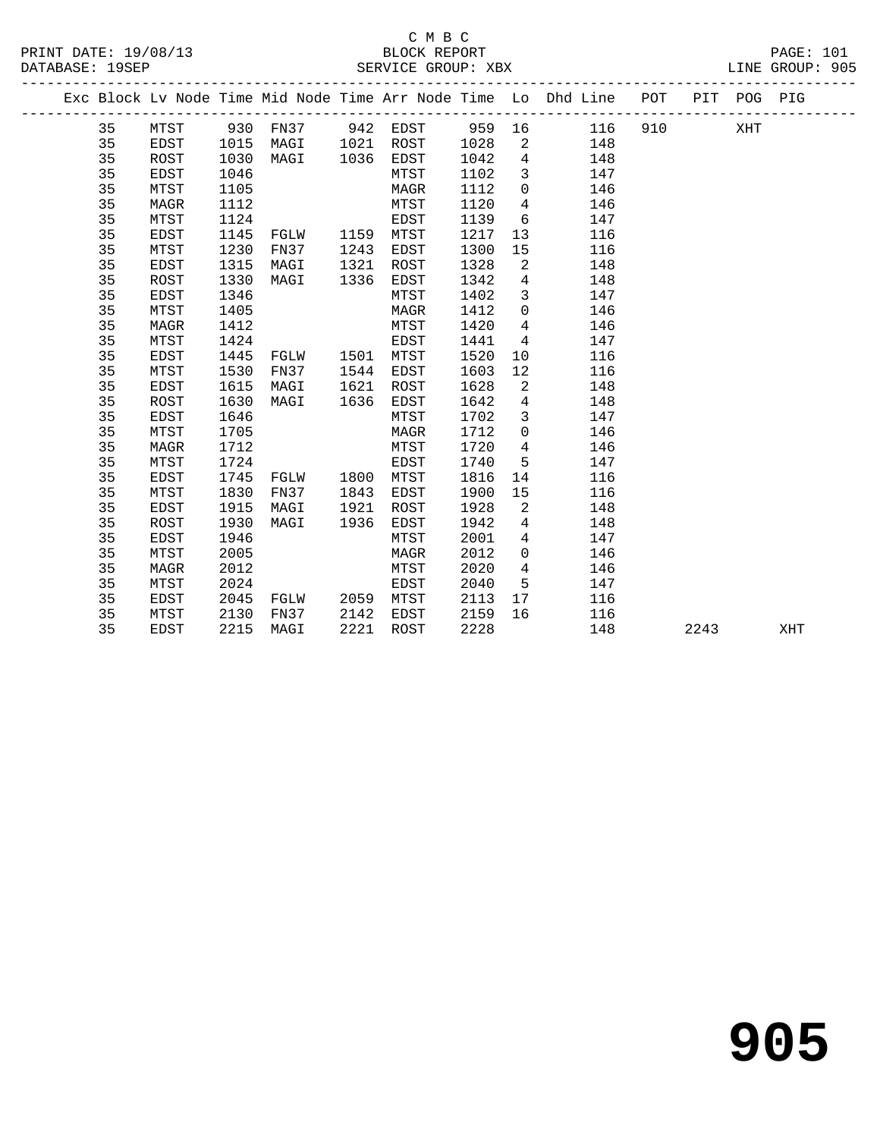#### C M B C DATABASE: 19SEP SERVICE GROUP: XBX

|  |    |      |      |          |      |      |      |                | Exc Block Lv Node Time Mid Node Time Arr Node Time Lo Dhd Line POT |          | PIT POG PIG |  |
|--|----|------|------|----------|------|------|------|----------------|--------------------------------------------------------------------|----------|-------------|--|
|  | 35 | MTST |      | 930 FN37 | 942  | EDST |      |                | 959 16<br>116                                                      | 910 — 10 | XHT         |  |
|  | 35 | EDST | 1015 | MAGI     | 1021 | ROST | 1028 | 2              | 148                                                                |          |             |  |
|  | 35 | ROST | 1030 | MAGI     | 1036 | EDST | 1042 | $\overline{4}$ | 148                                                                |          |             |  |
|  | 35 | EDST | 1046 |          |      | MTST | 1102 | $\overline{3}$ | 147                                                                |          |             |  |
|  | 35 | MTST | 1105 |          |      | MAGR | 1112 | $\overline{0}$ | 146                                                                |          |             |  |
|  | 35 | MAGR | 1112 |          |      | MTST | 1120 | 4              | 146                                                                |          |             |  |
|  | 35 | MTST | 1124 |          |      | EDST | 1139 | 6              | 147                                                                |          |             |  |
|  | 35 | EDST | 1145 | FGLW     | 1159 | MTST | 1217 | 13             | 116                                                                |          |             |  |
|  | 35 | MTST | 1230 | FN37     | 1243 | EDST | 1300 | 15             | 116                                                                |          |             |  |
|  | 35 | EDST | 1315 | MAGI     | 1321 | ROST | 1328 | 2              | 148                                                                |          |             |  |
|  | 35 | ROST | 1330 | MAGI     | 1336 | EDST | 1342 | $\overline{4}$ | 148                                                                |          |             |  |
|  | 35 | EDST | 1346 |          |      | MTST | 1402 | $\mathbf{3}$   | 147                                                                |          |             |  |
|  | 35 | MTST | 1405 |          |      | MAGR | 1412 | $\mathbf 0$    | 146                                                                |          |             |  |
|  | 35 | MAGR | 1412 |          |      | MTST | 1420 | 4              | 146                                                                |          |             |  |
|  | 35 | MTST | 1424 |          |      | EDST | 1441 | 4              | 147                                                                |          |             |  |
|  | 35 | EDST | 1445 | FGLW     | 1501 | MTST | 1520 | 10             | 116                                                                |          |             |  |
|  | 35 | MTST | 1530 | FN37     | 1544 | EDST | 1603 | 12             | 116                                                                |          |             |  |
|  | 35 | EDST | 1615 | MAGI     | 1621 | ROST | 1628 | 2              | 148                                                                |          |             |  |
|  | 35 | ROST | 1630 | MAGI     | 1636 | EDST | 1642 | $\overline{4}$ | 148                                                                |          |             |  |
|  | 35 | EDST | 1646 |          |      | MTST | 1702 | $\overline{3}$ | 147                                                                |          |             |  |
|  | 35 | MTST | 1705 |          |      | MAGR | 1712 | $\overline{0}$ | 146                                                                |          |             |  |
|  | 35 | MAGR | 1712 |          |      | MTST | 1720 | 4              | 146                                                                |          |             |  |
|  | 35 | MTST | 1724 |          |      | EDST | 1740 | 5              | 147                                                                |          |             |  |
|  | 35 | EDST | 1745 | FGLW     | 1800 | MTST | 1816 | 14             | 116                                                                |          |             |  |
|  | 35 | MTST | 1830 | FN37     | 1843 | EDST | 1900 | 15             | 116                                                                |          |             |  |

 35 EDST 1915 MAGI 1921 ROST 1928 2 148 35 ROST 1930 MAGI 1936 EDST 1942 4 148 35 EDST 1946 MTST 2001 4 147 35 MTST 2005 MAGR 2012 0 146 35 MAGR 2012 MTST 2020 4 146 35 MTST 2024 EDST 2040 5 147 35 EDST 2045 FGLW 2059 MTST 2113 17 116 35 MTST 2130 FN37 2142 EDST 2159 16 116

35 EDST 2215 MAGI 2221 ROST 2228 148 2243 XHT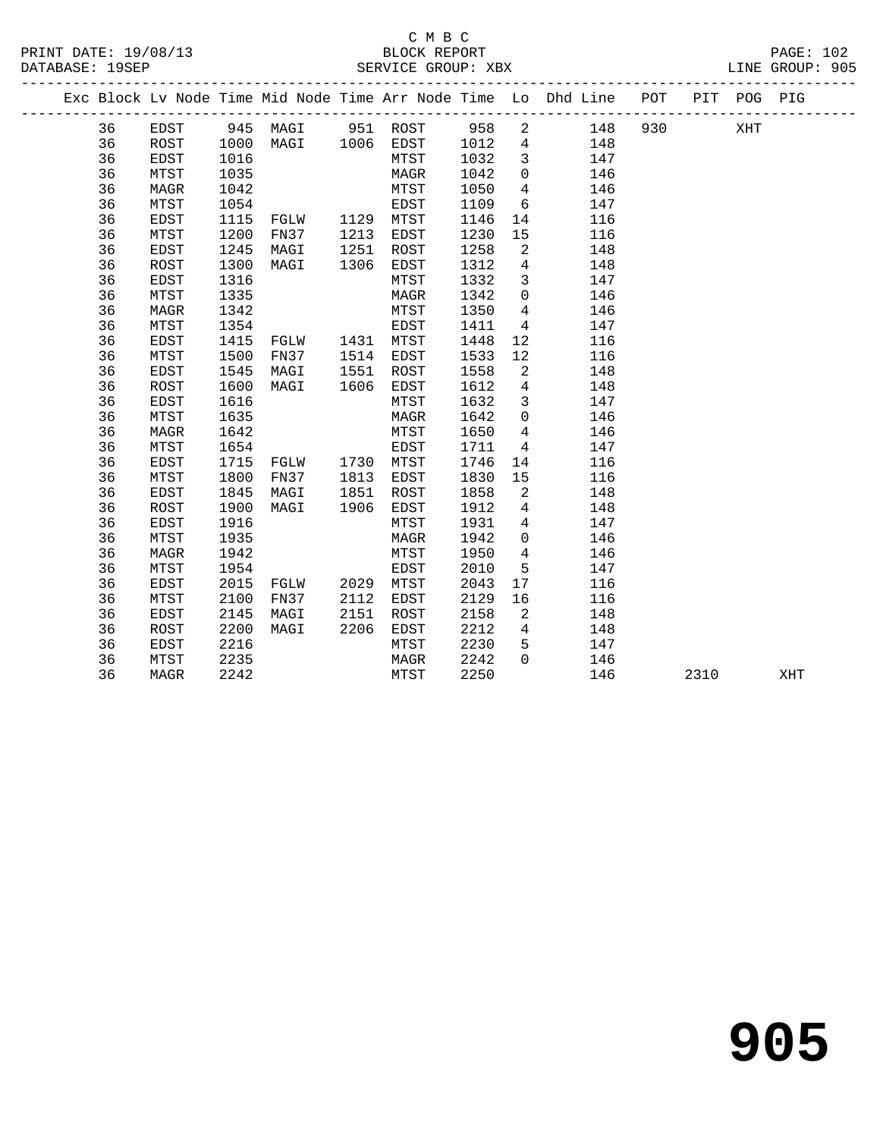#### C M B C<br>BLOCK REPORT SERVICE GROUP: XBX

|  |              |                        |                      |           |                                     |                             | Exc Block Ly Node Time Mid Node Time Arr Node Time Lo Dhd Line POT PIT POG PIG |  |     |  |
|--|--------------|------------------------|----------------------|-----------|-------------------------------------|-----------------------------|--------------------------------------------------------------------------------|--|-----|--|
|  | 36           | EDST.                  |                      | 945 MAGI  | 951 ROST                            | 958 2                       | 148 930                                                                        |  | XHT |  |
|  | 36<br>$\sim$ | ROST<br>$\blacksquare$ | $\sim$ $\sim$ $\sim$ | 1000 MAGI | 1006 EDST<br>$5.500 \times 10^{-1}$ | 1012 4<br>$\overline{1000}$ | 148                                                                            |  |     |  |

| 36 | ROST         | 1000 | MAGI | 1006 | EDST        | 1012 | 4              | 148 |      |     |
|----|--------------|------|------|------|-------------|------|----------------|-----|------|-----|
| 36 | <b>EDST</b>  | 1016 |      |      | MTST        | 1032 | 3              | 147 |      |     |
| 36 | MTST         | 1035 |      |      | MAGR        | 1042 | 0              | 146 |      |     |
| 36 | MAGR         | 1042 |      |      | MTST        | 1050 | $\overline{4}$ | 146 |      |     |
| 36 | MTST         | 1054 |      |      | EDST        | 1109 | 6              | 147 |      |     |
| 36 | <b>EDST</b>  | 1115 | FGLW | 1129 | MTST        | 1146 | 14             | 116 |      |     |
| 36 | MTST         | 1200 | FN37 | 1213 | EDST        | 1230 | 15             | 116 |      |     |
| 36 | <b>EDST</b>  | 1245 | MAGI | 1251 | ROST        | 1258 | 2              | 148 |      |     |
| 36 | ROST         | 1300 | MAGI | 1306 | EDST        | 1312 | 4              | 148 |      |     |
| 36 | EDST         | 1316 |      |      | MTST        | 1332 | 3              | 147 |      |     |
| 36 | MTST         | 1335 |      |      | MAGR        | 1342 | 0              | 146 |      |     |
| 36 | MAGR         | 1342 |      |      | MTST        | 1350 | 4              | 146 |      |     |
| 36 | MTST         | 1354 |      |      | EDST        | 1411 | 4              | 147 |      |     |
| 36 | <b>EDST</b>  | 1415 | FGLW | 1431 | MTST        | 1448 | 12             | 116 |      |     |
| 36 | MTST         | 1500 | FN37 | 1514 | EDST        | 1533 | 12             | 116 |      |     |
| 36 | EDST         | 1545 | MAGI | 1551 | ROST        | 1558 | 2              | 148 |      |     |
| 36 | <b>ROST</b>  | 1600 | MAGI | 1606 | EDST        | 1612 | 4              | 148 |      |     |
| 36 | <b>EDST</b>  | 1616 |      |      | MTST        | 1632 | 3              | 147 |      |     |
| 36 | MTST         | 1635 |      |      | MAGR        | 1642 | 0              | 146 |      |     |
| 36 | MAGR         | 1642 |      |      | MTST        | 1650 | $\overline{4}$ | 146 |      |     |
| 36 | MTST         | 1654 |      |      | EDST        | 1711 | 4              | 147 |      |     |
| 36 | <b>EDST</b>  | 1715 | FGLW | 1730 | MTST        | 1746 | 14             | 116 |      |     |
| 36 | MTST         | 1800 | FN37 | 1813 | EDST        | 1830 | 15             | 116 |      |     |
| 36 | <b>EDST</b>  | 1845 | MAGI | 1851 | ROST        | 1858 | 2              | 148 |      |     |
| 36 | ROST         | 1900 | MAGI | 1906 | EDST        | 1912 | 4              | 148 |      |     |
| 36 | <b>EDST</b>  | 1916 |      |      | MTST        | 1931 | 4              | 147 |      |     |
| 36 | MTST         | 1935 |      |      | MAGR        | 1942 | 0              | 146 |      |     |
| 36 | MAGR         | 1942 |      |      | MTST        | 1950 | 4              | 146 |      |     |
| 36 | MTST         | 1954 |      |      | <b>EDST</b> | 2010 | 5              | 147 |      |     |
| 36 | <b>EDST</b>  | 2015 | FGLW | 2029 | MTST        | 2043 | 17             | 116 |      |     |
| 36 | MTST         | 2100 | FN37 | 2112 | EDST        | 2129 | 16             | 116 |      |     |
| 36 | <b>EDST</b>  | 2145 | MAGI | 2151 | ROST        | 2158 | 2              | 148 |      |     |
| 36 | <b>ROST</b>  | 2200 | MAGI | 2206 | EDST        | 2212 | 4              | 148 |      |     |
| 36 | EDST         | 2216 |      |      | MTST        | 2230 | 5              | 147 |      |     |
| 36 | ${\tt MTST}$ | 2235 |      |      | MAGR        | 2242 | 0              | 146 |      |     |
| 36 | MAGR         | 2242 |      |      | MTST        | 2250 |                | 146 | 2310 | XHT |
|    |              |      |      |      |             |      |                |     |      |     |

**905**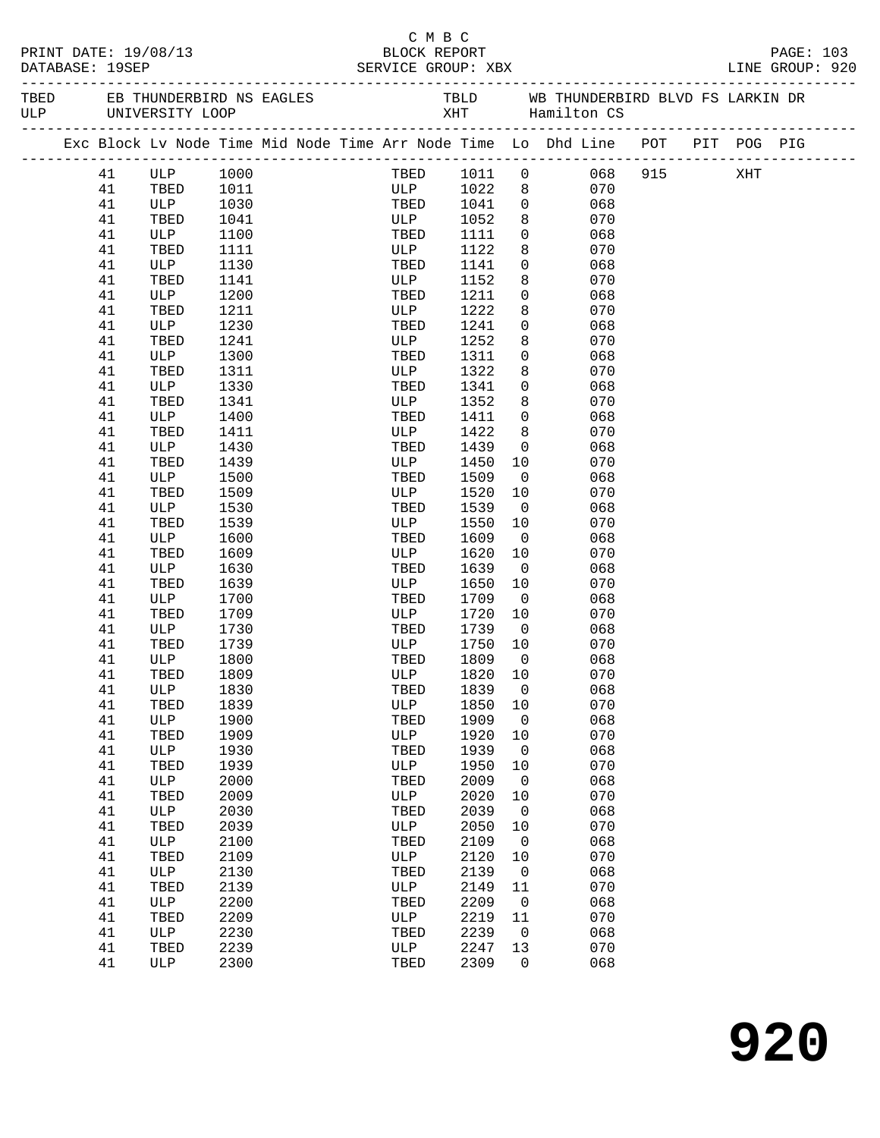| PRINT DATE: 19/08/13<br>DATABASE: 19SEP |    |              |      |  |  | C M B C<br>BLOCK REPORT<br>SERVICE GROUP: XBX |         |                         |                                                                                |  | PAGE: 103<br>LINE GROUP: 920 |
|-----------------------------------------|----|--------------|------|--|--|-----------------------------------------------|---------|-------------------------|--------------------------------------------------------------------------------|--|------------------------------|
|                                         |    |              |      |  |  |                                               |         |                         |                                                                                |  |                              |
|                                         |    |              |      |  |  |                                               |         |                         | Exc Block Lv Node Time Mid Node Time Arr Node Time Lo Dhd Line POT PIT POG PIG |  |                              |
|                                         | 41 | ULP<br>TBED  | 1000 |  |  |                                               |         |                         | TBED 1011 0 068 915 XHT ULP 1022 8 070                                         |  |                              |
|                                         | 41 | TBED         | 1011 |  |  |                                               |         |                         |                                                                                |  |                              |
|                                         | 41 | ULP          | 1030 |  |  | TBED 1041                                     |         |                         | $\overline{0}$<br>068                                                          |  |                              |
|                                         | 41 | TBED         | 1041 |  |  | ULP                                           | 1052    | 8                       | 070                                                                            |  |                              |
|                                         | 41 | ULP          | 1100 |  |  | TBED                                          | 1111    | $\overline{0}$          | 068                                                                            |  |                              |
|                                         | 41 | TBED         | 1111 |  |  | ULP                                           | 1122    | 8                       | 070                                                                            |  |                              |
|                                         | 41 | ULP          | 1130 |  |  | TBED                                          | 1141    | $\overline{0}$          | 068                                                                            |  |                              |
|                                         | 41 | TBED         | 1141 |  |  | ULP                                           | 1152    | 8                       | 070                                                                            |  |                              |
|                                         | 41 | ULP          | 1200 |  |  | TBED                                          | 1211    | $\overline{0}$          | 068                                                                            |  |                              |
|                                         | 41 | TBED         | 1211 |  |  | ULP                                           | 1222    | 8                       | 070                                                                            |  |                              |
|                                         | 41 | ULP          | 1230 |  |  | TBED                                          | 1241    | $\overline{0}$          | 068                                                                            |  |                              |
|                                         | 41 | TBED         | 1241 |  |  | ULP                                           | 1252    | 8                       | 070                                                                            |  |                              |
|                                         | 41 | ULP          | 1300 |  |  | TBED                                          | 1311    | $\overline{0}$          | 068                                                                            |  |                              |
|                                         | 41 | TBED         | 1311 |  |  | ULP                                           | 1322    | 8                       | 070                                                                            |  |                              |
|                                         | 41 | ULP          | 1330 |  |  | TBED                                          | 1341    | $\overline{0}$          | 068                                                                            |  |                              |
|                                         | 41 | TBED         | 1341 |  |  | ULP                                           | 1352    | 8                       | 070                                                                            |  |                              |
|                                         | 41 | ULP          | 1400 |  |  | TBED                                          | 1411    | $\overline{0}$          | 068                                                                            |  |                              |
|                                         | 41 | TBED         | 1411 |  |  | ULP                                           | 1422    | 8                       | 070                                                                            |  |                              |
|                                         | 41 | ULP          | 1430 |  |  | TBED                                          | 1439    | $\overline{0}$          | 068                                                                            |  |                              |
|                                         | 41 | TBED         | 1439 |  |  | ULP                                           | 1450    | 10                      | 070                                                                            |  |                              |
|                                         | 41 | ULP          | 1500 |  |  | TBED                                          | 1509    | $\overline{\mathbf{0}}$ | 068                                                                            |  |                              |
|                                         | 41 | TBED         | 1509 |  |  | ULP                                           | 1520    | 10                      | 070                                                                            |  |                              |
|                                         | 41 | ULP          | 1530 |  |  | TBED                                          | 1539    | $\overline{0}$          | 068                                                                            |  |                              |
|                                         | 41 | TBED         | 1539 |  |  | ULP                                           | 1550    | 10                      | 070                                                                            |  |                              |
|                                         | 41 | ULP          | 1600 |  |  | TBED                                          | 1609    | $\overline{0}$          | 068                                                                            |  |                              |
|                                         | 41 | TBED         | 1609 |  |  | ULP                                           | 1620    | 10                      | 070                                                                            |  |                              |
|                                         | 41 | ULP          | 1630 |  |  | TBED                                          | 1639    | $\overline{0}$          | 068                                                                            |  |                              |
|                                         | 41 | TBED         | 1639 |  |  | ULP                                           | 1650    | 10                      | 070                                                                            |  |                              |
|                                         | 41 | ULP          | 1700 |  |  | TBED                                          | 1709    | $\overline{\mathbf{0}}$ | 068                                                                            |  |                              |
|                                         | 41 | TBED         | 1709 |  |  | ULP                                           | 1720    | 10                      | 070                                                                            |  |                              |
|                                         | 41 | $ULP$        | 1730 |  |  | TBED                                          | 1739    | $\overline{0}$          | 068                                                                            |  |                              |
|                                         | 41 | TBED         | 1739 |  |  | ULP 1750                                      |         | 10                      | 070                                                                            |  |                              |
|                                         | 41 | ULP          | 1800 |  |  | TBED                                          | 1809    | $\overline{0}$          | 068                                                                            |  |                              |
|                                         | 41 | TBED         | 1809 |  |  | ULP                                           | 1820 10 |                         | 070                                                                            |  |                              |
|                                         | 41 | ULP          | 1830 |  |  | TBED                                          | 1839    | 0                       | 068                                                                            |  |                              |
|                                         | 41 | TBED         | 1839 |  |  | $_{\rm ULP}$                                  | 1850    | 10                      | 070                                                                            |  |                              |
|                                         | 41 | ULP          | 1900 |  |  | TBED                                          | 1909    | 0                       | 068                                                                            |  |                              |
|                                         | 41 | TBED         | 1909 |  |  | ULP                                           | 1920    | 10                      | 070                                                                            |  |                              |
|                                         | 41 | $_{\rm ULP}$ | 1930 |  |  | TBED                                          | 1939    | $\mathbf 0$             | 068                                                                            |  |                              |
|                                         | 41 | TBED         | 1939 |  |  | $_{\rm ULP}$                                  | 1950    |                         | 070                                                                            |  |                              |
|                                         |    |              |      |  |  |                                               |         | 10                      |                                                                                |  |                              |
|                                         | 41 | ULP          | 2000 |  |  | TBED                                          | 2009    | 0                       | 068                                                                            |  |                              |
|                                         | 41 | TBED         | 2009 |  |  | ULP                                           | 2020    | 10                      | 070                                                                            |  |                              |
|                                         | 41 | ULP          | 2030 |  |  | TBED                                          | 2039    | $\mathbf 0$             | 068                                                                            |  |                              |
|                                         | 41 | TBED         | 2039 |  |  | $_{\rm ULP}$                                  | 2050    | 10                      | 070                                                                            |  |                              |
|                                         | 41 | ULP          | 2100 |  |  | TBED                                          | 2109    | 0                       | 068                                                                            |  |                              |
|                                         | 41 | TBED         | 2109 |  |  | ULP                                           | 2120    | 10                      | 070                                                                            |  |                              |
|                                         | 41 | ULP          | 2130 |  |  | TBED                                          | 2139    | 0                       | 068                                                                            |  |                              |
|                                         | 41 | TBED         | 2139 |  |  | $_{\rm ULP}$                                  | 2149    | 11                      | 070                                                                            |  |                              |
|                                         | 41 | ULP          | 2200 |  |  | TBED                                          | 2209    | $\mathsf 0$             | 068                                                                            |  |                              |
|                                         | 41 | TBED         | 2209 |  |  | ULP                                           | 2219    | 11                      | 070                                                                            |  |                              |
|                                         | 41 | ULP          | 2230 |  |  | TBED                                          | 2239    | 0                       | 068                                                                            |  |                              |
|                                         | 41 | TBED         | 2239 |  |  | $_{\rm ULP}$                                  | 2247    | 13                      | 070                                                                            |  |                              |
|                                         | 41 | ULP          | 2300 |  |  | TBED                                          | 2309    | 0                       | 068                                                                            |  |                              |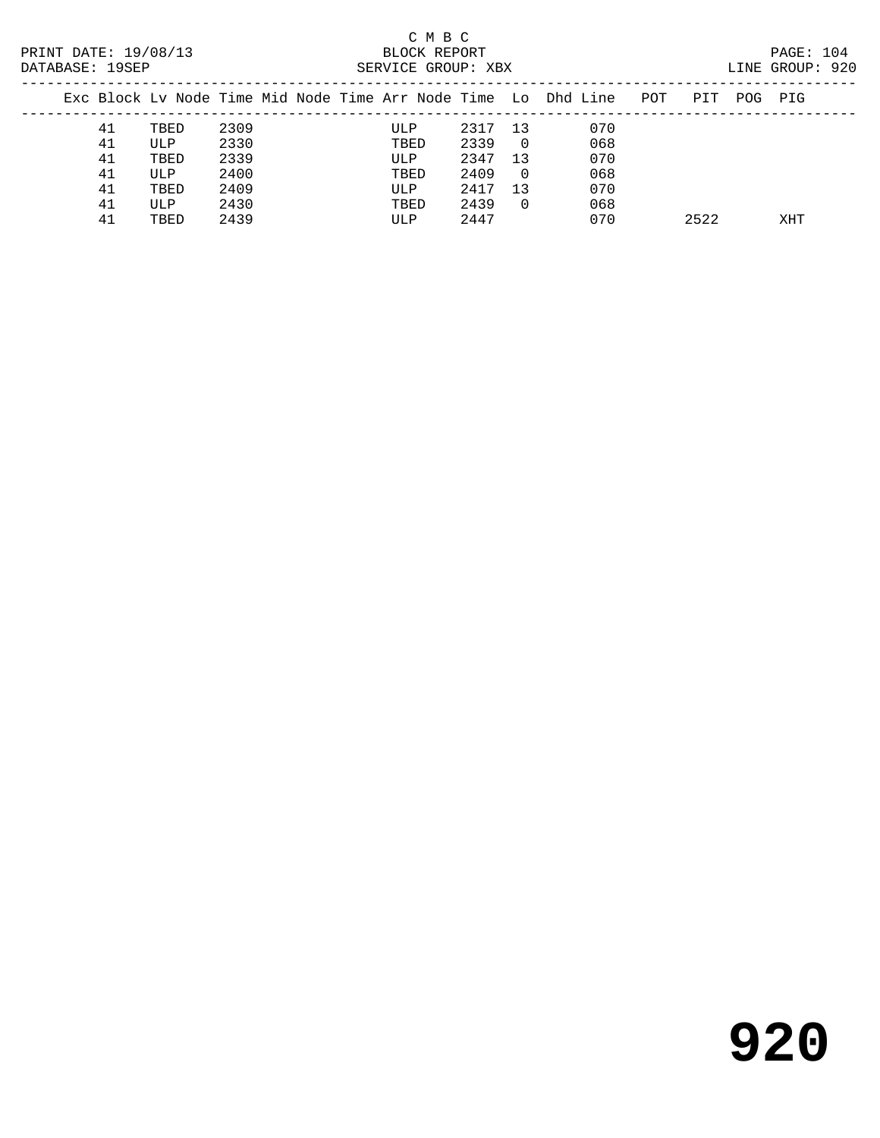| DAIABASE. 195EP |      |      |  | SEKVICE GROUP. ABA |      |                |                                                                |     |      |     | LINE GROUP. 920 |  |
|-----------------|------|------|--|--------------------|------|----------------|----------------------------------------------------------------|-----|------|-----|-----------------|--|
|                 |      |      |  |                    |      |                | Exc Block Ly Node Time Mid Node Time Arr Node Time Lo Dhd Line | POT | PIT  | POG | PIG             |  |
| 41              | TBED | 2309 |  | ULP                | 2317 | 13             | 070                                                            |     |      |     |                 |  |
| 41              | ULP  | 2330 |  | TBED               | 2339 | $\overline{0}$ | 068                                                            |     |      |     |                 |  |
| 41              | TBED | 2339 |  | ULP                | 2347 | 13             | 070                                                            |     |      |     |                 |  |
| 41              | ULP  | 2400 |  | TBED               | 2409 | $\Omega$       | 068                                                            |     |      |     |                 |  |
| 41              | TBED | 2409 |  | ULP                | 2417 | 13             | 070                                                            |     |      |     |                 |  |
| 41              | ULP  | 2430 |  | TBED               | 2439 | 0              | 068                                                            |     |      |     |                 |  |
| 41              | TBED | 2439 |  | ULP                | 2447 |                | 070                                                            |     | 2522 |     | XHT             |  |
|                 |      |      |  |                    |      |                |                                                                |     |      |     |                 |  |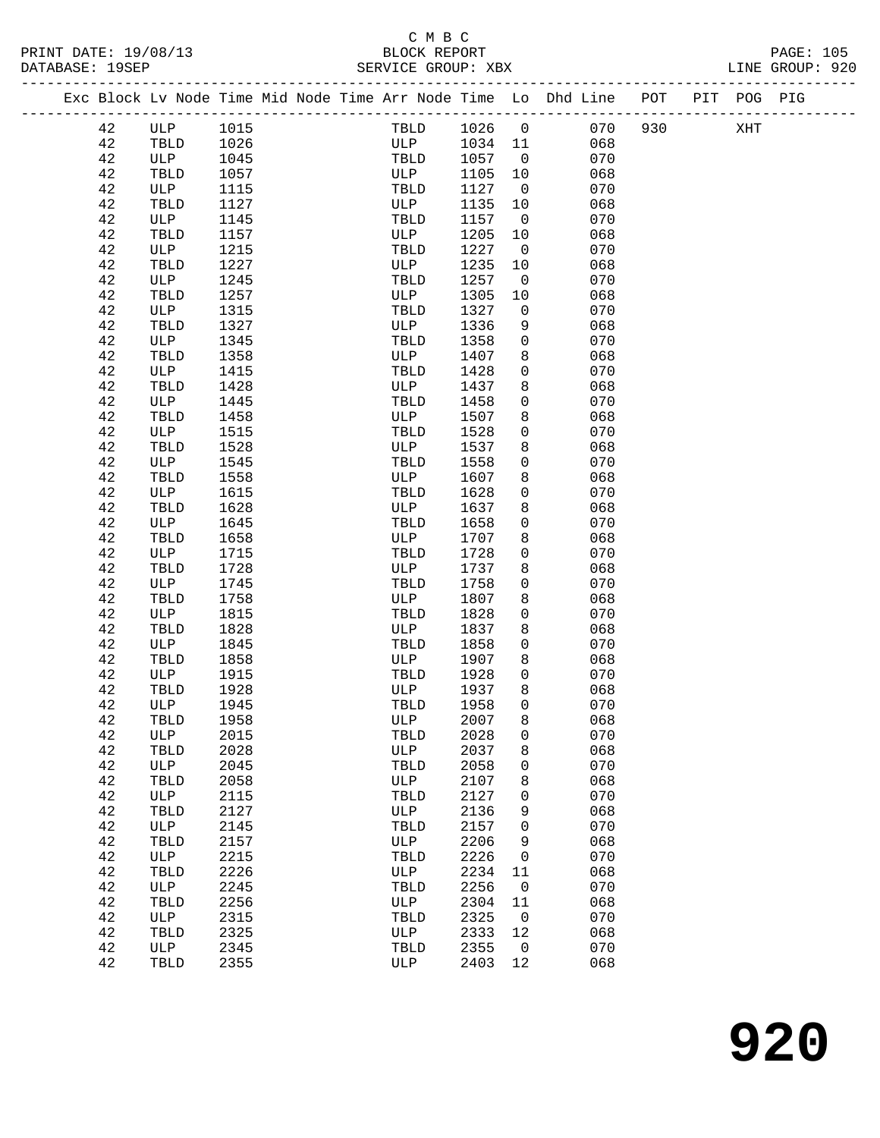|  |        | Exc Block Lv Node Time Mid Node Time Arr Node Time Lo Dhd Line POT PIT POG PIG |      |  |              |        |                |     |     |     |  |
|--|--------|--------------------------------------------------------------------------------|------|--|--------------|--------|----------------|-----|-----|-----|--|
|  | 42     | ULP                                                                            | 1015 |  | TBLD         | 1026   | $\overline{0}$ | 070 | 930 | XHT |  |
|  | 42     | TBLD                                                                           | 1026 |  | ULP          | 1034   | 11             | 068 |     |     |  |
|  | 42     | ULP                                                                            | 1045 |  | TBLD         | 1057   | $\overline{0}$ | 070 |     |     |  |
|  | 42     | TBLD                                                                           | 1057 |  | ULP          | 1105   | 10             | 068 |     |     |  |
|  | 42     | ULP                                                                            | 1115 |  | TBLD         | 1127   | $\overline{0}$ | 070 |     |     |  |
|  | 42     | TBLD                                                                           | 1127 |  | ULP          | 1135   | 10             | 068 |     |     |  |
|  | 42     | ULP                                                                            | 1145 |  | TBLD         | 1157   | $\overline{0}$ | 070 |     |     |  |
|  | 42     | TBLD                                                                           | 1157 |  | ULP          | 1205   | 10             | 068 |     |     |  |
|  | 42     | ULP                                                                            | 1215 |  | TBLD         | 1227   | $\mathsf{O}$   | 070 |     |     |  |
|  | 42     | TBLD                                                                           | 1227 |  | ULP          | 1235   | 10             | 068 |     |     |  |
|  | 42     | ULP                                                                            | 1245 |  | TBLD         | 1257   | $\overline{0}$ | 070 |     |     |  |
|  | 42     | TBLD                                                                           | 1257 |  | ULP          | 1305   | 10             | 068 |     |     |  |
|  | 42     | ULP                                                                            | 1315 |  | TBLD         | 1327   | $\mathbf 0$    | 070 |     |     |  |
|  | 42     | TBLD                                                                           | 1327 |  | ULP          | 1336   | 9              | 068 |     |     |  |
|  | 42     | ULP                                                                            | 1345 |  | TBLD         | 1358   | $\mathbf 0$    | 070 |     |     |  |
|  | 42     | TBLD                                                                           | 1358 |  | ULP          | 1407   | 8              | 068 |     |     |  |
|  | 42     | ULP                                                                            | 1415 |  | TBLD         | 1428   | 0              | 070 |     |     |  |
|  | 42     | TBLD                                                                           | 1428 |  | ULP          | 1437   | 8              | 068 |     |     |  |
|  | 42     | ULP                                                                            | 1445 |  | TBLD         | 1458   | $\mathbf 0$    | 070 |     |     |  |
|  | 42     | TBLD                                                                           | 1458 |  | ULP          | 1507   | 8              | 068 |     |     |  |
|  | 42     | ULP                                                                            | 1515 |  | TBLD         | 1528   | 0              | 070 |     |     |  |
|  | 42     | TBLD                                                                           | 1528 |  | ULP          | 1537   | 8              | 068 |     |     |  |
|  | 42     | ULP                                                                            | 1545 |  | TBLD         | 1558   | $\mathbf 0$    | 070 |     |     |  |
|  | 42     | TBLD                                                                           | 1558 |  | ULP          | 1607   | 8              | 068 |     |     |  |
|  | 42     | ULP                                                                            | 1615 |  | TBLD         | 1628   | 0              | 070 |     |     |  |
|  | 42     | TBLD                                                                           | 1628 |  | ULP          | 1637   | 8              | 068 |     |     |  |
|  | 42     | ULP                                                                            | 1645 |  | TBLD         | 1658   | 0              | 070 |     |     |  |
|  | 42     | TBLD                                                                           | 1658 |  | ULP          | 1707   | 8              | 068 |     |     |  |
|  | 42     | ULP                                                                            | 1715 |  | TBLD         | 1728   | 0              | 070 |     |     |  |
|  | 42     | TBLD                                                                           | 1728 |  | ULP          | 1737   | 8              | 068 |     |     |  |
|  | 42     | ULP                                                                            | 1745 |  | TBLD         | 1758   | 0              | 070 |     |     |  |
|  | 42     | TBLD                                                                           | 1758 |  | ULP          | 1807   | 8              | 068 |     |     |  |
|  | 42     | ULP                                                                            | 1815 |  | TBLD         | 1828   | 0              | 070 |     |     |  |
|  | 42     | TBLD                                                                           | 1828 |  | ULP          | 1837   | 8              | 068 |     |     |  |
|  | 42     | ULP                                                                            | 1845 |  | TBLD         | 1858   | 0              | 070 |     |     |  |
|  | 42     | TBLD                                                                           | 1858 |  | ULP          | 1907   | 8              | 068 |     |     |  |
|  | 42     | ULP                                                                            | 1915 |  | TBLD         | 1928   | $\mathbf 0$    | 070 |     |     |  |
|  | 42     | TBLD                                                                           | 1928 |  | ULP          | 1937   | 8              | 068 |     |     |  |
|  | 42     | ULP                                                                            | 1945 |  | TBLD         | 1958   | $\Omega$       | 070 |     |     |  |
|  | $4\,2$ | $\operatorname{\mathsf{TBLD}}$                                                 | 1958 |  | ULP          | 2007 8 |                | 068 |     |     |  |
|  | 42     | ULP                                                                            | 2015 |  | TBLD         | 2028   | 0              | 070 |     |     |  |
|  | 42     | TBLD                                                                           | 2028 |  | ULP          | 2037   | 8              | 068 |     |     |  |
|  | 42     | ULP                                                                            | 2045 |  | TBLD         | 2058   | 0              | 070 |     |     |  |
|  | 42     | TBLD                                                                           | 2058 |  | ULP          | 2107   | 8              | 068 |     |     |  |
|  | 42     | ULP                                                                            | 2115 |  | TBLD         | 2127   | 0              | 070 |     |     |  |
|  | 42     | TBLD                                                                           | 2127 |  | ULP          | 2136   | 9              | 068 |     |     |  |
|  | 42     | ULP                                                                            | 2145 |  | TBLD         | 2157   | 0              | 070 |     |     |  |
|  | 42     | TBLD                                                                           | 2157 |  | ULP          | 2206   | 9              | 068 |     |     |  |
|  | 42     | ULP                                                                            | 2215 |  | TBLD         | 2226   | $\mathbf 0$    | 070 |     |     |  |
|  | 42     | TBLD                                                                           | 2226 |  | ULP          | 2234   | 11             | 068 |     |     |  |
|  | 42     | ULP                                                                            | 2245 |  | TBLD         | 2256   | 0              | 070 |     |     |  |
|  | 42     | TBLD                                                                           | 2256 |  | ULP          | 2304   | 11             | 068 |     |     |  |
|  | 42     | ULP                                                                            | 2315 |  | TBLD         | 2325   | 0              | 070 |     |     |  |
|  | 42     | TBLD                                                                           | 2325 |  | $_{\rm ULP}$ | 2333   | 12             | 068 |     |     |  |
|  | 42     | ULP                                                                            | 2345 |  | TBLD         | 2355   | 0              | 070 |     |     |  |
|  | 42     | TBLD                                                                           | 2355 |  | ULP          | 2403   | 12             | 068 |     |     |  |
|  |        |                                                                                |      |  |              |        |                |     |     |     |  |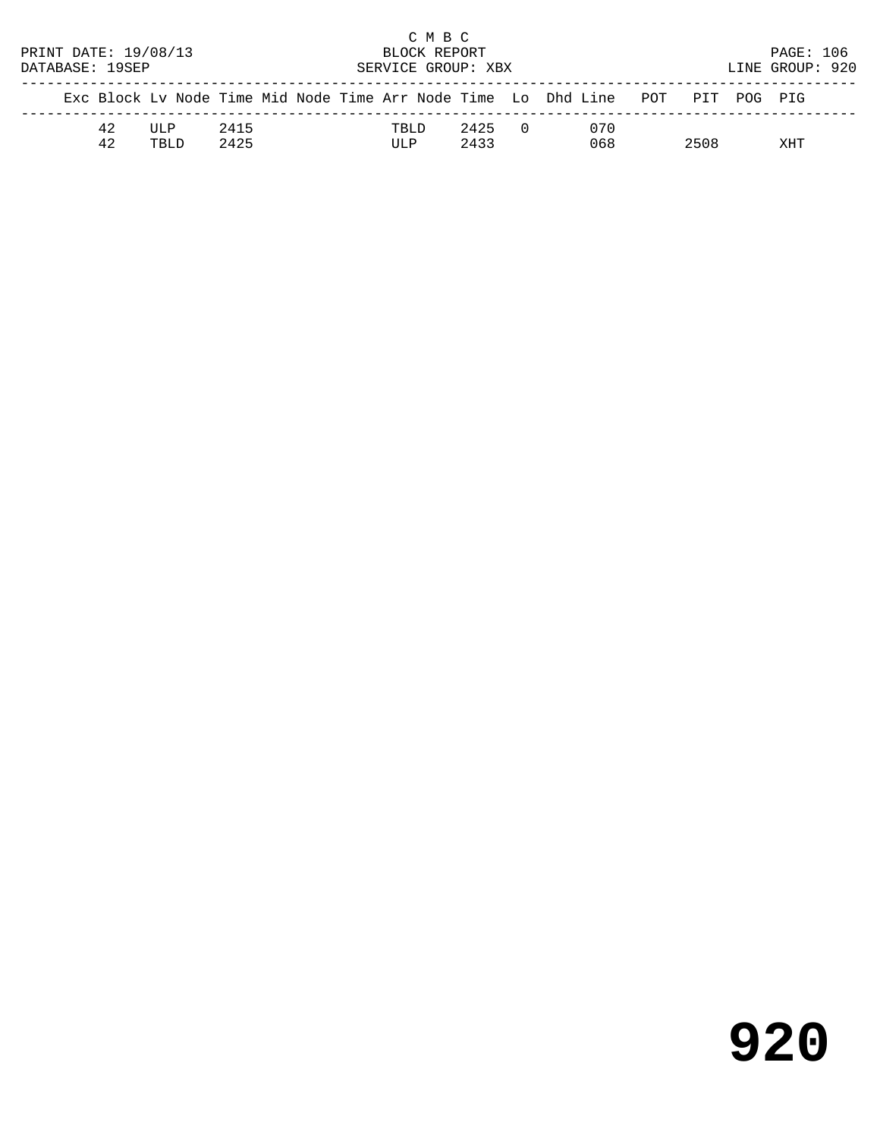|                      |    |                                                                                |                    |  |  |  |       | C M B C |      |            |  |                 |      |  |           |  |  |
|----------------------|----|--------------------------------------------------------------------------------|--------------------|--|--|--|-------|---------|------|------------|--|-----------------|------|--|-----------|--|--|
| PRINT DATE: 19/08/13 |    |                                                                                | BLOCK REPORT       |  |  |  |       |         |      |            |  |                 |      |  | PAGE: 106 |  |  |
| DATABASE: 19SEP      |    |                                                                                | SERVICE GROUP: XBX |  |  |  |       |         |      |            |  | LINE GROUP: 920 |      |  |           |  |  |
|                      |    | Exc Block Ly Node Time Mid Node Time Arr Node Time Lo Dhd Line POT PIT POG PIG |                    |  |  |  |       |         |      |            |  |                 |      |  |           |  |  |
|                      | 42 | TJT.P                                                                          | 2415               |  |  |  | TRI D |         | 2425 | $\bigcirc$ |  | 070             |      |  |           |  |  |
|                      | 42 | TBLD.                                                                          | 2425               |  |  |  | ULP   |         | 2433 |            |  | 068             | 2508 |  | XHT       |  |  |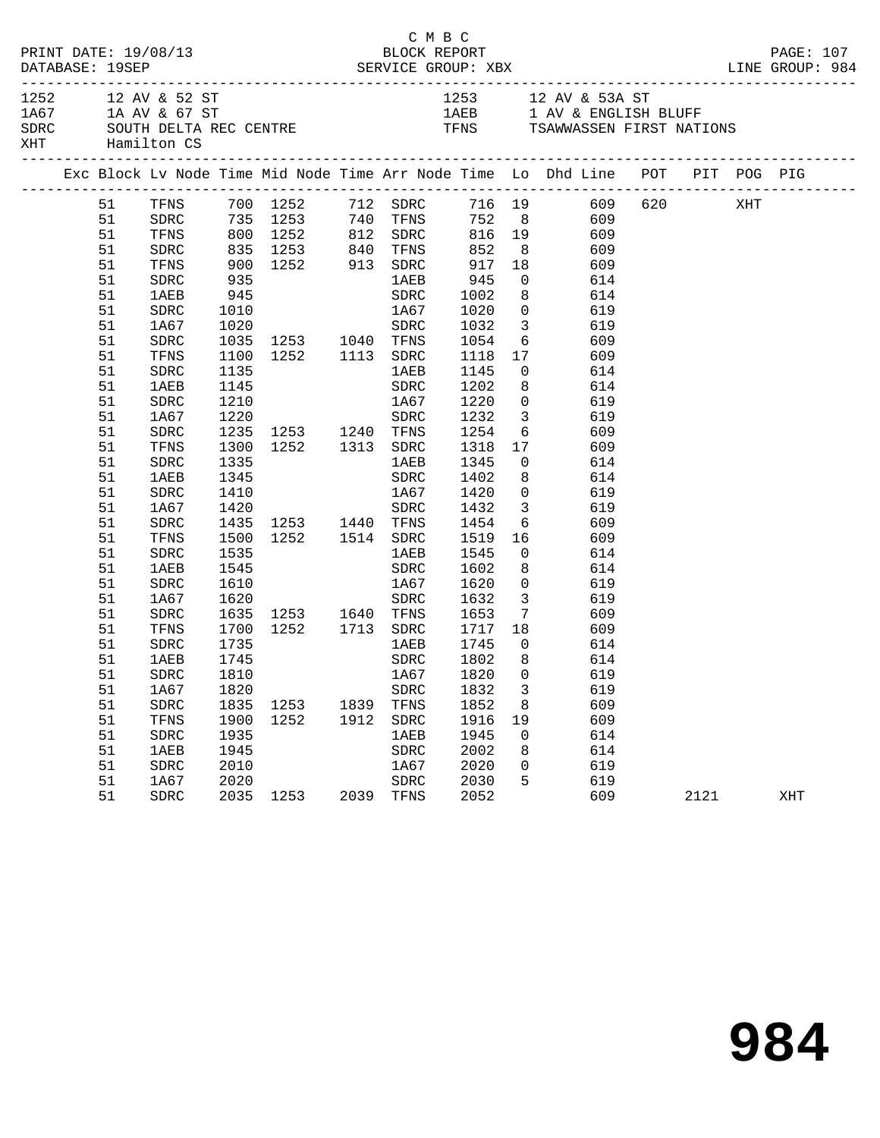| DATABASE: 19SEP                                             |          | PRINT DATE: 19/08/13 |      |                                                         |      | C M B C<br>BLOCK REPORT                                                                                            |                      | PAGE: 107               |                                                                                                                             |  |      |  |     |  |
|-------------------------------------------------------------|----------|----------------------|------|---------------------------------------------------------|------|--------------------------------------------------------------------------------------------------------------------|----------------------|-------------------------|-----------------------------------------------------------------------------------------------------------------------------|--|------|--|-----|--|
| 1252 12 AV & 52 ST<br>1A67 1A AV & 67 ST<br>XHT Hamilton CS |          |                      |      |                                                         |      | 1253 12 AV & 53A ST<br>1AEB 1 AV & ENGLISH BLUFF<br>SDRC SOUTH DELTA REC CENTRE TENS TENS TSAWWASSEN FIRST NATIONS |                      |                         |                                                                                                                             |  |      |  |     |  |
|                                                             |          |                      |      |                                                         |      |                                                                                                                    |                      |                         | Exc Block Lv Node Time Mid Node Time Arr Node Time Lo Dhd Line POT PIT POG PIG                                              |  |      |  |     |  |
|                                                             |          |                      |      |                                                         |      |                                                                                                                    |                      |                         | 51 TFNS 700 1252 712 SDRC 716 19 609 620 XHT<br>51 SDRC 735 1253 740 TFNS 752 8 609<br>51 TFNS 800 1252 812 SDRC 816 19 609 |  |      |  |     |  |
|                                                             |          |                      |      |                                                         |      |                                                                                                                    |                      |                         |                                                                                                                             |  |      |  |     |  |
|                                                             | 51       | SDRC                 |      |                                                         |      |                                                                                                                    |                      |                         | 835 1253 840 TFNS 852 8 609                                                                                                 |  |      |  |     |  |
|                                                             | 51       | TFNS                 |      | 900 1252 913 SDRC<br>935 1AEB                           |      |                                                                                                                    | 917 18<br>945 0      |                         | 609                                                                                                                         |  |      |  |     |  |
|                                                             | 51       | SDRC                 |      |                                                         |      |                                                                                                                    |                      |                         | 614                                                                                                                         |  |      |  |     |  |
|                                                             | 51       | 1AEB                 |      | 945                                                     |      | SDRC                                                                                                               | 1002                 |                         | 8 614                                                                                                                       |  |      |  |     |  |
|                                                             | 51       | SDRC                 | 1010 |                                                         |      | 1A67                                                                                                               | 1020                 | $\overline{0}$          | 619                                                                                                                         |  |      |  |     |  |
|                                                             | 51       | 1A67                 |      | 1020 SDRC<br>1035 1253 1040 TFNS                        |      |                                                                                                                    | 1032<br>1054<br>1118 | $\overline{\mathbf{3}}$ | 619                                                                                                                         |  |      |  |     |  |
|                                                             | 51       | ${\tt SDRC}$         |      |                                                         |      |                                                                                                                    |                      | $6\overline{6}$         | 609                                                                                                                         |  |      |  |     |  |
|                                                             | 51       | TFNS                 |      | 1100 1252 1113 SDRC                                     |      |                                                                                                                    |                      |                         | 17 609                                                                                                                      |  |      |  |     |  |
|                                                             | 51       | SDRC                 | 1135 |                                                         |      | 1 AE B                                                                                                             | 1145                 |                         | $\overline{0}$<br>614                                                                                                       |  |      |  |     |  |
|                                                             | 51       | 1AEB                 | 1145 |                                                         |      | SDRC                                                                                                               | 1202<br>1220         |                         | 8<br>614                                                                                                                    |  |      |  |     |  |
|                                                             | 51       | SDRC                 | 1210 |                                                         |      | 1A67                                                                                                               | 1232                 | $\overline{0}$          | 619<br>3 619                                                                                                                |  |      |  |     |  |
|                                                             | 51       | 1A67                 | 1220 |                                                         |      | SDRC                                                                                                               |                      |                         |                                                                                                                             |  |      |  |     |  |
|                                                             | 51       | ${\tt SDRC}$         |      | 1235 1253 1240 TFNS                                     |      |                                                                                                                    | 1254                 |                         | 6 609                                                                                                                       |  |      |  |     |  |
|                                                             | 51<br>51 | TFNS<br>${\tt SDRC}$ | 1335 | 1300 1252 1313 SDRC                                     |      | 1AEB                                                                                                               | 1318<br>1345         | 17<br>$\overline{0}$    | 609<br>614                                                                                                                  |  |      |  |     |  |
|                                                             | 51       | 1AEB                 | 1345 |                                                         |      | SDRC                                                                                                               | 1402                 |                         | 8 <sup>8</sup><br>614                                                                                                       |  |      |  |     |  |
|                                                             | 51       | SDRC                 | 1410 | 1A67 1420                                               |      |                                                                                                                    |                      |                         | $\overline{0}$<br>619                                                                                                       |  |      |  |     |  |
|                                                             | 51       | 1A67                 |      |                                                         |      |                                                                                                                    | 1432                 |                         | 3 619                                                                                                                       |  |      |  |     |  |
|                                                             | 51       | ${\tt SDRC}$         |      | 1420 SDRC<br>1435 1253 1440 TFNS<br>1500 1252 1514 SDRC |      |                                                                                                                    |                      | $6\overline{6}$         | 609                                                                                                                         |  |      |  |     |  |
|                                                             | 51       | TFNS                 |      |                                                         |      |                                                                                                                    | 1454<br>1519         |                         | 16<br>609                                                                                                                   |  |      |  |     |  |
|                                                             | 51       | SDRC                 | 1535 |                                                         |      | 1AEB                                                                                                               | 1545                 |                         | $\overline{0}$<br>614                                                                                                       |  |      |  |     |  |
|                                                             | 51       | 1AEB                 | 1545 |                                                         |      | SDRC                                                                                                               | 1602                 | 8                       | 614                                                                                                                         |  |      |  |     |  |
|                                                             | 51       | SDRC                 | 1610 |                                                         |      | 1A67                                                                                                               |                      | $\overline{0}$          | 619                                                                                                                         |  |      |  |     |  |
|                                                             | 51       | 1A67                 | 1620 |                                                         |      | SDRC                                                                                                               | 1620<br>1632         | $\overline{\mathbf{3}}$ | 619                                                                                                                         |  |      |  |     |  |
|                                                             | 51       | SDRC                 |      | 1635 1253 1640 TFNS 1653                                |      |                                                                                                                    |                      |                         | $7\overline{ }$<br>609                                                                                                      |  |      |  |     |  |
|                                                             | 51       | TFNS                 | 1700 |                                                         |      |                                                                                                                    |                      |                         | 1252 1713 SDRC 1717 18 609                                                                                                  |  |      |  |     |  |
|                                                             | 51       | SDRC                 | 1735 |                                                         |      | <b>1AEB</b>                                                                                                        |                      | $\overline{0}$          | 614                                                                                                                         |  |      |  |     |  |
|                                                             | 51       | 1AEB                 | 1745 |                                                         |      | SDRC                                                                                                               | 1745<br>1802         | 8 <sup>8</sup>          | 614                                                                                                                         |  |      |  |     |  |
|                                                             |          |                      |      | 51 SDRC 1810                                            |      |                                                                                                                    |                      |                         | 1A67 1820 0 619                                                                                                             |  |      |  |     |  |
|                                                             | 51       | 1A67                 | 1820 |                                                         |      | SDRC                                                                                                               | 1832                 | 3                       | 619                                                                                                                         |  |      |  |     |  |
|                                                             | 51       | SDRC                 | 1835 | 1253                                                    | 1839 | TFNS                                                                                                               | 1852                 | 8                       | 609                                                                                                                         |  |      |  |     |  |
|                                                             | 51       | TFNS                 | 1900 | 1252                                                    | 1912 | ${\tt SDRC}$                                                                                                       | 1916                 | 19                      | 609                                                                                                                         |  |      |  |     |  |
|                                                             | 51       | SDRC                 | 1935 |                                                         |      | 1AEB                                                                                                               | 1945                 | $\mathbf 0$             | 614                                                                                                                         |  |      |  |     |  |
|                                                             | 51       | <b>1AEB</b>          | 1945 |                                                         |      | SDRC                                                                                                               | 2002                 | 8                       | 614                                                                                                                         |  |      |  |     |  |
|                                                             | 51       | SDRC                 | 2010 |                                                         |      | 1A67                                                                                                               | 2020                 | 0                       | 619                                                                                                                         |  |      |  |     |  |
|                                                             | 51       | 1A67                 | 2020 |                                                         |      | ${\tt SDRC}$                                                                                                       | 2030                 | 5                       | 619                                                                                                                         |  |      |  |     |  |
|                                                             | 51       | SDRC                 |      | 2035 1253                                               | 2039 | TFNS                                                                                                               | 2052                 |                         | 609                                                                                                                         |  | 2121 |  | XHT |  |
|                                                             |          |                      |      |                                                         |      |                                                                                                                    |                      |                         |                                                                                                                             |  |      |  |     |  |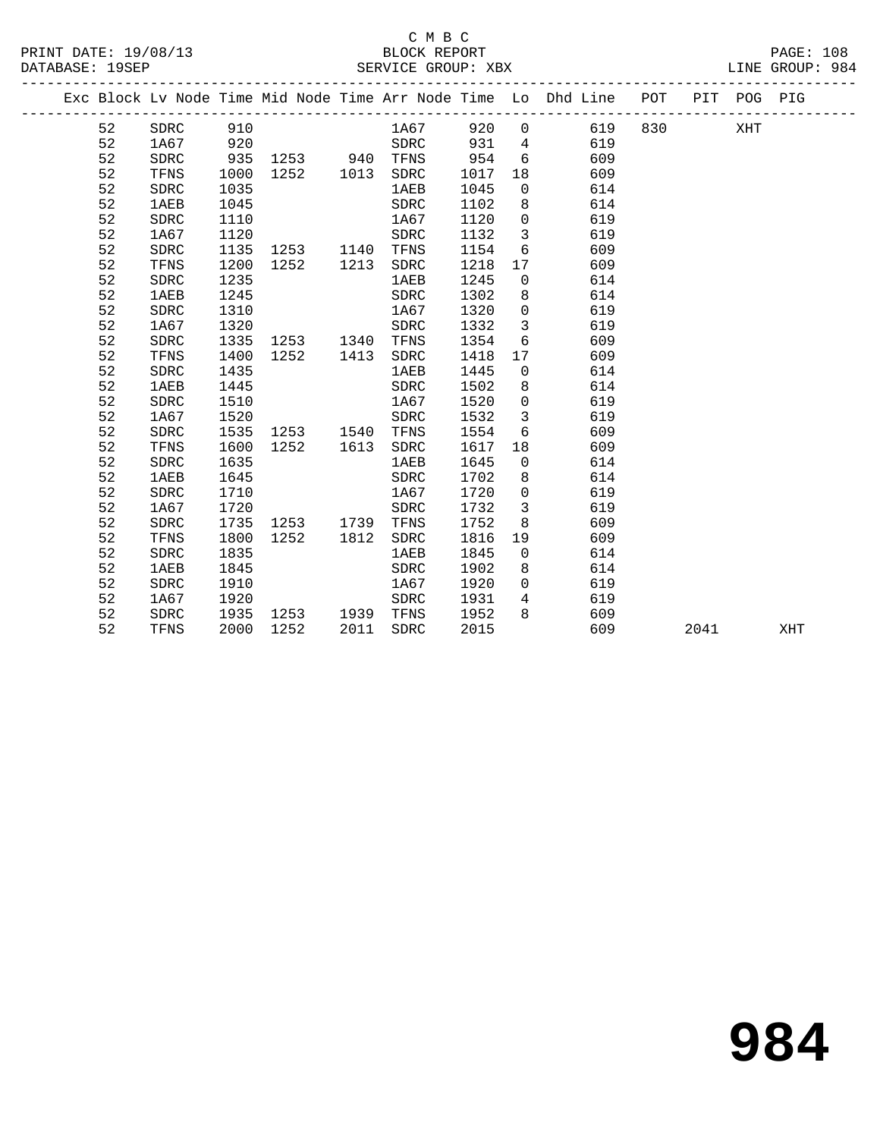#### C M B C PRINT DATE: 19/08/13 BLOCK REPORT BAGES: 1988

PAGE: 108<br>LINE GROUP: 984

|  | DAIADAJE. 1955 |              |      |                                                                                  | OBRATOR GROUP. ADA |      |                         |                                                                                |         |      |     |
|--|----------------|--------------|------|----------------------------------------------------------------------------------|--------------------|------|-------------------------|--------------------------------------------------------------------------------|---------|------|-----|
|  |                |              |      |                                                                                  |                    |      |                         | Exc Block Lv Node Time Mid Node Time Arr Node Time Lo Dhd Line POT PIT POG PIG |         |      |     |
|  | 52             | SDRC 910     |      |                                                                                  | 1A67 920 0         |      |                         | 619                                                                            | 830 XHT |      |     |
|  | 52             | 1A67         |      |                                                                                  |                    |      |                         | 619                                                                            |         |      |     |
|  | 52             | SDRC         |      | 920 SDRC 931 4<br>935 1253 940 TFNS 954 6<br>1000 1252 1013 SDRC 1017 18<br>1035 |                    |      |                         | 609                                                                            |         |      |     |
|  | 52             | TFNS         |      |                                                                                  |                    |      |                         | 609                                                                            |         |      |     |
|  | 52             | SDRC         | 1035 |                                                                                  | <b>1AEB</b>        | 1045 | $\overline{0}$          | 614                                                                            |         |      |     |
|  | 52             | 1AEB         | 1045 |                                                                                  | SDRC               | 1102 | 8 <sup>8</sup>          | 614                                                                            |         |      |     |
|  | 52             | SDRC         | 1110 |                                                                                  | 1A67               | 1120 | $\overline{0}$          | 619                                                                            |         |      |     |
|  | 52             | 1A67         | 1120 |                                                                                  | SDRC               | 1132 | $\overline{\mathbf{3}}$ | 619                                                                            |         |      |     |
|  | 52             | SDRC         | 1135 | 1253 1140 TFNS                                                                   |                    | 1154 | 6                       | 609                                                                            |         |      |     |
|  | 52             | TFNS         | 1200 | 1252   1213   SDRC                                                               |                    | 1218 | 17                      | 609                                                                            |         |      |     |
|  | 52             | SDRC         | 1235 |                                                                                  | <b>1AEB</b>        | 1245 | $\overline{0}$          | 614                                                                            |         |      |     |
|  | 52             | 1AEB         | 1245 |                                                                                  | SDRC               | 1302 | 8                       | 614                                                                            |         |      |     |
|  | 52             | SDRC         | 1310 |                                                                                  | 1A67               | 1320 | $\overline{0}$          | 619                                                                            |         |      |     |
|  | 52             | 1A67         | 1320 |                                                                                  | SDRC               | 1332 | $\overline{\mathbf{3}}$ | 619                                                                            |         |      |     |
|  | 52             | SDRC         | 1335 | 1253  1340  TFNS                                                                 |                    | 1354 | 6                       | 609                                                                            |         |      |     |
|  | 52             | TFNS         | 1400 | 1252  1413  SDRC                                                                 |                    | 1418 | 17                      | 609                                                                            |         |      |     |
|  | 52             | SDRC         | 1435 |                                                                                  | <b>1AEB</b>        | 1445 | $\overline{0}$          | 614                                                                            |         |      |     |
|  | 52             | 1AEB         | 1445 |                                                                                  | SDRC               | 1502 | 8                       | 614                                                                            |         |      |     |
|  | 52             | SDRC         | 1510 |                                                                                  | 1A67               | 1520 | $\overline{0}$          | 619                                                                            |         |      |     |
|  | 52             | 1A67         | 1520 |                                                                                  | SDRC               | 1532 | $\overline{\mathbf{3}}$ | 619                                                                            |         |      |     |
|  | 52             | SDRC         | 1535 | 1253  1540 TFNS                                                                  |                    | 1554 | $6\overline{6}$         | 609                                                                            |         |      |     |
|  | 52             | TFNS         | 1600 | 1252  1613  SDRC                                                                 |                    | 1617 | 18                      | 609                                                                            |         |      |     |
|  | 52             | ${\tt SDRC}$ | 1635 |                                                                                  | <b>1AEB</b>        | 1645 | $\overline{0}$          | 614                                                                            |         |      |     |
|  | 52             | 1AEB         | 1645 |                                                                                  | SDRC               | 1702 | 8                       | 614                                                                            |         |      |     |
|  | 52             | SDRC         | 1710 |                                                                                  | 1A67               | 1720 | $\overline{0}$          | 619                                                                            |         |      |     |
|  | 52             | 1A67         | 1720 |                                                                                  | SDRC               | 1732 | $\overline{\mathbf{3}}$ | 619                                                                            |         |      |     |
|  | 52             | SDRC         | 1735 | 1253 1739 TFNS                                                                   |                    | 1752 | 8 <sup>8</sup>          | 609                                                                            |         |      |     |
|  | 52             | TFNS         | 1800 | 1252  1812  SDRC                                                                 |                    | 1816 | 19                      | 609                                                                            |         |      |     |
|  | 52             | SDRC         | 1835 |                                                                                  | <b>1AEB</b>        | 1845 | $\overline{0}$          | 614                                                                            |         |      |     |
|  | 52             | <b>1AEB</b>  | 1845 |                                                                                  | SDRC               | 1902 | 8                       | 614                                                                            |         |      |     |
|  | 52             | SDRC         | 1910 |                                                                                  | 1A67               | 1920 | $\overline{0}$          | 619                                                                            |         |      |     |
|  | 52             | 1A67         | 1920 |                                                                                  | SDRC               | 1931 | $\overline{4}$          | 619                                                                            |         |      |     |
|  | 52             | SDRC         | 1935 | 1253 1939 TFNS                                                                   |                    | 1952 | 8                       | 609                                                                            |         |      |     |
|  | 52             | TFNS         | 2000 | 1252                                                                             | 2011 SDRC          | 2015 |                         | 609                                                                            |         | 2041 | XHT |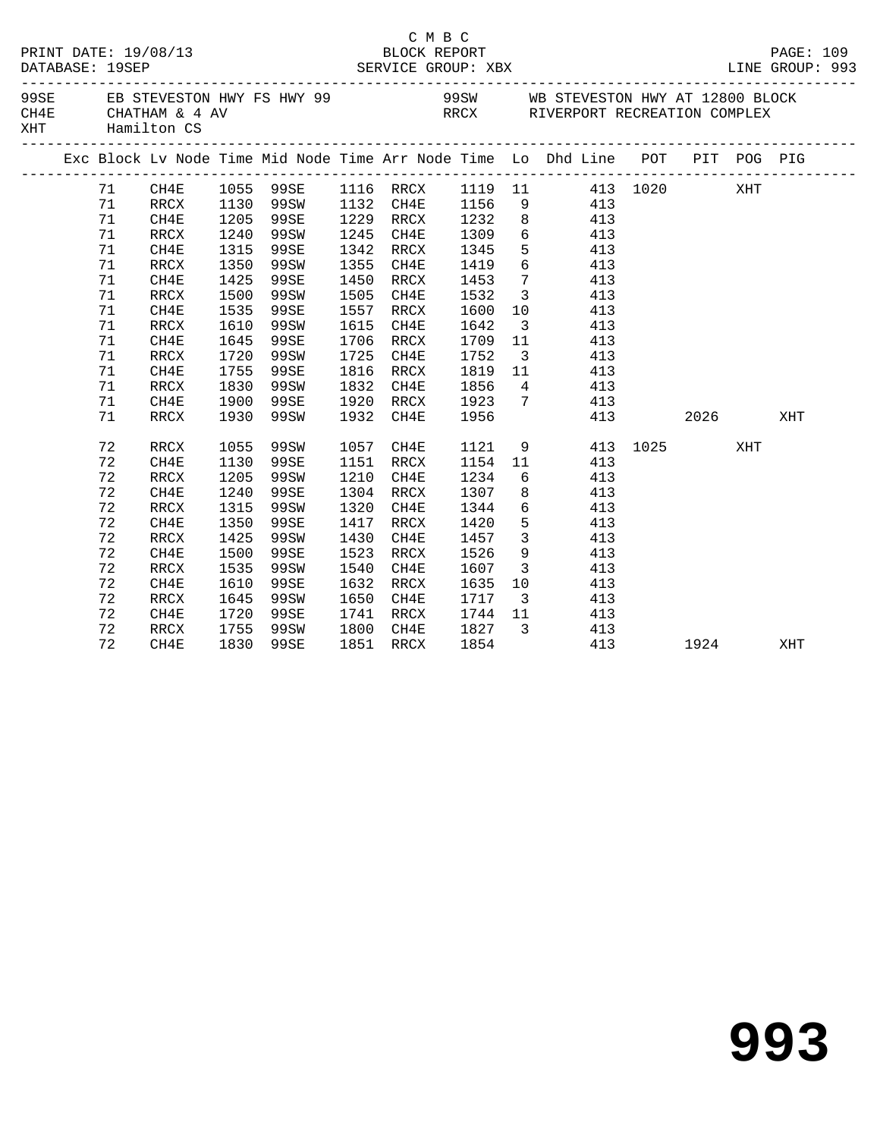|     | DATABASE: 19SEP | PRINT DATE: 19/08/13     |      |           |      | C M B C<br>BLOCK REPORT |              |                         |                                                                                |     |          |     | PAGE: 109<br>LINE GROUP: 993 |
|-----|-----------------|--------------------------|------|-----------|------|-------------------------|--------------|-------------------------|--------------------------------------------------------------------------------|-----|----------|-----|------------------------------|
| XHT |                 | Hamilton CS              |      |           |      |                         |              |                         |                                                                                |     |          |     |                              |
|     |                 |                          |      |           |      |                         |              |                         | Exc Block Lv Node Time Mid Node Time Arr Node Time Lo Dhd Line POT PIT POG PIG |     |          |     |                              |
|     | 71              |                          |      |           |      |                         |              |                         | CH4E 1055 99SE 1116 RRCX 1119 11 413 1020 XHT                                  |     |          |     |                              |
|     | 71              | RRCX                     |      | 1130 99SW |      | 1132 CH4E               | 1156         |                         | 9 413                                                                          |     |          |     |                              |
|     | 71              | CH4E                     | 1205 | 99SE      |      | 1229 RRCX               | 1232         |                         | 8 413                                                                          |     |          |     |                              |
|     | 71              | RRCX                     | 1240 | 99SW      | 1245 | CH4E                    | 1309         |                         | 6 413                                                                          |     |          |     |                              |
|     | 71              | CH4E                     | 1315 | 99SE      |      | 1342 RRCX               | 1345<br>1419 | 5 <sub>5</sub>          | 413                                                                            |     |          |     |                              |
|     | 71              | RRCX                     |      | 1350 99SW |      | 1355 CH4E               |              | $6\overline{6}$         | 413                                                                            |     |          |     |                              |
|     | 71              | CH4E                     |      | 1425 99SE | 1450 | RRCX                    | 1453         | $7\overline{ }$         | 413                                                                            |     |          |     |                              |
|     | 71              | RRCX                     | 1500 | 99SW      | 1505 | CH4E                    | 1532         | $\overline{\mathbf{3}}$ | 413                                                                            |     |          |     |                              |
|     | 71              | CH4E                     | 1535 | 99SE      | 1557 | RRCX                    | 1600         | 10                      | 413                                                                            |     |          |     |                              |
|     | 71              | $\mathop{\mathrm{RRCX}}$ | 1610 | 99SW      | 1615 | CH4E                    | 1642         | $\overline{\mathbf{3}}$ | 413                                                                            |     |          |     |                              |
|     | 71              | CH4E                     | 1645 | 99SE      |      | 1706 RRCX               | 1709         | 11                      | 413                                                                            |     |          |     |                              |
|     | 71              | RRCX                     | 1720 | 99SW      |      | 1725 CH4E               | 1752         | $\overline{\mathbf{3}}$ | 413                                                                            |     |          |     |                              |
|     | 71              | CH4E                     | 1755 | 99SE      | 1816 | RRCX                    | 1819         | 11                      | 413                                                                            |     |          |     |                              |
|     | 71              | RRCX                     | 1830 | 99SW      | 1832 | CH4E                    | 1856         |                         | $4\overline{ }$<br>413                                                         |     |          |     |                              |
|     | 71              | CH4E                     | 1900 | 99SE      | 1920 | RRCX                    | 1923         | $7\overline{ }$         | 413                                                                            |     |          |     |                              |
|     | 71              | RRCX                     | 1930 | 99SW      | 1932 | CH4E                    | 1956         |                         |                                                                                | 413 | 2026     |     | XHT                          |
|     | 72              | RRCX                     | 1055 | 99SW      | 1057 | CH4E                    | 1121         |                         | 9                                                                              |     | 413 1025 | XHT |                              |
|     | 72              | CH4E                     | 1130 | 99SE      |      | 1151 RRCX               |              |                         | 1154 11<br>413                                                                 |     |          |     |                              |
|     | 72              | RRCX                     | 1205 | 99SW      | 1210 | CH4E                    | 1234         |                         | $6\overline{}$<br>413                                                          |     |          |     |                              |
|     | 72              | CH4E                     | 1240 | 99SE      |      | 1304 RRCX               | 1307         |                         | 8<br>413                                                                       |     |          |     |                              |
|     | 72              | $\mathop{\mathrm{RRCX}}$ | 1315 | 99SW      |      | 1320 CH4E               | 1344         | $6\overline{}$          | 413                                                                            |     |          |     |                              |
|     | 72              | CH4E                     | 1350 | 99SE      | 1417 | RRCX                    | 1420         | $5\overline{)}$         | 413                                                                            |     |          |     |                              |
|     | 72              | RRCX                     | 1425 | 99SW      | 1430 | CH4E                    | 1457         | $\overline{\mathbf{3}}$ | 413                                                                            |     |          |     |                              |
|     | 72              | CH4E                     | 1500 | 99SE      | 1523 | RRCX                    | 1526         | 9                       | 413                                                                            |     |          |     |                              |
|     | 72              | RRCX                     | 1535 | 99SW      | 1540 | CH4E                    | 1607         | $\overline{\mathbf{3}}$ | 413                                                                            |     |          |     |                              |
|     | 72              | CH4E                     | 1610 | 99SE      | 1632 | RRCX                    | 1635         | 10                      | 413                                                                            |     |          |     |                              |
|     | 72              | RRCX                     | 1645 | 99SW      | 1650 | CH4E                    | 1717         | $\overline{\mathbf{3}}$ | 413                                                                            |     |          |     |                              |
|     | 72              | CH4E                     |      | 1720 99SE | 1741 | RRCX                    | 1744 11      |                         | 413                                                                            |     |          |     |                              |
|     | 72              | RRCX                     | 1755 | 99SW      |      |                         |              |                         | 1800 CH4E 1827 3 413                                                           |     |          |     |                              |
|     | 72              | CH4E                     |      | 1830 99SE |      | 1851 RRCX               | 1854         |                         |                                                                                | 413 | 1924     |     | XHT                          |
|     |                 |                          |      |           |      |                         |              |                         |                                                                                |     |          |     |                              |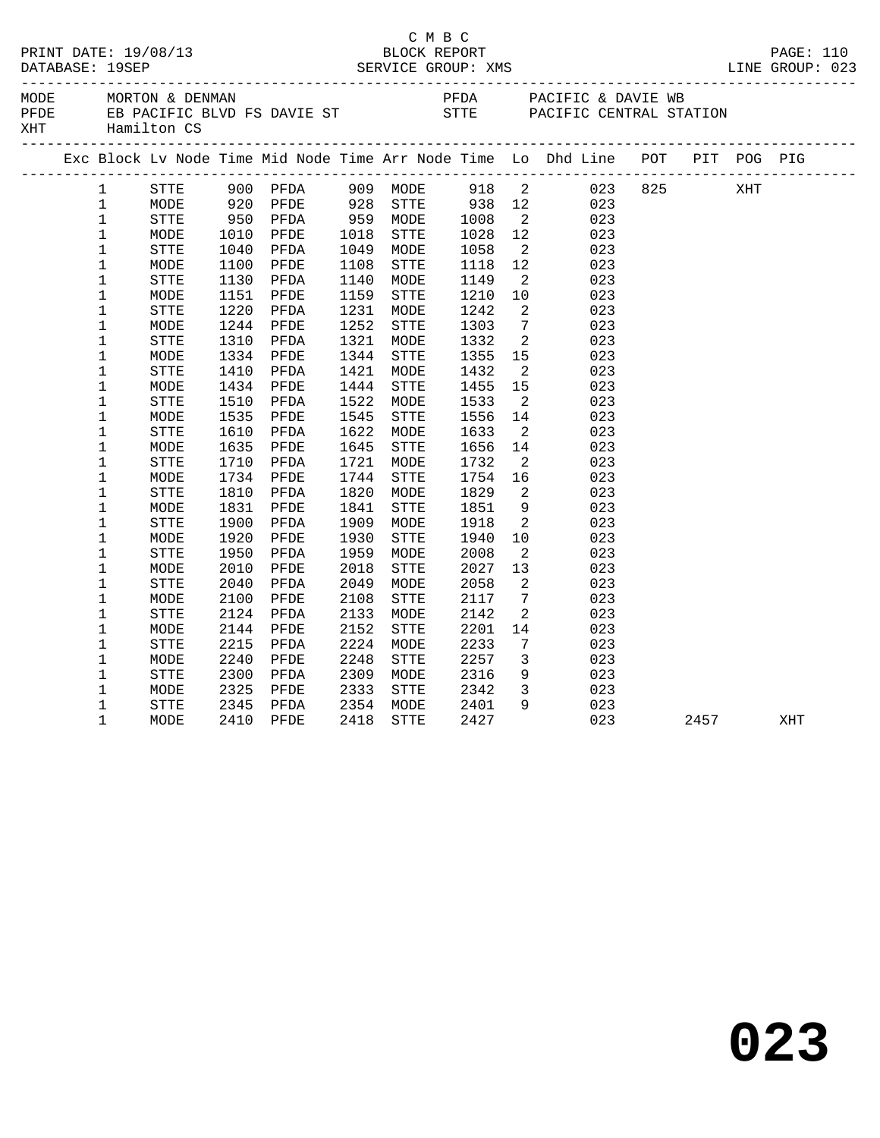|     |                                                                                                                                                                                                                                                                                                      |                                                                                                                                                                                   |                                                                                                                                             |                                                                                                                                                                      |                                                                                                                                             |                                                                                                                                                                                  | C M B C                                                                                                                                                            |                                                                                                                                                                                                                                               |                                                                                                                                   |             |      |     |  |
|-----|------------------------------------------------------------------------------------------------------------------------------------------------------------------------------------------------------------------------------------------------------------------------------------------------------|-----------------------------------------------------------------------------------------------------------------------------------------------------------------------------------|---------------------------------------------------------------------------------------------------------------------------------------------|----------------------------------------------------------------------------------------------------------------------------------------------------------------------|---------------------------------------------------------------------------------------------------------------------------------------------|----------------------------------------------------------------------------------------------------------------------------------------------------------------------------------|--------------------------------------------------------------------------------------------------------------------------------------------------------------------|-----------------------------------------------------------------------------------------------------------------------------------------------------------------------------------------------------------------------------------------------|-----------------------------------------------------------------------------------------------------------------------------------|-------------|------|-----|--|
| XHT |                                                                                                                                                                                                                                                                                                      | Hamilton CS                                                                                                                                                                       |                                                                                                                                             |                                                                                                                                                                      |                                                                                                                                             |                                                                                                                                                                                  |                                                                                                                                                                    |                                                                                                                                                                                                                                               |                                                                                                                                   |             |      |     |  |
|     |                                                                                                                                                                                                                                                                                                      |                                                                                                                                                                                   |                                                                                                                                             |                                                                                                                                                                      |                                                                                                                                             |                                                                                                                                                                                  |                                                                                                                                                                    |                                                                                                                                                                                                                                               | Exc Block Lv Node Time Mid Node Time Arr Node Time Lo Dhd Line POT PIT POG PIG                                                    |             |      |     |  |
|     | $\mathbf 1$<br>$\mathbf 1$<br>$\mathbf{1}$<br>$\mathbf{1}$<br>$\mathbf{1}$<br>$\mathbf{1}$<br>$\mathbf{1}$<br>$\mathbf 1$<br>$\mathbf 1$<br>$\mathbf 1$<br>$\mathbf 1$<br>$\mathbf{1}$<br>$\mathbf 1$<br>$\mathbf 1$<br>$\mathbf 1$<br>$\mathbf 1$<br>$\mathbf 1$<br>$\mathbf 1$<br>$\mathbf 1$<br>1 | STTE<br>MODE<br>STTE<br>MODE<br><b>STTE</b><br>MODE<br>STTE<br>MODE<br>STTE<br>MODE<br><b>STTE</b><br>MODE<br>STTE<br>MODE<br>STTE<br>MODE<br><b>STTE</b><br>MODE<br>STTE<br>MODE | 950<br>1010<br>1040<br>1100<br>1130<br>1151<br>1220<br>1244<br>1310<br>1334<br>1410<br>1434<br>1510<br>1535<br>1610<br>1635<br>1710<br>1734 | 900 PFDA<br>920 PFDE<br>PFDA<br>PFDE<br>PFDA<br>PFDE<br>PFDA<br>PFDE<br>PFDA<br>PFDE<br>PFDA<br>PFDE<br>PFDA<br>PFDE<br>PFDA<br>PFDE<br>PFDA<br>PFDE<br>PFDA<br>PFDE | 959<br>1018<br>1049<br>1108<br>1140<br>1159<br>1231<br>1252<br>1321<br>1344<br>1421<br>1444<br>1522<br>1545<br>1622<br>1645<br>1721<br>1744 | 909 MODE<br>928 STTE<br>959 MODE<br>STTE<br>MODE<br>STTE<br>MODE<br>STTE<br>MODE<br>STTE<br>MODE<br>STTE<br>MODE<br>STTE<br>MODE<br>${\tt STTE}$<br>MODE<br>STTE<br>MODE<br>STTE | 918 2<br>938 12<br>1008<br>1028<br>1058<br>1118 12<br>1149<br>1210<br>1242<br>1303<br>1332<br>1355<br>1432<br>1455<br>1533<br>1556<br>1633<br>1656<br>1732<br>1754 | $\overline{2}$<br>12<br>$\overline{2}$<br>$\overline{2}$<br>10<br>$\overline{2}$<br>$7\overline{ }$<br>$\overline{2}$<br>15<br>$\overline{2}$<br>15<br>$\overline{2}$<br>14<br>$\overline{2}$<br>14<br>$\overline{a}$<br>16<br>$\overline{a}$ | 023<br>023<br>023<br>023<br>023<br>023<br>023<br>023<br>023<br>023<br>023<br>023<br>023<br>023<br>023<br>023<br>023<br>023<br>023 | 023 825 XHT |      |     |  |
|     | $\mathbf 1$<br>$\mathbf 1$<br>$\mathbf{1}$<br>$\mathbf 1$<br>$\mathbf 1$<br>$\mathbf 1$<br>$\mathbf 1$<br>$\mathbf 1$<br>$\mathbf 1$<br>$\mathbf 1$<br>$\mathbf 1$<br>1<br>$\mathbf 1$<br>$\mathbf 1$<br>$\mathbf 1$                                                                                 | STTE<br>MODE<br><b>STTE</b><br>MODE<br>${\tt STTE}$<br>MODE<br><b>STTE</b><br>MODE<br>STTE<br>MODE<br>STTE<br>MODE<br>STTE<br>MODE<br>STTE                                        | 1810<br>1831<br>1900<br>1920<br>1950<br>2010<br>2040<br>2100<br>2124<br>2144<br>2215<br>2240<br>2300<br>2325<br>2345                        | PFDA<br>PFDE<br>PFDA<br>PFDE<br>PFDA<br>PFDE<br>PFDA<br>PFDE<br>PFDA<br>PFDE<br>PFDA<br>PFDE<br>PFDA<br>PFDE<br>PFDA                                                 | 1820<br>1841<br>1909<br>1930<br>1959<br>2018<br>2049<br>2108<br>2133<br>2152<br>2224<br>2248<br>2309<br>2333<br>2354                        | MODE<br>STTE<br>MODE<br>${\tt STTE}$<br>MODE<br><b>STTE</b><br>MODE<br>STTE<br>MODE<br><b>STTE</b><br>MODE<br><b>STTE</b><br>MODE<br>STTE<br>MODE                                | 1829<br>1851<br>1918<br>1940<br>2008<br>2027<br>2058<br>2117<br>2142<br>2201<br>2233<br>2257<br>2316<br>2342<br>2401                                               | 9<br>$\overline{2}$<br>10<br>$\overline{2}$<br>13<br>2<br>$7\phantom{.0}\,$<br>$\overline{2}$<br>14<br>7<br>$\mathbf{3}$<br>9<br>$\overline{3}$<br>9                                                                                          | 023<br>023<br>023<br>023<br>023<br>023<br>023<br>023<br>023<br>023<br>023<br>023<br>023<br>023<br>023                             |             |      |     |  |
|     | $\mathbf{1}$                                                                                                                                                                                                                                                                                         | MODE                                                                                                                                                                              |                                                                                                                                             | 2410 PFDE                                                                                                                                                            | 2418                                                                                                                                        | <b>STTE</b>                                                                                                                                                                      | 2427                                                                                                                                                               |                                                                                                                                                                                                                                               | 023                                                                                                                               |             | 2457 | XHT |  |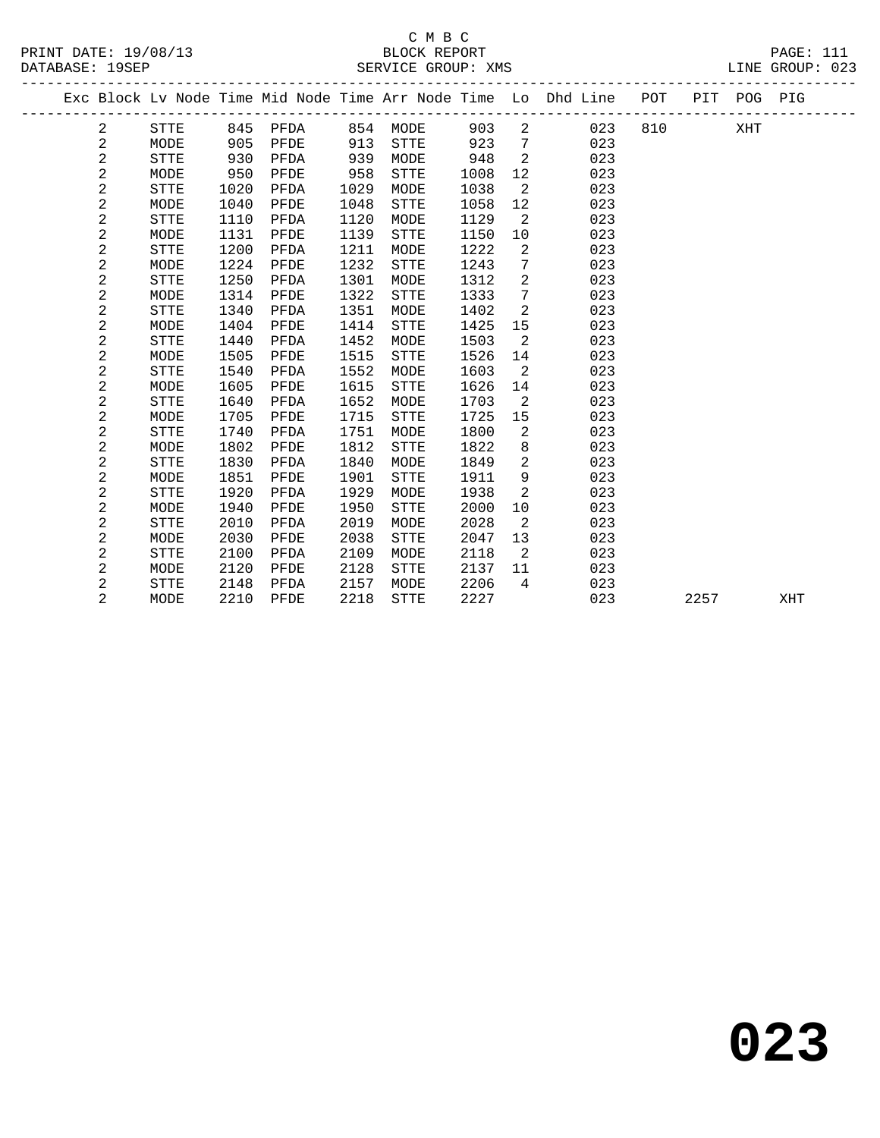# C M B C<br>BLOCK REPORT SERVICE GROUP: XMS

|  |                |             |      |          |      |             |      |                 | Exc Block Lv Node Time Mid Node Time Arr Node Time Lo Dhd Line POT |     |      | PIT POG PIG |     |  |
|--|----------------|-------------|------|----------|------|-------------|------|-----------------|--------------------------------------------------------------------|-----|------|-------------|-----|--|
|  | 2              | STTE        |      | 845 PFDA | 854  | MODE        | 903  | 2               | 023                                                                | 810 |      | XHT         |     |  |
|  | 2              | MODE        | 905  | PFDE     | 913  | <b>STTE</b> | 923  | $7\phantom{.0}$ | 023                                                                |     |      |             |     |  |
|  | 2              | <b>STTE</b> | 930  | PFDA     | 939  | MODE        | 948  | 2               | 023                                                                |     |      |             |     |  |
|  | $\sqrt{2}$     | MODE        | 950  | PFDE     | 958  | STTE        | 1008 | 12              | 023                                                                |     |      |             |     |  |
|  | $\overline{a}$ | <b>STTE</b> | 1020 | PFDA     | 1029 | MODE        | 1038 | 2               | 023                                                                |     |      |             |     |  |
|  | 2              | MODE        | 1040 | PFDE     | 1048 | STTE        | 1058 | 12              | 023                                                                |     |      |             |     |  |
|  | 2              | <b>STTE</b> | 1110 | PFDA     | 1120 | MODE        | 1129 | 2               | 023                                                                |     |      |             |     |  |
|  | $\mathbf{2}$   | MODE        | 1131 | PFDE     | 1139 | STTE        | 1150 | 10              | 023                                                                |     |      |             |     |  |
|  | $\overline{a}$ | <b>STTE</b> | 1200 | PFDA     | 1211 | MODE        | 1222 | 2               | 023                                                                |     |      |             |     |  |
|  | $\sqrt{2}$     | MODE        | 1224 | PFDE     | 1232 | <b>STTE</b> | 1243 | 7               | 023                                                                |     |      |             |     |  |
|  | 2              | <b>STTE</b> | 1250 | PFDA     | 1301 | MODE        | 1312 | 2               | 023                                                                |     |      |             |     |  |
|  | 2              | MODE        | 1314 | PFDE     | 1322 | STTE        | 1333 | 7               | 023                                                                |     |      |             |     |  |
|  | $\mathbf{2}$   | <b>STTE</b> | 1340 | PFDA     | 1351 | MODE        | 1402 | $\overline{a}$  | 023                                                                |     |      |             |     |  |
|  | 2              | MODE        | 1404 | PFDE     | 1414 | <b>STTE</b> | 1425 | 15              | 023                                                                |     |      |             |     |  |
|  | $\mathbf{2}$   | <b>STTE</b> | 1440 | PFDA     | 1452 | MODE        | 1503 | 2               | 023                                                                |     |      |             |     |  |
|  | $\mathbf{2}$   | MODE        | 1505 | PFDE     | 1515 | <b>STTE</b> | 1526 | 14              | 023                                                                |     |      |             |     |  |
|  | 2              | <b>STTE</b> | 1540 | PFDA     | 1552 | MODE        | 1603 | 2               | 023                                                                |     |      |             |     |  |
|  | 2              | MODE        | 1605 | PFDE     | 1615 | <b>STTE</b> | 1626 | 14              | 023                                                                |     |      |             |     |  |
|  | 2              | <b>STTE</b> | 1640 | PFDA     | 1652 | MODE        | 1703 | 2               | 023                                                                |     |      |             |     |  |
|  | 2              | MODE        | 1705 | PFDE     | 1715 | STTE        | 1725 | 15              | 023                                                                |     |      |             |     |  |
|  | 2              | <b>STTE</b> | 1740 | PFDA     | 1751 | MODE        | 1800 | 2               | 023                                                                |     |      |             |     |  |
|  | 2              | MODE        | 1802 | PFDE     | 1812 | <b>STTE</b> | 1822 | 8               | 023                                                                |     |      |             |     |  |
|  | $\mathbf{2}$   | <b>STTE</b> | 1830 | PFDA     | 1840 | MODE        | 1849 | 2               | 023                                                                |     |      |             |     |  |
|  | $\mathbf{2}$   | MODE        | 1851 | PFDE     | 1901 | STTE        | 1911 | 9               | 023                                                                |     |      |             |     |  |
|  | $\mathbf 2$    | <b>STTE</b> | 1920 | PFDA     | 1929 | MODE        | 1938 | 2               | 023                                                                |     |      |             |     |  |
|  | $\mathbf 2$    | MODE        | 1940 | PFDE     | 1950 | STTE        | 2000 | 10              | 023                                                                |     |      |             |     |  |
|  | $\mathbf{2}$   | <b>STTE</b> | 2010 | PFDA     | 2019 | MODE        | 2028 | 2               | 023                                                                |     |      |             |     |  |
|  | $\sqrt{2}$     | MODE        | 2030 | PFDE     | 2038 | STTE        | 2047 | 13              | 023                                                                |     |      |             |     |  |
|  | 2              | <b>STTE</b> | 2100 | PFDA     | 2109 | MODE        | 2118 | 2               | 023                                                                |     |      |             |     |  |
|  | 2              | MODE        | 2120 | PFDE     | 2128 | STTE        | 2137 | 11              | 023                                                                |     |      |             |     |  |
|  | 2              | STTE        | 2148 | PFDA     | 2157 | MODE        | 2206 | 4               | 023                                                                |     |      |             |     |  |
|  | $\overline{2}$ | MODE        | 2210 | PFDE     | 2218 | <b>STTE</b> | 2227 |                 | 023                                                                |     | 2257 |             | XHT |  |
|  |                |             |      |          |      |             |      |                 |                                                                    |     |      |             |     |  |

**023**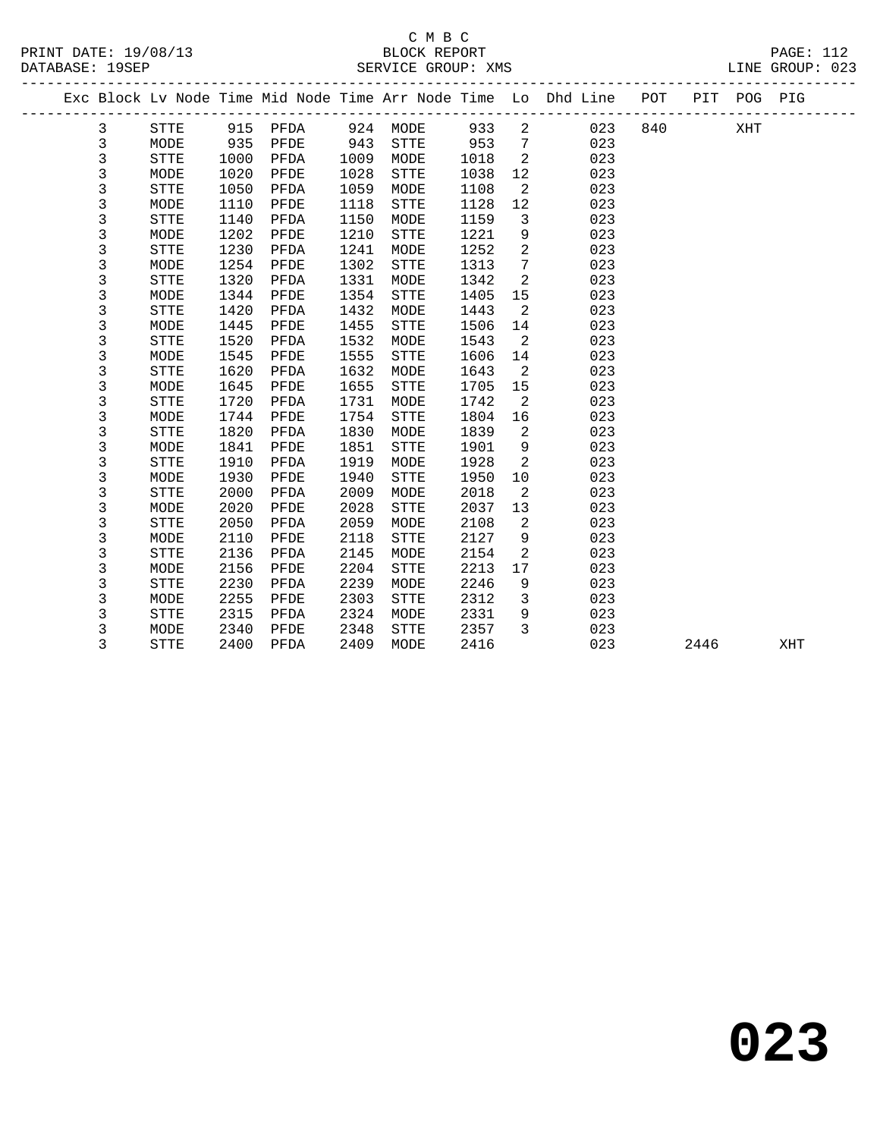# C M B C<br>BLOCK REPORT SERVICE GROUP: XMS

PRINT DATE: 19/08/13 BLOCK REPORT PAGE: 112

|      | PAGL<br>.,                                       |  |
|------|--------------------------------------------------|--|
| ---- | $\sim$ $\sim$ $\sim$ $\sim$ $\sim$ $\sim$ $\sim$ |  |

|  |   |             |      |          |      |             |      |                 | Exc Block Lv Node Time Mid Node Time Arr Node Time Lo Dhd Line POT |     |      | PIT POG PIG |     |
|--|---|-------------|------|----------|------|-------------|------|-----------------|--------------------------------------------------------------------|-----|------|-------------|-----|
|  | 3 | <b>STTE</b> |      | 915 PFDA |      | 924 MODE    | 933  | 2               | 023                                                                | 840 |      | XHT         |     |
|  | 3 | MODE        | 935  | PFDE     | 943  | <b>STTE</b> | 953  | $7\overline{ }$ | 023                                                                |     |      |             |     |
|  | 3 | <b>STTE</b> | 1000 | PFDA     | 1009 | MODE        | 1018 | 2               | 023                                                                |     |      |             |     |
|  | 3 | MODE        | 1020 | PFDE     | 1028 | <b>STTE</b> | 1038 | 12              | 023                                                                |     |      |             |     |
|  | 3 | <b>STTE</b> | 1050 | PFDA     | 1059 | MODE        | 1108 | 2               | 023                                                                |     |      |             |     |
|  | 3 | MODE        | 1110 | PFDE     | 1118 | <b>STTE</b> | 1128 | 12              | 023                                                                |     |      |             |     |
|  | 3 | <b>STTE</b> | 1140 | PFDA     | 1150 | MODE        | 1159 | $\overline{3}$  | 023                                                                |     |      |             |     |
|  | 3 | MODE        | 1202 | PFDE     | 1210 | STTE        | 1221 | 9               | 023                                                                |     |      |             |     |
|  | 3 | <b>STTE</b> | 1230 | PFDA     | 1241 | MODE        | 1252 | 2               | 023                                                                |     |      |             |     |
|  | 3 | MODE        | 1254 | PFDE     | 1302 | STTE        | 1313 | $7\phantom{.0}$ | 023                                                                |     |      |             |     |
|  | 3 | <b>STTE</b> | 1320 | PFDA     | 1331 | MODE        | 1342 | 2               | 023                                                                |     |      |             |     |
|  | 3 | MODE        | 1344 | PFDE     | 1354 | STTE        | 1405 | 15              | 023                                                                |     |      |             |     |
|  | 3 | <b>STTE</b> | 1420 | PFDA     | 1432 | MODE        | 1443 | 2               | 023                                                                |     |      |             |     |
|  | 3 | MODE        | 1445 | PFDE     | 1455 | STTE        | 1506 | 14              | 023                                                                |     |      |             |     |
|  | 3 | <b>STTE</b> | 1520 | PFDA     | 1532 | MODE        | 1543 | 2               | 023                                                                |     |      |             |     |
|  | 3 | MODE        | 1545 | PFDE     | 1555 | <b>STTE</b> | 1606 | 14              | 023                                                                |     |      |             |     |
|  | 3 | STTE        | 1620 | PFDA     | 1632 | MODE        | 1643 | 2               | 023                                                                |     |      |             |     |
|  | 3 | MODE        | 1645 | PFDE     | 1655 | STTE        | 1705 | 15              | 023                                                                |     |      |             |     |
|  | 3 | <b>STTE</b> | 1720 | PFDA     | 1731 | MODE        | 1742 | 2               | 023                                                                |     |      |             |     |
|  | 3 | MODE        | 1744 | PFDE     | 1754 | STTE        | 1804 | 16              | 023                                                                |     |      |             |     |
|  | 3 | <b>STTE</b> | 1820 | PFDA     | 1830 | MODE        | 1839 | 2               | 023                                                                |     |      |             |     |
|  | 3 | MODE        | 1841 | PFDE     | 1851 | <b>STTE</b> | 1901 | 9               | 023                                                                |     |      |             |     |
|  | 3 | <b>STTE</b> | 1910 | PFDA     | 1919 | MODE        | 1928 | 2               | 023                                                                |     |      |             |     |
|  | 3 | MODE        | 1930 | PFDE     | 1940 | <b>STTE</b> | 1950 | 10              | 023                                                                |     |      |             |     |
|  | 3 | <b>STTE</b> | 2000 | PFDA     | 2009 | MODE        | 2018 | 2               | 023                                                                |     |      |             |     |
|  | 3 | MODE        | 2020 | PFDE     | 2028 | <b>STTE</b> | 2037 | 13              | 023                                                                |     |      |             |     |
|  | 3 | <b>STTE</b> | 2050 | PFDA     | 2059 | MODE        | 2108 | $\overline{a}$  | 023                                                                |     |      |             |     |
|  | 3 | MODE        | 2110 | PFDE     | 2118 | <b>STTE</b> | 2127 | 9               | 023                                                                |     |      |             |     |
|  | 3 | STTE        | 2136 | PFDA     | 2145 | MODE        | 2154 | 2               | 023                                                                |     |      |             |     |
|  | 3 | MODE        | 2156 | PFDE     | 2204 | STTE        | 2213 | 17              | 023                                                                |     |      |             |     |
|  | 3 | STTE        | 2230 | PFDA     | 2239 | MODE        | 2246 | 9               | 023                                                                |     |      |             |     |
|  | 3 | MODE        | 2255 | PFDE     | 2303 | STTE        | 2312 | 3               | 023                                                                |     |      |             |     |
|  | 3 | STTE        | 2315 | PFDA     | 2324 | MODE        | 2331 | 9               | 023                                                                |     |      |             |     |
|  | 3 | MODE        | 2340 | PFDE     | 2348 | STTE        | 2357 | 3               | 023                                                                |     |      |             |     |
|  | 3 | <b>STTE</b> | 2400 | PFDA     | 2409 | MODE        | 2416 |                 | 023                                                                |     | 2446 |             | XHT |
|  |   |             |      |          |      |             |      |                 |                                                                    |     |      |             |     |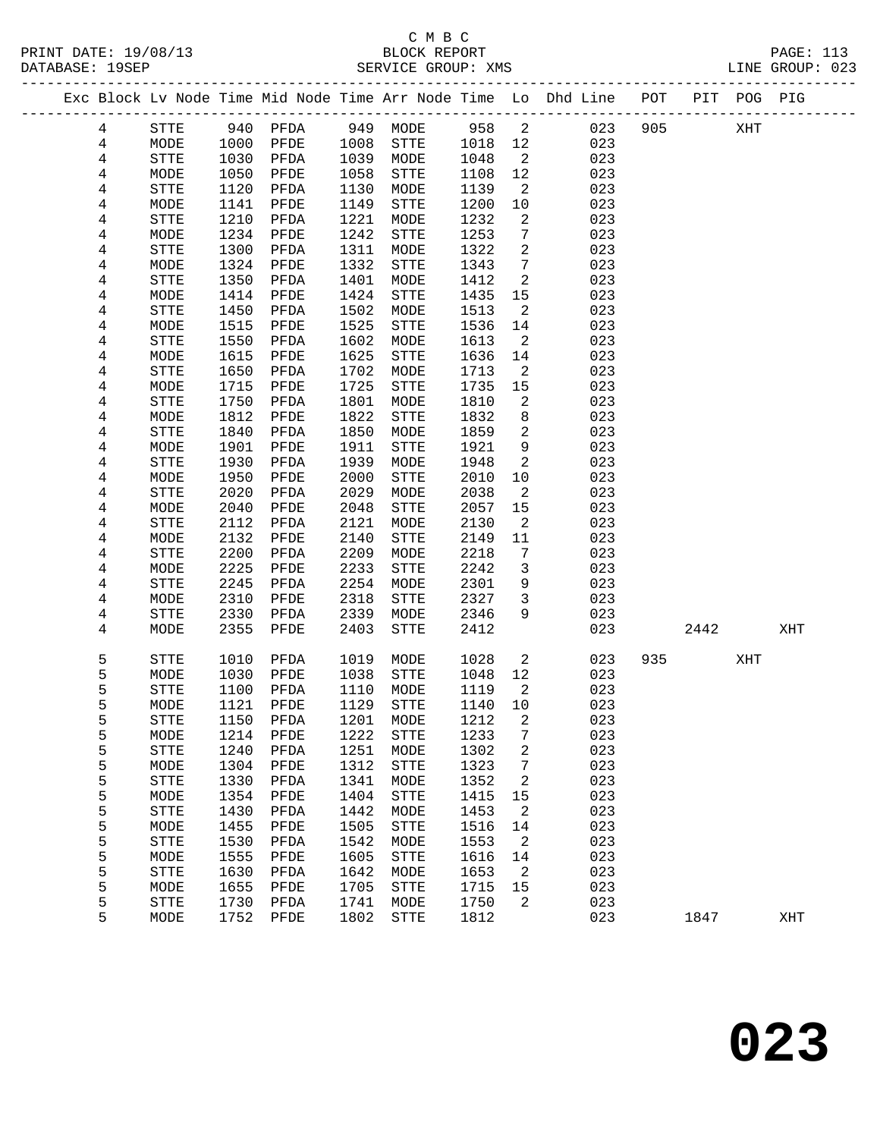PRINT DATE: 19/08/13 BLOCK REPORT PAGE: 113 DATABASE: 19SEP

# C M B C

|  | DAIADAOL. 1905F |      |      |      |      | OLAVILL GAUUP. AMS |       |                 |                                                                    |     |             | CAO JANA ARA |  |
|--|-----------------|------|------|------|------|--------------------|-------|-----------------|--------------------------------------------------------------------|-----|-------------|--------------|--|
|  |                 |      |      |      |      |                    |       |                 | Exc Block Lv Node Time Mid Node Time Arr Node Time Lo Dhd Line POT |     | PIT POG PIG |              |  |
|  | 4               | STTE | 940  | PFDA | 949  | MODE               | 958 2 |                 | 023                                                                | 905 | XHT         |              |  |
|  | $\overline{4}$  | MODE | 1000 | PFDE | 1008 | STTE               | 1018  | 12              | 023                                                                |     |             |              |  |
|  | 4               | STTE | 1030 | PFDA | 1039 | MODE               | 1048  | $\overline{2}$  | 023                                                                |     |             |              |  |
|  | 4               | MODE | 1050 | PFDE | 1058 | STTE               | 1108  | 12 <sup>°</sup> | 023                                                                |     |             |              |  |
|  | 4               | STTE | 1120 | PFDA | 1130 | MODE               | 1139  | 2               | 023                                                                |     |             |              |  |
|  | 4               | MODE | 1141 | PFDE | 1149 | STTE               | 1200  | 10              | 023                                                                |     |             |              |  |
|  | 4               | STTE | 1210 | PFDA | 1221 | MODE               | 1232  | 2               | 023                                                                |     |             |              |  |
|  | 4               | MODE | 1234 | PFDE | 1242 | STTE               | 1253  | $7\phantom{.0}$ | 023                                                                |     |             |              |  |
|  | 4               | STTE | 1300 | PFDA | 1311 | MODE               | 1322  | 2               | 023                                                                |     |             |              |  |
|  | 4               | MODE | 1324 | PFDE | 1332 | STTE               | 1343  | $7\overline{ }$ | 023                                                                |     |             |              |  |
|  | 4               | STTE | 1350 | PFDA | 1401 | MODE               | 1412  | 2               | 023                                                                |     |             |              |  |
|  | 4               | MODE | 1414 | PFDE | 1424 | STTE               | 1435  | 15              | 023                                                                |     |             |              |  |
|  | 4               | STTE | 1450 | PFDA | 1502 | MODE               | 1513  | 2               | 023                                                                |     |             |              |  |
|  | 4               | MODE | 1515 | PFDE | 1525 | STTE               | 1536  | 14              | 023                                                                |     |             |              |  |
|  | 4               | STTE | 1550 | PFDA | 1602 | MODE               | 1613  | -2              | 023                                                                |     |             |              |  |
|  | 4               | MODE | 1615 | PFDE | 1625 | STTE               | 1636  | 14              | 023                                                                |     |             |              |  |
|  | 4               | STTE | 1650 | PFDA | 1702 | MODE               | 1713  | -2              | 023                                                                |     |             |              |  |
|  | 4               | MODE | 1715 | PFDE | 1725 | STTE               | 1735  | 15              | 023                                                                |     |             |              |  |
|  | 4               | STTE | 1750 | PFDA | 1801 | MODE               | 1810  | 2               | 023                                                                |     |             |              |  |
|  | 4               | MODE | 1812 | PFDE | 1822 | STTE               | 1832  | 8               | 023                                                                |     |             |              |  |

| 4 | MODE        | 2040 | PFDE | 2048 | <b>STTE</b> | 2057 | 15 | 023 |     |      |     |     |
|---|-------------|------|------|------|-------------|------|----|-----|-----|------|-----|-----|
| 4 | <b>STTE</b> | 2112 | PFDA | 2121 | MODE        | 2130 | 2  | 023 |     |      |     |     |
| 4 | MODE        | 2132 | PFDE | 2140 | <b>STTE</b> | 2149 | 11 | 023 |     |      |     |     |
| 4 | <b>STTE</b> | 2200 | PFDA | 2209 | MODE        | 2218 | 7  | 023 |     |      |     |     |
| 4 | MODE        | 2225 | PFDE | 2233 | STTE        | 2242 | 3  | 023 |     |      |     |     |
| 4 | <b>STTE</b> | 2245 | PFDA | 2254 | MODE        | 2301 | 9  | 023 |     |      |     |     |
| 4 | MODE        | 2310 | PFDE | 2318 | STTE        | 2327 | 3  | 023 |     |      |     |     |
| 4 | STTE        | 2330 | PFDA | 2339 | MODE        | 2346 | 9  | 023 |     |      |     |     |
| 4 | MODE        | 2355 | PFDE | 2403 | STTE        | 2412 |    | 023 |     | 2442 |     | XHT |
|   |             |      |      |      |             |      |    |     |     |      |     |     |
| 5 | <b>STTE</b> | 1010 | PFDA | 1019 | MODE        | 1028 | 2  | 023 | 935 |      | XHT |     |
| 5 | MODE        | 1030 | PFDE | 1038 | <b>STTE</b> | 1048 | 12 | 023 |     |      |     |     |
| 5 | <b>STTE</b> | 1100 | PFDA | 1110 | MODE        | 1119 | 2  | 023 |     |      |     |     |
| 5 | MODE        | 1121 | PFDE | 1129 | STTE        | 1140 | 10 | 023 |     |      |     |     |
| 5 | STTE        | 1150 | PFDA | 1201 | MODE        | 1212 | 2  | 023 |     |      |     |     |
| 5 | MODE        | 1214 | PFDE | 1222 | <b>STTE</b> | 1233 | 7  | 023 |     |      |     |     |
| 5 | STTE        | 1240 | PFDA | 1251 | MODE        | 1302 | 2  | 023 |     |      |     |     |
| 5 | MODE        | 1304 | PFDE | 1312 | <b>STTE</b> | 1323 | 7  | 023 |     |      |     |     |
| 5 | STTE        | 1330 | PFDA | 1341 | MODE        | 1352 | 2  | 023 |     |      |     |     |
| 5 | MODE        | 1354 | PFDE | 1404 | STTE        | 1415 | 15 | 023 |     |      |     |     |
| 5 | STTE        | 1430 | PFDA | 1442 | MODE        | 1453 | 2  | 023 |     |      |     |     |
| 5 | MODE        | 1455 | PFDE | 1505 | <b>STTE</b> | 1516 | 14 | 023 |     |      |     |     |
| 5 | STTE        | 1530 | PFDA | 1542 | MODE        | 1553 | 2  | 023 |     |      |     |     |
| 5 | MODE        | 1555 | PFDE | 1605 | <b>STTE</b> | 1616 | 14 | 023 |     |      |     |     |
| 5 | STTE        | 1630 | PFDA | 1642 | MODE        | 1653 | 2  | 023 |     |      |     |     |
| 5 | MODE        | 1655 | PFDE | 1705 | STTE        | 1715 | 15 | 023 |     |      |     |     |
| 5 | STTE        | 1730 | PFDA | 1741 | MODE        | 1750 | 2  | 023 |     |      |     |     |
| 5 | MODE        | 1752 | PFDE | 1802 | <b>STTE</b> | 1812 |    | 023 |     | 1847 |     | XHT |
|   |             |      |      |      |             |      |    |     |     |      |     |     |

 4 STTE 1840 PFDA 1850 MODE 1859 2 023 4 MODE 1901 PFDE 1911 STTE 1921 9 023 4 STTE 1930 PFDA 1939 MODE 1948 2 023 4 MODE 1950 PFDE 2000 STTE 2010 10 023 4 STTE 2020 PFDA 2029 MODE 2038 2 023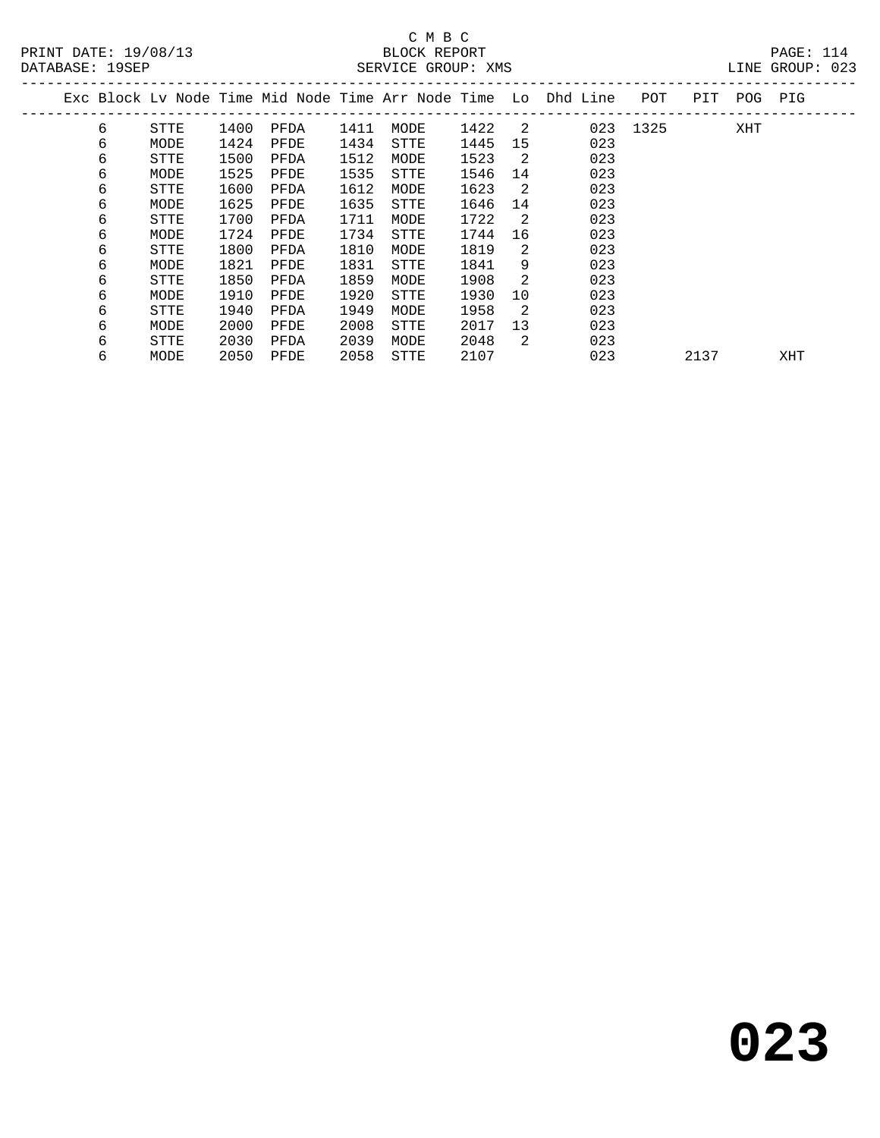# C M B C<br>BLOCK REPORT DATABASE: 19SEP SERVICE GROUP: XMS LINE GROUP: 023

| DAIABASL 1995F |             |      |      |      | SEKVICE GKOUF WWS |      |                |                                                                |      |      |         | LINE GROUP. UZS |  |
|----------------|-------------|------|------|------|-------------------|------|----------------|----------------------------------------------------------------|------|------|---------|-----------------|--|
|                |             |      |      |      |                   |      |                | Exc Block Lv Node Time Mid Node Time Arr Node Time Lo Dhd Line | POT  |      | PIT POG | PIG             |  |
| 6              | STTE        | 1400 | PFDA | 1411 | MODE              | 1422 | $\overline{2}$ | 023                                                            | 1325 |      | XHT     |                 |  |
| 6              | MODE        | 1424 | PFDE | 1434 | STTE              | 1445 | 15             | 023                                                            |      |      |         |                 |  |
| 6              | STTE        | 1500 | PFDA | 1512 | MODE              | 1523 | $\overline{2}$ | 023                                                            |      |      |         |                 |  |
| 6              | MODE        | 1525 | PFDE | 1535 | STTE              | 1546 | 14             | 023                                                            |      |      |         |                 |  |
| 6              | STTE        | 1600 | PFDA | 1612 | MODE              | 1623 | -2             | 023                                                            |      |      |         |                 |  |
| 6              | MODE        | 1625 | PFDE | 1635 | STTE              | 1646 | 14             | 023                                                            |      |      |         |                 |  |
| 6              | STTE        | 1700 | PFDA | 1711 | MODE              | 1722 | -2             | 023                                                            |      |      |         |                 |  |
| 6              | MODE        | 1724 | PFDE | 1734 | STTE              | 1744 | 16             | 023                                                            |      |      |         |                 |  |
| 6              | <b>STTE</b> | 1800 | PFDA | 1810 | MODE              | 1819 | 2              | 023                                                            |      |      |         |                 |  |
| 6              | MODE        | 1821 | PFDE | 1831 | STTE              | 1841 | 9              | 023                                                            |      |      |         |                 |  |
| 6              | STTE        | 1850 | PFDA | 1859 | MODE              | 1908 | 2              | 023                                                            |      |      |         |                 |  |
| 6              | MODE        | 1910 | PFDE | 1920 | STTE              | 1930 | 10             | 023                                                            |      |      |         |                 |  |
| 6              | STTE        | 1940 | PFDA | 1949 | MODE              | 1958 | 2              | 023                                                            |      |      |         |                 |  |
| 6              | MODE        | 2000 | PFDE | 2008 | STTE              | 2017 | 13             | 023                                                            |      |      |         |                 |  |
| 6              | STTE        | 2030 | PFDA | 2039 | MODE              | 2048 | 2              | 023                                                            |      |      |         |                 |  |
| 6              | MODE        | 2050 | PFDE | 2058 | STTE              | 2107 |                | 023                                                            |      | 2137 |         | XHT             |  |
|                |             |      |      |      |                   |      |                |                                                                |      |      |         |                 |  |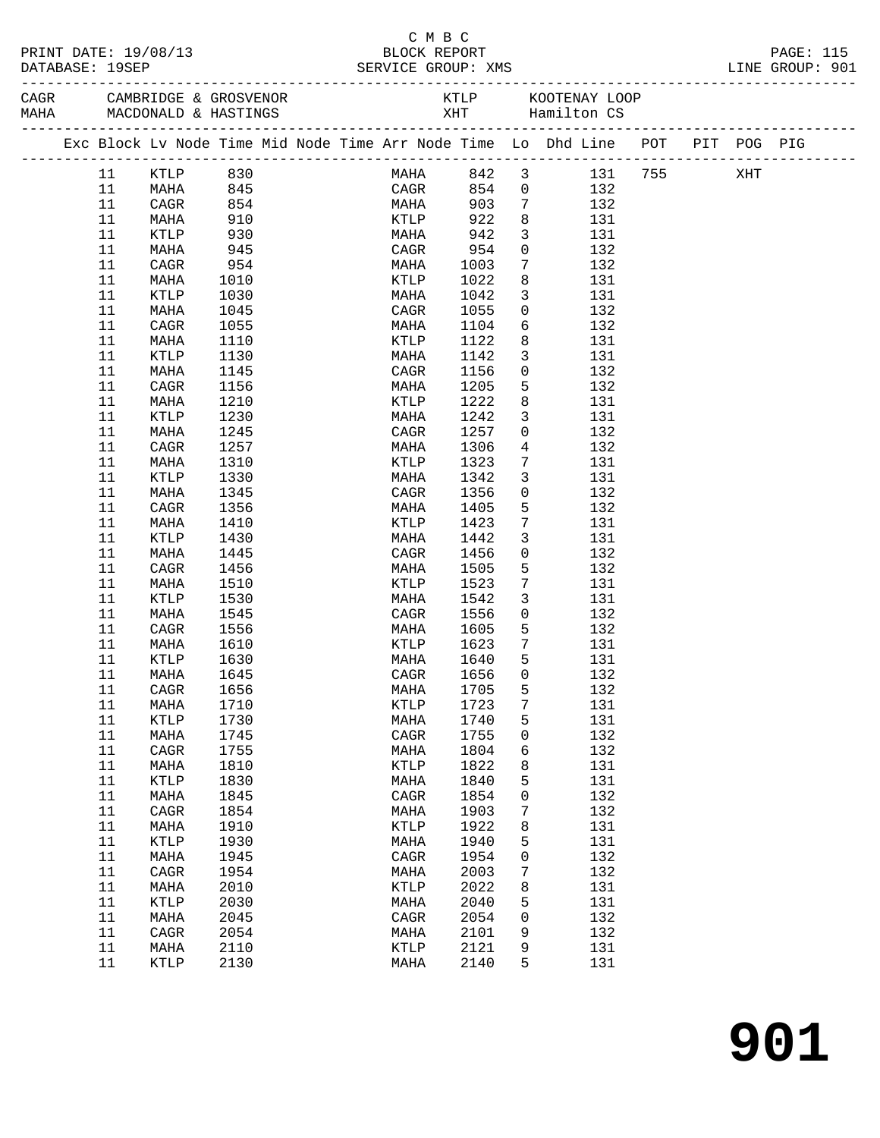|  | DATABASE: 19SEP | PRINT DATE: 19/08/13 |      |  |                 | C M B C<br>BLOCK REPORT<br>SERVICE GROUP: XMS |                 |                 |                                                                                |  | PAGE: 115<br>LINE GROUP: 901 |
|--|-----------------|----------------------|------|--|-----------------|-----------------------------------------------|-----------------|-----------------|--------------------------------------------------------------------------------|--|------------------------------|
|  |                 |                      |      |  |                 |                                               |                 |                 |                                                                                |  |                              |
|  |                 |                      |      |  |                 |                                               |                 |                 | Exc Block Lv Node Time Mid Node Time Arr Node Time Lo Dhd Line POT PIT POG PIG |  |                              |
|  | 11              | KTLP 830             |      |  |                 |                                               |                 |                 | MAHA 842 3 131 755 XHT                                                         |  |                              |
|  | 11              | MAHA                 | 845  |  | CAGR            |                                               |                 |                 | 854 0 132                                                                      |  |                              |
|  | 11              | CAGR                 | 854  |  | MAHA            | 903                                           | $7\overline{)}$ |                 | 132                                                                            |  |                              |
|  | 11              | MAHA                 | 910  |  | KTLP            | 922                                           | 8 <sup>8</sup>  |                 | 131                                                                            |  |                              |
|  | 11              | KTLP                 | 930  |  | MAHA            | 942                                           |                 | $\overline{3}$  | 131                                                                            |  |                              |
|  | 11              | MAHA                 | 945  |  | CAGR            | 954                                           |                 | $\overline{0}$  | 132                                                                            |  |                              |
|  | 11              | CAGR                 | 954  |  | MAHA            | 1003                                          |                 | $7\phantom{.0}$ | 132                                                                            |  |                              |
|  | 11              | MAHA                 | 1010 |  | KTLP            | 1022                                          |                 | $8\phantom{.0}$ | 131                                                                            |  |                              |
|  | 11              | KTLP                 | 1030 |  | MAHA            | 1042                                          |                 | $\overline{3}$  | 131                                                                            |  |                              |
|  | 11              | MAHA                 | 1045 |  | CAGR            | 1055                                          |                 | $\overline{0}$  | 132                                                                            |  |                              |
|  | 11              | CAGR                 | 1055 |  | MAHA            | 1104                                          |                 |                 | $6\overline{}$<br>132                                                          |  |                              |
|  | 11              | MAHA                 | 1110 |  | KTLP            | 1122                                          |                 | 8               | 131                                                                            |  |                              |
|  | 11              | KTLP                 | 1130 |  | MAHA            | 1142                                          |                 | $\mathbf{3}$    | 131                                                                            |  |                              |
|  | 11              | MAHA                 | 1145 |  | CAGR            | 1156                                          |                 | $\overline{0}$  | 132                                                                            |  |                              |
|  | 11              | CAGR                 | 1156 |  | MAHA            | 1205                                          |                 | $5\overline{)}$ | 132                                                                            |  |                              |
|  | 11              | MAHA                 | 1210 |  | KTLP            | 1222                                          |                 | 8               | 131                                                                            |  |                              |
|  | 11              | KTLP                 | 1230 |  | MAHA            | 1242                                          |                 | $\mathbf{3}$    | 131                                                                            |  |                              |
|  | 11              | MAHA                 | 1245 |  | CAGR            | 1257                                          |                 | $\mathsf{O}$    | 132                                                                            |  |                              |
|  | 11              | CAGR                 | 1257 |  | MAHA            | 1306                                          | $4\overline{4}$ |                 | 132                                                                            |  |                              |
|  | 11              | MAHA                 | 1310 |  | KTLP            | 1323                                          |                 | $7\phantom{.0}$ | 131                                                                            |  |                              |
|  | 11              | KTLP                 | 1330 |  | MAHA            | 1342                                          |                 | $\mathbf{3}$    | 131                                                                            |  |                              |
|  | 11              | MAHA                 | 1345 |  | CAGR            | 1356                                          |                 | $\overline{0}$  | 132                                                                            |  |                              |
|  | 11              | CAGR                 | 1356 |  | MAHA            | 1405                                          |                 | 5               | 132                                                                            |  |                              |
|  | 11              | MAHA                 | 1410 |  | KTLP            | 1423                                          |                 | $7\phantom{.0}$ | 131                                                                            |  |                              |
|  | 11              | KTLP                 | 1430 |  | MAHA            | 1442                                          |                 | $\mathbf{3}$    | 131                                                                            |  |                              |
|  | 11              | MAHA                 | 1445 |  | CAGR            | 1456                                          |                 | $\overline{0}$  | 132                                                                            |  |                              |
|  | 11              | CAGR                 | 1456 |  | MAHA            | 1505                                          |                 | 5               | 132                                                                            |  |                              |
|  | 11              | MAHA                 | 1510 |  | KTLP            | 1523                                          |                 | $7\phantom{.0}$ | 131                                                                            |  |                              |
|  | 11              | KTLP                 | 1530 |  | MAHA            | 1542                                          |                 | $\mathbf{3}$    | 131                                                                            |  |                              |
|  | 11              | MAHA                 | 1545 |  | CAGR            | 1556                                          |                 | $\overline{0}$  | 132                                                                            |  |                              |
|  | 11              | CAGR                 | 1556 |  | MAHA            | 1605                                          | $5^{\circ}$     |                 | 132                                                                            |  |                              |
|  | 11              | MAHA                 | 1610 |  |                 | KTLP 1623                                     | $\overline{7}$  |                 | 131                                                                            |  |                              |
|  | 11              | KTLP                 | 1630 |  | MAHA            | 1640                                          | $-5$            |                 | 131                                                                            |  |                              |
|  | 11 MAHA         |                      | 1645 |  |                 | CAGR 1656 0                                   |                 |                 | 132                                                                            |  |                              |
|  | 11              | CAGR                 | 1656 |  | MAHA            | 1705                                          |                 | 5               | 132                                                                            |  |                              |
|  | 11              | MAHA                 | 1710 |  | KTLP            | 1723                                          |                 | 7               | 131                                                                            |  |                              |
|  | 11              | KTLP                 | 1730 |  | MAHA            | 1740                                          |                 | 5               | 131                                                                            |  |                              |
|  | 11              | MAHA                 | 1745 |  | CAGR            | 1755                                          |                 | 0               | 132                                                                            |  |                              |
|  | 11              | CAGR                 | 1755 |  | MAHA            | 1804                                          |                 | 6               | 132                                                                            |  |                              |
|  | 11              | MAHA                 | 1810 |  | KTLP            | 1822                                          |                 | 8               | 131                                                                            |  |                              |
|  | 11              | KTLP                 | 1830 |  | MAHA            | 1840                                          |                 | 5               | 131                                                                            |  |                              |
|  | 11              |                      |      |  |                 |                                               |                 |                 | 132                                                                            |  |                              |
|  |                 | MAHA                 | 1845 |  | CAGR            | 1854                                          |                 | 0               |                                                                                |  |                              |
|  | 11              | CAGR                 | 1854 |  | MAHA            | 1903                                          |                 | 7               | 132                                                                            |  |                              |
|  | 11              | MAHA                 | 1910 |  | KTLP            | 1922                                          |                 | 8               | 131                                                                            |  |                              |
|  | 11              | KTLP                 | 1930 |  | MAHA            | 1940                                          |                 | 5               | 131                                                                            |  |                              |
|  | 11              | MAHA                 | 1945 |  | CAGR            | 1954                                          |                 | 0               | 132                                                                            |  |                              |
|  | 11              | CAGR                 | 1954 |  | MAHA            | 2003                                          |                 | 7               | 132                                                                            |  |                              |
|  | 11              | MAHA                 | 2010 |  | $\texttt{KTLP}$ | 2022                                          |                 | 8               | 131                                                                            |  |                              |
|  | 11              | KTLP                 | 2030 |  | MAHA            | 2040                                          |                 | 5               | 131                                                                            |  |                              |
|  | $11\,$          | MAHA                 | 2045 |  | CAGR            | 2054                                          |                 | 0               | 132                                                                            |  |                              |
|  | 11              | CAGR                 | 2054 |  | MAHA            | 2101                                          |                 | 9               | 132                                                                            |  |                              |
|  | 11              | MAHA                 | 2110 |  | $\texttt{KTLP}$ | 2121                                          |                 | 9               | 131                                                                            |  |                              |
|  | 11              | KTLP                 | 2130 |  | MAHA            | 2140                                          |                 | 5               | 131                                                                            |  |                              |
|  |                 |                      |      |  |                 |                                               |                 |                 |                                                                                |  |                              |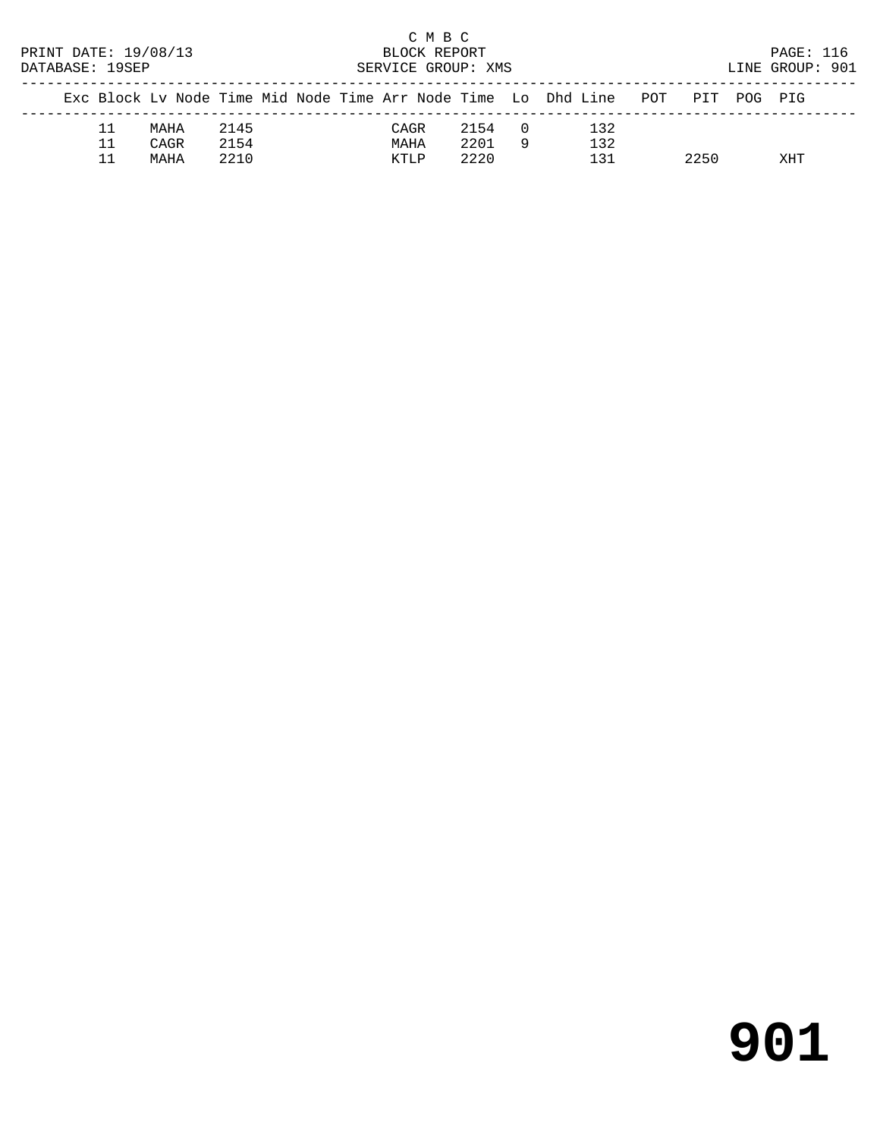| PRINT DATE: 19/08/13<br>DATABASE: 19SEP |    |      |      | BLOCK REPORT | C M B C<br>SERVICE GROUP: XMS |      |          |                                                                        | PAGE: 116<br>LINE GROUP: 901 |         |  |
|-----------------------------------------|----|------|------|--------------|-------------------------------|------|----------|------------------------------------------------------------------------|------------------------------|---------|--|
|                                         |    |      |      |              |                               |      |          | Exc Block Lv Node Time Mid Node Time Arr Node Time Lo Dhd Line POT PIT |                              | POG PIG |  |
|                                         | 11 | MAHA | 2145 |              | CAGR                          | 2154 | $\Box$ 0 | 132                                                                    |                              |         |  |
|                                         | 11 | CAGR | 2154 |              | MAHA                          | 2201 | -9       | 132                                                                    |                              |         |  |
|                                         |    | MAHA | 2210 |              | KTLP                          | 2220 |          | 131                                                                    | 2250                         | XHT     |  |

# **901**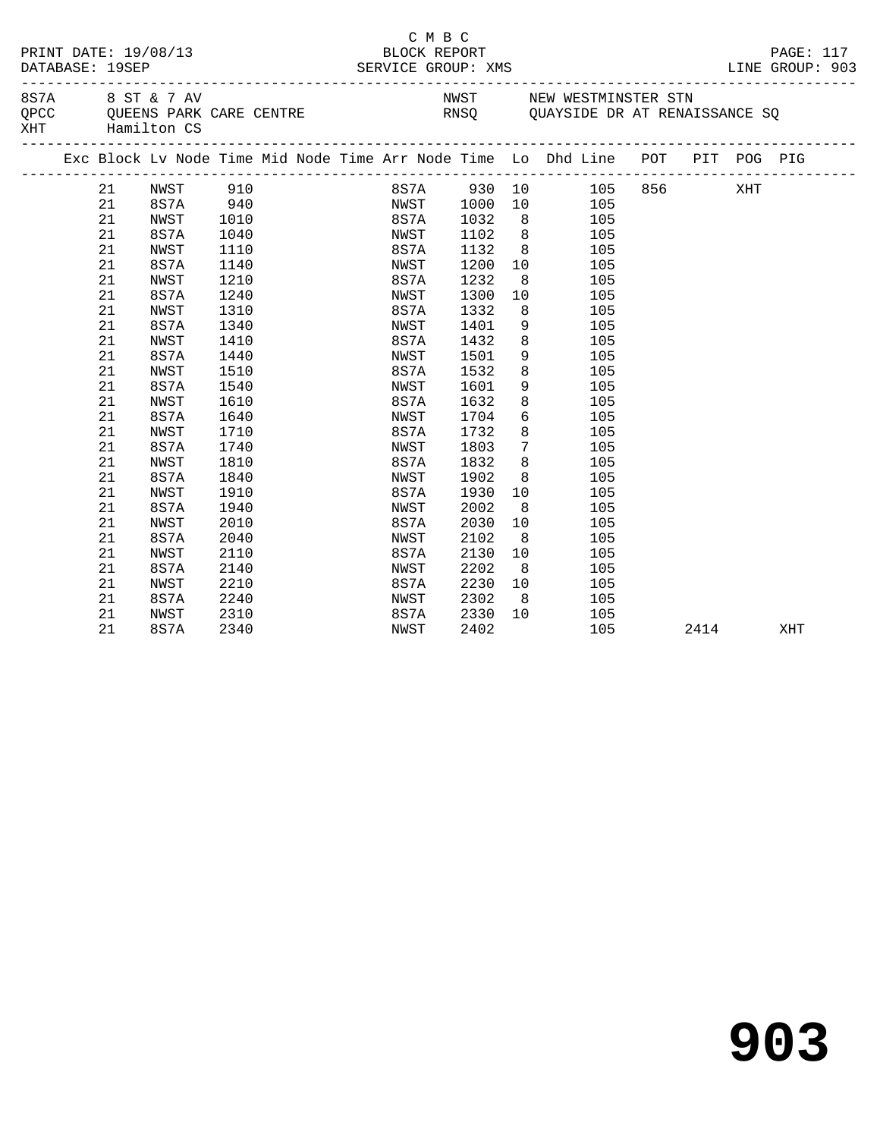| PRINT DATE: 19/08/13<br>DATABASE: 19SEP<br>8 S 7 A 8 S T & 7 AV |    |                 |      |  |  | C M B C<br>BLOCK REPORT<br>SERVICE GROUP: XMS |      |                 |                                                                                                 |      | PAGE: 117<br>LINE GROUP: 903                                                     |
|-----------------------------------------------------------------|----|-----------------|------|--|--|-----------------------------------------------|------|-----------------|-------------------------------------------------------------------------------------------------|------|----------------------------------------------------------------------------------|
|                                                                 |    | XHT Hamilton CS |      |  |  |                                               |      |                 | NWST NEW WESTMINSTER STN<br>QPCC QUEENS PARK CARE CENTRE THE RNSQ QUAYSIDE DR AT RENAISSANCE SQ |      |                                                                                  |
|                                                                 |    |                 |      |  |  |                                               |      |                 | Exc Block Lv Node Time Mid Node Time Arr Node Time Lo Dhd Line POT PIT POG PIG                  |      | .com/accommodation/accommodation/accommodation/accommodation/accommodation/accom |
|                                                                 | 21 | NWST 910        |      |  |  |                                               |      |                 | 8S7A 930 10 105 856 XHT                                                                         |      |                                                                                  |
|                                                                 | 21 | 8S7A 940        |      |  |  | NWST 1000                                     |      |                 | 10 105                                                                                          |      |                                                                                  |
|                                                                 | 21 | NWST            | 1010 |  |  | 8S7A 1032                                     |      |                 | 8 105                                                                                           |      |                                                                                  |
|                                                                 | 21 | 8S7A            | 1040 |  |  | NWST                                          | 1102 | 8 <sup>8</sup>  | 105                                                                                             |      |                                                                                  |
|                                                                 | 21 | NWST            | 1110 |  |  | 8S7A                                          | 1132 |                 | 8<br>105                                                                                        |      |                                                                                  |
|                                                                 | 21 | 8S7A            | 1140 |  |  | NWST                                          | 1200 | 10              | 105                                                                                             |      |                                                                                  |
|                                                                 | 21 | NWST            | 1210 |  |  | 8S7A                                          | 1232 | 8 <sup>8</sup>  | 105                                                                                             |      |                                                                                  |
|                                                                 | 21 | 8S7A            | 1240 |  |  | NWST                                          | 1300 | 10              | 105                                                                                             |      |                                                                                  |
|                                                                 | 21 | NWST            | 1310 |  |  | 8S7A                                          | 1332 | 8 <sup>8</sup>  | 105                                                                                             |      |                                                                                  |
|                                                                 | 21 | 8S7A            | 1340 |  |  | NWST                                          | 1401 | 9               | 105                                                                                             |      |                                                                                  |
|                                                                 | 21 | NWST            | 1410 |  |  | 8S7A                                          | 1432 | 8               | 105                                                                                             |      |                                                                                  |
|                                                                 | 21 | 8S7A            | 1440 |  |  | NWST                                          | 1501 | 9               | 105                                                                                             |      |                                                                                  |
|                                                                 | 21 | NWST            | 1510 |  |  | 8S7A                                          | 1532 | 8               | 105                                                                                             |      |                                                                                  |
|                                                                 | 21 | 8S7A            | 1540 |  |  | NWST                                          | 1601 | 9               | 105                                                                                             |      |                                                                                  |
|                                                                 | 21 | NWST            | 1610 |  |  | 8S7A                                          | 1632 | 8               | 105                                                                                             |      |                                                                                  |
|                                                                 | 21 | 8S7A            | 1640 |  |  | NWST                                          | 1704 |                 | $6\overline{6}$<br>105                                                                          |      |                                                                                  |
|                                                                 | 21 | NWST            | 1710 |  |  | 8S7A                                          | 1732 | 8               | 105                                                                                             |      |                                                                                  |
|                                                                 | 21 | 8S7A            | 1740 |  |  | NWST                                          | 1803 | $7\overline{ }$ | 105                                                                                             |      |                                                                                  |
|                                                                 | 21 | NWST            | 1810 |  |  | 8S7A                                          | 1832 | 8               | 105                                                                                             |      |                                                                                  |
|                                                                 | 21 | 8S7A            | 1840 |  |  | NWST                                          | 1902 | 8               | 105                                                                                             |      |                                                                                  |
|                                                                 | 21 | NWST            | 1910 |  |  | 8S7A                                          | 1930 | 10              | 105                                                                                             |      |                                                                                  |
|                                                                 | 21 | 8S7A            | 1940 |  |  | NWST                                          | 2002 | 8 <sup>8</sup>  | 105                                                                                             |      |                                                                                  |
|                                                                 | 21 | NWST            | 2010 |  |  | 8S7A                                          | 2030 | 10              | 105                                                                                             |      |                                                                                  |
|                                                                 | 21 | 8S7A            | 2040 |  |  | NWST                                          | 2102 | 8 <sup>8</sup>  | 105                                                                                             |      |                                                                                  |
|                                                                 | 21 | NWST            | 2110 |  |  | 8S7A                                          | 2130 | 10              | 105                                                                                             |      |                                                                                  |
|                                                                 | 21 | 8S7A            | 2140 |  |  | NWST                                          | 2202 | 8 <sup>8</sup>  | 105                                                                                             |      |                                                                                  |
|                                                                 | 21 | NWST            | 2210 |  |  | 8S7A                                          | 2230 | 10              | 105                                                                                             |      |                                                                                  |
|                                                                 | 21 | 8S7A            | 2240 |  |  | NWST                                          | 2302 | 8 <sup>8</sup>  | 105                                                                                             |      |                                                                                  |
|                                                                 | 21 | NWST            | 2310 |  |  | 8S7A                                          | 2330 | 10              | 105                                                                                             |      |                                                                                  |
|                                                                 | 21 | 8S7A            | 2340 |  |  | NWST                                          | 2402 |                 | 105                                                                                             | 2414 | XHT                                                                              |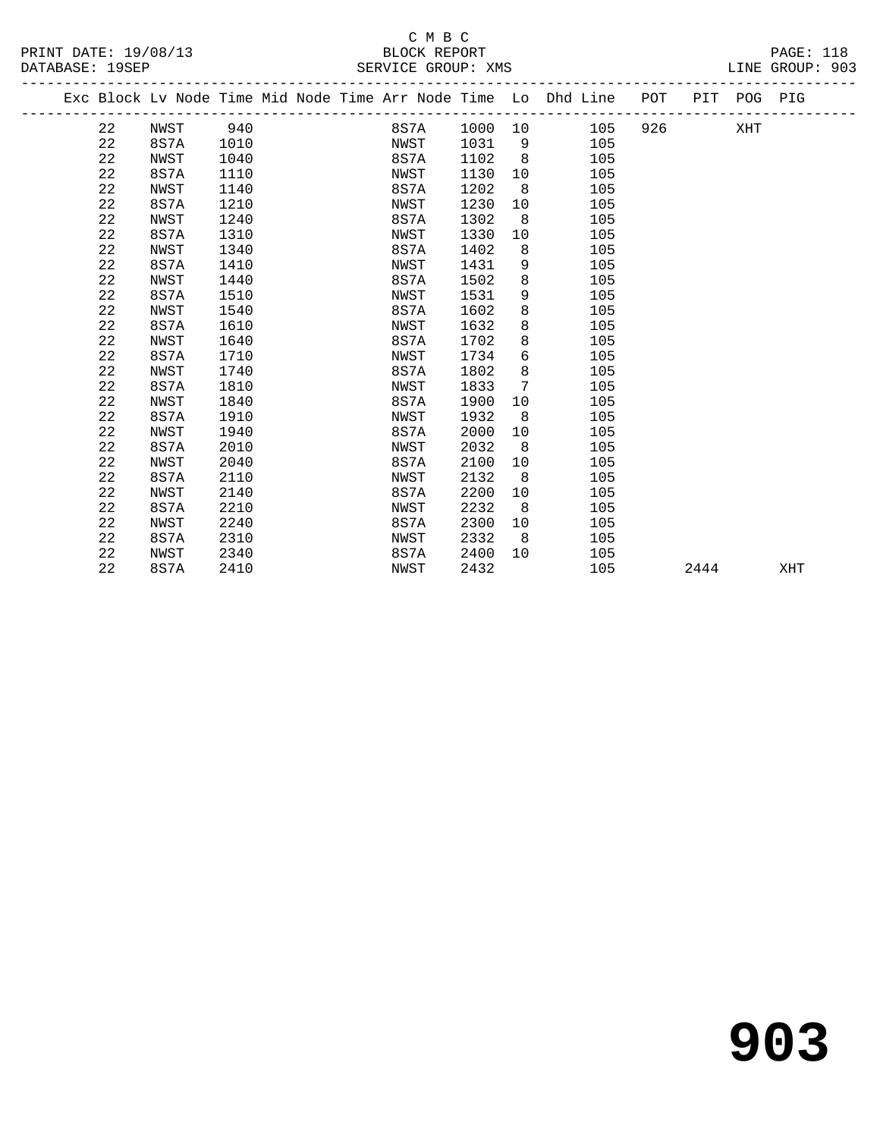#### C M B C<br>BLOCK REPORT SERVICE GROUP: XMS

| DAIADAOE. IJOEE |    |          |      |  | DEILATOR GILOUI · VIID                                             |         |                |                                |     |     |             | DIME GIVOOL. JOD |
|-----------------|----|----------|------|--|--------------------------------------------------------------------|---------|----------------|--------------------------------|-----|-----|-------------|------------------|
|                 |    |          |      |  | Exc Block Lv Node Time Mid Node Time Arr Node Time Lo Dhd Line POT |         |                |                                |     |     | PIT POG PIG |                  |
|                 | 22 | NWST 940 |      |  | 8S7A                                                               | 1000 10 |                |                                | 105 | 926 | XHT         |                  |
|                 | 22 | 8S7A     | 1010 |  | NWST                                                               | 1031    |                | $9 \left( \frac{1}{2} \right)$ | 105 |     |             |                  |
|                 | 22 | NWST     | 1040 |  | 8S7A                                                               | 1102    | 8              |                                | 105 |     |             |                  |
|                 | 22 | 8S7A     | 1110 |  | NWST                                                               | 1130    | 10             |                                | 105 |     |             |                  |
|                 | 22 | NWST     | 1140 |  | 8S7A                                                               | 1202    | 8 <sup>8</sup> |                                | 105 |     |             |                  |
|                 | 22 | 8S7A     | 1210 |  | NWST                                                               | 1230    | 10             |                                | 105 |     |             |                  |
|                 | 22 | NWST     | 1240 |  | 8S7A                                                               | 1302    | 8              |                                | 105 |     |             |                  |
|                 | 22 | 8S7A     | 1310 |  | NWST                                                               | 1330    | 10             |                                | 105 |     |             |                  |
|                 | 22 | NWST     | 1340 |  | 8S7A                                                               | 1402    | 8              |                                | 105 |     |             |                  |
|                 | 22 | 8S7A     | 1410 |  | NWST                                                               | 1431    | 9              |                                | 105 |     |             |                  |
|                 | 22 | NWST     | 1440 |  | 8S7A                                                               | 1502    | 8              |                                | 105 |     |             |                  |
|                 | 22 | 8S7A     | 1510 |  | NWST                                                               | 1531    | 9              |                                | 105 |     |             |                  |
|                 | 22 | NWST     | 1540 |  | 8S7A                                                               | 1602    | 8              |                                | 105 |     |             |                  |
|                 | 22 | 8S7A     | 1610 |  | NWST                                                               | 1632    | 8              |                                | 105 |     |             |                  |
|                 | 22 | NWST     | 1640 |  | 8S7A                                                               | 1702    | 8              |                                | 105 |     |             |                  |
|                 | 22 | 8S7A     | 1710 |  | NWST                                                               | 1734    | 6              |                                | 105 |     |             |                  |
|                 | 22 | NWST     | 1740 |  | 8S7A                                                               | 1802    | 8              |                                | 105 |     |             |                  |
|                 | 22 | 8S7A     | 1810 |  | NWST                                                               | 1833    | 7              |                                | 105 |     |             |                  |
|                 | 22 | NWST     | 1840 |  | 8S7A                                                               | 1900    | 10             |                                | 105 |     |             |                  |
|                 | 22 | 8S7A     | 1910 |  | NWST                                                               | 1932    | - 8            |                                | 105 |     |             |                  |
|                 | 22 | NWST     | 1940 |  | 8S7A                                                               | 2000    | 10             |                                | 105 |     |             |                  |
|                 | 22 | 8S7A     | 2010 |  | NWST                                                               | 2032    | 8 <sup>8</sup> |                                | 105 |     |             |                  |
|                 | 22 | NWST     | 2040 |  | 8S7A                                                               | 2100    | 10             |                                | 105 |     |             |                  |
|                 | 22 | 8S7A     | 2110 |  | NWST                                                               | 2132    | 8              |                                | 105 |     |             |                  |

22 NWST 2140 8S7A 2200 10 105

 22 8S7A 2210 NWST 2232 8 105 22 NWST 2240 8S7A 2300 10 105 22 8S7A 2310 NWST 2332 8 105 22 NWST 2340 8S7A 2400 10 105

22 8S7A 2410 NWST 2432 105 2444 XHT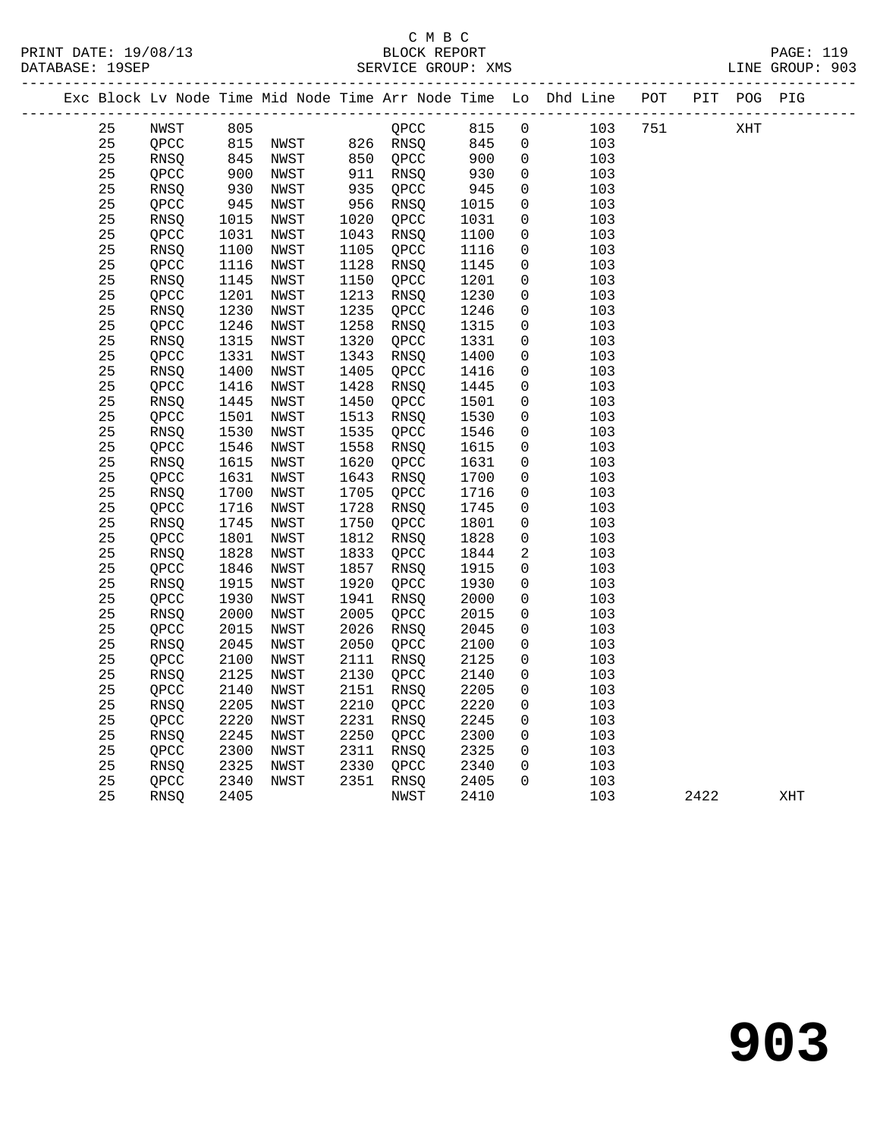# C M B C

| PRINT DATE: 19/08/13 | BLOCK REPORT | 110<br>$\mathtt{PAGE}$ : |
|----------------------|--------------|--------------------------|
|----------------------|--------------|--------------------------|

DATABASE: 19SEP SERVICE GROUP: XMS SERVICE SERVICE SERVICE SERVICE SOLUP: 903 ------------------------------------------------------------------------------------------------- Exc Block Lv Node Time Mid Node Time Arr Node Time Lo Dhd Line POT PIT POG PIG ------------------------------------------------------------------------------------------------- 25 NWST 805 QPCC 815 0 103 751 XHT 25 QPCC 815 NWST 826 RNSQ 845 0 103 25 RNSQ 845 NWST 850 QPCC 900 0 103 25 QPCC 900 NWST 911 RNSQ 930 0 103 25 RNSQ 930 NWST 935 QPCC 945 0 103 25 QPCC 945 NWST 956 RNSQ 1015 0 103 25 RNSQ 1015 NWST 1020 QPCC 1031 0 103 25 QPCC 1031 NWST 1043 RNSQ 1100 0 103 25 RNSQ 1100 NWST 1105 QPCC 1116 0 103 25 QPCC 1116 NWST 1128 RNSQ 1145 0 103 25 RNSQ 1145 NWST 1150 QPCC 1201 0 103 25 QPCC 1201 NWST 1213 RNSQ 1230 0 103 25 RNSQ 1230 NWST 1235 QPCC 1246 0 103 25 QPCC 1246 NWST 1258 RNSQ 1315 0 103 25 RNSQ 1315 NWST 1320 QPCC 1331 0 103 25 QPCC 1331 NWST 1343 RNSQ 1400 0 103 25 RNSQ 1400 NWST 1405 QPCC 1416 0 103 25 QPCC 1416 NWST 1428 RNSQ 1445 0 103 25 RNSQ 1445 NWST 1450 QPCC 1501 0 103 25 QPCC 1501 NWST 1513 RNSQ 1530 0 103 25 RNSQ 1530 NWST 1535 QPCC 1546 0 103 25 QPCC 1546 NWST 1558 RNSQ 1615 0 103 25 RNSQ 1615 NWST 1620 QPCC 1631 0 103 25 QPCC 1631 NWST 1643 RNSQ 1700 0 103 25 RNSQ 1700 NWST 1705 QPCC 1716 0 103 25 QPCC 1716 NWST 1728 RNSQ 1745 0 103 25 RNSQ 1745 NWST 1750 QPCC 1801 0 103 25 QPCC 1801 NWST 1812 RNSQ 1828 0 103 25 RNSQ 1828 NWST 1833 QPCC 1844 2 103 25 QPCC 1846 NWST 1857 RNSQ 1915 0 103 25 RNSQ 1915 NWST 1920 QPCC 1930 0 103 25 QPCC 1930 NWST 1941 RNSQ 2000 0 103 25 RNSQ 2000 NWST 2005 QPCC 2015 0 103 25 QPCC 2015 NWST 2026 RNSQ 2045 0 103 25 RNSQ 2045 NWST 2050 QPCC 2100 0 103 25 QPCC 2100 NWST 2111 RNSQ 2125 0 103 25 RNSQ 2125 NWST 2130 QPCC 2140 0 103 25 QPCC 2140 NWST 2151 RNSQ 2205 0 103 25 RNSQ 2205 NWST 2210 QPCC 2220 0 103 25 QPCC 2220 NWST 2231 RNSQ 2245 0 103 25 RNSQ 2245 NWST 2250 QPCC 2300 0 103 25 QPCC 2300 NWST 2311 RNSQ 2325 0 103 25 RNSQ 2325 NWST 2330 QPCC 2340 0 103 25 QPCC 2340 NWST 2351 RNSQ 2405 0 103 25 RNSQ 2405 NWST 2410 103 2422 XHT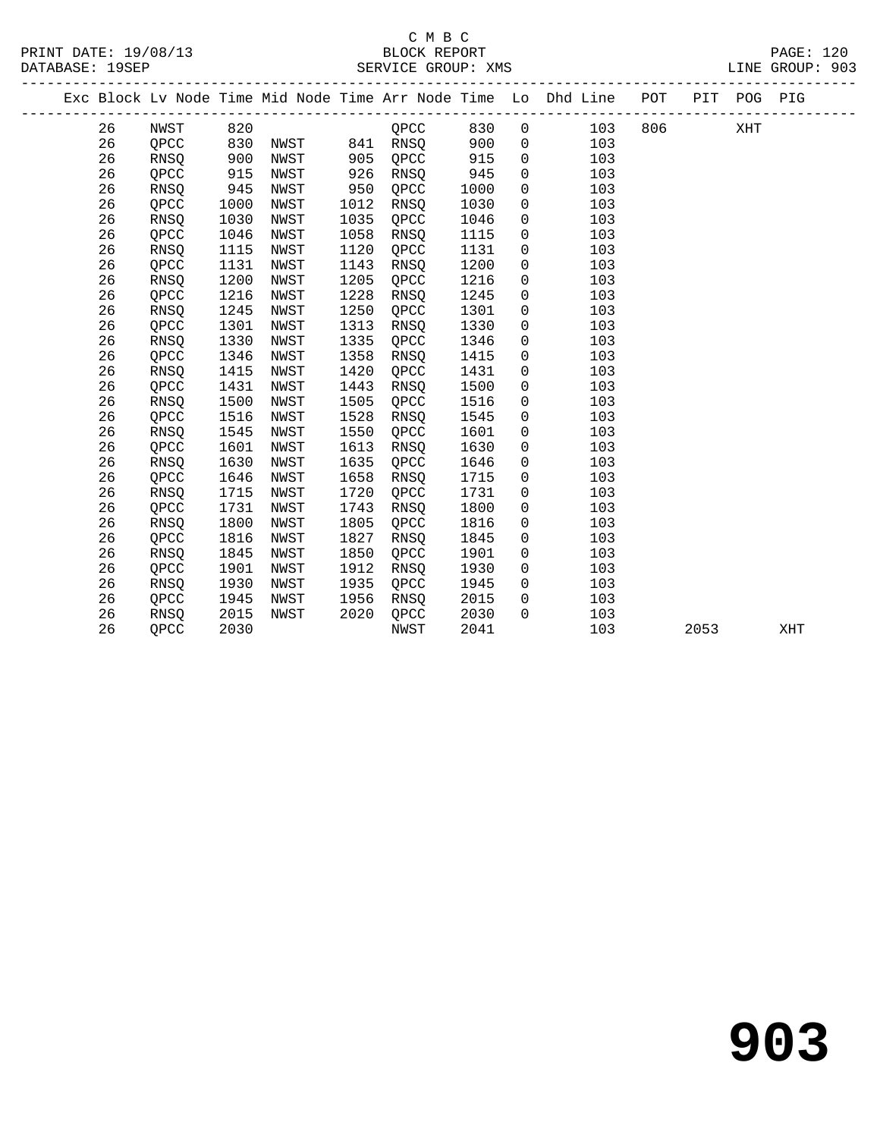### C M B C<br>BLOCK REPORT SERVICE GROUP: XMS

|    |             |      |      |      |             |      |                | Exc Block Lv Node Time Mid Node Time Arr Node Time Lo Dhd Line | POT | PIT<br>-------------- | POG PIG |  |
|----|-------------|------|------|------|-------------|------|----------------|----------------------------------------------------------------|-----|-----------------------|---------|--|
| 26 | NWST        | 820  |      |      | QPCC        | 830  | $\overline{0}$ | 103                                                            | 806 |                       | XHT     |  |
| 26 | OPCC        | 830  | NWST | 841  | <b>RNSO</b> | 900  | $\mathsf{O}$   | 103                                                            |     |                       |         |  |
| 26 | <b>RNSO</b> | 900  | NWST | 905  | QPCC        | 915  | 0              | 103                                                            |     |                       |         |  |
| 26 | OPCC        | 915  | NWST | 926  | <b>RNSO</b> | 945  | 0              | 103                                                            |     |                       |         |  |
| 26 | <b>RNSO</b> | 945  | NWST | 950  | QPCC        | 1000 | 0              | 103                                                            |     |                       |         |  |
| 26 | QPCC        | 1000 | NWST | 1012 | <b>RNSO</b> | 1030 | 0              | 103                                                            |     |                       |         |  |
| 26 | RNSQ        | 1030 | NWST | 1035 | QPCC        | 1046 | 0              | 103                                                            |     |                       |         |  |
| 26 | QPCC        | 1046 | NWST | 1058 | <b>RNSO</b> | 1115 | 0              | 103                                                            |     |                       |         |  |
| 26 | <b>RNSO</b> | 1115 | NWST | 1120 | QPCC        | 1131 | $\mathbf 0$    | 103                                                            |     |                       |         |  |
| 26 | QPCC        | 1131 | NWST | 1143 | <b>RNSO</b> | 1200 | $\overline{0}$ | 103                                                            |     |                       |         |  |
| 26 | <b>RNSO</b> | 1200 | NWST | 1205 | QPCC        | 1216 | $\mathbf 0$    | 103                                                            |     |                       |         |  |
| 26 | QPCC        | 1216 | NWST | 1228 | RNSQ        | 1245 | 0              | 103                                                            |     |                       |         |  |
| 26 | RNSQ        | 1245 | NWST | 1250 | QPCC        | 1301 | 0              | 103                                                            |     |                       |         |  |
| 26 | QPCC        | 1301 | NWST | 1313 | RNSQ        | 1330 | 0              | 103                                                            |     |                       |         |  |
| 26 | <b>RNSO</b> | 1330 | NWST | 1335 | QPCC        | 1346 | 0              | 103                                                            |     |                       |         |  |
| 26 | OPCC        | 1346 | NWST | 1358 | <b>RNSO</b> | 1415 | $\mathbf 0$    | 103                                                            |     |                       |         |  |
| 26 | <b>RNSO</b> | 1415 | NWST | 1420 | QPCC        | 1431 | 0              | 103                                                            |     |                       |         |  |
| 26 | OPCC        | 1431 | NWST | 1443 | <b>RNSO</b> | 1500 | $\mathsf{O}$   | 103                                                            |     |                       |         |  |
| 26 | RNSQ        | 1500 | NWST | 1505 | QPCC        | 1516 | 0              | 103                                                            |     |                       |         |  |
| 26 | QPCC        | 1516 | NWST | 1528 | <b>RNSO</b> | 1545 | $\mathbf 0$    | 103                                                            |     |                       |         |  |
| 26 | RNSQ        | 1545 | NWST | 1550 | QPCC        | 1601 | 0              | 103                                                            |     |                       |         |  |
| 26 | QPCC        | 1601 | NWST | 1613 | <b>RNSO</b> | 1630 | 0              | 103                                                            |     |                       |         |  |
| 26 | <b>RNSO</b> | 1630 | NWST | 1635 | QPCC        | 1646 | 0              | 103                                                            |     |                       |         |  |
| 26 | OPCC        | 1646 | NWST | 1658 | <b>RNSO</b> | 1715 | $\overline{0}$ | 103                                                            |     |                       |         |  |
| 26 | RNSQ        | 1715 | NWST | 1720 | QPCC        | 1731 | $\overline{0}$ | 103                                                            |     |                       |         |  |
| 26 | OPCC        | 1731 | NWST | 1743 | <b>RNSO</b> | 1800 | $\Omega$       | 103                                                            |     |                       |         |  |

 26 RNSQ 1800 NWST 1805 QPCC 1816 0 103 26 QPCC 1816 NWST 1827 RNSQ 1845 0 103

 26 QPCC 1901 NWST 1912 RNSQ 1930 0 103 26 RNSQ 1930 NWST 1935 QPCC 1945 0 103 26 QPCC 1945 NWST 1956 RNSQ 2015 0 103

26 RNSQ 1845 NWST 1850 QPCC 1901 0 103

26 RNSQ 2015 NWST 2020 QPCC 2030 0 103

26 QPCC 2030 NWST 2041 103 2053 XHT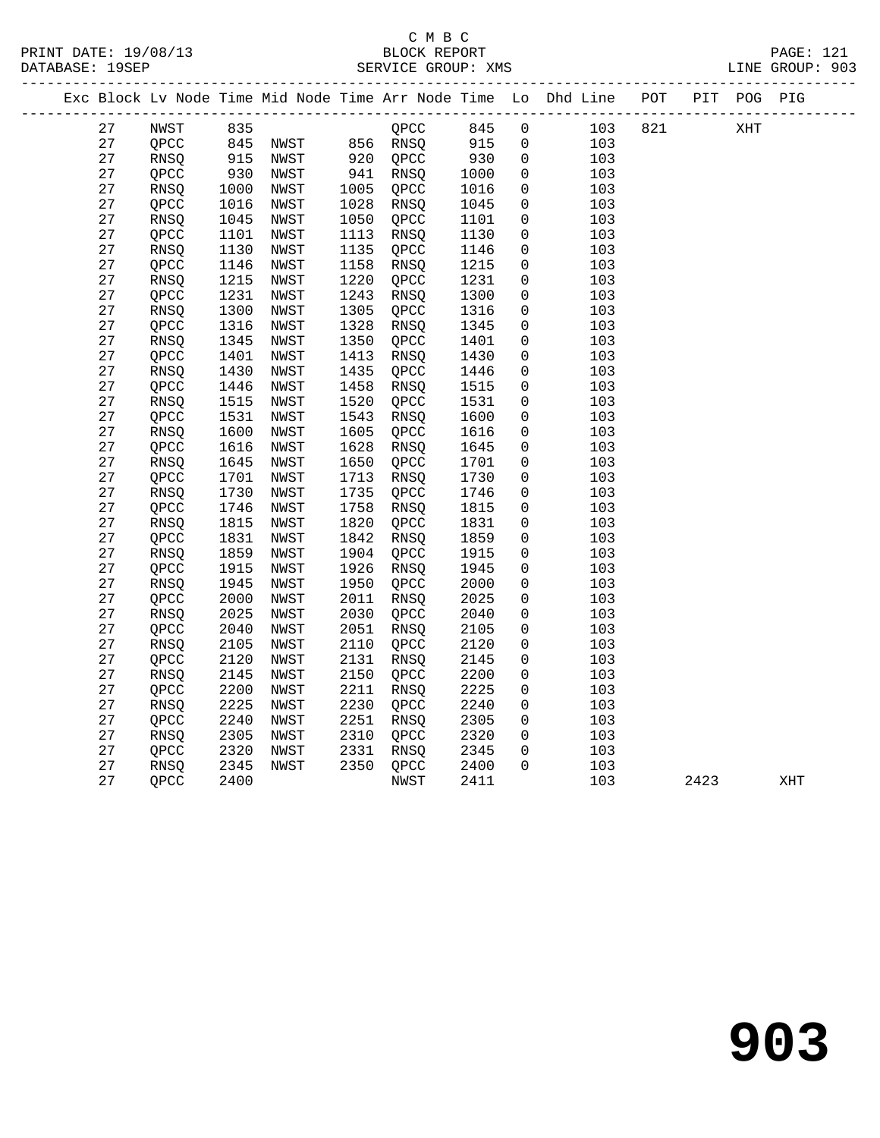# C M B C<br>BLOCK REPORT SERVICE GROUP: XMS

PRINT DATE: 19/08/13 BLOCK REPORT PAGE: 121

|  |          |              |               |                                |              |              |              |                            | Exc Block Lv Node Time Mid Node Time Arr Node Time Lo Dhd Line POT PIT POG PIG |     |      |     |     |
|--|----------|--------------|---------------|--------------------------------|--------------|--------------|--------------|----------------------------|--------------------------------------------------------------------------------|-----|------|-----|-----|
|  | 27       | NWST         | 835           |                                |              | QPCC         | 845          | $\overline{0}$             | 103                                                                            | 821 |      | XHT |     |
|  | 27       | QPCC         |               |                                |              |              | 915          | $\overline{0}$             | 103                                                                            |     |      |     |     |
|  | 27       | RNSQ         | 845<br>915    | NWST 856 RNSQ<br>NWST 920 QPCC |              |              | 930          | $\mathbf 0$                | 103                                                                            |     |      |     |     |
|  | 27       | QPCC         | $-215$<br>930 | NWST                           |              | 941 RNSQ     | 1000         | $\mathbf 0$                | 103                                                                            |     |      |     |     |
|  | 27       | RNSQ         |               | NWST                           | 1005         | QPCC         | 1016         | $\mathsf{O}$               | 103                                                                            |     |      |     |     |
|  | 27       | QPCC         | 1016          | NWST                           | 1028         | RNSQ         | 1045         | $\mathbf 0$                | 103                                                                            |     |      |     |     |
|  | 27       | RNSQ         | 1045          | NWST                           | 1050         | QPCC         | 1101         | $\mathsf{O}\xspace$        | 103                                                                            |     |      |     |     |
|  | 27       | QPCC         | 1101          | NWST                           | 1113         | RNSQ         | 1130         | 0                          | 103                                                                            |     |      |     |     |
|  | 27       | RNSQ         | 1130          | NWST                           | 1135         | QPCC         | 1146         | $\mathbf 0$                | 103                                                                            |     |      |     |     |
|  | 27       | QPCC         | 1146          | NWST                           | 1158         | RNSO         | 1215         | $\mathbf 0$                | 103                                                                            |     |      |     |     |
|  | 27       | RNSQ         | 1215          | NWST                           | 1220         | QPCC         | 1231         | $\mathbf 0$                | 103                                                                            |     |      |     |     |
|  | 27       | QPCC         | 1231          | NWST                           | 1243         | RNSQ         | 1300         | $\mathbf 0$                | 103                                                                            |     |      |     |     |
|  | 27       | <b>RNSO</b>  | 1300          | NWST                           | 1305         | OPCC         | 1316         | $\mathbf 0$                | 103                                                                            |     |      |     |     |
|  | 27       | QPCC         | 1316          | NWST                           | 1328         | RNSQ         | 1345         | $\mathbf 0$                | 103                                                                            |     |      |     |     |
|  | 27       | RNSQ         | 1345          | NWST                           | 1350         | QPCC         | 1401         | $\mathbf 0$                | 103                                                                            |     |      |     |     |
|  | 27       | QPCC         | 1401          | NWST                           | 1413         | RNSQ         | 1430         | $\mathbf 0$                | 103                                                                            |     |      |     |     |
|  | 27       | RNSQ         | 1430          | NWST                           | 1435         | QPCC         | 1446         | $\mathbf 0$                | 103                                                                            |     |      |     |     |
|  | 27       | QPCC         | 1446          | NWST                           | 1458         | RNSQ         | 1515         | 0                          | 103                                                                            |     |      |     |     |
|  | 27       | RNSQ         | 1515          | NWST                           | 1520         | QPCC         | 1531         | 0                          | 103                                                                            |     |      |     |     |
|  | 27       | QPCC         | 1531          | NWST                           | 1543         | RNSQ         | 1600         | $\mathbf 0$                | 103                                                                            |     |      |     |     |
|  | 27       | RNSQ         | 1600          | NWST                           | 1605         | QPCC         | 1616         | $\mathbf 0$                | 103                                                                            |     |      |     |     |
|  | 27       | QPCC         | 1616          | NWST                           | 1628         | RNSO         | 1645         | $\mathbf 0$                | 103                                                                            |     |      |     |     |
|  | 27       | RNSQ         | 1645          | NWST                           | 1650         | QPCC         | 1701         | $\mathbf 0$                | 103                                                                            |     |      |     |     |
|  | 27       | QPCC         | 1701          | NWST                           | 1713         | RNSQ         | 1730         | 0                          | 103                                                                            |     |      |     |     |
|  | 27       | RNSQ         | 1730          | NWST                           | 1735         | QPCC         | 1746         | $\mathbf 0$                | 103                                                                            |     |      |     |     |
|  | 27       | QPCC         | 1746          | NWST                           | 1758         | RNSQ         | 1815         | $\mathbf 0$                | 103                                                                            |     |      |     |     |
|  | 27       | RNSQ         | 1815          | NWST                           | 1820         | QPCC         | 1831         | $\mathbf 0$                | 103                                                                            |     |      |     |     |
|  | 27       | QPCC         | 1831          | NWST                           | 1842         | RNSQ         | 1859         | $\mathbf 0$                | 103                                                                            |     |      |     |     |
|  | 27       | RNSQ         | 1859          | NWST                           | 1904         | QPCC         | 1915         | $\mathbf 0$                | 103                                                                            |     |      |     |     |
|  | 27       | QPCC         | 1915          | NWST                           | 1926         | RNSQ         | 1945         | $\mathbf 0$                | 103                                                                            |     |      |     |     |
|  | 27       | RNSQ         | 1945          | NWST                           | 1950         | QPCC         | 2000         | $\mathbf 0$                | 103                                                                            |     |      |     |     |
|  | 27       | QPCC         | 2000          | NWST                           | 2011         | RNSQ         | 2025         | $\mathbf 0$                | 103                                                                            |     |      |     |     |
|  | 27<br>27 | RNSQ         | 2025          | NWST                           | 2030         | QPCC         | 2040         | $\mathbf 0$                | 103                                                                            |     |      |     |     |
|  |          | QPCC         | 2040          | NWST                           | 2051         | RNSO         | 2105         | $\mathbf 0$                | 103                                                                            |     |      |     |     |
|  | 27<br>27 | RNSQ         | 2105          | NWST                           | 2110<br>2131 | QPCC         | 2120<br>2145 | $\mathbf 0$<br>$\mathbf 0$ | 103<br>103                                                                     |     |      |     |     |
|  | 27       | QPCC<br>RNSQ | 2120<br>2145  | NWST<br>NWST                   | 2150         | RNSQ<br>QPCC | 2200         | $\mathbf 0$                | 103                                                                            |     |      |     |     |
|  | 27       | QPCC         | 2200          | NWST                           | 2211         | RNSQ         | 2225         | $\mathbf 0$                | 103                                                                            |     |      |     |     |
|  | 27       | RNSQ         | 2225          | NWST                           | 2230         | QPCC         | 2240         | $\mathsf{O}\xspace$        | 103                                                                            |     |      |     |     |
|  | 27       | OPCC         | 2240          | NWST                           | 2251         | RNSO         | 2305         | $\mathbf 0$                | 103                                                                            |     |      |     |     |
|  | 27       | RNSQ         | 2305          | NWST                           | 2310         | QPCC         | 2320         | 0                          | 103                                                                            |     |      |     |     |
|  | 27       | QPCC         | 2320          | NWST                           | 2331         | RNSO         | 2345         | $\mathbf 0$                | 103                                                                            |     |      |     |     |
|  | 27       | RNSQ         | 2345          | NWST                           | 2350         | QPCC         | 2400         | $\Omega$                   | 103                                                                            |     |      |     |     |
|  | 27       | QPCC         | 2400          |                                |              | NWST         | 2411         |                            | 103                                                                            |     | 2423 |     | XHT |
|  |          |              |               |                                |              |              |              |                            |                                                                                |     |      |     |     |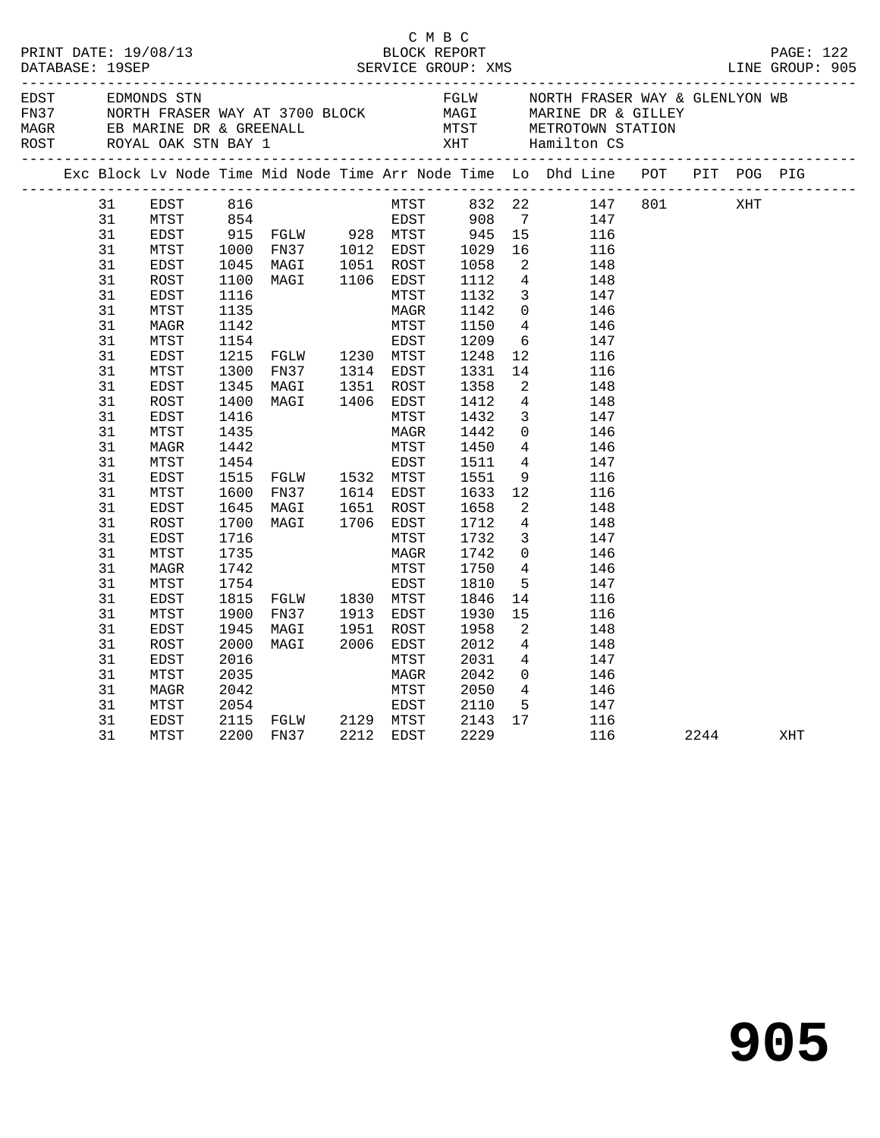|                                                                                                                                                                                        |                                                                                                                                                                                                                                                      |                                                                                                                                                                      |                                                                                                                                                                                                | C M B C                                                                                                                                                                |                                                                                                                                                                                              |                                                                                                                                                                                                                                                                                                                                                                                                                                                                                                                                                                                                                                                                      | PRINT DATE: 19/08/13<br>BLOCK REPORT BLOCK PROT<br>DATABASE: 19SEP SERVICE GROUP: XMS LINE GROUP: 905                                                                                                                                                                                                                                                                                                                                                                          |      |     |     |  |
|----------------------------------------------------------------------------------------------------------------------------------------------------------------------------------------|------------------------------------------------------------------------------------------------------------------------------------------------------------------------------------------------------------------------------------------------------|----------------------------------------------------------------------------------------------------------------------------------------------------------------------|------------------------------------------------------------------------------------------------------------------------------------------------------------------------------------------------|------------------------------------------------------------------------------------------------------------------------------------------------------------------------|----------------------------------------------------------------------------------------------------------------------------------------------------------------------------------------------|----------------------------------------------------------------------------------------------------------------------------------------------------------------------------------------------------------------------------------------------------------------------------------------------------------------------------------------------------------------------------------------------------------------------------------------------------------------------------------------------------------------------------------------------------------------------------------------------------------------------------------------------------------------------|--------------------------------------------------------------------------------------------------------------------------------------------------------------------------------------------------------------------------------------------------------------------------------------------------------------------------------------------------------------------------------------------------------------------------------------------------------------------------------|------|-----|-----|--|
|                                                                                                                                                                                        |                                                                                                                                                                                                                                                      |                                                                                                                                                                      |                                                                                                                                                                                                |                                                                                                                                                                        |                                                                                                                                                                                              |                                                                                                                                                                                                                                                                                                                                                                                                                                                                                                                                                                                                                                                                      | EDST EDMONDS STN FGLW NORTH FRASER WAY & GLENLYON WB<br>FOR NORTH FRASER WAY AT 3700 BLOCK MAGI MARINE DR & GILLEY<br>MAGR EB MARINE DR & GREENALL MTST METROTOWN STATION<br>ROST ROYAL OAK STN BAY 1 XHT Hamilton CS<br>-------------                                                                                                                                                                                                                                         |      |     |     |  |
|                                                                                                                                                                                        |                                                                                                                                                                                                                                                      |                                                                                                                                                                      |                                                                                                                                                                                                |                                                                                                                                                                        |                                                                                                                                                                                              |                                                                                                                                                                                                                                                                                                                                                                                                                                                                                                                                                                                                                                                                      | Exc Block Lv Node Time Mid Node Time Arr Node Time Lo Dhd Line POT PIT POG PIG                                                                                                                                                                                                                                                                                                                                                                                                 |      |     |     |  |
| 31<br>31<br>31<br>31<br>31<br>31<br>31<br>31<br>31<br>31<br>31<br>31<br>31<br>31<br>31<br>31<br>31<br>31<br>31<br>31<br>31<br>31<br>31<br>31<br>31<br>31<br>31<br>31<br>31<br>31<br>31 | EDST<br>MTST<br>EDST<br>MTST<br>EDST<br>ROST<br>EDST<br>MTST<br>MAGR<br>MTST<br>EDST<br>MTST<br>EDST<br>ROST<br>EDST<br>MTST<br>MAGR<br>MTST<br>EDST<br>MTST<br>EDST<br>ROST<br>EDST<br>MTST<br>MAGR<br>MTST<br>EDST<br>MTST<br>EDST<br>ROST<br>EDST | 1135<br>1142<br>1154<br>1345<br>1400<br>1416<br>1435<br>1442<br>1454<br>1600<br>1645<br>1700<br>1716<br>1735<br>1742<br>1754<br>1815<br>1900<br>1945<br>2000<br>2016 | 1215 FGLW 1230 MTST<br>1300 FN37 1314 EDST<br>MAGI 1351 ROST<br>MAGI 1406 EDST<br>MTST MTST<br>1515 FGLW 1532 MTST<br>FN37<br>MAGI<br>MAGI<br>FGLW 1830 MTST<br>FN37 1913 EDST<br>MAGI<br>MAGI | MAGR<br>MTST<br>EDST<br>MAGR<br>MTST<br>EDST<br>1614 EDST<br>1651 ROST<br>1651 ROST<br>1706 EDST<br>MTST<br>MAGR<br>MTST<br>EDST<br>1951 ROST<br>$2006$ $EDST$<br>MTST | 1142<br>1150<br>1209<br>1248<br>1331<br>1358<br>1412<br>1432<br>1442<br>1450<br>1511<br>1551<br>1633<br>1658<br>1712<br>1732<br>1742<br>1750<br>1810<br>1846<br>1930<br>1958<br>2012<br>2031 | $\overline{4}$<br>12 <sup>°</sup><br>$\overline{a}$<br>$4\overline{4}$<br>$\overline{3}$<br>$\overline{4}$<br>$4\overline{4}$<br>12<br>$\overline{2}$<br>$\overline{4}$<br>$\mathbf{3}$<br>$\overline{0}$<br>$4\phantom{.0000}\phantom{.0000}\phantom{.0000}\phantom{.0000}\phantom{.0000}\phantom{.0000}\phantom{.0000}\phantom{.0000}\phantom{.0000}\phantom{.0000}\phantom{.0000}\phantom{.0000}\phantom{.0000}\phantom{.0000}\phantom{.0000}\phantom{.0000}\phantom{.0000}\phantom{.0000}\phantom{.0000}\phantom{.0000}\phantom{.0000}\phantom{.0000}\phantom{.0000}\phantom{.0000}\phantom$<br>$5^{\circ}$<br>14<br>15<br>2<br>$\overline{4}$<br>$\overline{4}$ | 316 MTST 332 22 147 801<br>354 EDST 908 7 147<br>915 FGLW 928 MTST 945 15 116<br>1000 FN37 1012 EDST 1029 16 116<br>1045 MAGI 1051 ROST 1058 2 148<br>1100 MAGI 1106 EDST 1112 4 148<br>1116 MTST 1132 3 147<br>1116 MTST 1132 3 147<br>$\overline{0}$<br>146<br>146<br>$6\overline{6}$<br>147<br>116<br>14<br>116<br>148<br>148<br>147<br>$\overline{0}$<br>146<br>146<br>147<br>9<br>116<br>116<br>148<br>148<br>147<br>146<br>146<br>147<br>116<br>116<br>148<br>148<br>147 |      | XHT |     |  |
| 31<br>31<br>31<br>31<br>31                                                                                                                                                             | MTST<br>MAGR<br>MTST<br>EDST<br>MTST                                                                                                                                                                                                                 | 2035<br>2042<br>2054                                                                                                                                                 | 2115 FGLW 2129 MTST<br>2200 FN37 2212 EDST                                                                                                                                                     | MAGR<br>MTST<br>EDST                                                                                                                                                   | 2042<br>2050<br>2110<br>2143<br>2229                                                                                                                                                         | 17                                                                                                                                                                                                                                                                                                                                                                                                                                                                                                                                                                                                                                                                   | $\frac{0}{4}$<br>146<br>146<br>5 147<br>116<br>116                                                                                                                                                                                                                                                                                                                                                                                                                             | 2244 |     | XHT |  |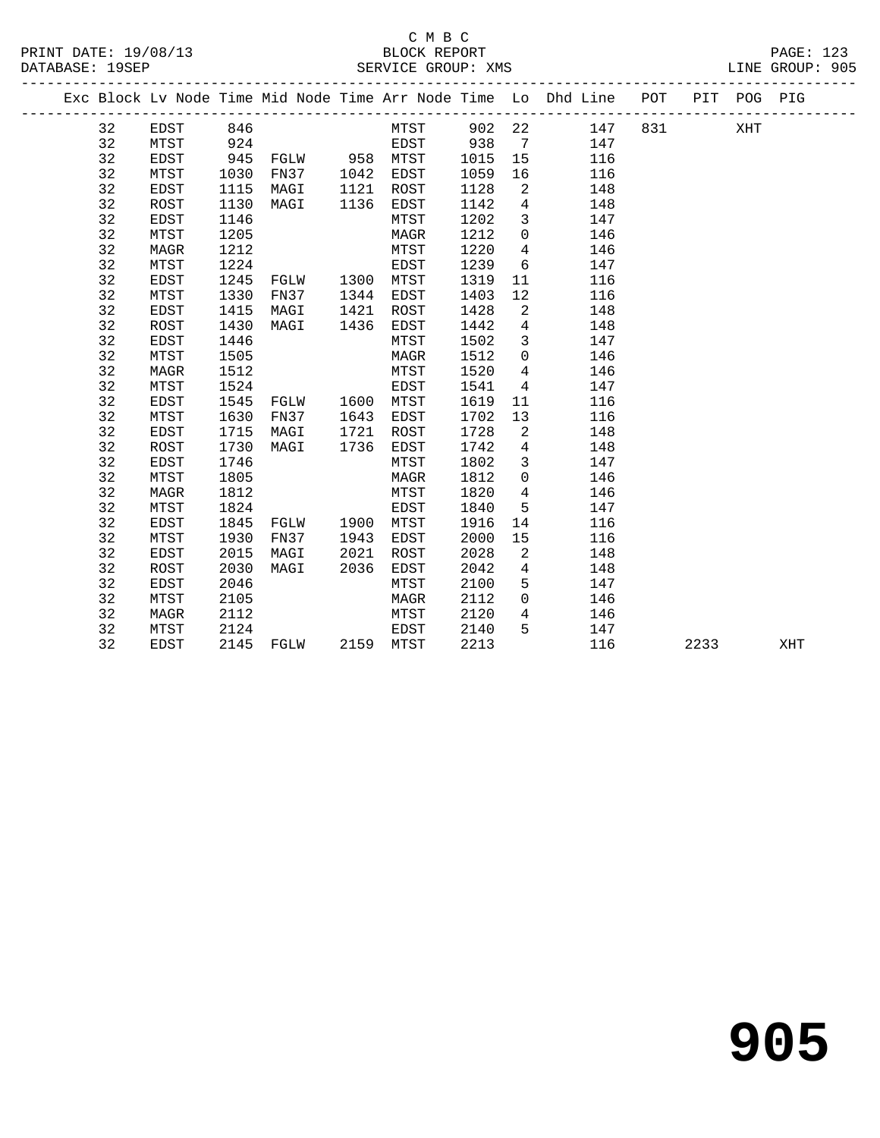#### C M B C PRINT DATE: 19/08/13 BLOCK REPORT<br>
DATABASE: 19SEP<br>
SERVICE GROUP: XMS

| PRINT DATE: 19/08/13<br>DATABASE: 19SEP |    |             |      | BLOCK REPORT BLOCK REPORT SERVICE GROUP: XMS                    |      |           |      |                 |                                                                                |  |      | PAGE: 123<br>LINE GROUP: 905 |
|-----------------------------------------|----|-------------|------|-----------------------------------------------------------------|------|-----------|------|-----------------|--------------------------------------------------------------------------------|--|------|------------------------------|
|                                         |    |             |      |                                                                 |      |           |      |                 | Exc Block Lv Node Time Mid Node Time Arr Node Time Lo Dhd Line POT PIT POG PIG |  |      |                              |
|                                         | 32 | EDST        | 846  |                                                                 |      |           |      |                 | MTST 902 22 147 831                                                            |  | XHT  |                              |
|                                         | 32 | MTST        | 924  |                                                                 |      |           |      |                 | EDST 938 7 147                                                                 |  |      |                              |
|                                         | 32 | EDST        |      |                                                                 |      |           | 1015 | 15              | 116                                                                            |  |      |                              |
|                                         | 32 | MTST        |      | 945 FGLW 958 MTST<br>1030 FN37 1042 EDST<br>1115 MAGI 1121 ROST |      |           | 1059 | 16              | 116                                                                            |  |      |                              |
|                                         | 32 | EDST        |      |                                                                 |      |           | 1128 | 2               | 148                                                                            |  |      |                              |
|                                         | 32 | ROST        | 1130 | MAGI 1136 EDST                                                  |      |           | 1142 | $\overline{4}$  | 148                                                                            |  |      |                              |
|                                         | 32 | EDST        | 1146 |                                                                 |      | MTST      | 1202 |                 | 3 147                                                                          |  |      |                              |
|                                         | 32 | MTST        | 1205 |                                                                 |      | MAGR      | 1212 |                 | $0 \t 146$                                                                     |  |      |                              |
|                                         | 32 | MAGR        | 1212 |                                                                 |      | MTST      | 1220 |                 | 4 146                                                                          |  |      |                              |
|                                         | 32 | MTST        | 1224 |                                                                 |      | EDST      | 1239 | $6\overline{6}$ | 147                                                                            |  |      |                              |
|                                         | 32 | EDST        | 1245 | EDST<br>FGLW       1300    MTST                                 |      |           | 1319 | 11              | 116                                                                            |  |      |                              |
|                                         | 32 | MTST        | 1330 | FN37 1344 EDST                                                  |      |           | 1403 | 12              | 116                                                                            |  |      |                              |
|                                         | 32 | EDST        | 1415 | MAGI                                                            |      | 1421 ROST | 1428 | $\overline{2}$  | 148                                                                            |  |      |                              |
|                                         | 32 | ROST        | 1430 | MAGI 1436 EDST                                                  |      |           | 1442 | $\overline{4}$  | 148                                                                            |  |      |                              |
|                                         | 32 | EDST        | 1446 |                                                                 |      | MTST      | 1502 |                 | 3 147                                                                          |  |      |                              |
|                                         | 32 | MTST        | 1505 |                                                                 |      | MAGR      | 1512 |                 | $0$ 146                                                                        |  |      |                              |
|                                         | 32 | MAGR        | 1512 |                                                                 |      | MTST      | 1520 | $4\overline{4}$ | 146                                                                            |  |      |                              |
|                                         | 32 | MTST        | 1524 | MTST<br>EDST<br>FGLW 1600 MTST                                  |      |           | 1541 | $\overline{4}$  | 147                                                                            |  |      |                              |
|                                         | 32 | EDST        | 1545 |                                                                 |      |           | 1619 | 11              | 116                                                                            |  |      |                              |
|                                         | 32 | MTST        | 1630 | FN37 1643                                                       |      | EDST      | 1702 | 13              | 116                                                                            |  |      |                              |
|                                         | 32 | <b>EDST</b> | 1715 | MAGI                                                            | 1721 | ROST      | 1728 | $\overline{2}$  | 148                                                                            |  |      |                              |
|                                         | 32 | ROST        | 1730 | MAGI 1736                                                       |      | EDST      | 1742 | $4\overline{4}$ | 148                                                                            |  |      |                              |
|                                         | 32 | EDST        | 1746 |                                                                 |      | MTST      | 1802 |                 | $3 \qquad \qquad 147$                                                          |  |      |                              |
|                                         | 32 | MTST        | 1805 |                                                                 |      | MAGR      | 1812 | $\overline{0}$  | 146                                                                            |  |      |                              |
|                                         | 32 | MAGR        | 1812 |                                                                 |      | MTST      | 1820 | $4\overline{4}$ | 146                                                                            |  |      |                              |
|                                         | 32 | MTST        | 1824 |                                                                 |      | EDST      | 1840 | 5               | 147                                                                            |  |      |                              |
|                                         | 32 | EDST        | 1845 | FGLW 1900 MTST                                                  |      |           | 1916 | 14              | 116                                                                            |  |      |                              |
|                                         | 32 | MTST        | 1930 | FN37                                                            | 1943 | EDST      | 2000 | 15              | 116                                                                            |  |      |                              |
|                                         | 32 | EDST        | 2015 | MAGI                                                            | 2021 | ROST      | 2028 | $\overline{a}$  | 148                                                                            |  |      |                              |
|                                         | 32 | ROST        | 2030 | MAGI                                                            | 2036 | EDST      | 2042 | 4               | 148                                                                            |  |      |                              |
|                                         | 32 | EDST        | 2046 |                                                                 |      | MTST      | 2100 | 5 <sub>5</sub>  | 147                                                                            |  |      |                              |
|                                         | 32 | MTST        | 2105 |                                                                 |      | MAGR      | 2112 | $\overline{0}$  | 146                                                                            |  |      |                              |
|                                         | 32 | MAGR        | 2112 |                                                                 |      | MTST      | 2120 | 4               | 146                                                                            |  |      |                              |
|                                         | 32 | MTST        | 2124 |                                                                 |      | EDST      | 2140 |                 | 5 147                                                                          |  |      |                              |
|                                         | 32 | EDST        |      | 2145 FGLW 2159 MTST                                             |      |           | 2213 |                 | 116                                                                            |  | 2233 | XHT                          |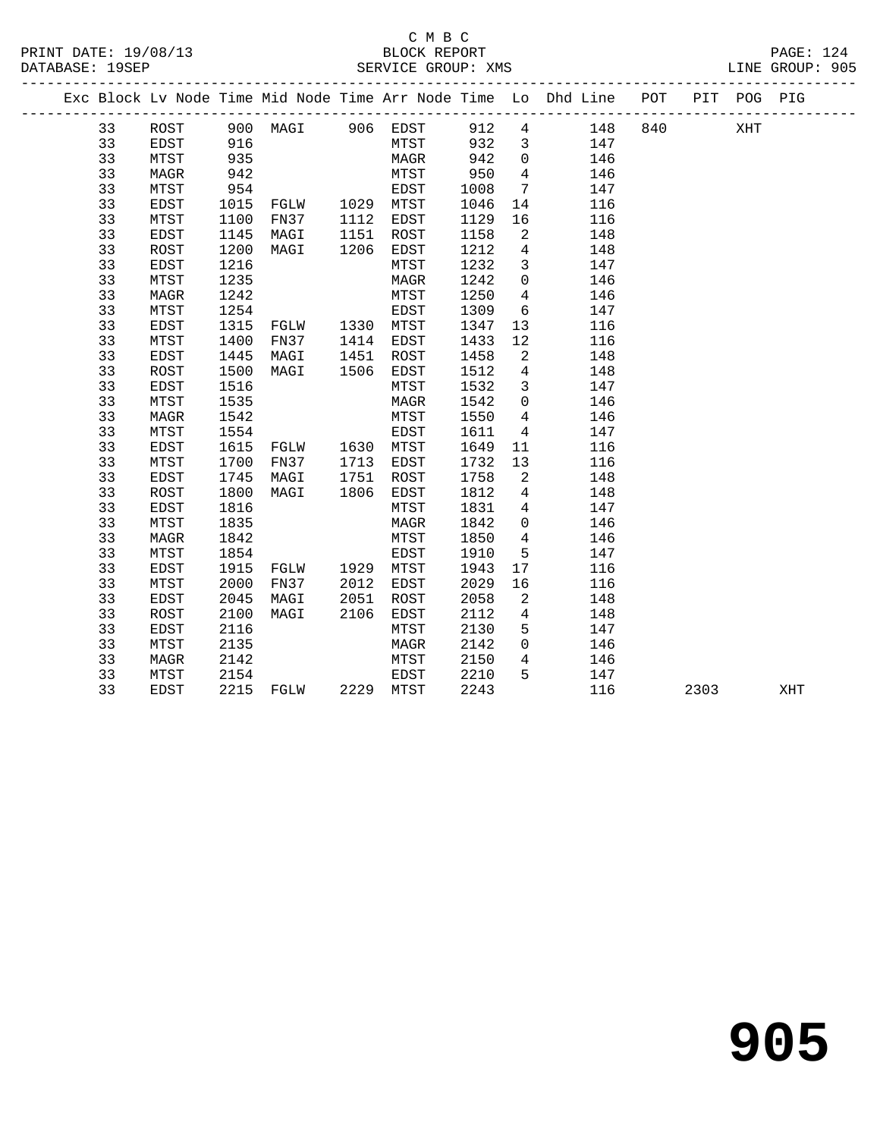-------------------------------------------------------------------------------------------------

# C M B C<br>BLOCK REPORT DATABASE: 19SEP SERVICE GROUP: XMS LINE GROUP: 905

 33 MAGR 1242 MTST 1250 4 146 33 MTST 1254 EDST 1309 6 147 33 EDST 1315 FGLW 1330 MTST 1347 13 116 33 MTST 1400 FN37 1414 EDST 1433 12 116 33 EDST 1445 MAGI 1451 ROST 1458 2 148 33 ROST 1500 MAGI 1506 EDST 1512 4 148 33 EDST 1516 MTST 1532 3 147 33 MTST 1535 MAGR 1542 0 146 33 MAGR 1542 MTST 1550 4 146 33 MTST 1554 EDST 1611 4 147 33 EDST 1615 FGLW 1630 MTST 1649 11 116 33 MTST 1700 FN37 1713 EDST 1732 13 116 33 EDST 1745 MAGI 1751 ROST 1758 2 148 33 ROST 1800 MAGI 1806 EDST 1812 4 148 33 EDST 1816 MTST 1831 4 147 33 MTST 1835 MAGR 1842 0 146 33 MAGR 1842 MTST 1850 4 146 33 MTST 1854 EDST 1910 5 147 33 EDST 1915 FGLW 1929 MTST 1943 17 116 33 MTST 2000 FN37 2012 EDST 2029 16 116 33 EDST 2045 MAGI 2051 ROST 2058 2 148 33 ROST 2100 MAGI 2106 EDST 2112 4 148 33 EDST 2116 MTST 2130 5 147 33 MTST 2135 MAGR 2142 0 146 33 MAGR 2142 MTST 2150 4 146 33 MTST 2154 EDST 2210 5 147

|  |    |      |      |      |      |      |      |          | Exc Block Ly Node Time Mid Node Time Arr Node Time Lo Dhd Line | POT | PIT | POG | PIG |
|--|----|------|------|------|------|------|------|----------|----------------------------------------------------------------|-----|-----|-----|-----|
|  | 33 | ROST | 900  | MAGI | 906  | EDST | 912  | 4        | 148                                                            | 840 |     | XHT |     |
|  | 33 | EDST | 916  |      |      | MTST | 932  | 3        | 147                                                            |     |     |     |     |
|  | 33 | MTST | 935  |      |      | MAGR | 942  | $\Omega$ | 146                                                            |     |     |     |     |
|  | 33 | MAGR | 942  |      |      | MTST | 950  | 4        | 146                                                            |     |     |     |     |
|  | 33 | MTST | 954  |      |      | EDST | 1008 | -7       | 147                                                            |     |     |     |     |
|  | 33 | EDST | 1015 | FGLW | 1029 | MTST | 1046 | 14       | 116                                                            |     |     |     |     |
|  | 33 | MTST | 1100 | FN37 | 1112 | EDST | 1129 | 16       | 116                                                            |     |     |     |     |
|  | 33 | EDST | 1145 | MAGI | 1151 | ROST | 1158 | 2        | 148                                                            |     |     |     |     |
|  | 33 | ROST | 1200 | MAGI | 1206 | EDST | 1212 | 4        | 148                                                            |     |     |     |     |
|  | 33 | EDST | 1216 |      |      | MTST | 1232 | 3        | 147                                                            |     |     |     |     |
|  | 33 | MTST | 1235 |      |      | MAGR | 1242 |          | 146                                                            |     |     |     |     |

33 EDST 2215 FGLW 2229 MTST 2243 116 2303 XHT

**905**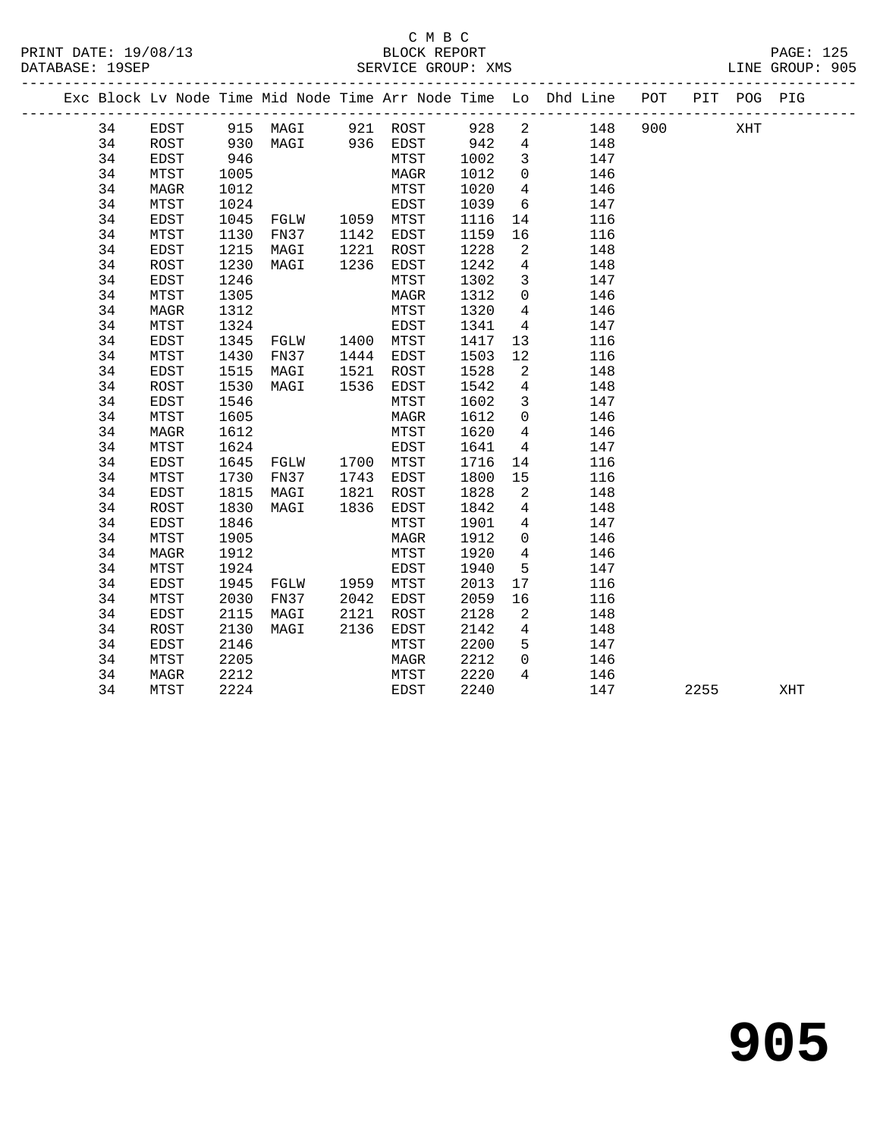# C M B C SERVICE GROUP: XMS

| PRINT DATE: 19/08/13 | BLOCK REPORT       | <b>PAGE: 125</b> |
|----------------------|--------------------|------------------|
| DATABASE: 19SEP      | SERVICE GROUP: XMS | LINE GROUP: 905  |

|  |    |      |      |                                  |      |             |      |                            | Exc Block Lv Node Time Mid Node Time Arr Node Time Lo Dhd Line POT |     |      | PIT POG PIG |     |
|--|----|------|------|----------------------------------|------|-------------|------|----------------------------|--------------------------------------------------------------------|-----|------|-------------|-----|
|  | 34 | EDST |      | 915 MAGI 921 ROST 928            |      |             |      |                            | 2 148                                                              | 900 |      | XHT         |     |
|  | 34 | ROST | 930  |                                  |      |             |      |                            | MAGI 936 EDST 942 4 148<br>MTST 1002 3 147                         |     |      |             |     |
|  | 34 | EDST | 946  |                                  |      |             |      |                            |                                                                    |     |      |             |     |
|  | 34 | MTST | 1005 |                                  |      | MAGR        | 1012 | $\overline{0}$             | 146                                                                |     |      |             |     |
|  | 34 | MAGR | 1012 |                                  |      | MTST        | 1020 | $\overline{4}$             | 146                                                                |     |      |             |     |
|  | 34 | MTST | 1024 |                                  |      | EDST        | 1039 | 6                          | 147                                                                |     |      |             |     |
|  | 34 | EDST | 1045 | FGLW 1059 MTST                   |      |             | 1116 | 14                         | 116                                                                |     |      |             |     |
|  | 34 | MTST | 1130 | FN37 1142 EDST                   |      |             | 1159 | 16                         | 116                                                                |     |      |             |     |
|  | 34 | EDST | 1215 | MAGI                             |      | $1221$ ROST | 1228 | $\overline{2}$             | 148                                                                |     |      |             |     |
|  | 34 | ROST | 1230 | MAGI                             | 1236 | EDST        | 1242 | $4\overline{4}$            | 148                                                                |     |      |             |     |
|  | 34 | EDST | 1246 |                                  |      | MTST        | 1302 | $\overline{\mathbf{3}}$    | 147                                                                |     |      |             |     |
|  | 34 | MTST | 1305 |                                  |      | MAGR        | 1312 | $\overline{0}$             | 146                                                                |     |      |             |     |
|  | 34 | MAGR | 1312 |                                  |      | MTST        | 1320 | 4                          | 146                                                                |     |      |             |     |
|  | 34 | MTST | 1324 |                                  |      | EDST        | 1341 | $4\overline{4}$            | 147                                                                |     |      |             |     |
|  | 34 | EDST | 1345 |                                  |      |             | 1417 | 13                         | 116                                                                |     |      |             |     |
|  | 34 | MTST | 1430 | FN37 1444 EDST                   |      |             | 1503 | 12                         | 116                                                                |     |      |             |     |
|  | 34 | EDST | 1515 | MAGI                             | 1521 | ROST        | 1528 | $\overline{2}$             | 148                                                                |     |      |             |     |
|  | 34 | ROST | 1530 | MAGI                             | 1536 | EDST        | 1542 | 4                          | 148                                                                |     |      |             |     |
|  | 34 | EDST | 1546 |                                  |      | MTST        | 1602 | $\overline{3}$             | 147                                                                |     |      |             |     |
|  | 34 | MTST | 1605 |                                  |      | MAGR        | 1612 | $\overline{0}$             | 146                                                                |     |      |             |     |
|  | 34 | MAGR | 1612 |                                  |      | MTST        | 1620 | $\overline{4}$             | 146                                                                |     |      |             |     |
|  | 34 | MTST | 1624 |                                  |      | EDST        | 1641 | $\overline{4}$             | 147                                                                |     |      |             |     |
|  | 34 | EDST | 1645 | FGLW 1700 MTST                   |      |             | 1716 | 14                         | 116                                                                |     |      |             |     |
|  | 34 | MTST | 1730 | FN37 1743 EDST<br>MAGI 1821 ROST |      |             | 1800 | 15                         | 116                                                                |     |      |             |     |
|  | 34 | EDST | 1815 |                                  |      |             | 1828 | $\overline{a}$             | 148                                                                |     |      |             |     |
|  | 34 | ROST | 1830 | MAGI                             | 1836 | EDST        | 1842 | $\overline{4}$             | 148                                                                |     |      |             |     |
|  | 34 | EDST | 1846 |                                  |      | MTST        | 1901 | $\overline{4}$             | 147                                                                |     |      |             |     |
|  | 34 | MTST | 1905 |                                  |      | MAGR        | 1912 | $\overline{0}$             | 146                                                                |     |      |             |     |
|  | 34 | MAGR | 1912 |                                  |      | MTST        | 1920 | $4\overline{ }$            | 146                                                                |     |      |             |     |
|  | 34 | MTST | 1924 |                                  |      | EDST        | 1940 | 5                          | 147                                                                |     |      |             |     |
|  | 34 | EDST | 1945 | FGLW 1959 MTST                   |      |             | 2013 | 17                         | 116                                                                |     |      |             |     |
|  | 34 | MTST | 2030 | FN37                             |      | 2042 EDST   | 2059 | 16                         | 116                                                                |     |      |             |     |
|  | 34 | EDST | 2115 | MAGI                             | 2121 | ROST        | 2128 | $\overline{\phantom{a}}^2$ | 148                                                                |     |      |             |     |
|  | 34 | ROST | 2130 | MAGI                             | 2136 | EDST        | 2142 | $\overline{4}$             | 148                                                                |     |      |             |     |
|  | 34 | EDST | 2146 |                                  |      | MTST        | 2200 | 5 <sup>5</sup>             | 147                                                                |     |      |             |     |
|  | 34 | MTST | 2205 |                                  |      | MAGR        | 2212 | $\overline{0}$             | 146                                                                |     |      |             |     |
|  | 34 | MAGR | 2212 |                                  |      | MTST        | 2220 | $4\overline{ }$            | 146                                                                |     |      |             |     |
|  | 34 | MTST | 2224 |                                  |      | EDST        | 2240 |                            | 147                                                                |     | 2255 |             | XHT |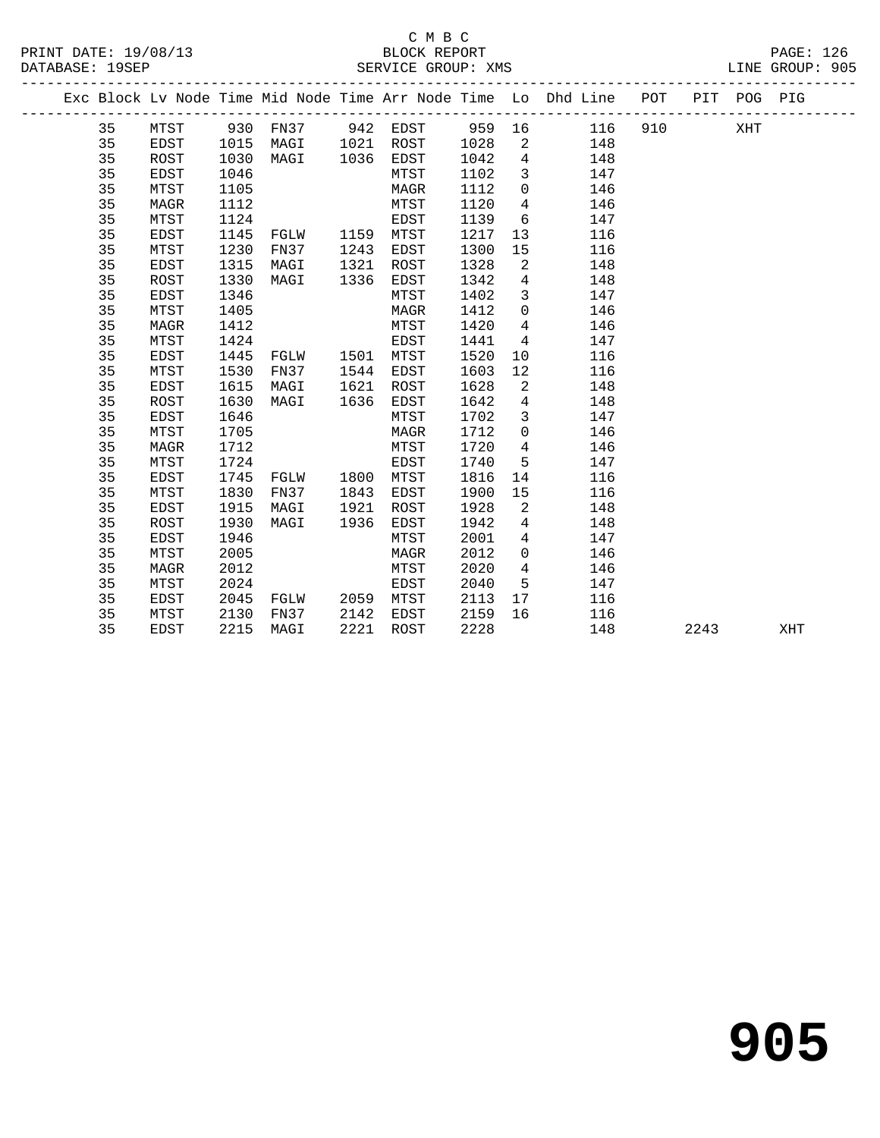# C M B C<br>BLOCK REPORT PRINT DATE: 19/08/13 BLOCK REPORT BATABASE: 19SEP

PAGE: 126<br>LINE GROUP: 905

|  | PAIAPACE · IJOEF |       |           | DEIVATCE GIVOUE · WHO |        |                                                                                |  |     | ATIVE GIVOUE . JUJ |  |
|--|------------------|-------|-----------|-----------------------|--------|--------------------------------------------------------------------------------|--|-----|--------------------|--|
|  |                  |       |           |                       |        | Exc Block Ly Node Time Mid Node Time Arr Node Time Lo Dhd Line POT PIT POG PIG |  |     |                    |  |
|  | 35               | MTST  | 930 FN37  | 942 EDST              | 959 16 | 116 910                                                                        |  | XHT |                    |  |
|  | 35               | EDST  | 1015 MAGI | 1021 ROST             | 1028 2 | 148                                                                            |  |     |                    |  |
|  | つに               | ROST. | 1030 MAGT | 1036 FDST             | 1042 4 | 148                                                                            |  |     |                    |  |

| 35 | ROST        | 1030 | MAGI | 1036 | EDST        | 1042 | 4        | 148 |      |     |
|----|-------------|------|------|------|-------------|------|----------|-----|------|-----|
| 35 | EDST        | 1046 |      |      | MTST        | 1102 | 3        | 147 |      |     |
| 35 | MTST        | 1105 |      |      | MAGR        | 1112 | 0        | 146 |      |     |
| 35 | MAGR        | 1112 |      |      | MTST        | 1120 | 4        | 146 |      |     |
| 35 | MTST        | 1124 |      |      | EDST        | 1139 | 6        | 147 |      |     |
| 35 | <b>EDST</b> | 1145 | FGLW | 1159 | MTST        | 1217 | 13       | 116 |      |     |
| 35 | MTST        | 1230 | FN37 | 1243 | EDST        | 1300 | 15       | 116 |      |     |
| 35 | <b>EDST</b> | 1315 | MAGI | 1321 | ROST        | 1328 | 2        | 148 |      |     |
| 35 | ROST        | 1330 | MAGI | 1336 | EDST        | 1342 | 4        | 148 |      |     |
| 35 | EDST        | 1346 |      |      | MTST        | 1402 | 3        | 147 |      |     |
| 35 | MTST        | 1405 |      |      | MAGR        | 1412 | $\Omega$ | 146 |      |     |
| 35 | MAGR        | 1412 |      |      | MTST        | 1420 | 4        | 146 |      |     |
| 35 | MTST        | 1424 |      |      | EDST        | 1441 | 4        | 147 |      |     |
| 35 | EDST        | 1445 | FGLW | 1501 | MTST        | 1520 | 10       | 116 |      |     |
| 35 | MTST        | 1530 | FN37 | 1544 | EDST        | 1603 | 12       | 116 |      |     |
| 35 | EDST        | 1615 | MAGI | 1621 | ROST        | 1628 | 2        | 148 |      |     |
| 35 | <b>ROST</b> | 1630 | MAGI | 1636 | EDST        | 1642 | 4        | 148 |      |     |
| 35 | EDST        | 1646 |      |      | MTST        | 1702 | 3        | 147 |      |     |
| 35 | MTST        | 1705 |      |      | MAGR        | 1712 | 0        | 146 |      |     |
| 35 | <b>MAGR</b> | 1712 |      |      | MTST        | 1720 | 4        | 146 |      |     |
| 35 | MTST        | 1724 |      |      | <b>EDST</b> | 1740 | 5        | 147 |      |     |
| 35 | EDST        | 1745 | FGLW | 1800 | MTST        | 1816 | 14       | 116 |      |     |
| 35 | MTST        | 1830 | FN37 | 1843 | EDST        | 1900 | 15       | 116 |      |     |
| 35 | EDST        | 1915 | MAGI | 1921 | ROST        | 1928 | 2        | 148 |      |     |
| 35 | ROST        | 1930 | MAGI | 1936 | EDST        | 1942 | 4        | 148 |      |     |
| 35 | EDST        | 1946 |      |      | MTST        | 2001 | 4        | 147 |      |     |
| 35 | MTST        | 2005 |      |      | MAGR        | 2012 | $\Omega$ | 146 |      |     |
| 35 | MAGR        | 2012 |      |      | MTST        | 2020 | 4        | 146 |      |     |
| 35 | MTST        | 2024 |      |      | EDST        | 2040 | 5        | 147 |      |     |
| 35 | EDST        | 2045 | FGLW | 2059 | MTST        | 2113 | 17       | 116 |      |     |
| 35 | MTST        | 2130 | FN37 | 2142 | EDST        | 2159 | 16       | 116 |      |     |
| 35 | EDST        | 2215 | MAGI | 2221 | ROST        | 2228 |          | 148 | 2243 | XHT |
|    |             |      |      |      |             |      |          |     |      |     |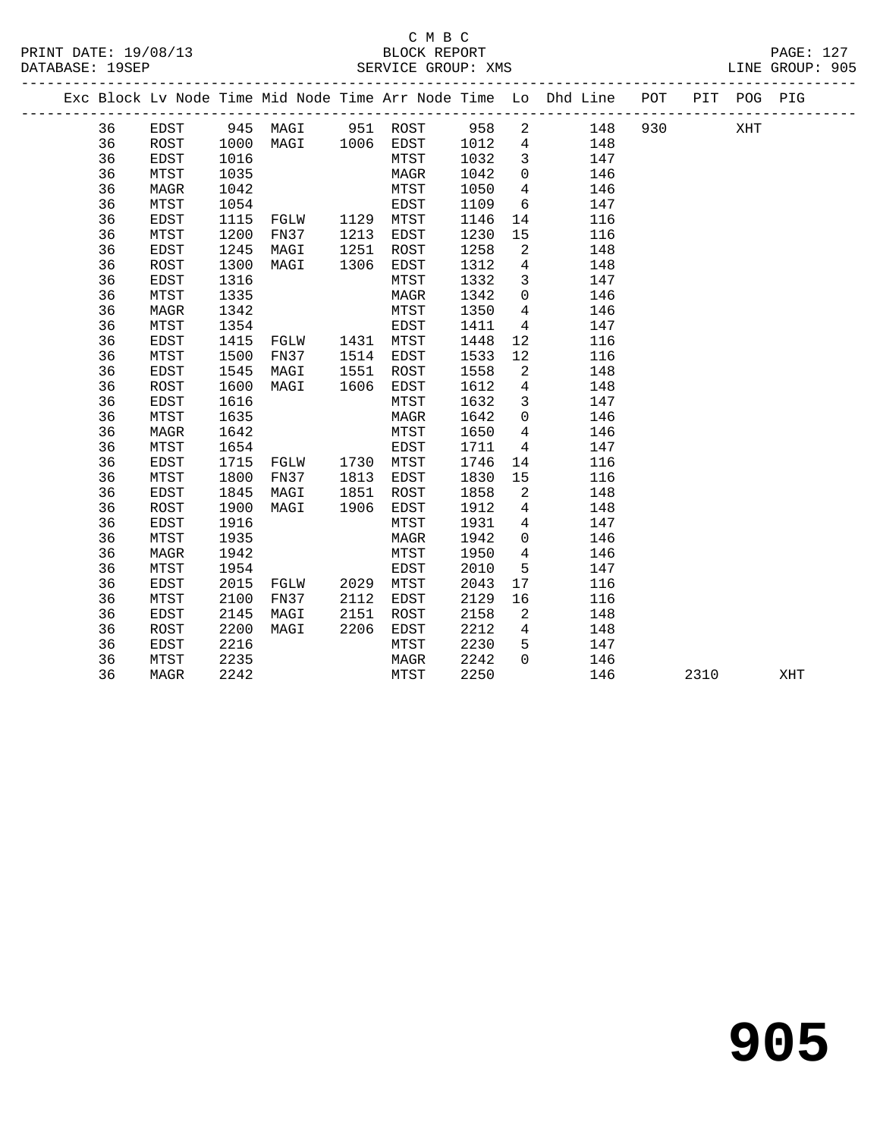### C M B C<br>BLOCK REPORT SERVICE GROUP: XMS

|    |      |      |           |           |      |                | Exc Block Lv Node Time Mid Node Time Arr Node Time Lo Dhd Line POT PIT POG PIG |     |     |  |
|----|------|------|-----------|-----------|------|----------------|--------------------------------------------------------------------------------|-----|-----|--|
| 36 | EDST |      | 945 MAGI  | 951 ROST  |      | 958 2          | 148                                                                            | 930 | XHT |  |
| 36 | ROST |      | 1000 MAGI | 1006 EDST | 1012 | $\overline{4}$ | 148                                                                            |     |     |  |
| 36 | EDST | 1016 |           | MTST      | 1032 |                | 147                                                                            |     |     |  |
| 36 | MTST | 1035 |           | MAGR      | 1042 |                | 146                                                                            |     |     |  |

| 50 | FNP T       | TOTO |      |      | MTPT        | TOPT | د              | <b>14/</b> |      |     |
|----|-------------|------|------|------|-------------|------|----------------|------------|------|-----|
| 36 | MTST        | 1035 |      |      | MAGR        | 1042 | 0              | 146        |      |     |
| 36 | MAGR        | 1042 |      |      | MTST        | 1050 | 4              | 146        |      |     |
| 36 | MTST        | 1054 |      |      | <b>EDST</b> | 1109 | 6              | 147        |      |     |
| 36 | <b>EDST</b> | 1115 | FGLW | 1129 | MTST        | 1146 | 14             | 116        |      |     |
| 36 | MTST        | 1200 | FN37 | 1213 | <b>EDST</b> | 1230 | 15             | 116        |      |     |
| 36 | EDST        | 1245 | MAGI | 1251 | <b>ROST</b> | 1258 | 2              | 148        |      |     |
| 36 | ROST        | 1300 | MAGI | 1306 | <b>EDST</b> | 1312 | 4              | 148        |      |     |
| 36 | EDST        | 1316 |      |      | MTST        | 1332 | 3              | 147        |      |     |
| 36 | MTST        | 1335 |      |      | MAGR        | 1342 | 0              | 146        |      |     |
| 36 | MAGR        | 1342 |      |      | MTST        | 1350 | $\overline{4}$ | 146        |      |     |
| 36 | MTST        | 1354 |      |      | EDST        | 1411 | 4              | 147        |      |     |
| 36 | EDST        | 1415 | FGLW | 1431 | MTST        | 1448 | 12             | 116        |      |     |
| 36 | MTST        | 1500 | FN37 | 1514 | <b>EDST</b> | 1533 | 12             | 116        |      |     |
| 36 | EDST        | 1545 | MAGI | 1551 | <b>ROST</b> | 1558 | 2              | 148        |      |     |
| 36 | <b>ROST</b> | 1600 | MAGI | 1606 | <b>EDST</b> | 1612 | 4              | 148        |      |     |
| 36 | EDST        | 1616 |      |      | MTST        | 1632 | 3              | 147        |      |     |
| 36 | MTST        | 1635 |      |      | MAGR        | 1642 | 0              | 146        |      |     |
| 36 | MAGR        | 1642 |      |      | MTST        | 1650 | 4              | 146        |      |     |
| 36 | MTST        | 1654 |      |      | EDST        | 1711 | 4              | 147        |      |     |
| 36 | <b>EDST</b> | 1715 | FGLW | 1730 | MTST        | 1746 | 14             | 116        |      |     |
| 36 | MTST        | 1800 | FN37 | 1813 | <b>EDST</b> | 1830 | 15             | 116        |      |     |
| 36 | EDST        | 1845 | MAGI | 1851 | <b>ROST</b> | 1858 | 2              | 148        |      |     |
| 36 | ROST        | 1900 | MAGI | 1906 | <b>EDST</b> | 1912 | 4              | 148        |      |     |
| 36 | EDST        | 1916 |      |      | MTST        | 1931 | 4              | 147        |      |     |
| 36 | MTST        | 1935 |      |      | MAGR        | 1942 | 0              | 146        |      |     |
| 36 | MAGR        | 1942 |      |      | MTST        | 1950 | 4              | 146        |      |     |
| 36 | MTST        | 1954 |      |      | <b>EDST</b> | 2010 | 5              | 147        |      |     |
| 36 | EDST        | 2015 | FGLW | 2029 | MTST        | 2043 | 17             | 116        |      |     |
| 36 | MTST        | 2100 | FN37 | 2112 | <b>EDST</b> | 2129 | 16             | 116        |      |     |
| 36 | EDST        | 2145 | MAGI | 2151 | <b>ROST</b> | 2158 | 2              | 148        |      |     |
| 36 | ROST        | 2200 | MAGI | 2206 | <b>EDST</b> | 2212 | 4              | 148        |      |     |
| 36 | EDST        | 2216 |      |      | MTST        | 2230 | 5              | 147        |      |     |
| 36 | MTST        | 2235 |      |      | MAGR        | 2242 | $\Omega$       | 146        |      |     |
| 36 | <b>MAGR</b> | 2242 |      |      | MTST        | 2250 |                | 146        | 2310 | XHT |
|    |             |      |      |      |             |      |                |            |      |     |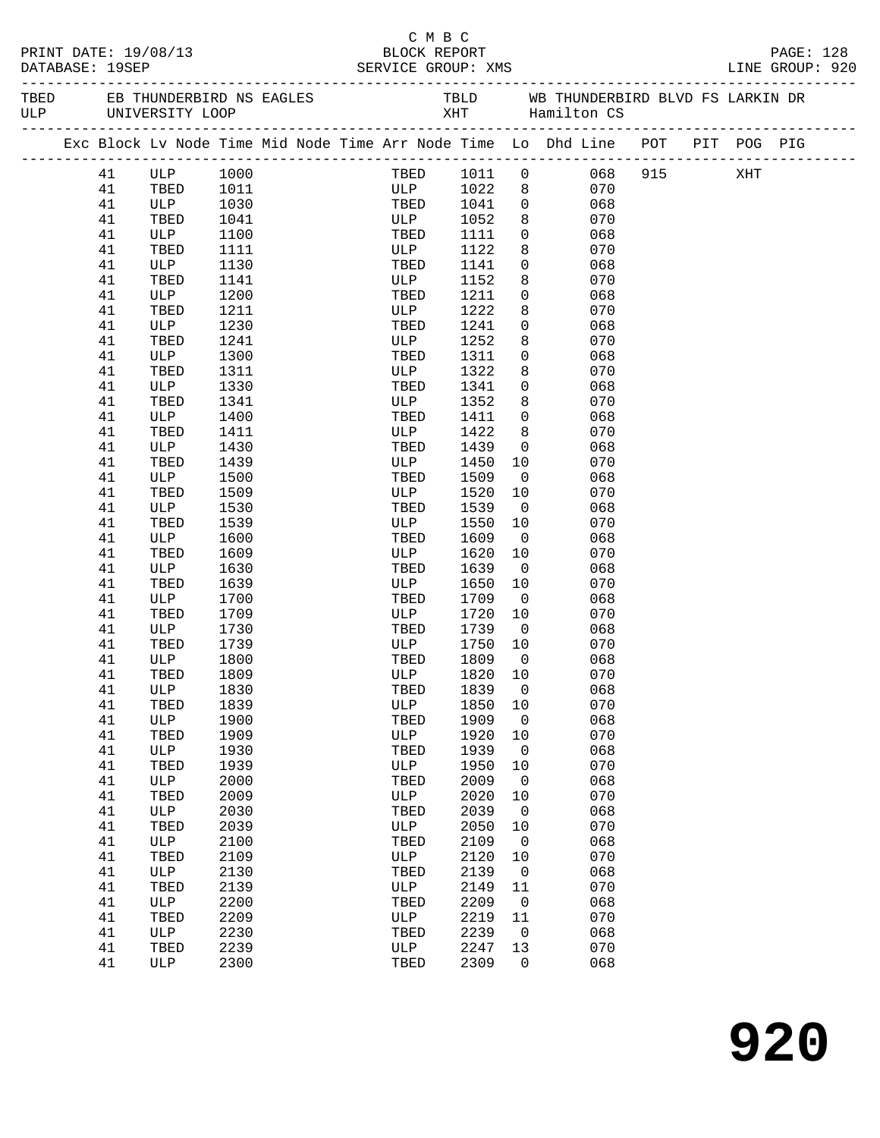|                                         |          |                                   |              |            |  | смвс         |              |                         |                                                                                |  |  |  |                              |  |
|-----------------------------------------|----------|-----------------------------------|--------------|------------|--|--------------|--------------|-------------------------|--------------------------------------------------------------------------------|--|--|--|------------------------------|--|
| PRINT DATE: 19/08/13<br>DATABASE: 19SEP |          |                                   |              |            |  | BLOCK REPORT |              |                         |                                                                                |  |  |  | PAGE: 128<br>LINE GROUP: 920 |  |
|                                         |          |                                   |              |            |  |              |              |                         |                                                                                |  |  |  |                              |  |
|                                         |          | _________________________________ |              |            |  |              |              |                         |                                                                                |  |  |  |                              |  |
|                                         |          |                                   |              |            |  |              |              |                         | Exc Block Lv Node Time Mid Node Time Arr Node Time Lo Dhd Line POT PIT POG PIG |  |  |  |                              |  |
|                                         | 41       | ULP 1000                          |              |            |  |              |              |                         | TBED 1011 0 068 915 XHT                                                        |  |  |  |                              |  |
|                                         | 41       | TBED                              | 1011         | ULP 1022 8 |  |              |              |                         | 070                                                                            |  |  |  |                              |  |
|                                         | 41       | ULP                               | 1030         |            |  | TBED         | 1041         |                         | $\overline{0}$<br>068                                                          |  |  |  |                              |  |
|                                         | 41       | TBED                              | 1041         |            |  | <b>ULP</b>   | 1052         | 8                       | 070                                                                            |  |  |  |                              |  |
|                                         | 41       | ULP                               | 1100         |            |  | TBED         | 1111         | $\overline{0}$          | 068                                                                            |  |  |  |                              |  |
|                                         | 41       | TBED                              | 1111         |            |  | ULP          | 1122         | 8                       | 070                                                                            |  |  |  |                              |  |
|                                         | 41       | ULP                               | 1130         |            |  | TBED         | 1141         | $\mathbf 0$             | 068                                                                            |  |  |  |                              |  |
|                                         | 41       | TBED                              | 1141         |            |  | ULP          | 1152         | 8                       | 070                                                                            |  |  |  |                              |  |
|                                         | 41       | ULP                               | 1200         |            |  | TBED         | 1211         | $\overline{0}$          | 068                                                                            |  |  |  |                              |  |
|                                         | 41       | TBED                              | 1211         |            |  | ULP          | 1222         | 8                       | 070                                                                            |  |  |  |                              |  |
|                                         | 41       | ULP                               | 1230         |            |  | TBED         | 1241         | $\overline{0}$          | 068                                                                            |  |  |  |                              |  |
|                                         | 41       | TBED                              | 1241         |            |  | ULP          | 1252         | 8                       | 070                                                                            |  |  |  |                              |  |
|                                         | 41<br>41 | ULP                               | 1300         |            |  | TBED         | 1311<br>1322 | $\overline{0}$<br>8     | 068<br>070                                                                     |  |  |  |                              |  |
|                                         | 41       | TBED<br>ULP                       | 1311<br>1330 |            |  | ULP<br>TBED  | 1341         | $\overline{0}$          | 068                                                                            |  |  |  |                              |  |
|                                         | 41       | TBED                              | 1341         |            |  | ULP          | 1352         | 8                       | 070                                                                            |  |  |  |                              |  |
|                                         | 41       | ULP                               | 1400         |            |  | TBED         | 1411         | $\overline{0}$          | 068                                                                            |  |  |  |                              |  |
|                                         | 41       | TBED                              | 1411         |            |  | ULP          | 1422         | 8                       | 070                                                                            |  |  |  |                              |  |
|                                         | 41       | ULP                               | 1430         |            |  | TBED         | 1439         | $\overline{0}$          | 068                                                                            |  |  |  |                              |  |
|                                         | 41       | TBED                              | 1439         |            |  | ULP          | 1450         | 10                      | 070                                                                            |  |  |  |                              |  |
|                                         | 41       | ULP                               | 1500         |            |  | TBED         | 1509         | $\overline{0}$          | 068                                                                            |  |  |  |                              |  |
|                                         | 41       | TBED                              | 1509         |            |  | ULP          | 1520         | 10                      | 070                                                                            |  |  |  |                              |  |
|                                         | 41       | ULP                               | 1530         |            |  | TBED         | 1539         | $\overline{\mathbf{0}}$ | 068                                                                            |  |  |  |                              |  |
|                                         | 41       | TBED                              | 1539         |            |  | ULP          | 1550         | 10                      | 070                                                                            |  |  |  |                              |  |
|                                         | 41       | ULP                               | 1600         |            |  | TBED         | 1609         | $\overline{0}$          | 068                                                                            |  |  |  |                              |  |
|                                         | 41       | TBED                              | 1609         |            |  | ULP          | 1620         | 10                      | 070                                                                            |  |  |  |                              |  |
|                                         | 41       | ULP                               | 1630         |            |  | TBED         | 1639         | $\overline{\mathbf{0}}$ | 068                                                                            |  |  |  |                              |  |
|                                         | 41       | TBED                              | 1639         |            |  | ULP          | 1650         | 10                      | 070                                                                            |  |  |  |                              |  |
|                                         | 41       | ULP                               | 1700         |            |  | TBED         | 1709         | $\overline{0}$          | 068                                                                            |  |  |  |                              |  |
|                                         | 41       | TBED                              | 1709         |            |  | ULP          | 1720         | 10                      | 070                                                                            |  |  |  |                              |  |
|                                         | 41       | ULP                               | 1730         |            |  | TBED         | 1739         | $\overline{0}$          | 068                                                                            |  |  |  |                              |  |
|                                         | 41       | TBED                              | 1739         |            |  | ULP          | 1750         | 10                      | 070                                                                            |  |  |  |                              |  |
|                                         | 41       | ULP                               | 1800         |            |  | TBED         | 1809         | $\overline{0}$          | 068                                                                            |  |  |  |                              |  |
|                                         | 41       | TBED 1809                         |              |            |  | ULP 1820 10  |              |                         | 070                                                                            |  |  |  |                              |  |
|                                         | 41       | ULP                               | 1830         |            |  | TBED         | 1839         | $\overline{0}$          | 068                                                                            |  |  |  |                              |  |
|                                         | 41       | TBED                              | 1839         |            |  | ULP          | 1850         | 10                      | 070                                                                            |  |  |  |                              |  |
|                                         | 41<br>41 | ULP                               | 1900<br>1909 |            |  | TBED<br>ULP  | 1909<br>1920 | $\overline{0}$          | 068<br>070                                                                     |  |  |  |                              |  |
|                                         | 41       | TBED<br>ULP                       | 1930         |            |  | TBED         | 1939         | 10<br>$\mathbf 0$       | 068                                                                            |  |  |  |                              |  |
|                                         | 41       | TBED                              | 1939         |            |  | ULP          | 1950         | 10                      | 070                                                                            |  |  |  |                              |  |
|                                         | 41       | ULP                               | 2000         |            |  | TBED         | 2009         | $\overline{0}$          | 068                                                                            |  |  |  |                              |  |
|                                         | 41       | TBED                              | 2009         |            |  | ULP          | 2020         | 10                      | 070                                                                            |  |  |  |                              |  |
|                                         | 41       | ULP                               | 2030         |            |  | TBED         | 2039         | $\overline{0}$          | 068                                                                            |  |  |  |                              |  |
|                                         | 41       | TBED                              | 2039         |            |  | ULP          | 2050         | 10                      | 070                                                                            |  |  |  |                              |  |
|                                         | 41       | ULP                               | 2100         |            |  | TBED         | 2109         | $\overline{0}$          | 068                                                                            |  |  |  |                              |  |
|                                         | 41       | TBED                              | 2109         |            |  | ULP          | 2120         | 10                      | 070                                                                            |  |  |  |                              |  |
|                                         | 41       | ULP                               | 2130         |            |  | TBED         | 2139         | $\overline{0}$          | 068                                                                            |  |  |  |                              |  |
|                                         | 41       | TBED                              | 2139         |            |  | ULP          | 2149         | 11                      | 070                                                                            |  |  |  |                              |  |
|                                         | 41       | ULP                               | 2200         |            |  | TBED         | 2209         | $\overline{0}$          | 068                                                                            |  |  |  |                              |  |
|                                         | 41       | TBED                              | 2209         |            |  | ULP          | 2219         | 11                      | 070                                                                            |  |  |  |                              |  |
|                                         | 41       | ULP                               | 2230         |            |  | TBED         | 2239         | $\overline{\mathbf{0}}$ | 068                                                                            |  |  |  |                              |  |
|                                         | 41       | TBED                              | 2239         |            |  | ULP          | 2247         | 13                      | 070                                                                            |  |  |  |                              |  |
|                                         | 41       | ULP                               | 2300         |            |  | TBED         | 2309         | $\overline{0}$          | 068                                                                            |  |  |  |                              |  |
|                                         |          |                                   |              |            |  |              |              |                         |                                                                                |  |  |  |                              |  |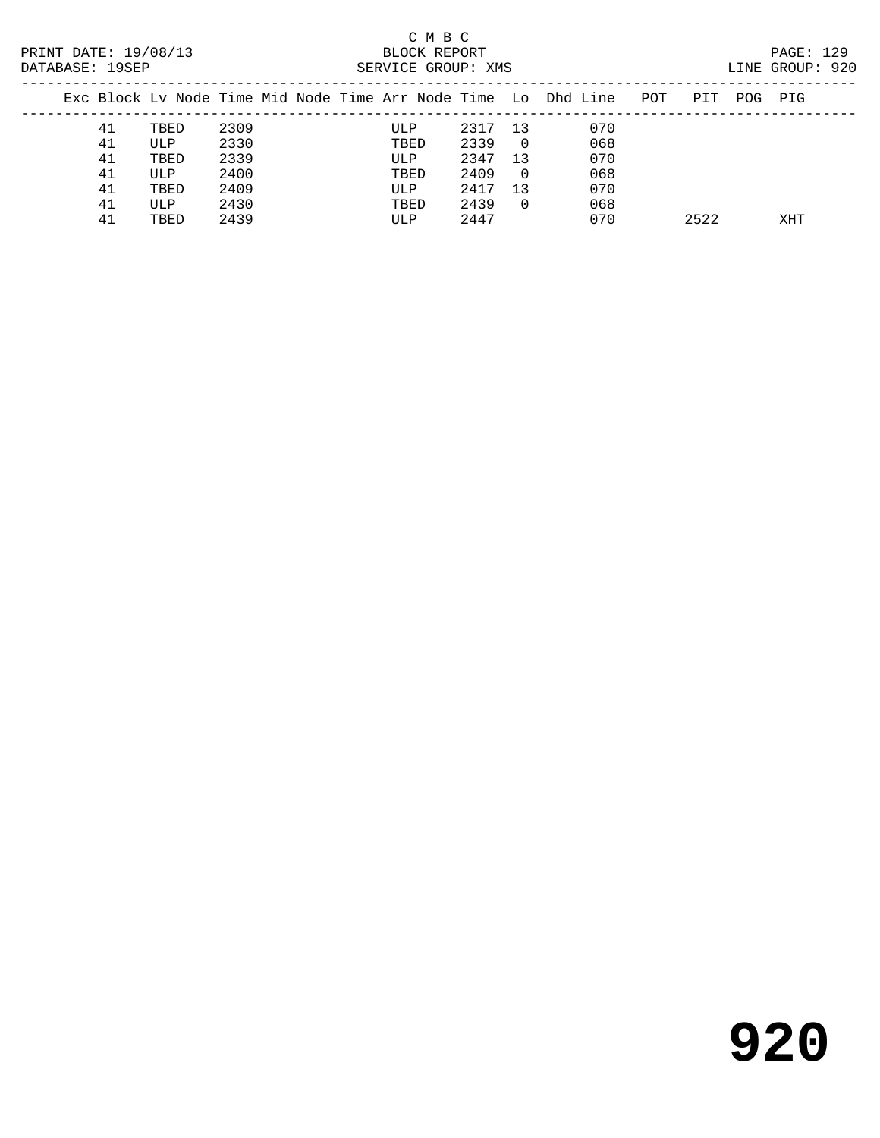# C M B C<br>BLOCK REPORT<br>CERVICE CROUD: YMC

| DATABASE: 19SEP |    |      |      |  | SERVICE GROUP: XMS |      | LINE GROUP: 920 |                                                                |     |      |     |     |  |
|-----------------|----|------|------|--|--------------------|------|-----------------|----------------------------------------------------------------|-----|------|-----|-----|--|
|                 |    |      |      |  |                    |      |                 | Exc Block Ly Node Time Mid Node Time Arr Node Time Lo Dhd Line | POT | PIT  | POG | PIG |  |
|                 | 41 | TBED | 2309 |  | ULP                | 2317 | 13              | 070                                                            |     |      |     |     |  |
|                 | 41 | ULP  | 2330 |  | TBED               | 2339 | $\overline{0}$  | 068                                                            |     |      |     |     |  |
|                 | 41 | TBED | 2339 |  | ULP                | 2347 | 13              | 070                                                            |     |      |     |     |  |
|                 | 41 | ULP  | 2400 |  | TBED               | 2409 | - 0             | 068                                                            |     |      |     |     |  |
|                 | 41 | TBED | 2409 |  | ULP                | 2417 | 13              | 070                                                            |     |      |     |     |  |
|                 | 41 | ULP  | 2430 |  | TBED               | 2439 | $\Omega$        | 068                                                            |     |      |     |     |  |
|                 | 41 | TBED | 2439 |  | ULP                | 2447 |                 | 070                                                            |     | 2522 |     | XHT |  |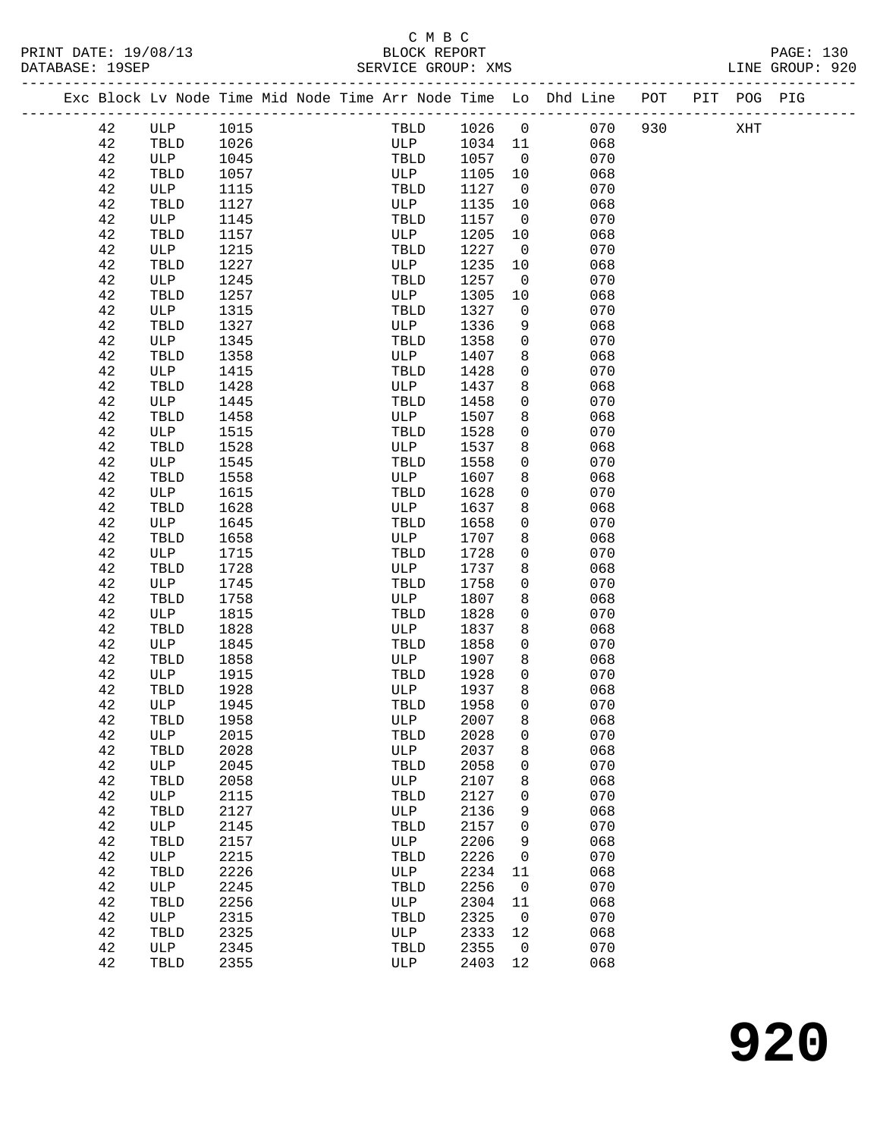# C M B C<br>BLOCK REPORT SERVICE GROUP: XMS

|          |             |              |  |             |              |                   | Exc Block Lv Node Time Mid Node Time Arr Node Time Lo Dhd Line POT |     | PIT POG PIG |  |
|----------|-------------|--------------|--|-------------|--------------|-------------------|--------------------------------------------------------------------|-----|-------------|--|
| 42       | ULP         | 1015         |  | TBLD        | 1026 0       |                   | 070                                                                | 930 | XHT         |  |
| 42       | TBLD        | 1026         |  | ULP         | 1034 11      |                   | 068                                                                |     |             |  |
| 42       | ULP         | 1045         |  | TBLD        | 1057         | $\overline{0}$    | 070                                                                |     |             |  |
| 42       | TBLD        | 1057         |  | ULP         | 1105         | 10                | 068                                                                |     |             |  |
| 42       | ULP         | 1115         |  | TBLD        | 1127         | $\overline{0}$    | 070                                                                |     |             |  |
| 42       | TBLD        | 1127         |  | ULP         | 1135         | 10                | 068                                                                |     |             |  |
| 42       | ULP         | 1145         |  | TBLD        | 1157         | $\overline{0}$    | 070                                                                |     |             |  |
| 42       | TBLD        | 1157         |  | ULP         | 1205         | 10                | 068                                                                |     |             |  |
| 42       | ULP         | 1215         |  | TBLD        | 1227         | $\overline{0}$    | 070                                                                |     |             |  |
| 42       | TBLD        | 1227         |  | ULP         | 1235         | 10                | 068                                                                |     |             |  |
| 42       | ULP         | 1245         |  | TBLD        | 1257         | $\overline{0}$    | 070                                                                |     |             |  |
| 42       | TBLD        | 1257         |  | ULP         | 1305         | 10                | 068                                                                |     |             |  |
| 42       | ULP         | 1315         |  | TBLD        | 1327         | $\mathbf 0$       | 070                                                                |     |             |  |
| 42       | TBLD        | 1327         |  | ULP         | 1336         | 9                 | 068                                                                |     |             |  |
| 42       | ULP         | 1345         |  | TBLD        | 1358         | $\overline{0}$    | 070                                                                |     |             |  |
| 42       | TBLD        | 1358         |  | ULP         | 1407         | 8                 | 068                                                                |     |             |  |
| 42       | ULP         | 1415         |  | TBLD        | 1428         | $\mathbf 0$       | 070                                                                |     |             |  |
| 42<br>42 | TBLD<br>ULP | 1428<br>1445 |  | ULP<br>TBLD | 1437<br>1458 | 8<br>$\mathsf{O}$ | 068<br>070                                                         |     |             |  |
| 42       | TBLD        | 1458         |  | ULP         | 1507         | 8                 | 068                                                                |     |             |  |
| 42       | ULP         | 1515         |  | TBLD        | 1528         | $\mathbf 0$       | 070                                                                |     |             |  |
| 42       | TBLD        | 1528         |  | ULP         | 1537         | 8                 | 068                                                                |     |             |  |
| 42       | ULP         | 1545         |  | TBLD        | 1558         | $\mathbf 0$       | 070                                                                |     |             |  |
| 42       | TBLD        | 1558         |  | ULP         | 1607         | 8                 | 068                                                                |     |             |  |
| 42       | ULP         | 1615         |  | TBLD        | 1628         | 0                 | 070                                                                |     |             |  |
| 42       | TBLD        | 1628         |  | ULP         | 1637         | 8                 | 068                                                                |     |             |  |
| 42       | ULP         | 1645         |  | TBLD        | 1658         | $\mathbf 0$       | 070                                                                |     |             |  |
| 42       | TBLD        | 1658         |  | ULP         | 1707         | 8                 | 068                                                                |     |             |  |
| 42       | ULP         | 1715         |  | TBLD        | 1728         | $\mathbf 0$       | 070                                                                |     |             |  |
| 42       | TBLD        | 1728         |  | ULP         | 1737         | 8                 | 068                                                                |     |             |  |
| 42       | ULP         | 1745         |  | TBLD        | 1758         | $\mathbf 0$       | 070                                                                |     |             |  |
| 42       | TBLD        | 1758         |  | ULP         | 1807         | 8                 | 068                                                                |     |             |  |
| 42       | ULP         | 1815         |  | TBLD        | 1828         | $\mathsf{O}$      | 070                                                                |     |             |  |
| 42       | TBLD        | 1828         |  | ULP         | 1837         | 8                 | 068                                                                |     |             |  |
| 42       | ULP         | 1845         |  | TBLD        | 1858         | $\mathsf{O}$      | 070                                                                |     |             |  |
| 42       | TBLD        | 1858         |  | ULP         | 1907         | 8                 | 068                                                                |     |             |  |
| 42<br>42 | ULP<br>TBLD | 1915<br>1928 |  | TBLD<br>ULP | 1928<br>1937 | $\mathbf 0$<br>8  | 070<br>068                                                         |     |             |  |
| 42       | ULP         | 1945         |  | TBLD        | 1958         | $\mathbf 0$       | 070                                                                |     |             |  |
| 42       | TBLD        | 1958         |  | ULP         | 2007         | 8                 | 068                                                                |     |             |  |
| 42       | ULP         | 2015         |  | TBLD        | 2028         | 0                 | 070                                                                |     |             |  |
| 42       | TBLD        | 2028         |  | ULP         | 2037         | 8                 | 068                                                                |     |             |  |
| 42       | ULP         | 2045         |  | TBLD        | 2058         | 0                 | 070                                                                |     |             |  |
| 42       | TBLD        | 2058         |  | ULP         | 2107         | 8                 | 068                                                                |     |             |  |
| 42       | ULP         | 2115         |  | TBLD        | 2127         | 0                 | 070                                                                |     |             |  |
| 42       | TBLD        | 2127         |  | ULP         | 2136         | 9                 | 068                                                                |     |             |  |
| 42       | ULP         | 2145         |  | TBLD        | 2157         | 0                 | 070                                                                |     |             |  |
| 42       | TBLD        | 2157         |  | ULP         | 2206         | 9                 | 068                                                                |     |             |  |
| 42       | ULP         | 2215         |  | TBLD        | 2226         | 0                 | 070                                                                |     |             |  |
| 42       | TBLD        | 2226         |  | ULP         | 2234         | 11                | 068                                                                |     |             |  |
| 42       | ULP         | 2245         |  | TBLD        | 2256         | $\overline{0}$    | 070                                                                |     |             |  |
| 42       | TBLD        | 2256         |  | ULP         | 2304         | 11                | 068                                                                |     |             |  |
| 42       | ULP         | 2315         |  | TBLD        | 2325         | $\overline{0}$    | 070                                                                |     |             |  |
| 42       | TBLD        | 2325         |  | ULP         | 2333         | 12                | 068                                                                |     |             |  |
| 42       | ULP         | 2345         |  | TBLD        | 2355         | $\overline{0}$    | 070                                                                |     |             |  |
| 42       | TBLD        | 2355         |  | ULP         | 2403         | 12                | 068                                                                |     |             |  |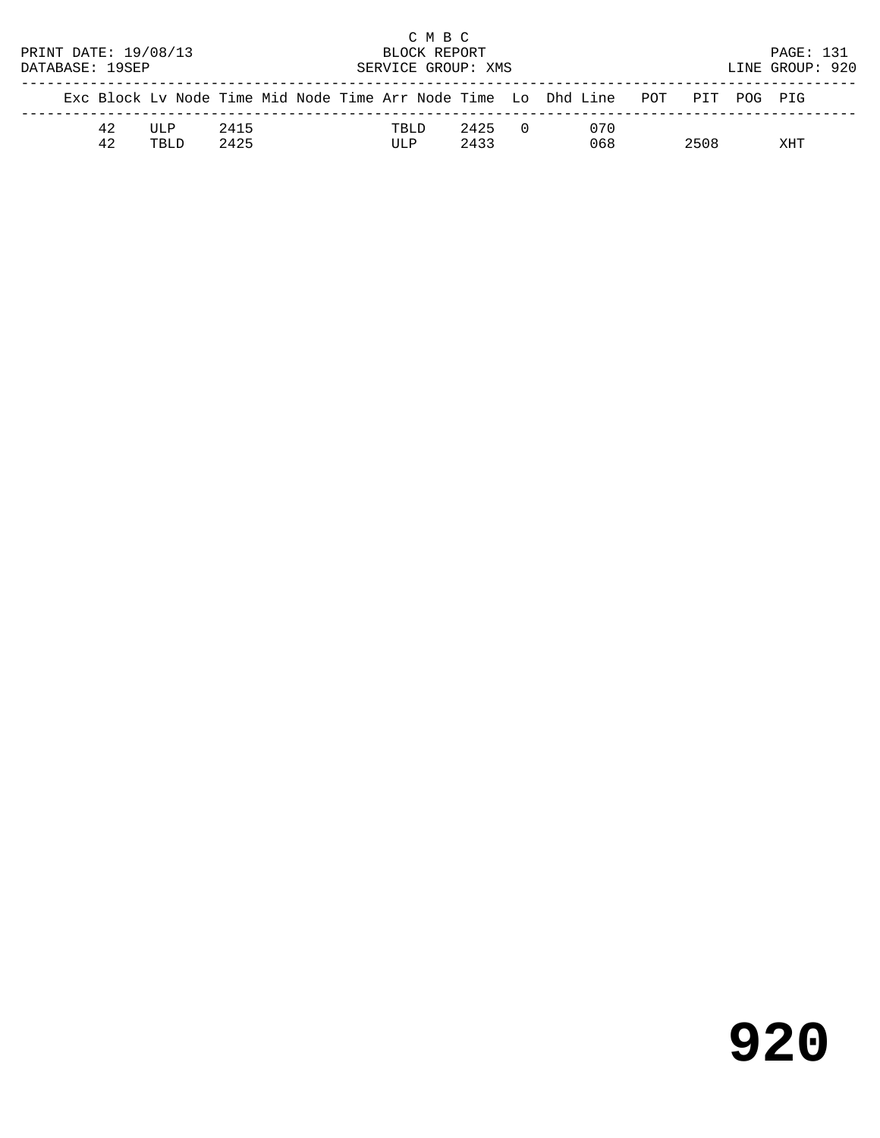|                      |    |                                                                                |                    |  |  |  |       | C M B C |      |            |  |     |                 |     |  |
|----------------------|----|--------------------------------------------------------------------------------|--------------------|--|--|--|-------|---------|------|------------|--|-----|-----------------|-----|--|
| PRINT DATE: 19/08/13 |    |                                                                                | BLOCK REPORT       |  |  |  |       |         |      |            |  |     | PAGE: 131       |     |  |
| DATABASE: 19SEP      |    |                                                                                | SERVICE GROUP: XMS |  |  |  |       |         |      |            |  |     | LINE GROUP: 920 |     |  |
|                      |    | Exc Block Ly Node Time Mid Node Time Arr Node Time Lo Dhd Line POT PIT POG PIG |                    |  |  |  |       |         |      |            |  |     |                 |     |  |
|                      | 42 | TJT.P                                                                          | 2415               |  |  |  | TRI D |         | 2425 | $\bigcirc$ |  | 070 |                 |     |  |
|                      | 42 | TBLD.                                                                          | 2425               |  |  |  | ULP   |         | 2433 |            |  | 068 | 2508            | XHT |  |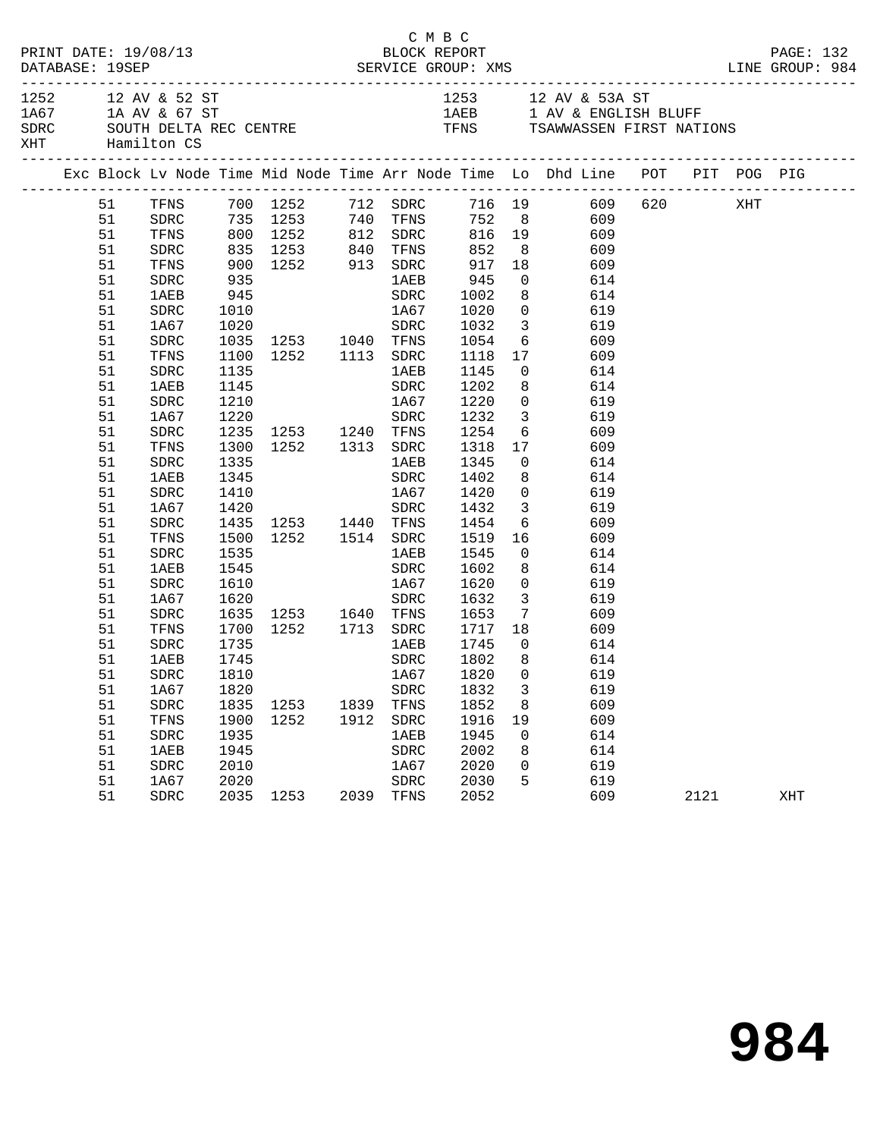| PRINT DATE: 19/08/13<br>DATABASE: 19SEP                                                                                    |                                                                                                                                                                                                      |                                                                                                      |                                                                                                                                                                                                                       |                                                  | C M B C<br>BLOCK REPORT                                                                                                     | PAGE: 132                                                                                                                                               |                                                                                                                                  |                                                                                                                                                                                                                                                                                                                                                                                        |      |     |
|----------------------------------------------------------------------------------------------------------------------------|------------------------------------------------------------------------------------------------------------------------------------------------------------------------------------------------------|------------------------------------------------------------------------------------------------------|-----------------------------------------------------------------------------------------------------------------------------------------------------------------------------------------------------------------------|--------------------------------------------------|-----------------------------------------------------------------------------------------------------------------------------|---------------------------------------------------------------------------------------------------------------------------------------------------------|----------------------------------------------------------------------------------------------------------------------------------|----------------------------------------------------------------------------------------------------------------------------------------------------------------------------------------------------------------------------------------------------------------------------------------------------------------------------------------------------------------------------------------|------|-----|
| 1252 12 AV & 52 ST<br>XHT Hamilton CS                                                                                      |                                                                                                                                                                                                      | 1A67 1A AV & 67 ST<br>SDRC SOUTH DELTA REC CENTRE TENS TENS TSAWWASSEN FIRST NATIONS                 |                                                                                                                                                                                                                       | 1253 12 AV & 53A ST<br>1AEB 1 AV & ENGLISH BLUFF |                                                                                                                             |                                                                                                                                                         |                                                                                                                                  |                                                                                                                                                                                                                                                                                                                                                                                        |      |     |
|                                                                                                                            |                                                                                                                                                                                                      |                                                                                                      |                                                                                                                                                                                                                       |                                                  |                                                                                                                             |                                                                                                                                                         |                                                                                                                                  | Exc Block Lv Node Time Mid Node Time Arr Node Time Lo Dhd Line POT PIT POG PIG                                                                                                                                                                                                                                                                                                         |      |     |
| 51<br>51<br>51<br>51<br>51<br>51<br>51<br>51<br>51<br>51<br>51<br>51<br>51<br>51<br>51<br>51<br>51<br>51<br>51<br>51<br>51 | SDRC<br>TFNS<br>SDRC<br>1AEB<br>SDRC<br>1A67<br>${\tt SDRC}$<br>TFNS<br>SDRC<br>1AEB<br>SDRC<br>1A67<br>${\tt SDRC}$<br>TFNS<br>${\tt SDRC}$<br>1AEB<br>SDRC<br>1A67<br>${\tt SDRC}$<br>TFNS<br>SDRC | 1010<br>1135<br>1145<br>1210<br>1220<br>1335<br>1345<br>1410<br>1535                                 | 900 1252 913 SDRC<br>935 1AEB<br>945<br>1020 SDRC<br>1035 1253 1040 TFNS<br>1100 1252 1113 SDRC<br>1235 1253 1240 TFNS<br>1300 1252 1313 SDRC<br>1A67 1420<br>1420 SDRC<br>1435 1253 1440 TFNS<br>1500 1252 1514 SDRC |                                                  | SDRC<br>1A67<br>1 AE B<br>SDRC<br>1A67<br>SDRC<br>1AEB<br>SDRC<br>1AEB                                                      | 917 18<br>945 0<br>1002<br>1020<br>1032<br>1054<br>1118<br>1145<br>1202<br>1220<br>1232<br>1254<br>1318<br>1345<br>1402<br>1432<br>1454<br>1519<br>1545 | $\overline{0}$<br>$\overline{\mathbf{3}}$<br>$6\overline{6}$<br>$\overline{0}$<br>17<br>$\overline{0}$<br>$6\overline{6}$        | 51 TFNS 700 1252 712 SDRC 716 19 609 620 XHT<br>51 SDRC 735 1253 740 TFNS 752 8 609<br>51 TFNS 800 1252 812 SDRC 816 19 609<br>835 1253 840 TFNS 852 8 609<br>609<br>614<br>8 614<br>619<br>619<br>609<br>17 609<br>$0$ 614<br>8<br>614<br>619<br>3 619<br>6 609<br>609<br>614<br>8 <sup>1</sup><br>614<br>$\overline{0}$<br>619<br>3 619<br>609<br>16<br>609<br>$\overline{0}$<br>614 |      |     |
| 51<br>51<br>51<br>51<br>51<br>51<br>51<br>51<br>51<br>51<br>51<br>51<br>51<br>51<br>51                                     | 1AEB<br>SDRC<br>1A67<br>SDRC<br>TFNS<br>SDRC<br>1AEB<br>1A67<br>SDRC<br>TFNS<br>SDRC<br><b>1AEB</b><br>SDRC<br>1A67<br>SDRC                                                                          | 1545<br>1610<br>1620<br>1700<br>1735<br>1745<br>1820<br>1835<br>1900<br>1935<br>1945<br>2010<br>2020 | 1635 1253 1640 TFNS 1653<br>51 SDRC 1810<br>1253<br>1252<br>2035 1253                                                                                                                                                 | 1839<br>1912<br>2039                             | SDRC<br>1A67<br>SDRC<br><b>1AEB</b><br>SDRC<br>SDRC<br>TFNS<br>${\tt SDRC}$<br>1AEB<br>SDRC<br>1A67<br>${\tt SDRC}$<br>TFNS | 1602<br>1620<br>1632<br>1745<br>1802<br>1832<br>1852<br>1916<br>1945<br>2002<br>2020<br>2030<br>2052                                                    | 8<br>$\overline{0}$<br>$\overline{\mathbf{3}}$<br>$\overline{0}$<br>8 <sup>8</sup><br>3<br>8<br>19<br>$\mathbf 0$<br>8<br>0<br>5 | 614<br>619<br>619<br>$7\overline{ }$<br>609<br>1252 1713 SDRC 1717 18 609<br>614<br>614<br>1A67 1820 0 619<br>619<br>609<br>609<br>614<br>614<br>619<br>619<br>609                                                                                                                                                                                                                     | 2121 | XHT |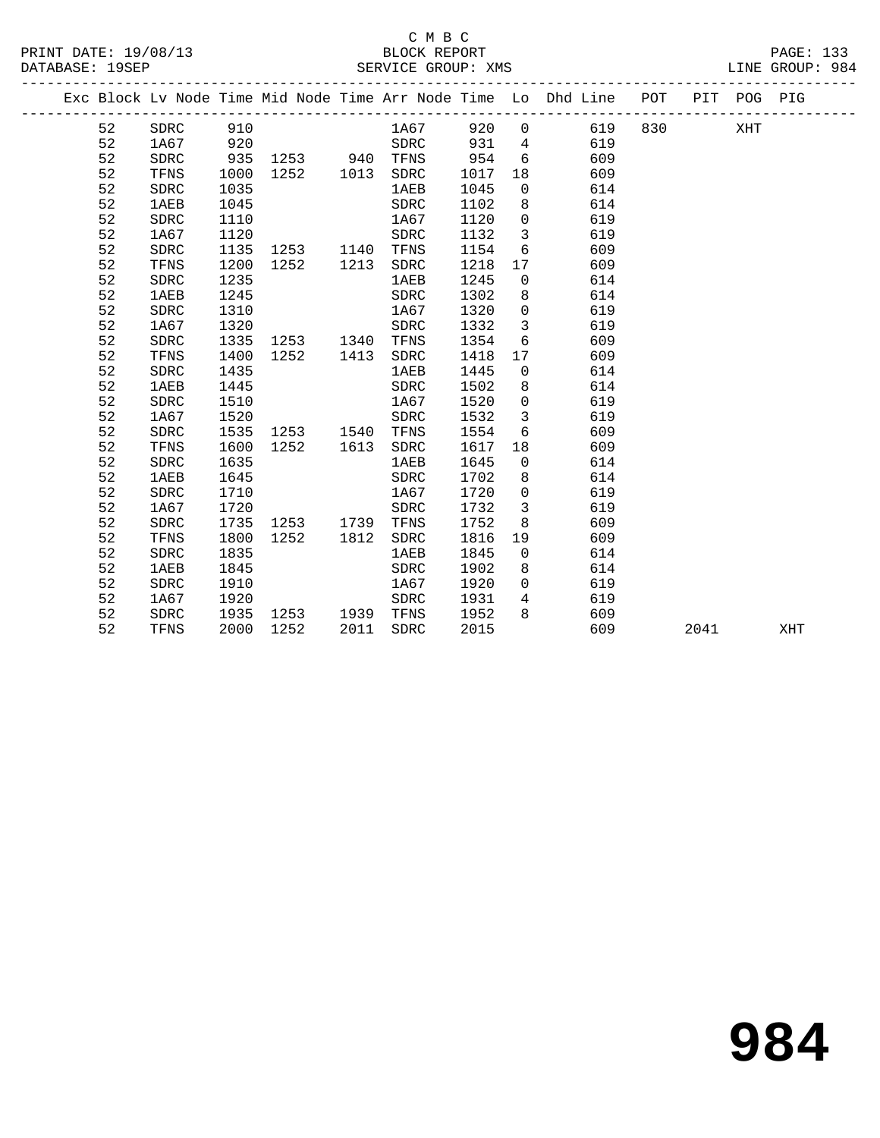#### C M B C<br>BLOCK REPORT SERVICE GROUP: XMS

|  |    |             |      |           |      |            |         |                         | Exc Block Lv Node Time Mid Node Time Arr Node Time Lo Dhd Line POT |  | PIT POG PIG |  |
|--|----|-------------|------|-----------|------|------------|---------|-------------------------|--------------------------------------------------------------------|--|-------------|--|
|  |    | 52 SDRC 910 |      |           |      | 1A67       |         |                         | 920 0 619 830 XHT                                                  |  |             |  |
|  | 52 | 1A67        | 920  |           |      | SDRC       | 931     |                         | 4 619                                                              |  |             |  |
|  | 52 | SDRC        | 935  | 1253 940  |      | TFNS 954 6 |         |                         | 609                                                                |  |             |  |
|  | 52 | TFNS        | 1000 | 1252 1013 |      | SDRC       | 1017 18 |                         | 609                                                                |  |             |  |
|  | 52 | SDRC        | 1035 |           |      | 1AEB       | 1045    |                         | 614<br>$0 \qquad \qquad$                                           |  |             |  |
|  | 52 | 1AEB        | 1045 |           |      | SDRC       | 1102    |                         | 614<br>8                                                           |  |             |  |
|  | 52 | SDRC        | 1110 |           |      | 1A67       | 1120    | $\overline{0}$          | 619                                                                |  |             |  |
|  | 52 | 1A67        | 1120 |           |      | SDRC       | 1132    | $\overline{\mathbf{3}}$ | 619                                                                |  |             |  |
|  | 52 | SDRC        | 1135 | 1253 1140 |      | TFNS       | 1154    |                         | $6\overline{}$<br>609                                              |  |             |  |
|  | 52 | TFNS        | 1200 | 1252 1213 |      | SDRC       | 1218    |                         | 609<br>17                                                          |  |             |  |
|  | 52 | SDRC        | 1235 |           |      | 1AEB       | 1245    | $\overline{0}$          | 614                                                                |  |             |  |
|  | 52 | 1AEB        | 1245 |           |      | SDRC       | 1302    |                         | 614<br>8                                                           |  |             |  |
|  | 52 | SDRC        | 1310 |           |      | 1A67       | 1320    | $\overline{0}$          | 619                                                                |  |             |  |
|  | 52 | 1A67        | 1320 |           |      | SDRC       | 1332    | $\overline{3}$          | 619                                                                |  |             |  |
|  | 52 | SDRC        | 1335 | 1253 1340 |      | TFNS       | 1354    |                         | $6 \quad \text{or}$<br>609                                         |  |             |  |
|  | 52 | TFNS        | 1400 | 1252 1413 |      | SDRC       | 1418    |                         | 609<br>17                                                          |  |             |  |
|  | 52 | SDRC        | 1435 |           |      | 1AEB       | 1445    | $\overline{0}$          | 614                                                                |  |             |  |
|  | 52 | 1AEB        | 1445 |           |      | SDRC       | 1502    | 8                       | 614                                                                |  |             |  |
|  | 52 | SDRC        | 1510 |           |      | 1A67       | 1520    | $\overline{0}$          | 619                                                                |  |             |  |
|  | 52 | 1A67        | 1520 |           |      | SDRC       | 1532    | $\overline{\mathbf{3}}$ | 619                                                                |  |             |  |
|  | 52 | SDRC        | 1535 | 1253 1540 |      | TFNS       | 1554    |                         | $6 \quad \text{or}$<br>609                                         |  |             |  |
|  | 52 | TFNS        | 1600 | 1252 1613 |      | SDRC       | 1617    |                         | 609                                                                |  |             |  |
|  | 52 | SDRC        | 1635 |           |      | 1AEB       | 1645    | $\overline{0}$          | 614                                                                |  |             |  |
|  | 52 | 1AEB        | 1645 |           |      | SDRC       | 1702    | 8                       | 614                                                                |  |             |  |
|  | 52 | SDRC        | 1710 |           |      | 1A67       | 1720    | $\overline{0}$          | 619                                                                |  |             |  |
|  | 52 | 1A67        | 1720 |           |      | SDRC       | 1732    | $\overline{3}$          | 619                                                                |  |             |  |
|  | 52 | SDRC        | 1735 | 1253 1739 |      | TFNS       | 1752    |                         | 609<br>8 - 10                                                      |  |             |  |
|  | 52 | TFNS        | 1800 | 1252      | 1812 | SDRC       | 1816    |                         | 609<br>19                                                          |  |             |  |
|  | 52 | <b>SDRC</b> | 1835 |           |      | 1AEB       | 1845    | $\Omega$                | 614                                                                |  |             |  |

 52 1AEB 1845 SDRC 1902 8 614 52 SDRC 1910 1A67 1920 0 619 52 1A67 1920 SDRC 1931 4 619 52 SDRC 1935 1253 1939 TFNS 1952 8 609

52 TFNS 2000 1252 2011 SDRC 2015 609 2041 XHT